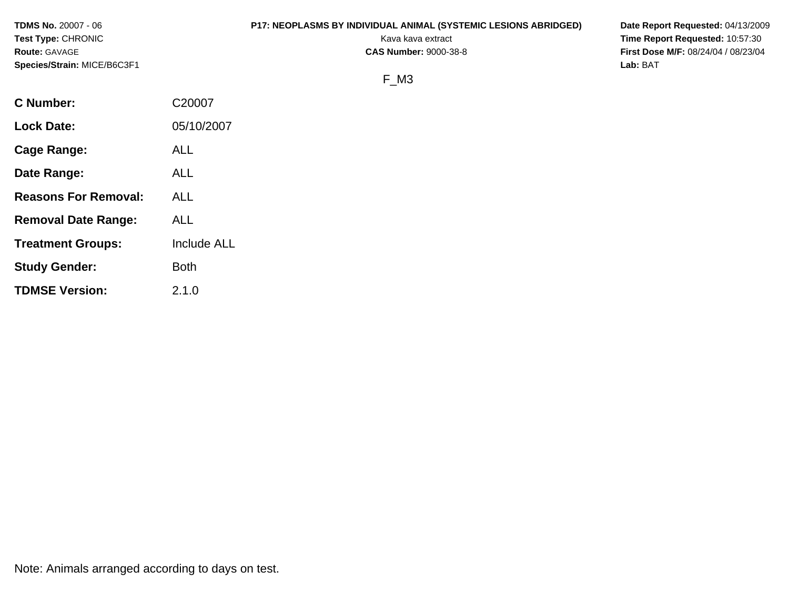**Test Type:** CHRONIC **Transfer CHRONIC Report Requested:** 10:57:30 **Route:** GAVAGE **CAS Number:** 9000-38-8 **First Dose M/F:** 08/24/04 / 08/23/04 **Species/Strain:** MICE/B6C3F1 **Lab:** BAT

# **TDMS No.** 20007 - 06 **P17: NEOPLASMS BY INDIVIDUAL ANIMAL (SYSTEMIC LESIONS ABRIDGED) Date Report Requested:** 04/13/2009

# F\_M3

| C20007             |
|--------------------|
| 05/10/2007         |
| ALL                |
| ALL                |
| ALL                |
| ALL                |
| <b>Include ALL</b> |
| <b>Both</b>        |
| 2.1.0              |
|                    |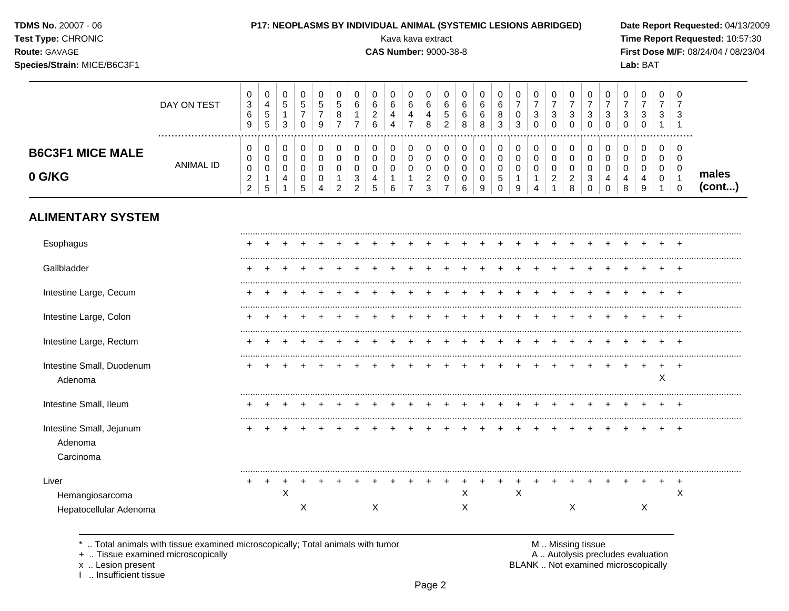| <b>TDMS No. 20007 - 06</b> |  |
|----------------------------|--|
| Test Type: CHRONIC         |  |

## P17: NEOPLASMS BY INDIVIDUAL ANIMAL (SYSTEMIC LESIONS ABRIDGED)

**CAS Number: 9000-38-8** 

Kava kava extract

Route: GAVAGE

Species/Strain: MICE/B6C3F1

Date Report Requested: 04/13/2009 Time Report Requested: 10:57:30 First Dose M/F: 08/24/04 / 08/23/04  $Ish:RAT$ 

| <b>Pecies/Otialii.</b> MIOL/D0OJI I |             |                            |                             |             |             |              |        |                       |                            |        |             |                                  |                       |                  |   |                  |                        |             |                  |                  |               |        | Lav. DAI |        |     |                 |
|-------------------------------------|-------------|----------------------------|-----------------------------|-------------|-------------|--------------|--------|-----------------------|----------------------------|--------|-------------|----------------------------------|-----------------------|------------------|---|------------------|------------------------|-------------|------------------|------------------|---------------|--------|----------|--------|-----|-----------------|
|                                     | DAY ON TEST | v<br>3<br>6<br>9           | $\mathbf 0$<br>4<br>G<br>5  | U<br>5<br>3 | 0<br>5      | U<br>.5<br>9 | b.     | 0<br>6                | 0<br>6<br>◠<br>$\sim$<br>6 | 0<br>6 | 0<br>6<br>4 | v<br>6<br>4<br>8                 | 0<br>6<br>ა<br>າ<br>∠ | 0<br>6<br>6<br>8 | 8 | 0<br>6<br>8<br>3 | $\mathbf{0}$<br>0<br>3 | 0<br>3<br>0 | 0<br>3<br>0      | 0<br>ີ<br>ت<br>0 | 0<br>0        | U<br>3 | 0<br>3   | U<br>3 |     |                 |
| <b>B6C3F1 MICE MALE</b><br>0 G/KG   | ANIMAL ID   | u<br>v<br>υ<br>∼<br>◠<br>∼ | 0<br>0<br>0<br>$\mathbf{p}$ | U<br>4      | 0<br>U<br>5 | 4            | $\sim$ | 0<br>0<br>3<br>ົ<br>∠ | 0<br>0<br>4<br>G           | 0<br>6 | 0<br>0      | $\sqrt{2}$<br><u>.</u><br>ົ<br>3 | 0<br>0<br>0           | 6                | 9 | 0<br>0<br>5<br>0 | 0<br>0<br>0<br>9       |             | 0<br>0<br>0<br>◠ | 0<br>0<br>◠<br>8 | 4<br>$\Omega$ | 4<br>8 | 4<br>9   | 0<br>U | - 0 | males<br>(cont) |

# **ALIMENTARY SYSTEM**

| Esophagus                                          |     |   |   |  |   |  |  |        |  |   |  |   |  |   |   |                |
|----------------------------------------------------|-----|---|---|--|---|--|--|--------|--|---|--|---|--|---|---|----------------|
| Gallbladder                                        |     |   |   |  |   |  |  |        |  |   |  |   |  |   |   |                |
| Intestine Large, Cecum                             |     |   |   |  |   |  |  |        |  |   |  |   |  |   |   | <br>+          |
| Intestine Large, Colon                             |     |   |   |  |   |  |  |        |  |   |  |   |  |   |   | $\ddot{}$      |
| Intestine Large, Rectum                            |     |   |   |  |   |  |  |        |  |   |  |   |  |   |   | $\ddot{}$      |
| Intestine Small, Duodenum<br>Adenoma               |     |   |   |  |   |  |  |        |  |   |  |   |  |   | X |                |
| Intestine Small, Ileum                             |     |   |   |  |   |  |  |        |  |   |  |   |  |   |   | $\div$         |
| Intestine Small, Jejunum<br>Adenoma<br>Carcinoma   |     |   |   |  |   |  |  |        |  |   |  |   |  |   |   | $\pm$          |
| Liver<br>Hemangiosarcoma<br>Hepatocellular Adenoma | $+$ | X | Х |  | Χ |  |  | X<br>X |  | X |  | X |  | Χ |   | $\ddot{}$<br>X |

\* .. Total animals with tissue examined microscopically; Total animals with tumor

+ .. Tissue examined microscopically

x .. Lesion present<br>I .. Insufficient tissue

M .. Missing tissue A .. Autolysis precludes evaluation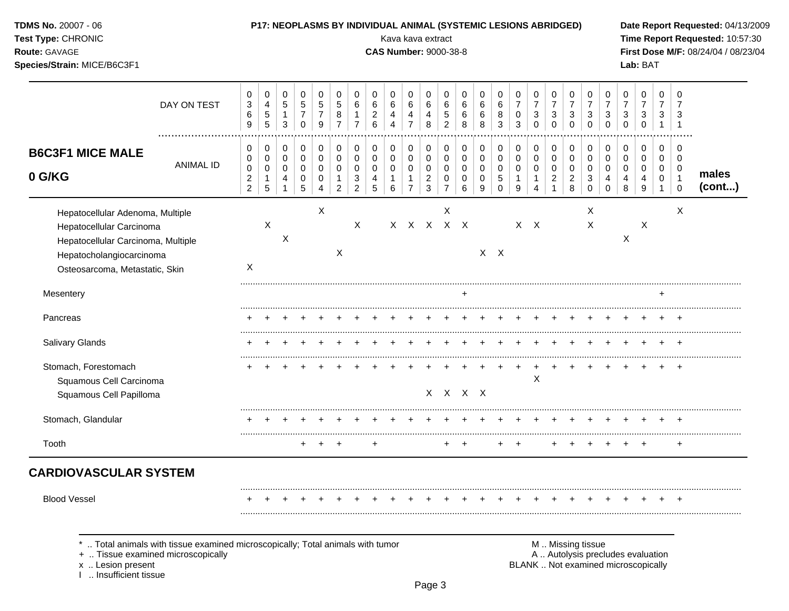| <b>TDMS No. 20007 - 06</b><br>Test Type: CHRONIC<br>Route: GAVAGE<br>Species/Strain: MICE/B6C3F1                                                                 |                                                                                                                    |                                                             |                                                 |                                                         |                                                      |                                        |                                                                |                                               |                                                        | P17: NEOPLASMS BY INDIVIDUAL ANIMAL (SYSTEMIC LESIONS ABRIDGED)<br>Kava kava extract<br><b>CAS Number: 9000-38-8</b> |                                                                   |                                                                       |                                              |                                 |                                       |                              |                                                      |                                         |                                         |                                                    |                                                               |                                                   |                                         | Lab: BAT                                                                 |                                          |                                                                  | Date Report Requested: 04/13/2009<br>Time Report Requested: 10:57:30<br>First Dose M/F: 08/24/04 / 08/23/04 |
|------------------------------------------------------------------------------------------------------------------------------------------------------------------|--------------------------------------------------------------------------------------------------------------------|-------------------------------------------------------------|-------------------------------------------------|---------------------------------------------------------|------------------------------------------------------|----------------------------------------|----------------------------------------------------------------|-----------------------------------------------|--------------------------------------------------------|----------------------------------------------------------------------------------------------------------------------|-------------------------------------------------------------------|-----------------------------------------------------------------------|----------------------------------------------|---------------------------------|---------------------------------------|------------------------------|------------------------------------------------------|-----------------------------------------|-----------------------------------------|----------------------------------------------------|---------------------------------------------------------------|---------------------------------------------------|-----------------------------------------|--------------------------------------------------------------------------|------------------------------------------|------------------------------------------------------------------|-------------------------------------------------------------------------------------------------------------|
|                                                                                                                                                                  | DAY ON TEST                                                                                                        | 0<br>$\ensuremath{\mathsf{3}}$<br>$\,6$<br>$\boldsymbol{9}$ | 0<br>$\overline{\mathbf{4}}$<br>$\sqrt{5}$<br>5 | $\mathbf 0$<br>$\sqrt{5}$<br>$\mathbf{1}$<br>$\sqrt{3}$ | 0<br>$\mathbf 5$<br>$\overline{7}$<br>$\mathbf 0$    | 0<br>$\sqrt{5}$<br>$\overline{7}$<br>9 | 0<br>$\sqrt{5}$<br>$\,8\,$<br>$\overline{7}$                   | 0<br>$\,6\,$<br>$\mathbf 1$<br>$\overline{7}$ | $\mathbf 0$<br>6<br>$\boldsymbol{2}$<br>$6\phantom{a}$ | 0<br>6<br>4<br>4                                                                                                     | 0<br>6<br>4<br>$\overline{7}$                                     | 0<br>$\,6\,$<br>$\overline{4}$<br>8                                   | 0<br>$\,6$<br>5<br>$\overline{c}$            | 0<br>6<br>6<br>8                | 0<br>6<br>6<br>8                      | 0<br>6<br>8<br>3             | 0<br>$\boldsymbol{7}$<br>$\pmb{0}$<br>$\mathfrak{Z}$ | 0<br>$\overline{7}$<br>3<br>$\mathbf 0$ | 0<br>$\overline{7}$<br>3<br>$\mathbf 0$ | 0<br>$\overline{7}$<br>3<br>$\mathbf 0$            | 0<br>$\overline{7}$<br>$\ensuremath{\mathsf{3}}$<br>$\pmb{0}$ | 0<br>$\overline{7}$<br>$\sqrt{3}$<br>$\mathbf 0$  | 0<br>$\overline{7}$<br>3<br>$\mathbf 0$ | 0<br>$\overline{7}$<br>$\sqrt{3}$<br>$\mathbf 0$                         | 0<br>$\overline{7}$<br>3<br>$\mathbf{1}$ | $\Omega$<br>3<br>- 1                                             |                                                                                                             |
| <b>B6C3F1 MICE MALE</b><br>0 G/KG                                                                                                                                | <b>ANIMAL ID</b>                                                                                                   | 0<br>0<br>$\pmb{0}$<br>$\overline{c}$<br>$\overline{2}$     | 0<br>0<br>$\pmb{0}$<br>$\mathbf{1}$<br>5        | $\mathbf 0$<br>$\mathbf 0$<br>$\mathsf{O}\xspace$<br>4  | 0<br>$\pmb{0}$<br>$\mathbf 0$<br>0<br>$\overline{5}$ | 0<br>0<br>0<br>0<br>4                  | $\boldsymbol{0}$<br>$\pmb{0}$<br>$\mathbf 0$<br>$\overline{2}$ | 0<br>0<br>$\mathbf 0$<br>3<br>$\overline{c}$  | 0<br>$\mathbf 0$<br>$\mathbf 0$<br>4<br>5              | 0<br>0<br>$\mathbf 0$<br>-1<br>6                                                                                     | 0<br>$\mathbf 0$<br>$\mathbf 0$<br>$\mathbf{1}$<br>$\overline{7}$ | $\pmb{0}$<br>$\pmb{0}$<br>$\mathbf 0$<br>$\overline{c}$<br>$\sqrt{3}$ | 0<br>0<br>$\mathbf 0$<br>0<br>$\overline{7}$ | 0<br>0<br>$\mathbf 0$<br>0<br>6 | 0<br>$\,0\,$<br>$\mathbf 0$<br>0<br>9 | 0<br>0<br>0<br>5<br>$\Omega$ | 0<br>0<br>$\pmb{0}$<br>$\mathbf{1}$<br>9             | 0<br>0<br>0<br>1<br>4                   | 0<br>0<br>$\pmb{0}$<br>$\overline{c}$   | 0<br>$\pmb{0}$<br>$\pmb{0}$<br>$\overline{c}$<br>8 | 0<br>$\pmb{0}$<br>$\pmb{0}$<br>$\sqrt{3}$<br>$\pmb{0}$        | 0<br>$\pmb{0}$<br>$\mathbf 0$<br>4<br>$\mathbf 0$ | 0<br>0<br>0<br>4<br>8                   | $\boldsymbol{0}$<br>$\mathbf 0$<br>$\mathbf 0$<br>4<br>9                 | 0<br>0<br>0<br>$\mathbf 0$<br>-1         | 0<br>$\mathbf 0$<br>$\mathbf 0$<br>$\overline{1}$<br>$\mathbf 0$ | males<br>(cont)                                                                                             |
| Hepatocellular Adenoma, Multiple<br>Hepatocellular Carcinoma<br>Hepatocellular Carcinoma, Multiple<br>Hepatocholangiocarcinoma<br>Osteosarcoma, Metastatic, Skin |                                                                                                                    | Χ                                                           | X                                               | X                                                       |                                                      | X                                      | X                                                              | X                                             |                                                        |                                                                                                                      | X X X X X                                                         |                                                                       | X                                            |                                 | $X$ $X$                               |                              |                                                      | $X$ $X$                                 |                                         |                                                    | X<br>X                                                        |                                                   | X                                       | X                                                                        |                                          | X                                                                |                                                                                                             |
| Mesentery                                                                                                                                                        |                                                                                                                    |                                                             |                                                 |                                                         |                                                      |                                        |                                                                |                                               |                                                        |                                                                                                                      |                                                                   |                                                                       |                                              | +                               |                                       |                              |                                                      |                                         |                                         |                                                    |                                                               |                                                   |                                         |                                                                          | +                                        |                                                                  |                                                                                                             |
| Pancreas                                                                                                                                                         |                                                                                                                    |                                                             |                                                 |                                                         |                                                      |                                        |                                                                |                                               |                                                        |                                                                                                                      |                                                                   |                                                                       |                                              |                                 |                                       |                              |                                                      |                                         |                                         |                                                    |                                                               |                                                   |                                         |                                                                          |                                          |                                                                  |                                                                                                             |
| Salivary Glands                                                                                                                                                  |                                                                                                                    |                                                             |                                                 |                                                         |                                                      |                                        |                                                                |                                               |                                                        |                                                                                                                      |                                                                   |                                                                       |                                              |                                 |                                       |                              |                                                      |                                         |                                         |                                                    |                                                               |                                                   |                                         |                                                                          |                                          |                                                                  |                                                                                                             |
| Stomach, Forestomach<br>Squamous Cell Carcinoma<br>Squamous Cell Papilloma                                                                                       |                                                                                                                    |                                                             |                                                 |                                                         |                                                      |                                        |                                                                |                                               |                                                        |                                                                                                                      |                                                                   |                                                                       | X X X X                                      |                                 |                                       |                              |                                                      | X                                       |                                         |                                                    |                                                               |                                                   |                                         |                                                                          |                                          |                                                                  |                                                                                                             |
| Stomach, Glandular                                                                                                                                               |                                                                                                                    |                                                             |                                                 |                                                         |                                                      |                                        |                                                                |                                               |                                                        |                                                                                                                      |                                                                   |                                                                       |                                              |                                 |                                       |                              |                                                      |                                         |                                         |                                                    |                                                               |                                                   |                                         |                                                                          |                                          |                                                                  |                                                                                                             |
| Tooth                                                                                                                                                            |                                                                                                                    |                                                             |                                                 |                                                         | $\ddot{}$                                            |                                        | $\overline{ }$                                                 |                                               | +                                                      |                                                                                                                      |                                                                   |                                                                       |                                              | $\,$                            |                                       |                              | $\overline{1}$                                       |                                         |                                         |                                                    |                                                               |                                                   |                                         | $\overline{ }$                                                           |                                          | $\overline{+}$                                                   |                                                                                                             |
| <b>CARDIOVASCULAR SYSTEM</b>                                                                                                                                     |                                                                                                                    |                                                             |                                                 |                                                         |                                                      |                                        |                                                                |                                               |                                                        |                                                                                                                      |                                                                   |                                                                       |                                              |                                 |                                       |                              |                                                      |                                         |                                         |                                                    |                                                               |                                                   |                                         |                                                                          |                                          |                                                                  |                                                                                                             |
| <b>Blood Vessel</b>                                                                                                                                              |                                                                                                                    |                                                             |                                                 |                                                         |                                                      |                                        |                                                                |                                               |                                                        |                                                                                                                      |                                                                   |                                                                       |                                              |                                 |                                       |                              |                                                      |                                         |                                         |                                                    |                                                               |                                                   |                                         |                                                                          |                                          |                                                                  |                                                                                                             |
| x  Lesion present                                                                                                                                                | Total animals with tissue examined microscopically; Total animals with tumor<br>+  Tissue examined microscopically |                                                             |                                                 |                                                         |                                                      |                                        |                                                                |                                               |                                                        |                                                                                                                      |                                                                   |                                                                       |                                              |                                 |                                       |                              |                                                      |                                         |                                         |                                                    | M  Missing tissue                                             |                                                   |                                         | A  Autolysis precludes evaluation<br>BLANK  Not examined microscopically |                                          |                                                                  |                                                                                                             |

x .. Lesion present<br>I .. Insufficient tissue

Page 3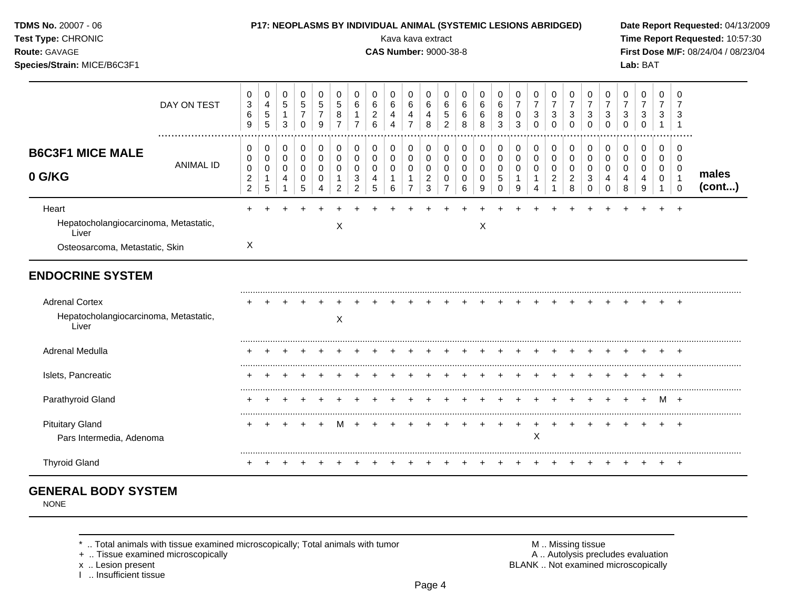## **TDMS No.** 20007 - 06 **P17: NEOPLASMS BY INDIVIDUAL ANIMAL (SYSTEMIC LESIONS ABRIDGED) Date Report Requested:** 04/13/2009

**Species/Strain:** MICE/B6C3F1 **Lab:** BAT

**Test Type:** CHRONIC **Transfer CHRONIC Report Requested:** 10:57:30 **Route:** GAVAGE **CAS Number:** 9000-38-8 **First Dose M/F:** 08/24/04 / 08/23/04

|                                                                                           | DAY ON TEST      | $\mathbf 0$<br>$\mathbf{3}$<br>6<br>9           | 0<br>$\overline{4}$<br>$\,$ 5 $\,$<br>5 | $\mathbf 0$<br>$\sqrt{5}$<br>$\mathbf 1$<br>3 | $\Omega$<br>$\overline{5}$<br>7<br>0 | $\Omega$<br>5<br>9      | 0<br>8                               | 0<br>6                       | 0<br>6<br>$\overline{c}$<br>6   | 0<br>6<br>4<br>4 | 0<br>$\,6$<br>4<br>$\overline{7}$            | 0<br>$\,6\,$<br>4<br>8               | 0<br>$\,6$<br>5<br>$\overline{c}$            | 0<br>6<br>6<br>8      | 0<br>6<br>6<br>8                        | 0<br>6<br>8<br>3                                         | 0<br>$\boldsymbol{7}$<br>0<br>$\mathbf{3}$ | 0<br>$\boldsymbol{7}$<br>$\mathbf{3}$<br>$\Omega$ | 0<br>$\overline{7}$<br>$\mathbf{3}$<br>$\mathbf 0$ | 0<br>$\overline{7}$<br>3<br>$\Omega$ | 0<br>$\overline{7}$<br>3<br>$\mathbf 0$ | 0<br>$\overline{7}$<br>3<br>$\Omega$ | 0<br>$\overline{7}$<br>3<br>$\Omega$ | 0<br>$\overline{7}$<br>3<br>$\Omega$ | 0<br>$\overline{7}$<br>3 | $\Omega$<br>$\overline{7}$<br>3                           |                 |
|-------------------------------------------------------------------------------------------|------------------|-------------------------------------------------|-----------------------------------------|-----------------------------------------------|--------------------------------------|-------------------------|--------------------------------------|------------------------------|---------------------------------|------------------|----------------------------------------------|--------------------------------------|----------------------------------------------|-----------------------|-----------------------------------------|----------------------------------------------------------|--------------------------------------------|---------------------------------------------------|----------------------------------------------------|--------------------------------------|-----------------------------------------|--------------------------------------|--------------------------------------|--------------------------------------|--------------------------|-----------------------------------------------------------|-----------------|
| <b>B6C3F1 MICE MALE</b><br>0 G/KG                                                         | <b>ANIMAL ID</b> | 0<br>0<br>0<br>$\overline{2}$<br>$\overline{2}$ | 0<br>0<br>0<br>$\mathbf{1}$<br>5        | $\mathbf 0$<br>0<br>$\mathbf 0$<br>4<br>1     | 0<br>0<br>$\Omega$<br>0<br>5         | 0<br>0<br>$\Omega$<br>0 | 0<br>0<br>$\Omega$<br>$\overline{2}$ | 0<br>0<br>$\Omega$<br>3<br>2 | 0<br>0<br>$\mathbf 0$<br>4<br>5 | 0<br>0<br>0<br>6 | 0<br>0<br>$\mathbf 0$<br>1<br>$\overline{7}$ | 0<br>0<br>0<br>$\boldsymbol{2}$<br>3 | 0<br>0<br>$\mathbf 0$<br>0<br>$\overline{7}$ | 0<br>0<br>0<br>0<br>6 | $\pmb{0}$<br>0<br>$\mathbf 0$<br>0<br>9 | 0<br>$\pmb{0}$<br>$\mathbf 0$<br>$\mathbf 5$<br>$\Omega$ | 0<br>0<br>0<br>-1<br>9                     | 0<br>0<br>$\mathbf 0$<br>$\mathbf{1}$             | 0<br>0<br>$\mathbf 0$<br>2                         | 0<br>0<br>$\Omega$<br>2<br>8         | 0<br>0<br>0<br>3<br>$\Omega$            | 0<br>0<br>$\Omega$<br>0              | 0<br>0<br>$\Omega$<br>4<br>8         | 0<br>0<br>$\mathbf{0}$<br>4<br>9     | 0<br>0<br>0<br>0         | $\Omega$<br>0<br>0<br>$\overline{\mathbf{1}}$<br>$\Omega$ | males<br>(cont) |
| Heart<br>Hepatocholangiocarcinoma, Metastatic,<br>Liver<br>Osteosarcoma, Metastatic, Skin |                  | $\sf X$                                         |                                         |                                               |                                      |                         | X                                    |                              |                                 |                  |                                              |                                      |                                              |                       | X                                       |                                                          |                                            |                                                   |                                                    |                                      |                                         |                                      |                                      |                                      |                          |                                                           |                 |
| <b>ENDOCRINE SYSTEM</b>                                                                   |                  |                                                 |                                         |                                               |                                      |                         |                                      |                              |                                 |                  |                                              |                                      |                                              |                       |                                         |                                                          |                                            |                                                   |                                                    |                                      |                                         |                                      |                                      |                                      |                          |                                                           |                 |
| <b>Adrenal Cortex</b><br>Hepatocholangiocarcinoma, Metastatic,<br>Liver                   |                  |                                                 |                                         |                                               |                                      |                         | $\boldsymbol{\mathsf{X}}$            |                              |                                 |                  |                                              |                                      |                                              |                       |                                         |                                                          |                                            |                                                   |                                                    |                                      |                                         |                                      |                                      |                                      |                          |                                                           |                 |
| Adrenal Medulla                                                                           |                  |                                                 |                                         |                                               |                                      |                         |                                      |                              |                                 |                  |                                              |                                      |                                              |                       |                                         |                                                          |                                            |                                                   |                                                    |                                      |                                         |                                      |                                      |                                      |                          |                                                           |                 |
| Islets, Pancreatic                                                                        |                  |                                                 |                                         |                                               |                                      |                         |                                      |                              |                                 |                  |                                              |                                      |                                              |                       |                                         |                                                          |                                            |                                                   |                                                    |                                      |                                         |                                      |                                      |                                      |                          |                                                           |                 |
| Parathyroid Gland                                                                         |                  |                                                 |                                         |                                               |                                      |                         |                                      |                              |                                 |                  |                                              |                                      |                                              |                       |                                         |                                                          |                                            |                                                   |                                                    |                                      |                                         |                                      |                                      |                                      | M                        | $+$                                                       |                 |
| <b>Pituitary Gland</b><br>Pars Intermedia, Adenoma                                        |                  |                                                 |                                         |                                               |                                      |                         |                                      |                              |                                 |                  |                                              |                                      |                                              |                       |                                         |                                                          |                                            | X                                                 |                                                    |                                      |                                         |                                      |                                      |                                      |                          |                                                           |                 |
| <b>Thyroid Gland</b>                                                                      |                  |                                                 |                                         |                                               |                                      |                         |                                      |                              |                                 |                  |                                              |                                      |                                              |                       |                                         |                                                          |                                            |                                                   |                                                    |                                      |                                         |                                      |                                      |                                      |                          |                                                           |                 |

# **GENERAL BODY SYSTEM**

NONE

+ .. Tissue examined microscopically

I .. Insufficient tissue

\* .. Total animals with tissue examined microscopically; Total animals with tumor <br>
+ .. Tissue examined microscopically<br>
+ .. Tissue examined microscopically x .. Lesion present **BLANK** .. Not examined microscopically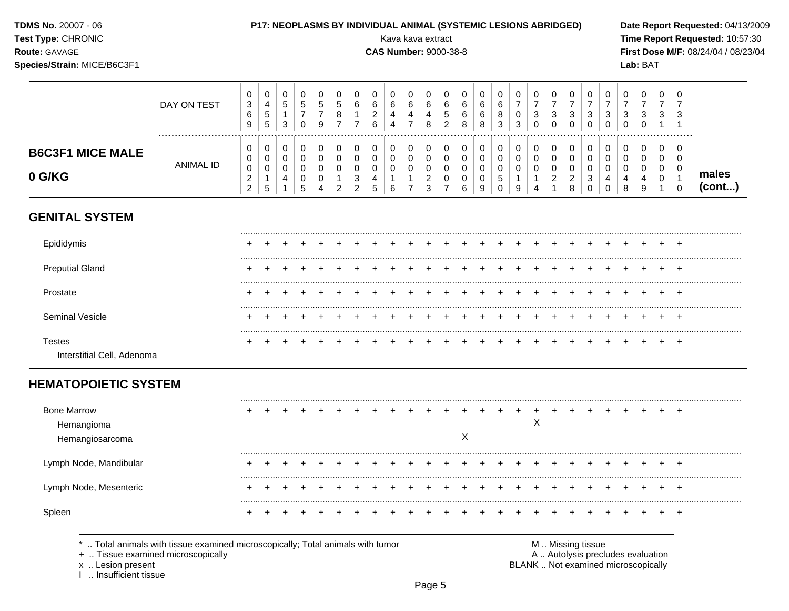| <b>TDMS No. 20007 - 06</b> |  |
|----------------------------|--|
| <b>Test Type: CHRONIC</b>  |  |

### P17: NEOPLASMS BY INDIVIDUAL ANIMAL (SYSTEMIC LESIONS ABRIDGED)

**CAS Number: 9000-38-8** 

Kava kava extract

Route: GAVAGE

Species/Strain: MICE/B6C3F1

Date Report Requested: 04/13/2009 Time Report Requested: 10:57:30 First Dose M/F: 08/24/04 / 08/23/04 Lab: BAT

### $\mathbf 0$  $\mathbf 0$  $\mathsf{O}\xspace$  $\mathbf 0$  $\mathbf 0$  $\mathbf 0$  $\mathbf 0$  $\mathbf 0$  $\mathbf 0$  $\mathbf 0$  $\mathbf 0$  $\mathbf 0$  $\mathbf 0$  $\mathbf 0$  $\mathbf 0$  $\mathbf 0$  $\mathbf 0$  $\mathbf 0$  $\mathbf 0$  $\mathbf 0$  $\mathbf 0$  $\mathbf 0$  $\mathbf 0$  $\mathbf 0$  $\mathbf 0$  $\frac{4}{5}$  $rac{5}{7}$  $\overline{5}$  $\overline{6}$  $\overline{6}$  $\overline{7}$  $\overline{7}$  $\overline{7}$  $\overline{7}$  $\overline{7}$  $\overline{7}$  $\overline{7}$  $\overline{7}$  $\overline{3}$  $\sqrt{5}$  $\overline{5}$  $\,6\,$  $\begin{array}{c} 6 \\ 6 \\ 8 \end{array}$  $\,6\,$  $\,6\,$  $\overline{7}$  $\,6\,$  $\,6\,$  $\,6\,$  $\overline{7}$ DAY ON TEST  $\frac{2}{6}$  $\frac{0}{3}$  $\frac{1}{3}$  $\frac{1}{3}$  $\frac{1}{3}$  $\frac{3}{1}$  $\overline{7}$  $\overline{8}$  $\overline{5}$  $6\overline{6}$  $\overline{8}$  $\mathbf{3}$  $\mathbf{3}$  $\,6\,$  $\overline{1}$  $\overline{4}$  $\overline{4}$  $\mathbf{3}$  $\mathbf{3}$  $\mathbf{3}$  $\overline{1}$  $\overline{4}$  $\overline{5}$  $\mathbf{3}$  $\mathbf 0$  $\mathsf g$  $\overline{7}$  $\overline{7}$  $\overline{7}$  $\bf8$  $\overline{2}$  $\bf8$  $\mathbf{3}$  $\mathbf 0$  $\pmb{0}$  $\mathbf 0$  $\mathbf 0$  $\boldsymbol{9}$  $\overline{4}$  $\mathbf{1}$  $\pmb{0}$  $\mathsf 0$  $\mathbf 0$  $\mathbf 0$  $\mathsf 0$  $\mathbf 0$  $\mathbf 0$  $\pmb{0}$  $\mathsf 0$  $\mathbf 0$  $\mathbf 0$  $\mathsf 0$  $\mathbf 0$  $\mathbf 0$  $\pmb{0}$  $\mathbf 0$  $\mathbf 0$  $\pmb{0}$  $\mathbf 0$  $\boldsymbol{0}$  $\mathbf 0$  $\mathsf 0$  $\boldsymbol{0}$  $\mathbf 0$  $\mathsf 0$ **B6C3F1 MICE MALE**  $\pmb{0}$  $\mathbf 0$  $\pmb{0}$  $\mathbf 0$  $\pmb{0}$  $\mathbf 0$  $\mathbf 0$  $\mathsf{O}\xspace$  $\pmb{0}$  $\pmb{0}$  $\pmb{0}$  $\pmb{0}$  $\mathsf{O}\xspace$  $\pmb{0}$  $\mathbf 0$  $\mathsf{O}\xspace$  $\pmb{0}$  $\pmb{0}$  $\pmb{0}$  $\mathsf{O}\xspace$  $\mathsf{O}\xspace$  $\pmb{0}$  $\pmb{0}$  $\mathbf 0$  $\mathbf 0$ **ANIMAL ID**  $\pmb{0}$  $\mathbf 0$  $\mathbf 0$  $\mathsf 0$  $\pmb{0}$  $\mathsf 0$  $\mathbf 0$  $\mathbf 0$  $\mathbf 0$  $\mathsf 0$  $\pmb{0}$  $\mathsf 0$  $\mathbf 0$  $\mathbf 0$  $\mathsf 0$  $\mathbf 0$  $\mathsf 0$  $\mathbf 0$  $\mathbf 0$  $\mathbf 0$  $\mathbf 0$  $\pmb{0}$  $\mathbf 0$  $\mathsf 0$  $\mathsf 0$ males 0 G/KG  $\frac{2}{2}$  $\frac{2}{3}$  $\begin{array}{c} 2 \\ 1 \end{array}$  $\begin{array}{c} 2 \\ 8 \end{array}$  $_0^3$  $\begin{array}{c} 1 \\ 5 \end{array}$  $\begin{array}{c} 0 \\ 5 \end{array}$  $\frac{3}{2}$  $\begin{array}{c} 4 \\ 5 \end{array}$  $\frac{1}{7}$  $\pmb{0}$  $\,$  5  $\,$  $\begin{array}{c} 1 \\ 9 \end{array}$  $\begin{array}{c} 4 \\ 0 \end{array}$  $\overline{4}$  $\overline{4}$  $\pmb{0}$  $\mathbf{1}$  $\mathbf{1}$  $\boldsymbol{0}$  $\boldsymbol{0}$  $\mathbf{1}$  $\overline{4}$  $\mathbf 0$  $\overline{1}$  $(cont...)$  $\overline{4}$  $\overline{2}$  $\,6\,$  $\overline{7}$  $\,6\,$  $\boldsymbol{9}$  $\mathbf 0$  $\,8\,$ 9  $\overline{1}$  $\overline{4}$  $\overline{1}$  $\boldsymbol{0}$ **GENITAL SYSTEM**

| <b>Preputial Gland</b>               | ÷ |  |  |  |  |  |  |  |  |  |  |  | $^+$    |  |
|--------------------------------------|---|--|--|--|--|--|--|--|--|--|--|--|---------|--|
| Prostate                             |   |  |  |  |  |  |  |  |  |  |  |  | $^+$    |  |
| - Vesicle<br>Sem                     |   |  |  |  |  |  |  |  |  |  |  |  | $\cdot$ |  |
| Testes<br>Interstitial Cell, Adenoma |   |  |  |  |  |  |  |  |  |  |  |  | $\pm$   |  |

# **HEMATOPOIETIC SYSTEM**

| <b>Bone Marrow</b>                                                                       |  |  |  |  |  |  |   |  |   |  |                |  |  |  |
|------------------------------------------------------------------------------------------|--|--|--|--|--|--|---|--|---|--|----------------|--|--|--|
| Hemangioma                                                                               |  |  |  |  |  |  |   |  | ↗ |  |                |  |  |  |
| Hemangiosarcoma                                                                          |  |  |  |  |  |  | ∧ |  |   |  |                |  |  |  |
| Lymph Node, Mandibular                                                                   |  |  |  |  |  |  |   |  |   |  |                |  |  |  |
|                                                                                          |  |  |  |  |  |  |   |  |   |  |                |  |  |  |
| Lymph Node, Mesenteric                                                                   |  |  |  |  |  |  |   |  |   |  |                |  |  |  |
|                                                                                          |  |  |  |  |  |  |   |  |   |  |                |  |  |  |
| Spleen                                                                                   |  |  |  |  |  |  |   |  |   |  |                |  |  |  |
|                                                                                          |  |  |  |  |  |  |   |  |   |  |                |  |  |  |
| Total animals with tissue examined microscopically; Total animals with tumor<br>$\cdots$ |  |  |  |  |  |  |   |  | M |  | Missing tissue |  |  |  |

+ .. Tissue examined microscopically

x .. Lesion present

I .. Insufficient tissue

A .. Autolysis precludes evaluation BLANK .. Not examined microscopically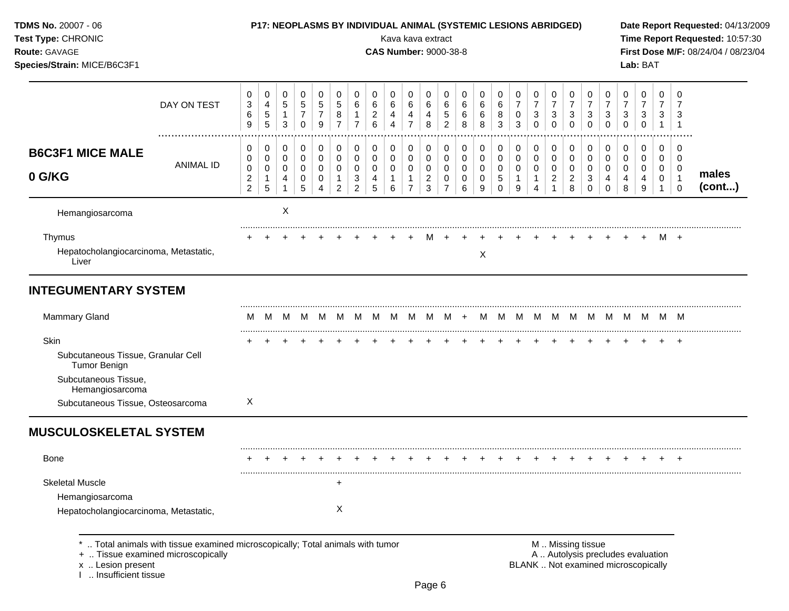| TDMS No. 20007 - 06<br>Test Type: CHRONIC<br>Route: GAVAGE<br>Species/Strain: MICE/B6C3F1 |                                                                              |                                               |                                                               |                                                  |                                                  |                                         |                                               |                                               |                                        |                  |                                                | Kava kava extract<br><b>CAS Number: 9000-38-8</b> |                                               |                       | <b>P17: NEOPLASMS BY INDIVIDUAL ANIMAL (SYSTEMIC LESIONS ABRIDGED)</b> |                                 |                                                 |                                      |                                                              |                                                                 |                                                                   |                                                                   |                                         | Lab: BAT                                                                 |                             |                            | Date Report Requested: 04/13/2009<br>Time Report Requested: 10:57:30<br>First Dose M/F: 08/24/04 / 08/23/04 |
|-------------------------------------------------------------------------------------------|------------------------------------------------------------------------------|-----------------------------------------------|---------------------------------------------------------------|--------------------------------------------------|--------------------------------------------------|-----------------------------------------|-----------------------------------------------|-----------------------------------------------|----------------------------------------|------------------|------------------------------------------------|---------------------------------------------------|-----------------------------------------------|-----------------------|------------------------------------------------------------------------|---------------------------------|-------------------------------------------------|--------------------------------------|--------------------------------------------------------------|-----------------------------------------------------------------|-------------------------------------------------------------------|-------------------------------------------------------------------|-----------------------------------------|--------------------------------------------------------------------------|-----------------------------|----------------------------|-------------------------------------------------------------------------------------------------------------|
|                                                                                           | DAY ON TEST                                                                  | 0<br>$\ensuremath{\mathsf{3}}$<br>$\,6$<br>9  | 0<br>$\overline{\mathbf{4}}$<br>$\,$ 5 $\,$<br>$\overline{5}$ | 0<br>$\mathbf 5$<br>$\mathbf{1}$<br>$\mathbf{3}$ | 0<br>$\sqrt{5}$<br>$\overline{7}$<br>$\mathbf 0$ | 0<br>$\,$ 5 $\,$<br>$\overline{7}$<br>9 | 0<br>$\sqrt{5}$<br>$\bf 8$<br>$\overline{7}$  | 0<br>$\,6$<br>$\overline{7}$                  | 0<br>6<br>$\overline{\mathbf{c}}$<br>6 | 0<br>6<br>4<br>4 | 0<br>$\,6$<br>$\overline{4}$<br>$\overline{7}$ | 0<br>6<br>4<br>8                                  | 0<br>$\,6\,$<br>$\mathbf 5$<br>$\overline{2}$ | 0<br>6<br>6<br>8      | 0<br>$\,6$<br>6<br>8                                                   | 0<br>$6\phantom{1}6$<br>8<br>3  | 0<br>$\overline{7}$<br>$\pmb{0}$<br>3           | 0<br>$\overline{7}$<br>3<br>$\Omega$ | 0<br>$\overline{7}$<br>$\ensuremath{\mathsf{3}}$<br>$\Omega$ | 0<br>$\overline{7}$<br>$\ensuremath{\mathsf{3}}$<br>$\mathbf 0$ | 0<br>$\boldsymbol{7}$<br>$\ensuremath{\mathsf{3}}$<br>$\mathbf 0$ | 0<br>$\boldsymbol{7}$<br>$\ensuremath{\mathsf{3}}$<br>$\mathbf 0$ | 0<br>$\overline{7}$<br>3<br>$\mathbf 0$ | 0<br>$\overline{7}$<br>$\ensuremath{\mathsf{3}}$<br>$\mathbf 0$          | 0<br>7<br>3<br>$\mathbf{1}$ | 0<br>3<br>$\overline{1}$   |                                                                                                             |
| <b>B6C3F1 MICE MALE</b>                                                                   |                                                                              | 0<br>0                                        | 0<br>0                                                        | 0<br>$\mathbf 0$                                 | $\boldsymbol{0}$<br>0                            | $\pmb{0}$<br>0                          | 0<br>0                                        | 0<br>$\mathbf 0$                              | 0<br>0                                 | 0<br>0           | 0<br>0                                         | 0<br>$\mathbf 0$                                  | 0<br>$\mathbf 0$                              | 0<br>0                | 0<br>$\mathbf 0$                                                       | 0<br>0                          | 0<br>$\mathbf 0$                                | 0<br>0                               | 0<br>0                                                       | 0<br>$\mathbf 0$                                                | 0<br>0                                                            | 0<br>$\mathbf 0$                                                  | 0<br>0                                  | 0<br>0                                                                   | 0<br>0                      | 0<br>$\Omega$              |                                                                                                             |
| 0 G/KG                                                                                    | <b>ANIMAL ID</b>                                                             | $\pmb{0}$<br>$\overline{c}$<br>$\overline{2}$ | 0<br>$\mathbf{1}$<br>$\sqrt{5}$                               | 0<br>4<br>$\mathbf{1}$                           | 0<br>0<br>5                                      | 0<br>0<br>$\boldsymbol{\Lambda}$        | $\mathbf 0$<br>$\mathbf{1}$<br>$\overline{2}$ | $\mathbf 0$<br>$\ensuremath{\mathsf{3}}$<br>2 | $\mathbf 0$<br>4<br>5                  | 0<br>1<br>6      | $\mathbf 0$<br>1<br>$\overline{7}$             | 0<br>$\overline{a}$<br>3                          | $\mathbf 0$<br>0<br>$\overline{7}$            | $\mathbf 0$<br>0<br>6 | $\mathbf 0$<br>0<br>9                                                  | $\mathbf 0$<br>5<br>$\mathbf 0$ | $\mathbf 0$<br>$\mathbf{1}$<br>$\boldsymbol{9}$ | 0<br>1<br>4                          | 0<br>$\overline{a}$                                          | $\mathbf 0$<br>$\overline{c}$<br>8                              | 0<br>$\mathbf{3}$<br>$\mathbf 0$                                  | $\mathbf 0$<br>4<br>$\Omega$                                      | 0<br>4<br>8                             | 0<br>4<br>9                                                              | 0<br>$\mathbf 0$            | $\overline{1}$<br>$\Omega$ | males<br>(cont)                                                                                             |
| Hemangiosarcoma                                                                           |                                                                              |                                               |                                                               | Χ                                                |                                                  |                                         |                                               |                                               |                                        |                  |                                                |                                                   |                                               |                       |                                                                        |                                 |                                                 |                                      |                                                              |                                                                 |                                                                   |                                                                   |                                         |                                                                          |                             |                            |                                                                                                             |
| Thymus<br>Hepatocholangiocarcinoma, Metastatic,<br>Liver                                  |                                                                              |                                               |                                                               |                                                  |                                                  |                                         |                                               |                                               |                                        |                  |                                                |                                                   |                                               |                       | X                                                                      |                                 |                                                 |                                      |                                                              |                                                                 |                                                                   |                                                                   |                                         |                                                                          | M +                         |                            |                                                                                                             |
| <b>INTEGUMENTARY SYSTEM</b>                                                               |                                                                              |                                               |                                                               |                                                  |                                                  |                                         |                                               |                                               |                                        |                  |                                                |                                                   |                                               |                       |                                                                        |                                 |                                                 |                                      |                                                              |                                                                 |                                                                   |                                                                   |                                         |                                                                          |                             |                            |                                                                                                             |
| <b>Mammary Gland</b>                                                                      |                                                                              | M                                             | м                                                             |                                                  |                                                  | M M M M M                               |                                               |                                               | M.                                     | M                |                                                | $M$ $M$ $M$ +                                     |                                               |                       |                                                                        | M M M                           |                                                 |                                      |                                                              |                                                                 |                                                                   |                                                                   |                                         | M M M M M M M M                                                          |                             |                            |                                                                                                             |
| Skin                                                                                      |                                                                              |                                               |                                                               |                                                  |                                                  |                                         |                                               |                                               |                                        |                  |                                                |                                                   |                                               |                       |                                                                        |                                 |                                                 |                                      |                                                              |                                                                 |                                                                   |                                                                   |                                         |                                                                          |                             |                            |                                                                                                             |
| Subcutaneous Tissue, Granular Cell<br><b>Tumor Benign</b>                                 |                                                                              |                                               |                                                               |                                                  |                                                  |                                         |                                               |                                               |                                        |                  |                                                |                                                   |                                               |                       |                                                                        |                                 |                                                 |                                      |                                                              |                                                                 |                                                                   |                                                                   |                                         |                                                                          |                             |                            |                                                                                                             |
| Subcutaneous Tissue,<br>Hemangiosarcoma                                                   |                                                                              |                                               |                                                               |                                                  |                                                  |                                         |                                               |                                               |                                        |                  |                                                |                                                   |                                               |                       |                                                                        |                                 |                                                 |                                      |                                                              |                                                                 |                                                                   |                                                                   |                                         |                                                                          |                             |                            |                                                                                                             |
| Subcutaneous Tissue, Osteosarcoma                                                         |                                                                              | X                                             |                                                               |                                                  |                                                  |                                         |                                               |                                               |                                        |                  |                                                |                                                   |                                               |                       |                                                                        |                                 |                                                 |                                      |                                                              |                                                                 |                                                                   |                                                                   |                                         |                                                                          |                             |                            |                                                                                                             |
| <b>MUSCULOSKELETAL SYSTEM</b>                                                             |                                                                              |                                               |                                                               |                                                  |                                                  |                                         |                                               |                                               |                                        |                  |                                                |                                                   |                                               |                       |                                                                        |                                 |                                                 |                                      |                                                              |                                                                 |                                                                   |                                                                   |                                         |                                                                          |                             |                            |                                                                                                             |
| Bone                                                                                      |                                                                              |                                               |                                                               |                                                  |                                                  |                                         |                                               |                                               |                                        |                  |                                                |                                                   |                                               |                       |                                                                        |                                 |                                                 |                                      |                                                              |                                                                 |                                                                   |                                                                   |                                         |                                                                          |                             | $\overline{+}$             |                                                                                                             |
| <b>Skeletal Muscle</b>                                                                    |                                                                              |                                               |                                                               |                                                  |                                                  |                                         |                                               |                                               |                                        |                  |                                                |                                                   |                                               |                       |                                                                        |                                 |                                                 |                                      |                                                              |                                                                 |                                                                   |                                                                   |                                         |                                                                          |                             |                            |                                                                                                             |
| Hemangiosarcoma                                                                           |                                                                              |                                               |                                                               |                                                  |                                                  |                                         |                                               |                                               |                                        |                  |                                                |                                                   |                                               |                       |                                                                        |                                 |                                                 |                                      |                                                              |                                                                 |                                                                   |                                                                   |                                         |                                                                          |                             |                            |                                                                                                             |
| Hepatocholangiocarcinoma, Metastatic,                                                     |                                                                              |                                               |                                                               |                                                  |                                                  |                                         | Х                                             |                                               |                                        |                  |                                                |                                                   |                                               |                       |                                                                        |                                 |                                                 |                                      |                                                              |                                                                 |                                                                   |                                                                   |                                         |                                                                          |                             |                            |                                                                                                             |
| +  Tissue examined microscopically<br>x  Lesion present<br>Insufficient tissue            | Total animals with tissue examined microscopically; Total animals with tumor |                                               |                                                               |                                                  |                                                  |                                         |                                               |                                               |                                        |                  |                                                |                                                   |                                               |                       |                                                                        |                                 |                                                 |                                      | M  Missing tissue                                            |                                                                 |                                                                   |                                                                   |                                         | A  Autolysis precludes evaluation<br>BLANK  Not examined microscopically |                             |                            |                                                                                                             |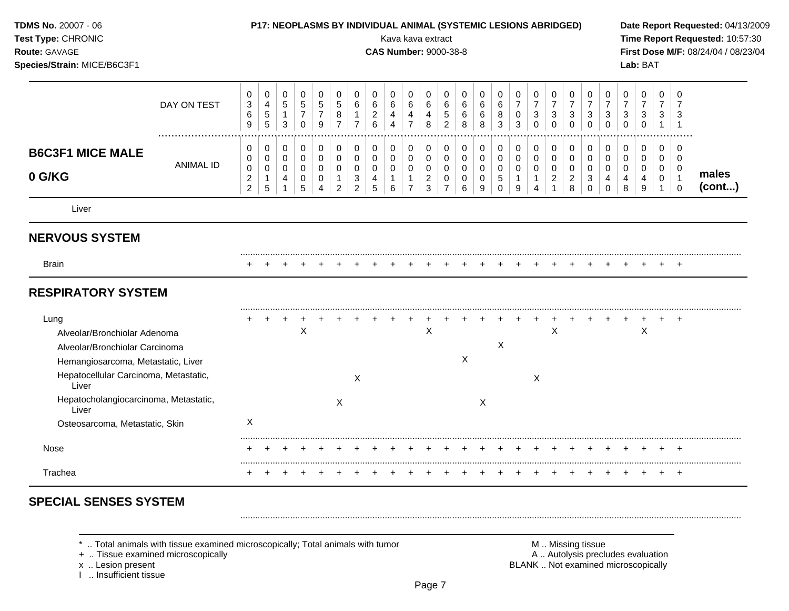| TDMS No. 20007 - 06<br>Test Type: CHRONIC<br>Route: GAVAGE<br>Species/Strain: MICE/B6C3F1                    |                  |                                                           | P17: NEOPLASMS BY INDIVIDUAL ANIMAL (SYSTEMIC LESIONS ABRIDGED) |                                                      |                                                           |                                                                |                                                              |                                                        |                                            | Kava kava extract<br><b>CAS Number: 9000-38-8</b> |                                                  |                                              |                                                                  |                                           |                                                   |                                        |                                                       |                                         |                                                           |                                                        |                                                                 |                                                     |                                   | Lab: BAT                             |                                           |                                                                  | Date Report Requested: 04/13/2009<br>Time Report Requested: 10:57:30<br>First Dose M/F: 08/24/04 / 08/23/04 |
|--------------------------------------------------------------------------------------------------------------|------------------|-----------------------------------------------------------|-----------------------------------------------------------------|------------------------------------------------------|-----------------------------------------------------------|----------------------------------------------------------------|--------------------------------------------------------------|--------------------------------------------------------|--------------------------------------------|---------------------------------------------------|--------------------------------------------------|----------------------------------------------|------------------------------------------------------------------|-------------------------------------------|---------------------------------------------------|----------------------------------------|-------------------------------------------------------|-----------------------------------------|-----------------------------------------------------------|--------------------------------------------------------|-----------------------------------------------------------------|-----------------------------------------------------|-----------------------------------|--------------------------------------|-------------------------------------------|------------------------------------------------------------------|-------------------------------------------------------------------------------------------------------------|
|                                                                                                              | DAY ON TEST<br>  | 0<br>3<br>$\,6$<br>9                                      | 0<br>$\overline{4}$<br>$\sqrt{5}$<br>$\overline{5}$             | 0<br>$\sqrt{5}$<br>$\mathbf{1}$<br>$\mathfrak{Z}$    | $\mathbf 0$<br>$\sqrt{5}$<br>$\boldsymbol{7}$<br>$\Omega$ | $\mathbf 0$<br>$\overline{5}$<br>$\boldsymbol{7}$<br>9         | 0<br>5<br>$\, 8$<br>$\overline{7}$                           | 0<br>6<br>$\mathbf{1}$<br>$\overline{7}$               | 0<br>6<br>$\overline{c}$<br>$6\phantom{a}$ | 0<br>$\,6$<br>$\overline{4}$<br>$\overline{4}$    | 0<br>$\,6\,$<br>$\overline{4}$<br>$\overline{7}$ | 0<br>6<br>4<br>8                             | $\mathbf 0$<br>$\,6\,$<br>$\sqrt{5}$<br>$\overline{2}$           | $\mathbf 0$<br>6<br>6<br>8                | $\mathbf 0$<br>6<br>6<br>8                        | $\mathbf 0$<br>6<br>8<br>3             | 0<br>$\overline{7}$<br>$\overline{0}$<br>$\mathbf{3}$ | 0<br>$\overline{7}$<br>3<br>$\Omega$    | 0<br>$\overline{7}$<br>3<br>$\Omega$                      | 0<br>$\overline{7}$<br>3<br>$\Omega$                   | 0<br>$\overline{7}$<br>$\ensuremath{\mathsf{3}}$<br>$\mathbf 0$ | 0<br>$\overline{7}$<br>$\sqrt{3}$<br>$\Omega$       | $\mathbf 0$<br>7<br>3<br>$\Omega$ | 0<br>$\overline{7}$<br>3<br>$\Omega$ | 0<br>$\overline{7}$<br>3<br>$\mathbf{1}$  | 0<br>7<br>3<br>$\overline{1}$                                    |                                                                                                             |
| <b>B6C3F1 MICE MALE</b><br>0 G/KG                                                                            | <b>ANIMAL ID</b> | 0<br>0<br>$\mathbf 0$<br>$\overline{c}$<br>$\overline{2}$ | 0<br>$\mathbf 0$<br>0<br>$\mathbf{1}$<br>$\sqrt{5}$             | 0<br>$\mathbf 0$<br>$\mathbf 0$<br>4<br>$\mathbf{1}$ | 0<br>$\mathbf 0$<br>$\mathbf 0$<br>0<br>5                 | $\pmb{0}$<br>$\mathbf 0$<br>$\mathbf 0$<br>0<br>$\overline{4}$ | $\pmb{0}$<br>$\pmb{0}$<br>$\mathbf 0$<br>1<br>$\overline{2}$ | 0<br>$\mathbf 0$<br>$\mathbf 0$<br>3<br>$\overline{2}$ | 0<br>0<br>$\mathbf 0$<br>4<br>5            | 0<br>0<br>0<br>1<br>6                             | 0<br>$\mathbf 0$<br>0<br>-1<br>$\overline{7}$    | $\mathbf 0$<br>0<br>0<br>$\overline{a}$<br>3 | 0<br>$\mathbf 0$<br>$\mathbf 0$<br>$\mathbf 0$<br>$\overline{7}$ | 0<br>$\mathbf 0$<br>$\mathbf 0$<br>0<br>6 | $\pmb{0}$<br>$\mathbf 0$<br>$\mathbf 0$<br>0<br>9 | 0<br>$\mathbf 0$<br>0<br>5<br>$\Omega$ | 0<br>$\mathbf 0$<br>$\mathbf 0$<br>$\mathbf{1}$<br>9  | 0<br>$\Omega$<br>0<br>$\mathbf{1}$<br>4 | 0<br>$\mathbf 0$<br>0<br>$\overline{2}$<br>$\overline{1}$ | 0<br>$\mathbf 0$<br>$\mathbf 0$<br>$\overline{2}$<br>8 | $\mathbf 0$<br>0<br>0<br>3<br>$\mathbf 0$                       | 0<br>$\mathbf 0$<br>$\mathbf 0$<br>4<br>$\mathbf 0$ | 0<br>0<br>0<br>4<br>8             | 0<br>$\Omega$<br>0<br>9              | 0<br>$\mathbf 0$<br>$\mathbf 0$<br>0<br>1 | 0<br>$\mathbf 0$<br>$\mathbf 0$<br>$\overline{1}$<br>$\mathbf 0$ | males<br>(cont)                                                                                             |
| Liver                                                                                                        |                  |                                                           |                                                                 |                                                      |                                                           |                                                                |                                                              |                                                        |                                            |                                                   |                                                  |                                              |                                                                  |                                           |                                                   |                                        |                                                       |                                         |                                                           |                                                        |                                                                 |                                                     |                                   |                                      |                                           |                                                                  |                                                                                                             |
| <b>NERVOUS SYSTEM</b>                                                                                        |                  |                                                           |                                                                 |                                                      |                                                           |                                                                |                                                              |                                                        |                                            |                                                   |                                                  |                                              |                                                                  |                                           |                                                   |                                        |                                                       |                                         |                                                           |                                                        |                                                                 |                                                     |                                   |                                      |                                           |                                                                  |                                                                                                             |
| <b>Brain</b>                                                                                                 |                  |                                                           |                                                                 |                                                      |                                                           |                                                                |                                                              |                                                        |                                            |                                                   |                                                  |                                              |                                                                  |                                           |                                                   |                                        |                                                       |                                         |                                                           |                                                        |                                                                 |                                                     |                                   |                                      |                                           | $\ddot{}$                                                        |                                                                                                             |
| <b>RESPIRATORY SYSTEM</b>                                                                                    |                  |                                                           |                                                                 |                                                      |                                                           |                                                                |                                                              |                                                        |                                            |                                                   |                                                  |                                              |                                                                  |                                           |                                                   |                                        |                                                       |                                         |                                                           |                                                        |                                                                 |                                                     |                                   |                                      |                                           |                                                                  |                                                                                                             |
| Lung<br>Alveolar/Bronchiolar Adenoma<br>Alveolar/Bronchiolar Carcinoma<br>Hemangiosarcoma, Metastatic, Liver |                  |                                                           | $\pm$                                                           | $\pm$                                                | $\pm$<br>$\boldsymbol{\mathsf{X}}$                        |                                                                |                                                              |                                                        |                                            |                                                   |                                                  | +<br>$\sf X$                                 |                                                                  | $\boldsymbol{\mathsf{X}}$                 |                                                   | X                                      |                                                       |                                         | $\mathsf X$                                               |                                                        |                                                                 |                                                     |                                   | $\boldsymbol{\mathsf{X}}$            | $\pm$                                     |                                                                  |                                                                                                             |
| Hepatocellular Carcinoma, Metastatic,<br>Liver                                                               |                  |                                                           |                                                                 |                                                      |                                                           |                                                                |                                                              | X                                                      |                                            |                                                   |                                                  |                                              |                                                                  |                                           |                                                   |                                        |                                                       | X                                       |                                                           |                                                        |                                                                 |                                                     |                                   |                                      |                                           |                                                                  |                                                                                                             |
| Hepatocholangiocarcinoma, Metastatic,<br>Liver                                                               |                  |                                                           |                                                                 |                                                      |                                                           |                                                                | $\times$                                                     |                                                        |                                            |                                                   |                                                  |                                              |                                                                  |                                           | $\boldsymbol{X}$                                  |                                        |                                                       |                                         |                                                           |                                                        |                                                                 |                                                     |                                   |                                      |                                           |                                                                  |                                                                                                             |
| Osteosarcoma, Metastatic, Skin                                                                               |                  | X                                                         |                                                                 |                                                      |                                                           |                                                                |                                                              |                                                        |                                            |                                                   |                                                  |                                              |                                                                  |                                           |                                                   |                                        |                                                       |                                         |                                                           |                                                        |                                                                 |                                                     |                                   |                                      |                                           |                                                                  |                                                                                                             |
| Nose                                                                                                         |                  |                                                           |                                                                 |                                                      |                                                           |                                                                |                                                              |                                                        |                                            |                                                   |                                                  |                                              |                                                                  |                                           |                                                   |                                        |                                                       |                                         |                                                           |                                                        |                                                                 |                                                     |                                   |                                      |                                           |                                                                  |                                                                                                             |
| Trachea                                                                                                      |                  |                                                           |                                                                 |                                                      |                                                           |                                                                |                                                              |                                                        |                                            |                                                   |                                                  |                                              |                                                                  |                                           |                                                   |                                        |                                                       |                                         |                                                           |                                                        |                                                                 |                                                     |                                   |                                      |                                           | $\ddot{}$                                                        |                                                                                                             |

# **SPECIAL SENSES SYSTEM**

x .. Lesion present<br>I .. Insufficient tissue

+ .. Tissue examined microscopically  $\blacksquare$  A .. Autolysis precludes evaluation M .. Missing tissue<br>A .. Autolysis precludes evaluation<br>BLANK .. Not examined microscopically

.........................................................................................................................................................................................................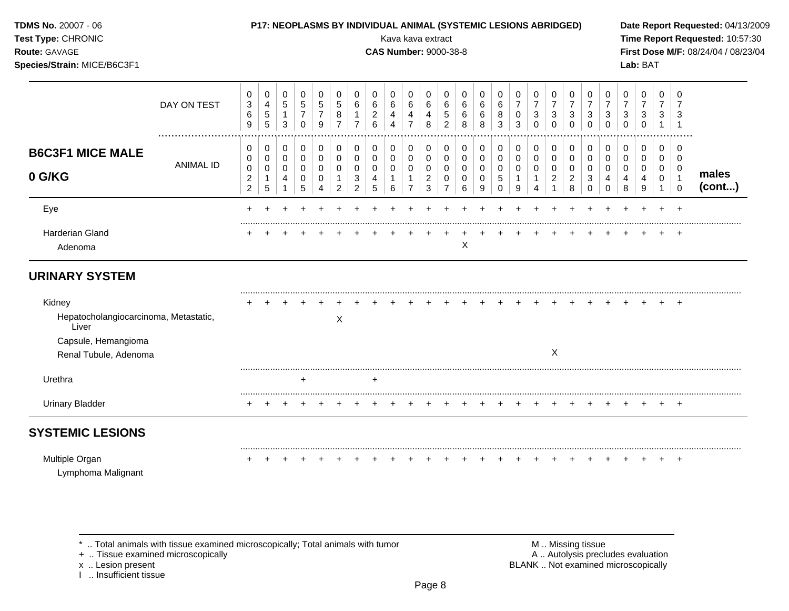| <b>TDMS No. 20007 - 06</b> |  |  |  |
|----------------------------|--|--|--|
|----------------------------|--|--|--|

## **P17: NEOPLASMS BY INDIVIDUAL ANIMAL (SYSTEMIC LESIONS ABRIDGED)** Date Report Requested: 04/13/2009

**Species/Strain:** MICE/B6C3F1 **Lab:** BAT

**Test Type:** CHRONIC Kava kava extract **Time Report Requested:** 10:57:30 **Route:** GAVAGE **CAS Number:** 9000-38-8 **First Dose M/F:** 08/24/04 / 08/23/04

|                                                | DAY ON TEST          | 0<br>$\ensuremath{\mathsf{3}}$<br>6<br>9      | 0<br>$\overline{4}$<br>$\mathbf 5$<br>$\overline{5}$ | 0<br>$\,$ 5 $\,$<br>$\mathbf{1}$<br>3 | 0<br>$\,$ 5 $\,$<br>$\overline{7}$<br>$\Omega$ | 0<br>5<br>9   | 0<br>5<br>8 | 0<br>6                   | 0<br>6<br>$\overline{c}$<br>6 | 0<br>6<br>4<br>4 | 0<br>6<br>4<br>$\overline{7}$ | 0<br>6<br>4<br>8         | 0<br>6<br>5<br>2 | 0<br>6<br>6<br>8 | 0<br>6<br>6<br>8 | 0<br>6<br>8<br>3             | 0<br>$\overline{7}$<br>$\pmb{0}$<br>$\sqrt{3}$ | 0<br>$\overline{7}$<br>3<br>$\Omega$ | 0<br>$\overline{7}$<br>3<br>$\Omega$ | 0<br>3<br><sup>0</sup> | 0<br>$\overline{7}$<br>3<br>$\Omega$ | 0<br>7<br>3<br>$\Omega$ | 0<br>$\overline{7}$<br>3<br>$\Omega$ | 0<br>$\overline{7}$<br>$\sqrt{3}$<br>$\Omega$ | 0<br>$\overline{7}$<br>3 | 0<br>3             |                 |
|------------------------------------------------|----------------------|-----------------------------------------------|------------------------------------------------------|---------------------------------------|------------------------------------------------|---------------|-------------|--------------------------|-------------------------------|------------------|-------------------------------|--------------------------|------------------|------------------|------------------|------------------------------|------------------------------------------------|--------------------------------------|--------------------------------------|------------------------|--------------------------------------|-------------------------|--------------------------------------|-----------------------------------------------|--------------------------|--------------------|-----------------|
| <b>B6C3F1 MICE MALE</b>                        | <br><b>ANIMAL ID</b> | 0<br>0                                        | 0<br>0                                               | 0<br>0                                | 0<br>0                                         | 0<br>$\Omega$ | 0<br>0      | 0<br>0                   | 0<br>0                        | 0<br>0           | 0<br>0                        | 0<br>0                   | 0<br>0           | 0<br>0           | 0<br>0           | 0<br>0                       | 0<br>0                                         | 0<br>$\mathbf 0$                     | 0<br>0                               | 0<br>0                 | 0<br>0                               | 0<br>0                  | 0<br>0                               | 0<br>0                                        | 0<br>$\mathbf 0$         | .<br>$\Omega$<br>0 |                 |
| 0 G/KG                                         |                      | $\,0\,$<br>$\boldsymbol{2}$<br>$\overline{c}$ | 0<br>1<br>5                                          | 0<br>4                                | 0<br>0<br>5                                    | 0<br>0        | 0<br>2      | 0<br>3<br>$\overline{2}$ | 0<br>4<br>5                   | 0<br>6           | 0<br>$\overline{7}$           | 0<br>$\overline{c}$<br>3 | 0<br>0           | 0<br>0<br>6      | 0<br>0<br>9      | 0<br>$\mathbf 5$<br>$\Omega$ | 0<br>9                                         | 0                                    | 0<br>$\overline{2}$                  | $\Omega$<br>2<br>8     | 0<br>3                               | 0<br>4                  | 0<br>4<br>8                          | 0<br>4<br>9                                   | 0<br>0                   | 0<br>$\mathbf 0$   | males<br>(cont) |
| Eye                                            |                      |                                               |                                                      |                                       |                                                |               |             |                          |                               |                  |                               |                          |                  |                  |                  |                              |                                                |                                      |                                      |                        |                                      |                         |                                      |                                               |                          |                    |                 |
| <b>Harderian Gland</b><br>Adenoma              |                      |                                               |                                                      |                                       |                                                |               |             |                          |                               |                  |                               |                          |                  | X                |                  |                              |                                                |                                      |                                      |                        |                                      |                         |                                      |                                               |                          | $\ddot{}$          |                 |
| <b>URINARY SYSTEM</b>                          |                      |                                               |                                                      |                                       |                                                |               |             |                          |                               |                  |                               |                          |                  |                  |                  |                              |                                                |                                      |                                      |                        |                                      |                         |                                      |                                               |                          |                    |                 |
| Kidney                                         |                      |                                               |                                                      |                                       |                                                |               |             |                          |                               |                  |                               |                          |                  |                  |                  |                              |                                                |                                      |                                      |                        |                                      |                         |                                      |                                               |                          | $\overline{ }$     |                 |
| Hepatocholangiocarcinoma, Metastatic,<br>Liver |                      |                                               |                                                      |                                       |                                                |               | X           |                          |                               |                  |                               |                          |                  |                  |                  |                              |                                                |                                      |                                      |                        |                                      |                         |                                      |                                               |                          |                    |                 |
| Capsule, Hemangioma                            |                      |                                               |                                                      |                                       |                                                |               |             |                          |                               |                  |                               |                          |                  |                  |                  |                              |                                                |                                      |                                      |                        |                                      |                         |                                      |                                               |                          |                    |                 |
| Renal Tubule, Adenoma                          |                      |                                               |                                                      |                                       |                                                |               |             |                          |                               |                  |                               |                          |                  |                  |                  |                              |                                                |                                      | $\boldsymbol{\mathsf{X}}$            |                        |                                      |                         |                                      |                                               |                          |                    |                 |
| Urethra                                        |                      |                                               |                                                      |                                       | ٠                                              |               |             |                          | $\ddot{}$                     |                  |                               |                          |                  |                  |                  |                              |                                                |                                      |                                      |                        |                                      |                         |                                      |                                               |                          |                    |                 |
| <b>Urinary Bladder</b>                         |                      |                                               |                                                      |                                       |                                                |               |             |                          |                               |                  |                               |                          |                  |                  |                  |                              |                                                |                                      |                                      |                        |                                      |                         |                                      |                                               |                          | $\overline{ }$     |                 |

# **SYSTEMIC LESIONS**

Multiple Organ + + + + + + + + + + + + + + + + + + + + + + + + + Lymphoma Malignant

\* .. Total animals with tissue examined microscopically; Total animals with tumor <br>
+ .. Tissue examined microscopically<br>
+ .. Tissue examined microscopically

+ .. Tissue examined microscopically

I .. Insufficient tissue

x .. Lesion present **BLANK** .. Not examined microscopically

.........................................................................................................................................................................................................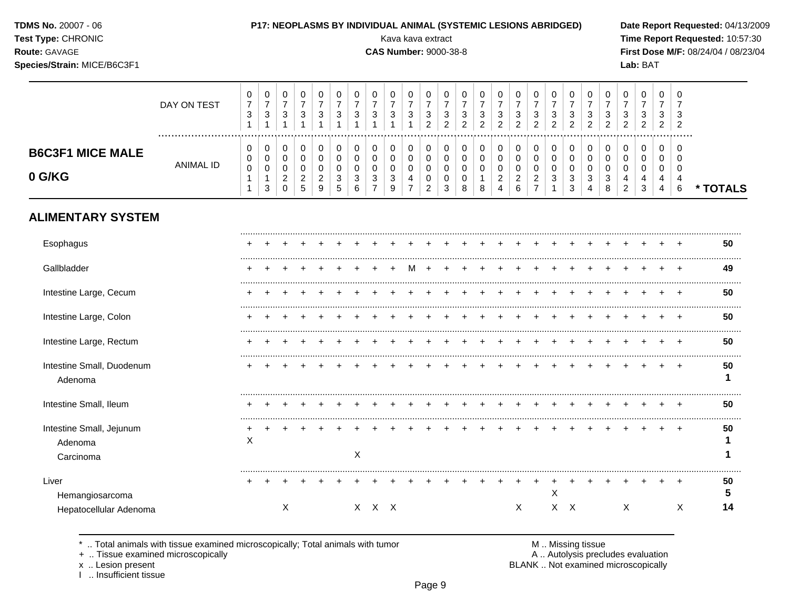| <b>TDMS No. 20007 - 06</b> |  |  |  |
|----------------------------|--|--|--|
|----------------------------|--|--|--|

# Test Type: CHRONIC

### Route: GAVAGE

Species/Strain: MICE/B6C3F1

## P17: NEOPLASMS BY INDIVIDUAL ANIMAL (SYSTEMIC LESIONS ABRIDGED)

Kava kava extract

 $\top$ 

 $\perp$  $\blacksquare$ 

 $\overline{\phantom{a}}$ 

### **CAS Number: 9000-38-8**

Date Report Requested: 04/13/2009 Time Report Requested: 10:57:30 First Dose M/F: 08/24/04 / 08/23/04 Lab: BAT

 $\top$ 

|                                                  | DAY ON TEST      | 0<br>$\overline{\mathbf{7}}$<br>$\sqrt{3}$<br>$\mathbf{1}$ | $\pmb{0}$<br>$\overline{7}$<br>$\ensuremath{\mathsf{3}}$<br>$\overline{1}$ | $\pmb{0}$<br>$\boldsymbol{7}$<br>$\mathsf 3$<br>1         | 0<br>$\overline{7}$<br>$\sqrt{3}$<br>$\overline{1}$              | 0<br>$\overline{7}$<br>3                     | 0<br>$\overline{7}$<br>3        | 0<br>$\overline{7}$<br>3<br>1                              | 0<br>$\overline{7}$<br>$\sqrt{3}$            | 0<br>$\overline{7}$<br>$\sqrt{3}$<br>$\overline{1}$                       | 0<br>$\overline{7}$<br>$\sqrt{3}$                              | 0<br>$\overline{7}$<br>$\mathbf{3}$<br>$\overline{2}$  | 0<br>$\overline{7}$<br>3<br>$\overline{a}$ | 0<br>$\overline{7}$<br>3<br>$\overline{c}$ | 0<br>$\overline{7}$<br>$\sqrt{3}$<br>$\overline{2}$ | 0<br>$\overline{7}$<br>3<br>$\overline{2}$               | 0<br>$\overline{7}$<br>$\sqrt{3}$<br>$\overline{2}$                     | 0<br>$\overline{7}$<br>3<br>$\overline{2}$                        | 0<br>$\overline{7}$<br>3<br>$\overline{2}$                | 0<br>$\overline{7}$<br>3<br>$\overline{2}$ | 0<br>$\overline{7}$<br>3<br>$\overline{c}$ | 0<br>$\overline{7}$<br>3<br>$\overline{2}$         | 0<br>$\overline{7}$<br>3<br>$\overline{c}$ | 0<br>$\overline{7}$<br>$\mathbf{3}$<br>$\overline{c}$ | 0<br>$\overline{7}$<br>3<br>$\overline{2}$                       | $\mathbf 0$<br>3<br>$\overline{2}$         |          |
|--------------------------------------------------|------------------|------------------------------------------------------------|----------------------------------------------------------------------------|-----------------------------------------------------------|------------------------------------------------------------------|----------------------------------------------|---------------------------------|------------------------------------------------------------|----------------------------------------------|---------------------------------------------------------------------------|----------------------------------------------------------------|--------------------------------------------------------|--------------------------------------------|--------------------------------------------|-----------------------------------------------------|----------------------------------------------------------|-------------------------------------------------------------------------|-------------------------------------------------------------------|-----------------------------------------------------------|--------------------------------------------|--------------------------------------------|----------------------------------------------------|--------------------------------------------|-------------------------------------------------------|------------------------------------------------------------------|--------------------------------------------|----------|
| <b>B6C3F1 MICE MALE</b><br>0 G/KG                | <b>ANIMAL ID</b> | 0<br>0<br>$\pmb{0}$<br>$\mathbf{1}$<br>1                   | 0<br>$\mathbf 0$<br>$\mathbf 0$<br>$\mathbf{1}$<br>$\mathbf{3}$            | 0<br>$\mathbf 0$<br>$\mathbf 0$<br>$\sqrt{2}$<br>$\Omega$ | $\mathbf 0$<br>$\mathbf 0$<br>$\mathbf 0$<br>$\overline{c}$<br>5 | 0<br>$\mathbf 0$<br>0<br>$\overline{2}$<br>9 | 0<br>0<br>$\mathbf 0$<br>3<br>5 | $\pmb{0}$<br>$\mathbf 0$<br>$\mathbf 0$<br>$\sqrt{3}$<br>6 | 0<br>0<br>$\mathbf 0$<br>3<br>$\overline{7}$ | $\mathbf 0$<br>$\pmb{0}$<br>$\mathbf 0$<br>$\sqrt{3}$<br>$\boldsymbol{9}$ | $\mathbf 0$<br>$\pmb{0}$<br>$\mathbf 0$<br>4<br>$\overline{7}$ | $\mathbf 0$<br>0<br>$\mathbf 0$<br>0<br>$\overline{2}$ | $\mathbf 0$<br>0<br>0<br>0<br>3            | 0<br>0<br>0<br>0<br>8                      | 0<br>$\pmb{0}$<br>$\mathbf 0$<br>$\mathbf{1}$<br>8  | 0<br>0<br>0<br>$\overline{\mathbf{c}}$<br>$\overline{4}$ | $\mathbf 0$<br>$\pmb{0}$<br>$\mathbf 0$<br>$\sqrt{2}$<br>$6\phantom{a}$ | 0<br>$\pmb{0}$<br>$\mathbf 0$<br>$\overline{c}$<br>$\overline{7}$ | $\mathbf 0$<br>$\mathbf 0$<br>$\mathbf 0$<br>$\mathbf{3}$ | 0<br>$\mathbf 0$<br>$\mathbf 0$<br>3<br>3  | 0<br>0<br>0<br>3<br>4                      | $\mathbf 0$<br>0<br>$\mathbf 0$<br>$\sqrt{3}$<br>8 | 0<br>0<br>0<br>4<br>$\overline{c}$         | 0<br>0<br>$\mathbf 0$<br>4<br>3                       | $\mathbf 0$<br>$\mathbf 0$<br>$\mathbf 0$<br>4<br>$\overline{4}$ | $\Omega$<br>$\Omega$<br>$\Omega$<br>4<br>6 | * TOTALS |
| <b>ALIMENTARY SYSTEM</b>                         |                  |                                                            |                                                                            |                                                           |                                                                  |                                              |                                 |                                                            |                                              |                                                                           |                                                                |                                                        |                                            |                                            |                                                     |                                                          |                                                                         |                                                                   |                                                           |                                            |                                            |                                                    |                                            |                                                       |                                                                  |                                            |          |
| Esophagus                                        |                  |                                                            |                                                                            |                                                           |                                                                  |                                              |                                 |                                                            |                                              |                                                                           |                                                                |                                                        |                                            |                                            |                                                     |                                                          |                                                                         |                                                                   |                                                           |                                            |                                            |                                                    |                                            |                                                       |                                                                  |                                            | 50       |
| Gallbladder                                      |                  |                                                            |                                                                            |                                                           |                                                                  |                                              |                                 |                                                            |                                              |                                                                           |                                                                |                                                        |                                            |                                            |                                                     |                                                          |                                                                         |                                                                   |                                                           |                                            |                                            |                                                    |                                            |                                                       |                                                                  | $\div$                                     | 49       |
| Intestine Large, Cecum                           |                  |                                                            |                                                                            |                                                           |                                                                  |                                              |                                 |                                                            |                                              |                                                                           |                                                                |                                                        |                                            |                                            |                                                     |                                                          |                                                                         |                                                                   |                                                           |                                            |                                            |                                                    |                                            |                                                       |                                                                  |                                            | 50       |
| Intestine Large, Colon                           |                  |                                                            |                                                                            |                                                           |                                                                  |                                              |                                 |                                                            |                                              |                                                                           |                                                                |                                                        |                                            |                                            |                                                     |                                                          |                                                                         |                                                                   |                                                           |                                            |                                            |                                                    |                                            |                                                       |                                                                  |                                            | 50       |
| Intestine Large, Rectum                          |                  |                                                            |                                                                            |                                                           |                                                                  |                                              |                                 |                                                            |                                              |                                                                           |                                                                |                                                        |                                            |                                            |                                                     |                                                          |                                                                         |                                                                   |                                                           |                                            |                                            |                                                    |                                            |                                                       |                                                                  | $\overline{ }$                             | 50       |
| Intestine Small, Duodenum<br>Adenoma             |                  |                                                            |                                                                            |                                                           |                                                                  |                                              |                                 |                                                            |                                              |                                                                           |                                                                |                                                        |                                            |                                            |                                                     |                                                          |                                                                         |                                                                   |                                                           |                                            |                                            |                                                    |                                            |                                                       |                                                                  |                                            | 50<br>1  |
| Intestine Small, Ileum                           |                  |                                                            |                                                                            |                                                           |                                                                  |                                              |                                 |                                                            |                                              |                                                                           |                                                                |                                                        |                                            |                                            |                                                     |                                                          |                                                                         |                                                                   |                                                           |                                            |                                            |                                                    |                                            |                                                       |                                                                  |                                            | 50       |
| Intestine Small, Jejunum<br>Adenoma<br>Carcinoma |                  | +<br>X                                                     |                                                                            |                                                           |                                                                  |                                              |                                 | $\boldsymbol{\mathsf{X}}$                                  |                                              |                                                                           |                                                                |                                                        |                                            |                                            |                                                     |                                                          |                                                                         |                                                                   |                                                           |                                            |                                            |                                                    |                                            |                                                       |                                                                  | $\pm$                                      | 50<br>1  |
| Liver<br>Hemangiosarcoma                         |                  |                                                            |                                                                            |                                                           |                                                                  |                                              |                                 |                                                            |                                              |                                                                           |                                                                |                                                        |                                            |                                            |                                                     |                                                          |                                                                         |                                                                   | X                                                         |                                            |                                            |                                                    |                                            |                                                       |                                                                  | $\ddot{}$                                  | 50<br>5  |
| Hepatocellular Adenoma                           |                  |                                                            |                                                                            | X                                                         |                                                                  |                                              |                                 |                                                            | $X$ $X$ $X$                                  |                                                                           |                                                                |                                                        |                                            |                                            |                                                     |                                                          | X                                                                       |                                                                   |                                                           | $X$ $X$                                    |                                            |                                                    | X                                          |                                                       |                                                                  | X                                          | 14       |

.. Total animals with tissue examined microscopically; Total animals with tumor  $\star$ 

+ .. Tissue examined microscopically

x .. Lesion present<br>I .. Insufficient tissue

M .. Missing tissue<br>A .. Autolysis precludes evaluation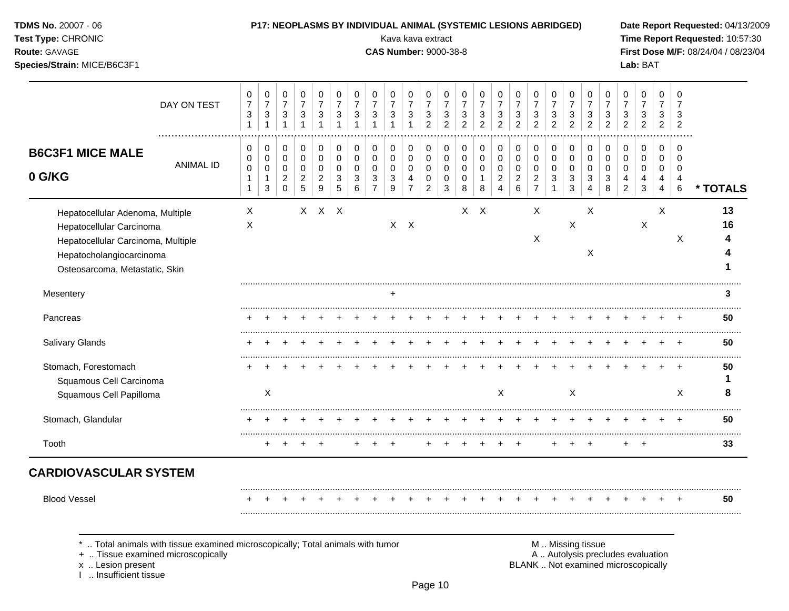## **TDMS No.** 20007 - 06 **P17: NEOPLASMS BY INDIVIDUAL ANIMAL (SYSTEMIC LESIONS ABRIDGED) Date Report Requested:** 04/13/2009

**Test Type:** CHRONIC **Transfer CHRONIC Report Requested:** 10:57:30 **Route:** GAVAGE **CAS Number:** 9000-38-8 **First Dose M/F:** 08/24/04 / 08/23/04 **Species/Strain:** MICE/B6C3F1 **Lab:** BAT

|                                                                                                                                                                  | DAY ON TEST      | $\pmb{0}$<br>$\boldsymbol{7}$<br>$\ensuremath{\mathsf{3}}$<br>$\mathbf{1}$ | $\,0\,$<br>$\boldsymbol{7}$<br>$\ensuremath{\mathsf{3}}$<br>$\mathbf{1}$ | $\,0\,$<br>$\overline{7}$<br>$\mathbf{3}$<br>$\mathbf{1}$          | 0<br>$\overline{7}$<br>3<br>$\mathbf{1}$         | 0<br>$\overline{7}$<br>$\mathbf{3}$<br>$\overline{1}$ | $\mathbf 0$<br>$\overline{7}$<br>$\sqrt{3}$ | 0<br>$\overline{7}$<br>$\mathbf{3}$                 | 0<br>$\overline{7}$<br>$\mathbf{3}$                            | 0<br>$\overline{7}$<br>$\mathbf{3}$<br>$\overline{1}$ | 0<br>$\overline{7}$<br>3<br>$\overline{1}$             | 0<br>$\overline{7}$<br>3<br>$\overline{2}$       | 0<br>$\overline{7}$<br>$\ensuremath{\mathsf{3}}$<br>$\overline{2}$ | 0<br>$\overline{7}$<br>$\sqrt{3}$<br>$\overline{2}$ | $\pmb{0}$<br>$\overline{7}$<br>$\sqrt{3}$<br>2               | $\pmb{0}$<br>$\overline{7}$<br>3<br>2                     | 0<br>$\overline{7}$<br>$\mathbf{3}$<br>$\overline{2}$       | $\mathbf 0$<br>$\overline{7}$<br>$\ensuremath{\mathsf{3}}$<br>$\overline{2}$ | $\pmb{0}$<br>$\overline{7}$<br>3<br>$\overline{2}$ | $\mathbf 0$<br>$\overline{7}$<br>$\mathbf{3}$<br>$\overline{2}$ | 0<br>$\overline{7}$<br>3<br>$\overline{2}$ | 0<br>$\overline{7}$<br>3<br>$\overline{2}$ | 0<br>$\overline{7}$<br>3<br>$\mathcal{P}$ | 0<br>$\overline{7}$<br>$\ensuremath{\mathsf{3}}$<br>$\overline{c}$ | 0<br>$\overline{7}$<br>3<br>$\overline{2}$ | 0<br>$\overline{7}$<br>3<br>2                |          |
|------------------------------------------------------------------------------------------------------------------------------------------------------------------|------------------|----------------------------------------------------------------------------|--------------------------------------------------------------------------|--------------------------------------------------------------------|--------------------------------------------------|-------------------------------------------------------|---------------------------------------------|-----------------------------------------------------|----------------------------------------------------------------|-------------------------------------------------------|--------------------------------------------------------|--------------------------------------------------|--------------------------------------------------------------------|-----------------------------------------------------|--------------------------------------------------------------|-----------------------------------------------------------|-------------------------------------------------------------|------------------------------------------------------------------------------|----------------------------------------------------|-----------------------------------------------------------------|--------------------------------------------|--------------------------------------------|-------------------------------------------|--------------------------------------------------------------------|--------------------------------------------|----------------------------------------------|----------|
| <b>B6C3F1 MICE MALE</b><br>0 G/KG                                                                                                                                | <b>ANIMAL ID</b> | 0<br>0<br>$\pmb{0}$<br>$\mathbf{1}$                                        | 0<br>$\mathbf 0$<br>$\mathbf 0$<br>$\mathbf{1}$<br>3                     | 0<br>$\mathbf 0$<br>$\mathbf 0$<br>$\boldsymbol{2}$<br>$\mathbf 0$ | 0<br>$\Omega$<br>$\Omega$<br>$\overline{2}$<br>5 | 0<br>$\mathbf 0$<br>0<br>$\overline{2}$<br>9          | 0<br>$\mathbf 0$<br>$\Omega$<br>3<br>5      | 0<br>$\mathsf 0$<br>$\Omega$<br>3<br>$6\phantom{1}$ | 0<br>$\mathbf 0$<br>$\Omega$<br>$\mathbf{3}$<br>$\overline{7}$ | 0<br>$\mathbf 0$<br>$\mathbf 0$<br>3<br>9             | 0<br>$\mathbf 0$<br>$\mathbf 0$<br>4<br>$\overline{7}$ | 0<br>$\Omega$<br>$\Omega$<br>0<br>$\overline{2}$ | 0<br>$\Omega$<br>$\Omega$<br>0<br>$\sqrt{3}$                       | 0<br>$\mathbf 0$<br>0<br>0<br>8                     | $\pmb{0}$<br>$\mathbf 0$<br>$\mathbf 0$<br>$\mathbf{1}$<br>8 | 0<br>$\mathsf 0$<br>0<br>$\overline{c}$<br>$\overline{4}$ | 0<br>$\mathsf{O}$<br>$\pmb{0}$<br>$\overline{c}$<br>$\,6\,$ | 0<br>$\mathbf 0$<br>$\mathbf 0$<br>$\overline{2}$<br>$\overline{7}$          | 0<br>$\mathbf 0$<br>$\Omega$<br>3                  | 0<br>$\Omega$<br>$\Omega$<br>3<br>3                             | 0<br>$\Omega$<br>$\Omega$<br>3<br>Δ        | 0<br>$\Omega$<br>$\Omega$<br>3<br>8        | 0<br>0<br>0<br>4<br>$\overline{c}$        | 0<br>$\mathbf 0$<br>$\mathbf 0$<br>4<br>$\mathfrak{Z}$             | 0<br>0<br>0<br>4<br>$\overline{4}$         | 0<br>$\Omega$<br>$\mathbf 0$<br>4<br>$\,6\,$ | * TOTALS |
| Hepatocellular Adenoma, Multiple<br>Hepatocellular Carcinoma<br>Hepatocellular Carcinoma, Multiple<br>Hepatocholangiocarcinoma<br>Osteosarcoma, Metastatic, Skin |                  | Χ<br>X                                                                     |                                                                          |                                                                    |                                                  | X X X                                                 |                                             |                                                     |                                                                |                                                       | $X$ $X$                                                |                                                  |                                                                    |                                                     | $X$ $X$                                                      |                                                           |                                                             | Χ<br>X                                                                       |                                                    | $\boldsymbol{\mathsf{X}}$                                       | X<br>X                                     |                                            |                                           | $\boldsymbol{\mathsf{X}}$                                          | X                                          | X                                            | 13<br>16 |
| Mesentery                                                                                                                                                        |                  |                                                                            |                                                                          |                                                                    |                                                  |                                                       |                                             |                                                     |                                                                |                                                       |                                                        |                                                  |                                                                    |                                                     |                                                              |                                                           |                                                             |                                                                              |                                                    |                                                                 |                                            |                                            |                                           |                                                                    |                                            |                                              | 3        |
| Pancreas                                                                                                                                                         |                  |                                                                            |                                                                          |                                                                    |                                                  |                                                       |                                             |                                                     |                                                                |                                                       |                                                        |                                                  |                                                                    |                                                     |                                                              |                                                           |                                                             |                                                                              |                                                    |                                                                 |                                            |                                            |                                           |                                                                    |                                            |                                              | 50       |
| <b>Salivary Glands</b>                                                                                                                                           |                  |                                                                            |                                                                          |                                                                    |                                                  |                                                       |                                             |                                                     |                                                                |                                                       |                                                        |                                                  |                                                                    |                                                     |                                                              |                                                           |                                                             |                                                                              |                                                    |                                                                 |                                            |                                            |                                           |                                                                    |                                            |                                              | 50       |
| Stomach, Forestomach<br>Squamous Cell Carcinoma<br>Squamous Cell Papilloma                                                                                       |                  |                                                                            | X                                                                        |                                                                    |                                                  |                                                       |                                             |                                                     |                                                                |                                                       |                                                        |                                                  |                                                                    |                                                     |                                                              | $\mathsf{X}$                                              |                                                             |                                                                              |                                                    | $\boldsymbol{\mathsf{X}}$                                       |                                            |                                            |                                           |                                                                    |                                            | $\times$                                     | 50<br>8  |
| Stomach, Glandular                                                                                                                                               |                  |                                                                            |                                                                          |                                                                    |                                                  |                                                       |                                             |                                                     |                                                                |                                                       |                                                        |                                                  |                                                                    |                                                     |                                                              |                                                           |                                                             |                                                                              |                                                    |                                                                 |                                            |                                            |                                           |                                                                    |                                            |                                              | 50       |
| Tooth                                                                                                                                                            |                  |                                                                            |                                                                          |                                                                    |                                                  |                                                       |                                             |                                                     |                                                                |                                                       |                                                        |                                                  |                                                                    |                                                     |                                                              |                                                           |                                                             |                                                                              |                                                    |                                                                 |                                            |                                            | $\ddot{}$                                 | $\overline{+}$                                                     |                                            |                                              | 33       |
| <b>CARDIOVASCULAR SYSTEM</b>                                                                                                                                     |                  |                                                                            |                                                                          |                                                                    |                                                  |                                                       |                                             |                                                     |                                                                |                                                       |                                                        |                                                  |                                                                    |                                                     |                                                              |                                                           |                                                             |                                                                              |                                                    |                                                                 |                                            |                                            |                                           |                                                                    |                                            |                                              |          |
| <b>Blood Vessel</b>                                                                                                                                              |                  |                                                                            |                                                                          |                                                                    |                                                  |                                                       |                                             |                                                     |                                                                |                                                       |                                                        |                                                  |                                                                    |                                                     |                                                              |                                                           |                                                             |                                                                              |                                                    |                                                                 |                                            |                                            |                                           |                                                                    |                                            | $\div$                                       | 50       |
|                                                                                                                                                                  |                  |                                                                            |                                                                          |                                                                    |                                                  |                                                       |                                             |                                                     |                                                                |                                                       |                                                        |                                                  |                                                                    |                                                     |                                                              |                                                           |                                                             |                                                                              |                                                    |                                                                 |                                            |                                            |                                           |                                                                    |                                            |                                              |          |

\* .. Total animals with tissue examined microscopically; Total animals with tumor <br>
+ .. Tissue examined microscopically<br>
+ .. Tissue examined microscopically

+ .. Tissue examined microscopically

x .. Lesion present<br>I .. Insufficient tissue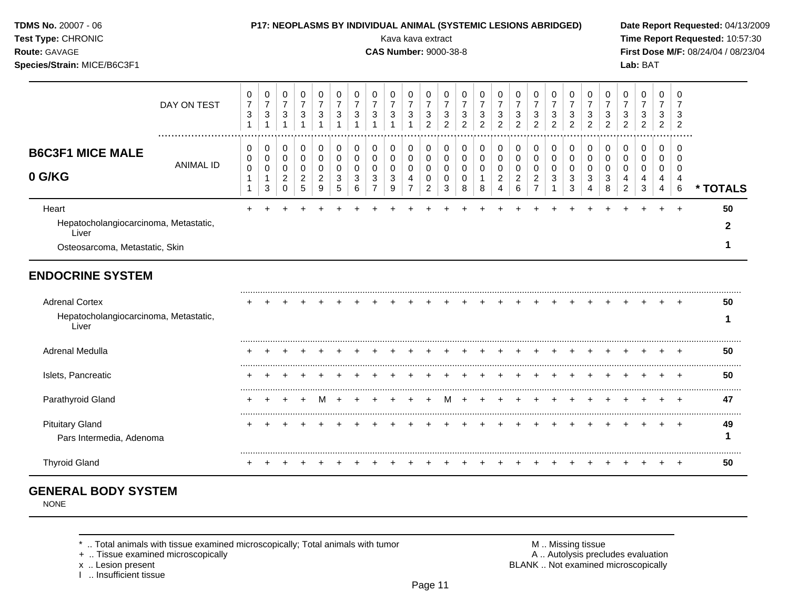**TDMS No.** 20007 - 06 **P17: NEOPLASMS BY INDIVIDUAL ANIMAL (SYSTEMIC LESIONS ABRIDGED) Date Report Requested:** 04/13/2009

**Test Type:** CHRONIC **Transfer CHRONIC Report Requested:** 10:57:30 **Route:** GAVAGE **CAS Number:** 9000-38-8 **First Dose M/F:** 08/24/04 / 08/23/04 **Species/Strain:** MICE/B6C3F1 **Lab:** BAT

|                                                                                                    | DAY ON TEST      | 0<br>$\boldsymbol{7}$ | 0<br>$\boldsymbol{7}$  | 0<br>$\overline{7}$             | 0<br>$\overline{7}$             | 0<br>$\overline{7}$ | 0<br>$\overline{7}$ | $\pmb{0}$<br>$\overline{7}$ | 0<br>$\boldsymbol{7}$    | 0<br>$\boldsymbol{7}$ | 0<br>$\boldsymbol{7}$    | 0<br>$\overline{7}$      | 0<br>$\overline{7}$ | 0<br>$\overline{7}$ | 0<br>$\overline{7}$            | 0<br>$\overline{7}$                   | 0<br>$\boldsymbol{7}$        | 0<br>$\boldsymbol{7}$                 | 0<br>$\overline{7}$ | 0<br>$\overline{7}$ | 0<br>$\overline{7}$ | 0<br>$\overline{7}$ | 0           | 0<br>$\overline{7}$ | 0<br>$\overline{7}$      | $\Omega$<br>$\overline{7}$       |          |
|----------------------------------------------------------------------------------------------------|------------------|-----------------------|------------------------|---------------------------------|---------------------------------|---------------------|---------------------|-----------------------------|--------------------------|-----------------------|--------------------------|--------------------------|---------------------|---------------------|--------------------------------|---------------------------------------|------------------------------|---------------------------------------|---------------------|---------------------|---------------------|---------------------|-------------|---------------------|--------------------------|----------------------------------|----------|
|                                                                                                    |                  | $\mathbf{3}$          | $\mathbf{3}$           | 3                               | 3                               | 3                   | 3                   | 3                           | 3                        | $\mathbf{3}$          | $\sqrt{3}$<br>1          | 3<br>$\overline{c}$      | 3<br>2              | $\mathbf{3}$<br>2   | $\mathbf{3}$<br>$\overline{2}$ | 3<br>$\overline{2}$                   | $\sqrt{3}$<br>$\overline{2}$ | 3<br>$\overline{2}$                   | 3<br>$\overline{2}$ | 3<br>$\overline{c}$ | 3<br>2              | 3<br>$\overline{2}$ | 3<br>2      | 3<br>$\overline{c}$ | 3<br>$\overline{2}$      | 3<br>$\overline{2}$              |          |
| <b>B6C3F1 MICE MALE</b>                                                                            |                  | 0<br>0                | 0<br>0                 | 0<br>0                          | 0<br>0                          | 0<br>0              | 0<br>0              | 0<br>$\mathbf 0$            | 0<br>0                   | 0<br>$\pmb{0}$        | 0<br>$\mathbf 0$         | 0<br>0                   | 0<br>0              | 0<br>0              | 0<br>0                         | 0<br>0                                | 0<br>$\mathbf 0$             | 0<br>0                                | 0<br>0              | 0<br>0              | 0<br>0              | 0<br>0              | 0<br>0      | 0<br>0              | 0<br>0                   | $\Omega$<br>$\Omega$             |          |
| 0 G/KG                                                                                             | <b>ANIMAL ID</b> | 0<br>$\mathbf 1$      | 0<br>$\mathbf{1}$<br>3 | 0<br>$\overline{c}$<br>$\Omega$ | $\Omega$<br>$\overline{2}$<br>5 | 0<br>2<br>9         | $\Omega$<br>3<br>5  | 0<br>3<br>6                 | 0<br>3<br>$\overline{7}$ | 0<br>3<br>9           | 0<br>4<br>$\overline{7}$ | 0<br>0<br>$\overline{2}$ | $\Omega$<br>0<br>3  | 0<br>0<br>8         | 0<br>8                         | 0<br>$\overline{c}$<br>$\overline{4}$ | 0<br>$\overline{c}$<br>6     | 0<br>$\overline{c}$<br>$\overline{7}$ | 0<br>3              | 0<br>3<br>3         | 0<br>3              | 0<br>3<br>8         | 0<br>4<br>2 | 0<br>4<br>3         | 0<br>4<br>$\overline{4}$ | $\Omega$<br>4<br>$6\phantom{1}6$ | * TOTALS |
| Heart                                                                                              |                  |                       |                        |                                 |                                 |                     |                     |                             |                          |                       |                          |                          |                     |                     |                                |                                       |                              |                                       |                     |                     |                     |                     |             |                     |                          |                                  | 50       |
| Hepatocholangiocarcinoma, Metastatic,<br>Liver                                                     |                  |                       |                        |                                 |                                 |                     |                     |                             |                          |                       |                          |                          |                     |                     |                                |                                       |                              |                                       |                     |                     |                     |                     |             |                     |                          |                                  |          |
| Osteosarcoma, Metastatic, Skin                                                                     |                  |                       |                        |                                 |                                 |                     |                     |                             |                          |                       |                          |                          |                     |                     |                                |                                       |                              |                                       |                     |                     |                     |                     |             |                     |                          |                                  |          |
| <b>ENDOCRINE SYSTEM</b><br><b>Adrenal Cortex</b><br>Hepatocholangiocarcinoma, Metastatic,<br>Liver |                  |                       |                        |                                 |                                 |                     |                     |                             |                          |                       |                          |                          |                     |                     |                                |                                       |                              |                                       |                     |                     |                     |                     |             |                     |                          |                                  | 50       |
| Adrenal Medulla                                                                                    |                  |                       |                        |                                 |                                 |                     |                     |                             |                          |                       |                          |                          |                     |                     |                                |                                       |                              |                                       |                     |                     |                     |                     |             |                     |                          |                                  | 50       |
| Islets, Pancreatic                                                                                 |                  |                       |                        |                                 |                                 |                     |                     |                             |                          |                       |                          |                          |                     |                     |                                |                                       |                              |                                       |                     |                     |                     |                     |             |                     |                          |                                  | 50       |
| Parathyroid Gland                                                                                  |                  |                       |                        |                                 |                                 |                     |                     |                             |                          |                       |                          |                          |                     |                     |                                |                                       |                              |                                       |                     |                     |                     |                     |             |                     |                          |                                  | 47       |
| <b>Pituitary Gland</b><br>Pars Intermedia, Adenoma                                                 |                  |                       |                        |                                 |                                 |                     |                     |                             |                          |                       |                          |                          |                     |                     |                                |                                       |                              |                                       |                     |                     |                     |                     |             |                     |                          |                                  | 49       |
| <b>Thyroid Gland</b>                                                                               |                  |                       |                        |                                 |                                 |                     |                     |                             |                          |                       |                          |                          |                     |                     |                                |                                       |                              |                                       |                     |                     |                     |                     |             |                     |                          |                                  | 50       |

# **GENERAL BODY SYSTEM**

NONE

\* .. Total animals with tissue examined microscopically; Total animals with tumor <br>
+ .. Tissue examined microscopically<br>
+ .. Tissue examined microscopically

+ .. Tissue examined microscopically

x .. Lesion present<br>I .. Insufficient tissue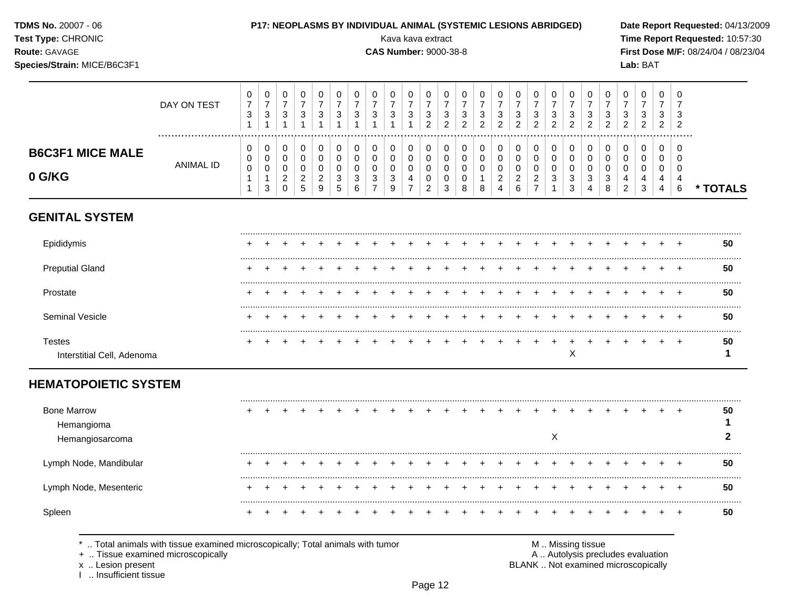| <b>TDMS No. 20007 - 06</b> |  |
|----------------------------|--|
|----------------------------|--|

# Test Type: CHRONIC

### Route: GAVAGE

Species/Strain: MICE/B6C3F1

 $\top$  $\overline{\phantom{0}}$ ⊤୮  $\overline{\phantom{a}}$  Kava kava extract

 $\top$ ┱

 $\overline{\phantom{a}}$  $\overline{\phantom{a}}$ 

### **CAS Number: 9000-38-8**

 $\overline{\phantom{a}}$ 

 $\top$ 

 $\overline{\phantom{a}}$  $\top$  $\overline{\phantom{a}}$  $\overline{\phantom{a}}$  $\overline{\phantom{0}}$ 

Date Report Requested: 04/13/2009 Time Report Requested: 10:57:30 First Dose M/F: 08/24/04 / 08/23/04 Lab: BAT

 $\overline{\phantom{a}}$ 

|                                             | DAY ON TEST                                                                  | 0<br>$\overline{7}$<br>3<br>$\mathbf{1}$   | 0<br>7<br>3<br>1                | 0<br>7<br>$\sqrt{3}$<br>$\mathbf 1$                    | 0<br>$\overline{7}$<br>$\sqrt{3}$<br>$\mathbf{1}$               | 0<br>$\overline{7}$<br>$\sqrt{3}$<br>$\mathbf{1}$ | 0<br>7<br>$\sqrt{3}$<br>$\mathbf{1}$ | 0<br>7<br>3<br>1             | 0<br>7<br>3             | 0<br>7<br>3<br>1      | 0<br>$\overline{7}$<br>3<br>$\overline{1}$ | $\Omega$<br>7<br>$\ensuremath{\mathsf{3}}$<br>$\overline{2}$ | 0<br>7<br>3<br>2      | 0<br>3<br>2           | 0<br>$\overline{7}$<br>3<br>2       | 0<br>$\overline{7}$<br>3<br>$\overline{2}$              | 0<br>$\overline{7}$<br>$\sqrt{3}$<br>$\overline{2}$       | 0<br>$\overline{7}$<br>3<br>2                             | 0<br>7<br>3<br>$\overline{2}$ | 0<br>7<br>3<br>2      | 0<br>7<br>3<br>2      | 0<br>7<br>3<br>$\overline{2}$ | 0<br>7<br>3<br>2                          | 0<br>$\overline{7}$<br>3<br>$\overline{2}$ | 0<br>7<br>3<br>$\overline{2}$                | $\mathbf 0$<br>$\overline{7}$<br>3<br>2 |          |
|---------------------------------------------|------------------------------------------------------------------------------|--------------------------------------------|---------------------------------|--------------------------------------------------------|-----------------------------------------------------------------|---------------------------------------------------|--------------------------------------|------------------------------|-------------------------|-----------------------|--------------------------------------------|--------------------------------------------------------------|-----------------------|-----------------------|-------------------------------------|---------------------------------------------------------|-----------------------------------------------------------|-----------------------------------------------------------|-------------------------------|-----------------------|-----------------------|-------------------------------|-------------------------------------------|--------------------------------------------|----------------------------------------------|-----------------------------------------|----------|
| <b>B6C3F1 MICE MALE</b><br>0 G/KG           | <b>ANIMAL ID</b>                                                             | 0<br>0<br>$\mathbf 0$<br>$\mathbf{1}$<br>1 | 0<br>0<br>$\mathbf 0$<br>1<br>3 | 0<br>0<br>$\mathbf 0$<br>$\overline{a}$<br>$\mathbf 0$ | 0<br>$\,0\,$<br>$\mathbf 0$<br>$\overline{c}$<br>$\overline{5}$ | 0<br>$\,0\,$<br>0<br>$\overline{c}$<br>9          | 0<br>0<br>$\Omega$<br>3<br>5         | 0<br>0<br>$\Omega$<br>3<br>6 | 0<br>0<br>$\Omega$<br>3 | 0<br>0<br>0<br>3<br>9 | 0<br>0<br>0<br>4<br>$\overline{7}$         | 0<br>0<br>$\mathbf 0$<br>0<br>$\overline{c}$                 | 0<br>0<br>0<br>0<br>3 | 0<br>0<br>0<br>0<br>8 | 0<br>$\Omega$<br>$\Omega$<br>1<br>8 | 0<br>$\pmb{0}$<br>0<br>$\overline{2}$<br>$\overline{4}$ | 0<br>0<br>$\mathbf 0$<br>$\overline{c}$<br>$6\phantom{1}$ | 0<br>0<br>$\mathbf 0$<br>$\overline{2}$<br>$\overline{7}$ | 0<br>0<br>$\mathbf 0$<br>3    | 0<br>0<br>0<br>3<br>3 | 0<br>0<br>0<br>3<br>4 | 0<br>0<br>$\Omega$<br>3<br>8  | 0<br>0<br>$\Omega$<br>4<br>$\overline{2}$ | 0<br>0<br>$\mathbf 0$<br>4<br>$\mathbf{3}$ | 0<br>0<br>$\mathbf 0$<br>4<br>$\overline{4}$ | 0<br>$\mathbf 0$<br>0<br>4<br>$\,6\,$   | * TOTALS |
| <b>GENITAL SYSTEM</b>                       |                                                                              |                                            |                                 |                                                        |                                                                 |                                                   |                                      |                              |                         |                       |                                            |                                                              |                       |                       |                                     |                                                         |                                                           |                                                           |                               |                       |                       |                               |                                           |                                            |                                              |                                         |          |
| Epididymis                                  |                                                                              |                                            |                                 |                                                        |                                                                 |                                                   |                                      |                              |                         |                       |                                            |                                                              |                       |                       |                                     |                                                         |                                                           |                                                           |                               |                       |                       |                               |                                           |                                            |                                              |                                         | 50       |
| <b>Preputial Gland</b>                      |                                                                              |                                            |                                 |                                                        |                                                                 |                                                   |                                      |                              |                         |                       |                                            |                                                              |                       |                       |                                     |                                                         |                                                           |                                                           |                               |                       |                       |                               |                                           |                                            |                                              |                                         | 50       |
| Prostate                                    |                                                                              |                                            |                                 |                                                        |                                                                 |                                                   |                                      |                              |                         |                       |                                            |                                                              |                       |                       |                                     |                                                         |                                                           |                                                           |                               |                       |                       |                               |                                           |                                            |                                              |                                         | 50       |
| Seminal Vesicle                             |                                                                              |                                            |                                 |                                                        |                                                                 |                                                   |                                      |                              |                         |                       |                                            |                                                              |                       |                       |                                     |                                                         |                                                           |                                                           |                               |                       |                       |                               |                                           |                                            |                                              |                                         | 50       |
| <b>Testes</b><br>Interstitial Cell, Adenoma |                                                                              |                                            |                                 |                                                        |                                                                 |                                                   |                                      |                              |                         |                       |                                            |                                                              |                       |                       |                                     |                                                         |                                                           |                                                           |                               | Χ                     |                       |                               |                                           |                                            |                                              | $\div$                                  | 50<br>1  |
| <b>HEMATOPOIETIC SYSTEM</b>                 |                                                                              |                                            |                                 |                                                        |                                                                 |                                                   |                                      |                              |                         |                       |                                            |                                                              |                       |                       |                                     |                                                         |                                                           |                                                           |                               |                       |                       |                               |                                           |                                            |                                              |                                         |          |
| <b>Bone Marrow</b><br>Hemangioma            |                                                                              |                                            |                                 |                                                        |                                                                 |                                                   |                                      |                              |                         |                       |                                            |                                                              |                       |                       |                                     |                                                         |                                                           |                                                           |                               |                       |                       |                               |                                           |                                            |                                              |                                         | 50<br>1  |
| Hemangiosarcoma                             |                                                                              |                                            |                                 |                                                        |                                                                 |                                                   |                                      |                              |                         |                       |                                            |                                                              |                       |                       |                                     |                                                         |                                                           |                                                           | $\sf X$                       |                       |                       |                               |                                           |                                            |                                              |                                         | 2        |
| Lymph Node, Mandibular                      |                                                                              |                                            |                                 |                                                        |                                                                 |                                                   |                                      |                              |                         |                       |                                            |                                                              |                       |                       |                                     |                                                         |                                                           |                                                           |                               |                       |                       |                               |                                           |                                            |                                              |                                         | 50       |
| Lymph Node, Mesenteric                      |                                                                              |                                            |                                 |                                                        |                                                                 |                                                   |                                      |                              |                         |                       |                                            |                                                              |                       |                       |                                     |                                                         |                                                           |                                                           |                               |                       |                       |                               |                                           |                                            |                                              |                                         | 50       |
| Spleen                                      |                                                                              |                                            |                                 |                                                        |                                                                 |                                                   |                                      |                              |                         |                       |                                            |                                                              |                       |                       |                                     |                                                         |                                                           |                                                           |                               |                       |                       |                               |                                           |                                            |                                              |                                         | 50       |
|                                             | Total animals with tissue examined microscopically: Total animals with tumor |                                            |                                 |                                                        |                                                                 |                                                   |                                      |                              |                         |                       |                                            |                                                              |                       |                       |                                     |                                                         |                                                           |                                                           |                               | M Missing tissue      |                       |                               |                                           |                                            |                                              |                                         |          |

+ .. Tissue examined microscopically

x .. Lesion present<br>I .. Insufficient tissue

A .. Autolysis precludes evaluation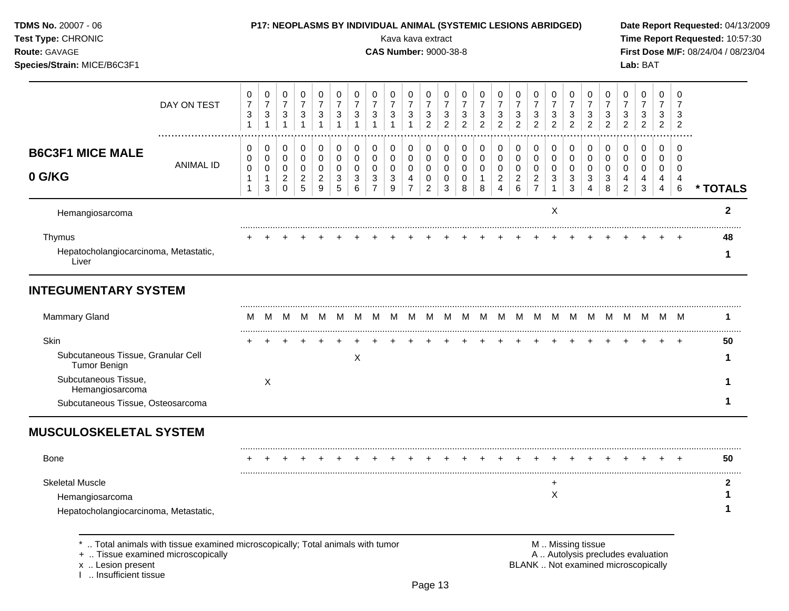| TDMS No. 20007 - 06<br>Test Type: CHRONIC<br>Route: GAVAGE<br>Species/Strain: MICE/B6C3F1 |                                                                                                                    |                                          |                                                       |                                                       |                                                     |                                                         |                                                       |                                                       |                               | Kava kava extract<br><b>CAS Number: 9000-38-8</b> |                               |                                                         |                                                     |                                            | P17: NEOPLASMS BY INDIVIDUAL ANIMAL (SYSTEMIC LESIONS ABRIDGED) |                                                       |                                              |                                              |                                            |                                                     |                                                                      |                                                       |                                            | Lab: BAT                                                                 |                                            |                          | Date Report Requested: 04/13/2009<br>Time Report Requested: 10:57:30<br>First Dose M/F: 08/24/04 / 08/23/04 |
|-------------------------------------------------------------------------------------------|--------------------------------------------------------------------------------------------------------------------|------------------------------------------|-------------------------------------------------------|-------------------------------------------------------|-----------------------------------------------------|---------------------------------------------------------|-------------------------------------------------------|-------------------------------------------------------|-------------------------------|---------------------------------------------------|-------------------------------|---------------------------------------------------------|-----------------------------------------------------|--------------------------------------------|-----------------------------------------------------------------|-------------------------------------------------------|----------------------------------------------|----------------------------------------------|--------------------------------------------|-----------------------------------------------------|----------------------------------------------------------------------|-------------------------------------------------------|--------------------------------------------|--------------------------------------------------------------------------|--------------------------------------------|--------------------------|-------------------------------------------------------------------------------------------------------------|
|                                                                                           | DAY ON TEST                                                                                                        | 0<br>$\overline{7}$<br>3<br>$\mathbf{1}$ | 0<br>$\boldsymbol{7}$<br>$\mathbf{3}$<br>$\mathbf{1}$ | 0<br>$\boldsymbol{7}$<br>$\mathbf{3}$<br>$\mathbf{1}$ | 0<br>$\overline{7}$<br>$\sqrt{3}$<br>$\overline{1}$ | 0<br>$\boldsymbol{7}$<br>$\ensuremath{\mathsf{3}}$<br>1 | 0<br>$\boldsymbol{7}$<br>$\mathbf{3}$<br>$\mathbf{1}$ | 0<br>$\boldsymbol{7}$<br>$\mathbf{3}$<br>$\mathbf{1}$ | 0<br>$\overline{7}$<br>3<br>1 | 0<br>$\boldsymbol{7}$<br>3                        | 0<br>$\overline{7}$<br>3<br>1 | 0<br>$\boldsymbol{7}$<br>$\mathbf{3}$<br>$\overline{2}$ | 0<br>$\overline{7}$<br>$\sqrt{3}$<br>$\overline{2}$ | 0<br>$\overline{7}$<br>3<br>$\overline{2}$ | 0<br>$\boldsymbol{7}$<br>3<br>$\overline{2}$                    | 0<br>$\boldsymbol{7}$<br>$\sqrt{3}$<br>$\overline{2}$ | 0<br>$\boldsymbol{7}$<br>3<br>$\overline{2}$ | 0<br>$\boldsymbol{7}$<br>3<br>$\overline{2}$ | 0<br>$\overline{7}$<br>3<br>$\overline{2}$ | 0<br>$\overline{7}$<br>$\sqrt{3}$<br>$\overline{c}$ | 0<br>$\boldsymbol{7}$<br>$\ensuremath{\mathsf{3}}$<br>$\overline{2}$ | 0<br>$\overline{7}$<br>$\mathbf{3}$<br>$\overline{2}$ | 0<br>$\overline{7}$<br>3<br>$\overline{c}$ | 0<br>$\overline{7}$<br>3<br>$\overline{c}$                               | 0<br>$\overline{7}$<br>3<br>$\overline{2}$ | 0<br>3<br>$\overline{2}$ |                                                                                                             |
| <b>B6C3F1 MICE MALE</b>                                                                   | <b>ANIMAL ID</b>                                                                                                   | 0<br>0<br>0                              | 0<br>$\mathbf 0$<br>0                                 | 0<br>$\pmb{0}$<br>$\mathbf 0$                         | 0<br>0<br>0                                         | 0<br>$\pmb{0}$<br>0                                     | 0<br>$\pmb{0}$<br>0                                   | 0<br>$\mathbf 0$<br>$\mathbf 0$                       | 0<br>0<br>0                   | 0<br>0<br>0                                       | 0<br>$\pmb{0}$<br>0           | 0<br>$\mathbf 0$<br>0                                   | 0<br>$\mathbf 0$<br>$\mathbf 0$                     | 0<br>$\mathbf 0$<br>0                      | 0<br>$\mathbf 0$<br>0                                           | 0<br>$\mathbf 0$<br>0                                 | 0<br>$\pmb{0}$<br>$\mathbf 0$                | 0<br>0<br>0                                  | 0<br>0<br>0                                | 0<br>$\pmb{0}$<br>0                                 | 0<br>$\mathbf 0$<br>0                                                | 0<br>$\mathbf 0$<br>0                                 | 0<br>0<br>0                                | 0<br>0<br>0                                                              | 0<br>0<br>0                                | 0<br>$\Omega$<br>0       |                                                                                                             |
| 0 G/KG                                                                                    |                                                                                                                    | 1<br>1                                   | $\mathbf{3}$                                          | $\boldsymbol{2}$<br>$\mathbf 0$                       | $\overline{2}$<br>$\overline{5}$                    | $\overline{c}$<br>9                                     | 3<br>5                                                | 3<br>6                                                | 3<br>$\overline{7}$           | 3<br>9                                            | 4<br>$\overline{7}$           | 0<br>$\overline{2}$                                     | 0<br>3                                              | 0<br>8                                     | $\mathbf{1}$<br>8                                               | $\overline{c}$<br>4                                   | $\overline{c}$<br>6                          | $\overline{c}$<br>$\overline{7}$             | 3<br>$\mathbf{1}$                          | 3<br>$\mathbf{3}$                                   | 3<br>$\overline{4}$                                                  | $\sqrt{3}$<br>8                                       | 4<br>$\overline{c}$                        | 4<br>3                                                                   | 4<br>$\overline{4}$                        | 6                        | * TOTALS                                                                                                    |
| Hemangiosarcoma                                                                           |                                                                                                                    |                                          |                                                       |                                                       |                                                     |                                                         |                                                       |                                                       |                               |                                                   |                               |                                                         |                                                     |                                            |                                                                 |                                                       |                                              |                                              | $\mathsf X$                                |                                                     |                                                                      |                                                       |                                            |                                                                          |                                            |                          | $\mathbf{2}$                                                                                                |
| Thymus<br>Hepatocholangiocarcinoma, Metastatic,<br>Liver                                  |                                                                                                                    |                                          |                                                       |                                                       |                                                     |                                                         |                                                       |                                                       |                               |                                                   |                               |                                                         |                                                     |                                            |                                                                 |                                                       |                                              |                                              |                                            |                                                     |                                                                      |                                                       |                                            |                                                                          |                                            |                          | 48<br>1                                                                                                     |
| <b>INTEGUMENTARY SYSTEM</b>                                                               |                                                                                                                    |                                          |                                                       |                                                       |                                                     |                                                         |                                                       |                                                       |                               |                                                   |                               |                                                         |                                                     |                                            |                                                                 |                                                       |                                              |                                              |                                            |                                                     |                                                                      |                                                       |                                            |                                                                          |                                            |                          |                                                                                                             |
| <b>Mammary Gland</b>                                                                      |                                                                                                                    | м                                        | M                                                     |                                                       |                                                     |                                                         |                                                       |                                                       |                               |                                                   |                               |                                                         |                                                     |                                            |                                                                 |                                                       |                                              |                                              |                                            |                                                     |                                                                      |                                                       |                                            |                                                                          |                                            |                          | 1                                                                                                           |
| Skin                                                                                      |                                                                                                                    |                                          |                                                       |                                                       |                                                     |                                                         |                                                       |                                                       |                               |                                                   |                               |                                                         |                                                     |                                            |                                                                 |                                                       |                                              |                                              |                                            |                                                     |                                                                      |                                                       |                                            |                                                                          |                                            | $\pm$                    | 50                                                                                                          |
| Subcutaneous Tissue, Granular Cell<br>Tumor Benign                                        |                                                                                                                    |                                          |                                                       |                                                       |                                                     |                                                         |                                                       | X                                                     |                               |                                                   |                               |                                                         |                                                     |                                            |                                                                 |                                                       |                                              |                                              |                                            |                                                     |                                                                      |                                                       |                                            |                                                                          |                                            |                          |                                                                                                             |
| Subcutaneous Tissue,<br>Hemangiosarcoma                                                   |                                                                                                                    |                                          | Χ                                                     |                                                       |                                                     |                                                         |                                                       |                                                       |                               |                                                   |                               |                                                         |                                                     |                                            |                                                                 |                                                       |                                              |                                              |                                            |                                                     |                                                                      |                                                       |                                            |                                                                          |                                            |                          |                                                                                                             |
| Subcutaneous Tissue, Osteosarcoma                                                         |                                                                                                                    |                                          |                                                       |                                                       |                                                     |                                                         |                                                       |                                                       |                               |                                                   |                               |                                                         |                                                     |                                            |                                                                 |                                                       |                                              |                                              |                                            |                                                     |                                                                      |                                                       |                                            |                                                                          |                                            |                          |                                                                                                             |
| <b>MUSCULOSKELETAL SYSTEM</b>                                                             |                                                                                                                    |                                          |                                                       |                                                       |                                                     |                                                         |                                                       |                                                       |                               |                                                   |                               |                                                         |                                                     |                                            |                                                                 |                                                       |                                              |                                              |                                            |                                                     |                                                                      |                                                       |                                            |                                                                          |                                            |                          |                                                                                                             |
| Bone                                                                                      |                                                                                                                    |                                          |                                                       |                                                       |                                                     |                                                         |                                                       |                                                       |                               |                                                   |                               |                                                         |                                                     |                                            |                                                                 |                                                       |                                              |                                              |                                            |                                                     |                                                                      |                                                       |                                            |                                                                          |                                            | $\ddot{}$                | 50                                                                                                          |
| <b>Skeletal Muscle</b>                                                                    |                                                                                                                    |                                          |                                                       |                                                       |                                                     |                                                         |                                                       |                                                       |                               |                                                   |                               |                                                         |                                                     |                                            |                                                                 |                                                       |                                              |                                              | ÷                                          |                                                     |                                                                      |                                                       |                                            |                                                                          |                                            |                          |                                                                                                             |
| Hemangiosarcoma                                                                           |                                                                                                                    |                                          |                                                       |                                                       |                                                     |                                                         |                                                       |                                                       |                               |                                                   |                               |                                                         |                                                     |                                            |                                                                 |                                                       |                                              |                                              | X                                          |                                                     |                                                                      |                                                       |                                            |                                                                          |                                            |                          |                                                                                                             |
| Hepatocholangiocarcinoma, Metastatic,                                                     |                                                                                                                    |                                          |                                                       |                                                       |                                                     |                                                         |                                                       |                                                       |                               |                                                   |                               |                                                         |                                                     |                                            |                                                                 |                                                       |                                              |                                              |                                            |                                                     |                                                                      |                                                       |                                            |                                                                          |                                            |                          | 1                                                                                                           |
| x  Lesion present<br>Insufficient tissue                                                  | Total animals with tissue examined microscopically; Total animals with tumor<br>+  Tissue examined microscopically |                                          |                                                       |                                                       |                                                     |                                                         |                                                       |                                                       |                               |                                                   |                               |                                                         |                                                     |                                            |                                                                 |                                                       |                                              |                                              |                                            |                                                     | M  Missing tissue                                                    |                                                       |                                            | A  Autolysis precludes evaluation<br>BLANK  Not examined microscopically |                                            |                          |                                                                                                             |

Page 13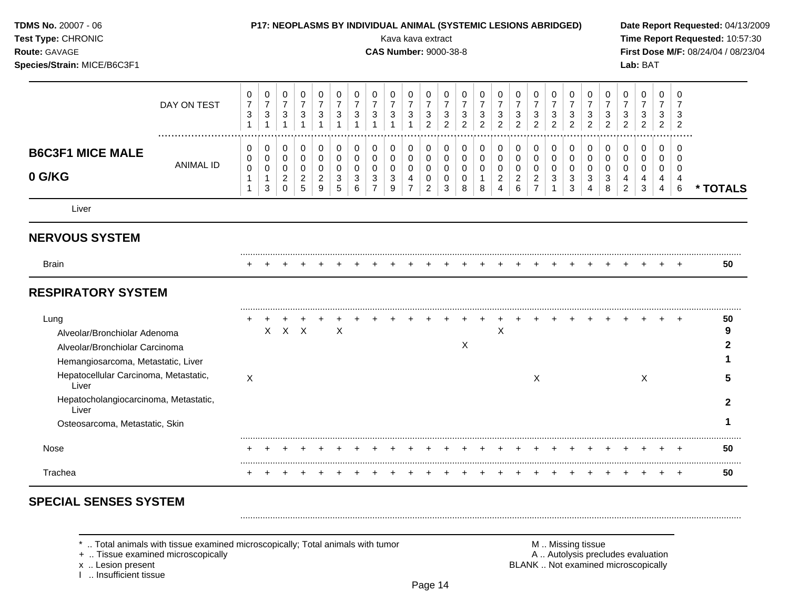| TDMS No. 20007 - 06<br>Test Type: CHRONIC<br>Route: GAVAGE<br>Species/Strain: MICE/B6C3F1                    |                  |                                                       |                                                                    |                                                                  |                                                                    |                                                             |                                                                  |                                                                   |                                                      | P17: NEOPLASMS BY INDIVIDUAL ANIMAL (SYSTEMIC LESIONS ABRIDGED)<br>Kava kava extract<br><b>CAS Number: 9000-38-8</b> |                                                                          |                                                                          |                                                       |                                                       |                                                      |                                                           |                                                      |                                                           |                                             |                                                       |                                                                         |                                                                      |                                              | Lab: BAT                                     |                                                        |                                                                  | Date Report Requested: 04/13/2009<br>Time Report Requested: 10:57:30<br>First Dose M/F: 08/24/04 / 08/23/04 |
|--------------------------------------------------------------------------------------------------------------|------------------|-------------------------------------------------------|--------------------------------------------------------------------|------------------------------------------------------------------|--------------------------------------------------------------------|-------------------------------------------------------------|------------------------------------------------------------------|-------------------------------------------------------------------|------------------------------------------------------|----------------------------------------------------------------------------------------------------------------------|--------------------------------------------------------------------------|--------------------------------------------------------------------------|-------------------------------------------------------|-------------------------------------------------------|------------------------------------------------------|-----------------------------------------------------------|------------------------------------------------------|-----------------------------------------------------------|---------------------------------------------|-------------------------------------------------------|-------------------------------------------------------------------------|----------------------------------------------------------------------|----------------------------------------------|----------------------------------------------|--------------------------------------------------------|------------------------------------------------------------------|-------------------------------------------------------------------------------------------------------------|
|                                                                                                              | DAY ON TEST      | 0<br>$\boldsymbol{7}$<br>$\mathbf{3}$<br>$\mathbf{1}$ | 0<br>$\boldsymbol{7}$<br>$\ensuremath{\mathsf{3}}$<br>$\mathbf{1}$ | $\pmb{0}$<br>$\boldsymbol{7}$<br>$\sqrt{3}$<br>$\overline{1}$    | 0<br>$\boldsymbol{7}$<br>3                                         | $\pmb{0}$<br>$\overline{7}$<br>$\sqrt{3}$<br>$\overline{1}$ | 0<br>$\boldsymbol{7}$<br>$\sqrt{3}$<br>$\mathbf{1}$              | 0<br>$\boldsymbol{7}$<br>$\sqrt{3}$<br>$\overline{1}$             | 0<br>$\overline{\mathcal{I}}$<br>3                   | 0<br>$\boldsymbol{7}$<br>3                                                                                           | 0<br>$\overline{7}$<br>$\sqrt{3}$                                        | 0<br>$\boldsymbol{7}$<br>$\mathbf{3}$<br>$\overline{2}$                  | 0<br>$\boldsymbol{7}$<br>$\sqrt{3}$<br>$\overline{2}$ | 0<br>$\overline{7}$<br>$\mathbf{3}$<br>$\overline{2}$ | 0<br>$\overline{7}$<br>$\mathsf 3$<br>$\overline{2}$ | 0<br>$\overline{7}$<br>$\mathbf{3}$<br>$\overline{c}$     | 0<br>$\overline{7}$<br>$\mathsf 3$<br>$\overline{2}$ | 0<br>$\boldsymbol{7}$<br>3<br>$\overline{2}$              | 0<br>$\overline{7}$<br>3<br>$\overline{2}$  | 0<br>$\overline{7}$<br>$\mathbf{3}$<br>$\overline{2}$ | 0<br>$\boldsymbol{7}$<br>$\mathbf{3}$<br>$\overline{2}$                 | 0<br>$\boldsymbol{7}$<br>$\ensuremath{\mathsf{3}}$<br>$\overline{2}$ | 0<br>$\overline{7}$<br>3<br>$\overline{c}$   | 0<br>$\overline{7}$<br>3<br>$\overline{c}$   | 0<br>$\overline{7}$<br>3<br>$\overline{2}$             | $\Omega$<br>7<br>3<br>$\overline{2}$                             |                                                                                                             |
| <b>B6C3F1 MICE MALE</b><br>0 G/KG                                                                            | <b>ANIMAL ID</b> | 0<br>0<br>$\pmb{0}$<br>1<br>$\mathbf{1}$              | 0<br>$\pmb{0}$<br>$\mathbf 0$<br>$\mathbf{1}$<br>$\mathbf{3}$      | 0<br>$\mathbf 0$<br>$\pmb{0}$<br>$\boldsymbol{2}$<br>$\mathbf 0$ | $\mathbf 0$<br>$\mathbf 0$<br>$\mathbf 0$<br>$\boldsymbol{2}$<br>5 | 0<br>0<br>$\pmb{0}$<br>$\boldsymbol{2}$<br>9                | 0<br>0<br>$\mathbf 0$<br>$\ensuremath{\mathsf{3}}$<br>$\sqrt{5}$ | 0<br>$\mathbf 0$<br>$\mathbf 0$<br>$\ensuremath{\mathsf{3}}$<br>6 | 0<br>$\mathbf 0$<br>$\pmb{0}$<br>3<br>$\overline{7}$ | 0<br>0<br>0<br>3<br>9                                                                                                | 0<br>$\pmb{0}$<br>$\pmb{0}$<br>$\overline{\mathbf{4}}$<br>$\overline{7}$ | 0<br>$\mathsf{O}\xspace$<br>$\mathbf 0$<br>$\mathbf 0$<br>$\overline{2}$ | 0<br>$\pmb{0}$<br>$\mathbf 0$<br>$\mathbf 0$<br>3     | 0<br>$\mathbf 0$<br>$\mathbf 0$<br>$\mathbf 0$<br>8   | 0<br>$\mathbf 0$<br>$\mathbf 0$<br>$\mathbf{1}$<br>8 | 0<br>0<br>$\mathbf 0$<br>$\overline{c}$<br>$\overline{4}$ | 0<br>$\pmb{0}$<br>$\pmb{0}$<br>$\overline{c}$<br>6   | 0<br>0<br>$\mathbf 0$<br>$\overline{c}$<br>$\overline{7}$ | 0<br>0<br>0<br>$\mathbf{3}$<br>$\mathbf{1}$ | 0<br>$\pmb{0}$<br>$\pmb{0}$<br>$\mathbf{3}$<br>3      | 0<br>$\mathbf 0$<br>$\mathsf{O}\xspace$<br>$\sqrt{3}$<br>$\overline{4}$ | 0<br>$\pmb{0}$<br>$\pmb{0}$<br>3<br>8                                | 0<br>0<br>$\mathbf 0$<br>4<br>$\overline{2}$ | 0<br>$\mathbf 0$<br>0<br>$\overline{4}$<br>3 | 0<br>$\mathbf 0$<br>$\mathbf 0$<br>4<br>$\overline{4}$ | $\Omega$<br>$\Omega$<br>$\mathbf 0$<br>$\overline{4}$<br>$\,6\,$ | * TOTALS                                                                                                    |
| Liver                                                                                                        |                  |                                                       |                                                                    |                                                                  |                                                                    |                                                             |                                                                  |                                                                   |                                                      |                                                                                                                      |                                                                          |                                                                          |                                                       |                                                       |                                                      |                                                           |                                                      |                                                           |                                             |                                                       |                                                                         |                                                                      |                                              |                                              |                                                        |                                                                  |                                                                                                             |
| <b>NERVOUS SYSTEM</b>                                                                                        |                  |                                                       |                                                                    |                                                                  |                                                                    |                                                             |                                                                  |                                                                   |                                                      |                                                                                                                      |                                                                          |                                                                          |                                                       |                                                       |                                                      |                                                           |                                                      |                                                           |                                             |                                                       |                                                                         |                                                                      |                                              |                                              |                                                        |                                                                  |                                                                                                             |
| <b>Brain</b>                                                                                                 |                  |                                                       |                                                                    |                                                                  |                                                                    |                                                             |                                                                  |                                                                   |                                                      |                                                                                                                      |                                                                          |                                                                          |                                                       |                                                       |                                                      |                                                           |                                                      |                                                           |                                             |                                                       |                                                                         |                                                                      |                                              |                                              |                                                        |                                                                  | 50                                                                                                          |
| <b>RESPIRATORY SYSTEM</b>                                                                                    |                  |                                                       |                                                                    |                                                                  |                                                                    |                                                             |                                                                  |                                                                   |                                                      |                                                                                                                      |                                                                          |                                                                          |                                                       |                                                       |                                                      |                                                           |                                                      |                                                           |                                             |                                                       |                                                                         |                                                                      |                                              |                                              |                                                        |                                                                  |                                                                                                             |
| Lung<br>Alveolar/Bronchiolar Adenoma<br>Alveolar/Bronchiolar Carcinoma<br>Hemangiosarcoma, Metastatic, Liver |                  |                                                       |                                                                    | $X$ $X$ $X$                                                      |                                                                    |                                                             | $\boldsymbol{\mathsf{X}}$                                        |                                                                   |                                                      |                                                                                                                      |                                                                          |                                                                          |                                                       | $\times$                                              |                                                      | X                                                         |                                                      |                                                           |                                             |                                                       |                                                                         |                                                                      |                                              |                                              |                                                        |                                                                  | 50<br>9<br>2                                                                                                |
| Hepatocellular Carcinoma, Metastatic,<br>Liver                                                               |                  | X                                                     |                                                                    |                                                                  |                                                                    |                                                             |                                                                  |                                                                   |                                                      |                                                                                                                      |                                                                          |                                                                          |                                                       |                                                       |                                                      |                                                           |                                                      | X                                                         |                                             |                                                       |                                                                         |                                                                      |                                              | $\boldsymbol{\mathsf{X}}$                    |                                                        |                                                                  | 5                                                                                                           |
| Hepatocholangiocarcinoma, Metastatic,<br>Liver                                                               |                  |                                                       |                                                                    |                                                                  |                                                                    |                                                             |                                                                  |                                                                   |                                                      |                                                                                                                      |                                                                          |                                                                          |                                                       |                                                       |                                                      |                                                           |                                                      |                                                           |                                             |                                                       |                                                                         |                                                                      |                                              |                                              |                                                        |                                                                  | $\mathbf{2}$                                                                                                |
| Osteosarcoma, Metastatic, Skin                                                                               |                  |                                                       |                                                                    |                                                                  |                                                                    |                                                             |                                                                  |                                                                   |                                                      |                                                                                                                      |                                                                          |                                                                          |                                                       |                                                       |                                                      |                                                           |                                                      |                                                           |                                             |                                                       |                                                                         |                                                                      |                                              |                                              |                                                        |                                                                  |                                                                                                             |
| Nose                                                                                                         |                  | ÷                                                     | +                                                                  |                                                                  | $\ddot{}$                                                          | $\ddot{}$                                                   | $^{+}$                                                           | $+$                                                               | $\pm$                                                | $\ddot{}$                                                                                                            | $^+$                                                                     | $\overline{+}$                                                           | $\pm$                                                 | $\pm$                                                 |                                                      | +                                                         | $\ddot{}$                                            | $\ddot{}$                                                 | +                                           | $\cdot$                                               | +                                                                       | $\pm$                                                                | $\ddot{}$                                    |                                              |                                                        | $\pm$                                                            | 50                                                                                                          |
| Trachea                                                                                                      |                  | $\ddot{}$                                             | $\overline{+}$                                                     | $\ddot{}$                                                        | $\ddot{}$                                                          | $\ddot{}$                                                   | $\overline{+}$                                                   | $\ddot{}$                                                         | $\ddot{}$                                            |                                                                                                                      |                                                                          |                                                                          |                                                       |                                                       |                                                      |                                                           |                                                      | $\ddot{}$                                                 |                                             | $\overline{+}$                                        | $\ddot{}$                                                               | $\ddot{}$                                                            | +                                            |                                              | $\ddot{}$                                              | $+$                                                              | 50                                                                                                          |

# **SPECIAL SENSES SYSTEM**

 $*$  .. Total animals with tissue examined microscopically; Total animals with tumor  $\blacksquare$  M .. Missing tissue

+ .. Tissue examined microscopically  $\blacksquare$  A .. Autolysis precludes evaluation

x .. Lesion present<br>I .. Insufficient tissue

M .. Missing tissue<br>A .. Autolysis precludes evaluation<br>BLANK .. Not examined microscopically

.........................................................................................................................................................................................................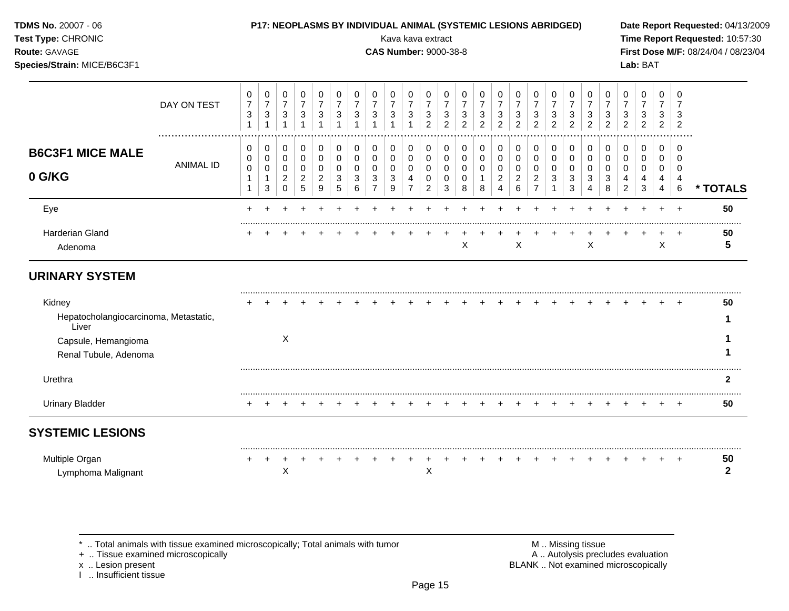# **Species/Strain:** MICE/B6C3F1 **Lab:** BAT

**TDMS No.** 20007 - 06 **P17: NEOPLASMS BY INDIVIDUAL ANIMAL (SYSTEMIC LESIONS ABRIDGED) Date Report Requested:** 04/13/2009

**Test Type:** CHRONIC **Transfer CHRONIC Report Requested:** 10:57:30 **Route:** GAVAGE **CAS Number:** 9000-38-8 **First Dose M/F:** 08/24/04 / 08/23/04

|                                                | DAY ON TEST      | 0<br>$\overline{7}$<br>$\ensuremath{\mathsf{3}}$<br>$\mathbf 1$ | 0<br>$\overline{7}$<br>$\ensuremath{\mathsf{3}}$ | 0<br>$\overline{7}$<br>$\mathbf{3}$<br>1 | 0<br>$\overline{7}$<br>3<br>1 | 0<br>$\sqrt{3}$          | 0<br>7<br>3 | 0<br>$\mathbf{3}$   | 0<br>$\overline{7}$<br>3 | 0<br>3      | 0<br>$\overline{7}$<br>$\mathbf{3}$ | 0<br>7<br>3<br>$\overline{2}$ | 0<br>$\overline{7}$<br>$\ensuremath{\mathsf{3}}$<br>2 | 0<br>$\overline{7}$<br>3<br>2 | 0<br>3<br>$\overline{2}$ | 0<br>3<br>2 | 0<br>7<br>3<br>$\overline{2}$ | 0<br>$\overline{7}$<br>3<br>$\overline{2}$ | 0<br>$\overline{7}$<br>3<br>$\overline{2}$ | 0<br>3<br>2 | 0<br>3<br>2 | 0<br>3<br>2 | 0<br>$\overline{7}$<br>3<br>$\overline{2}$ | 0<br>$\overline{7}$<br>3<br>$\overline{c}$ | 0<br>$\overline{7}$<br>3<br>$\overline{2}$ | 0<br>3<br>$\overline{2}$ |          |
|------------------------------------------------|------------------|-----------------------------------------------------------------|--------------------------------------------------|------------------------------------------|-------------------------------|--------------------------|-------------|---------------------|--------------------------|-------------|-------------------------------------|-------------------------------|-------------------------------------------------------|-------------------------------|--------------------------|-------------|-------------------------------|--------------------------------------------|--------------------------------------------|-------------|-------------|-------------|--------------------------------------------|--------------------------------------------|--------------------------------------------|--------------------------|----------|
| <b>B6C3F1 MICE MALE</b>                        |                  | 0<br>0                                                          | 0<br>0                                           | 0<br>0                                   | 0<br>0                        | 0<br>0                   | 0<br>0      | 0<br>$\overline{0}$ | 0<br>0                   | 0<br>0      | 0<br>0                              | 0<br>0                        | 0<br>0                                                | 0<br>0                        | 0<br>0                   | 0<br>0      | 0<br>0                        | 0<br>$\pmb{0}$                             | 0<br>0                                     | 0<br>0      | 0<br>0      | 0<br>0      | 0<br>0                                     | 0<br>0                                     | 0<br>0                                     | $\Omega$<br>$\Omega$     |          |
| 0 G/KG                                         | <b>ANIMAL ID</b> | 0<br>1<br>1                                                     | 0<br>1<br>3                                      | 0<br>$\overline{2}$<br>$\Omega$          | 0<br>$\overline{c}$<br>5      | 0<br>$\overline{2}$<br>9 | 0<br>3<br>5 | 3<br>6              | 0<br>3                   | 0<br>3<br>9 | 0<br>4<br>$\overline{7}$            | 0<br>0<br>2                   | 0<br>0<br>3                                           | 0<br>0<br>8                   | 0<br>8                   | 0<br>2<br>4 | 0<br>$\overline{c}$<br>6      | 0<br>$\overline{2}$<br>$\overline{7}$      | 0<br>3                                     | 0<br>3<br>3 | 0<br>3<br>4 | 0<br>3<br>8 | 0<br>4<br>2                                | 0<br>4<br>3                                | 0<br>4<br>4                                | 0<br>4<br>$\,6\,$        | * TOTALS |
| Eye                                            |                  |                                                                 |                                                  |                                          |                               |                          |             |                     |                          |             |                                     |                               |                                                       |                               |                          |             |                               |                                            |                                            |             |             |             |                                            |                                            |                                            |                          | 50       |
| <b>Harderian Gland</b><br>Adenoma              |                  |                                                                 |                                                  |                                          |                               |                          |             |                     |                          |             |                                     |                               |                                                       | X                             |                          |             | X                             |                                            |                                            |             | X           |             |                                            |                                            | X                                          | ۰                        | 50<br>5  |
| <b>URINARY SYSTEM</b>                          |                  |                                                                 |                                                  |                                          |                               |                          |             |                     |                          |             |                                     |                               |                                                       |                               |                          |             |                               |                                            |                                            |             |             |             |                                            |                                            |                                            |                          |          |
| Kidney                                         |                  |                                                                 |                                                  |                                          |                               |                          |             |                     |                          |             |                                     |                               |                                                       |                               |                          |             |                               |                                            |                                            |             |             |             |                                            |                                            |                                            | $\pm$                    | 50       |
| Hepatocholangiocarcinoma, Metastatic,<br>Liver |                  |                                                                 |                                                  |                                          |                               |                          |             |                     |                          |             |                                     |                               |                                                       |                               |                          |             |                               |                                            |                                            |             |             |             |                                            |                                            |                                            |                          |          |
| Capsule, Hemangioma                            |                  |                                                                 |                                                  | X                                        |                               |                          |             |                     |                          |             |                                     |                               |                                                       |                               |                          |             |                               |                                            |                                            |             |             |             |                                            |                                            |                                            |                          |          |
| Renal Tubule, Adenoma                          |                  |                                                                 |                                                  |                                          |                               |                          |             |                     |                          |             |                                     |                               |                                                       |                               |                          |             |                               |                                            |                                            |             |             |             |                                            |                                            |                                            |                          |          |
| Urethra                                        |                  |                                                                 |                                                  |                                          |                               |                          |             |                     |                          |             |                                     |                               |                                                       |                               |                          |             |                               |                                            |                                            |             |             |             |                                            |                                            |                                            |                          | 2        |
| <b>Urinary Bladder</b>                         |                  |                                                                 |                                                  |                                          |                               |                          |             |                     |                          |             |                                     |                               |                                                       |                               |                          |             |                               |                                            |                                            |             |             |             |                                            |                                            |                                            |                          | 50       |
| <b>SYSTEMIC LESIONS</b>                        |                  |                                                                 |                                                  |                                          |                               |                          |             |                     |                          |             |                                     |                               |                                                       |                               |                          |             |                               |                                            |                                            |             |             |             |                                            |                                            |                                            |                          |          |
| Multiple Organ                                 |                  |                                                                 |                                                  |                                          |                               |                          |             |                     |                          |             |                                     |                               |                                                       |                               |                          |             |                               |                                            |                                            |             |             |             |                                            |                                            |                                            |                          | 50       |

Lymphoma Malignant X X **2**

\* .. Total animals with tissue examined microscopically; Total animals with tumor <br>
+ .. Tissue examined microscopically<br>
+ .. Tissue examined microscopically

+ .. Tissue examined microscopically

x .. Lesion present<br>I .. Insufficient tissue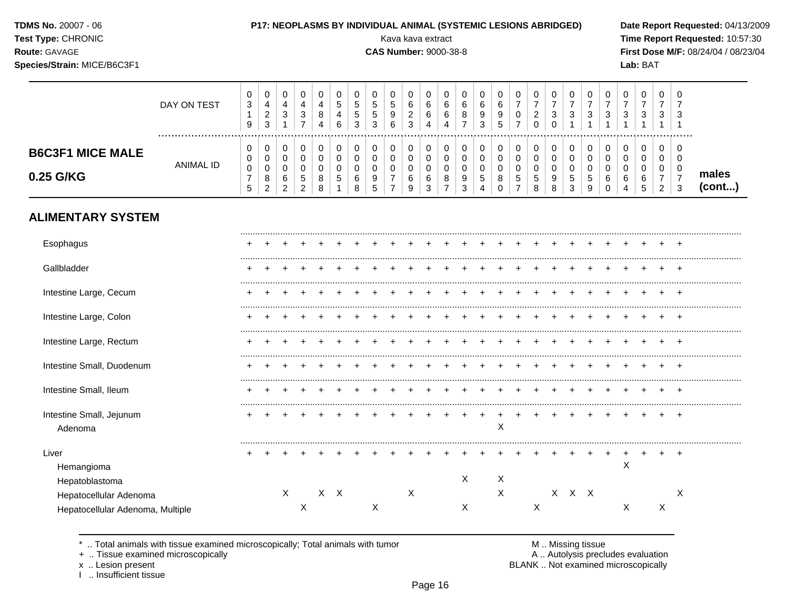| <b>TDMS No.</b> 20007 - 06 |  |
|----------------------------|--|
|----------------------------|--|

**Species/Strain:** MICE/B6C3F1 **Lab:** BAT

## **P17: NEOPLASMS BY INDIVIDUAL ANIMAL (SYSTEMIC LESIONS ABRIDGED)** Date Report Requested: 04/13/2009

**Test Type:** CHRONIC **Transfer CHRONIC Report Requested:** 10:57:30 **Route:** GAVAGE **CAS Number:** 9000-38-8 **First Dose M/F:** 08/24/04 / 08/23/04

|                                      | DAY ON TEST | U<br>3<br>9       | 0<br>4<br>ົ<br><u>_</u><br>3      | 0<br>4<br>ົ<br>ت                  | J | 4<br>$\circ$<br>4 | 6 | υ<br><sub>5</sub><br><sub>5</sub><br>3 | N<br><u>ن</u><br>3 | 0<br>∽<br>N<br>9<br>6 | 6<br>⌒<br><u>.</u><br>◠<br>ັ | U<br>6<br>6<br>4 | ◡<br>ь<br>b<br>4 | υ<br>⌒<br>6<br>8 | U<br>6<br>9<br>3 | S | 0<br>–<br>0<br>⇁                 | $\epsilon$ | ν<br>3<br>◡      | -3            | U<br>3                 | 0<br>◠<br>ັ | J<br>3      | v<br>3                      | 0<br>3                     | 0<br>ົ<br>ు |                 |
|--------------------------------------|-------------|-------------------|-----------------------------------|-----------------------------------|---|-------------------|---|----------------------------------------|--------------------|-----------------------|------------------------------|------------------|------------------|------------------|------------------|---|----------------------------------|------------|------------------|---------------|------------------------|-------------|-------------|-----------------------------|----------------------------|-------------|-----------------|
| <b>B6C3F1 MICE MALE</b><br>0.25 G/KG | ANIMAL ID   | v<br>0<br>0<br>ິບ | 0<br>0<br>0<br>8<br>ົ<br><u>_</u> | U<br>U<br>U<br>6<br>ົ<br><u>_</u> | đ | 8                 | G | 0<br>0<br>6<br>8                       | g<br>∽             | 0<br>0                | v<br>$\sim$<br>6<br>9        | C<br>6<br>າ<br>∼ | ν<br>u<br>v<br>8 | U<br>υ<br>9<br>ა | U<br>G<br>4      |   | 0<br>0<br>0<br><sub>5</sub><br>- | 5<br>8     | v<br>v<br>9<br>8 | <u>5</u><br>3 | 0<br><sub>5</sub><br>9 | 0<br>b<br>0 | C<br>u<br>6 | 0<br>υ<br>υ<br>ັບ<br>∽<br>w | 0<br>0<br>0<br>ົ<br>$\sim$ | 0<br>ົ<br>ত | males<br>(cont) |

# **ALIMENTARY SYSTEM**

| Esophagus                           |  |   |   |     |  |   |   |  |   |   |   |       |  |   |   |    |
|-------------------------------------|--|---|---|-----|--|---|---|--|---|---|---|-------|--|---|---|----|
| Gallbladder                         |  |   |   |     |  |   |   |  |   |   |   |       |  |   |   |    |
| Intestine Large, Cecum              |  |   |   |     |  |   |   |  |   |   |   |       |  |   |   |    |
| Intestine Large, Colon              |  |   |   |     |  |   |   |  |   |   |   |       |  |   |   |    |
| Intestine Large, Rectum             |  |   |   |     |  |   |   |  |   |   |   |       |  |   |   |    |
| Intestine Small, Duodenum           |  |   |   |     |  |   |   |  |   |   |   |       |  |   |   |    |
| Intestine Small, Ileum              |  |   |   |     |  |   |   |  |   |   |   |       |  |   |   | н. |
| Intestine Small, Jejunum<br>Adenoma |  |   |   |     |  |   |   |  |   | X |   |       |  |   |   |    |
| Liver<br>Hemangioma                 |  |   |   |     |  |   |   |  |   |   |   |       |  | X |   |    |
| Hepatoblastoma                      |  |   |   |     |  |   |   |  | X | Χ |   |       |  |   |   |    |
| Hepatocellular Adenoma              |  | X |   | X X |  |   | X |  |   | Χ |   | X X X |  |   |   | X  |
| Hepatocellular Adenoma, Multiple    |  |   | X |     |  | Χ |   |  | Χ |   | Х |       |  | Χ | Χ |    |

\* .. Total animals with tissue examined microscopically; Total animals with tumor **M** metally more than M .. Missing tissue<br>  $\blacksquare$  Tissue examined microscopically

+ .. Tissue examined microscopically<br>x .. Lesion present

I .. Insufficient tissue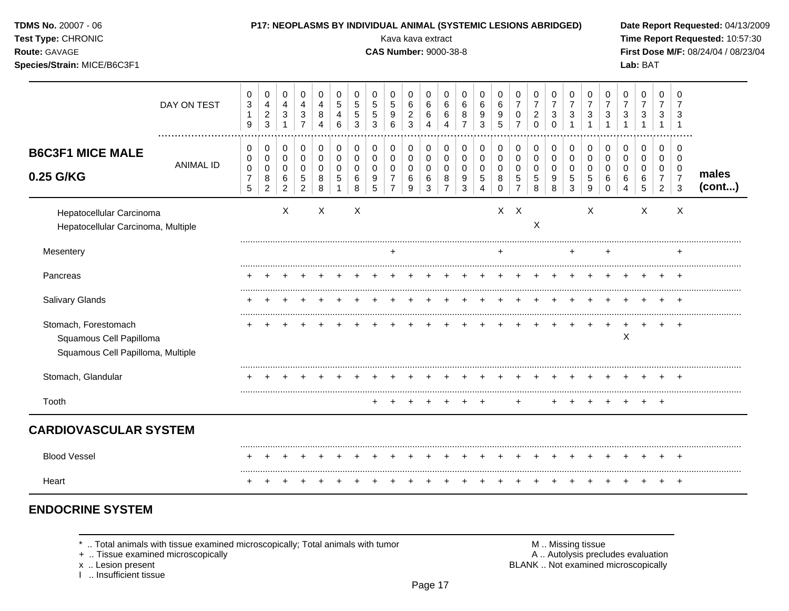| TDMS No. 20007 - 06<br>Test Type: CHRONIC<br>Route: GAVAGE<br>Species/Strain: MICE/B6C3F1 |                  |                                                                      |                                                      |                                                               |                                                                 |                                                            |                                                                         |                                                     |                                     | Kava kava extract<br><b>CAS Number: 9000-38-8</b>                |                                                     |                                     |                                                     |                                         | P17: NEOPLASMS BY INDIVIDUAL ANIMAL (SYSTEMIC LESIONS ABRIDGED)                 |                                                            |                                                        |                                                          |                                                    |                                                                         |                                                                  |                                                                              |                                                   | Lab: BAT                                         |                                                           |                                                                | Date Report Requested: 04/13/2009<br>Time Report Requested: 10:57:30<br>First Dose M/F: 08/24/04 / 08/23/04 |
|-------------------------------------------------------------------------------------------|------------------|----------------------------------------------------------------------|------------------------------------------------------|---------------------------------------------------------------|-----------------------------------------------------------------|------------------------------------------------------------|-------------------------------------------------------------------------|-----------------------------------------------------|-------------------------------------|------------------------------------------------------------------|-----------------------------------------------------|-------------------------------------|-----------------------------------------------------|-----------------------------------------|---------------------------------------------------------------------------------|------------------------------------------------------------|--------------------------------------------------------|----------------------------------------------------------|----------------------------------------------------|-------------------------------------------------------------------------|------------------------------------------------------------------|------------------------------------------------------------------------------|---------------------------------------------------|--------------------------------------------------|-----------------------------------------------------------|----------------------------------------------------------------|-------------------------------------------------------------------------------------------------------------|
|                                                                                           | DAY ON TEST      | 0<br>$\ensuremath{\mathsf{3}}$<br>$\mathbf{1}$<br>9                  | 0<br>$\overline{4}$<br>$\sqrt{2}$<br>$\mathbf{3}$    | $\mathbf 0$<br>4<br>$\ensuremath{\mathsf{3}}$<br>$\mathbf{1}$ | $\mathbf 0$<br>$\overline{a}$<br>$\sqrt{3}$<br>$\overline{7}$   | $\mathbf 0$<br>$\overline{4}$<br>$\bf 8$<br>$\overline{A}$ | 0<br>$\mathbf 5$<br>$\overline{4}$<br>6                                 | 0<br>$\sqrt{5}$<br>$5\phantom{.0}$<br>$\mathbf{3}$  | $\Omega$<br>5<br>$\,$ 5 $\,$<br>3   | $\Omega$<br>5<br>$9\,$<br>6                                      | 0<br>$\,6$<br>$\mathbf 2$<br>$\mathbf{3}$           | 0<br>$\,6\,$<br>6<br>$\overline{4}$ | 0<br>$\,6\,$<br>6<br>$\overline{4}$                 | $\mathbf 0$<br>6<br>8<br>$\overline{7}$ | $\mathbf 0$<br>6<br>$\boldsymbol{9}$<br>3                                       | $\mathbf 0$<br>6<br>9<br>5                                 | 0<br>$\overline{7}$<br>$\mathbf 0$<br>$\overline{7}$   | $\Omega$<br>$\overline{7}$<br>$\overline{2}$<br>$\Omega$ | 0<br>$\overline{7}$<br>$\mathbf{3}$<br>$\mathbf 0$ | 0<br>$\overline{7}$<br>$\mathbf{3}$                                     | 0<br>$\overline{7}$<br>$\ensuremath{\mathsf{3}}$<br>$\mathbf{1}$ | $\mathbf 0$<br>$\overline{7}$<br>$\ensuremath{\mathsf{3}}$<br>$\overline{1}$ | $\Omega$<br>$\overline{7}$<br>3<br>$\overline{1}$ | $\Omega$<br>$\overline{7}$<br>3<br>1             | $\mathbf 0$<br>7<br>3<br>$\mathbf{1}$                     | $\Omega$<br>3<br>$\overline{1}$                                |                                                                                                             |
| <b>B6C3F1 MICE MALE</b><br>0.25 G/KG                                                      | <b>ANIMAL ID</b> | $\mathbf 0$<br>0<br>$\mathbf 0$<br>$\overline{7}$<br>$5\phantom{.0}$ | 0<br>$\mathbf 0$<br>$\pmb{0}$<br>8<br>$\overline{2}$ | 0<br>$\mathbf 0$<br>$\mathbf 0$<br>6<br>$\overline{2}$        | $\mathbf 0$<br>0<br>$\mathbf 0$<br>$\sqrt{5}$<br>$\overline{2}$ | $\mathbf 0$<br>$\mathbf 0$<br>$\mathbf 0$<br>8<br>8        | $\mathbf 0$<br>$\mathbf 0$<br>$\mathbf 0$<br>$\sqrt{5}$<br>$\mathbf{1}$ | $\mathbf 0$<br>$\mathbf 0$<br>$\mathbf 0$<br>6<br>8 | 0<br>$\Omega$<br>$\Omega$<br>9<br>5 | $\mathbf 0$<br>0<br>$\Omega$<br>$\overline{7}$<br>$\overline{7}$ | $\mathbf 0$<br>$\mathbf 0$<br>$\mathbf 0$<br>6<br>9 | 0<br>0<br>$\mathbf 0$<br>6<br>3     | 0<br>$\mathbf 0$<br>$\Omega$<br>8<br>$\overline{7}$ | 0<br>$\mathbf 0$<br>$\Omega$<br>9<br>3  | $\mathbf 0$<br>$\mathbf 0$<br>$\Omega$<br>$\sqrt{5}$<br>$\overline{\mathbf{4}}$ | $\mathbf 0$<br>$\mathbf 0$<br>$\mathbf 0$<br>8<br>$\Omega$ | 0<br>$\mathbf 0$<br>$\mathbf 0$<br>5<br>$\overline{7}$ | 0<br>$\Omega$<br>$\Omega$<br>5<br>8                      | $\mathbf 0$<br>0<br>$\Omega$<br>9<br>8             | $\mathbf 0$<br>$\mathbf 0$<br>$\mathbf 0$<br>$\sqrt{5}$<br>$\mathbf{3}$ | 0<br>0<br>$\mathbf 0$<br>$\sqrt{5}$<br>9                         | $\mathbf 0$<br>$\mathbf 0$<br>$\Omega$<br>6<br>$\mathbf 0$                   | 0<br>$\mathbf 0$<br>$\Omega$<br>6<br>4            | $\mathbf 0$<br>$\mathbf 0$<br>$\Omega$<br>6<br>5 | 0<br>$\mathbf 0$<br>0<br>$\overline{7}$<br>$\overline{2}$ | $\Omega$<br>0<br>$\mathbf 0$<br>$\overline{7}$<br>$\mathbf{3}$ | males<br>(cont)                                                                                             |
| Hepatocellular Carcinoma<br>Hepatocellular Carcinoma, Multiple                            |                  |                                                                      |                                                      | X                                                             |                                                                 | $\mathsf X$                                                |                                                                         | $\boldsymbol{\mathsf{X}}$                           |                                     |                                                                  |                                                     |                                     |                                                     |                                         |                                                                                 |                                                            | $X$ $X$                                                | X                                                        |                                                    |                                                                         | X                                                                |                                                                              |                                                   | $\boldsymbol{\mathsf{X}}$                        |                                                           | X                                                              |                                                                                                             |
| Mesentery                                                                                 |                  |                                                                      |                                                      |                                                               |                                                                 |                                                            |                                                                         |                                                     |                                     | $\ddot{}$                                                        |                                                     |                                     |                                                     |                                         |                                                                                 | ÷                                                          |                                                        |                                                          |                                                    | $\ddot{}$                                                               |                                                                  | ÷                                                                            |                                                   |                                                  |                                                           |                                                                |                                                                                                             |
| Pancreas                                                                                  |                  |                                                                      |                                                      |                                                               |                                                                 |                                                            |                                                                         |                                                     |                                     |                                                                  |                                                     |                                     |                                                     |                                         |                                                                                 |                                                            |                                                        |                                                          |                                                    |                                                                         |                                                                  |                                                                              |                                                   |                                                  |                                                           |                                                                |                                                                                                             |
| Salivary Glands                                                                           |                  |                                                                      |                                                      |                                                               |                                                                 |                                                            |                                                                         |                                                     |                                     |                                                                  |                                                     |                                     |                                                     |                                         |                                                                                 |                                                            |                                                        |                                                          |                                                    |                                                                         |                                                                  |                                                                              |                                                   |                                                  |                                                           | $^+$                                                           |                                                                                                             |
| Stomach, Forestomach<br>Squamous Cell Papilloma<br>Squamous Cell Papilloma, Multiple      |                  |                                                                      |                                                      |                                                               |                                                                 |                                                            |                                                                         |                                                     |                                     |                                                                  |                                                     |                                     |                                                     |                                         |                                                                                 |                                                            |                                                        |                                                          |                                                    |                                                                         |                                                                  |                                                                              | X                                                 |                                                  |                                                           |                                                                |                                                                                                             |
| Stomach, Glandular                                                                        |                  |                                                                      |                                                      |                                                               |                                                                 |                                                            |                                                                         |                                                     |                                     |                                                                  |                                                     |                                     |                                                     |                                         |                                                                                 |                                                            |                                                        |                                                          |                                                    |                                                                         |                                                                  |                                                                              |                                                   |                                                  |                                                           |                                                                |                                                                                                             |
| Tooth                                                                                     |                  |                                                                      |                                                      |                                                               |                                                                 |                                                            |                                                                         |                                                     | ÷                                   |                                                                  |                                                     | +                                   |                                                     |                                         |                                                                                 |                                                            |                                                        |                                                          |                                                    |                                                                         |                                                                  |                                                                              |                                                   |                                                  | $^+$                                                      |                                                                |                                                                                                             |
| <b>CARDIOVASCULAR SYSTEM</b>                                                              |                  |                                                                      |                                                      |                                                               |                                                                 |                                                            |                                                                         |                                                     |                                     |                                                                  |                                                     |                                     |                                                     |                                         |                                                                                 |                                                            |                                                        |                                                          |                                                    |                                                                         |                                                                  |                                                                              |                                                   |                                                  |                                                           |                                                                |                                                                                                             |
| <b>Blood Vessel</b>                                                                       |                  |                                                                      |                                                      |                                                               |                                                                 |                                                            |                                                                         |                                                     |                                     |                                                                  |                                                     |                                     |                                                     |                                         |                                                                                 |                                                            |                                                        |                                                          |                                                    |                                                                         |                                                                  |                                                                              |                                                   |                                                  |                                                           |                                                                |                                                                                                             |
| Heart                                                                                     |                  |                                                                      |                                                      |                                                               |                                                                 |                                                            |                                                                         |                                                     |                                     |                                                                  |                                                     |                                     |                                                     |                                         |                                                                                 |                                                            |                                                        |                                                          |                                                    |                                                                         |                                                                  |                                                                              |                                                   |                                                  |                                                           | $\pm$                                                          |                                                                                                             |

# **ENDOCRINE SYSTEM**

 $*$  .. Total animals with tissue examined microscopically; Total animals with tumor  $\blacksquare$  M .. Missing tissue

+ .. Tissue examined microscopically  $\blacksquare$  A .. Autolysis precludes evaluation

x .. Lesion present<br>I .. Insufficient tissue

M .. Missing tissue<br>A .. Autolysis precludes evaluation<br>BLANK .. Not examined microscopically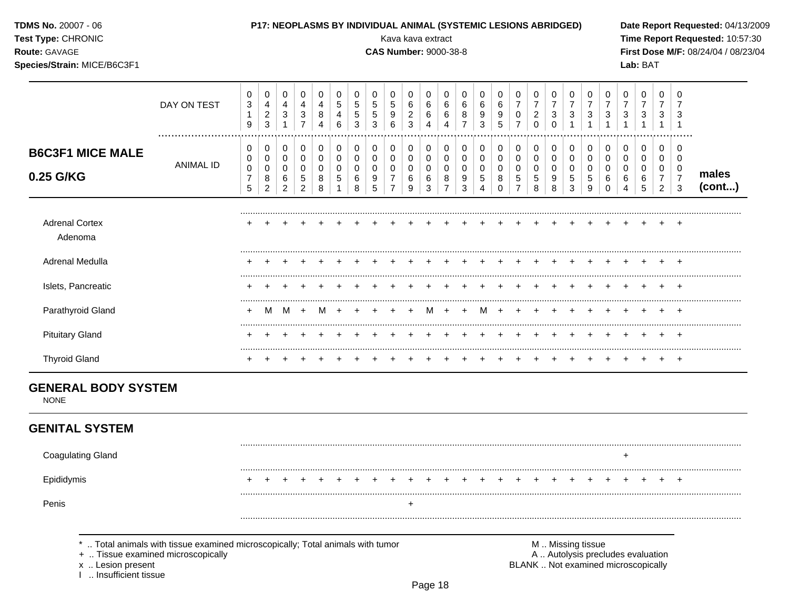| <b>TDMS No. 20007 - 06</b><br>Test Type: CHRONIC<br>Route: GAVAGE<br>Species/Strain: MICE/B6C3F1 |                                                                                                                    |                                        |                                                 |                                        |                                          |                               |                                 |                                               |                                             | Kava kava extract<br><b>CAS Number: 9000-38-8</b> |                                                |                               |                               |                               | P17: NEOPLASMS BY INDIVIDUAL ANIMAL (SYSTEMIC LESIONS ABRIDGED) |                    |                                              |                                                       |                                           |                          |                                                     |                                        |                          | Lab: BAT                                                                 |                                              |                                     | Date Report Requested: 04/13/2009<br>Time Report Requested: 10:57:30<br>First Dose M/F: 08/24/04 / 08/23/04 |
|--------------------------------------------------------------------------------------------------|--------------------------------------------------------------------------------------------------------------------|----------------------------------------|-------------------------------------------------|----------------------------------------|------------------------------------------|-------------------------------|---------------------------------|-----------------------------------------------|---------------------------------------------|---------------------------------------------------|------------------------------------------------|-------------------------------|-------------------------------|-------------------------------|-----------------------------------------------------------------|--------------------|----------------------------------------------|-------------------------------------------------------|-------------------------------------------|--------------------------|-----------------------------------------------------|----------------------------------------|--------------------------|--------------------------------------------------------------------------|----------------------------------------------|-------------------------------------|-------------------------------------------------------------------------------------------------------------|
|                                                                                                  | DAY ON TEST<br>                                                                                                    | 0<br>$\mathbf{3}$<br>$\mathbf{1}$<br>9 | 0<br>4<br>$\overline{\mathbf{c}}$<br>$\sqrt{3}$ | 0<br>4<br>$\mathbf{3}$<br>$\mathbf{1}$ | 0<br>4<br>$\mathbf{3}$<br>$\overline{7}$ | 0<br>4<br>8<br>$\overline{4}$ | 0<br>$\sqrt{5}$<br>4<br>$\,6\,$ | 0<br>$\sqrt{5}$<br>$\sqrt{5}$<br>$\mathbf{3}$ | 0<br>$\sqrt{5}$<br>$\sqrt{5}$<br>$\sqrt{3}$ | 0<br>$\sqrt{5}$<br>9<br>6                         | 0<br>$\,6\,$<br>$\overline{c}$<br>$\mathbf{3}$ | 0<br>6<br>6<br>$\overline{4}$ | 0<br>6<br>6<br>$\overline{4}$ | 0<br>6<br>8<br>$\overline{7}$ | 0<br>6<br>9<br>3                                                | 0<br>6<br>9<br>5   | 0<br>$\boldsymbol{7}$<br>0<br>$\overline{7}$ | 0<br>$\boldsymbol{7}$<br>$\overline{\mathbf{c}}$<br>0 | 0<br>$\boldsymbol{7}$<br>3<br>$\mathbf 0$ | 0<br>$\overline{7}$<br>3 | 0<br>$\overline{7}$<br>$\mathbf{3}$<br>$\mathbf{1}$ | 0<br>$\overline{7}$<br>$\sqrt{3}$<br>1 | 0<br>$\overline{7}$<br>3 | $\pmb{0}$<br>$\overline{7}$<br>$\ensuremath{\mathsf{3}}$                 | 0<br>$\boldsymbol{7}$<br>3<br>$\overline{1}$ | 0<br>$\overline{7}$<br>3<br>-1      |                                                                                                             |
| <b>B6C3F1 MICE MALE</b>                                                                          |                                                                                                                    | 0<br>0                                 | 0<br>0                                          | 0<br>$\mathbf 0$                       | 0<br>$\boldsymbol{0}$                    | $\pmb{0}$<br>$\boldsymbol{0}$ | $\pmb{0}$<br>$\pmb{0}$          | 0<br>$\mathsf{O}\xspace$                      | 0<br>$\mathbf 0$                            | 0<br>0                                            | 0<br>$\boldsymbol{0}$                          | 0<br>$\mathbf 0$              | 0<br>$\pmb{0}$                | 0<br>0                        | 0<br>$\overline{0}$                                             | 0<br>0             | 0<br>$\pmb{0}$                               | 0<br>0                                                | 0<br>0                                    | 0<br>$\pmb{0}$           | 0<br>$\pmb{0}$                                      | $\boldsymbol{0}$<br>$\pmb{0}$          | 0<br>0                   | $\pmb{0}$<br>$\mathbf 0$                                                 | 0<br>$\mathbf 0$                             | 0<br>0                              |                                                                                                             |
| 0.25 G/KG                                                                                        | <b>ANIMAL ID</b>                                                                                                   | $\pmb{0}$<br>$\overline{7}$<br>5       | 0<br>8<br>$\overline{2}$                        | $\mathbf 0$<br>6<br>$\overline{2}$     | 0<br>5<br>$\overline{2}$                 | 0<br>8<br>8                   | $\pmb{0}$<br>$\,$ 5 $\,$        | 0<br>6<br>8                                   | $\mathbf 0$<br>9<br>5                       | 0<br>$\overline{7}$                               | $\mathbf 0$<br>6<br>9                          | 0<br>6<br>$\mathfrak{Z}$      | 0<br>8<br>$\overline{7}$      | 0<br>9<br>3                   | 0<br>5<br>$\boldsymbol{\Lambda}$                                | 0<br>8<br>$\Omega$ | $\pmb{0}$<br>$\mathbf 5$<br>$\overline{7}$   | 0<br>5<br>8                                           | 0<br>9<br>8                               | 0<br>$\mathbf 5$<br>3    | $\pmb{0}$<br>$\,$ 5 $\,$<br>9                       | $\pmb{0}$<br>6<br>$\mathbf 0$          | 0<br>6<br>4              | 0<br>$\,6$<br>5                                                          | 0<br>$\overline{7}$<br>$\overline{2}$        | 0<br>$\overline{7}$<br>$\mathbf{3}$ | males<br>(cont)                                                                                             |
| <b>Adrenal Cortex</b><br>Adenoma                                                                 |                                                                                                                    |                                        |                                                 |                                        |                                          |                               |                                 |                                               |                                             |                                                   |                                                |                               |                               |                               |                                                                 |                    |                                              |                                                       |                                           |                          |                                                     |                                        |                          |                                                                          |                                              | $\pm$                               |                                                                                                             |
| Adrenal Medulla                                                                                  |                                                                                                                    |                                        |                                                 |                                        |                                          |                               |                                 |                                               |                                             |                                                   |                                                |                               |                               |                               |                                                                 |                    |                                              |                                                       |                                           |                          |                                                     |                                        |                          |                                                                          |                                              |                                     |                                                                                                             |
| Islets, Pancreatic                                                                               |                                                                                                                    |                                        |                                                 |                                        |                                          |                               |                                 |                                               |                                             |                                                   |                                                |                               |                               |                               |                                                                 |                    |                                              |                                                       |                                           |                          |                                                     |                                        |                          |                                                                          |                                              |                                     |                                                                                                             |
| Parathyroid Gland                                                                                |                                                                                                                    |                                        | M                                               | M                                      | $+$                                      | M                             |                                 |                                               |                                             |                                                   |                                                | м                             |                               |                               | м                                                               |                    |                                              |                                                       |                                           |                          |                                                     |                                        |                          |                                                                          |                                              |                                     |                                                                                                             |
| <b>Pituitary Gland</b>                                                                           |                                                                                                                    |                                        |                                                 |                                        |                                          |                               |                                 |                                               |                                             |                                                   |                                                |                               |                               |                               |                                                                 |                    |                                              |                                                       |                                           |                          |                                                     |                                        |                          |                                                                          |                                              |                                     |                                                                                                             |
| <b>Thyroid Gland</b>                                                                             |                                                                                                                    |                                        |                                                 |                                        |                                          |                               |                                 |                                               |                                             |                                                   |                                                |                               |                               |                               |                                                                 |                    |                                              |                                                       |                                           |                          |                                                     |                                        |                          |                                                                          |                                              | $\pm$                               |                                                                                                             |
| <b>GENERAL BODY SYSTEM</b><br><b>NONE</b>                                                        |                                                                                                                    |                                        |                                                 |                                        |                                          |                               |                                 |                                               |                                             |                                                   |                                                |                               |                               |                               |                                                                 |                    |                                              |                                                       |                                           |                          |                                                     |                                        |                          |                                                                          |                                              |                                     |                                                                                                             |
| <b>GENITAL SYSTEM</b>                                                                            |                                                                                                                    |                                        |                                                 |                                        |                                          |                               |                                 |                                               |                                             |                                                   |                                                |                               |                               |                               |                                                                 |                    |                                              |                                                       |                                           |                          |                                                     |                                        |                          |                                                                          |                                              |                                     |                                                                                                             |
| <b>Coagulating Gland</b>                                                                         |                                                                                                                    |                                        |                                                 |                                        |                                          |                               |                                 |                                               |                                             |                                                   |                                                |                               |                               |                               |                                                                 |                    |                                              |                                                       |                                           |                          |                                                     |                                        | $\ddot{}$                |                                                                          |                                              |                                     |                                                                                                             |
| Epididymis                                                                                       |                                                                                                                    |                                        |                                                 |                                        |                                          |                               |                                 |                                               |                                             |                                                   |                                                |                               |                               |                               |                                                                 |                    |                                              |                                                       |                                           |                          | +                                                   |                                        |                          |                                                                          | +                                            |                                     |                                                                                                             |
| Penis                                                                                            |                                                                                                                    |                                        |                                                 |                                        |                                          |                               |                                 |                                               |                                             |                                                   | ٠                                              |                               |                               |                               |                                                                 |                    |                                              |                                                       |                                           |                          |                                                     |                                        |                          |                                                                          |                                              |                                     |                                                                                                             |
| x  Lesion present<br>Insufficient tissue                                                         | Total animals with tissue examined microscopically; Total animals with tumor<br>+  Tissue examined microscopically |                                        |                                                 |                                        |                                          |                               |                                 |                                               |                                             |                                                   |                                                |                               |                               |                               |                                                                 |                    |                                              |                                                       | M  Missing tissue                         |                          |                                                     |                                        |                          | A  Autolysis precludes evaluation<br>BLANK  Not examined microscopically |                                              |                                     |                                                                                                             |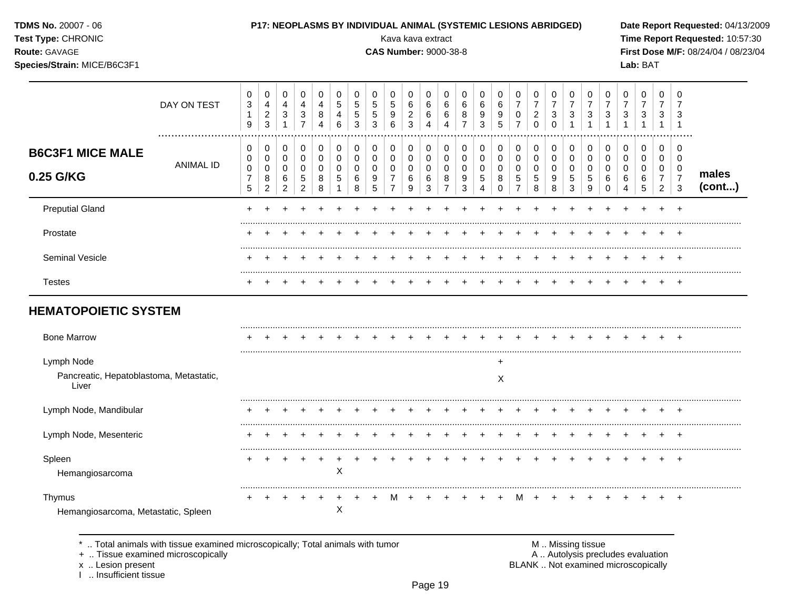TDMS No. 20007 - 06

## Test Type: CHRONIC

Route: GAVAGE

# Species/Strain: MICE/B6C3F1

### P17: NEOPLASMS BY INDIVIDUAL ANIMAL (SYSTEMIC LESIONS ABRIDGED)

Kava kava extract

**CAS Number: 9000-38-8** 

Date Report Requested: 04/13/2009 Time Report Requested: 10:57:30 First Dose M/F: 08/24/04 / 08/23/04 Lab: BAT

|                                                                | DAY ON TEST      | 0<br>$\mathbf 3$<br>$\mathbf{1}$<br>$9\,$    | 0<br>$\overline{4}$<br>$\overline{a}$<br>3 | 0<br>$\overline{4}$<br>$\sqrt{3}$<br>$\overline{1}$ | 0<br>$\overline{4}$<br>$\mathbf{3}$<br>$\overline{7}$          | 0<br>4<br>8                            | 0<br>5<br>4<br>6           | 0<br>5<br>5<br>3             | 0<br>$\,$ 5 $\,$<br>$\,$ 5 $\,$<br>3 | 0<br>$\sqrt{5}$<br>9<br>6                                 | 0<br>$\,6\,$<br>$\sqrt{2}$<br>$\mathbf{3}$ | 0<br>6<br>6<br>4                          | 0<br>$\,6$<br>6<br>4                                | 0<br>6<br>8<br>$\overline{7}$            | 0<br>6<br>9<br>3                                              | 0<br>$\,6$<br>9<br>5                              | 0<br>$\overline{7}$<br>0<br>$\overline{7}$                    | 0<br>$\boldsymbol{7}$<br>$\overline{2}$<br>$\Omega$ | 0<br>$\overline{7}$<br>$\mathbf{3}$<br>$\Omega$ | 0<br>$\overline{7}$<br>3               | 0<br>$\overline{7}$<br>3 | 0<br>$\overline{7}$<br>3                      | 0<br>$\overline{7}$<br>3                              | 0<br>$\overline{7}$<br>$\sqrt{3}$                  | 0<br>$\overline{7}$<br>3                     | 0<br>3                                                                 |                 |
|----------------------------------------------------------------|------------------|----------------------------------------------|--------------------------------------------|-----------------------------------------------------|----------------------------------------------------------------|----------------------------------------|----------------------------|------------------------------|--------------------------------------|-----------------------------------------------------------|--------------------------------------------|-------------------------------------------|-----------------------------------------------------|------------------------------------------|---------------------------------------------------------------|---------------------------------------------------|---------------------------------------------------------------|-----------------------------------------------------|-------------------------------------------------|----------------------------------------|--------------------------|-----------------------------------------------|-------------------------------------------------------|----------------------------------------------------|----------------------------------------------|------------------------------------------------------------------------|-----------------|
| <b>B6C3F1 MICE MALE</b><br>0.25 G/KG                           | <b>ANIMAL ID</b> | 0<br>0<br>$\mathbf 0$<br>$\overline{7}$<br>5 | 0<br>0<br>0<br>8<br>$\overline{2}$         | 0<br>0<br>0<br>6<br>$\overline{c}$                  | $\pmb{0}$<br>$\mathbf 0$<br>$\mathbf 0$<br>5<br>$\overline{c}$ | 0<br>$\mathbf 0$<br>$\Omega$<br>8<br>8 | 0<br>$\mathbf 0$<br>0<br>5 | 0<br>0<br>$\Omega$<br>6<br>8 | 0<br>0<br>$\Omega$<br>9<br>5         | 0<br>0<br>$\mathbf 0$<br>$\overline{7}$<br>$\overline{7}$ | 0<br>$\mathbf 0$<br>0<br>6<br>9            | 0<br>$\mathbf 0$<br>$\mathbf 0$<br>6<br>3 | 0<br>$\mathbf 0$<br>$\Omega$<br>8<br>$\overline{7}$ | 0<br>0<br>$\mathbf 0$<br>9<br>$\sqrt{3}$ | 0<br>$\pmb{0}$<br>$\mathbf 0$<br>$\sqrt{5}$<br>$\overline{4}$ | 0<br>$\pmb{0}$<br>$\mathbf 0$<br>8<br>$\mathbf 0$ | 0<br>$\pmb{0}$<br>$\mathbf 0$<br>$\sqrt{5}$<br>$\overline{7}$ | 0<br>$\mathbf 0$<br>$\mathbf 0$<br>5<br>8           | 0<br>0<br>$\mathbf 0$<br>9<br>8                 | 0<br>$\mathbf 0$<br>$\Omega$<br>5<br>3 | 0<br>0<br>0<br>5<br>9    | 0<br>$\mathbf 0$<br>$\Omega$<br>6<br>$\Omega$ | 0<br>0<br>$\mathbf 0$<br>6<br>$\overline{\mathbf{4}}$ | 0<br>$\mathbf 0$<br>$\mathbf 0$<br>6<br>$\sqrt{5}$ | 0<br>$\mathbf 0$<br>0<br>7<br>$\overline{2}$ | $\Omega$<br>$\mathbf 0$<br>$\mathbf 0$<br>$\overline{7}$<br>$\sqrt{3}$ | males<br>(cont) |
| <b>Preputial Gland</b>                                         |                  |                                              |                                            |                                                     |                                                                |                                        |                            |                              |                                      |                                                           |                                            |                                           |                                                     |                                          |                                                               |                                                   |                                                               |                                                     |                                                 |                                        |                          |                                               |                                                       |                                                    |                                              |                                                                        |                 |
| Prostate                                                       |                  |                                              |                                            |                                                     |                                                                |                                        |                            |                              |                                      |                                                           |                                            |                                           |                                                     |                                          |                                                               |                                                   |                                                               |                                                     |                                                 |                                        |                          |                                               |                                                       |                                                    |                                              |                                                                        |                 |
| Seminal Vesicle                                                |                  |                                              |                                            |                                                     |                                                                |                                        |                            |                              |                                      |                                                           |                                            |                                           |                                                     |                                          |                                                               |                                                   |                                                               |                                                     |                                                 |                                        |                          |                                               |                                                       |                                                    |                                              |                                                                        |                 |
| <b>Testes</b>                                                  |                  |                                              |                                            |                                                     |                                                                |                                        |                            |                              |                                      |                                                           |                                            |                                           |                                                     |                                          |                                                               |                                                   |                                                               |                                                     |                                                 |                                        |                          |                                               |                                                       |                                                    |                                              | $\overline{ }$                                                         |                 |
| <b>HEMATOPOIETIC SYSTEM</b>                                    |                  |                                              |                                            |                                                     |                                                                |                                        |                            |                              |                                      |                                                           |                                            |                                           |                                                     |                                          |                                                               |                                                   |                                                               |                                                     |                                                 |                                        |                          |                                               |                                                       |                                                    |                                              |                                                                        |                 |
| <b>Bone Marrow</b>                                             |                  |                                              |                                            |                                                     |                                                                |                                        |                            |                              |                                      |                                                           |                                            |                                           |                                                     |                                          |                                                               |                                                   |                                                               |                                                     |                                                 |                                        |                          |                                               |                                                       |                                                    |                                              |                                                                        |                 |
| Lymph Node<br>Pancreatic, Hepatoblastoma, Metastatic,<br>Liver |                  |                                              |                                            |                                                     |                                                                |                                        |                            |                              |                                      |                                                           |                                            |                                           |                                                     |                                          |                                                               | $\ddot{}$<br>Χ                                    |                                                               |                                                     |                                                 |                                        |                          |                                               |                                                       |                                                    |                                              |                                                                        |                 |
| Lymph Node, Mandibular                                         |                  |                                              |                                            |                                                     |                                                                |                                        |                            |                              |                                      |                                                           |                                            |                                           |                                                     |                                          |                                                               |                                                   |                                                               |                                                     |                                                 |                                        |                          |                                               |                                                       |                                                    |                                              | $\div$                                                                 |                 |
| Lymph Node, Mesenteric                                         |                  |                                              |                                            |                                                     |                                                                |                                        |                            |                              |                                      |                                                           |                                            |                                           |                                                     |                                          |                                                               |                                                   |                                                               |                                                     |                                                 |                                        |                          |                                               |                                                       |                                                    |                                              |                                                                        |                 |
| Spleen<br>Hemangiosarcoma                                      |                  |                                              |                                            |                                                     |                                                                |                                        | X                          |                              |                                      |                                                           |                                            |                                           |                                                     |                                          |                                                               |                                                   |                                                               |                                                     |                                                 |                                        |                          |                                               |                                                       |                                                    |                                              | $\pm$                                                                  |                 |

 $+$  $+$  $+$ 

 $\mathsf X$ 

 $+$ 

Thymus Hemangiosarcoma, Metastatic, Spleen

\* .. Total animals with tissue examined microscopically; Total animals with tumor

÷

 $+$  $+$ 

+ .. Tissue examined microscopically

x .. Lesion present

I .. Insufficient tissue

M .. Missing tissue A .. Autolysis precludes evaluation BLANK .. Not examined microscopically

 $+$ 

 $+$ 

 $+$  $+$ 

 $+$ 

 $+$  $+$  $+$ 

 $+$ 

 $M +$ 

 $+$  $+$  $+$  $+$ 

 $M +$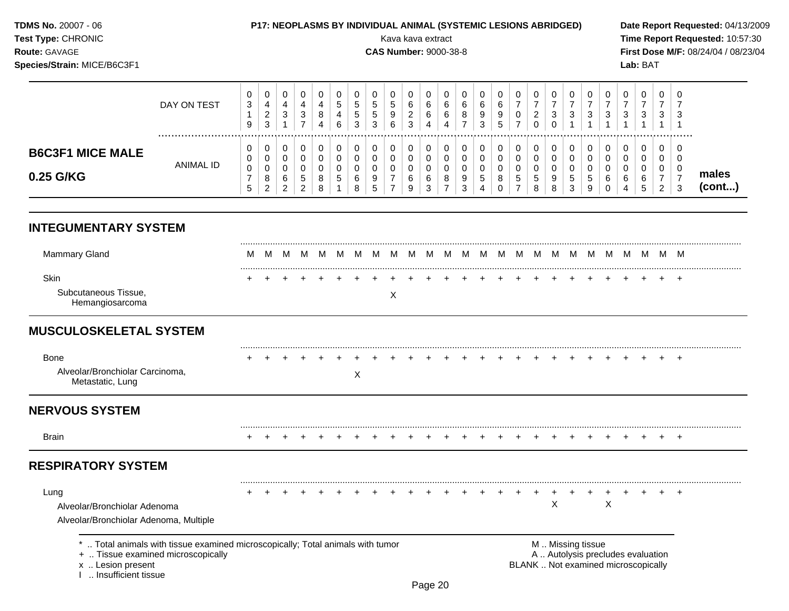**INTEGUMENTARY SYSTEM** ......................................................................................................................................................................................................... Mammary Gland M M M M M M M M M M M M M M M M M M M M M M M M M ......................................................................................................................................................................................................... Skin + + + + + + + + + + + + + + + + + + + + + + + + + Subcutaneous Tissue, Hemangiosarcoma X **MUSCULOSKELETAL SYSTEM** ......................................................................................................................................................................................................... Bone + + + + + + + + + + + + + + + + + + + + + + + + + Alveolar/Bronchiolar Carcinoma, Metastatic, Lung X **NERVOUS SYSTEM** ......................................................................................................................................................................................................... Brain + + + + + + + + + + + + + + + + + + + + + + + + + **RESPIRATORY SYSTEM** ......................................................................................................................................................................................................... Lung + + + + + + + + + + + + + + + + + + + + + + + + + Alveolar/Bronchiolar Adenoma X X Alveolar/Bronchiolar Adenoma, Multiple **TDMS No.** 20007 - 06 **P17: NEOPLASMS BY INDIVIDUAL ANIMAL (SYSTEMIC LESIONS ABRIDGED) Date Report Requested:** 04/13/2009 **Test Type:** CHRONIC Kava kava extract **Time Report Requested:** 10:57:30 **Route:** GAVAGE **CAS Number:** 9000-38-8 **First Dose M/F:** 08/24/04 / 08/23/04 **Species/Strain:** MICE/B6C3F1 **Lab:** BAT DAY ON TEST  $\Omega$  ................................................................................................................................................................. **B6C3F1 MICE MALE** ANIMAL ID **0.25 G/KG males (cont...)** \* .. Total animals with tissue examined microscopically; Total animals with tumor  $\blacksquare$  M .. Missing tissue<br>A .. Autolysis precting the microscopically A .. Autolysis precludes evaluation x .. Lesion present **BLANK** .. Not examined microscopically I .. Insufficient tissue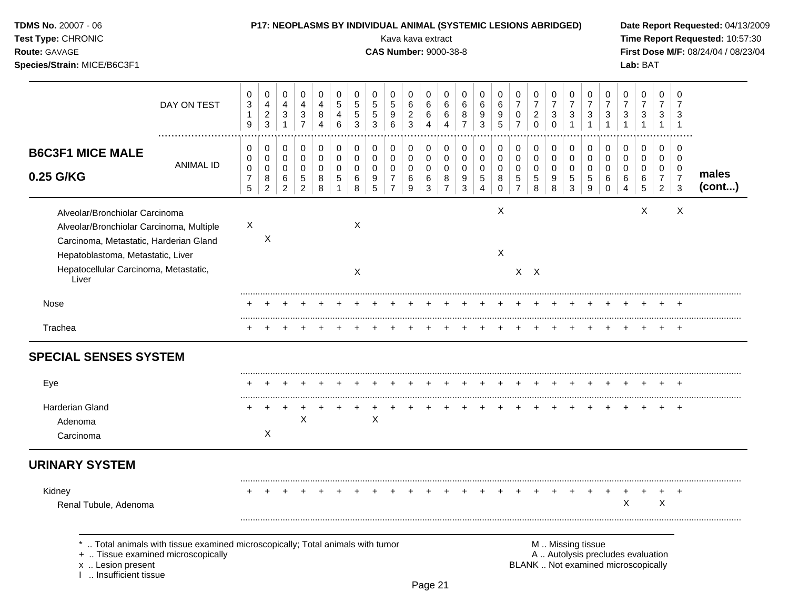| TDMS No. 20007 - 06<br>Test Type: CHRONIC<br>Route: GAVAGE<br>Species/Strain: MICE/B6C3F1                                                                                                                   |                  |                       |                                          |                                           |                                    |                       |                               |                                 |                       |                               |                               | Kava kava extract<br><b>CAS Number: 9000-38-8</b> |                                                        |                               | P17: NEOPLASMS BY INDIVIDUAL ANIMAL (SYSTEMIC LESIONS ABRIDGED) |                              |                                            |                                        |                               |                          |                                                                                               |                                        |                       | Lab: BAT              |                                                 |                                      | Date Report Requested: 04/13/2009<br>Time Report Requested: 10:57:30<br>First Dose M/F: 08/24/04 / 08/23/04 |
|-------------------------------------------------------------------------------------------------------------------------------------------------------------------------------------------------------------|------------------|-----------------------|------------------------------------------|-------------------------------------------|------------------------------------|-----------------------|-------------------------------|---------------------------------|-----------------------|-------------------------------|-------------------------------|---------------------------------------------------|--------------------------------------------------------|-------------------------------|-----------------------------------------------------------------|------------------------------|--------------------------------------------|----------------------------------------|-------------------------------|--------------------------|-----------------------------------------------------------------------------------------------|----------------------------------------|-----------------------|-----------------------|-------------------------------------------------|--------------------------------------|-------------------------------------------------------------------------------------------------------------|
| DAY ON TEST                                                                                                                                                                                                 |                  | 0<br>3<br>1<br>9      | 0<br>4<br>$\overline{a}$<br>$\mathbf{3}$ | 0<br>4<br>$\sqrt{3}$<br>$\mathbf{1}$      | 0<br>4<br>3<br>$\overline{7}$      | 0<br>4<br>8<br>4      | 0<br>5<br>$\overline{4}$<br>6 | 0<br>5<br>5<br>3                | 0<br>5<br>5<br>3      | 0<br>5<br>9<br>6              | 0<br>6<br>$\overline{c}$<br>3 | 0<br>6<br>6<br>4                                  | 0<br>6<br>6<br>4                                       | 0<br>6<br>8<br>$\overline{7}$ | 0<br>6<br>9<br>3                                                | 0<br>6<br>9<br>5             | 0<br>$\overline{7}$<br>0<br>$\overline{7}$ | 0<br>7<br>$\overline{\mathbf{c}}$<br>0 | 0<br>$\overline{7}$<br>3<br>0 | 0<br>$\overline{7}$<br>3 | 0<br>$\overline{7}$<br>$\mathbf{3}$<br>$\mathbf{1}$                                           | 0<br>$\overline{7}$<br>$\sqrt{3}$<br>1 | 0<br>7<br>3<br>1      | 0<br>7<br>3           | 0<br>$\overline{7}$<br>3<br>1                   | 0<br>3<br>$\overline{1}$             |                                                                                                             |
| <b>B6C3F1 MICE MALE</b><br>0.25 G/KG                                                                                                                                                                        | <b>ANIMAL ID</b> | 0<br>0<br>0<br>7<br>5 | 0<br>0<br>0<br>8<br>$\overline{2}$       | 0<br>$\mathbf 0$<br>$\mathbf 0$<br>6<br>2 | 0<br>0<br>0<br>5<br>$\overline{2}$ | 0<br>0<br>0<br>8<br>8 | 0<br>0<br>0<br>5<br>1         | 0<br>$\mathbf 0$<br>0<br>6<br>8 | 0<br>0<br>0<br>9<br>5 | 0<br>0<br>0<br>$\overline{7}$ | 0<br>0<br>0<br>6<br>9         | 0<br>0<br>0<br>6<br>3                             | 0<br>$\mathbf 0$<br>$\mathbf 0$<br>8<br>$\overline{7}$ | 0<br>0<br>0<br>9<br>3         | 0<br>0<br>0<br>5<br>4                                           | 0<br>0<br>0<br>8<br>$\Omega$ | 0<br>0<br>0<br>5<br>$\overline{7}$         | 0<br>0<br>0<br>5<br>8                  | 0<br>0<br>0<br>9<br>8         | 0<br>0<br>0<br>5<br>3    | 0<br>0<br>0<br>5<br>9                                                                         | 0<br>$\mathbf 0$<br>0<br>6<br>0        | 0<br>0<br>0<br>6<br>4 | 0<br>0<br>0<br>6<br>5 | 0<br>0<br>0<br>$\overline{7}$<br>$\overline{2}$ | 0<br>0<br>0<br>$\boldsymbol{7}$<br>3 | males<br>(cont)                                                                                             |
| Alveolar/Bronchiolar Carcinoma<br>Alveolar/Bronchiolar Carcinoma, Multiple<br>Carcinoma, Metastatic, Harderian Gland<br>Hepatoblastoma, Metastatic, Liver<br>Hepatocellular Carcinoma, Metastatic,<br>Liver |                  | X                     | Χ                                        |                                           |                                    |                       |                               | Χ<br>X                          |                       |                               |                               |                                                   |                                                        |                               |                                                                 | X<br>X                       |                                            | $X$ $X$                                |                               |                          |                                                                                               |                                        |                       | X                     |                                                 | X                                    |                                                                                                             |
| Nose                                                                                                                                                                                                        |                  |                       |                                          |                                           |                                    |                       |                               |                                 |                       |                               |                               |                                                   |                                                        |                               |                                                                 |                              |                                            | $\pm$                                  |                               | $\div$                   | $\pm$                                                                                         | $^+$                                   |                       |                       | $\pm$                                           | $+$                                  |                                                                                                             |
| Trachea<br><b>SPECIAL SENSES SYSTEM</b>                                                                                                                                                                     |                  |                       |                                          |                                           |                                    |                       |                               |                                 |                       |                               |                               |                                                   |                                                        |                               |                                                                 |                              |                                            |                                        |                               |                          |                                                                                               |                                        |                       |                       |                                                 | $+$                                  |                                                                                                             |
| Eye<br>Harderian Gland<br>Adenoma<br>Carcinoma                                                                                                                                                              |                  |                       | X                                        |                                           | X                                  |                       |                               |                                 | $\pmb{\times}$        |                               |                               |                                                   |                                                        |                               |                                                                 |                              |                                            |                                        |                               |                          |                                                                                               |                                        |                       |                       |                                                 | $\ddot{}$                            |                                                                                                             |
| <b>URINARY SYSTEM</b>                                                                                                                                                                                       |                  |                       |                                          |                                           |                                    |                       |                               |                                 |                       |                               |                               |                                                   |                                                        |                               |                                                                 |                              |                                            |                                        |                               |                          |                                                                                               |                                        |                       |                       |                                                 |                                      |                                                                                                             |
| Kidney<br>Renal Tubule, Adenoma                                                                                                                                                                             |                  |                       |                                          |                                           |                                    |                       |                               |                                 |                       |                               |                               |                                                   |                                                        |                               |                                                                 |                              |                                            |                                        |                               |                          |                                                                                               |                                        | х                     |                       | Χ                                               |                                      |                                                                                                             |
| Total animals with tissue examined microscopically; Total animals with tumor<br>+  Tissue examined microscopically<br>x  Lesion present<br>Insufficient tissue                                              |                  |                       |                                          |                                           |                                    |                       |                               |                                 |                       |                               |                               |                                                   |                                                        |                               |                                                                 |                              |                                            |                                        |                               |                          | M  Missing tissue<br>A  Autolysis precludes evaluation<br>BLANK  Not examined microscopically |                                        |                       |                       |                                                 |                                      |                                                                                                             |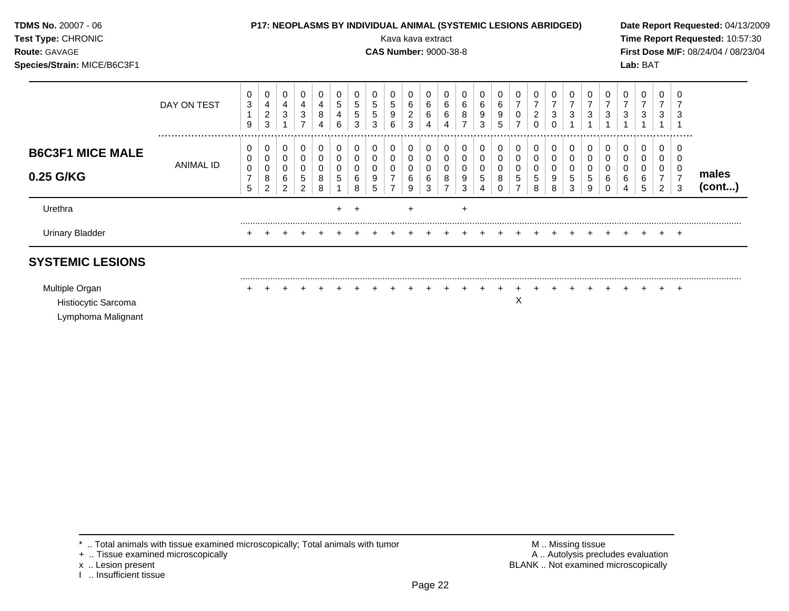| <b>TDMS No. 20007 - 06</b><br>Test Type: CHRONIC<br><b>Route: GAVAGE</b><br>Species/Strain: MICE/B6C3F1 |                  |                                              |                                            |                                              |                            |                  |                     |                       |                       |                               | Kava kava extract               |                       | P17: NEOPLASMS BY INDIVIDUAL ANIMAL (SYSTEMIC LESIONS ABRIDGED)<br><b>CAS Number: 9000-38-8</b> |                                                      |                                 |                                                 |                                                              |                                                        |                                      |                                             |                                               |                                       |                                 | Lab: BAT                                  |                                                          |    | Date Report Requested: 04/13/2009<br>Time Report Requested: 10:57:30<br>First Dose M/F: 08/24/04 / 08/23/04 |
|---------------------------------------------------------------------------------------------------------|------------------|----------------------------------------------|--------------------------------------------|----------------------------------------------|----------------------------|------------------|---------------------|-----------------------|-----------------------|-------------------------------|---------------------------------|-----------------------|-------------------------------------------------------------------------------------------------|------------------------------------------------------|---------------------------------|-------------------------------------------------|--------------------------------------------------------------|--------------------------------------------------------|--------------------------------------|---------------------------------------------|-----------------------------------------------|---------------------------------------|---------------------------------|-------------------------------------------|----------------------------------------------------------|----|-------------------------------------------------------------------------------------------------------------|
|                                                                                                         | DAY ON TEST      | 0<br>3<br>$\overline{ }$<br>9                | 0<br>4<br>$\sqrt{2}$<br>3                  | $\mathbf 0$<br>$\overline{4}$<br>3           | 4<br>3<br>$\overline{ }$   | 4<br>8<br>4      | $\overline{5}$<br>6 | 0<br>5<br>5<br>3      | 5<br>5<br>3           | 5<br>9<br>6                   | $6\over 2$<br>3                 | 0<br>6<br>$\,6$<br>4  | 0<br>6<br>6<br>4                                                                                | 0<br>$\,6\,$<br>8<br>$\overline{\phantom{a}}$        | 0<br>6<br>$\boldsymbol{9}$<br>3 | $\mathbf 0$<br>$\,6\,$<br>$\boldsymbol{9}$<br>5 | $\mathbf 0$<br>$\overline{z}$<br>$\pmb{0}$<br>$\overline{ }$ | 0<br>$\overline{7}$<br>$\boldsymbol{2}$<br>$\mathbf 0$ | 0<br>$\overline{ }$<br>3<br>$\Omega$ | 0<br>$\overline{7}$<br>3                    | 0<br>$\overline{ }$<br>3                      | 0<br>$\overline{7}$<br>$\mathbf{3}$   | 0<br>$\overline{ }$<br>3        | 0<br>$\overline{7}$<br>3                  | $\mathbf 0$<br>$\overline{ }$<br>3                       | -3 |                                                                                                             |
| <b>B6C3F1 MICE MALE</b><br>0.25 G/KG                                                                    | <b>ANIMAL ID</b> | 0<br>0<br>$\mathbf 0$<br>$\overline{ }$<br>5 | 0<br>0<br>$\pmb{0}$<br>8<br>$\overline{c}$ | 0<br>$\mathbf 0$<br>0<br>6<br>$\overline{c}$ | 0<br>$\mathbf 0$<br>5<br>2 | 0<br>0<br>8<br>8 | 0<br>0<br>5         | 0<br>0<br>0<br>6<br>8 | 0<br>0<br>0<br>9<br>5 | 0<br>0<br>0<br>$\overline{ }$ | 0<br>$\mathbf 0$<br>0<br>6<br>9 | 0<br>0<br>0<br>6<br>3 | 0<br>0<br>0<br>8<br>$\overline{ }$                                                              | 0<br>$\pmb{0}$<br>$\pmb{0}$<br>$\boldsymbol{9}$<br>3 | 0<br>$\mathbf 0$<br>0<br>5<br>4 | 0<br>$\mathbf 0$<br>$\mathbf 0$<br>8<br>0       | 0<br>$\mathsf 0$<br>$\pmb{0}$<br>5<br>⇁                      | 0<br>$\mathbf 0$<br>$\pmb{0}$<br>$\overline{5}$<br>8   | 0<br>$\pmb{0}$<br>0<br>9<br>8        | 0<br>$\pmb{0}$<br>0<br>$5\phantom{.0}$<br>3 | 0<br>$\mathbf 0$<br>0<br>$5\phantom{.0}$<br>9 | 0<br>$\pmb{0}$<br>$\pmb{0}$<br>6<br>0 | 0<br>$\mathbf 0$<br>0<br>6<br>4 | 0<br>$\mathbf 0$<br>$\mathbf 0$<br>6<br>5 | $\overline{0}$<br>$\mathbf 0$<br>0<br>$\rightarrow$<br>2 |    | males<br>(cont)                                                                                             |

# **SYSTEMIC LESIONS**

| Multiple Organ      |  |  |  |  |  |  |  |  |  |  |  |  |  |
|---------------------|--|--|--|--|--|--|--|--|--|--|--|--|--|
| Histiocytic Sarcoma |  |  |  |  |  |  |  |  |  |  |  |  |  |
| Lymphoma Malignant  |  |  |  |  |  |  |  |  |  |  |  |  |  |

Urinary Bladder + + + + + + + + + + + + + + + + + + + + + + + + +

.. Total animals with tissue examined microscopically; Total animals with tumor **M** . Missing tissue M .. Missing tissue<br>A .. Autolysis precludes evaluation .. Tissue examined microscopically

+ .. Tissue examined microscopically

I .. Insufficient tissue

x .. Lesion present **BLANK** .. Not examined microscopically

.........................................................................................................................................................................................................

.........................................................................................................................................................................................................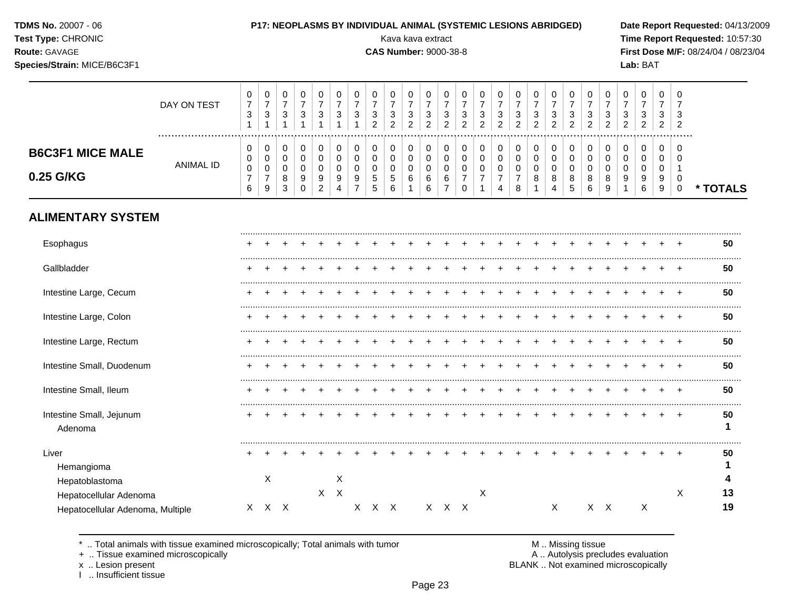| TDMS No. 20007 - 06 |  |  |
|---------------------|--|--|
|---------------------|--|--|

**Species/Strain:** MICE/B6C3F1 **Lab:** BAT

**Test Type:** CHRONIC **Transfer CHRONIC** Kava Rava extract Kava extract **Time Report Requested:** 10:57:30 **Route:** GAVAGE **CAS Number:** 9000-38-8 **First Dose M/F:** 08/24/04 / 08/23/04

|                                      | DAY ON TEST   | $\mathbf{0}$<br>3 | v<br>–<br>$\sim$<br>دت | u<br>3           | υ<br>3 | دت          | U<br>3      | 3      | 0<br>3<br>ົ                                 | 0<br>3<br>ົ           | v<br>З<br>ົ<br>∼ | చ<br>ົ<br>_ |   | ◡<br>3<br>ົ<br><u>_</u> | U<br>3<br>ົາ | 0<br>-<br>3<br>റ<br>∠ | 0<br>3<br>ົ<br><u>_</u> | 3<br>ົ<br>∠ | U<br>-3<br>ົ<br><u>.</u> | $\sim$<br>◠<br><u>_</u> | υ<br>3<br>ົ<br><u>.</u> | υ<br>3<br>ົ           | 0<br>3<br>ົ      | U<br>3<br>ົ<br><u>_</u> | U<br>3<br>2 | -0<br>G<br>ົ   |          |
|--------------------------------------|---------------|-------------------|------------------------|------------------|--------|-------------|-------------|--------|---------------------------------------------|-----------------------|------------------|-------------|---|-------------------------|--------------|-----------------------|-------------------------|-------------|--------------------------|-------------------------|-------------------------|-----------------------|------------------|-------------------------|-------------|----------------|----------|
| <b>B6C3F1 MICE MALE</b><br>0.25 G/KG | <br>ANIMAL ID | 0<br>0<br>0<br>6  | υ<br>U<br>U<br>-<br>9  | u<br>u<br>8<br>3 | 9<br>U | 9<br>$\sim$ | 0<br>9<br>4 | C<br>- | 0<br>0<br>0<br>$\mathbf{p}$<br><sub>5</sub> | 0<br>0<br>0<br>5<br>6 | U<br>U<br>6      | 6<br>6      | 6 | ν<br>u                  |              | 0<br>0<br>0<br>-<br>4 | 0<br>0<br>0<br>-<br>8   |             | 0<br>0<br>0<br>8<br>4    | 8<br>э                  | 0<br>8<br>6             | υ<br>υ<br>U<br>8<br>9 | 0<br>0<br>0<br>9 | U<br>U<br>U<br>9<br>6   | -9<br>9     | - 0<br>-0<br>0 | * TOTALS |

# **ALIMENTARY SYSTEM**

| Esophagus                                                  |   |     |  |         |   |   |     |  |       |   |  |   |  |     |   |   | 50       |
|------------------------------------------------------------|---|-----|--|---------|---|---|-----|--|-------|---|--|---|--|-----|---|---|----------|
| Gallbladder                                                |   |     |  |         |   |   |     |  |       |   |  |   |  |     |   |   | 50       |
| Intestine Large, Cecum                                     |   |     |  |         |   |   |     |  |       |   |  |   |  |     |   |   | 50       |
| Intestine Large, Colon                                     |   |     |  |         |   |   |     |  |       |   |  |   |  |     |   |   | 50       |
| Intestine Large, Rectum                                    |   |     |  |         |   |   |     |  |       |   |  |   |  |     |   |   | 50       |
| Intestine Small, Duodenum                                  |   |     |  |         |   |   |     |  |       |   |  |   |  |     |   |   | 50       |
| Intestine Small, Ileum                                     |   |     |  |         |   |   |     |  |       |   |  |   |  |     |   |   | 50       |
| Intestine Small, Jejunum<br>Adenoma                        |   |     |  |         |   |   |     |  |       |   |  |   |  |     |   |   | 50       |
| Liver<br>Hemangioma<br>Hepatoblastoma                      |   | X   |  |         | X |   |     |  |       |   |  |   |  |     |   |   | 50       |
| Hepatocellular Adenoma<br>Hepatocellular Adenoma, Multiple | X | X X |  | $X$ $X$ |   | X | X X |  | X X X | X |  | X |  | X X | X | Χ | 13<br>19 |

\* .. Total animals with tissue examined microscopically; Total animals with tumor **M** metally more than M .. Missing tissue<br>  $\blacksquare$  Tissue examined microscopically

+ .. Tissue examined microscopically

I .. Insufficient tissue

x .. Lesion present **BLANK** .. Not examined microscopically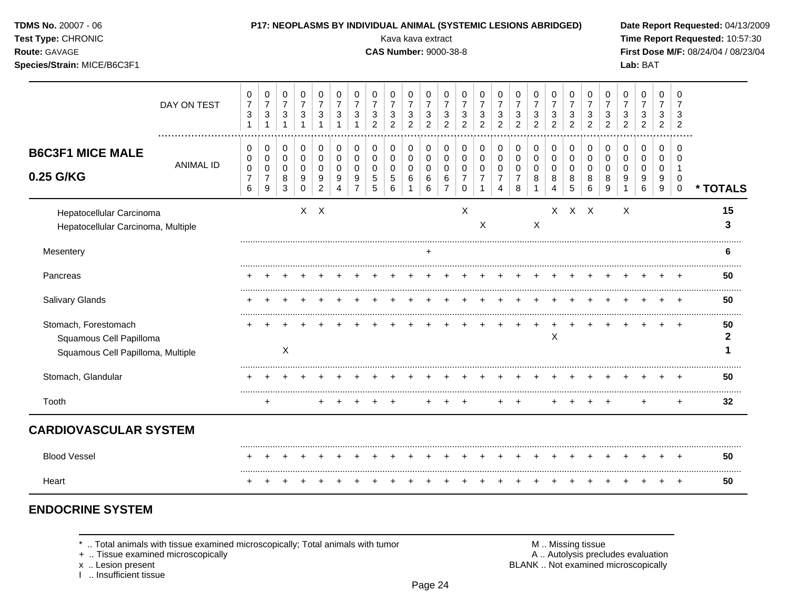| TDMS No. 20007 - 06<br>Test Type: CHRONIC<br>Route: GAVAGE<br>Species/Strain: MICE/B6C3F1 |                  |                                                        |                                                                       |                                                     |                                                               |                                                                                 |                                                                     |                                                                              |                                                   | Kava kava extract<br><b>CAS Number: 9000-38-8</b> |                                                                    |                                                     |                                                               |                                                                  | P17: NEOPLASMS BY INDIVIDUAL ANIMAL (SYSTEMIC LESIONS ABRIDGED)   |                                                        |                                                            |                                                   |                                            |                                                                 |                                                      |                                                                           |                                                   | Lab: BAT                                   |                                                   |                                                          | Date Report Requested: 04/13/2009<br>Time Report Requested: 10:57:30<br>First Dose M/F: 08/24/04 / 08/23/04 |
|-------------------------------------------------------------------------------------------|------------------|--------------------------------------------------------|-----------------------------------------------------------------------|-----------------------------------------------------|---------------------------------------------------------------|---------------------------------------------------------------------------------|---------------------------------------------------------------------|------------------------------------------------------------------------------|---------------------------------------------------|---------------------------------------------------|--------------------------------------------------------------------|-----------------------------------------------------|---------------------------------------------------------------|------------------------------------------------------------------|-------------------------------------------------------------------|--------------------------------------------------------|------------------------------------------------------------|---------------------------------------------------|--------------------------------------------|-----------------------------------------------------------------|------------------------------------------------------|---------------------------------------------------------------------------|---------------------------------------------------|--------------------------------------------|---------------------------------------------------|----------------------------------------------------------|-------------------------------------------------------------------------------------------------------------|
|                                                                                           | DAY ON TEST      | 0<br>$\overline{7}$<br>$\mathbf{3}$<br>$\mathbf{1}$    | 0<br>$\boldsymbol{7}$<br>$\sqrt{3}$<br>$\mathbf{1}$                   | 0<br>$\overline{7}$<br>$\sqrt{3}$<br>$\overline{1}$ | 0<br>$\overline{7}$<br>$\sqrt{3}$<br>$\overline{1}$           | 0<br>$\overline{7}$<br>$\ensuremath{\mathsf{3}}$<br>$\overline{1}$              | 0<br>$\boldsymbol{7}$<br>$\ensuremath{\mathsf{3}}$<br>$\mathbf{1}$  | $\mathbf 0$<br>$\overline{7}$<br>$\ensuremath{\mathsf{3}}$<br>$\overline{1}$ | $\Omega$<br>$\overline{7}$<br>3<br>$\overline{2}$ | $\Omega$<br>$\overline{7}$<br>3<br>$\overline{c}$ | 0<br>$\overline{7}$<br>$\ensuremath{\mathsf{3}}$<br>$\overline{a}$ | 0<br>$\overline{7}$<br>$\sqrt{3}$<br>$\overline{2}$ | $\mathbf 0$<br>$\overline{7}$<br>$\sqrt{3}$<br>$\overline{c}$ | 0<br>$\overline{7}$<br>$\sqrt{3}$<br>$\overline{2}$              | 0<br>$\overline{7}$<br>$\mathsf 3$<br>$\overline{2}$              | 0<br>$\overline{7}$<br>$\sqrt{3}$<br>$\overline{2}$    | $\Omega$<br>$\overline{7}$<br>$\sqrt{3}$<br>$\overline{a}$ | $\Omega$<br>$\overline{7}$<br>3<br>$\overline{2}$ | 0<br>$\overline{7}$<br>3<br>$\overline{c}$ | $\mathbf 0$<br>$\overline{7}$<br>$\mathbf{3}$<br>$\overline{2}$ | $\mathbf 0$<br>$\overline{7}$<br>3<br>$\overline{2}$ | $\Omega$<br>$\overline{7}$<br>$\ensuremath{\mathsf{3}}$<br>$\overline{2}$ | $\Omega$<br>$\overline{7}$<br>3<br>$\overline{c}$ | 0<br>$\overline{7}$<br>3<br>$\overline{c}$ | $\Omega$<br>$\overline{7}$<br>3<br>$\overline{2}$ | $\Omega$<br>3<br>$\overline{2}$                          |                                                                                                             |
| <b>B6C3F1 MICE MALE</b><br>0.25 G/KG                                                      | <b>ANIMAL ID</b> | 0<br>$\mathbf 0$<br>$\mathbf 0$<br>$\overline{7}$<br>6 | 0<br>$\mathbf 0$<br>$\mathbf 0$<br>$\overline{7}$<br>$\boldsymbol{9}$ | 0<br>$\mathbf 0$<br>$\pmb{0}$<br>$\,8\,$<br>3       | $\mathbf 0$<br>$\mathbf 0$<br>$\mathbf 0$<br>9<br>$\mathbf 0$ | $\mathbf 0$<br>$\mathbf 0$<br>$\mathbf 0$<br>$\boldsymbol{9}$<br>$\overline{c}$ | 0<br>$\pmb{0}$<br>$\mathbf 0$<br>$\boldsymbol{9}$<br>$\overline{4}$ | 0<br>$\mathbf 0$<br>$\mathbf 0$<br>9<br>$\overline{7}$                       | 0<br>$\mathbf 0$<br>$\mathbf 0$<br>5<br>5         | $\mathbf 0$<br>$\mathbf 0$<br>0<br>5<br>6         | $\mathbf 0$<br>$\pmb{0}$<br>0<br>6<br>1                            | 0<br>$\mathbf 0$<br>0<br>6<br>6                     | 0<br>$\mathbf 0$<br>$\pmb{0}$<br>$\,6\,$<br>$\overline{7}$    | 0<br>$\mathbf 0$<br>$\mathbf 0$<br>$\overline{7}$<br>$\mathbf 0$ | 0<br>$\mathbf 0$<br>$\mathbf 0$<br>$\overline{7}$<br>$\mathbf{1}$ | 0<br>$\mathbf 0$<br>$\mathbf 0$<br>$\overline{7}$<br>4 | 0<br>$\mathbf 0$<br>$\mathbf 0$<br>$\overline{7}$<br>8     | 0<br>$\Omega$<br>0<br>8<br>1                      | $\mathbf 0$<br>$\mathbf 0$<br>0<br>8<br>4  | 0<br>$\mathbf 0$<br>0<br>8<br>$\overline{5}$                    | 0<br>$\mathbf 0$<br>0<br>8<br>6                      | 0<br>$\Omega$<br>$\mathbf 0$<br>8<br>9                                    | 0<br>$\Omega$<br>$\mathbf 0$<br>9<br>1            | 0<br>$\mathbf{0}$<br>$\Omega$<br>9<br>6    | 0<br>$\Omega$<br>0<br>9<br>9                      | 0<br>$\Omega$<br>$\mathbf{1}$<br>$\Omega$<br>$\mathbf 0$ | * TOTALS                                                                                                    |
| Hepatocellular Carcinoma<br>Hepatocellular Carcinoma, Multiple                            |                  |                                                        |                                                                       |                                                     |                                                               | $X$ $X$                                                                         |                                                                     |                                                                              |                                                   |                                                   |                                                                    |                                                     |                                                               | $\times$                                                         | X                                                                 |                                                        |                                                            | X                                                 |                                            | $X$ $X$ $X$                                                     |                                                      |                                                                           | X                                                 |                                            |                                                   |                                                          | 15<br>3                                                                                                     |
| Mesentery                                                                                 |                  |                                                        |                                                                       |                                                     |                                                               |                                                                                 |                                                                     |                                                                              |                                                   |                                                   |                                                                    |                                                     |                                                               |                                                                  |                                                                   |                                                        |                                                            |                                                   |                                            |                                                                 |                                                      |                                                                           |                                                   |                                            |                                                   |                                                          | 6                                                                                                           |
| Pancreas                                                                                  |                  |                                                        |                                                                       |                                                     |                                                               |                                                                                 |                                                                     |                                                                              |                                                   |                                                   |                                                                    |                                                     |                                                               |                                                                  |                                                                   |                                                        |                                                            |                                                   |                                            |                                                                 |                                                      |                                                                           |                                                   |                                            |                                                   |                                                          | <br>50                                                                                                      |
| <b>Salivary Glands</b>                                                                    |                  |                                                        |                                                                       |                                                     |                                                               |                                                                                 |                                                                     |                                                                              |                                                   |                                                   |                                                                    |                                                     |                                                               |                                                                  |                                                                   |                                                        |                                                            |                                                   |                                            |                                                                 |                                                      |                                                                           |                                                   |                                            |                                                   |                                                          | 50                                                                                                          |
| Stomach, Forestomach<br>Squamous Cell Papilloma<br>Squamous Cell Papilloma, Multiple      |                  |                                                        |                                                                       | X                                                   |                                                               |                                                                                 |                                                                     |                                                                              |                                                   |                                                   |                                                                    |                                                     |                                                               |                                                                  |                                                                   |                                                        |                                                            |                                                   | X                                          |                                                                 |                                                      |                                                                           |                                                   |                                            |                                                   |                                                          | 50<br>$\mathbf{2}$<br>1                                                                                     |
| Stomach, Glandular                                                                        |                  |                                                        |                                                                       |                                                     |                                                               |                                                                                 |                                                                     |                                                                              |                                                   |                                                   |                                                                    |                                                     |                                                               |                                                                  |                                                                   |                                                        |                                                            |                                                   |                                            |                                                                 |                                                      |                                                                           |                                                   |                                            |                                                   |                                                          | 50                                                                                                          |
| Tooth                                                                                     |                  |                                                        | $\ddot{}$                                                             |                                                     |                                                               |                                                                                 |                                                                     |                                                                              | $\div$                                            | $\pm$                                             |                                                                    |                                                     |                                                               | $\ddot{}$                                                        |                                                                   | $\pm$                                                  | $\overline{+}$                                             |                                                   |                                            |                                                                 | $\pm$                                                | $\pm$                                                                     |                                                   | ÷                                          |                                                   | $\ddot{}$                                                | 32                                                                                                          |
| <b>CARDIOVASCULAR SYSTEM</b>                                                              |                  |                                                        |                                                                       |                                                     |                                                               |                                                                                 |                                                                     |                                                                              |                                                   |                                                   |                                                                    |                                                     |                                                               |                                                                  |                                                                   |                                                        |                                                            |                                                   |                                            |                                                                 |                                                      |                                                                           |                                                   |                                            |                                                   |                                                          |                                                                                                             |
| <b>Blood Vessel</b>                                                                       |                  |                                                        |                                                                       |                                                     |                                                               |                                                                                 |                                                                     |                                                                              |                                                   |                                                   |                                                                    |                                                     |                                                               |                                                                  |                                                                   |                                                        |                                                            |                                                   |                                            |                                                                 |                                                      |                                                                           |                                                   |                                            |                                                   |                                                          | 50                                                                                                          |
| Heart                                                                                     |                  |                                                        |                                                                       |                                                     |                                                               |                                                                                 |                                                                     |                                                                              |                                                   |                                                   |                                                                    |                                                     |                                                               |                                                                  |                                                                   |                                                        |                                                            |                                                   |                                            |                                                                 |                                                      |                                                                           |                                                   |                                            |                                                   | $\overline{+}$                                           | 50                                                                                                          |

# **ENDOCRINE SYSTEM**

 $*$  .. Total animals with tissue examined microscopically; Total animals with tumor  $\blacksquare$  M .. Missing tissue

+ .. Tissue examined microscopically  $\blacksquare$  A .. Autolysis precludes evaluation

x .. Lesion present<br>I .. Insufficient tissue

M .. Missing tissue<br>A .. Autolysis precludes evaluation<br>BLANK .. Not examined microscopically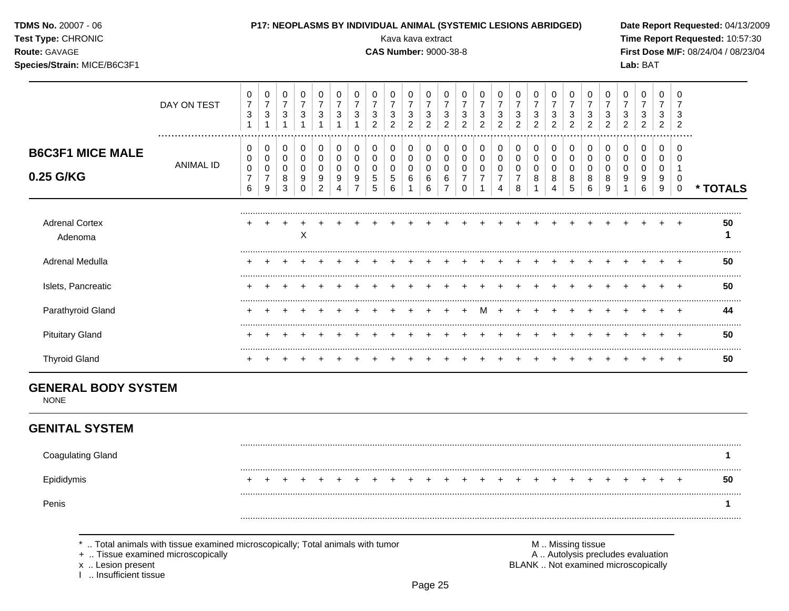| TDMS No. 20007 - 06<br>Test Type: CHRONIC<br>Route: GAVAGE<br>Species/Strain: MICE/B6C3F1 |                  |                                                        | P17: NEOPLASMS BY INDIVIDUAL ANIMAL (SYSTEMIC LESIONS ABRIDGED)     |                                                               |                                                       |                                                             |                                                                    |                                                                               |                                                                    | Kava kava extract<br><b>CAS Number: 9000-38-8</b>     |                                                               |                                                                 |                                                                        |                                                      |                                                                              |                                                                          |                                                        |                                            |                                                                    |                                                           |                                                                    |                                                                          |                                                       | Lab: BAT                                                              |                                                      |                                                       | Date Report Requested: 04/13/2009<br>Time Report Requested: 10:57:30<br>First Dose M/F: 08/24/04 / 08/23/04 |
|-------------------------------------------------------------------------------------------|------------------|--------------------------------------------------------|---------------------------------------------------------------------|---------------------------------------------------------------|-------------------------------------------------------|-------------------------------------------------------------|--------------------------------------------------------------------|-------------------------------------------------------------------------------|--------------------------------------------------------------------|-------------------------------------------------------|---------------------------------------------------------------|-----------------------------------------------------------------|------------------------------------------------------------------------|------------------------------------------------------|------------------------------------------------------------------------------|--------------------------------------------------------------------------|--------------------------------------------------------|--------------------------------------------|--------------------------------------------------------------------|-----------------------------------------------------------|--------------------------------------------------------------------|--------------------------------------------------------------------------|-------------------------------------------------------|-----------------------------------------------------------------------|------------------------------------------------------|-------------------------------------------------------|-------------------------------------------------------------------------------------------------------------|
|                                                                                           | DAY ON TEST      | $\mathbf 0$<br>$\boldsymbol{7}$<br>3<br>$\mathbf{1}$   | $\mathbf 0$<br>$\boldsymbol{7}$<br>$\mathfrak{Z}$<br>$\mathbf{1}$   | $\pmb{0}$<br>$\boldsymbol{7}$<br>$\mathbf{3}$<br>$\mathbf{1}$ | 0<br>$\boldsymbol{7}$<br>$\mathbf{3}$<br>$\mathbf{1}$ | 0<br>$\boldsymbol{7}$<br>3<br>$\overline{1}$                | 0<br>$\overline{7}$<br>$\mathfrak{S}$<br>$\mathbf{1}$              | 0<br>$\boldsymbol{7}$<br>$\mathbf{3}$<br>$\mathbf{1}$                         | 0<br>$\overline{7}$<br>$\ensuremath{\mathsf{3}}$<br>$\overline{2}$ | 0<br>$\overline{7}$<br>$\mathbf{3}$<br>$\overline{2}$ | $\mathbf 0$<br>$\overline{7}$<br>$\sqrt{3}$<br>$\overline{2}$ | $\mathbf 0$<br>$\boldsymbol{7}$<br>$\sqrt{3}$<br>$\overline{2}$ | $\mathbf 0$<br>$\overline{7}$<br>$\sqrt{3}$<br>$\overline{2}$          | 0<br>$\overline{7}$<br>3<br>$\overline{2}$           | $\mathbf 0$<br>$\overline{7}$<br>$\ensuremath{\mathsf{3}}$<br>$\overline{2}$ | 0<br>$\boldsymbol{7}$<br>$\sqrt{3}$<br>$\overline{2}$                    | 0<br>$\overline{7}$<br>3<br>$\overline{2}$             | 0<br>$\overline{7}$<br>3<br>$\overline{2}$ | 0<br>$\overline{7}$<br>$\ensuremath{\mathsf{3}}$<br>$\overline{2}$ | 0<br>$\overline{7}$<br>3<br>$\overline{2}$                | 0<br>$\overline{7}$<br>$\ensuremath{\mathsf{3}}$<br>$\overline{2}$ | 0<br>$\overline{7}$<br>$\ensuremath{\mathsf{3}}$<br>$\overline{2}$       | 0<br>$\overline{7}$<br>$\mathbf{3}$<br>$\overline{2}$ | $\mathbf 0$<br>$\overline{7}$<br>$\sqrt{3}$<br>$\overline{2}$         | $\mathbf 0$<br>$\overline{7}$<br>3<br>$\overline{2}$ | 0<br>$\overline{7}$<br>3<br>$\overline{2}$            |                                                                                                             |
| <b>B6C3F1 MICE MALE</b><br>0.25 G/KG                                                      | <b>ANIMAL ID</b> | $\mathbf 0$<br>0<br>$\pmb{0}$<br>$\boldsymbol{7}$<br>6 | 0<br>$\pmb{0}$<br>$\mathbf 0$<br>$\overline{7}$<br>$\boldsymbol{9}$ | 0<br>$\mathsf 0$<br>$\pmb{0}$<br>$\,8\,$<br>$\sqrt{3}$        | 0<br>0<br>$\mathbf 0$<br>9<br>$\Omega$                | 0<br>$\mathbf 0$<br>0<br>$\boldsymbol{9}$<br>$\overline{c}$ | 0<br>$\mathbf 0$<br>$\Omega$<br>$\boldsymbol{9}$<br>$\overline{4}$ | $\pmb{0}$<br>$\mathbf 0$<br>$\mathbf 0$<br>$\boldsymbol{9}$<br>$\overline{7}$ | 0<br>$\mathbf 0$<br>$\mathbf 0$<br>$\sqrt{5}$<br>5                 | 0<br>$\mathbf 0$<br>$\Omega$<br>5<br>$\,6\,$          | $\pmb{0}$<br>$\mathsf{O}\xspace$<br>$\pmb{0}$<br>$\,6\,$      | $\pmb{0}$<br>$\pmb{0}$<br>$\mathsf{O}\xspace$<br>$\,6\,$<br>6   | $\mathbf 0$<br>$\mathbf 0$<br>$\mathbf 0$<br>$\,6\,$<br>$\overline{7}$ | 0<br>$\mathbf 0$<br>0<br>$\overline{7}$<br>$\pmb{0}$ | 0<br>$\mathbf 0$<br>$\mathbf 0$<br>$\overline{7}$<br>1                       | 0<br>$\pmb{0}$<br>$\pmb{0}$<br>$\overline{7}$<br>$\overline{\mathbf{4}}$ | 0<br>$\mathbf 0$<br>$\mathbf 0$<br>$\overline{7}$<br>8 | 0<br>0<br>$\Omega$<br>8                    | 0<br>$\mathbf 0$<br>$\mathbf 0$<br>8<br>$\overline{4}$             | 0<br>$\mathbf 0$<br>$\Omega$<br>$\bf 8$<br>$\overline{5}$ | 0<br>$\mathsf 0$<br>$\pmb{0}$<br>$\bf 8$<br>$\,6$                  | $\mathbf 0$<br>$\mathbf 0$<br>$\mathbf 0$<br>$\bf 8$<br>$\boldsymbol{9}$ | 0<br>$\mathbf 0$<br>$\Omega$<br>9                     | $\mathbf 0$<br>$\mathbf 0$<br>$\Omega$<br>$\boldsymbol{9}$<br>$\,6\,$ | 0<br>$\mathbf 0$<br>$\Omega$<br>9<br>9               | $\Omega$<br>$\Omega$<br>$\mathbf 1$<br>0<br>$\pmb{0}$ | * TOTALS                                                                                                    |
| <b>Adrenal Cortex</b><br>Adenoma                                                          |                  |                                                        |                                                                     | $\ddot{}$                                                     | $\mathsf X$                                           |                                                             |                                                                    |                                                                               |                                                                    |                                                       |                                                               |                                                                 |                                                                        |                                                      |                                                                              |                                                                          |                                                        |                                            |                                                                    |                                                           |                                                                    |                                                                          |                                                       |                                                                       |                                                      |                                                       | 50<br>1                                                                                                     |
| Adrenal Medulla                                                                           |                  |                                                        |                                                                     |                                                               |                                                       |                                                             |                                                                    |                                                                               |                                                                    |                                                       |                                                               |                                                                 |                                                                        |                                                      |                                                                              |                                                                          |                                                        |                                            |                                                                    |                                                           |                                                                    |                                                                          |                                                       |                                                                       |                                                      |                                                       | 50                                                                                                          |
| Islets, Pancreatic                                                                        |                  |                                                        |                                                                     |                                                               |                                                       |                                                             |                                                                    |                                                                               |                                                                    |                                                       |                                                               |                                                                 |                                                                        |                                                      |                                                                              |                                                                          |                                                        |                                            |                                                                    | $\div$                                                    | $\div$                                                             | $\div$                                                                   |                                                       |                                                                       |                                                      |                                                       | 50                                                                                                          |
| Parathyroid Gland                                                                         |                  |                                                        |                                                                     |                                                               |                                                       |                                                             |                                                                    |                                                                               |                                                                    |                                                       |                                                               |                                                                 |                                                                        |                                                      | м                                                                            |                                                                          |                                                        |                                            |                                                                    |                                                           |                                                                    |                                                                          |                                                       |                                                                       |                                                      | $\overline{+}$                                        | .<br>44                                                                                                     |
| <b>Pituitary Gland</b>                                                                    |                  |                                                        |                                                                     |                                                               |                                                       |                                                             |                                                                    |                                                                               |                                                                    |                                                       |                                                               |                                                                 |                                                                        |                                                      |                                                                              |                                                                          |                                                        |                                            |                                                                    |                                                           |                                                                    |                                                                          |                                                       |                                                                       |                                                      | <b>+</b>                                              | 50                                                                                                          |
| <b>Thyroid Gland</b>                                                                      |                  |                                                        |                                                                     |                                                               |                                                       |                                                             |                                                                    |                                                                               |                                                                    |                                                       |                                                               |                                                                 |                                                                        |                                                      |                                                                              |                                                                          |                                                        |                                            |                                                                    |                                                           |                                                                    |                                                                          |                                                       |                                                                       |                                                      | $+$                                                   | <br>50                                                                                                      |
| <b>GENERAL BODY SYSTEM</b><br><b>NONE</b>                                                 |                  |                                                        |                                                                     |                                                               |                                                       |                                                             |                                                                    |                                                                               |                                                                    |                                                       |                                                               |                                                                 |                                                                        |                                                      |                                                                              |                                                                          |                                                        |                                            |                                                                    |                                                           |                                                                    |                                                                          |                                                       |                                                                       |                                                      |                                                       |                                                                                                             |
| <b>GENITAL SYSTEM</b>                                                                     |                  |                                                        |                                                                     |                                                               |                                                       |                                                             |                                                                    |                                                                               |                                                                    |                                                       |                                                               |                                                                 |                                                                        |                                                      |                                                                              |                                                                          |                                                        |                                            |                                                                    |                                                           |                                                                    |                                                                          |                                                       |                                                                       |                                                      |                                                       |                                                                                                             |
| <b>Coagulating Gland</b>                                                                  |                  |                                                        |                                                                     |                                                               |                                                       |                                                             |                                                                    |                                                                               |                                                                    |                                                       |                                                               |                                                                 |                                                                        |                                                      |                                                                              |                                                                          |                                                        |                                            |                                                                    |                                                           |                                                                    |                                                                          |                                                       |                                                                       |                                                      |                                                       | 1                                                                                                           |
| Epididymis                                                                                |                  |                                                        |                                                                     |                                                               |                                                       |                                                             |                                                                    |                                                                               |                                                                    |                                                       |                                                               |                                                                 |                                                                        |                                                      |                                                                              |                                                                          |                                                        |                                            |                                                                    |                                                           |                                                                    |                                                                          |                                                       |                                                                       |                                                      |                                                       | 50                                                                                                          |
| Penis                                                                                     |                  |                                                        |                                                                     |                                                               |                                                       |                                                             |                                                                    |                                                                               |                                                                    |                                                       |                                                               |                                                                 |                                                                        |                                                      |                                                                              |                                                                          |                                                        |                                            |                                                                    |                                                           |                                                                    |                                                                          |                                                       |                                                                       |                                                      |                                                       | 1                                                                                                           |

x .. Lesion present<br>I .. Insufficient tissue

M .. Missing tissue<br>A .. Autolysis precludes evaluation BLANK .. Not examined microscopically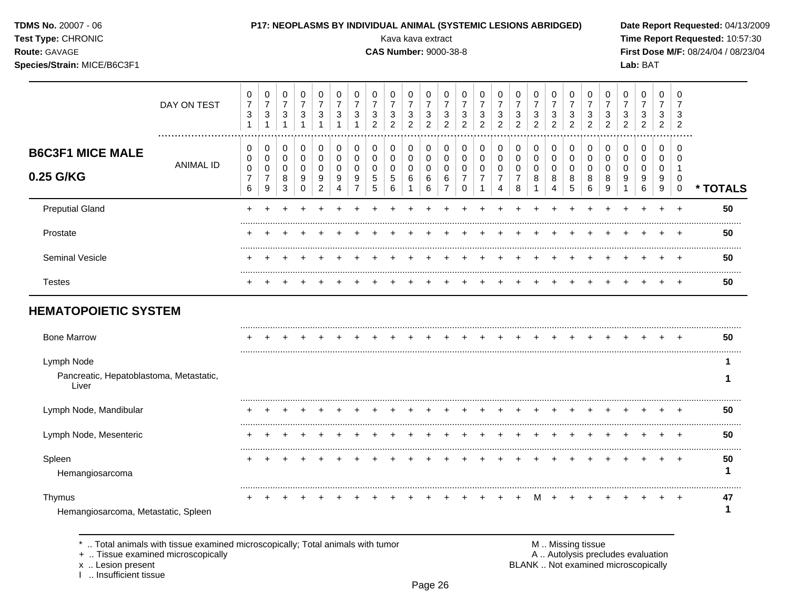TDMS No. 20007 - 06

## Test Type: CHRONIC

Route: GAVAGE

## Species/Strain: MICE/B6C3F1

## P17: NEOPLASMS BY INDIVIDUAL ANIMAL (SYSTEMIC LESIONS ABRIDGED)

Kava kava extract

**CAS Number: 9000-38-8** 

Date Report Requested: 04/13/2009 Time Report Requested: 10:57:30 First Dose M/F: 08/24/04 / 08/23/04 Lab: BAT

|                                                                | DAY ON TEST      | 0<br>$\boldsymbol{7}$<br>$\sqrt{3}$<br>$\mathbf{1}$ | 0<br>$\overline{7}$<br>$\sqrt{3}$<br>1  | 0<br>$\overline{7}$<br>$\ensuremath{\mathsf{3}}$<br>$\mathbf{1}$ | 0<br>$\overline{7}$<br>$\mathbf{3}$<br>1 | 0<br>$\overline{7}$<br>3<br>$\overline{1}$ | 0<br>$\overline{7}$<br>$\sqrt{3}$<br>1 | 0<br>$\overline{7}$<br>3<br>$\overline{ }$ | 0<br>$\overline{7}$<br>$\sqrt{3}$<br>$\overline{2}$ | 0<br>$\overline{7}$<br>$\sqrt{3}$<br>$\overline{2}$ | 0<br>$\overline{7}$<br>$\sqrt{3}$<br>$\overline{2}$ | 0<br>$\overline{7}$<br>$\sqrt{3}$<br>$\overline{2}$ | 0<br>$\overline{7}$<br>$\sqrt{3}$<br>$\overline{2}$ | 0<br>$\overline{7}$<br>$\mathbf{3}$<br>$\overline{2}$ | 0<br>$\overline{7}$<br>$\ensuremath{\mathsf{3}}$<br>$\overline{2}$ | 0<br>$\overline{7}$<br>$\ensuremath{\mathsf{3}}$<br>$\overline{2}$ | 0<br>$\overline{7}$<br>$\ensuremath{\mathsf{3}}$<br>$\overline{2}$ | 0<br>$\overline{7}$<br>$\ensuremath{\mathsf{3}}$<br>$\overline{2}$ | 0<br>$\overline{7}$<br>$\ensuremath{\mathsf{3}}$<br>$\overline{2}$ | 0<br>$\overline{7}$<br>$\sqrt{3}$<br>$\overline{2}$ | 0<br>$\overline{7}$<br>3<br>$\overline{2}$ | 0<br>$\overline{7}$<br>3<br>$\overline{2}$ | 0<br>$\overline{7}$<br>3<br>$\overline{2}$ | 0<br>$\overline{7}$<br>3<br>$\overline{2}$ | 0<br>$\overline{7}$<br>$\sqrt{3}$<br>$\overline{2}$ | 0<br>$\overline{7}$<br>3<br>$\overline{2}$ |                |
|----------------------------------------------------------------|------------------|-----------------------------------------------------|-----------------------------------------|------------------------------------------------------------------|------------------------------------------|--------------------------------------------|----------------------------------------|--------------------------------------------|-----------------------------------------------------|-----------------------------------------------------|-----------------------------------------------------|-----------------------------------------------------|-----------------------------------------------------|-------------------------------------------------------|--------------------------------------------------------------------|--------------------------------------------------------------------|--------------------------------------------------------------------|--------------------------------------------------------------------|--------------------------------------------------------------------|-----------------------------------------------------|--------------------------------------------|--------------------------------------------|--------------------------------------------|--------------------------------------------|-----------------------------------------------------|--------------------------------------------|----------------|
| <b>B6C3F1 MICE MALE</b><br>0.25 G/KG                           | <b>ANIMAL ID</b> | 0<br>0<br>$\pmb{0}$<br>$\overline{7}$               | 0<br>0<br>$\mathbf 0$<br>$\overline{7}$ | 0<br>0<br>0<br>8                                                 | 0<br>$\mathbf 0$<br>$\Omega$<br>9        | 0<br>0<br>0<br>9                           | 0<br>0<br>0<br>9                       | 0<br>0<br>0<br>$\boldsymbol{9}$            | 0<br>$\mathbf 0$<br>0<br>$\sqrt{5}$                 | 0<br>$\pmb{0}$<br>0<br>5                            | 0<br>0<br>$\mathbf 0$<br>6                          | 0<br>0<br>0<br>6                                    | 0<br>0<br>0<br>6                                    | 0<br>0<br>0<br>$\overline{7}$                         | 0<br>0<br>$\mathbf 0$                                              | 0<br>$\pmb{0}$<br>0<br>$\overline{7}$                              | 0<br>$\pmb{0}$<br>0<br>$\overline{7}$                              | 0<br>$\pmb{0}$<br>0<br>8                                           | 0<br>$\,0\,$<br>$\pmb{0}$<br>8                                     | 0<br>$\mathbf 0$<br>0<br>8                          | 0<br>0<br>0<br>8                           | 0<br>0<br>$\Omega$<br>8                    | 0<br>0<br>0<br>9                           | 0<br>0<br>0<br>9                           | $\mathbf 0$<br>0<br>$\mathbf 0$<br>9                | $\Omega$<br>$\Omega$<br>1<br>0             |                |
| <b>Preputial Gland</b>                                         |                  | 6                                                   | $\boldsymbol{9}$                        | $\mathbf{3}$                                                     | $\Omega$                                 | $\overline{2}$                             | 4                                      | $\overline{7}$                             | $\sqrt{5}$                                          | 6                                                   | 1                                                   | 6                                                   | $\overline{7}$                                      | $\mathbf 0$                                           |                                                                    | 4                                                                  | 8                                                                  | $\mathbf{1}$                                                       | $\overline{4}$                                                     | 5                                                   | 6                                          | 9                                          | $\mathbf{1}$                               | 6                                          | 9                                                   | $\mathbf 0$<br>$\ddot{}$                   | * TOTALS<br>50 |
| Prostate                                                       |                  |                                                     |                                         |                                                                  |                                          |                                            |                                        |                                            |                                                     |                                                     |                                                     |                                                     |                                                     |                                                       |                                                                    |                                                                    |                                                                    |                                                                    |                                                                    |                                                     |                                            |                                            |                                            |                                            |                                                     |                                            | 50             |
| <b>Seminal Vesicle</b>                                         |                  |                                                     |                                         |                                                                  |                                          |                                            |                                        |                                            |                                                     |                                                     |                                                     |                                                     |                                                     |                                                       |                                                                    |                                                                    |                                                                    |                                                                    |                                                                    |                                                     |                                            |                                            |                                            |                                            |                                                     | $\div$                                     | 50             |
| <b>Testes</b>                                                  |                  |                                                     |                                         |                                                                  |                                          |                                            |                                        |                                            |                                                     |                                                     |                                                     |                                                     |                                                     |                                                       |                                                                    |                                                                    |                                                                    |                                                                    |                                                                    |                                                     |                                            |                                            |                                            |                                            |                                                     |                                            | 50             |
| <b>HEMATOPOIETIC SYSTEM</b>                                    |                  |                                                     |                                         |                                                                  |                                          |                                            |                                        |                                            |                                                     |                                                     |                                                     |                                                     |                                                     |                                                       |                                                                    |                                                                    |                                                                    |                                                                    |                                                                    |                                                     |                                            |                                            |                                            |                                            |                                                     |                                            |                |
| <b>Bone Marrow</b>                                             |                  |                                                     |                                         |                                                                  |                                          |                                            |                                        |                                            |                                                     |                                                     |                                                     |                                                     |                                                     |                                                       |                                                                    |                                                                    |                                                                    |                                                                    |                                                                    |                                                     |                                            |                                            |                                            |                                            |                                                     |                                            | 50             |
| Lymph Node<br>Pancreatic, Hepatoblastoma, Metastatic,<br>Liver |                  |                                                     |                                         |                                                                  |                                          |                                            |                                        |                                            |                                                     |                                                     |                                                     |                                                     |                                                     |                                                       |                                                                    |                                                                    |                                                                    |                                                                    |                                                                    |                                                     |                                            |                                            |                                            |                                            |                                                     |                                            | 1              |
| Lymph Node, Mandibular                                         |                  |                                                     |                                         |                                                                  |                                          |                                            |                                        |                                            |                                                     |                                                     |                                                     |                                                     |                                                     |                                                       |                                                                    |                                                                    |                                                                    |                                                                    |                                                                    |                                                     |                                            |                                            |                                            |                                            |                                                     |                                            | 50             |
| Lymph Node, Mesenteric                                         |                  |                                                     |                                         |                                                                  |                                          |                                            |                                        |                                            |                                                     |                                                     |                                                     |                                                     |                                                     |                                                       |                                                                    |                                                                    |                                                                    |                                                                    |                                                                    |                                                     |                                            |                                            |                                            |                                            |                                                     | $\overline{ }$                             | 50             |
| Spleen<br>Hemangiosarcoma                                      |                  |                                                     |                                         |                                                                  |                                          |                                            |                                        |                                            |                                                     |                                                     |                                                     |                                                     |                                                     |                                                       |                                                                    |                                                                    |                                                                    |                                                                    |                                                                    |                                                     |                                            |                                            |                                            |                                            |                                                     |                                            | 50             |
| Thymus<br>Hemangiosarcoma, Metastatic, Spleen                  |                  |                                                     |                                         |                                                                  |                                          |                                            |                                        |                                            |                                                     |                                                     |                                                     |                                                     |                                                     |                                                       |                                                                    |                                                                    | ÷                                                                  | м                                                                  | $\ddot{}$                                                          |                                                     |                                            |                                            |                                            |                                            |                                                     | $\overline{ }$                             | 47             |

\* .. Total animals with tissue examined microscopically; Total animals with tumor

+ .. Tissue examined microscopically

x .. Lesion present<br>I .. Insufficient tissue

M .. Missing tissue A .. Autolysis precludes evaluation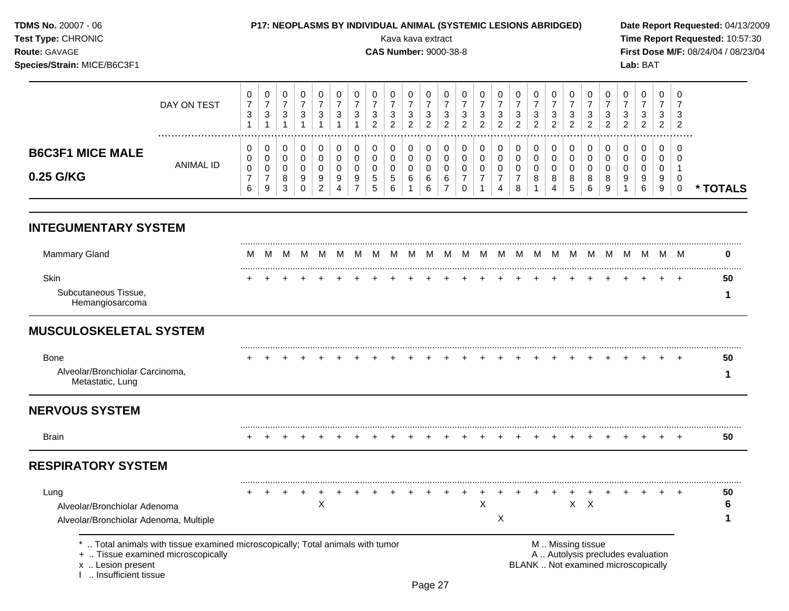| TDMS No. 20007 - 06<br>Test Type: CHRONIC<br>Route: GAVAGE<br>Species/Strain: MICE/B6C3F1 |                                                                              |                                                                  |                                                                    |                                                                    |                                                     |                                                                    |                                                                    | <b>P17: NEOPLASMS BY INDIVIDUAL ANIMAL (SYSTEMIC LESIONS ABRIDGED)</b> |                                            | Kava kava extract<br><b>CAS Number: 9000-38-8</b> |                                                                    |                                                                      |                                                                      |                                                     |                                                     |                                                     |                                                     |                                            |                                            |                                                     |                                                                      |                                                                    |                                            | Lab: BAT                                                                 |                                            |                                      | Date Report Requested: 04/13/2009<br>Time Report Requested: 10:57:30<br>First Dose M/F: 08/24/04 / 08/23/04 |
|-------------------------------------------------------------------------------------------|------------------------------------------------------------------------------|------------------------------------------------------------------|--------------------------------------------------------------------|--------------------------------------------------------------------|-----------------------------------------------------|--------------------------------------------------------------------|--------------------------------------------------------------------|------------------------------------------------------------------------|--------------------------------------------|---------------------------------------------------|--------------------------------------------------------------------|----------------------------------------------------------------------|----------------------------------------------------------------------|-----------------------------------------------------|-----------------------------------------------------|-----------------------------------------------------|-----------------------------------------------------|--------------------------------------------|--------------------------------------------|-----------------------------------------------------|----------------------------------------------------------------------|--------------------------------------------------------------------|--------------------------------------------|--------------------------------------------------------------------------|--------------------------------------------|--------------------------------------|-------------------------------------------------------------------------------------------------------------|
|                                                                                           | DAY ON TEST<br>.                                                             | 0<br>$\overline{7}$<br>$\ensuremath{\mathsf{3}}$<br>$\mathbf{1}$ | 0<br>$\boldsymbol{7}$<br>$\ensuremath{\mathsf{3}}$<br>$\mathbf{1}$ | 0<br>$\boldsymbol{7}$<br>$\ensuremath{\mathsf{3}}$<br>$\mathbf{1}$ | 0<br>$\overline{7}$<br>$\sqrt{3}$<br>$\overline{1}$ | 0<br>$\boldsymbol{7}$<br>$\ensuremath{\mathsf{3}}$<br>$\mathbf{1}$ | 0<br>$\boldsymbol{7}$<br>$\ensuremath{\mathsf{3}}$<br>$\mathbf{1}$ | 0<br>$\boldsymbol{7}$<br>$\sqrt{3}$<br>$\mathbf{1}$                    | 0<br>$\overline{7}$<br>3<br>$\overline{2}$ | 0<br>$\overline{7}$<br>3<br>$\overline{2}$        | 0<br>$\overline{7}$<br>$\ensuremath{\mathsf{3}}$<br>$\overline{2}$ | 0<br>$\boldsymbol{7}$<br>$\ensuremath{\mathsf{3}}$<br>$\overline{2}$ | 0<br>$\boldsymbol{7}$<br>$\ensuremath{\mathsf{3}}$<br>$\overline{2}$ | 0<br>$\overline{7}$<br>$\sqrt{3}$<br>$\overline{2}$ | 0<br>$\overline{7}$<br>$\sqrt{3}$<br>$\overline{2}$ | 0<br>$\overline{7}$<br>$\sqrt{3}$<br>$\overline{2}$ | 0<br>$\overline{7}$<br>$\sqrt{3}$<br>$\overline{2}$ | 0<br>$\overline{7}$<br>3<br>$\overline{2}$ | 0<br>$\overline{7}$<br>3<br>$\overline{2}$ | 0<br>$\overline{7}$<br>$\sqrt{3}$<br>$\overline{2}$ | 0<br>$\boldsymbol{7}$<br>$\ensuremath{\mathsf{3}}$<br>$\overline{2}$ | 0<br>$\overline{7}$<br>$\ensuremath{\mathsf{3}}$<br>$\overline{c}$ | 0<br>$\overline{7}$<br>3<br>$\overline{2}$ | 0<br>$\overline{7}$<br>$\ensuremath{\mathsf{3}}$<br>$\overline{c}$       | 0<br>$\overline{7}$<br>3<br>$\overline{2}$ | $\Omega$<br>7<br>3<br>$\overline{2}$ |                                                                                                             |
| <b>B6C3F1 MICE MALE</b><br>0.25 G/KG                                                      | ANIMAL ID                                                                    | 0<br>0<br>0<br>$\overline{7}$<br>6                               | 0<br>0<br>0<br>$\overline{7}$<br>9                                 | 0<br>0<br>$\mathbf 0$<br>8<br>3                                    | 0<br>0<br>0<br>9<br>$\mathbf 0$                     | 0<br>0<br>0<br>9<br>2                                              | 0<br>0<br>0<br>9<br>$\overline{4}$                                 | 0<br>$\mathbf 0$<br>$\mathbf 0$<br>9<br>$\overline{7}$                 | 0<br>0<br>0<br>5<br>5                      | 0<br>0<br>0<br>5<br>6                             | 0<br>0<br>$\mathbf 0$<br>6                                         | 0<br>0<br>0<br>6<br>6                                                | 0<br>$\mathbf 0$<br>0<br>6<br>$\overline{7}$                         | 0<br>0<br>$\mathbf 0$<br>$\overline{7}$<br>0        | 0<br>0<br>$\mathbf 0$<br>$\overline{7}$             | 0<br>0<br>0<br>$\overline{7}$<br>4                  | 0<br>$\mathbf 0$<br>0<br>$\boldsymbol{7}$<br>8      | 0<br>0<br>$\mathbf 0$<br>8                 | 0<br>0<br>0<br>8<br>4                      | 0<br>0<br>$\mathbf 0$<br>8<br>5                     | 0<br>0<br>0<br>8<br>6                                                | 0<br>0<br>$\mathbf 0$<br>8<br>9                                    | 0<br>0<br>0<br>9                           | 0<br>0<br>$\Omega$<br>9<br>6                                             | 0<br>0<br>0<br>9<br>9                      | 0<br>$\Omega$<br>$\mathbf 0$         | * TOTALS                                                                                                    |
| <b>INTEGUMENTARY SYSTEM</b>                                                               |                                                                              |                                                                  |                                                                    |                                                                    |                                                     |                                                                    |                                                                    |                                                                        |                                            |                                                   |                                                                    |                                                                      |                                                                      |                                                     |                                                     |                                                     |                                                     |                                            |                                            |                                                     |                                                                      |                                                                    |                                            |                                                                          |                                            |                                      |                                                                                                             |
| <b>Mammary Gland</b>                                                                      |                                                                              | M                                                                | M                                                                  |                                                                    | M M                                                 |                                                                    |                                                                    | MMM                                                                    | M.                                         |                                                   |                                                                    |                                                                      |                                                                      |                                                     | M M M M M M M M                                     |                                                     |                                                     | - M                                        |                                            |                                                     |                                                                      |                                                                    | M M M M M                                  | M                                                                        |                                            | M M                                  | 0                                                                                                           |
| Skin<br>Subcutaneous Tissue,<br>Hemangiosarcoma                                           |                                                                              |                                                                  |                                                                    |                                                                    |                                                     |                                                                    |                                                                    |                                                                        |                                            |                                                   |                                                                    |                                                                      |                                                                      |                                                     |                                                     |                                                     |                                                     |                                            |                                            |                                                     |                                                                      |                                                                    |                                            |                                                                          |                                            |                                      | 50<br>1                                                                                                     |
| <b>MUSCULOSKELETAL SYSTEM</b>                                                             |                                                                              |                                                                  |                                                                    |                                                                    |                                                     |                                                                    |                                                                    |                                                                        |                                            |                                                   |                                                                    |                                                                      |                                                                      |                                                     |                                                     |                                                     |                                                     |                                            |                                            |                                                     |                                                                      |                                                                    |                                            |                                                                          |                                            |                                      |                                                                                                             |
| <b>Bone</b><br>Alveolar/Bronchiolar Carcinoma,<br>Metastatic, Lung                        |                                                                              |                                                                  |                                                                    |                                                                    |                                                     |                                                                    |                                                                    |                                                                        |                                            |                                                   |                                                                    |                                                                      |                                                                      |                                                     |                                                     |                                                     |                                                     |                                            |                                            |                                                     |                                                                      |                                                                    |                                            |                                                                          |                                            |                                      | 50<br>1                                                                                                     |
| <b>NERVOUS SYSTEM</b>                                                                     |                                                                              |                                                                  |                                                                    |                                                                    |                                                     |                                                                    |                                                                    |                                                                        |                                            |                                                   |                                                                    |                                                                      |                                                                      |                                                     |                                                     |                                                     |                                                     |                                            |                                            |                                                     |                                                                      |                                                                    |                                            |                                                                          |                                            |                                      |                                                                                                             |
| Brain                                                                                     |                                                                              | $\pm$                                                            |                                                                    |                                                                    |                                                     |                                                                    |                                                                    |                                                                        |                                            |                                                   |                                                                    |                                                                      |                                                                      |                                                     |                                                     |                                                     |                                                     |                                            |                                            |                                                     |                                                                      |                                                                    |                                            |                                                                          |                                            | $+$                                  | 50                                                                                                          |
| <b>RESPIRATORY SYSTEM</b>                                                                 |                                                                              |                                                                  |                                                                    |                                                                    |                                                     |                                                                    |                                                                    |                                                                        |                                            |                                                   |                                                                    |                                                                      |                                                                      |                                                     |                                                     |                                                     |                                                     |                                            |                                            |                                                     |                                                                      |                                                                    |                                            |                                                                          |                                            |                                      |                                                                                                             |
| Lung<br>Alveolar/Bronchiolar Adenoma<br>Alveolar/Bronchiolar Adenoma, Multiple            |                                                                              |                                                                  |                                                                    |                                                                    |                                                     | х                                                                  |                                                                    |                                                                        |                                            |                                                   |                                                                    |                                                                      |                                                                      |                                                     | х                                                   | Χ                                                   |                                                     |                                            |                                            |                                                     | $X \times$                                                           |                                                                    |                                            |                                                                          |                                            |                                      | 50<br>6<br>1                                                                                                |
| +  Tissue examined microscopically<br>x  Lesion present<br>Insufficient tissue            | Total animals with tissue examined microscopically; Total animals with tumor |                                                                  |                                                                    |                                                                    |                                                     |                                                                    |                                                                    |                                                                        |                                            |                                                   |                                                                    |                                                                      |                                                                      |                                                     |                                                     |                                                     |                                                     |                                            | M  Missing tissue                          |                                                     |                                                                      |                                                                    |                                            | A  Autolysis precludes evaluation<br>BLANK  Not examined microscopically |                                            |                                      |                                                                                                             |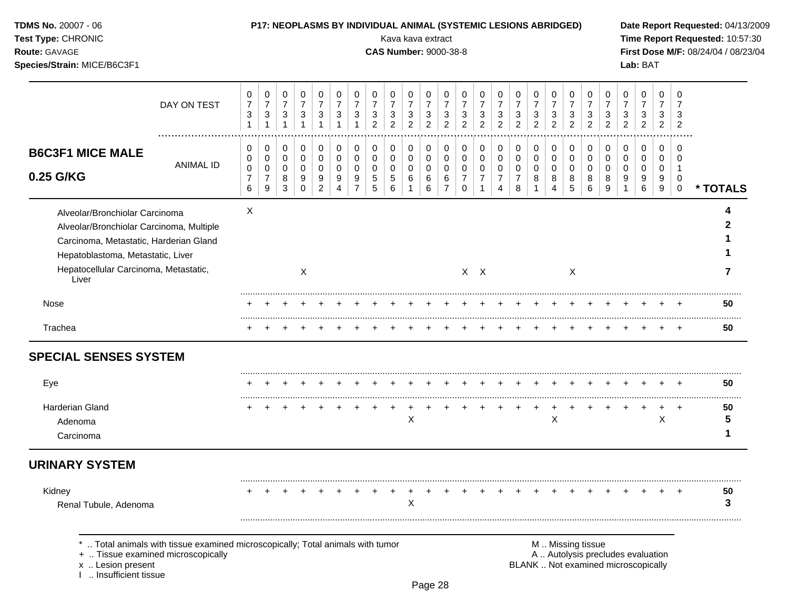| TDMS No. 20007 - 06<br>Test Type: CHRONIC<br>Route: GAVAGE<br>Species/Strain: MICE/B6C3F1                                                                                                                   |                                                                                 |                                          |                                            |                                                         |                                            |                                              |                                            |                                              |                                            | P17: NEOPLASMS BY INDIVIDUAL ANIMAL (SYSTEMIC LESIONS ABRIDGED)<br>Kava kava extract<br><b>CAS Number: 9000-38-8</b> |                                            |                                                         |                                                      |                                            |                                            |                                            |                                              |                               |                                            |                                            |                                                         |                                            |                               | Lab: BAT                      |                                            |                                  | Date Report Requested: 04/13/2009<br>Time Report Requested: 10:57:30<br>First Dose M/F: 08/24/04 / 08/23/04 |
|-------------------------------------------------------------------------------------------------------------------------------------------------------------------------------------------------------------|---------------------------------------------------------------------------------|------------------------------------------|--------------------------------------------|---------------------------------------------------------|--------------------------------------------|----------------------------------------------|--------------------------------------------|----------------------------------------------|--------------------------------------------|----------------------------------------------------------------------------------------------------------------------|--------------------------------------------|---------------------------------------------------------|------------------------------------------------------|--------------------------------------------|--------------------------------------------|--------------------------------------------|----------------------------------------------|-------------------------------|--------------------------------------------|--------------------------------------------|---------------------------------------------------------|--------------------------------------------|-------------------------------|-------------------------------|--------------------------------------------|----------------------------------|-------------------------------------------------------------------------------------------------------------|
|                                                                                                                                                                                                             | DAY ON TEST                                                                     | 0<br>$\overline{7}$<br>3<br>$\mathbf{1}$ | 0<br>$\boldsymbol{7}$<br>3<br>$\mathbf{1}$ | 0<br>$\boldsymbol{7}$<br>$\ensuremath{\mathsf{3}}$<br>1 | 0<br>$\overline{7}$<br>3<br>$\overline{1}$ | 0<br>$\overline{7}$<br>3                     | 0<br>$\boldsymbol{7}$<br>3<br>$\mathbf{1}$ | 0<br>$\overline{7}$<br>3<br>1                | 0<br>$\overline{7}$<br>3<br>$\overline{c}$ | 0<br>$\overline{7}$<br>3<br>$\overline{c}$                                                                           | 0<br>$\overline{7}$<br>3<br>$\overline{c}$ | 0<br>$\boldsymbol{7}$<br>$\mathbf{3}$<br>$\overline{2}$ | 0<br>$\overline{7}$<br>3<br>$\overline{2}$           | 0<br>$\overline{7}$<br>3<br>$\overline{c}$ | 0<br>$\overline{7}$<br>3<br>$\overline{c}$ | 0<br>$\overline{7}$<br>3<br>$\overline{c}$ | 0<br>$\boldsymbol{7}$<br>3<br>$\overline{2}$ | 0<br>7<br>3<br>$\overline{c}$ | 0<br>$\overline{7}$<br>3<br>$\overline{2}$ | 0<br>$\overline{7}$<br>3<br>$\overline{c}$ | 0<br>$\boldsymbol{7}$<br>$\mathbf{3}$<br>$\overline{2}$ | 0<br>$\overline{7}$<br>3<br>$\overline{2}$ | 0<br>7<br>3<br>$\overline{c}$ | 0<br>7<br>3<br>$\overline{c}$ | 0<br>$\overline{7}$<br>3<br>$\overline{2}$ | 0<br>3<br>$\overline{2}$         |                                                                                                             |
| <b>B6C3F1 MICE MALE</b><br>0.25 G/KG                                                                                                                                                                        | <b>ANIMAL ID</b>                                                                | 0<br>0<br>0<br>$\overline{7}$<br>6       | 0<br>0<br>0<br>$\overline{7}$<br>9         | 0<br>0<br>$\pmb{0}$<br>8<br>3                           | 0<br>0<br>0<br>9<br>0                      | 0<br>0<br>$\mathbf 0$<br>9<br>$\overline{c}$ | 0<br>$\pmb{0}$<br>$\mathbf 0$<br>9<br>4    | 0<br>$\mathbf 0$<br>0<br>9<br>$\overline{7}$ | 0<br>0<br>0<br>5<br>5                      | 0<br>0<br>0<br>5<br>6                                                                                                | 0<br>$\pmb{0}$<br>$\pmb{0}$<br>6<br>1      | 0<br>$\mathbf 0$<br>$\mathbf 0$<br>6<br>6               | 0<br>$\mathbf 0$<br>$\pmb{0}$<br>6<br>$\overline{7}$ | 0<br>0<br>0<br>7<br>0                      | 0<br>$\mathbf 0$<br>0<br>$\overline{7}$    | 0<br>0<br>0<br>$\overline{7}$<br>4         | 0<br>$\mathbf 0$<br>0<br>$\overline{7}$<br>8 | 0<br>0<br>0<br>8              | 0<br>0<br>0<br>8<br>$\overline{4}$         | 0<br>$\pmb{0}$<br>$\pmb{0}$<br>8<br>5      | 0<br>$\mathbf 0$<br>$\mathbf 0$<br>8<br>6               | 0<br>$\mathbf 0$<br>0<br>8<br>9            | 0<br>0<br>0<br>9              | 0<br>0<br>0<br>9<br>6         | 0<br>0<br>0<br>9<br>9                      | 0<br>0<br>-1<br>0<br>$\mathbf 0$ | * TOTALS                                                                                                    |
| Alveolar/Bronchiolar Carcinoma<br>Alveolar/Bronchiolar Carcinoma, Multiple<br>Carcinoma, Metastatic, Harderian Gland<br>Hepatoblastoma, Metastatic, Liver<br>Hepatocellular Carcinoma, Metastatic,<br>Liver |                                                                                 | X                                        |                                            |                                                         | X                                          |                                              |                                            |                                              |                                            |                                                                                                                      |                                            |                                                         |                                                      |                                            | $X$ $X$                                    |                                            |                                              |                               |                                            | X                                          |                                                         |                                            |                               |                               |                                            |                                  | 2<br>7                                                                                                      |
| Nose                                                                                                                                                                                                        |                                                                                 |                                          |                                            |                                                         |                                            |                                              |                                            |                                              |                                            |                                                                                                                      |                                            |                                                         |                                                      |                                            |                                            |                                            |                                              |                               |                                            |                                            |                                                         |                                            |                               |                               |                                            |                                  | 50                                                                                                          |
| Trachea                                                                                                                                                                                                     |                                                                                 | $\pm$                                    | $\overline{+}$                             | $\ddot{}$                                               | $\ddot{}$                                  | $\ddot{}$                                    | $^{+}$                                     |                                              | $\ddot{}$                                  | $\ddot{}$                                                                                                            | $\ddot{}$                                  | $\ddot{}$                                               | $\ddot{}$                                            | $\ddot{}$                                  |                                            | $\overline{+}$                             | $\ddot{}$                                    | $+$                           | $\ddot{}$                                  | $\overline{+}$                             | $+$                                                     | $+$                                        | $+$                           |                               | $+$                                        | $+$                              | 50                                                                                                          |
| <b>SPECIAL SENSES SYSTEM</b>                                                                                                                                                                                |                                                                                 |                                          |                                            |                                                         |                                            |                                              |                                            |                                              |                                            |                                                                                                                      |                                            |                                                         |                                                      |                                            |                                            |                                            |                                              |                               |                                            |                                            |                                                         |                                            |                               |                               |                                            |                                  |                                                                                                             |
| Eye                                                                                                                                                                                                         |                                                                                 |                                          |                                            |                                                         |                                            |                                              |                                            |                                              |                                            |                                                                                                                      |                                            |                                                         |                                                      |                                            |                                            |                                            |                                              |                               |                                            |                                            |                                                         |                                            |                               |                               |                                            |                                  | 50                                                                                                          |
| Harderian Gland<br>Adenoma<br>Carcinoma                                                                                                                                                                     |                                                                                 |                                          |                                            |                                                         |                                            |                                              |                                            |                                              |                                            |                                                                                                                      | $\div$<br>X                                |                                                         |                                                      |                                            |                                            |                                            |                                              | $\overline{+}$                | $\pm$<br>$\mathsf X$                       | $\overline{ }$                             |                                                         |                                            |                               |                               | $\overline{+}$<br>$\mathsf X$              | $^{+}$                           | 50<br>5<br>1                                                                                                |
| <b>URINARY SYSTEM</b>                                                                                                                                                                                       |                                                                                 |                                          |                                            |                                                         |                                            |                                              |                                            |                                              |                                            |                                                                                                                      |                                            |                                                         |                                                      |                                            |                                            |                                            |                                              |                               |                                            |                                            |                                                         |                                            |                               |                               |                                            |                                  |                                                                                                             |
| Kidney<br>Renal Tubule, Adenoma                                                                                                                                                                             |                                                                                 |                                          |                                            |                                                         |                                            |                                              |                                            |                                              |                                            |                                                                                                                      | Х                                          |                                                         |                                                      |                                            |                                            |                                            |                                              |                               |                                            |                                            |                                                         |                                            |                               |                               |                                            |                                  | 50<br>3                                                                                                     |
|                                                                                                                                                                                                             | *  Total animals with tissue examined microscopically; Total animals with tumor |                                          |                                            |                                                         |                                            |                                              |                                            |                                              |                                            |                                                                                                                      |                                            |                                                         |                                                      |                                            |                                            |                                            |                                              |                               |                                            |                                            | M  Missing tissue                                       |                                            |                               |                               |                                            |                                  |                                                                                                             |

+ .. Tissue examined microscopically  $\blacksquare$  A .. Autolysis precludes evaluation

x .. Lesion present BLANK .. Not examined microscopically

I .. Insufficient tissue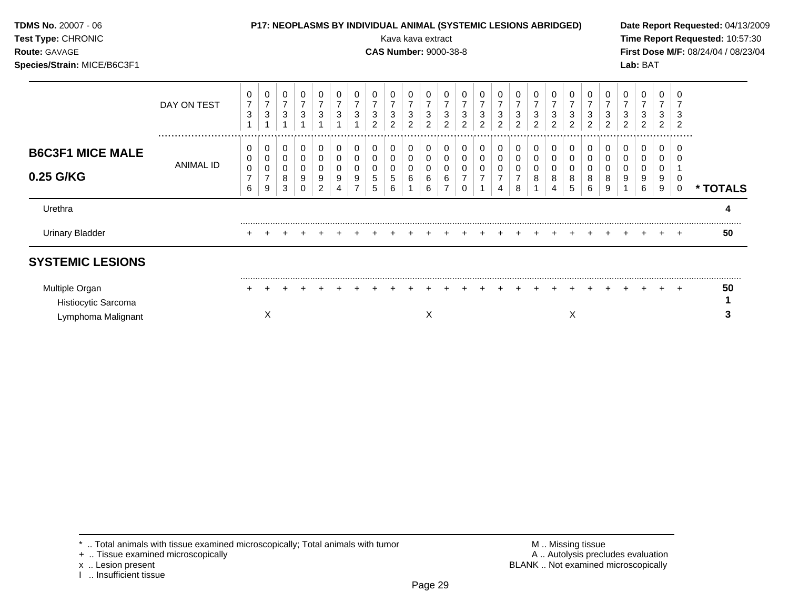| TDMS No. 20007 - 06<br>Test Type: CHRONIC<br><b>Route: GAVAGE</b><br>Species/Strain: MICE/B6C3F1 |             |                                |                 |                       |                          |                                |                                    |                  |                       |                     | Kava kava extract<br><b>CAS Number: 9000-38-8</b> |                       |                            |                          | P17: NEOPLASMS BY INDIVIDUAL ANIMAL (SYSTEMIC LESIONS ABRIDGED) |                     |        |                  |        |                                |                        |                                 |        | Lab: BAT    |                       |       | Date Report Requested: 04/13/2009<br>Time Report Requested: 10:57:30<br>First Dose M/F: 08/24/04 / 08/23/04 |
|--------------------------------------------------------------------------------------------------|-------------|--------------------------------|-----------------|-----------------------|--------------------------|--------------------------------|------------------------------------|------------------|-----------------------|---------------------|---------------------------------------------------|-----------------------|----------------------------|--------------------------|-----------------------------------------------------------------|---------------------|--------|------------------|--------|--------------------------------|------------------------|---------------------------------|--------|-------------|-----------------------|-------|-------------------------------------------------------------------------------------------------------------|
|                                                                                                  | DAY ON TEST | 0<br>$\ensuremath{\mathsf{3}}$ | 0<br>$\sqrt{3}$ | 0<br>3                | 0<br>$\overline{7}$<br>3 | $\overline{7}$<br>$\mathbf{3}$ | 0<br>$\overline{7}$<br>$\mathbf 3$ | 3                | 3<br>2                | 3<br>$\overline{2}$ | $\mathbf 3$<br>2                                  | 3<br>2                | $\overline{7}$<br>3<br>2   | $\overline{7}$<br>3<br>2 | 3<br>2                                                          | 3<br>$\overline{c}$ | 3<br>2 | 3<br>2           | 3<br>2 | $\ensuremath{\mathsf{3}}$<br>2 | 0<br>$\mathbf{3}$<br>2 | $\overline{7}$<br>3<br>2        | 3<br>2 | 3<br>2      | 3<br>$\overline{2}$   |       |                                                                                                             |
| <b>B6C3F1 MICE MALE</b><br>0.25 G/KG                                                             | ANIMAL ID   | 0<br>0<br>6                    | 0<br>0<br>9     | 0<br>0<br>0<br>8<br>3 | 0<br>0<br>0<br>9<br>0    | 0<br>0<br>9<br>$\overline{2}$  | 0<br>0<br>0<br>9<br>4              | 0<br>0<br>0<br>9 | 0<br>0<br>0<br>5<br>5 | 0<br>6              | 0<br>0<br>0<br>6                                  | 0<br>0<br>0<br>6<br>6 | 0<br>0<br>$\mathbf 0$<br>6 | 0<br>0<br>0<br>0         | 0<br>0                                                          | 0<br>0<br>0<br>4    | 0<br>8 | 0<br>0<br>0<br>8 | 0<br>8 | 0<br>0<br>0<br>8<br>5          | 0<br>0<br>0<br>8<br>6  | 0<br>$\mathbf 0$<br>0<br>8<br>9 | 0      | 0<br>9<br>6 | 0<br>0<br>0<br>9<br>9 | 0     | * TOTALS                                                                                                    |
| Urethra                                                                                          |             |                                |                 |                       |                          |                                |                                    |                  |                       |                     |                                                   |                       |                            |                          |                                                                 |                     |        |                  |        |                                |                        |                                 |        |             |                       |       | 4                                                                                                           |
| <b>Urinary Bladder</b>                                                                           |             |                                |                 |                       |                          |                                |                                    |                  |                       |                     |                                                   |                       |                            |                          |                                                                 |                     |        |                  |        |                                |                        |                                 |        |             |                       |       | 50                                                                                                          |
| <b>SYSTEMIC LESIONS</b>                                                                          |             |                                |                 |                       |                          |                                |                                    |                  |                       |                     |                                                   |                       |                            |                          |                                                                 |                     |        |                  |        |                                |                        |                                 |        |             |                       |       |                                                                                                             |
| Multiple Organ<br>Histiocytic Sarcoma<br>Lymphoma Malignant                                      |             |                                | Х               |                       |                          |                                |                                    |                  |                       |                     |                                                   | Х                     |                            |                          |                                                                 |                     |        |                  |        | Χ                              |                        |                                 |        |             |                       | $\pm$ | 50<br>3                                                                                                     |

- 
- 
- x .. Lesion present<br>I .. Insufficient tissue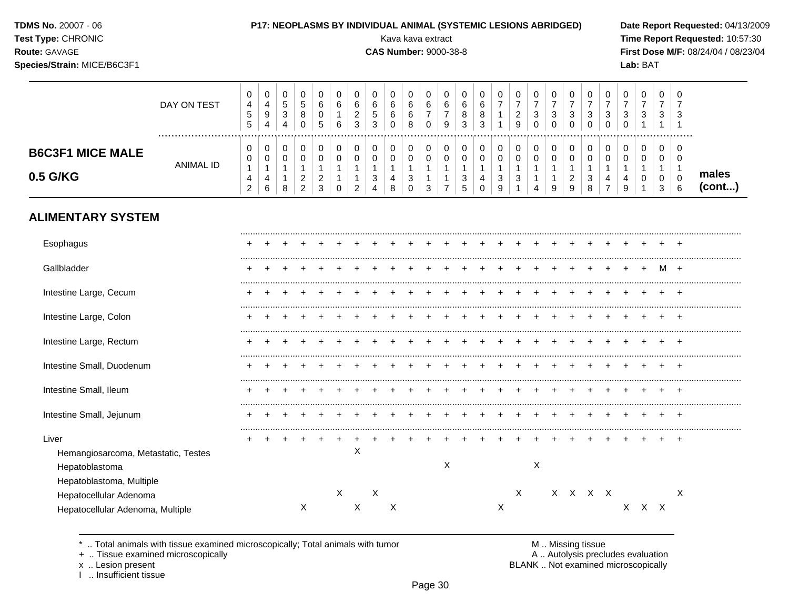| <b>TDMS No. 20007 - 06</b> |  |
|----------------------------|--|
| Test Type: CHRONIC         |  |

## P17: NEOPLASMS BY INDIVIDUAL ANIMAL (SYSTEMIC LESIONS ABRIDGED)

**CAS Number: 9000-38-8** 

Kava kava extract

Route: GAVAGE

Species/Strain: MICE/B6C3F1

Date Report Requested: 04/13/2009 Time Report Requested: 10:57:30 First Dose M/F: 08/24/04 / 08/23/04 Lab: BAT

|                                     | DAY ON TEST | 0<br>4<br>5<br>5              | 0<br>4<br>9<br>4 | 0<br>5<br>3<br>4 | .5<br>8                 | 6<br>0<br>5      | 0<br>6<br>6 | 6<br>2<br>3 | 0<br>6<br>5<br>3 | U<br>6<br>6<br>0 | 0<br>6<br>6<br>8 | U<br>6<br>0           | 0<br>6<br>9 | 0<br>6<br>8<br>3 | 6<br>8<br>3   | 0<br>$\overline{ }$ | 0<br>$\overline{ }$<br>ົ<br>∠<br>9 | 0<br>⇁<br>3<br>0 | J.<br>⇁<br>3     | 0<br>–<br>3<br>0 | 0<br>⇁<br>3<br>0 | U<br>3<br>0              | -<br>3 | 0<br>–<br>3 | 0<br>3           | - 6<br>-3    |                       |
|-------------------------------------|-------------|-------------------------------|------------------|------------------|-------------------------|------------------|-------------|-------------|------------------|------------------|------------------|-----------------------|-------------|------------------|---------------|---------------------|------------------------------------|------------------|------------------|------------------|------------------|--------------------------|--------|-------------|------------------|--------------|-----------------------|
| <b>B6C3F1 MICE MALE</b><br>0.5 G/KG | ANIMAL ID   | 0<br>0<br>4<br>$\overline{2}$ | 0<br>0<br>4<br>6 | 0<br>8           | ົ<br>∠<br>$\mathcal{P}$ | 0<br>ີ<br>∼<br>3 | 0<br>0<br>0 | 2           | 0<br>0<br>3<br>4 | 0<br>0<br>4<br>8 | 0<br>0<br>3<br>0 | 0<br>$\sim$<br>U<br>3 | 0<br>0      | 0<br>3<br>5      | $\Omega$<br>4 | 0<br>0<br>3<br>9    | 0<br>◠<br>J                        | 0<br>0<br>4      | $\sim$<br>U<br>9 | 0<br>0<br>2<br>9 | 0<br>0<br>3<br>8 | 0<br>4<br>$\overline{ }$ | 4<br>9 | 0<br>0<br>0 | 0<br>0<br>0<br>3 | .<br>-0<br>6 | males<br>$($ cont $)$ |
| <b>ALIMENTARY SYSTEM</b>            |             |                               |                  |                  |                         |                  |             |             |                  |                  |                  |                       |             |                  |               |                     |                                    |                  |                  |                  |                  |                          |        |             |                  |              |                       |

| Esophagus                           |  |   |   |   |   |   |  |   |  |   |   |   |         |  |   |    |   |   |
|-------------------------------------|--|---|---|---|---|---|--|---|--|---|---|---|---------|--|---|----|---|---|
| Gallbladder                         |  |   |   |   |   |   |  |   |  |   |   |   |         |  |   |    | M |   |
| Intestine Large, Cecum              |  |   |   |   |   |   |  |   |  |   |   |   |         |  |   |    |   |   |
| Intestine Large, Colon              |  |   |   |   |   |   |  |   |  |   |   |   |         |  |   |    |   |   |
| Intestine Large, Rectum             |  |   |   |   |   |   |  |   |  |   |   |   |         |  |   |    |   |   |
| Intestine Small, Duodenum           |  |   |   |   |   |   |  |   |  |   |   |   |         |  |   |    |   |   |
| Intestine Small, Ileum              |  |   |   |   |   |   |  |   |  |   |   |   |         |  |   |    |   |   |
| Intestine Small, Jejunum            |  |   |   |   |   |   |  |   |  |   |   |   |         |  |   |    |   |   |
| Liver                               |  |   |   |   |   |   |  |   |  |   |   |   |         |  |   |    |   |   |
| Hemangiosarcoma, Metastatic, Testes |  |   |   | X |   |   |  |   |  |   |   |   |         |  |   |    |   |   |
| Hepatoblastoma                      |  |   |   |   |   |   |  | X |  |   |   | X |         |  |   |    |   |   |
| Hepatoblastoma, Multiple            |  |   |   |   |   |   |  |   |  |   |   |   |         |  |   |    |   |   |
| Hepatocellular Adenoma              |  |   | Χ |   | X |   |  |   |  |   | X |   | X X X X |  |   |    |   | X |
| Hepatocellular Adenoma, Multiple    |  | X |   | X |   | X |  |   |  | Χ |   |   |         |  | X | X. | X |   |

.. Total animals with tissue examined microscopically; Total animals with tumor  $\star$ 

+ .. Tissue examined microscopically

x .. Lesion present

I .. Insufficient tissue

M .. Missing tissue

A .. Autolysis precludes evaluation BLANK .. Not examined microscopically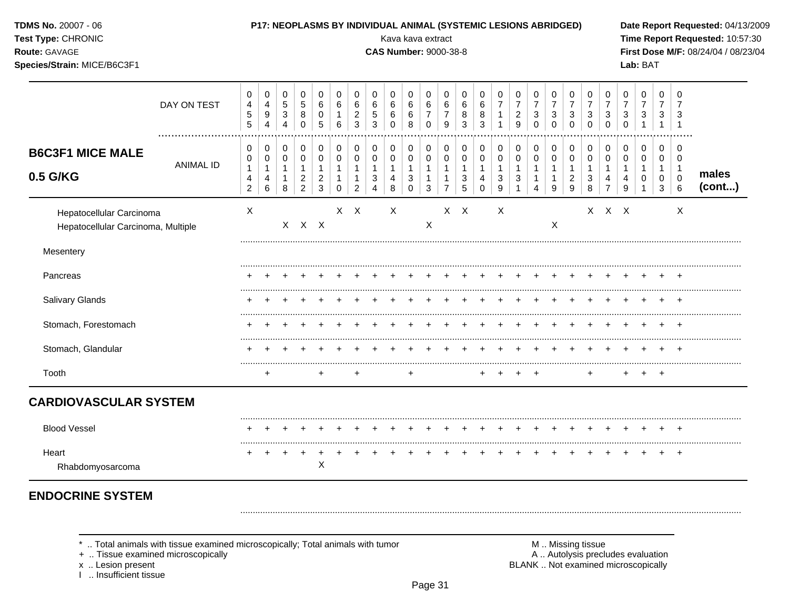| <b>TDMS No. 20007 - 06</b><br>Test Type: CHRONIC<br>Route: GAVAGE<br>Species/Strain: MICE/B6C3F1 |                                                                                 |                                                  |                       |                                                        |                                                                      |                                               |                                 |                                          |                                            | P17: NEOPLASMS BY INDIVIDUAL ANIMAL (SYSTEMIC LESIONS ABRIDGED)<br>Kava kava extract<br><b>CAS Number: 9000-38-8</b> |                                                                    |                                               |                                                                    |                                  |                              |                     |                                                                             |                               |                               |                                    |                                                   |                                                       |                                  | Lab: BAT                            |                                           |                                                  | Date Report Requested: 04/13/2009<br>Time Report Requested: 10:57:30<br>First Dose M/F: 08/24/04 / 08/23/04 |
|--------------------------------------------------------------------------------------------------|---------------------------------------------------------------------------------|--------------------------------------------------|-----------------------|--------------------------------------------------------|----------------------------------------------------------------------|-----------------------------------------------|---------------------------------|------------------------------------------|--------------------------------------------|----------------------------------------------------------------------------------------------------------------------|--------------------------------------------------------------------|-----------------------------------------------|--------------------------------------------------------------------|----------------------------------|------------------------------|---------------------|-----------------------------------------------------------------------------|-------------------------------|-------------------------------|------------------------------------|---------------------------------------------------|-------------------------------------------------------|----------------------------------|-------------------------------------|-------------------------------------------|--------------------------------------------------|-------------------------------------------------------------------------------------------------------------|
|                                                                                                  | DAY ON TEST                                                                     | 0<br>$\overline{\mathbf{4}}$<br>$\,$ 5 $\,$<br>5 | 0<br>4<br>9<br>4      | 0<br>$5\phantom{.0}$<br>$\ensuremath{\mathsf{3}}$<br>4 | 0<br>$\sqrt{5}$<br>8<br>0                                            | 0<br>6<br>0<br>5                              | 0<br>6<br>$\,6$                 | 0<br>6<br>$\overline{c}$<br>$\mathbf{3}$ | 0<br>6<br>$\sqrt{5}$<br>$\mathbf{3}$       | 0<br>6<br>6<br>0                                                                                                     | 0<br>6<br>$\,6$<br>8                                               | 0<br>$\,6\,$<br>$\overline{7}$<br>$\mathbf 0$ | 0<br>6<br>$\overline{7}$<br>9                                      | 0<br>6<br>8<br>3                 | 0<br>6<br>8<br>3             | 0<br>$\overline{7}$ | 0<br>$\overline{7}$<br>$\overline{c}$<br>9                                  | 0<br>$\overline{7}$<br>3<br>0 | 0<br>$\overline{7}$<br>3<br>0 | 0<br>$\overline{7}$<br>3<br>0      | 0<br>$\overline{7}$<br>$\sqrt{3}$<br>0            | 0<br>$\overline{7}$<br>3<br>$\mathbf 0$               | 0<br>7<br>3<br>$\mathbf 0$       | 0<br>$\overline{7}$<br>$\sqrt{3}$   | 0<br>7<br>3<br>$\mathbf{1}$               | 0<br>7<br>3<br>$\overline{1}$                    |                                                                                                             |
| <b>B6C3F1 MICE MALE</b><br>0.5 G/KG                                                              | <b>ANIMAL ID</b>                                                                | 0<br>0<br>$\mathbf{1}$<br>4<br>$\overline{c}$    | 0<br>0<br>1<br>4<br>6 | 0<br>0<br>$\mathbf{1}$<br>$\mathbf{1}$<br>8            | 0<br>$\mathbf 0$<br>$\mathbf{1}$<br>$\overline{c}$<br>$\overline{2}$ | 0<br>0<br>$\mathbf{1}$<br>$\overline{c}$<br>3 | 0<br>$\pmb{0}$<br>1<br>$\Omega$ | 0<br>$\mathbf 0$<br>1<br>$\overline{2}$  | 0<br>$\pmb{0}$<br>$\overline{1}$<br>3<br>4 | 0<br>0<br>$\mathbf{1}$<br>8                                                                                          | 0<br>$\boldsymbol{0}$<br>$\mathbf{1}$<br>$\sqrt{3}$<br>$\mathbf 0$ | 0<br>0<br>$\mathbf{1}$<br>$\mathbf{1}$<br>3   | 0<br>$\mathbf 0$<br>$\mathbf{1}$<br>$\mathbf{1}$<br>$\overline{7}$ | 0<br>0<br>$\mathbf{1}$<br>3<br>5 | 0<br>0<br>1<br>4<br>$\Omega$ | 0<br>0<br>3<br>9    | 0<br>$\pmb{0}$<br>$\mathbf{1}$<br>$\ensuremath{\mathsf{3}}$<br>$\mathbf{1}$ | 0<br>0<br>1<br>4              | 0<br>0<br>1<br>9              | 0<br>0<br>1<br>$\overline{2}$<br>9 | 0<br>$\pmb{0}$<br>$\mathbf{1}$<br>$\sqrt{3}$<br>8 | 0<br>$\pmb{0}$<br>$\mathbf{1}$<br>4<br>$\overline{7}$ | 0<br>0<br>$\mathbf{1}$<br>4<br>9 | 0<br>$\pmb{0}$<br>$\mathbf{1}$<br>0 | 0<br>0<br>$\mathbf 1$<br>$\mathbf 0$<br>3 | 0<br>0<br>$\overline{1}$<br>$\pmb{0}$<br>$\,6\,$ | males<br>(cont)                                                                                             |
| Hepatocellular Carcinoma<br>Hepatocellular Carcinoma, Multiple                                   |                                                                                 | X                                                |                       |                                                        | X X X                                                                |                                               |                                 | $X$ $X$                                  |                                            | X                                                                                                                    |                                                                    | X                                             |                                                                    | $X$ $X$                          |                              | X                   |                                                                             |                               | X                             |                                    |                                                   | X X X                                                 |                                  |                                     |                                           | X                                                |                                                                                                             |
| Mesentery                                                                                        |                                                                                 |                                                  |                       |                                                        |                                                                      |                                               |                                 |                                          |                                            |                                                                                                                      |                                                                    |                                               |                                                                    |                                  |                              |                     |                                                                             |                               |                               |                                    |                                                   |                                                       |                                  |                                     |                                           |                                                  |                                                                                                             |
| Pancreas                                                                                         |                                                                                 |                                                  |                       |                                                        |                                                                      |                                               |                                 |                                          |                                            |                                                                                                                      |                                                                    |                                               |                                                                    |                                  |                              |                     |                                                                             |                               |                               |                                    |                                                   |                                                       |                                  |                                     |                                           |                                                  |                                                                                                             |
| Salivary Glands                                                                                  |                                                                                 |                                                  |                       |                                                        |                                                                      |                                               |                                 |                                          |                                            |                                                                                                                      |                                                                    |                                               |                                                                    |                                  |                              |                     |                                                                             |                               |                               |                                    |                                                   |                                                       |                                  |                                     |                                           |                                                  |                                                                                                             |
| Stomach, Forestomach                                                                             |                                                                                 |                                                  |                       |                                                        |                                                                      |                                               |                                 |                                          |                                            |                                                                                                                      |                                                                    |                                               |                                                                    |                                  |                              |                     |                                                                             |                               |                               |                                    |                                                   |                                                       |                                  |                                     |                                           |                                                  |                                                                                                             |
| Stomach, Glandular                                                                               |                                                                                 |                                                  |                       |                                                        |                                                                      |                                               |                                 |                                          |                                            |                                                                                                                      |                                                                    |                                               |                                                                    |                                  |                              |                     |                                                                             |                               |                               |                                    |                                                   |                                                       |                                  |                                     |                                           |                                                  |                                                                                                             |
| Tooth                                                                                            |                                                                                 |                                                  | +                     |                                                        |                                                                      | ÷                                             |                                 | +                                        |                                            |                                                                                                                      | +                                                                  |                                               |                                                                    |                                  |                              |                     |                                                                             |                               |                               |                                    | +                                                 |                                                       |                                  |                                     | $+$                                       |                                                  |                                                                                                             |
| <b>CARDIOVASCULAR SYSTEM</b>                                                                     |                                                                                 |                                                  |                       |                                                        |                                                                      |                                               |                                 |                                          |                                            |                                                                                                                      |                                                                    |                                               |                                                                    |                                  |                              |                     |                                                                             |                               |                               |                                    |                                                   |                                                       |                                  |                                     |                                           |                                                  |                                                                                                             |
| <b>Blood Vessel</b>                                                                              |                                                                                 |                                                  |                       |                                                        |                                                                      |                                               |                                 |                                          |                                            |                                                                                                                      |                                                                    |                                               |                                                                    |                                  |                              |                     |                                                                             |                               |                               |                                    |                                                   |                                                       |                                  |                                     |                                           |                                                  |                                                                                                             |
| Heart<br>Rhabdomyosarcoma                                                                        |                                                                                 | $\pm$                                            |                       | $\div$                                                 | $\ddot{}$                                                            | $\ddot{}$<br>х                                |                                 |                                          |                                            |                                                                                                                      |                                                                    |                                               |                                                                    |                                  |                              |                     |                                                                             |                               |                               |                                    |                                                   |                                                       |                                  |                                     |                                           | $^{+}$                                           |                                                                                                             |
| <b>ENDOCRINE SYSTEM</b>                                                                          |                                                                                 |                                                  |                       |                                                        |                                                                      |                                               |                                 |                                          |                                            |                                                                                                                      |                                                                    |                                               |                                                                    |                                  |                              |                     |                                                                             |                               |                               |                                    |                                                   |                                                       |                                  |                                     |                                           |                                                  |                                                                                                             |
|                                                                                                  | *  Total animals with tissue examined microscopically; Total animals with tumor |                                                  |                       |                                                        |                                                                      |                                               |                                 |                                          |                                            |                                                                                                                      |                                                                    |                                               |                                                                    |                                  |                              |                     |                                                                             |                               |                               |                                    | M  Missing tissue                                 |                                                       |                                  |                                     |                                           |                                                  |                                                                                                             |

+ .. Tissue examined microscopically

x .. Lesion present<br>I .. Insufficient tissue

M.. Missing tissue<br>A.. Autolysis precludes evaluation BLANK .. Not examined microscopically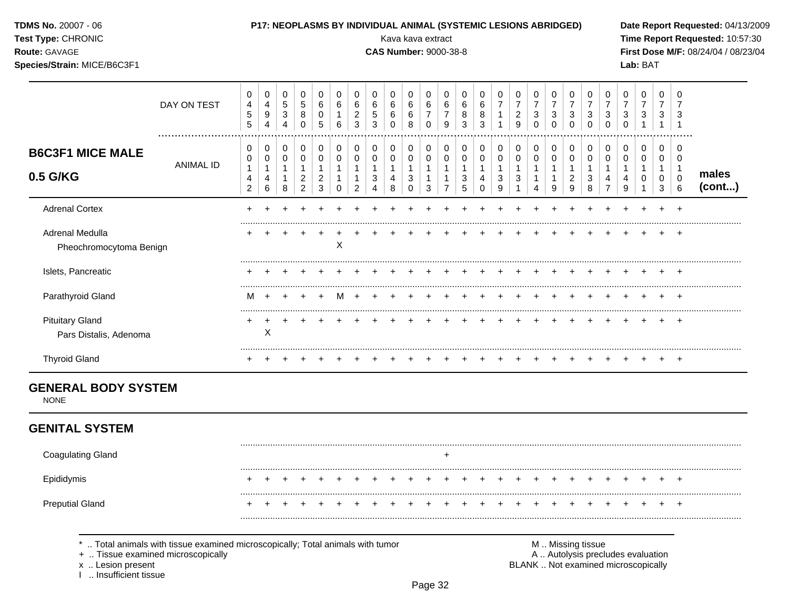| <b>TDMS No. 20007 - 06</b><br>Test Type: CHRONIC<br>Route: GAVAGE<br>Species/Strain: MICE/B6C3F1 |                                                                                                                    |                                     |                                 |                                      |                                                  |                                                |                              |                                                |                                           | P17: NEOPLASMS BY INDIVIDUAL ANIMAL (SYSTEMIC LESIONS ABRIDGED)<br>Kava kava extract<br><b>CAS Number: 9000-38-8</b> |                                           |                                               |                                                |                                 |                                           |                          |                                                |                                 |                                           |                                                    |                                                      |                                                  |                                         | Lab: BAT                                                                 |                                            |                                          | Date Report Requested: 04/13/2009<br>Time Report Requested: 10:57:30<br>First Dose M/F: 08/24/04 / 08/23/04 |
|--------------------------------------------------------------------------------------------------|--------------------------------------------------------------------------------------------------------------------|-------------------------------------|---------------------------------|--------------------------------------|--------------------------------------------------|------------------------------------------------|------------------------------|------------------------------------------------|-------------------------------------------|----------------------------------------------------------------------------------------------------------------------|-------------------------------------------|-----------------------------------------------|------------------------------------------------|---------------------------------|-------------------------------------------|--------------------------|------------------------------------------------|---------------------------------|-------------------------------------------|----------------------------------------------------|------------------------------------------------------|--------------------------------------------------|-----------------------------------------|--------------------------------------------------------------------------|--------------------------------------------|------------------------------------------|-------------------------------------------------------------------------------------------------------------|
|                                                                                                  | DAY ON TEST                                                                                                        | 0<br>4<br>5<br>5                    | 0<br>4<br>$\boldsymbol{9}$<br>4 | 0<br>$\sqrt{5}$<br>$\mathbf{3}$<br>4 | 0<br>$\sqrt{5}$<br>8<br>0                        | 0<br>6<br>0<br>5                               | 0<br>$\,6\,$<br>1<br>$\,6\,$ | 0<br>$\,6\,$<br>$\overline{c}$<br>$\mathbf{3}$ | 0<br>$\,6$<br>$\,$ 5 $\,$<br>$\mathbf{3}$ | 0<br>6<br>6<br>$\mathbf 0$                                                                                           | 0<br>6<br>$\,6$<br>8                      | 0<br>$\,6\,$<br>$\overline{7}$<br>$\mathbf 0$ | 0<br>$\,6\,$<br>$\overline{7}$<br>9            | 0<br>$\,6$<br>8<br>$\mathbf{3}$ | 0<br>$6\phantom{1}6$<br>8<br>$\mathbf{3}$ | 0<br>$\overline{7}$<br>1 | 0<br>$\overline{7}$<br>$\overline{c}$<br>$9\,$ | 0<br>$\boldsymbol{7}$<br>3<br>0 | 0<br>$\boldsymbol{7}$<br>3<br>$\mathbf 0$ | 0<br>$\overline{7}$<br>3<br>$\mathbf 0$            | 0<br>$\overline{7}$<br>$\sqrt{3}$<br>$\mathsf 0$     | 0<br>$\boldsymbol{7}$<br>$\sqrt{3}$<br>$\pmb{0}$ | 0<br>$\overline{7}$<br>3<br>$\mathbf 0$ | $\pmb{0}$<br>$\overline{7}$<br>$\ensuremath{\mathsf{3}}$                 | 0<br>$\overline{7}$<br>3<br>$\overline{1}$ | 0<br>$\overline{7}$<br>3<br>-1           |                                                                                                             |
| <b>B6C3F1 MICE MALE</b>                                                                          |                                                                                                                    | 0<br>0                              | 0<br>0                          | 0<br>$\mathsf{O}\xspace$             | 0<br>$\pmb{0}$                                   | 0<br>$\pmb{0}$                                 | $\pmb{0}$<br>$\pmb{0}$       | 0<br>$\mathsf{O}\xspace$                       | 0<br>$\pmb{0}$                            | 0<br>0                                                                                                               | 0<br>$\mathbf 0$                          | 0<br>$\mathbf 0$                              | 0<br>$\pmb{0}$                                 | 0<br>$\pmb{0}$                  | 0<br>$\pmb{0}$                            | 0<br>$\mathsf{O}\xspace$ | 0<br>$\mathsf 0$                               | 0<br>0                          | 0<br>0                                    | 0<br>$\pmb{0}$                                     | 0<br>$\pmb{0}$                                       | $\boldsymbol{0}$<br>$\pmb{0}$                    | 0<br>0                                  | $\pmb{0}$<br>$\mathsf 0$                                                 | 0<br>$\mathbf 0$                           | 0<br>0                                   |                                                                                                             |
| 0.5 G/KG                                                                                         | <b>ANIMAL ID</b>                                                                                                   | $\mathbf{1}$<br>4<br>$\overline{2}$ | 1<br>4<br>6                     | $\mathbf{1}$<br>1<br>8               | $\mathbf{1}$<br>$\overline{c}$<br>$\overline{2}$ | $\mathbf{1}$<br>$\overline{a}$<br>$\mathbf{3}$ | 1<br>$\mathbf 0$             | $\mathbf{1}$<br>$\overline{2}$                 | $\mathbf{1}$<br>3<br>4                    | $\mathbf{1}$<br>4<br>8                                                                                               | $\mathbf{1}$<br>$\sqrt{3}$<br>$\mathbf 0$ | $\mathbf{1}$<br>$\mathbf 1$<br>$\mathbf{3}$   | $\mathbf{1}$<br>$\mathbf{1}$<br>$\overline{7}$ | $\mathbf{1}$<br>3<br>$\sqrt{5}$ | $\mathbf{1}$<br>4<br>$\mathbf 0$          | $\mathbf{1}$<br>3<br>9   | $\mathbf{1}$<br>$\sqrt{3}$<br>$\mathbf{1}$     | 1<br>1<br>4                     | $\mathbf 1$<br>9                          | $\mathbf{1}$<br>$\overline{c}$<br>$\boldsymbol{9}$ | $\mathbf{1}$<br>$\ensuremath{\mathsf{3}}$<br>$\,8\,$ | $\mathbf{1}$<br>4<br>$\overline{7}$              | $\mathbf{1}$<br>4<br>9                  | $\mathbf{1}$<br>$\mathbf 0$                                              | $\mathbf{1}$<br>0<br>3                     | $\overline{1}$<br>$\mathbf 0$<br>$\,6\,$ | males<br>(cont)                                                                                             |
| <b>Adrenal Cortex</b>                                                                            |                                                                                                                    |                                     |                                 |                                      |                                                  |                                                |                              |                                                |                                           |                                                                                                                      |                                           |                                               |                                                |                                 |                                           |                          |                                                |                                 |                                           |                                                    |                                                      |                                                  |                                         |                                                                          |                                            |                                          |                                                                                                             |
| Adrenal Medulla<br>Pheochromocytoma Benign                                                       |                                                                                                                    |                                     |                                 |                                      | $\ddot{}$                                        | $\ddot{}$                                      | X                            |                                                |                                           |                                                                                                                      |                                           |                                               |                                                |                                 |                                           |                          |                                                |                                 |                                           |                                                    | $\ddot{}$                                            | $\ddot{}$                                        |                                         |                                                                          | $\pm$                                      | $^{+}$                                   |                                                                                                             |
| Islets, Pancreatic                                                                               |                                                                                                                    |                                     |                                 |                                      |                                                  |                                                |                              |                                                |                                           |                                                                                                                      |                                           |                                               |                                                |                                 |                                           |                          |                                                |                                 |                                           |                                                    |                                                      |                                                  |                                         |                                                                          |                                            |                                          |                                                                                                             |
| Parathyroid Gland                                                                                |                                                                                                                    | м                                   |                                 |                                      |                                                  |                                                | м                            |                                                |                                           |                                                                                                                      |                                           |                                               |                                                |                                 |                                           |                          |                                                |                                 |                                           |                                                    |                                                      |                                                  |                                         |                                                                          |                                            | $\overline{+}$                           |                                                                                                             |
| <b>Pituitary Gland</b><br>Pars Distalis, Adenoma                                                 |                                                                                                                    |                                     | X                               |                                      |                                                  |                                                |                              |                                                |                                           |                                                                                                                      |                                           |                                               |                                                |                                 |                                           |                          |                                                |                                 |                                           |                                                    |                                                      |                                                  |                                         |                                                                          |                                            | $\overline{+}$                           |                                                                                                             |
| <b>Thyroid Gland</b>                                                                             |                                                                                                                    |                                     |                                 |                                      |                                                  |                                                |                              |                                                |                                           |                                                                                                                      |                                           |                                               |                                                |                                 |                                           |                          |                                                |                                 |                                           | +                                                  |                                                      |                                                  |                                         |                                                                          |                                            | $+$                                      |                                                                                                             |
| <b>GENERAL BODY SYSTEM</b><br><b>NONE</b><br><b>GENITAL SYSTEM</b>                               |                                                                                                                    |                                     |                                 |                                      |                                                  |                                                |                              |                                                |                                           |                                                                                                                      |                                           |                                               |                                                |                                 |                                           |                          |                                                |                                 |                                           |                                                    |                                                      |                                                  |                                         |                                                                          |                                            |                                          |                                                                                                             |
| <b>Coagulating Gland</b>                                                                         |                                                                                                                    |                                     |                                 |                                      |                                                  |                                                |                              |                                                |                                           |                                                                                                                      |                                           |                                               | +                                              |                                 |                                           |                          |                                                |                                 |                                           |                                                    |                                                      |                                                  |                                         |                                                                          |                                            |                                          |                                                                                                             |
| Epididymis                                                                                       |                                                                                                                    |                                     |                                 |                                      |                                                  |                                                |                              |                                                |                                           |                                                                                                                      |                                           |                                               |                                                |                                 |                                           |                          |                                                | $\ddot{}$                       | $\pm$                                     | $^{+}$                                             | $+$                                                  | $\pm$                                            |                                         |                                                                          |                                            |                                          |                                                                                                             |
| <b>Preputial Gland</b>                                                                           |                                                                                                                    |                                     |                                 |                                      |                                                  |                                                |                              |                                                |                                           |                                                                                                                      |                                           |                                               |                                                |                                 |                                           |                          |                                                |                                 |                                           |                                                    |                                                      |                                                  |                                         |                                                                          |                                            |                                          |                                                                                                             |
| x  Lesion present<br>Insufficient tissue                                                         | Total animals with tissue examined microscopically; Total animals with tumor<br>+  Tissue examined microscopically |                                     |                                 |                                      |                                                  |                                                |                              |                                                |                                           |                                                                                                                      |                                           |                                               |                                                |                                 |                                           |                          |                                                |                                 | M  Missing tissue                         |                                                    |                                                      |                                                  |                                         | A  Autolysis precludes evaluation<br>BLANK  Not examined microscopically |                                            |                                          |                                                                                                             |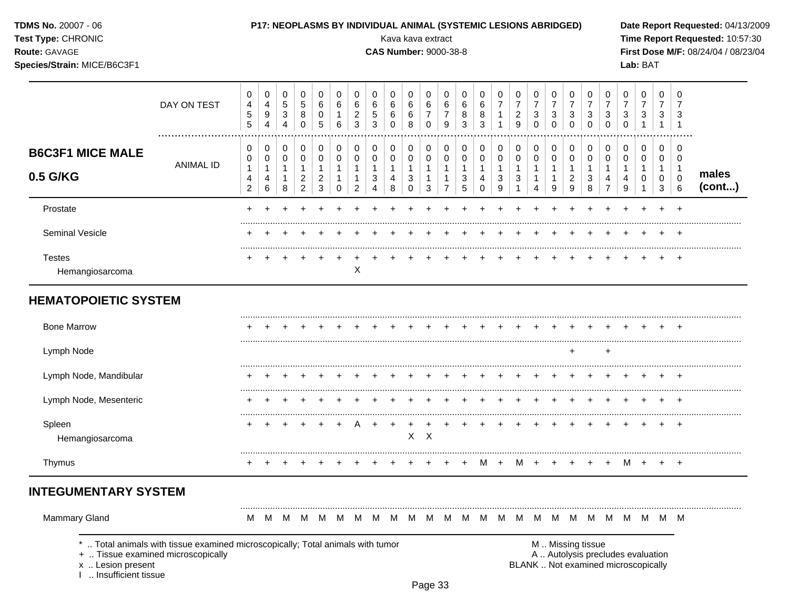| <b>TDMS No. 20007 - 06</b> |  |
|----------------------------|--|
|----------------------------|--|

# Test Type: CHRONIC

### Route: GAVAGE

Species/Strain: MICE/B6C3F1

# P17: NEOPLASMS BY INDIVIDUAL ANIMAL (SYSTEMIC LESIONS ABRIDGED)

Kava kava extract

**CAS Number: 9000-38-8** 

Date Report Requested: 04/13/2009 Time Report Requested: 10:57:30 First Dose M/F: 08/24/04 / 08/23/04 Lab: BAT

|                                             | DAY ON TEST                                                                                                        | 0<br>$\overline{\mathbf{4}}$<br>$\sqrt{5}$<br>5 | 0<br>4<br>$\boldsymbol{9}$<br>4          | 0<br>$\sqrt{5}$<br>$\mathbf{3}$<br>4                  | $\mathbf 0$<br>$\sqrt{5}$<br>8<br>0                                | $\pmb{0}$<br>6<br>0<br>$\sqrt{5}$                                      | 0<br>$\,6$<br>$\mathbf{1}$<br>6            | 0<br>6<br>$\overline{2}$<br>$\mathfrak{S}$                    | 0<br>$\,6$<br>$\,$ 5 $\,$<br>3                          | 0<br>$\,6$<br>$\,6$<br>$\Omega$          | 0<br>$\,6\,$<br>6<br>8                   | $\mathbf 0$<br>6<br>$\boldsymbol{7}$<br>$\mathbf 0$            | 0<br>6<br>$\overline{7}$<br>9                                    | 0<br>$\,6$<br>8<br>3                                         | $\pmb{0}$<br>6<br>8<br>3                           | 0<br>$\boldsymbol{7}$<br>$\mathbf{1}$<br>$\mathbf{1}$     | 0<br>$\overline{7}$<br>$\overline{2}$<br>9                | 0<br>$\overline{7}$<br>3<br>$\Omega$                | $\pmb{0}$<br>$\overline{7}$<br>3<br>0                     | 0<br>$\overline{7}$<br>$\mathbf{3}$<br>0              | 0<br>$\overline{7}$<br>3<br>$\Omega$             | 0<br>$\overline{7}$<br>3<br>$\Omega$                    | 0<br>$\overline{7}$<br>$\sqrt{3}$<br>$\mathbf 0$        | 0<br>$\boldsymbol{7}$<br>3<br>$\mathbf{1}$                               | 0<br>$\overline{7}$<br>$\mathbf{3}$<br>$\mathbf{1}$            | 0<br>7<br>3<br>$\mathbf{1}$                  |                 |
|---------------------------------------------|--------------------------------------------------------------------------------------------------------------------|-------------------------------------------------|------------------------------------------|-------------------------------------------------------|--------------------------------------------------------------------|------------------------------------------------------------------------|--------------------------------------------|---------------------------------------------------------------|---------------------------------------------------------|------------------------------------------|------------------------------------------|----------------------------------------------------------------|------------------------------------------------------------------|--------------------------------------------------------------|----------------------------------------------------|-----------------------------------------------------------|-----------------------------------------------------------|-----------------------------------------------------|-----------------------------------------------------------|-------------------------------------------------------|--------------------------------------------------|---------------------------------------------------------|---------------------------------------------------------|--------------------------------------------------------------------------|----------------------------------------------------------------|----------------------------------------------|-----------------|
| <b>B6C3F1 MICE MALE</b><br>0.5 G/KG         | <b>ANIMAL ID</b>                                                                                                   | 0<br>0<br>$\mathbf{1}$<br>4<br>$\overline{2}$   | 0<br>$\pmb{0}$<br>$\mathbf{1}$<br>4<br>6 | 0<br>$\mathbf 0$<br>$\mathbf{1}$<br>$\mathbf{1}$<br>8 | 0<br>$\pmb{0}$<br>$\mathbf{1}$<br>$\overline{2}$<br>$\overline{2}$ | $\,0\,$<br>$\pmb{0}$<br>$\mathbf{1}$<br>$\overline{c}$<br>$\mathbf{3}$ | 0<br>$\mathbf 0$<br>$\mathbf{1}$<br>1<br>0 | $\pmb{0}$<br>$\pmb{0}$<br>$\mathbf{1}$<br>1<br>$\overline{c}$ | 0<br>$\mathbf 0$<br>$\mathbf{1}$<br>3<br>$\overline{4}$ | 0<br>$\pmb{0}$<br>$\mathbf{1}$<br>4<br>8 | 0<br>$\pmb{0}$<br>$\mathbf{1}$<br>3<br>0 | 0<br>$\pmb{0}$<br>$\mathbf{1}$<br>$\mathbf{1}$<br>$\mathbf{3}$ | 0<br>$\pmb{0}$<br>$\mathbf{1}$<br>$\mathbf{1}$<br>$\overline{7}$ | 0<br>$\mathbf 0$<br>$\mathbf{1}$<br>$\sqrt{3}$<br>$\sqrt{5}$ | 0<br>$\pmb{0}$<br>$\mathbf{1}$<br>4<br>$\mathbf 0$ | 0<br>$\mathbf 0$<br>$\mathbf{1}$<br>3<br>$\boldsymbol{9}$ | 0<br>$\mathbf 0$<br>$\overline{1}$<br>3<br>$\overline{1}$ | 0<br>$\pmb{0}$<br>$\mathbf{1}$<br>$\mathbf{1}$<br>4 | $\,0\,$<br>$\pmb{0}$<br>$\mathbf{1}$<br>$\mathbf{1}$<br>9 | 0<br>$\pmb{0}$<br>$\mathbf{1}$<br>$\overline{c}$<br>9 | $\pmb{0}$<br>$\pmb{0}$<br>$\mathbf{1}$<br>3<br>8 | 0<br>$\mathbf 0$<br>$\mathbf{1}$<br>4<br>$\overline{7}$ | 0<br>$\pmb{0}$<br>$\mathbf{1}$<br>4<br>$\boldsymbol{9}$ | 0<br>$\pmb{0}$<br>$\mathbf{1}$<br>$\mathbf 0$<br>$\mathbf{1}$            | $\mathbf 0$<br>$\mathbf 0$<br>$\mathbf{1}$<br>$\mathbf 0$<br>3 | 0<br>0<br>$\overline{1}$<br>$\mathbf 0$<br>6 | males<br>(cont) |
| Prostate                                    |                                                                                                                    |                                                 |                                          |                                                       |                                                                    |                                                                        |                                            |                                                               |                                                         |                                          |                                          |                                                                |                                                                  |                                                              |                                                    |                                                           |                                                           |                                                     |                                                           |                                                       |                                                  |                                                         |                                                         |                                                                          |                                                                |                                              |                 |
| <b>Seminal Vesicle</b>                      |                                                                                                                    |                                                 |                                          |                                                       |                                                                    |                                                                        |                                            |                                                               |                                                         |                                          |                                          |                                                                |                                                                  |                                                              |                                                    |                                                           |                                                           |                                                     |                                                           |                                                       |                                                  |                                                         |                                                         |                                                                          |                                                                |                                              |                 |
| <b>Testes</b><br>Hemangiosarcoma            |                                                                                                                    |                                                 |                                          |                                                       |                                                                    |                                                                        |                                            | X                                                             |                                                         |                                          |                                          |                                                                |                                                                  |                                                              |                                                    |                                                           |                                                           |                                                     |                                                           |                                                       |                                                  |                                                         |                                                         |                                                                          |                                                                | $\div$                                       |                 |
| <b>HEMATOPOIETIC SYSTEM</b>                 |                                                                                                                    |                                                 |                                          |                                                       |                                                                    |                                                                        |                                            |                                                               |                                                         |                                          |                                          |                                                                |                                                                  |                                                              |                                                    |                                                           |                                                           |                                                     |                                                           |                                                       |                                                  |                                                         |                                                         |                                                                          |                                                                |                                              |                 |
| <b>Bone Marrow</b>                          |                                                                                                                    |                                                 |                                          |                                                       |                                                                    |                                                                        |                                            |                                                               |                                                         |                                          |                                          |                                                                |                                                                  |                                                              |                                                    |                                                           |                                                           |                                                     |                                                           |                                                       |                                                  |                                                         |                                                         |                                                                          |                                                                |                                              |                 |
| Lymph Node                                  |                                                                                                                    |                                                 |                                          |                                                       |                                                                    |                                                                        |                                            |                                                               |                                                         |                                          |                                          |                                                                |                                                                  |                                                              |                                                    |                                                           |                                                           |                                                     |                                                           | $\ddot{}$                                             |                                                  | $\ddot{}$                                               |                                                         |                                                                          |                                                                |                                              |                 |
| Lymph Node, Mandibular                      |                                                                                                                    |                                                 |                                          |                                                       |                                                                    |                                                                        |                                            |                                                               |                                                         |                                          |                                          |                                                                |                                                                  |                                                              |                                                    |                                                           |                                                           |                                                     |                                                           |                                                       |                                                  |                                                         |                                                         | $\div$                                                                   |                                                                |                                              |                 |
| Lymph Node, Mesenteric                      |                                                                                                                    |                                                 |                                          |                                                       |                                                                    |                                                                        |                                            |                                                               |                                                         |                                          |                                          |                                                                |                                                                  |                                                              |                                                    |                                                           |                                                           |                                                     |                                                           |                                                       |                                                  |                                                         |                                                         |                                                                          |                                                                |                                              |                 |
| Spleen<br>Hemangiosarcoma                   |                                                                                                                    |                                                 |                                          |                                                       |                                                                    |                                                                        |                                            |                                                               |                                                         | $\ddot{}$                                | X                                        | $\boldsymbol{\mathsf{X}}$                                      |                                                                  |                                                              |                                                    |                                                           |                                                           |                                                     |                                                           |                                                       |                                                  |                                                         | $\div$                                                  | $\div$                                                                   | $\ddot{}$                                                      | $\overline{ }$                               |                 |
| Thymus                                      |                                                                                                                    |                                                 |                                          |                                                       |                                                                    |                                                                        |                                            |                                                               |                                                         |                                          |                                          |                                                                |                                                                  |                                                              | м                                                  | $+$                                                       | M                                                         |                                                     |                                                           |                                                       |                                                  |                                                         | M                                                       | $+$                                                                      | $+$                                                            | $+$                                          |                 |
| <b>INTEGUMENTARY SYSTEM</b>                 |                                                                                                                    |                                                 |                                          |                                                       |                                                                    |                                                                        |                                            |                                                               |                                                         |                                          |                                          |                                                                |                                                                  |                                                              |                                                    |                                                           |                                                           |                                                     |                                                           |                                                       |                                                  |                                                         |                                                         |                                                                          |                                                                |                                              |                 |
| <b>Mammary Gland</b>                        |                                                                                                                    | M                                               |                                          | M M                                                   | M                                                                  | M                                                                      | M                                          | M                                                             |                                                         | M M                                      |                                          |                                                                | M M M M M M M M                                                  |                                                              |                                                    |                                                           |                                                           |                                                     |                                                           |                                                       | M M                                              |                                                         |                                                         | M M M M M                                                                |                                                                |                                              |                 |
| x  Lesion present<br>I  Insufficient tissue | Total animals with tissue examined microscopically; Total animals with tumor<br>+  Tissue examined microscopically |                                                 |                                          |                                                       |                                                                    |                                                                        |                                            |                                                               |                                                         |                                          |                                          |                                                                |                                                                  |                                                              |                                                    |                                                           |                                                           |                                                     |                                                           |                                                       | M  Missing tissue                                |                                                         |                                                         | A  Autolysis precludes evaluation<br>BLANK  Not examined microscopically |                                                                |                                              |                 |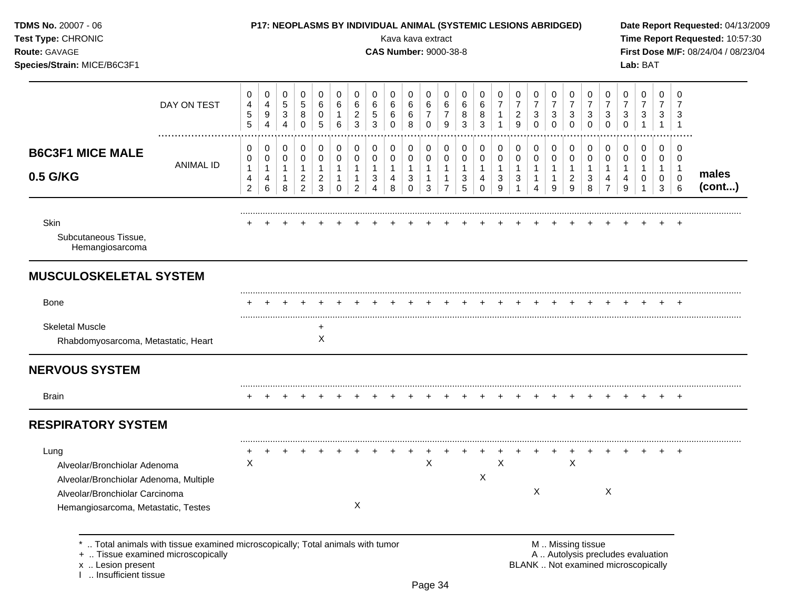| TDMS No. 20007 - 06<br>Test Type: CHRONIC<br>Route: GAVAGE<br>Species/Strain: MICE/B6C3F1                                                               |                                                                                                                    |                                  |                                 |                                                                 |                                                            |                                               |                              |                                             |                                  | Kava kava extract<br><b>CAS Number: 9000-38-8</b> |                                        |                                            |                                          |                                    | P17: NEOPLASMS BY INDIVIDUAL ANIMAL (SYSTEMIC LESIONS ABRIDGED) |                     |                                             |                                  |                                  |                                         |                                                    |                                                    |                             | Lab: BAT                                                                 |                  |                                              | Date Report Requested: 04/13/2009<br>Time Report Requested: 10:57:30<br>First Dose M/F: 08/24/04 / 08/23/04 |
|---------------------------------------------------------------------------------------------------------------------------------------------------------|--------------------------------------------------------------------------------------------------------------------|----------------------------------|---------------------------------|-----------------------------------------------------------------|------------------------------------------------------------|-----------------------------------------------|------------------------------|---------------------------------------------|----------------------------------|---------------------------------------------------|----------------------------------------|--------------------------------------------|------------------------------------------|------------------------------------|-----------------------------------------------------------------|---------------------|---------------------------------------------|----------------------------------|----------------------------------|-----------------------------------------|----------------------------------------------------|----------------------------------------------------|-----------------------------|--------------------------------------------------------------------------|------------------|----------------------------------------------|-------------------------------------------------------------------------------------------------------------|
|                                                                                                                                                         | DAY ON TEST                                                                                                        | 0<br>4<br>$\mathbf 5$<br>5       | 0<br>4<br>9<br>$\overline{4}$   | 0<br>$\,$ 5 $\,$<br>$\ensuremath{\mathsf{3}}$<br>$\overline{4}$ | 0<br>$\sqrt{5}$<br>8<br>$\mathbf 0$                        | 0<br>$\,6$<br>0<br>5                          | 0<br>$\,6$<br>1<br>$\,6\,$   | 0<br>6<br>$\overline{c}$<br>3               | 0<br>6<br>5<br>3                 | 0<br>6<br>6<br>$\Omega$                           | 0<br>6<br>6<br>8                       | 0<br>6<br>$\overline{7}$<br>0              | 0<br>6<br>$\overline{7}$<br>9            | 0<br>6<br>8<br>3                   | 0<br>6<br>8<br>3                                                | 0<br>$\overline{7}$ | 0<br>$\overline{7}$<br>$\overline{a}$<br>9  | 0<br>7<br>3<br>$\Omega$          | 0<br>7<br>3<br>$\Omega$          | 0<br>$\overline{7}$<br>3<br>$\mathbf 0$ | 0<br>$\overline{7}$<br>$\mathbf{3}$<br>$\mathbf 0$ | 0<br>$\overline{7}$<br>$\mathbf{3}$<br>$\mathbf 0$ | 0<br>7<br>3<br>0            | 0<br>$\overline{7}$<br>3                                                 | 0<br>7<br>3      | 0<br>$\overline{1}$                          |                                                                                                             |
| <b>B6C3F1 MICE MALE</b><br>0.5 G/KG                                                                                                                     | ANIMAL ID                                                                                                          | 0<br>0<br>$\mathbf{1}$<br>4<br>2 | 0<br>0<br>$\mathbf 1$<br>4<br>6 | 0<br>0<br>$\mathbf{1}$<br>8                                     | 0<br>0<br>$\mathbf{1}$<br>$\overline{a}$<br>$\overline{2}$ | 0<br>0<br>$\mathbf{1}$<br>$\overline{c}$<br>3 | 0<br>0<br>1<br>1<br>$\Omega$ | 0<br>0<br>$\mathbf{1}$<br>$\mathbf{1}$<br>2 | 0<br>0<br>$\mathbf{1}$<br>3<br>4 | 0<br>0<br>1<br>4<br>8                             | 0<br>0<br>$\mathbf 1$<br>3<br>$\Omega$ | 0<br>0<br>$\mathbf{1}$<br>$\mathbf 1$<br>3 | 0<br>0<br>$\mathbf{1}$<br>$\overline{7}$ | 0<br>0<br>$\overline{1}$<br>3<br>5 | 0<br>0<br>$\mathbf{1}$<br>4<br>$\Omega$                         | 0<br>0<br>3<br>9    | 0<br>0<br>$\mathbf{1}$<br>3<br>$\mathbf{1}$ | 0<br>0<br>$\mathbf{1}$<br>1<br>4 | 0<br>0<br>$\mathbf{1}$<br>1<br>9 | 0<br>0<br>$\overline{2}$<br>9           | 0<br>0<br>$\mathbf{1}$<br>3<br>8                   | 0<br>0<br>$\mathbf{1}$<br>$\overline{7}$           | 0<br>0<br>$\mathbf{1}$<br>9 | 0<br>0<br>1<br>-1                                                        | 0<br>0<br>0<br>3 | 0<br>0<br>$\overline{1}$<br>$\mathbf 0$<br>6 | males<br>(cont)                                                                                             |
| Skin<br>Subcutaneous Tissue,<br>Hemangiosarcoma                                                                                                         |                                                                                                                    |                                  |                                 |                                                                 |                                                            |                                               |                              |                                             |                                  |                                                   |                                        |                                            |                                          |                                    |                                                                 |                     |                                             |                                  |                                  |                                         |                                                    |                                                    |                             |                                                                          |                  |                                              |                                                                                                             |
| <b>MUSCULOSKELETAL SYSTEM</b>                                                                                                                           |                                                                                                                    |                                  |                                 |                                                                 |                                                            |                                               |                              |                                             |                                  |                                                   |                                        |                                            |                                          |                                    |                                                                 |                     |                                             |                                  |                                  |                                         |                                                    |                                                    |                             |                                                                          |                  |                                              |                                                                                                             |
| Bone                                                                                                                                                    |                                                                                                                    |                                  |                                 |                                                                 |                                                            |                                               |                              |                                             |                                  |                                                   |                                        |                                            |                                          |                                    |                                                                 |                     |                                             |                                  |                                  |                                         |                                                    |                                                    |                             |                                                                          |                  |                                              |                                                                                                             |
| <b>Skeletal Muscle</b><br>Rhabdomyosarcoma, Metastatic, Heart                                                                                           |                                                                                                                    |                                  |                                 |                                                                 |                                                            | +<br>X                                        |                              |                                             |                                  |                                                   |                                        |                                            |                                          |                                    |                                                                 |                     |                                             |                                  |                                  |                                         |                                                    |                                                    |                             |                                                                          |                  |                                              |                                                                                                             |
| <b>NERVOUS SYSTEM</b>                                                                                                                                   |                                                                                                                    |                                  |                                 |                                                                 |                                                            |                                               |                              |                                             |                                  |                                                   |                                        |                                            |                                          |                                    |                                                                 |                     |                                             |                                  |                                  |                                         |                                                    |                                                    |                             |                                                                          |                  |                                              |                                                                                                             |
| <b>Brain</b>                                                                                                                                            |                                                                                                                    |                                  |                                 |                                                                 |                                                            |                                               |                              |                                             |                                  |                                                   |                                        |                                            |                                          |                                    |                                                                 |                     |                                             |                                  |                                  |                                         |                                                    |                                                    |                             |                                                                          |                  |                                              |                                                                                                             |
| <b>RESPIRATORY SYSTEM</b>                                                                                                                               |                                                                                                                    |                                  |                                 |                                                                 |                                                            |                                               |                              |                                             |                                  |                                                   |                                        |                                            |                                          |                                    |                                                                 |                     |                                             |                                  |                                  |                                         |                                                    |                                                    |                             |                                                                          |                  |                                              |                                                                                                             |
| Lung<br>Alveolar/Bronchiolar Adenoma<br>Alveolar/Bronchiolar Adenoma, Multiple<br>Alveolar/Bronchiolar Carcinoma<br>Hemangiosarcoma, Metastatic, Testes |                                                                                                                    | Χ                                |                                 |                                                                 |                                                            |                                               |                              | X                                           |                                  |                                                   |                                        | X                                          |                                          |                                    | X                                                               | X                   |                                             | Χ                                |                                  | X                                       |                                                    | X                                                  |                             |                                                                          |                  |                                              |                                                                                                             |
| x  Lesion present<br>Insufficient tissue                                                                                                                | Total animals with tissue examined microscopically; Total animals with tumor<br>+  Tissue examined microscopically |                                  |                                 |                                                                 |                                                            |                                               |                              |                                             |                                  |                                                   |                                        |                                            |                                          |                                    |                                                                 |                     |                                             |                                  |                                  |                                         | M  Missing tissue                                  |                                                    |                             | A  Autolysis precludes evaluation<br>BLANK  Not examined microscopically |                  |                                              |                                                                                                             |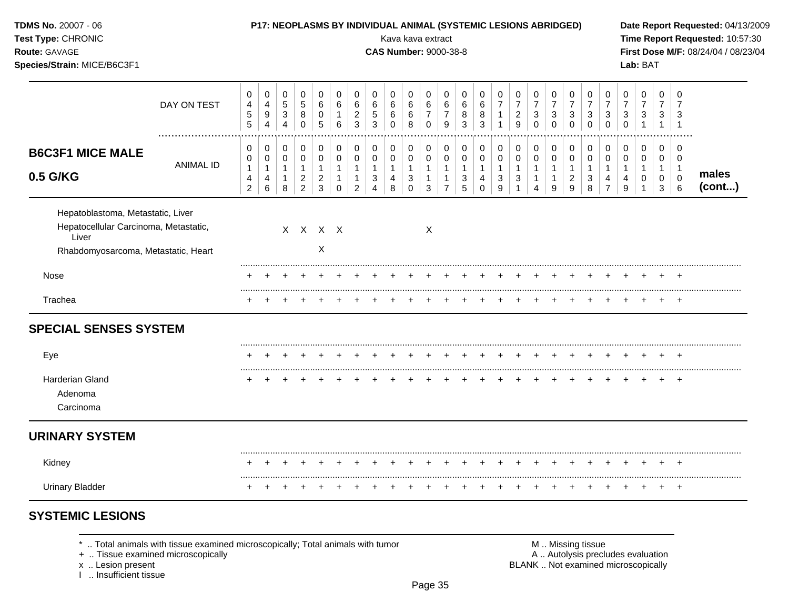| TDMS No. 20007 - 06<br>Test Type: CHRONIC<br>Route: GAVAGE<br>Species/Strain: MICE/B6C3F1                                  | <b>P17: NEOPLASMS BY INDIVIDUAL ANIMAL (SYSTEMIC LESIONS ABRIDGED)</b><br>Kava kava extract<br><b>CAS Number: 9000-38-8</b> |                                                         |                                                  |                                                                 |                                                                      |                                                                    |                                                                 |                                                                    |                                                         |                                                         |                                                      |                                                                  |                                                                    |                                                         |                                                   | Date Report Requested: 04/13/2009<br>Time Report Requested: 10:57:30<br>First Dose M/F: 08/24/04 / 08/23/04<br>Lab: BAT |                                                                    |                                                    |                                                       |                                                       |                                                                   |                                                                 |                                         |                                          |                                           |                                                     |                 |
|----------------------------------------------------------------------------------------------------------------------------|-----------------------------------------------------------------------------------------------------------------------------|---------------------------------------------------------|--------------------------------------------------|-----------------------------------------------------------------|----------------------------------------------------------------------|--------------------------------------------------------------------|-----------------------------------------------------------------|--------------------------------------------------------------------|---------------------------------------------------------|---------------------------------------------------------|------------------------------------------------------|------------------------------------------------------------------|--------------------------------------------------------------------|---------------------------------------------------------|---------------------------------------------------|-------------------------------------------------------------------------------------------------------------------------|--------------------------------------------------------------------|----------------------------------------------------|-------------------------------------------------------|-------------------------------------------------------|-------------------------------------------------------------------|-----------------------------------------------------------------|-----------------------------------------|------------------------------------------|-------------------------------------------|-----------------------------------------------------|-----------------|
|                                                                                                                            | DAY ON TEST                                                                                                                 | 0<br>4<br>$\sqrt{5}$<br>5                               | 0<br>4<br>$\boldsymbol{9}$<br>$\overline{4}$     | 0<br>$\mathbf 5$<br>$\ensuremath{\mathsf{3}}$<br>$\overline{4}$ | 0<br>$\sqrt{5}$<br>$\bf 8$<br>$\mathbf 0$                            | 0<br>6<br>$\mathbf 0$<br>$\overline{5}$                            | 0<br>$\,6\,$<br>$\mathbf{1}$<br>$6\phantom{a}$                  | 0<br>6<br>$\overline{c}$<br>$\mathbf{3}$                           | 0<br>6<br>5<br>3                                        | 0<br>6<br>6<br>$\Omega$                                 | 0<br>6<br>6<br>8                                     | 0<br>$\,6\,$<br>$\overline{7}$<br>$\mathbf 0$                    | 0<br>6<br>$\overline{7}$<br>9                                      | 0<br>6<br>8<br>$\mathbf{3}$                             | 0<br>$\,6\,$<br>8<br>3                            | 0<br>$\overline{7}$<br>$\mathbf{1}$                                                                                     | 0<br>$\boldsymbol{7}$<br>$\overline{\mathbf{c}}$<br>$\overline{9}$ | 0<br>$\boldsymbol{7}$<br>3<br>$\Omega$             | 0<br>$\overline{7}$<br>3<br>$\Omega$                  | 0<br>$\overline{7}$<br>$\sqrt{3}$<br>$\mathbf 0$      | 0<br>$\boldsymbol{7}$<br>$\ensuremath{\mathsf{3}}$<br>$\mathbf 0$ | 0<br>$\overline{7}$<br>$\ensuremath{\mathsf{3}}$<br>$\mathbf 0$ | 0<br>$\overline{7}$<br>3<br>$\mathbf 0$ | 0<br>$\overline{7}$<br>3<br>$\mathbf{1}$ | 0<br>$\overline{7}$<br>3<br>$\mathbf{1}$  | 0<br>7<br>3<br>$\overline{1}$                       |                 |
| <b>B6C3F1 MICE MALE</b><br>0.5 G/KG                                                                                        | .<br><b>ANIMAL ID</b>                                                                                                       | 0<br>$\mathbf 0$<br>$\mathbf{1}$<br>4<br>$\overline{2}$ | 0<br>$\mathbf 0$<br>$\mathbf{1}$<br>4<br>$\,6\,$ | 0<br>$\mathbf 0$<br>$\mathbf{1}$<br>$\mathbf{1}$<br>8           | 0<br>$\mathbf 0$<br>$\mathbf{1}$<br>$\overline{c}$<br>$\overline{2}$ | 0<br>$\mathbf 0$<br>$\mathbf{1}$<br>$\overline{c}$<br>$\mathbf{3}$ | 0<br>$\mathbf 0$<br>$\mathbf{1}$<br>$\mathbf{1}$<br>$\mathbf 0$ | 0<br>$\mathbf 0$<br>$\mathbf{1}$<br>$\mathbf{1}$<br>$\overline{c}$ | 0<br>$\mathbf 0$<br>$\mathbf{1}$<br>3<br>$\overline{4}$ | 0<br>$\mathbf 0$<br>$\mathbf{1}$<br>$\overline{4}$<br>8 | 0<br>$\mathbf 0$<br>$\mathbf{1}$<br>3<br>$\mathbf 0$ | 0<br>$\mathbf 0$<br>$\mathbf{1}$<br>$\mathbf{1}$<br>$\mathbf{3}$ | 0<br>$\mathbf 0$<br>$\mathbf{1}$<br>$\mathbf{1}$<br>$\overline{7}$ | 0<br>$\mathbf 0$<br>$\overline{1}$<br>$\mathbf{3}$<br>5 | 0<br>$\mathbf 0$<br>$\mathbf{1}$<br>4<br>$\Omega$ | 0<br>$\mathbf 0$<br>$\mathbf{1}$<br>3<br>$\boldsymbol{9}$                                                               | 0<br>$\mathbf 0$<br>$\mathbf{1}$<br>$\sqrt{3}$<br>$\mathbf{1}$     | 0<br>$\Omega$<br>$\mathbf{1}$<br>$\mathbf{1}$<br>4 | 0<br>$\mathbf 0$<br>$\mathbf{1}$<br>$\mathbf{1}$<br>9 | 0<br>$\mathbf 0$<br>1<br>$\overline{\mathbf{c}}$<br>9 | 0<br>$\mathbf 0$<br>$\mathbf{1}$<br>$\sqrt{3}$<br>8               | 0<br>$\mathbf 0$<br>$\mathbf{1}$<br>4<br>$\overline{7}$         | 0<br>$\Omega$<br>$\mathbf{1}$<br>4<br>9 | 0<br>$\Omega$<br>1<br>0<br>$\mathbf{1}$  | 0<br>$\mathbf 0$<br>$\mathbf 1$<br>0<br>3 | 0<br>$\Omega$<br>$\overline{1}$<br>$\mathbf 0$<br>6 | males<br>(cont) |
| Hepatoblastoma, Metastatic, Liver<br>Hepatocellular Carcinoma, Metastatic,<br>Liver<br>Rhabdomyosarcoma, Metastatic, Heart |                                                                                                                             |                                                         |                                                  |                                                                 |                                                                      | X X X X<br>$\mathsf X$                                             |                                                                 |                                                                    |                                                         |                                                         |                                                      | X                                                                |                                                                    |                                                         |                                                   |                                                                                                                         |                                                                    |                                                    |                                                       |                                                       |                                                                   |                                                                 |                                         |                                          |                                           |                                                     |                 |
| Nose                                                                                                                       |                                                                                                                             |                                                         |                                                  |                                                                 |                                                                      |                                                                    |                                                                 |                                                                    |                                                         |                                                         |                                                      |                                                                  |                                                                    |                                                         |                                                   |                                                                                                                         |                                                                    |                                                    |                                                       |                                                       |                                                                   |                                                                 |                                         |                                          |                                           |                                                     |                 |
| Trachea                                                                                                                    |                                                                                                                             |                                                         |                                                  |                                                                 |                                                                      |                                                                    |                                                                 |                                                                    |                                                         |                                                         |                                                      |                                                                  |                                                                    |                                                         |                                                   |                                                                                                                         |                                                                    |                                                    |                                                       |                                                       |                                                                   |                                                                 |                                         |                                          |                                           | $+$                                                 |                 |
| <b>SPECIAL SENSES SYSTEM</b>                                                                                               |                                                                                                                             |                                                         |                                                  |                                                                 |                                                                      |                                                                    |                                                                 |                                                                    |                                                         |                                                         |                                                      |                                                                  |                                                                    |                                                         |                                                   |                                                                                                                         |                                                                    |                                                    |                                                       |                                                       |                                                                   |                                                                 |                                         |                                          |                                           |                                                     |                 |
| Eye                                                                                                                        |                                                                                                                             |                                                         |                                                  |                                                                 |                                                                      |                                                                    |                                                                 |                                                                    |                                                         |                                                         |                                                      |                                                                  |                                                                    |                                                         |                                                   |                                                                                                                         |                                                                    | $\div$                                             | ÷                                                     | $\div$                                                | $\div$                                                            | $\div$                                                          |                                         |                                          | $\pm$                                     | $+$                                                 |                 |
| Harderian Gland<br>Adenoma<br>Carcinoma                                                                                    |                                                                                                                             |                                                         |                                                  |                                                                 |                                                                      |                                                                    |                                                                 |                                                                    |                                                         |                                                         |                                                      |                                                                  |                                                                    |                                                         |                                                   |                                                                                                                         |                                                                    |                                                    |                                                       |                                                       |                                                                   |                                                                 |                                         |                                          |                                           | $+$                                                 |                 |
| <b>URINARY SYSTEM</b>                                                                                                      |                                                                                                                             |                                                         |                                                  |                                                                 |                                                                      |                                                                    |                                                                 |                                                                    |                                                         |                                                         |                                                      |                                                                  |                                                                    |                                                         |                                                   |                                                                                                                         |                                                                    |                                                    |                                                       |                                                       |                                                                   |                                                                 |                                         |                                          |                                           |                                                     |                 |
| Kidney                                                                                                                     |                                                                                                                             |                                                         |                                                  |                                                                 |                                                                      |                                                                    |                                                                 |                                                                    |                                                         |                                                         |                                                      |                                                                  |                                                                    |                                                         |                                                   |                                                                                                                         |                                                                    |                                                    |                                                       |                                                       |                                                                   |                                                                 |                                         |                                          |                                           |                                                     |                 |
| <b>Urinary Bladder</b>                                                                                                     |                                                                                                                             | $^{+}$                                                  | $\overline{+}$                                   | $\div$                                                          | ÷                                                                    |                                                                    |                                                                 |                                                                    | $\div$                                                  |                                                         |                                                      |                                                                  |                                                                    |                                                         |                                                   |                                                                                                                         |                                                                    | $\div$                                             |                                                       | ÷                                                     | $\ddot{}$                                                         | $\ddot{}$                                                       | +                                       |                                          | $\ddot{}$                                 | $+$                                                 |                 |

 $*$  .. Total animals with tissue examined microscopically; Total animals with tumor  $\blacksquare$  M .. Missing tissue

x .. Lesion present<br>I .. Insufficient tissue

+ .. Tissue examined microscopically  $\blacksquare$  A .. Autolysis precludes evaluation M .. Missing tissue<br>A .. Autolysis precludes evaluation<br>BLANK .. Not examined microscopically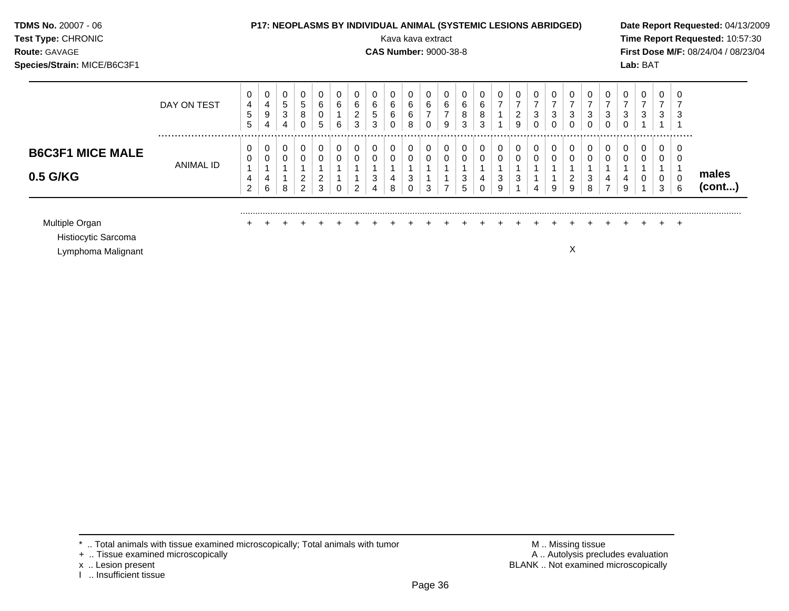| TDMS No. 20007 - 06<br>Test Type: CHRONIC<br><b>Route: GAVAGE</b><br>Species/Strain: MICE/B6C3F1 |               | P17: NEOPLASMS BY INDIVIDUAL ANIMAL (SYSTEMIC LESIONS ABRIDGED)<br>Date Report Requested: 04/13/2009<br>Kava kava extract<br>Time Report Requested: 10:57:30<br>First Dose M/F: 08/24/04 / 08/23/04<br><b>CAS Number: 9000-38-8</b><br>Lab: BAT |                  |                           |                           |                       |             |                          |             |        |                   |                               |                                   |                  |             |                            |        |                               |   |                          |                               |                                        |                     |   |                                 |   |                 |
|--------------------------------------------------------------------------------------------------|---------------|-------------------------------------------------------------------------------------------------------------------------------------------------------------------------------------------------------------------------------------------------|------------------|---------------------------|---------------------------|-----------------------|-------------|--------------------------|-------------|--------|-------------------|-------------------------------|-----------------------------------|------------------|-------------|----------------------------|--------|-------------------------------|---|--------------------------|-------------------------------|----------------------------------------|---------------------|---|---------------------------------|---|-----------------|
|                                                                                                  | DAY ON TEST   | 0<br>4<br>5<br>5                                                                                                                                                                                                                                | 0<br>4<br>9<br>4 | 0<br>$\sqrt{5}$<br>3<br>4 | 0<br>$\sqrt{5}$<br>8<br>0 | 6<br>$\mathbf 0$<br>5 | 0<br>6<br>6 | 6<br>$\overline{2}$<br>3 | 6<br>5<br>3 | 6<br>6 | 6<br>$\,6\,$<br>8 | 0<br>6<br>$\overline{ }$<br>0 | 0<br>$\,6$<br>$\overline{ }$<br>9 | 0<br>6<br>8<br>3 | 6<br>8<br>3 | 0<br>7                     | 2<br>9 | $\overline{\phantom{a}}$<br>3 | 3 | $\overline{ }$<br>3<br>0 | 0<br>$\overline{7}$<br>3<br>0 | 0<br>$\overline{7}$<br>$\sqrt{3}$<br>0 | $\overline{7}$<br>3 | 3 | $\Omega$<br>$\overline{7}$<br>3 |   |                 |
| <b>B6C3F1 MICE MALE</b><br>0.5 G/KG                                                              | <br>ANIMAL ID | 0<br>4<br>$\overline{2}$                                                                                                                                                                                                                        | 0<br>6           | 0<br>0<br>8               | 0<br>0<br>2<br>2          | 0<br>2<br>3           | 0<br>0<br>0 | $\Omega$                 | 3           |        | 0<br>3<br>0       | 0<br>0<br>3                   | 0<br>0                            | 0<br>0<br>3<br>5 | 0           | $\mathbf 0$<br>0<br>3<br>9 | 0      | 0                             | 0 | 0<br>0<br>2<br>9         | 0<br>0<br>3<br>8              | 0<br>0                                 | 0<br>0<br>9         | 0 | $\overline{0}$<br>0<br>3        | 6 | males<br>(cont) |
| Multiple Organ<br>Histiocytic Sarcoma<br>Lymphoma Malignant                                      |               |                                                                                                                                                                                                                                                 |                  |                           |                           |                       |             |                          |             |        |                   |                               |                                   |                  |             |                            |        |                               |   | X                        |                               |                                        |                     |   |                                 |   |                 |

 $*$  .. Total animals with tissue examined microscopically; Total animals with tumor  $\blacksquare$  M .. Missing tissue

x .. Lesion present<br>I .. Insufficient tissue

+ .. Tissue examined microscopically  $\blacksquare$  A .. Autolysis precludes evaluation M .. Missing tissue<br>A .. Autolysis precludes evaluation<br>BLANK .. Not examined microscopically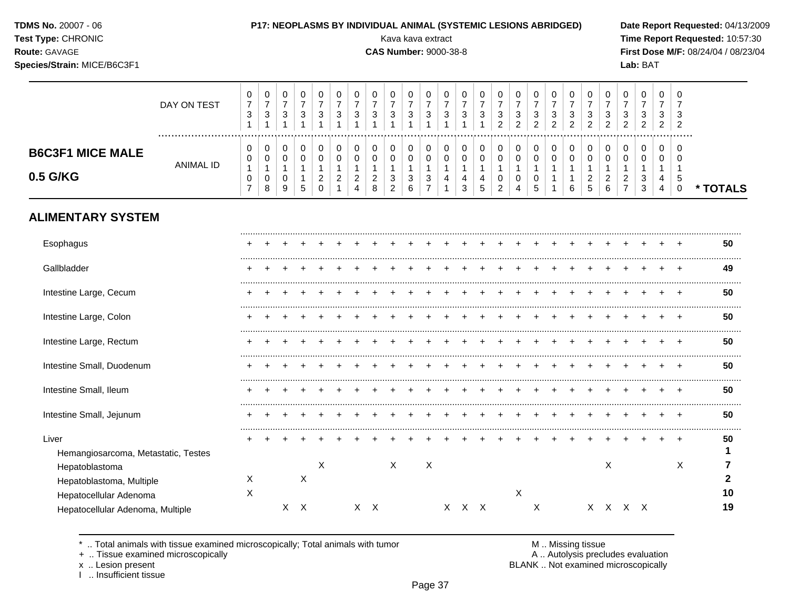| <b>TDMS No. 20007 - 06</b> |  |
|----------------------------|--|
|----------------------------|--|

**Species/Strain:** MICE/B6C3F1 **Lab:** BAT

#### P17: NEOPLASMS BY INDIVIDUAL ANIMAL (SYSTEMIC LESIONS ABRIDGED) Date Report Requested: 04/13/2009

**Test Type:** CHRONIC Kava kava extract **Time Report Requested:** 10:57:30 **Route:** GAVAGE **CAS Number:** 9000-38-8 **First Dose M/F:** 08/24/04 / 08/23/04

|                                                                      | DAY ON TEST           | 0<br>$\boldsymbol{7}$<br>$\ensuremath{\mathsf{3}}$<br>$\mathbf{1}$ | 0<br>$\boldsymbol{7}$<br>$\ensuremath{\mathsf{3}}$<br>$\mathbf{1}$ | 0<br>$\overline{7}$<br>$\ensuremath{\mathsf{3}}$<br>$\mathbf{1}$ | 0<br>$\overline{7}$<br>$\ensuremath{\mathsf{3}}$<br>$\mathbf{1}$ | 0<br>$\overline{7}$<br>$\sqrt{3}$<br>$\mathbf 1$ | 0<br>$\overline{7}$<br>3<br>$\mathbf 1$       | 0<br>$\overline{7}$<br>$\mathbf{3}$<br>$\overline{\mathbf{1}}$ | 0<br>$\overline{7}$<br>3<br>$\overline{ }$    | 0<br>$\overline{7}$<br>$\ensuremath{\mathsf{3}}$<br>1           | 0<br>$\overline{7}$<br>$\ensuremath{\mathsf{3}}$<br>1 | 0<br>$\overline{7}$<br>3<br>$\overline{1}$               | 0<br>$\boldsymbol{7}$<br>3<br>1 | 0<br>$\overline{7}$<br>$\ensuremath{\mathsf{3}}$ | 0<br>$\overline{7}$<br>$\ensuremath{\mathsf{3}}$<br>1 | 0<br>$\overline{7}$<br>$\ensuremath{\mathsf{3}}$<br>$\overline{2}$    | 0<br>$\overline{7}$<br>$\ensuremath{\mathsf{3}}$<br>$\overline{2}$ | 0<br>$\overline{\mathbf{7}}$<br>$\ensuremath{\mathsf{3}}$<br>$\overline{2}$ | 0<br>$\overline{7}$<br>$\ensuremath{\mathsf{3}}$<br>$\overline{2}$ | 0<br>$\overline{7}$<br>$\sqrt{3}$<br>2 | 0<br>$\overline{7}$<br>3<br>$\overline{2}$ | 0<br>$\overline{7}$<br>3<br>$\overline{2}$   | 0<br>$\overline{7}$<br>3<br>$\overline{2}$      | 0<br>$\overline{7}$<br>3<br>$\overline{a}$ | 0<br>$\overline{7}$<br>3<br>$\overline{2}$ | 0<br>7<br>3<br>2                                       |          |
|----------------------------------------------------------------------|-----------------------|--------------------------------------------------------------------|--------------------------------------------------------------------|------------------------------------------------------------------|------------------------------------------------------------------|--------------------------------------------------|-----------------------------------------------|----------------------------------------------------------------|-----------------------------------------------|-----------------------------------------------------------------|-------------------------------------------------------|----------------------------------------------------------|---------------------------------|--------------------------------------------------|-------------------------------------------------------|-----------------------------------------------------------------------|--------------------------------------------------------------------|-----------------------------------------------------------------------------|--------------------------------------------------------------------|----------------------------------------|--------------------------------------------|----------------------------------------------|-------------------------------------------------|--------------------------------------------|--------------------------------------------|--------------------------------------------------------|----------|
| <b>B6C3F1 MICE MALE</b><br>0.5 G/KG                                  | .<br><b>ANIMAL ID</b> | 0<br>0<br>$\mathbf{1}$<br>$\,0\,$<br>$\overline{7}$                | 0<br>0<br>$\mathbf 1$<br>0<br>8                                    | $\mathbf 0$<br>0<br>$\mathbf{1}$<br>$\mathbf 0$<br>9             | 0<br>0<br>$\mathbf{1}$<br>$\mathbf{1}$<br>5                      | 0<br>0<br>1<br>$\overline{2}$<br>$\Omega$        | 0<br>0<br>1<br>$\overline{2}$<br>$\mathbf{1}$ | 0<br>0<br>$\mathbf{1}$<br>$\overline{c}$<br>$\overline{4}$     | 0<br>0<br>$\mathbf{1}$<br>$\overline{2}$<br>8 | 0<br>$\pmb{0}$<br>$\mathbf 1$<br>$\mathbf{3}$<br>$\overline{2}$ | 0<br>0<br>$\mathbf{1}$<br>$\sqrt{3}$<br>6             | 0<br>0<br>$\mathbf{1}$<br>$\mathbf{3}$<br>$\overline{7}$ | 0<br>0<br>1<br>4<br>1           | 0<br>0<br>$\mathbf 1$<br>4<br>3                  | 0<br>0<br>$\mathbf{1}$<br>4<br>5                      | $\pmb{0}$<br>$\pmb{0}$<br>$\mathbf{1}$<br>$\pmb{0}$<br>$\overline{c}$ | 0<br>$\pmb{0}$<br>$\mathbf{1}$<br>0<br>$\overline{4}$              | 0<br>$\boldsymbol{0}$<br>$\mathbf{1}$<br>0<br>5                             | 0<br>0<br>$\mathbf 1$<br>$\overline{1}$<br>1                       | 0<br>0<br>1<br>1<br>6                  | 0<br>0<br>$\overline{2}$<br>5              | $\mathbf 0$<br>0<br>1<br>$\overline{c}$<br>6 | 0<br>0<br>1<br>$\overline{c}$<br>$\overline{7}$ | 0<br>0<br>$\mathbf{1}$<br>3<br>3           | 0<br>0<br>$\mathbf{1}$<br>4<br>4           | $\mathbf 0$<br>0<br>$\overline{1}$<br>5<br>$\mathbf 0$ | * TOTALS |
| <b>ALIMENTARY SYSTEM</b>                                             |                       |                                                                    |                                                                    |                                                                  |                                                                  |                                                  |                                               |                                                                |                                               |                                                                 |                                                       |                                                          |                                 |                                                  |                                                       |                                                                       |                                                                    |                                                                             |                                                                    |                                        |                                            |                                              |                                                 |                                            |                                            |                                                        |          |
| Esophagus                                                            |                       |                                                                    |                                                                    |                                                                  |                                                                  |                                                  |                                               |                                                                |                                               |                                                                 |                                                       |                                                          |                                 |                                                  |                                                       |                                                                       |                                                                    |                                                                             |                                                                    |                                        |                                            |                                              |                                                 |                                            |                                            |                                                        | 50       |
| Gallbladder                                                          |                       |                                                                    |                                                                    |                                                                  |                                                                  |                                                  |                                               |                                                                |                                               |                                                                 |                                                       |                                                          |                                 |                                                  |                                                       |                                                                       |                                                                    |                                                                             |                                                                    |                                        |                                            |                                              |                                                 |                                            |                                            |                                                        | 49       |
| Intestine Large, Cecum                                               |                       |                                                                    |                                                                    |                                                                  |                                                                  |                                                  |                                               |                                                                |                                               |                                                                 |                                                       |                                                          |                                 |                                                  |                                                       |                                                                       |                                                                    |                                                                             |                                                                    |                                        |                                            |                                              |                                                 |                                            |                                            |                                                        | 50       |
| Intestine Large, Colon                                               |                       |                                                                    |                                                                    |                                                                  |                                                                  |                                                  |                                               |                                                                |                                               |                                                                 |                                                       |                                                          |                                 |                                                  |                                                       |                                                                       |                                                                    |                                                                             |                                                                    |                                        |                                            |                                              |                                                 |                                            |                                            |                                                        | 50       |
| Intestine Large, Rectum                                              |                       |                                                                    |                                                                    |                                                                  |                                                                  |                                                  |                                               |                                                                |                                               |                                                                 |                                                       |                                                          |                                 |                                                  |                                                       |                                                                       |                                                                    |                                                                             |                                                                    |                                        |                                            |                                              |                                                 |                                            |                                            |                                                        | 50       |
| Intestine Small, Duodenum                                            |                       |                                                                    |                                                                    |                                                                  |                                                                  |                                                  |                                               |                                                                |                                               |                                                                 |                                                       |                                                          |                                 |                                                  |                                                       |                                                                       |                                                                    |                                                                             |                                                                    |                                        |                                            |                                              |                                                 |                                            |                                            |                                                        | 50       |
| Intestine Small, Ileum                                               |                       |                                                                    |                                                                    |                                                                  |                                                                  |                                                  |                                               |                                                                |                                               |                                                                 |                                                       |                                                          |                                 |                                                  |                                                       |                                                                       |                                                                    |                                                                             |                                                                    |                                        |                                            |                                              |                                                 |                                            |                                            |                                                        | 50       |
| Intestine Small, Jejunum                                             |                       |                                                                    |                                                                    |                                                                  |                                                                  |                                                  |                                               |                                                                |                                               |                                                                 |                                                       |                                                          |                                 |                                                  |                                                       |                                                                       |                                                                    |                                                                             |                                                                    |                                        |                                            |                                              |                                                 |                                            | $\ddot{}$                                  | $^{+}$                                                 | 50       |
| Liver<br>Hemangiosarcoma, Metastatic, Testes                         |                       |                                                                    |                                                                    |                                                                  |                                                                  |                                                  |                                               |                                                                |                                               |                                                                 |                                                       |                                                          |                                 |                                                  |                                                       |                                                                       |                                                                    |                                                                             |                                                                    |                                        |                                            |                                              |                                                 |                                            |                                            | $\ddot{}$                                              | 50       |
| Hepatoblastoma<br>Hepatoblastoma, Multiple<br>Hepatocellular Adenoma |                       | X<br>X                                                             |                                                                    |                                                                  | X                                                                | $\mathsf X$                                      |                                               |                                                                |                                               | $\mathsf X$                                                     |                                                       | $\boldsymbol{\mathsf{X}}$                                |                                 |                                                  |                                                       |                                                                       | X                                                                  |                                                                             |                                                                    |                                        |                                            | $\boldsymbol{\mathsf{X}}$                    |                                                 |                                            |                                            | X                                                      | 2<br>10  |
| Hepatocellular Adenoma, Multiple                                     |                       |                                                                    |                                                                    |                                                                  | $X$ $X$                                                          |                                                  |                                               |                                                                | $X$ $X$                                       |                                                                 |                                                       |                                                          |                                 | X X X                                            |                                                       |                                                                       |                                                                    | X                                                                           |                                                                    |                                        |                                            |                                              | X X X X                                         |                                            |                                            |                                                        | 19       |

\* .. Total animals with tissue examined microscopically; Total animals with tumor <br>
+ .. Tissue examined microscopically<br>
+ .. Tissue examined microscopically

+ .. Tissue examined microscopically

I .. Insufficient tissue

x .. Lesion present **BLANK** .. Not examined microscopically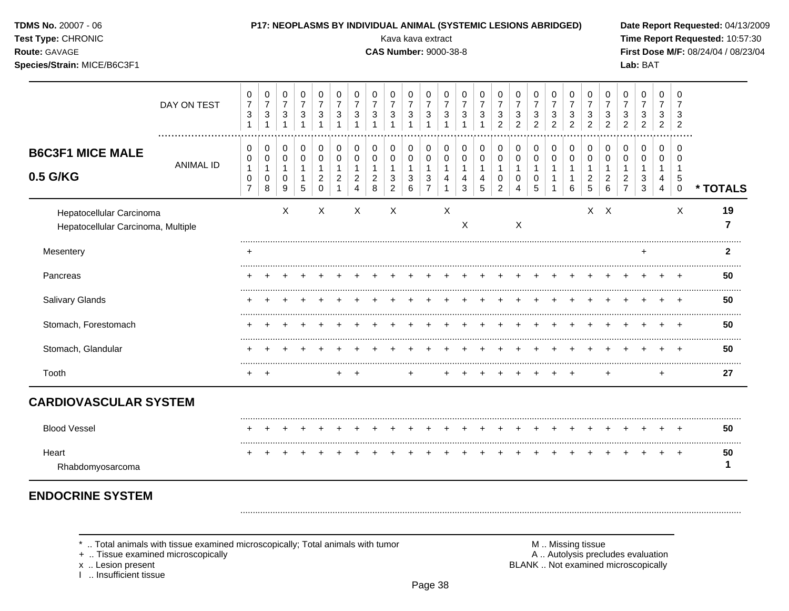| <b>TDMS No. 20007 - 06</b><br>Test Type: CHRONIC<br>Route: GAVAGE<br>Species/Strain: MICE/B6C3F1 |                  |                                                                            | P17: NEOPLASMS BY INDIVIDUAL ANIMAL (SYSTEMIC LESIONS ABRIDGED)          |                                                                                |                                                                                 |                                                                           |                                                 |                                                                          |                                                                    | Kava kava extract<br><b>CAS Number: 9000-38-8</b>                          |                                                                   |                                                                                 |                                                                             |                                                                  |                                                    |                                                              |                                                                                  |                                            |                                            |                                                                          |                                                                            |                                                                    |                                                                 | Lab: BAT                                                                              |                                                                 |                                                               | Date Report Requested: 04/13/2009<br>Time Report Requested: 10:57:30<br>First Dose M/F: 08/24/04 / 08/23/04 |
|--------------------------------------------------------------------------------------------------|------------------|----------------------------------------------------------------------------|--------------------------------------------------------------------------|--------------------------------------------------------------------------------|---------------------------------------------------------------------------------|---------------------------------------------------------------------------|-------------------------------------------------|--------------------------------------------------------------------------|--------------------------------------------------------------------|----------------------------------------------------------------------------|-------------------------------------------------------------------|---------------------------------------------------------------------------------|-----------------------------------------------------------------------------|------------------------------------------------------------------|----------------------------------------------------|--------------------------------------------------------------|----------------------------------------------------------------------------------|--------------------------------------------|--------------------------------------------|--------------------------------------------------------------------------|----------------------------------------------------------------------------|--------------------------------------------------------------------|-----------------------------------------------------------------|---------------------------------------------------------------------------------------|-----------------------------------------------------------------|---------------------------------------------------------------|-------------------------------------------------------------------------------------------------------------|
|                                                                                                  | DAY ON TEST      | $\pmb{0}$<br>$\boldsymbol{7}$<br>$\ensuremath{\mathsf{3}}$<br>$\mathbf{1}$ | $\pmb{0}$<br>$\overline{7}$<br>$\ensuremath{\mathsf{3}}$<br>$\mathbf{1}$ | $\mathbf 0$<br>$\boldsymbol{7}$<br>$\ensuremath{\mathsf{3}}$<br>$\overline{1}$ | $\boldsymbol{0}$<br>$\overline{7}$<br>$\ensuremath{\mathsf{3}}$<br>$\mathbf{1}$ | 0<br>$\overline{7}$<br>$\sqrt{3}$<br>$\mathbf{1}$                         | 0<br>$\overline{7}$<br>$\sqrt{3}$               | $\mathbf 0$<br>$\overline{7}$<br>$\sqrt{3}$                              | $\pmb{0}$<br>$\overline{7}$<br>$\sqrt{3}$<br>$\overline{1}$        | 0<br>$\overline{7}$<br>$\mathbf{3}$<br>1                                   | $\mathbf 0$<br>$\overline{7}$<br>$\sqrt{3}$<br>$\overline{1}$     | 0<br>$\overline{7}$<br>$\sqrt{3}$<br>$\overline{1}$                             | $\mathbf 0$<br>$\overline{7}$<br>$\ensuremath{\mathsf{3}}$<br>$\mathbf{1}$  | 0<br>$\overline{7}$<br>$\ensuremath{\mathsf{3}}$<br>$\mathbf{1}$ | $\pmb{0}$<br>$\overline{7}$<br>3<br>$\overline{1}$ | 0<br>$\overline{7}$<br>3<br>$\overline{2}$                   | 0<br>$\overline{7}$<br>$\sqrt{3}$<br>$\overline{a}$                              | 0<br>$\overline{7}$<br>3<br>$\overline{2}$ | 0<br>$\overline{7}$<br>3<br>$\overline{c}$ | 0<br>$\overline{7}$<br>$\ensuremath{\mathsf{3}}$<br>$\overline{a}$       | $\pmb{0}$<br>$\overline{7}$<br>$\ensuremath{\mathsf{3}}$<br>$\overline{2}$ | 0<br>$\overline{7}$<br>$\ensuremath{\mathsf{3}}$<br>$\overline{a}$ | $\mathbf 0$<br>$\overline{7}$<br>3<br>$\overline{c}$            | $\pmb{0}$<br>$\overline{7}$<br>$\ensuremath{\mathsf{3}}$<br>$\overline{2}$            | $\mathbf 0$<br>$\overline{7}$<br>3<br>$\sqrt{2}$                | $\Omega$<br>7<br>3<br>$\overline{2}$                          |                                                                                                             |
| <b>B6C3F1 MICE MALE</b><br>0.5 G/KG                                                              | <b>ANIMAL ID</b> | 0<br>$\mathbf 0$<br>1<br>$\pmb{0}$<br>$\overline{7}$                       | 0<br>$\mathbf 0$<br>$\mathbf{1}$<br>$\pmb{0}$<br>8                       | 0<br>$\mathbf 0$<br>$\mathbf{1}$<br>$\mathbf 0$<br>$\boldsymbol{9}$            | $\pmb{0}$<br>$\mathsf 0$<br>$\mathbf{1}$<br>$\mathbf{1}$<br>5                   | $\pmb{0}$<br>$\mathsf 0$<br>$\mathbf{1}$<br>$\overline{c}$<br>$\mathbf 0$ | $\pmb{0}$<br>$\pmb{0}$<br>1<br>$\boldsymbol{2}$ | 0<br>$\mathsf{O}\xspace$<br>$\mathbf{1}$<br>$\sqrt{2}$<br>$\overline{4}$ | $\pmb{0}$<br>$\mathbf 0$<br>$\overline{1}$<br>$\sqrt{2}$<br>$\, 8$ | $\pmb{0}$<br>$\mathbf 0$<br>$\mathbf{1}$<br>$\sqrt{3}$<br>$\boldsymbol{2}$ | $\pmb{0}$<br>$\mathbf 0$<br>$\mathbf{1}$<br>$\sqrt{3}$<br>$\,6\,$ | 0<br>$\mathbf 0$<br>$\mathbf{1}$<br>$\ensuremath{\mathsf{3}}$<br>$\overline{7}$ | 0<br>$\mathbf 0$<br>$\mathbf{1}$<br>$\overline{\mathbf{4}}$<br>$\mathbf{1}$ | $\pmb{0}$<br>$\mathbf 0$<br>$\mathbf{1}$<br>4<br>3               | 0<br>$\mathbf 0$<br>1<br>4<br>5                    | $\,0\,$<br>$\mathbf 0$<br>1<br>$\pmb{0}$<br>$\boldsymbol{2}$ | 0<br>$\mathsf{O}\xspace$<br>$\mathbf{1}$<br>$\pmb{0}$<br>$\overline{\mathbf{4}}$ | 0<br>$\mathbf 0$<br>1<br>0<br>5            | 0<br>$\mathbf 0$<br>1<br>$\mathbf{1}$<br>1 | $\pmb{0}$<br>$\pmb{0}$<br>$\mathbf{1}$<br>$\mathbf{1}$<br>$6\phantom{a}$ | 0<br>$\pmb{0}$<br>$\mathbf{1}$<br>$\overline{c}$<br>5                      | $\pmb{0}$<br>$\pmb{0}$<br>$\mathbf{1}$<br>$\sqrt{2}$<br>$\,6\,$    | 0<br>$\mathbf 0$<br>$\mathbf 1$<br>$\sqrt{2}$<br>$\overline{7}$ | $\pmb{0}$<br>$\mathbf 0$<br>$\mathbf{1}$<br>$\ensuremath{\mathsf{3}}$<br>$\mathbf{3}$ | $\pmb{0}$<br>$\mathbf 0$<br>$\mathbf{1}$<br>4<br>$\overline{4}$ | $\mathbf 0$<br>$\Omega$<br>$\overline{1}$<br>5<br>$\mathbf 0$ | * TOTALS                                                                                                    |
| Hepatocellular Carcinoma<br>Hepatocellular Carcinoma, Multiple                                   |                  |                                                                            |                                                                          | X                                                                              |                                                                                 | X                                                                         |                                                 | X                                                                        |                                                                    | X                                                                          |                                                                   |                                                                                 | $\boldsymbol{\mathsf{X}}$                                                   | X                                                                |                                                    |                                                              | X                                                                                |                                            |                                            |                                                                          |                                                                            | $X$ $X$                                                            |                                                                 |                                                                                       |                                                                 | X                                                             | 19<br>$\overline{7}$                                                                                        |
| Mesentery                                                                                        |                  |                                                                            |                                                                          |                                                                                |                                                                                 |                                                                           |                                                 |                                                                          |                                                                    |                                                                            |                                                                   |                                                                                 |                                                                             |                                                                  |                                                    |                                                              |                                                                                  |                                            |                                            |                                                                          |                                                                            |                                                                    |                                                                 | $\ddot{}$                                                                             |                                                                 |                                                               | $\mathbf{2}$                                                                                                |
| Pancreas                                                                                         |                  |                                                                            |                                                                          |                                                                                |                                                                                 |                                                                           |                                                 |                                                                          |                                                                    |                                                                            |                                                                   |                                                                                 |                                                                             |                                                                  |                                                    |                                                              |                                                                                  |                                            |                                            |                                                                          |                                                                            |                                                                    |                                                                 |                                                                                       |                                                                 |                                                               | 50                                                                                                          |
| Salivary Glands                                                                                  |                  |                                                                            |                                                                          |                                                                                |                                                                                 |                                                                           |                                                 |                                                                          |                                                                    |                                                                            |                                                                   |                                                                                 |                                                                             |                                                                  |                                                    |                                                              |                                                                                  |                                            |                                            |                                                                          | +                                                                          |                                                                    |                                                                 |                                                                                       |                                                                 | $\div$                                                        | .<br>50                                                                                                     |
| Stomach, Forestomach                                                                             |                  |                                                                            |                                                                          |                                                                                |                                                                                 |                                                                           |                                                 |                                                                          |                                                                    |                                                                            |                                                                   |                                                                                 |                                                                             |                                                                  |                                                    |                                                              |                                                                                  |                                            |                                            |                                                                          |                                                                            |                                                                    |                                                                 |                                                                                       |                                                                 | $\overline{ }$                                                | 50                                                                                                          |
| Stomach, Glandular                                                                               |                  |                                                                            |                                                                          |                                                                                |                                                                                 |                                                                           |                                                 |                                                                          |                                                                    |                                                                            |                                                                   |                                                                                 |                                                                             |                                                                  |                                                    |                                                              |                                                                                  |                                            |                                            |                                                                          |                                                                            |                                                                    |                                                                 |                                                                                       |                                                                 |                                                               | 50                                                                                                          |
| Tooth                                                                                            |                  | $+$                                                                        | $\overline{1}$                                                           |                                                                                |                                                                                 |                                                                           | $\ddot{}$                                       | $+$                                                                      |                                                                    |                                                                            | +                                                                 |                                                                                 |                                                                             |                                                                  |                                                    |                                                              |                                                                                  |                                            |                                            |                                                                          |                                                                            | $\ddot{}$                                                          |                                                                 |                                                                                       | $\ddot{}$                                                       |                                                               | .<br>27                                                                                                     |
| <b>CARDIOVASCULAR SYSTEM</b>                                                                     |                  |                                                                            |                                                                          |                                                                                |                                                                                 |                                                                           |                                                 |                                                                          |                                                                    |                                                                            |                                                                   |                                                                                 |                                                                             |                                                                  |                                                    |                                                              |                                                                                  |                                            |                                            |                                                                          |                                                                            |                                                                    |                                                                 |                                                                                       |                                                                 |                                                               |                                                                                                             |
| <b>Blood Vessel</b>                                                                              |                  |                                                                            |                                                                          |                                                                                |                                                                                 |                                                                           |                                                 |                                                                          |                                                                    |                                                                            |                                                                   |                                                                                 |                                                                             |                                                                  |                                                    |                                                              |                                                                                  |                                            |                                            | +                                                                        | $\div$                                                                     |                                                                    |                                                                 |                                                                                       |                                                                 |                                                               | 50                                                                                                          |
| Heart<br>Rhabdomyosarcoma                                                                        |                  |                                                                            |                                                                          |                                                                                |                                                                                 |                                                                           |                                                 |                                                                          |                                                                    |                                                                            |                                                                   |                                                                                 |                                                                             |                                                                  |                                                    |                                                              |                                                                                  |                                            |                                            |                                                                          |                                                                            |                                                                    |                                                                 |                                                                                       |                                                                 | $\div$                                                        | 50<br>1                                                                                                     |

**ENDOCRINE SYSIEM** 

\* .. Total animals with tissue examined microscopically; Total animals with tumor + .. Tissue examined microscopically

x .. Lesion present<br>I .. Insufficient tissue

M .. Missing tissue<br>A .. Autolysis precludes evaluation<br>BLANK .. Not examined microscopically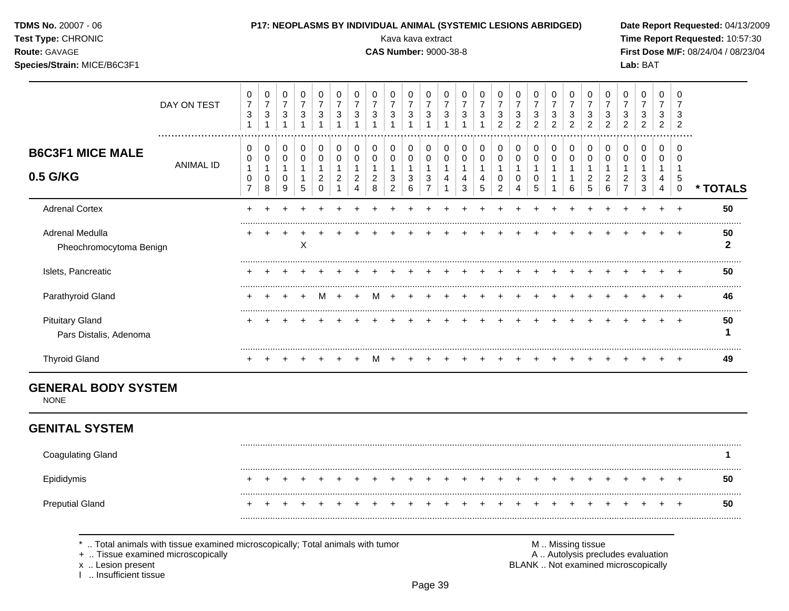| <b>TDMS No. 20007 - 06</b> |  |
|----------------------------|--|
| Test Type: CHRONIC         |  |

#### P17: NEOPLASMS BY INDIVIDUAL ANIMAL (SYSTEMIC LESIONS ABRIDGED)

Kava kava extract

**CAS Number: 9000-38-8** 

Date Report Requested: 04/13/2009 Time Report Requested: 10:57:30 First Dose M/F: 08/24/04 / 08/23/04 Lab: BAT

Route: GAVAGE Species/Strain: MICE/B6C3F1

|                                                  | DAY ON TEST | 0<br>$\overline{7}$<br>3 | 0<br>$\overline{ }$<br>3 | 0<br>$\overline{7}$<br>3 | $\Omega$<br>$\overline{7}$<br>3 | 0<br>3           | 3      | 3      | 3      | 0<br>⇁<br>3      | 0<br>$\overline{7}$<br>3 | 0<br>7<br>3 | 0<br>$\overline{ }$<br>3 | O<br>3      | 0<br>3      | 3<br>◠ | 0<br>3<br>$\overline{2}$ | 0<br>3<br>2      | 0<br>7<br>3<br>2 | 0<br>$\overline{7}$<br>3<br>$\overline{2}$ | 0<br>7<br>3<br>2 | U<br>3<br>2   | 3      | 0<br>3<br>$\overline{2}$ | 0<br>3<br>2             | 0<br>3<br>$\overline{2}$ |          |
|--------------------------------------------------|-------------|--------------------------|--------------------------|--------------------------|---------------------------------|------------------|--------|--------|--------|------------------|--------------------------|-------------|--------------------------|-------------|-------------|--------|--------------------------|------------------|------------------|--------------------------------------------|------------------|---------------|--------|--------------------------|-------------------------|--------------------------|----------|
| <b>B6C3F1 MICE MALE</b><br>0.5 G/KG              | ANIMAL ID   | 0<br>0<br>⇁              | 0<br>0<br>0<br>8         | 0<br>0<br>0<br>9         | 0<br>$\Omega$<br>5              | 0<br>0<br>2<br>0 | 0<br>0 | 0<br>∠ | 0<br>8 | 0<br>0<br>3<br>2 | 0<br>0<br>3<br>6         | 0<br>0<br>3 | 0                        | 0<br>0<br>3 | 0<br>0<br>5 | 0      | 0<br>0<br>0              | 0<br>0<br>0<br>5 | 0<br>0           | 0<br>6                                     | 0<br>0<br>2<br>5 | $\Omega$<br>6 | 0<br>∠ | 0<br>0<br>3<br>3         | $\Omega$<br>0<br>4<br>4 | .<br>0<br>5<br>0         | * TOTALS |
| <b>Adrenal Cortex</b>                            |             |                          |                          |                          |                                 |                  |        |        |        |                  |                          |             |                          |             |             |        |                          |                  |                  |                                            |                  |               |        |                          |                         |                          | 50       |
| Adrenal Medulla<br>Pheochromocytoma Benign       |             |                          |                          |                          | X                               |                  |        |        |        |                  |                          |             |                          |             |             |        |                          |                  |                  |                                            |                  |               |        |                          |                         |                          | 50       |
| Islets, Pancreatic                               |             |                          |                          |                          |                                 |                  |        |        |        |                  |                          |             |                          |             |             |        |                          |                  |                  |                                            |                  |               |        |                          |                         |                          | 50       |
| Parathyroid Gland                                |             |                          |                          |                          |                                 |                  |        |        |        |                  |                          |             |                          |             |             |        |                          |                  |                  |                                            |                  |               |        |                          |                         |                          | 46       |
| <b>Pituitary Gland</b><br>Pars Distalis, Adenoma |             |                          |                          |                          |                                 |                  |        |        |        |                  |                          |             |                          |             |             |        |                          |                  |                  |                                            |                  |               |        |                          |                         |                          | 50       |
| <b>Thyroid Gland</b>                             |             |                          |                          |                          |                                 |                  |        |        |        |                  |                          |             |                          |             |             |        |                          |                  |                  |                                            |                  |               |        |                          |                         |                          | 49       |

## **GENERAL BODY SYSTEM**

**NONE** 

## **GENITAL SYSTEM**

| <b>Coagulating Gland</b> |  |  |  |  |  |  |  |  |  |  |  |  |    |
|--------------------------|--|--|--|--|--|--|--|--|--|--|--|--|----|
| Epididymis               |  |  |  |  |  |  |  |  |  |  |  |  | 50 |
| <b>Preputial Gland</b>   |  |  |  |  |  |  |  |  |  |  |  |  | 50 |

\* .. Total animals with tissue examined microscopically; Total animals with tumor

+ .. Tissue examined microscopically

x .. Lesion present

1 .. Insufficient tissue

M .. Missing tissue A .. Autolysis precludes evaluation

BLANK .. Not examined microscopically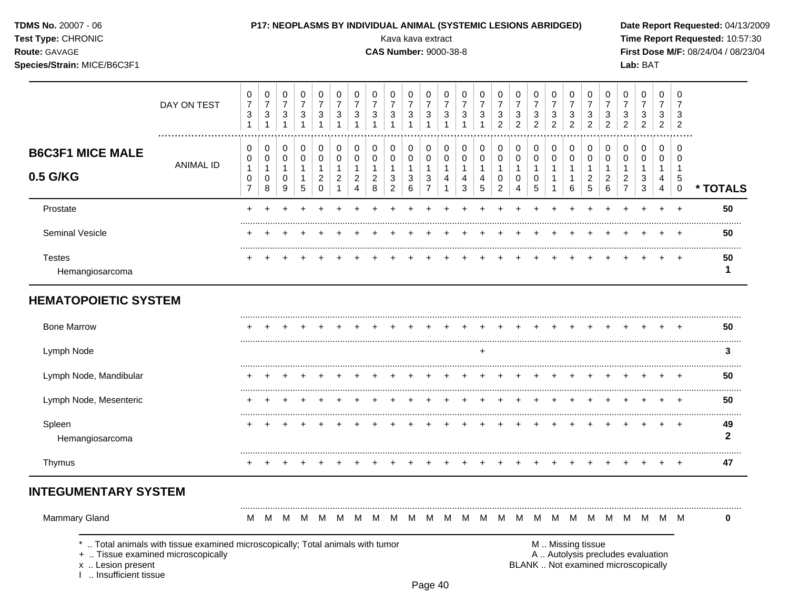TDMS No. 20007 - 06 Test Type: CHRONIC

#### P17: NEOPLASMS BY INDIVIDUAL ANIMAL (SYSTEMIC LESIONS ABRIDGED)

Kava kava extract

**CAS Number: 9000-38-8** 

Date Report Requested: 04/13/2009 Time Report Requested: 10:57:30 First Dose M/F: 08/24/04 / 08/23/04 Lab: BAT

Route: GAVAGE Species/Strain: MICE/B6C3F1

|                                     | DAY ON TEST      | 0<br>$\overline{7}$<br>3<br>1      | 0<br>$\overline{7}$<br>3<br>1            | 0<br>$\overline{7}$<br>$\ensuremath{\mathsf{3}}$<br>$\mathbf{1}$ | $\pmb{0}$<br>$\boldsymbol{7}$<br>$\ensuremath{\mathsf{3}}$<br>1 | 0<br>$\overline{7}$<br>3<br>1                           | 0<br>$\overline{7}$<br>3                     | 0<br>$\overline{7}$<br>3           | 0<br>$\overline{7}$<br>3                        | 0<br>$\overline{7}$<br>3<br>1                         | 0<br>$\overline{7}$<br>$\ensuremath{\mathsf{3}}$<br>$\mathbf 1$ | 0<br>$\overline{7}$<br>$\sqrt{3}$<br>1                                  | 0<br>$\overline{7}$<br>3<br>1           | 0<br>$\overline{7}$<br>3         | 0<br>$\overline{7}$<br>3 | 0<br>$\overline{7}$<br>3<br>$\overline{2}$                            | 0<br>$\overline{7}$<br>$\sqrt{3}$<br>$\overline{c}$ | 0<br>$\boldsymbol{7}$<br>$\mathbf{3}$<br>$\overline{2}$ | 0<br>$\overline{7}$<br>$\mathbf{3}$<br>$\overline{2}$            | 0<br>$\overline{7}$<br>3<br>$\overline{2}$ | 0<br>$\overline{7}$<br>$\sqrt{3}$<br>$\overline{2}$ | 0<br>$\overline{7}$<br>3<br>$\overline{2}$ | 0<br>$\overline{7}$<br>3<br>$\overline{2}$                                 | 0<br>$\overline{7}$<br>$\ensuremath{\mathsf{3}}$<br>$\overline{c}$ | 0<br>$\overline{7}$<br>3<br>2             | 0<br>$\overline{7}$<br>3<br>2                    |                    |
|-------------------------------------|------------------|------------------------------------|------------------------------------------|------------------------------------------------------------------|-----------------------------------------------------------------|---------------------------------------------------------|----------------------------------------------|------------------------------------|-------------------------------------------------|-------------------------------------------------------|-----------------------------------------------------------------|-------------------------------------------------------------------------|-----------------------------------------|----------------------------------|--------------------------|-----------------------------------------------------------------------|-----------------------------------------------------|---------------------------------------------------------|------------------------------------------------------------------|--------------------------------------------|-----------------------------------------------------|--------------------------------------------|----------------------------------------------------------------------------|--------------------------------------------------------------------|-------------------------------------------|--------------------------------------------------|--------------------|
| <b>B6C3F1 MICE MALE</b><br>0.5 G/KG | <b>ANIMAL ID</b> | 0<br>0<br>1<br>0<br>$\overline{7}$ | 0<br>$\pmb{0}$<br>$\mathbf{1}$<br>0<br>8 | 0<br>$\pmb{0}$<br>$\mathbf{1}$<br>$\pmb{0}$<br>9                 | 0<br>$\pmb{0}$<br>$\mathbf{1}$<br>$\mathbf{1}$<br>$\sqrt{5}$    | 0<br>0<br>$\mathbf{1}$<br>$\overline{c}$<br>$\mathbf 0$ | 0<br>0<br>$\mathbf 1$<br>$\overline{c}$<br>1 | 0<br>0<br>1<br>$\overline{c}$<br>4 | 0<br>0<br>$\mathbf{1}$<br>$\boldsymbol{2}$<br>8 | 0<br>$\pmb{0}$<br>$\mathbf{1}$<br>3<br>$\overline{c}$ | 0<br>0<br>$\mathbf{1}$<br>3<br>6                                | $\Omega$<br>$\pmb{0}$<br>$\mathbf{1}$<br>$\mathbf{3}$<br>$\overline{7}$ | $\Omega$<br>0<br>$\mathbf{1}$<br>4<br>1 | 0<br>0<br>$\mathbf{1}$<br>4<br>3 | 0<br>0<br>1<br>4<br>5    | $\pmb{0}$<br>$\pmb{0}$<br>$\mathbf{1}$<br>$\pmb{0}$<br>$\overline{2}$ | 0<br>0<br>$\mathbf{1}$<br>0<br>$\overline{4}$       | 0<br>$\pmb{0}$<br>$\mathbf{1}$<br>0<br>$5\phantom{.0}$  | 0<br>$\pmb{0}$<br>$\overline{1}$<br>$\mathbf{1}$<br>$\mathbf{1}$ | 0<br>0<br>$\mathbf{1}$<br>1<br>6           | 0<br>0<br>$\mathbf{1}$<br>$\overline{c}$<br>5       | 0<br>0<br>1<br>$\boldsymbol{2}$<br>6       | $\pmb{0}$<br>$\pmb{0}$<br>$\mathbf{1}$<br>$\overline{c}$<br>$\overline{7}$ | 0<br>$\mathsf 0$<br>$\mathbf{1}$<br>$\sqrt{3}$<br>$\sqrt{3}$       | $\Omega$<br>0<br>1<br>4<br>$\overline{4}$ | $\Omega$<br>0<br>$\mathbf 1$<br>5<br>$\mathbf 0$ | * TOTALS           |
| Prostate                            |                  |                                    |                                          |                                                                  |                                                                 |                                                         |                                              |                                    |                                                 |                                                       |                                                                 |                                                                         |                                         |                                  |                          |                                                                       |                                                     |                                                         |                                                                  |                                            |                                                     |                                            |                                                                            |                                                                    |                                           | $\div$                                           | 50                 |
| Seminal Vesicle                     |                  |                                    |                                          |                                                                  |                                                                 |                                                         |                                              |                                    |                                                 |                                                       |                                                                 |                                                                         |                                         |                                  |                          |                                                                       |                                                     |                                                         |                                                                  |                                            |                                                     |                                            |                                                                            |                                                                    |                                           |                                                  | 50                 |
| <b>Testes</b><br>Hemangiosarcoma    |                  |                                    |                                          |                                                                  |                                                                 |                                                         |                                              |                                    |                                                 |                                                       |                                                                 |                                                                         |                                         |                                  |                          |                                                                       |                                                     |                                                         |                                                                  |                                            |                                                     |                                            |                                                                            |                                                                    |                                           |                                                  | 50<br>$\mathbf 1$  |
| <b>HEMATOPOIETIC SYSTEM</b>         |                  |                                    |                                          |                                                                  |                                                                 |                                                         |                                              |                                    |                                                 |                                                       |                                                                 |                                                                         |                                         |                                  |                          |                                                                       |                                                     |                                                         |                                                                  |                                            |                                                     |                                            |                                                                            |                                                                    |                                           |                                                  |                    |
| <b>Bone Marrow</b>                  |                  |                                    |                                          |                                                                  |                                                                 |                                                         |                                              |                                    |                                                 |                                                       |                                                                 |                                                                         |                                         |                                  |                          |                                                                       |                                                     |                                                         |                                                                  |                                            |                                                     |                                            |                                                                            |                                                                    |                                           |                                                  | 50                 |
| Lymph Node                          |                  |                                    |                                          |                                                                  |                                                                 |                                                         |                                              |                                    |                                                 |                                                       |                                                                 |                                                                         |                                         |                                  | ٠                        |                                                                       |                                                     |                                                         |                                                                  |                                            |                                                     |                                            |                                                                            |                                                                    |                                           |                                                  | 3                  |
| Lymph Node, Mandibular              |                  |                                    |                                          |                                                                  |                                                                 |                                                         |                                              |                                    |                                                 |                                                       |                                                                 |                                                                         |                                         |                                  |                          |                                                                       |                                                     |                                                         |                                                                  |                                            |                                                     |                                            |                                                                            |                                                                    |                                           |                                                  | 50                 |
| Lymph Node, Mesenteric              |                  |                                    |                                          |                                                                  |                                                                 |                                                         |                                              |                                    |                                                 |                                                       |                                                                 |                                                                         |                                         |                                  |                          |                                                                       |                                                     |                                                         |                                                                  |                                            |                                                     |                                            |                                                                            |                                                                    |                                           |                                                  | 50                 |
| Spleen<br>Hemangiosarcoma           |                  |                                    |                                          |                                                                  |                                                                 |                                                         |                                              |                                    |                                                 |                                                       |                                                                 |                                                                         |                                         |                                  |                          |                                                                       |                                                     |                                                         |                                                                  |                                            |                                                     |                                            |                                                                            |                                                                    |                                           | $\overline{ }$                                   | 49<br>$\mathbf{2}$ |
| Thymus                              |                  |                                    |                                          |                                                                  |                                                                 |                                                         |                                              |                                    |                                                 |                                                       |                                                                 |                                                                         |                                         |                                  |                          |                                                                       |                                                     |                                                         |                                                                  |                                            |                                                     |                                            |                                                                            |                                                                    |                                           |                                                  | 47                 |
| <b>INTEGUMENTARY SYSTEM</b>         |                  |                                    |                                          |                                                                  |                                                                 |                                                         |                                              |                                    |                                                 |                                                       |                                                                 |                                                                         |                                         |                                  |                          |                                                                       |                                                     |                                                         |                                                                  |                                            |                                                     |                                            |                                                                            |                                                                    |                                           |                                                  |                    |
| Mammary Gland                       |                  | М                                  | M                                        | - M                                                              | M                                                               | M                                                       | M                                            | м                                  | M                                               | M                                                     | M                                                               | M                                                                       | M                                       | M                                | M                        | M                                                                     |                                                     | M M                                                     | M                                                                | M                                          | M                                                   | M                                          |                                                                            | M M                                                                | M                                         | M                                                | $\bf{0}$           |

\* .. Total animals with tissue examined microscopically; Total animals with tumor

+ .. Tissue examined microscopically

x .. Lesion present<br>I .. Insufficient tissue

M .. Missing tissue A .. Autolysis precludes evaluation BLANK .. Not examined microscopically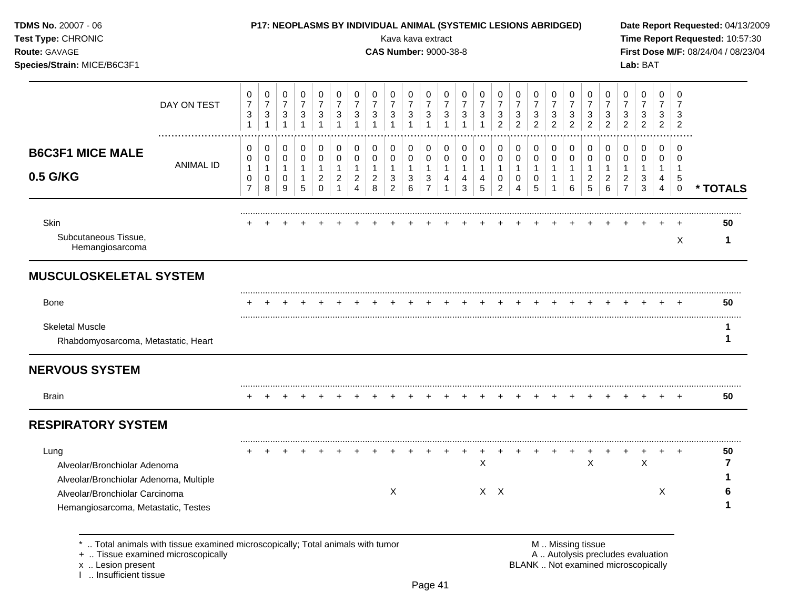| TDMS No. 20007 - 06<br>Test Type: CHRONIC<br>Route: GAVAGE<br>Species/Strain: MICE/B6C3F1                                                               |                                                                                                                    |                                               |                                                         |                                                       |                                                       |                                                                    |                                                                  |                                                            |                                          | P17: NEOPLASMS BY INDIVIDUAL ANIMAL (SYSTEMIC LESIONS ABRIDGED)<br>Kava kava extract<br><b>CAS Number: 9000-38-8</b> |                          |                                                         |                                                      |                                  |                                                     |                                    |                                                         |                                            |                                                     |                                                     |                                               |                                                       |                                                 | Lab: BAT                                                                 |                                            |                             | Date Report Requested: 04/13/2009<br>Time Report Requested: 10:57:30<br>First Dose M/F: 08/24/04 / 08/23/04 |
|---------------------------------------------------------------------------------------------------------------------------------------------------------|--------------------------------------------------------------------------------------------------------------------|-----------------------------------------------|---------------------------------------------------------|-------------------------------------------------------|-------------------------------------------------------|--------------------------------------------------------------------|------------------------------------------------------------------|------------------------------------------------------------|------------------------------------------|----------------------------------------------------------------------------------------------------------------------|--------------------------|---------------------------------------------------------|------------------------------------------------------|----------------------------------|-----------------------------------------------------|------------------------------------|---------------------------------------------------------|--------------------------------------------|-----------------------------------------------------|-----------------------------------------------------|-----------------------------------------------|-------------------------------------------------------|-------------------------------------------------|--------------------------------------------------------------------------|--------------------------------------------|-----------------------------|-------------------------------------------------------------------------------------------------------------|
|                                                                                                                                                         | DAY ON TEST                                                                                                        | 0<br>$\overline{7}$<br>3<br>$\mathbf{1}$      | 0<br>$\boldsymbol{7}$<br>$\mathbf{3}$<br>$\overline{1}$ | 0<br>$\boldsymbol{7}$<br>$\mathbf{3}$<br>$\mathbf{1}$ | 0<br>$\overline{7}$<br>$\mathbf{3}$<br>$\overline{1}$ | 0<br>$\overline{7}$<br>$\ensuremath{\mathsf{3}}$<br>$\overline{1}$ | 0<br>$\boldsymbol{7}$<br>$\sqrt{3}$<br>$\mathbf{1}$              | 0<br>$\overline{7}$<br>3<br>$\overline{1}$                 | 0<br>$\overline{7}$<br>3<br>$\mathbf{1}$ | 0<br>$\overline{7}$<br>3                                                                                             | 0<br>$\overline{7}$<br>3 | 0<br>$\boldsymbol{7}$<br>$\mathbf{3}$                   | 0<br>$\overline{7}$<br>$\mathbf{3}$<br>$\mathbf{1}$  | 0<br>$\overline{7}$<br>3         | 0<br>$\overline{7}$<br>$\sqrt{3}$<br>$\overline{1}$ | 0<br>$\overline{7}$<br>3<br>2      | 0<br>$\overline{7}$<br>$\mathbf{3}$<br>$\overline{2}$   | 0<br>$\overline{7}$<br>3<br>$\overline{2}$ | 0<br>$\overline{7}$<br>$\sqrt{3}$<br>$\overline{2}$ | 0<br>$\overline{7}$<br>$\sqrt{3}$<br>$\overline{2}$ | 0<br>$\overline{7}$<br>3<br>$\overline{2}$    | 0<br>$\overline{7}$<br>$\mathbf{3}$<br>$\overline{2}$ | 0<br>$\overline{7}$<br>3<br>$\overline{c}$      | 0<br>7<br>3<br>$\overline{2}$                                            | 0<br>$\overline{7}$<br>3<br>$\overline{2}$ | 0<br>2                      |                                                                                                             |
| <b>B6C3F1 MICE MALE</b><br>0.5 G/KG                                                                                                                     | <b>ANIMAL ID</b>                                                                                                   | 0<br>0<br>$\mathbf{1}$<br>0<br>$\overline{7}$ | 0<br>0<br>$\mathbf{1}$<br>0<br>8                        | 0<br>$\mathbf 0$<br>$\mathbf{1}$<br>0<br>9            | 0<br>0<br>$\mathbf{1}$<br>$\mathbf{1}$<br>5           | 0<br>0<br>$\mathbf{1}$<br>$\overline{a}$<br>$\Omega$               | 0<br>$\pmb{0}$<br>$\mathbf{1}$<br>$\overline{c}$<br>$\mathbf{1}$ | 0<br>0<br>$\mathbf{1}$<br>$\overline{c}$<br>$\overline{4}$ | 0<br>0<br>1<br>$\overline{2}$<br>8       | 0<br>0<br>$\mathbf{1}$<br>3<br>2                                                                                     | 0<br>0<br>1<br>3<br>6    | 0<br>$\mathbf 0$<br>$\mathbf{1}$<br>3<br>$\overline{7}$ | 0<br>$\mathbf 0$<br>$\mathbf{1}$<br>4<br>$\mathbf 1$ | 0<br>0<br>$\mathbf{1}$<br>4<br>3 | 0<br>0<br>1<br>$\overline{4}$<br>5                  | 0<br>0<br>1<br>0<br>$\overline{2}$ | 0<br>0<br>$\mathbf{1}$<br>$\mathbf 0$<br>$\overline{4}$ | 0<br>0<br>1<br>0<br>5                      | 0<br>0<br>$\mathbf{1}$<br>$\mathbf{1}$              | 0<br>0<br>6                                         | 0<br>0<br>$\mathbf{1}$<br>$\overline{c}$<br>5 | 0<br>0<br>$\overline{1}$<br>$\overline{c}$<br>6       | 0<br>0<br>1<br>$\overline{c}$<br>$\overline{7}$ | 0<br>0<br>1<br>3<br>3                                                    | 0<br>0<br>1<br>4<br>$\overline{4}$         | 0<br>-1<br>5<br>$\mathbf 0$ | * TOTALS                                                                                                    |
| Skin<br>Subcutaneous Tissue,<br>Hemangiosarcoma                                                                                                         |                                                                                                                    |                                               |                                                         |                                                       |                                                       |                                                                    |                                                                  |                                                            |                                          |                                                                                                                      |                          |                                                         |                                                      |                                  |                                                     |                                    |                                                         |                                            |                                                     |                                                     |                                               |                                                       |                                                 |                                                                          |                                            | Χ                           | 50<br>1                                                                                                     |
| <b>MUSCULOSKELETAL SYSTEM</b>                                                                                                                           |                                                                                                                    |                                               |                                                         |                                                       |                                                       |                                                                    |                                                                  |                                                            |                                          |                                                                                                                      |                          |                                                         |                                                      |                                  |                                                     |                                    |                                                         |                                            |                                                     |                                                     |                                               |                                                       |                                                 |                                                                          |                                            |                             |                                                                                                             |
| Bone                                                                                                                                                    |                                                                                                                    |                                               |                                                         |                                                       |                                                       |                                                                    |                                                                  |                                                            |                                          |                                                                                                                      |                          |                                                         |                                                      |                                  |                                                     |                                    |                                                         |                                            |                                                     |                                                     |                                               |                                                       |                                                 |                                                                          |                                            |                             | 50                                                                                                          |
| <b>Skeletal Muscle</b><br>Rhabdomyosarcoma, Metastatic, Heart                                                                                           |                                                                                                                    |                                               |                                                         |                                                       |                                                       |                                                                    |                                                                  |                                                            |                                          |                                                                                                                      |                          |                                                         |                                                      |                                  |                                                     |                                    |                                                         |                                            |                                                     |                                                     |                                               |                                                       |                                                 |                                                                          |                                            |                             |                                                                                                             |
| <b>NERVOUS SYSTEM</b>                                                                                                                                   |                                                                                                                    |                                               |                                                         |                                                       |                                                       |                                                                    |                                                                  |                                                            |                                          |                                                                                                                      |                          |                                                         |                                                      |                                  |                                                     |                                    |                                                         |                                            |                                                     |                                                     |                                               |                                                       |                                                 |                                                                          |                                            |                             |                                                                                                             |
| Brain                                                                                                                                                   |                                                                                                                    | +                                             |                                                         |                                                       |                                                       |                                                                    |                                                                  |                                                            |                                          |                                                                                                                      |                          |                                                         |                                                      |                                  |                                                     |                                    |                                                         |                                            |                                                     |                                                     |                                               |                                                       |                                                 |                                                                          |                                            |                             | 50                                                                                                          |
| <b>RESPIRATORY SYSTEM</b>                                                                                                                               |                                                                                                                    |                                               |                                                         |                                                       |                                                       |                                                                    |                                                                  |                                                            |                                          |                                                                                                                      |                          |                                                         |                                                      |                                  |                                                     |                                    |                                                         |                                            |                                                     |                                                     |                                               |                                                       |                                                 |                                                                          |                                            |                             |                                                                                                             |
| Lung<br>Alveolar/Bronchiolar Adenoma<br>Alveolar/Bronchiolar Adenoma, Multiple<br>Alveolar/Bronchiolar Carcinoma<br>Hemangiosarcoma, Metastatic, Testes |                                                                                                                    |                                               |                                                         |                                                       |                                                       |                                                                    |                                                                  |                                                            |                                          | X                                                                                                                    |                          |                                                         |                                                      |                                  | X                                                   | $X$ $X$                            |                                                         |                                            |                                                     | $\overline{+}$                                      | X                                             |                                                       |                                                 | X                                                                        | X                                          | $^{+}$                      | 50<br>$\overline{\phantom{a}}$<br>6                                                                         |
| x  Lesion present                                                                                                                                       | Total animals with tissue examined microscopically; Total animals with tumor<br>+  Tissue examined microscopically |                                               |                                                         |                                                       |                                                       |                                                                    |                                                                  |                                                            |                                          |                                                                                                                      |                          |                                                         |                                                      |                                  |                                                     |                                    |                                                         |                                            | M  Missing tissue                                   |                                                     |                                               |                                                       |                                                 | A  Autolysis precludes evaluation<br>BLANK  Not examined microscopically |                                            |                             |                                                                                                             |

I .. Insufficient tissue

Page 41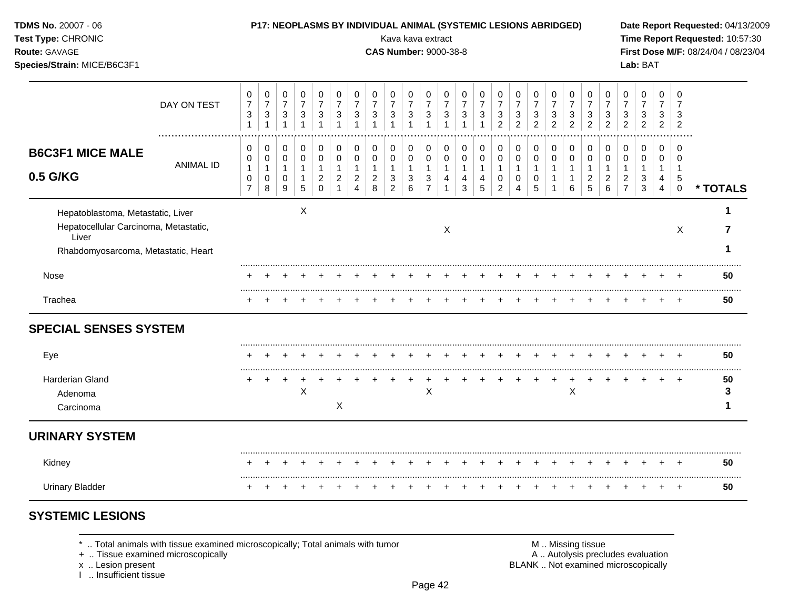| TDMS No. 20007 - 06<br>Test Type: CHRONIC<br>Route: GAVAGE<br>Species/Strain: MICE/B6C3F1                                  |                  |                                                         |                                                  |                                                                     |                                            |                                                        |                                                             |                                                            |                                                         |                                               |                                                                            | Kava kava extract                                                            | <b>CAS Number: 9000-38-8</b>                                                 |                                                   | P17: NEOPLASMS BY INDIVIDUAL ANIMAL (SYSTEMIC LESIONS ABRIDGED)  |                                                     |                                                                           |                                            |                                                                    |                                            |                                                                    |                                                                    |                                                            | Lab: BAT                                                    |                                                         |                                                       | Date Report Requested: 04/13/2009<br>Time Report Requested: 10:57:30<br>First Dose M/F: 08/24/04 / 08/23/04 |
|----------------------------------------------------------------------------------------------------------------------------|------------------|---------------------------------------------------------|--------------------------------------------------|---------------------------------------------------------------------|--------------------------------------------|--------------------------------------------------------|-------------------------------------------------------------|------------------------------------------------------------|---------------------------------------------------------|-----------------------------------------------|----------------------------------------------------------------------------|------------------------------------------------------------------------------|------------------------------------------------------------------------------|---------------------------------------------------|------------------------------------------------------------------|-----------------------------------------------------|---------------------------------------------------------------------------|--------------------------------------------|--------------------------------------------------------------------|--------------------------------------------|--------------------------------------------------------------------|--------------------------------------------------------------------|------------------------------------------------------------|-------------------------------------------------------------|---------------------------------------------------------|-------------------------------------------------------|-------------------------------------------------------------------------------------------------------------|
|                                                                                                                            | DAY ON TEST      | 0<br>$\boldsymbol{7}$<br>3<br>$\mathbf{1}$              | 0<br>$\overline{7}$<br>$\mathbf 3$<br>1          | 0<br>$\overline{7}$<br>$\sqrt{3}$<br>$\mathbf{1}$                   | 0<br>$\overline{7}$<br>$\mathbf{3}$<br>1   | 0<br>$\overline{7}$<br>$\sqrt{3}$<br>1                 | $\pmb{0}$<br>$\overline{7}$<br>$\sqrt{3}$<br>$\overline{1}$ | 0<br>$\overline{7}$<br>$\sqrt{3}$<br>$\overline{1}$        | 0<br>$\overline{7}$<br>$\ensuremath{\mathsf{3}}$        | 0<br>$\overline{7}$<br>$\sqrt{3}$             | $\pmb{0}$<br>$\overline{7}$<br>$\ensuremath{\mathsf{3}}$<br>$\overline{1}$ | $\pmb{0}$<br>$\overline{7}$<br>$\sqrt{3}$<br>$\overline{1}$                  | $\mathbf 0$<br>$\overline{7}$<br>$\ensuremath{\mathsf{3}}$<br>$\overline{1}$ | 0<br>$\overline{7}$<br>$\sqrt{3}$<br>$\mathbf{1}$ | 0<br>$\overline{7}$<br>$\ensuremath{\mathsf{3}}$<br>$\mathbf{1}$ | 0<br>$\overline{7}$<br>$\sqrt{3}$<br>$\overline{2}$ | $\Omega$<br>$\overline{7}$<br>$\ensuremath{\mathsf{3}}$<br>$\overline{2}$ | 0<br>$\overline{7}$<br>3<br>$\overline{2}$ | 0<br>$\overline{7}$<br>$\ensuremath{\mathsf{3}}$<br>$\overline{2}$ | 0<br>$\overline{7}$<br>3<br>$\overline{2}$ | 0<br>$\overline{7}$<br>$\ensuremath{\mathsf{3}}$<br>$\overline{2}$ | 0<br>$\overline{7}$<br>$\ensuremath{\mathsf{3}}$<br>$\overline{2}$ | 0<br>$\overline{7}$<br>3<br>$\overline{2}$                 | $\pmb{0}$<br>$\overline{7}$<br>$\sqrt{3}$<br>$\overline{c}$ | 0<br>$\overline{7}$<br>3<br>$\overline{2}$              | $\mathbf 0$<br>$\overline{7}$<br>3<br>$\overline{2}$  |                                                                                                             |
| <b>B6C3F1 MICE MALE</b><br>0.5 G/KG                                                                                        | <b>ANIMAL ID</b> | 0<br>0<br>$\mathbf{1}$<br>$\mathbf 0$<br>$\overline{7}$ | 0<br>0<br>$\mathbf{1}$<br>$\mathbf 0$<br>$\bf 8$ | 0<br>$\mathbf 0$<br>$\mathbf{1}$<br>$\mathbf 0$<br>$\boldsymbol{9}$ | 0<br>0<br>$\mathbf{1}$<br>$\mathbf 1$<br>5 | 0<br>0<br>$\mathbf{1}$<br>$\boldsymbol{2}$<br>$\Omega$ | 0<br>0<br>$\mathbf{1}$<br>$\overline{c}$<br>$\overline{1}$  | 0<br>0<br>$\mathbf{1}$<br>$\overline{c}$<br>$\overline{4}$ | 0<br>$\mathbf 0$<br>$\mathbf{1}$<br>$\overline{2}$<br>8 | 0<br>0<br>$\mathbf{1}$<br>3<br>$\overline{2}$ | 0<br>$\mathsf{O}\xspace$<br>$\mathbf{1}$<br>$\sqrt{3}$<br>$6\phantom{a}$   | $\mathbf 0$<br>$\mathbf 0$<br>$\mathbf{1}$<br>$\mathbf{3}$<br>$\overline{7}$ | 0<br>$\mathbf 0$<br>$\mathbf{1}$<br>$\overline{4}$<br>$\mathbf{1}$           | 0<br>0<br>$\mathbf{1}$<br>4<br>3                  | 0<br>$\mathbf 0$<br>$\mathbf{1}$<br>$\overline{4}$<br>5          | 0<br>0<br>$\mathbf{1}$<br>$\mathbf 0$<br>$\sqrt{2}$ | 0<br>$\mathbf 0$<br>1<br>$\mathbf 0$<br>4                                 | 0<br>0<br>1<br>0<br>5                      | 0<br>$\mathbf 0$<br>1<br>1                                         | 0<br>0<br>$\mathbf{1}$<br>$\mathbf 1$<br>6 | 0<br>0<br>$\mathbf{1}$<br>$\overline{c}$<br>5                      | 0<br>$\mathbf 0$<br>$\mathbf{1}$<br>$\overline{c}$<br>6            | 0<br>0<br>$\mathbf{1}$<br>$\overline{c}$<br>$\overline{7}$ | 0<br>0<br>1<br>3<br>$\mathbf{3}$                            | 0<br>$\mathbf 0$<br>$\mathbf{1}$<br>4<br>$\overline{4}$ | $\Omega$<br>$\Omega$<br>$\mathbf 1$<br>5<br>$\pmb{0}$ | * TOTALS                                                                                                    |
| Hepatoblastoma, Metastatic, Liver<br>Hepatocellular Carcinoma, Metastatic,<br>Liver<br>Rhabdomyosarcoma, Metastatic, Heart |                  |                                                         |                                                  |                                                                     | $\times$                                   |                                                        |                                                             |                                                            |                                                         |                                               |                                                                            |                                                                              | X                                                                            |                                                   |                                                                  |                                                     |                                                                           |                                            |                                                                    |                                            |                                                                    |                                                                    |                                                            |                                                             |                                                         | X                                                     | 1<br>7                                                                                                      |
| Nose                                                                                                                       |                  |                                                         |                                                  |                                                                     |                                            |                                                        |                                                             |                                                            |                                                         |                                               |                                                                            |                                                                              |                                                                              |                                                   |                                                                  |                                                     |                                                                           |                                            |                                                                    |                                            |                                                                    |                                                                    |                                                            |                                                             |                                                         |                                                       | 50                                                                                                          |
| Trachea                                                                                                                    |                  |                                                         |                                                  |                                                                     |                                            |                                                        |                                                             |                                                            |                                                         |                                               |                                                                            |                                                                              |                                                                              |                                                   |                                                                  |                                                     |                                                                           |                                            |                                                                    |                                            |                                                                    |                                                                    |                                                            |                                                             |                                                         |                                                       | 50                                                                                                          |
| <b>SPECIAL SENSES SYSTEM</b>                                                                                               |                  |                                                         |                                                  |                                                                     |                                            |                                                        |                                                             |                                                            |                                                         |                                               |                                                                            |                                                                              |                                                                              |                                                   |                                                                  |                                                     |                                                                           |                                            |                                                                    |                                            |                                                                    |                                                                    |                                                            |                                                             |                                                         |                                                       |                                                                                                             |
| Eye                                                                                                                        |                  |                                                         |                                                  |                                                                     |                                            |                                                        |                                                             |                                                            |                                                         |                                               |                                                                            |                                                                              |                                                                              |                                                   |                                                                  |                                                     |                                                                           |                                            |                                                                    |                                            |                                                                    |                                                                    |                                                            |                                                             |                                                         |                                                       | 50                                                                                                          |
| <b>Harderian Gland</b><br>Adenoma<br>Carcinoma                                                                             |                  |                                                         |                                                  | $+$                                                                 | $\ddot{}$<br>$\times$                      |                                                        | $\overline{ }$<br>X                                         |                                                            |                                                         |                                               | $\overline{+}$                                                             | $\ddot{}$<br>$\pmb{\times}$                                                  | $\ddot{}$                                                                    |                                                   |                                                                  |                                                     |                                                                           | $\ddot{}$                                  | $\ddot{}$                                                          | $\overline{+}$<br>X                        | $+$                                                                | $\ddot{}$                                                          |                                                            |                                                             | $+$                                                     | $+$                                                   | 50<br>3<br>1                                                                                                |
| <b>URINARY SYSTEM</b>                                                                                                      |                  |                                                         |                                                  |                                                                     |                                            |                                                        |                                                             |                                                            |                                                         |                                               |                                                                            |                                                                              |                                                                              |                                                   |                                                                  |                                                     |                                                                           |                                            |                                                                    |                                            |                                                                    |                                                                    |                                                            |                                                             |                                                         |                                                       |                                                                                                             |
| Kidney                                                                                                                     |                  |                                                         |                                                  |                                                                     |                                            |                                                        |                                                             |                                                            |                                                         |                                               |                                                                            |                                                                              |                                                                              |                                                   |                                                                  |                                                     |                                                                           |                                            |                                                                    |                                            |                                                                    |                                                                    |                                                            |                                                             |                                                         | $\overline{+}$                                        | 50                                                                                                          |
| <b>Urinary Bladder</b>                                                                                                     |                  |                                                         |                                                  |                                                                     |                                            |                                                        |                                                             |                                                            |                                                         |                                               |                                                                            |                                                                              |                                                                              |                                                   |                                                                  |                                                     |                                                                           |                                            |                                                                    | $\div$                                     | $\ddot{}$                                                          | $\div$                                                             |                                                            |                                                             |                                                         | $+$                                                   | 50                                                                                                          |

# **SYSTEMIC LESIONS**

\* .. Total animals with tissue examined microscopically; Total animals with tumor + .. Tissue examined microscopically

x .. Lesion present<br>I .. Insufficient tissue

M .. Missing tissue<br>A .. Autolysis precludes evaluation<br>BLANK .. Not examined microscopically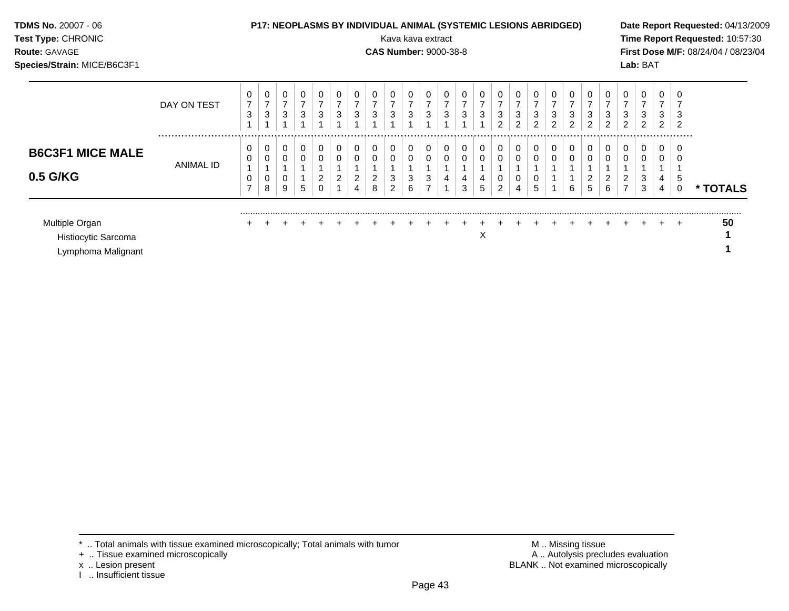| TDMS No. 20007 - 06<br>Test Type: CHRONIC<br>Route: GAVAGE<br>Species/Strain: MICE/B6C3F1 |               |                     |                          |                          |                          |                                               |                          |                     |                     | <b>P17: NEOPLASMS BY INDIVIDUAL ANIMAL (SYSTEMIC LESIONS ABRIDGED)</b><br>Kava kava extract<br><b>CAS Number: 9000-38-8</b> |                     |                          |                          |                     |                     |                               |        |                                    |        |                                       |                                                       |                                       |                     | Lab: BAT |                                            | Date Report Requested: 04/13/2009<br>Time Report Requested: 10:57:30<br>First Dose M/F: 08/24/04 / 08/23/04 |
|-------------------------------------------------------------------------------------------|---------------|---------------------|--------------------------|--------------------------|--------------------------|-----------------------------------------------|--------------------------|---------------------|---------------------|-----------------------------------------------------------------------------------------------------------------------------|---------------------|--------------------------|--------------------------|---------------------|---------------------|-------------------------------|--------|------------------------------------|--------|---------------------------------------|-------------------------------------------------------|---------------------------------------|---------------------|----------|--------------------------------------------|-------------------------------------------------------------------------------------------------------------|
|                                                                                           | DAY ON TEST   | $\overline{7}$<br>3 | 0<br>$\overline{ }$<br>3 | 0<br>$\overline{ }$<br>3 | 0<br>$\overline{z}$<br>3 | $\boldsymbol{7}$<br>$\ensuremath{\mathsf{3}}$ | 0<br>$\overline{7}$<br>3 | $\overline{7}$<br>3 | $\overline{ }$<br>3 | $\overline{7}$<br>3                                                                                                         | $\overline{ }$<br>3 | 0<br>$\overline{7}$<br>3 | 0<br>$\overline{7}$<br>3 | $\overline{z}$<br>3 | $\overline{7}$<br>3 | 0<br>$\overline{7}$<br>3<br>2 | 3      | $\overline{\phantom{a}}$<br>3<br>2 | 3<br>2 | $\overline{ }$<br>3<br>$\overline{2}$ | 0<br>$\overline{7}$<br>$\ensuremath{\mathsf{3}}$<br>2 | $\overline{7}$<br>3<br>$\overline{2}$ | $\overline{ }$<br>3 | 3<br>2   | 0<br>$\overline{ }$<br>3<br>$\overline{2}$ |                                                                                                             |
| <b>B6C3F1 MICE MALE</b><br>0.5 G/KG                                                       | <br>ANIMAL ID | 0                   | 0<br>8                   | 0<br>0<br>0<br>9         | 0<br>0<br>5              | 0<br>2                                        | 0<br>0<br>2              | 0                   | 8                   |                                                                                                                             | 0<br>3<br>6         | 0<br>0<br>3              | 0<br>0                   | 0<br>3              | 0                   | $\mathbf 0$<br>0<br>2         | 0<br>4 | 0<br>5                             |        | 0<br>0<br>6                           | 0<br>0<br>$\overline{2}$<br>5                         | 0<br>0<br>2<br>6                      | 0<br>0              | 0<br>3   | 0<br>0<br>4<br>4                           | * TOTALS                                                                                                    |
| Multiple Organ<br>Histiocytic Sarcoma<br>Lymphoma Malignant                               |               |                     |                          |                          |                          |                                               |                          |                     |                     |                                                                                                                             |                     |                          |                          |                     | х                   |                               |        |                                    |        |                                       |                                                       |                                       |                     |          |                                            | 50                                                                                                          |

x .. Lesion present<br>I .. Insufficient tissue

+ .. Tissue examined microscopically  $\blacksquare$  A .. Autolysis precludes evaluation M .. Missing tissue<br>A .. Autolysis precludes evaluation<br>BLANK .. Not examined microscopically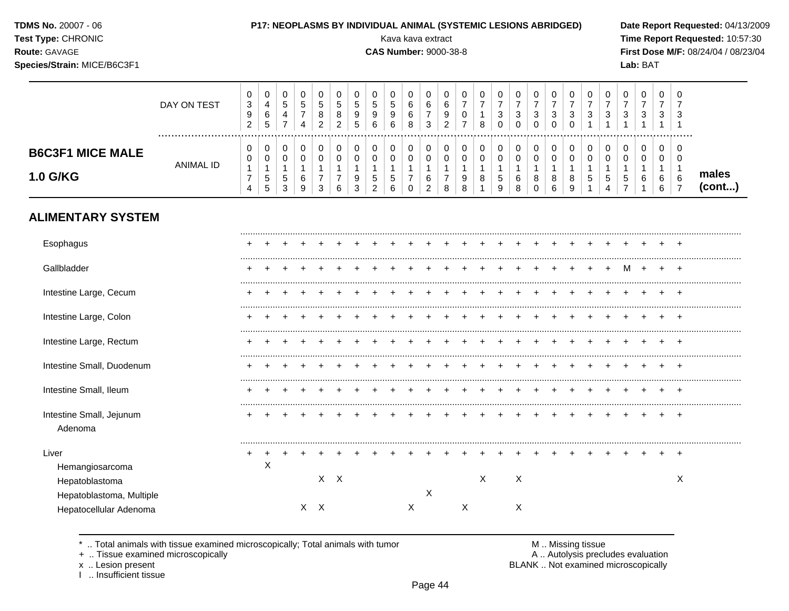| <b>TDMS No. 20007 - 06</b> |  |
|----------------------------|--|
| Test Type: CHRONIC         |  |

Route: GAVAGE

#### P17: NEOPLASMS BY INDIVIDUAL ANIMAL (SYSTEMIC LESIONS ABRIDGED)

Kava kava extract

**CAS Number: 9000-38-8** 

000000000000000000000000000000000

Date Report Requested: 04/13/2009 Time Report Requested: 10:57:30 First Dose M/F: 08/24/04 / 08/23/04 Lab: BAT

## Species/Strain: MICE/B6C3F1

|                                                    | DAY ON TEST<br>. | 3<br>9<br>$\overline{2}$                                   | 4<br>6<br>$\sqrt{5}$                      | $\,$ 5 $\,$<br>$\overline{a}$<br>$\overline{7}$           | $\sqrt{5}$<br>$\overline{7}$<br>$\overline{4}$   | $\,$ 5 $\,$<br>$\bf8$<br>$\overline{2}$                                   | 5<br>8<br>$\overline{2}$                                          | 5<br>$\boldsymbol{9}$<br>5                             | 5<br>9<br>6                                             | 5<br>9<br>6                             | 6<br>6<br>8             | $\,6\,$<br>$\overline{7}$<br>3 | 6<br>$\boldsymbol{9}$<br>$\overline{2}$      | $\overline{7}$<br>$\pmb{0}$<br>$\overline{7}$ | $\overline{7}$<br>$\mathbf{1}$<br>8                   | $\overline{7}$<br>3<br>0                   | $\overline{7}$<br>3<br>$\mathbf 0$                 | $\overline{7}$<br>$\mathbf{3}$<br>$\mathbf 0$ | $\overline{7}$<br>$\mathbf{3}$<br>$\mathbf 0$ | $\overline{7}$<br>$\sqrt{3}$<br>$\mathbf 0$ | $\overline{7}$<br>$\sqrt{3}$                 | $\overline{7}$<br>$\sqrt{3}$                      | $\overline{7}$<br>3                                     | $\overline{7}$<br>3<br>1   | $\overline{7}$<br>3<br>$\mathbf{1}$ | $\overline{7}$<br>3<br>-1                                       |                 |
|----------------------------------------------------|------------------|------------------------------------------------------------|-------------------------------------------|-----------------------------------------------------------|--------------------------------------------------|---------------------------------------------------------------------------|-------------------------------------------------------------------|--------------------------------------------------------|---------------------------------------------------------|-----------------------------------------|-------------------------|--------------------------------|----------------------------------------------|-----------------------------------------------|-------------------------------------------------------|--------------------------------------------|----------------------------------------------------|-----------------------------------------------|-----------------------------------------------|---------------------------------------------|----------------------------------------------|---------------------------------------------------|---------------------------------------------------------|----------------------------|-------------------------------------|-----------------------------------------------------------------|-----------------|
| <b>B6C3F1 MICE MALE</b><br>1.0 G/KG                | <b>ANIMAL ID</b> | 0<br>0<br>$\mathbf{1}$<br>$\overline{7}$<br>$\overline{4}$ | $\mathbf 0$<br>0<br>1<br>$\,$ 5 $\,$<br>5 | $\pmb{0}$<br>$\pmb{0}$<br>$\mathbf{1}$<br>$\sqrt{5}$<br>3 | $\pmb{0}$<br>$\pmb{0}$<br>$\mathbf{1}$<br>6<br>9 | $\mathbf 0$<br>$\mathsf{O}\xspace$<br>$\mathbf{1}$<br>$\overline{7}$<br>3 | $\mathbf 0$<br>$\mathsf 0$<br>$\mathbf{1}$<br>$\overline{7}$<br>6 | $\mathbf 0$<br>$\mathbf 0$<br>$\overline{1}$<br>9<br>3 | 0<br>$\mathbf 0$<br>$\mathbf{1}$<br>5<br>$\overline{2}$ | 0<br>$\Omega$<br>$\mathbf{1}$<br>5<br>6 | 0<br>0<br>1<br>$\Omega$ | 0<br>$\mathbf 0$<br>6<br>2     | 0<br>$\mathbf 0$<br>1<br>$\overline{7}$<br>8 | 0<br>$\pmb{0}$<br>1<br>9<br>8                 | 0<br>$\mathbf 0$<br>$\mathbf{1}$<br>8<br>$\mathbf{1}$ | 0<br>$\mathbf 0$<br>$\mathbf{1}$<br>5<br>9 | 0<br>$\mathbf 0$<br>$\overline{1}$<br>6<br>$\,8\,$ | 0<br>$\pmb{0}$<br>1<br>8<br>$\Omega$          | 0<br>$\mathbf 0$<br>$\mathbf{1}$<br>8<br>6    | 0<br>$\pmb{0}$<br>$\mathbf{1}$<br>8<br>9    | 0<br>$\pmb{0}$<br>$\mathbf{1}$<br>$\sqrt{5}$ | 0<br>$\pmb{0}$<br>$\mathbf{1}$<br>$\sqrt{5}$<br>4 | 0<br>$\mathbf 0$<br>$\mathbf{1}$<br>5<br>$\overline{7}$ | 0<br>$\mathbf 0$<br>1<br>6 | 0<br>0<br>$\mathbf{1}$<br>6<br>6    | 0<br>$\mathbf 0$<br>$\overline{1}$<br>$\,6\,$<br>$\overline{7}$ | males<br>(cont) |
| <b>ALIMENTARY SYSTEM</b>                           |                  |                                                            |                                           |                                                           |                                                  |                                                                           |                                                                   |                                                        |                                                         |                                         |                         |                                |                                              |                                               |                                                       |                                            |                                                    |                                               |                                               |                                             |                                              |                                                   |                                                         |                            |                                     |                                                                 |                 |
| Esophagus                                          |                  |                                                            |                                           |                                                           |                                                  |                                                                           |                                                                   |                                                        |                                                         |                                         |                         |                                |                                              |                                               |                                                       |                                            |                                                    |                                               |                                               |                                             |                                              |                                                   |                                                         |                            |                                     |                                                                 |                 |
| Gallbladder                                        |                  |                                                            |                                           |                                                           |                                                  |                                                                           |                                                                   |                                                        |                                                         |                                         |                         |                                |                                              |                                               |                                                       |                                            |                                                    |                                               |                                               |                                             |                                              |                                                   | M                                                       | $\ddot{}$                  |                                     |                                                                 |                 |
| Intestine Large, Cecum                             |                  |                                                            |                                           |                                                           |                                                  |                                                                           |                                                                   |                                                        |                                                         |                                         |                         |                                |                                              |                                               |                                                       |                                            |                                                    |                                               |                                               |                                             |                                              |                                                   |                                                         |                            |                                     |                                                                 |                 |
| Intestine Large, Colon                             |                  |                                                            |                                           |                                                           |                                                  |                                                                           |                                                                   |                                                        |                                                         |                                         |                         |                                |                                              |                                               |                                                       |                                            |                                                    |                                               |                                               |                                             |                                              |                                                   |                                                         |                            |                                     |                                                                 |                 |
| Intestine Large, Rectum                            |                  |                                                            |                                           |                                                           |                                                  |                                                                           |                                                                   |                                                        |                                                         |                                         |                         |                                |                                              |                                               |                                                       |                                            |                                                    |                                               |                                               |                                             |                                              |                                                   |                                                         |                            |                                     |                                                                 |                 |
| Intestine Small, Duodenum                          |                  |                                                            |                                           |                                                           |                                                  |                                                                           |                                                                   |                                                        |                                                         |                                         |                         |                                |                                              |                                               |                                                       |                                            |                                                    |                                               |                                               |                                             |                                              |                                                   |                                                         |                            |                                     |                                                                 |                 |
| Intestine Small, Ileum                             |                  |                                                            |                                           |                                                           |                                                  |                                                                           |                                                                   |                                                        |                                                         |                                         |                         |                                |                                              |                                               |                                                       |                                            |                                                    |                                               |                                               |                                             |                                              |                                                   |                                                         |                            |                                     |                                                                 |                 |
| Intestine Small, Jejunum<br>Adenoma                |                  |                                                            |                                           |                                                           |                                                  |                                                                           |                                                                   |                                                        |                                                         |                                         |                         |                                |                                              |                                               |                                                       |                                            |                                                    |                                               |                                               |                                             |                                              |                                                   |                                                         |                            |                                     |                                                                 |                 |
| Liver                                              |                  |                                                            |                                           |                                                           |                                                  |                                                                           |                                                                   |                                                        |                                                         |                                         |                         |                                |                                              |                                               |                                                       |                                            |                                                    |                                               |                                               |                                             |                                              |                                                   |                                                         |                            |                                     |                                                                 |                 |
| Hemangiosarcoma<br>Hepatoblastoma                  |                  |                                                            | X                                         |                                                           |                                                  |                                                                           | $X$ $X$                                                           |                                                        |                                                         |                                         |                         |                                |                                              |                                               | X                                                     |                                            | X                                                  |                                               |                                               |                                             |                                              |                                                   |                                                         |                            |                                     | X                                                               |                 |
| Hepatoblastoma, Multiple<br>Hepatocellular Adenoma |                  |                                                            |                                           |                                                           |                                                  | $X$ $X$                                                                   |                                                                   |                                                        |                                                         |                                         | X                       | $\mathsf X$                    |                                              | X                                             |                                                       |                                            | $\times$                                           |                                               |                                               |                                             |                                              |                                                   |                                                         |                            |                                     |                                                                 |                 |

.. Total animals with tissue examined microscopically; Total animals with tumor  $\star$ 

+ .. Tissue examined microscopically

x .. Lesion present

I .. Insufficient tissue

M .. Missing tissue<br>A .. Autolysis precludes evaluation

BLANK .. Not examined microscopically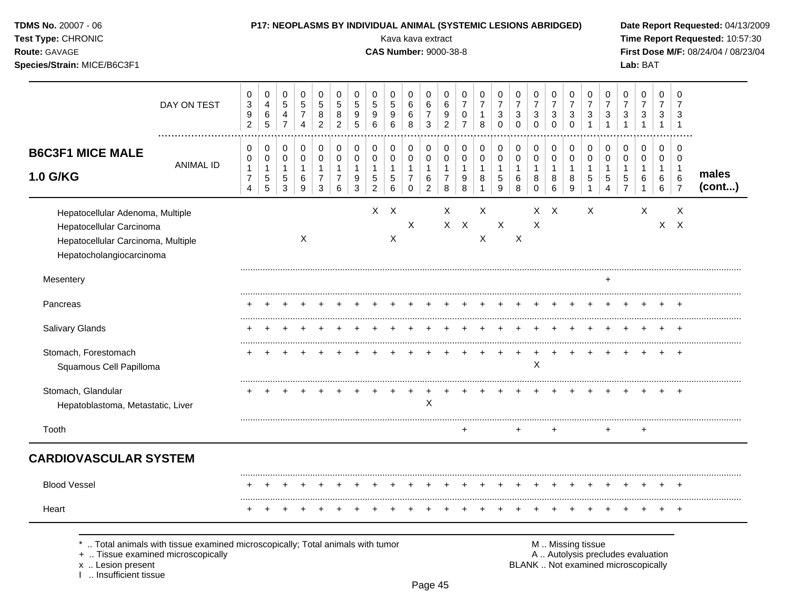| TDMS No. 20007 - 06<br>Test Type: CHRONIC<br>Route: GAVAGE<br>Species/Strain: MICE/B6C3F1                                      |                  |                                                                  | P17: NEOPLASMS BY INDIVIDUAL ANIMAL (SYSTEMIC LESIONS ABRIDGED)     |                                                                |                                                                     |                                                                   |                                                |                                                      |                                                        | Kava kava extract<br><b>CAS Number: 9000-38-8</b> |                                                                |                                                          |                                                              |                                              |                                                                       |                                                       |                                                  |                                                                        |                                                                           |                                                  |                                                                              |                                                                              |                                          | Lab: BAT                                                     |                                                    |                                                      | Date Report Requested: 04/13/2009<br>Time Report Requested: 10:57:30<br>First Dose M/F: 08/24/04 / 08/23/04 |
|--------------------------------------------------------------------------------------------------------------------------------|------------------|------------------------------------------------------------------|---------------------------------------------------------------------|----------------------------------------------------------------|---------------------------------------------------------------------|-------------------------------------------------------------------|------------------------------------------------|------------------------------------------------------|--------------------------------------------------------|---------------------------------------------------|----------------------------------------------------------------|----------------------------------------------------------|--------------------------------------------------------------|----------------------------------------------|-----------------------------------------------------------------------|-------------------------------------------------------|--------------------------------------------------|------------------------------------------------------------------------|---------------------------------------------------------------------------|--------------------------------------------------|------------------------------------------------------------------------------|------------------------------------------------------------------------------|------------------------------------------|--------------------------------------------------------------|----------------------------------------------------|------------------------------------------------------|-------------------------------------------------------------------------------------------------------------|
|                                                                                                                                | DAY ON TEST      | $\mathbf 0$<br>$\mathbf 3$<br>$\boldsymbol{9}$<br>$\overline{2}$ | $\mathbf 0$<br>$\overline{\mathbf{4}}$<br>$\,6\,$<br>$\overline{5}$ | $\mathbf 0$<br>$\sqrt{5}$<br>$\overline{4}$<br>$\overline{7}$  | $\mathbf 0$<br>$\overline{5}$<br>$\boldsymbol{7}$<br>$\overline{4}$ | $\mathbf 0$<br>$\overline{5}$<br>8<br>$\overline{2}$              | 0<br>$\mathbf 5$<br>$\bf 8$<br>$\overline{a}$  | 0<br>$\sqrt{5}$<br>$\boldsymbol{9}$<br>5             | $\Omega$<br>$\sqrt{5}$<br>9<br>$6\phantom{1}$          | $\Omega$<br>5<br>9<br>6                           | $\mathbf 0$<br>$\,6\,$<br>$\,6$<br>8                           | $\mathbf 0$<br>$\,6\,$<br>$\overline{7}$<br>$\mathbf{3}$ | $\mathbf 0$<br>$\,6\,$<br>$\boldsymbol{9}$<br>$\overline{2}$ | 0<br>$\overline{7}$<br>0<br>$\overline{7}$   | $\mathbf 0$<br>$\overline{7}$<br>1<br>8                               | 0<br>$\overline{7}$<br>3<br>$\mathbf 0$               | 0<br>$\overline{7}$<br>$\sqrt{3}$<br>$\mathbf 0$ | $\Omega$<br>$\overline{7}$<br>$\ensuremath{\mathsf{3}}$<br>$\mathbf 0$ | $\mathbf 0$<br>$\overline{7}$<br>$\ensuremath{\mathsf{3}}$<br>$\mathbf 0$ | 0<br>$\overline{7}$<br>$\sqrt{3}$<br>$\mathbf 0$ | $\mathbf 0$<br>$\overline{7}$<br>$\ensuremath{\mathsf{3}}$<br>$\overline{1}$ | $\mathbf 0$<br>$\overline{7}$<br>$\ensuremath{\mathsf{3}}$<br>$\overline{1}$ | 0<br>$\overline{7}$<br>3<br>$\mathbf{1}$ | $\Omega$<br>$\overline{7}$<br>3<br>$\mathbf{1}$              | $\mathbf 0$<br>$\overline{7}$<br>3<br>$\mathbf{1}$ | $\Omega$<br>$\overline{7}$<br>3<br>$\overline{1}$    |                                                                                                             |
| <b>B6C3F1 MICE MALE</b><br><b>1.0 G/KG</b>                                                                                     | <b>ANIMAL ID</b> | 0<br>0<br>$\mathbf{1}$<br>$\overline{7}$<br>$\overline{4}$       | $\mathbf 0$<br>$\mathbf 0$<br>$\mathbf{1}$<br>$\sqrt{5}$<br>5       | 0<br>$\mathbf 0$<br>$\mathbf{1}$<br>$\sqrt{5}$<br>$\mathbf{3}$ | $\mathbf 0$<br>$\mathbf 0$<br>$\mathbf{1}$<br>$\,6$<br>9            | $\mathbf 0$<br>$\mathbf 0$<br>$\mathbf{1}$<br>$\overline{7}$<br>3 | 0<br>$\mathbf 0$<br>1<br>$\boldsymbol{7}$<br>6 | $\mathbf 0$<br>$\mathbf 0$<br>$\mathbf{1}$<br>9<br>3 | 0<br>$\mathbf 0$<br>1<br>$\mathbf 5$<br>$\overline{2}$ | 0<br>0<br>$\mathbf{1}$<br>5<br>6                  | 0<br>$\mathbf 0$<br>$\mathbf{1}$<br>$\overline{7}$<br>$\Omega$ | 0<br>0<br>$\mathbf{1}$<br>6<br>$\overline{2}$            | 0<br>$\mathbf 0$<br>$\mathbf{1}$<br>$\overline{7}$<br>8      | 0<br>$\mathbf 0$<br>$\overline{1}$<br>9<br>8 | $\mathbf 0$<br>$\mathbf 0$<br>$\mathbf{1}$<br>$\bf 8$<br>$\mathbf{1}$ | 0<br>$\mathbf 0$<br>1<br>$\sqrt{5}$<br>$\overline{9}$ | 0<br>$\mathbf 0$<br>$\mathbf{1}$<br>6<br>8       | 0<br>$\mathbf 0$<br>$\mathbf{1}$<br>8<br>$\Omega$                      | 0<br>$\mathbf 0$<br>$\mathbf{1}$<br>8<br>6                                | 0<br>$\mathbf 0$<br>1<br>8<br>9                  | $\mathbf 0$<br>$\mathbf 0$<br>$\mathbf{1}$<br>$\sqrt{5}$<br>$\mathbf{1}$     | $\mathbf 0$<br>$\mathbf 0$<br>$\mathbf{1}$<br>$\sqrt{5}$<br>$\overline{4}$   | 0<br>0<br>1<br>5<br>$\overline{7}$       | $\mathbf 0$<br>$\Omega$<br>$\mathbf{1}$<br>6<br>$\mathbf{1}$ | 0<br>$\mathbf 0$<br>1<br>6<br>6                    | 0<br>$\Omega$<br>$\mathbf{1}$<br>6<br>$\overline{7}$ | males<br>(cont)                                                                                             |
| Hepatocellular Adenoma, Multiple<br>Hepatocellular Carcinoma<br>Hepatocellular Carcinoma, Multiple<br>Hepatocholangiocarcinoma |                  |                                                                  |                                                                     |                                                                | X                                                                   |                                                                   |                                                |                                                      |                                                        | $X$ $X$<br>X                                      | X                                                              |                                                          | X                                                            | $X$ $X$                                      | X<br>$\mathsf X$                                                      | $\mathsf X$                                           | $\boldsymbol{\mathsf{X}}$                        | X                                                                      | $X$ $X$                                                                   |                                                  | X                                                                            |                                                                              |                                          | X                                                            |                                                    | X<br>$X$ $X$                                         |                                                                                                             |
| Mesentery                                                                                                                      |                  |                                                                  |                                                                     |                                                                |                                                                     |                                                                   |                                                |                                                      |                                                        |                                                   |                                                                |                                                          |                                                              |                                              |                                                                       |                                                       |                                                  |                                                                        |                                                                           |                                                  |                                                                              |                                                                              |                                          |                                                              |                                                    |                                                      |                                                                                                             |
| Pancreas                                                                                                                       |                  |                                                                  |                                                                     |                                                                |                                                                     |                                                                   |                                                |                                                      |                                                        |                                                   |                                                                |                                                          |                                                              |                                              |                                                                       |                                                       |                                                  |                                                                        |                                                                           |                                                  |                                                                              |                                                                              |                                          |                                                              |                                                    |                                                      |                                                                                                             |
| Salivary Glands                                                                                                                |                  |                                                                  |                                                                     |                                                                |                                                                     |                                                                   |                                                |                                                      |                                                        |                                                   |                                                                |                                                          |                                                              |                                              |                                                                       |                                                       |                                                  |                                                                        |                                                                           |                                                  |                                                                              |                                                                              |                                          |                                                              |                                                    |                                                      |                                                                                                             |
| Stomach, Forestomach<br>Squamous Cell Papilloma                                                                                |                  |                                                                  |                                                                     |                                                                |                                                                     |                                                                   |                                                |                                                      |                                                        |                                                   |                                                                |                                                          |                                                              |                                              |                                                                       |                                                       |                                                  | X                                                                      |                                                                           |                                                  |                                                                              |                                                                              |                                          |                                                              |                                                    |                                                      |                                                                                                             |
| Stomach, Glandular<br>Hepatoblastoma, Metastatic, Liver                                                                        |                  |                                                                  |                                                                     |                                                                |                                                                     |                                                                   |                                                |                                                      |                                                        |                                                   | $\ddot{}$                                                      | $\ddot{}$<br>$\boldsymbol{\mathsf{X}}$                   |                                                              |                                              |                                                                       |                                                       | $+$                                              | $+$                                                                    |                                                                           |                                                  | $+$                                                                          |                                                                              |                                          |                                                              |                                                    | $+$                                                  |                                                                                                             |
| Tooth                                                                                                                          |                  |                                                                  |                                                                     |                                                                |                                                                     |                                                                   |                                                |                                                      |                                                        |                                                   |                                                                |                                                          |                                                              | $\ddot{}$                                    |                                                                       |                                                       | $\pm$                                            |                                                                        |                                                                           |                                                  |                                                                              |                                                                              |                                          | $\ddot{}$                                                    |                                                    |                                                      |                                                                                                             |
| <b>CARDIOVASCULAR SYSTEM</b>                                                                                                   |                  |                                                                  |                                                                     |                                                                |                                                                     |                                                                   |                                                |                                                      |                                                        |                                                   |                                                                |                                                          |                                                              |                                              |                                                                       |                                                       |                                                  |                                                                        |                                                                           |                                                  |                                                                              |                                                                              |                                          |                                                              |                                                    |                                                      |                                                                                                             |
| <b>Blood Vessel</b>                                                                                                            |                  |                                                                  |                                                                     |                                                                |                                                                     |                                                                   |                                                |                                                      |                                                        |                                                   |                                                                |                                                          |                                                              |                                              |                                                                       |                                                       |                                                  |                                                                        |                                                                           |                                                  |                                                                              |                                                                              |                                          |                                                              |                                                    |                                                      |                                                                                                             |
| Heart                                                                                                                          |                  |                                                                  |                                                                     |                                                                |                                                                     |                                                                   |                                                |                                                      |                                                        |                                                   |                                                                |                                                          |                                                              |                                              |                                                                       |                                                       |                                                  |                                                                        |                                                                           |                                                  |                                                                              |                                                                              |                                          |                                                              |                                                    |                                                      |                                                                                                             |

x .. Lesion present<br>I .. Insufficient tissue

+ .. Tissue examined microscopically  $\blacksquare$  A .. Autolysis precludes evaluation M .. Missing tissue<br>A .. Autolysis precludes evaluation<br>BLANK .. Not examined microscopically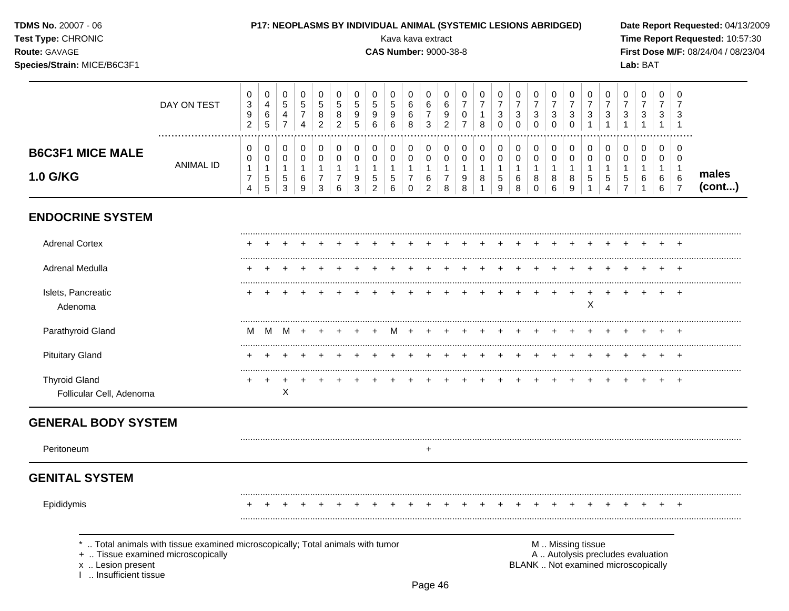**TDMS No. 20007 - 06** P17: NEOPLASMS BY INDIVIDUAL ANIMAL (SYSTEMIC LESIONS ABRIDGED) Date Report Requested: 04/13/2009 **Test Type: CHRONIC** Kava kava extract Time Report Requested: 10:57:30 Route: GAVAGE **CAS Number: 9000-38-8** First Dose M/F: 08/24/04 / 08/23/04 Species/Strain: MICE/B6C3F1 Lab: BAT  $\mathbf 0$  $\mathbf 0$  $\mathbf 0$  $\mathbf 0$  $\mathbf 0$  $\mathbf 0$  $\mathbf 0$  $\mathbf 0$  $\mathbf 0$  $\mathbf 0$  $\mathbf 0$  $\mathbf 0$  $\mathbf 0$  $\mathbf 0$  $\mathbf 0$  $\mathbf 0$  $\Omega$  $\mathbf 0$  $\mathbf 0$  $\mathbf 0$  $\mathbf 0$  $\mathbf 0$  $\mathbf 0$  $\mathbf 0$  $\mathbf 0$  $\overline{7}$  $\overline{4}$  $\overline{5}$  $\overline{5}$  $\overline{5}$  $\overline{5}$ 5  $\,6\,$  $\,6$  $\overline{7}$  $\overline{7}$  $\overline{7}$  $\overline{7}$  $\overline{7}$  $\overline{7}$  $\overline{7}$  $\overline{7}$  $\mathbf{3}$  $\overline{5}$  $\overline{5}$  $\,6\,$  $\overline{7}$  $\overline{7}$  $\overline{7}$  $\overline{7}$ DAY ON TEST  $6\overline{6}$  $\overline{7}$  $\overline{9}$ 8 8 9  $\overline{9}$ 9  $6\phantom{a}$  $\overline{7}$  $9$  $\mathbf 0$  $\mathbf{3}$  $\mathbf{3}$  $\mathbf{3}$  $\mathbf{3}$  $\mathbf{3}$  $\mathbf{3}$  $\mathbf{3}$  $\mathbf{3}$  $\mathbf{3}$  $\mathbf{3}$  $\overline{4}$  $\mathbf{1}$  $\mathbf{3}$  $\overline{7}$  $\overline{2}$  $\overline{2}$  $5\overline{5}$ 8  $\overline{2}$  $\overline{7}$  $\mathbf{1}$  $\overline{2}$ 5  $6\phantom{1}$  $6\phantom{a}$  $\overline{3}$  $\overline{0}$  $\mathbf 0$  $\Omega$  $\overline{4}$  $\bf8$  $\mathbf 0$  $\mathbf 0$  $\mathbf{1}$  $\mathbf{1}$  $\mathbf{1}$  $\mathbf{1}$  $\overline{1}$  $\mathbf 0$  $\mathbf 0$  $\mathbf 0$  $\mathbf 0$  $\mathbf 0$  $\mathbf 0$  $\mathbf 0$  $\mathbf 0$  $\mathbf 0$  $\mathbf 0$  $\mathbf 0$  $\mathbf 0$  $\mathbf 0$  $\mathbf 0$  $\mathsf 0$  $\overline{0}$  $\mathbf 0$  $\mathbf 0$  $\mathbf 0$  $\mathbf 0$  $\mathbf 0$  $\mathbf 0$  $\mathbf 0$  $\mathbf 0$  $\mathbf 0$ **B6C3F1 MICE MALE**  $\mathbf 0$  $\mathbf 0$  $\mathbf 0$  $\mathbf 0$  $\mathbf 0$  $\mathbf 0$  $\mathbf 0$  $\mathbf 0$  $\mathbf 0$  $\mathbf 0$  $\mathbf 0$  $\mathbf 0$  $\mathbf 0$  $\mathbf 0$  $\mathbf 0$  $\mathbf 0$  $\mathbf 0$  $\mathbf 0$  $\mathbf 0$  $\mathbf 0$  $\mathbf 0$  $\mathbf 0$  $\mathbf 0$  $\mathbf 0$  $\mathbf 0$ **ANIMAL ID**  $\mathbf{1}$  $\overline{1}$  $\mathbf{1}$  $\mathbf{1}$  $\mathbf{1}$  $\mathbf{1}$  $\overline{1}$  $\overline{1}$  $\mathbf{1}$  $\overline{1}$  $\mathbf{1}$  $\mathbf{1}$  $\mathbf{1}$  $\mathbf{1}$  $\mathbf{1}$  $\mathbf{1}$  $\mathbf{1}$  $\overline{1}$  $\mathbf{1}$  $\mathbf{1}$  $\mathbf{1}$  $\mathbf{1}$  $\mathbf{1}$  $\mathbf{1}$  $\overline{1}$ males 1.0 G/KG  $\,$  5  $\,$  $\overline{7}$  $\boldsymbol{7}$  $\overline{7}$  $\overline{7}$  $\boldsymbol{9}$  $\,$  5  $\,$  $\frac{5}{7}$  $\overline{7}$  $\sqrt{5}$  $\,6$  $9\,$  $\overline{5}$ 5  $\,6$  $\,8\,$  $\sqrt{5}$ 6 8 8  $\bf 8$  $\sqrt{5}$ 6 6 6  $(cont...)$ 5  $\overline{3}$  $\mathbf{3}$ 2 8  $9$  $\overline{4}$  $\overline{4}$ 3 9  $\,6\,$ 6  $\mathbf 0$ 2 8 8  $\mathbf{1}$ 9  $\mathbf{0}$ 6  $\mathbf{1}$  $\mathbf{1}$ 6  $\overline{7}$ **ENDOCRINE SYSTEM Adrenal Cortex** Adrenal Medulla Islets, Pancreatic  $\ddot{}$  $\ddot{}$  $+$  $\times$ Adenoma Parathyroid Gland м M M  $+$ м  $\ddot{}$ **Pituitary Gland Thyroid Gland**  $+$  $\ddot{}$  $\times$ Follicular Cell, Adenoma **GENERAL BODY SYSTEM** Peritoneum  $\ddot{}$ **GENITAL SYSTEM** Epididymis  $\ddot{}$  $+$  $+$  $+$  $+$  $+$  $+$  $\div$ .. Total animals with tissue examined microscopically; Total animals with tumor M .. Missing tissue + .. Tissue examined microscopically A .. Autolysis precludes evaluation x .. Lesion present BLANK .. Not examined microscopically I .. Insufficient tissue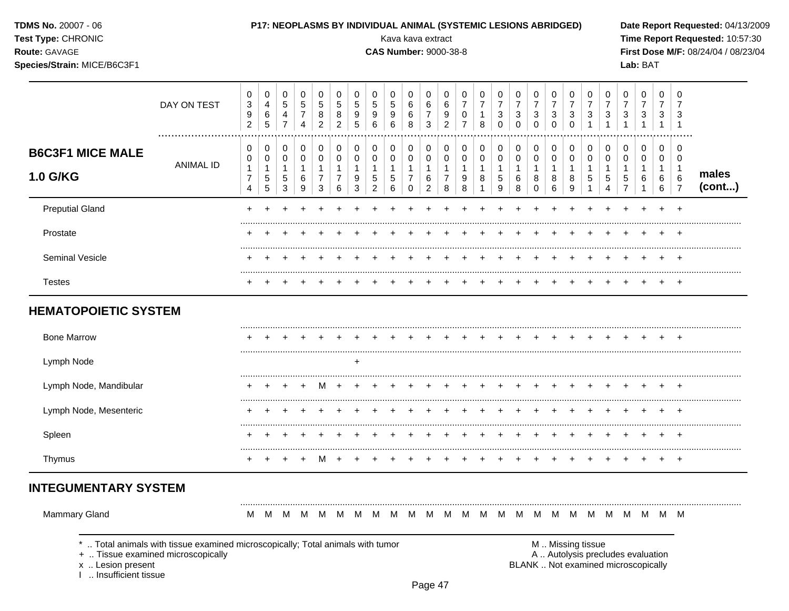|  |  | <b>TDMS No. 20007 - 06</b> |  |  |
|--|--|----------------------------|--|--|
|--|--|----------------------------|--|--|

### Test Type: CHRONIC

### Route: GAVAGE

Species/Strain: MICE/B6C3F1

### P17: NEOPLASMS BY INDIVIDUAL ANIMAL (SYSTEMIC LESIONS ABRIDGED)

Kava kava extract

**CAS Number: 9000-38-8** 

Date Report Requested: 04/13/2009 Time Report Requested: 10:57:30 First Dose M/F: 08/24/04 / 08/23/04 Lab: BAT

|                                             | DAY ON TEST                                                                                                           | 0<br>$\mathbf{3}$<br>9<br>$\overline{c}$                | $\mathbf 0$<br>$\overline{4}$<br>$\,6\,$<br>$\sqrt{5}$ | 0<br>$\sqrt{5}$<br>$\overline{4}$<br>$\overline{7}$                      | $\mathbf 0$<br>$\sqrt{5}$<br>$\overline{7}$<br>4 | 0<br>5<br>8<br>$\overline{c}$                                            | 0<br>5<br>8<br>$\overline{c}$                          | 0<br>$\overline{5}$<br>9<br>5 | 0<br>$\sqrt{5}$<br>9<br>6                                       | 0<br>$\sqrt{5}$<br>9<br>6                      | 0<br>6<br>6<br>8                                                | 0<br>6<br>$\overline{7}$<br>$\mathbf{3}$                          | 0<br>6<br>9<br>$\overline{c}$                         | 0<br>7<br>$\mathbf 0$<br>$\overline{7}$                         | 0<br>$\overline{7}$<br>$\mathbf{1}$<br>8            | 0<br>$\overline{7}$<br>3<br>$\mathbf 0$             | 0<br>$\overline{7}$<br>$\ensuremath{\mathsf{3}}$<br>$\mathbf 0$ | 0<br>$\overline{7}$<br>3<br>$\mathbf 0$                        | 0<br>$\overline{7}$<br>$\sqrt{3}$<br>$\mathbf 0$ | 0<br>$\overline{7}$<br>$\sqrt{3}$<br>$\mathbf 0$     | 0<br>$\overline{7}$<br>3<br>$\mathbf{1}$      | 0<br>$\overline{7}$<br>3<br>1                                   | 0<br>$\overline{7}$<br>3<br>1                           | 0<br>$\overline{7}$<br>$\sqrt{3}$<br>$\mathbf{1}$                        | 0<br>$\overline{7}$<br>3<br>$\mathbf{1}$             | 0<br>7<br>3<br>$\overline{1}$                              |                 |
|---------------------------------------------|-----------------------------------------------------------------------------------------------------------------------|---------------------------------------------------------|--------------------------------------------------------|--------------------------------------------------------------------------|--------------------------------------------------|--------------------------------------------------------------------------|--------------------------------------------------------|-------------------------------|-----------------------------------------------------------------|------------------------------------------------|-----------------------------------------------------------------|-------------------------------------------------------------------|-------------------------------------------------------|-----------------------------------------------------------------|-----------------------------------------------------|-----------------------------------------------------|-----------------------------------------------------------------|----------------------------------------------------------------|--------------------------------------------------|------------------------------------------------------|-----------------------------------------------|-----------------------------------------------------------------|---------------------------------------------------------|--------------------------------------------------------------------------|------------------------------------------------------|------------------------------------------------------------|-----------------|
| <b>B6C3F1 MICE MALE</b><br>1.0 G/KG         | <b>ANIMAL ID</b>                                                                                                      | $\mathbf 0$<br>0<br>$\mathbf{1}$<br>$\overline{7}$<br>4 | $\mathbf 0$<br>$\mathsf 0$<br>$\mathbf{1}$<br>5<br>5   | $\mathbf 0$<br>$\mathbf 0$<br>$\mathbf{1}$<br>$\sqrt{5}$<br>$\mathbf{3}$ | 0<br>$\mathbf 0$<br>$\mathbf{1}$<br>$\,6\,$<br>9 | $\pmb{0}$<br>$\pmb{0}$<br>$\mathbf{1}$<br>$\overline{7}$<br>$\mathbf{3}$ | $\mathbf 0$<br>$\mathbf 0$<br>1<br>$\overline{7}$<br>6 | 0<br>0<br>1<br>9<br>3         | $\mathbf 0$<br>$\mathbf 0$<br>1<br>$\sqrt{5}$<br>$\overline{2}$ | 0<br>$\mathbf 0$<br>$\mathbf{1}$<br>5<br>$\,6$ | $\pmb{0}$<br>0<br>$\mathbf{1}$<br>$\overline{7}$<br>$\mathbf 0$ | $\mathbf 0$<br>$\mathbf 0$<br>$\mathbf{1}$<br>6<br>$\overline{c}$ | 0<br>$\pmb{0}$<br>$\mathbf{1}$<br>$\overline{7}$<br>8 | $\mathbf 0$<br>0<br>$\mathbf{1}$<br>$\boldsymbol{9}$<br>$\,8\,$ | $\pmb{0}$<br>0<br>$\mathbf{1}$<br>8<br>$\mathbf{1}$ | 0<br>$\mathbf 0$<br>$\mathbf{1}$<br>$\sqrt{5}$<br>9 | $\mathbf 0$<br>$\mathbf 0$<br>$\mathbf{1}$<br>6<br>8            | $\mathbf 0$<br>$\mathbf 0$<br>$\mathbf{1}$<br>8<br>$\mathbf 0$ | $\pmb{0}$<br>$\pmb{0}$<br>1<br>8<br>6            | $\mathbf 0$<br>$\mathbf 0$<br>$\mathbf{1}$<br>8<br>9 | 0<br>0<br>$\overline{1}$<br>5<br>$\mathbf{1}$ | $\mathbf 0$<br>$\mathbf 0$<br>1<br>5<br>$\overline{\mathbf{4}}$ | 0<br>$\mathbf 0$<br>$\mathbf{1}$<br>5<br>$\overline{7}$ | $\pmb{0}$<br>0<br>$\mathbf{1}$<br>6<br>$\mathbf{1}$                      | $\mathbf 0$<br>$\mathbf 0$<br>$\mathbf{1}$<br>6<br>6 | 0<br>$\mathbf 0$<br>1<br>$6\phantom{1}6$<br>$\overline{7}$ | males<br>(cont) |
| <b>Preputial Gland</b>                      |                                                                                                                       | ÷                                                       |                                                        |                                                                          |                                                  |                                                                          |                                                        |                               |                                                                 |                                                |                                                                 |                                                                   |                                                       |                                                                 |                                                     |                                                     |                                                                 |                                                                |                                                  |                                                      |                                               |                                                                 |                                                         |                                                                          |                                                      |                                                            |                 |
| Prostate                                    |                                                                                                                       |                                                         |                                                        |                                                                          |                                                  |                                                                          |                                                        |                               |                                                                 |                                                |                                                                 |                                                                   |                                                       |                                                                 |                                                     |                                                     |                                                                 |                                                                |                                                  |                                                      |                                               |                                                                 |                                                         |                                                                          |                                                      | $\div$                                                     |                 |
| <b>Seminal Vesicle</b>                      |                                                                                                                       |                                                         |                                                        |                                                                          |                                                  |                                                                          |                                                        |                               |                                                                 |                                                |                                                                 |                                                                   |                                                       |                                                                 |                                                     |                                                     |                                                                 |                                                                |                                                  |                                                      |                                               |                                                                 |                                                         |                                                                          |                                                      |                                                            |                 |
| <b>Testes</b>                               |                                                                                                                       |                                                         |                                                        |                                                                          |                                                  |                                                                          |                                                        |                               |                                                                 |                                                |                                                                 |                                                                   |                                                       |                                                                 |                                                     |                                                     |                                                                 |                                                                |                                                  |                                                      |                                               |                                                                 |                                                         |                                                                          |                                                      |                                                            |                 |
| <b>HEMATOPOIETIC SYSTEM</b>                 |                                                                                                                       |                                                         |                                                        |                                                                          |                                                  |                                                                          |                                                        |                               |                                                                 |                                                |                                                                 |                                                                   |                                                       |                                                                 |                                                     |                                                     |                                                                 |                                                                |                                                  |                                                      |                                               |                                                                 |                                                         |                                                                          |                                                      |                                                            |                 |
| <b>Bone Marrow</b>                          |                                                                                                                       |                                                         |                                                        |                                                                          |                                                  |                                                                          |                                                        |                               |                                                                 |                                                |                                                                 |                                                                   |                                                       |                                                                 |                                                     |                                                     |                                                                 |                                                                |                                                  |                                                      |                                               |                                                                 |                                                         |                                                                          |                                                      |                                                            |                 |
| Lymph Node                                  |                                                                                                                       |                                                         |                                                        |                                                                          |                                                  |                                                                          |                                                        | $\ddot{}$                     |                                                                 |                                                |                                                                 |                                                                   |                                                       |                                                                 |                                                     |                                                     |                                                                 |                                                                |                                                  |                                                      |                                               |                                                                 |                                                         |                                                                          |                                                      |                                                            |                 |
| Lymph Node, Mandibular                      |                                                                                                                       |                                                         |                                                        |                                                                          |                                                  | M                                                                        |                                                        |                               |                                                                 |                                                |                                                                 |                                                                   |                                                       |                                                                 |                                                     |                                                     |                                                                 |                                                                |                                                  |                                                      |                                               |                                                                 |                                                         |                                                                          |                                                      |                                                            |                 |
| Lymph Node, Mesenteric                      |                                                                                                                       |                                                         |                                                        |                                                                          |                                                  |                                                                          |                                                        |                               |                                                                 |                                                |                                                                 |                                                                   |                                                       |                                                                 |                                                     |                                                     |                                                                 |                                                                |                                                  |                                                      |                                               |                                                                 |                                                         |                                                                          |                                                      |                                                            |                 |
| Spleen                                      |                                                                                                                       |                                                         |                                                        |                                                                          |                                                  |                                                                          |                                                        |                               |                                                                 |                                                |                                                                 |                                                                   |                                                       |                                                                 |                                                     |                                                     |                                                                 |                                                                |                                                  |                                                      |                                               |                                                                 |                                                         |                                                                          |                                                      |                                                            |                 |
| Thymus                                      |                                                                                                                       |                                                         |                                                        |                                                                          |                                                  | M                                                                        |                                                        |                               |                                                                 |                                                |                                                                 |                                                                   |                                                       |                                                                 |                                                     |                                                     |                                                                 |                                                                |                                                  |                                                      |                                               |                                                                 |                                                         |                                                                          |                                                      | $\div$                                                     |                 |
| <b>INTEGUMENTARY SYSTEM</b>                 |                                                                                                                       |                                                         |                                                        |                                                                          |                                                  |                                                                          |                                                        |                               |                                                                 |                                                |                                                                 |                                                                   |                                                       |                                                                 |                                                     |                                                     |                                                                 |                                                                |                                                  |                                                      |                                               |                                                                 |                                                         |                                                                          |                                                      |                                                            |                 |
| <b>Mammary Gland</b>                        |                                                                                                                       | м                                                       | M                                                      | M                                                                        | M                                                | M                                                                        | M                                                      | M                             | M                                                               | M                                              | M                                                               | M                                                                 | M                                                     |                                                                 |                                                     | M M M M                                             |                                                                 | M                                                              | M                                                | M                                                    | M                                             | M                                                               | M                                                       | MMM                                                                      |                                                      |                                                            |                 |
| x  Lesion present<br>I  Insufficient tissue | *  Total animals with tissue examined microscopically; Total animals with tumor<br>+  Tissue examined microscopically |                                                         |                                                        |                                                                          |                                                  |                                                                          |                                                        |                               |                                                                 |                                                |                                                                 |                                                                   |                                                       |                                                                 |                                                     |                                                     |                                                                 |                                                                |                                                  |                                                      | M  Missing tissue                             |                                                                 |                                                         | A  Autolysis precludes evaluation<br>BLANK  Not examined microscopically |                                                      |                                                            |                 |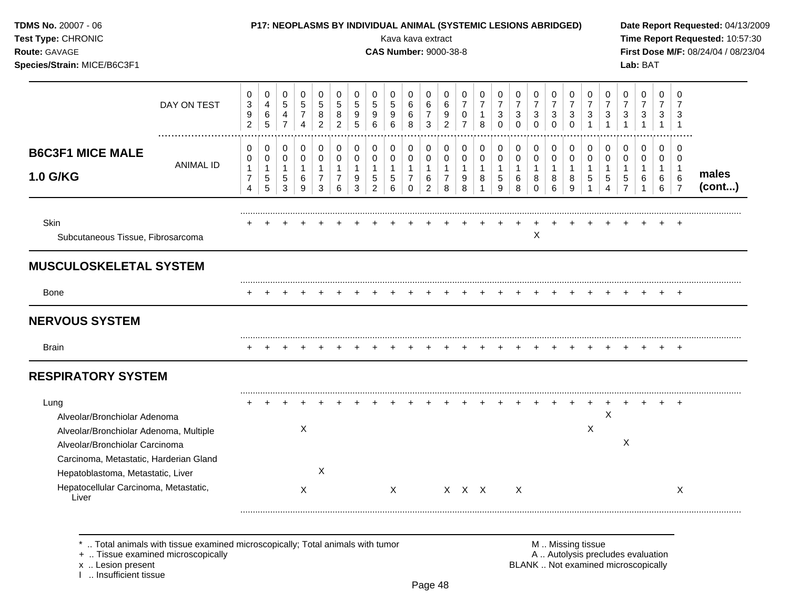| TDMS No. 20007 - 06<br>Test Type: CHRONIC<br>Route: GAVAGE<br>Species/Strain: MICE/B6C3F1                                                                  |                  |                                                            |                                                             |                                                                  |                                                                 |                                                                 |                                                        |                                                       |                                               | P17: NEOPLASMS BY INDIVIDUAL ANIMAL (SYSTEMIC LESIONS ABRIDGED)<br>Kava kava extract<br><b>CAS Number: 9000-38-8</b> |                                                                      |                                                                     |                                                           |                                            |                                                |                                         |                                            |                                                |                                                      |                                                  |                                                      |                                                                         |                                                         | Lab: BAT                                 |                                          |                                                                  | Date Report Requested: 04/13/2009<br>Time Report Requested: 10:57:30<br>First Dose M/F: 08/24/04 / 08/23/04 |
|------------------------------------------------------------------------------------------------------------------------------------------------------------|------------------|------------------------------------------------------------|-------------------------------------------------------------|------------------------------------------------------------------|-----------------------------------------------------------------|-----------------------------------------------------------------|--------------------------------------------------------|-------------------------------------------------------|-----------------------------------------------|----------------------------------------------------------------------------------------------------------------------|----------------------------------------------------------------------|---------------------------------------------------------------------|-----------------------------------------------------------|--------------------------------------------|------------------------------------------------|-----------------------------------------|--------------------------------------------|------------------------------------------------|------------------------------------------------------|--------------------------------------------------|------------------------------------------------------|-------------------------------------------------------------------------|---------------------------------------------------------|------------------------------------------|------------------------------------------|------------------------------------------------------------------|-------------------------------------------------------------------------------------------------------------|
|                                                                                                                                                            | DAY ON TEST      | 0<br>3<br>$\boldsymbol{9}$<br>$\overline{2}$               | 0<br>$\overline{4}$<br>$\,6\,$<br>$\overline{5}$            | $\mathbf 0$<br>$\,$ 5 $\,$<br>$\overline{4}$<br>$\overline{7}$   | $\mathbf 0$<br>$\sqrt{5}$<br>$\boldsymbol{7}$<br>$\overline{4}$ | $\mathbf 0$<br>$\sqrt{5}$<br>8<br>$\overline{2}$                | 0<br>5<br>$\,8\,$<br>$\overline{2}$                    | 0<br>5<br>9<br>$\overline{5}$                         | $\mathbf 0$<br>5<br>9<br>6                    | 0<br>5<br>9<br>6                                                                                                     | 0<br>6<br>6<br>8                                                     | 0<br>6<br>$\overline{7}$<br>$\mathbf{3}$                            | 0<br>6<br>9<br>$\overline{2}$                             | 0<br>7<br>0<br>$\overline{7}$              | 0<br>$\overline{7}$<br>$\mathbf{1}$<br>$\,8\,$ | 0<br>$\overline{7}$<br>3<br>$\mathbf 0$ | 0<br>$\overline{7}$<br>3<br>$\mathbf 0$    | 0<br>$\overline{7}$<br>3<br>$\mathbf 0$        | 0<br>$\overline{7}$<br>3<br>$\mathbf 0$              | 0<br>$\overline{7}$<br>$\sqrt{3}$<br>$\mathbf 0$ | 0<br>$\overline{7}$<br>$\mathbf{3}$<br>$\mathbf{1}$  | 0<br>$\overline{7}$<br>$\sqrt{3}$<br>$\mathbf{1}$                       | 0<br>$\overline{7}$<br>3<br>$\mathbf{1}$                | 0<br>$\overline{7}$<br>3<br>$\mathbf{1}$ | 0<br>$\overline{7}$<br>3<br>$\mathbf{1}$ | 0<br>3<br>$\overline{1}$                                         |                                                                                                             |
| <b>B6C3F1 MICE MALE</b><br><b>1.0 G/KG</b>                                                                                                                 | <b>ANIMAL ID</b> | 0<br>0<br>$\mathbf{1}$<br>$\overline{7}$<br>$\overline{4}$ | $\pmb{0}$<br>$\mathbf 0$<br>$\mathbf{1}$<br>$\sqrt{5}$<br>5 | $\mathbf 0$<br>$\mathbf 0$<br>$\overline{1}$<br>$\,$ 5 $\,$<br>3 | $\pmb{0}$<br>$\mathbf 0$<br>$\mathbf{1}$<br>6<br>9              | $\mathbf 0$<br>$\pmb{0}$<br>$\mathbf{1}$<br>$\overline{7}$<br>3 | $\mathbf 0$<br>$\pmb{0}$<br>1<br>$\boldsymbol{7}$<br>6 | 0<br>$\mathbf 0$<br>$\mathbf{1}$<br>9<br>$\mathbf{3}$ | 0<br>0<br>$\mathbf{1}$<br>5<br>$\overline{c}$ | $\mathbf 0$<br>0<br>1<br>$\,$ 5 $\,$<br>6                                                                            | $\pmb{0}$<br>$\pmb{0}$<br>$\mathbf{1}$<br>$\overline{7}$<br>$\Omega$ | $\mathbf 0$<br>$\mathbf 0$<br>$\mathbf{1}$<br>6<br>$\boldsymbol{2}$ | 0<br>$\mathbf 0$<br>$\overline{1}$<br>$\overline{7}$<br>8 | $\mathbf 0$<br>0<br>$\mathbf{1}$<br>9<br>8 | 0<br>$\mathbf 0$<br>$\mathbf{1}$<br>8<br>1     | 0<br>$\mathbf 0$<br>1<br>5<br>9         | 0<br>$\mathbf 0$<br>$\mathbf{1}$<br>6<br>8 | $\Omega$<br>0<br>$\mathbf{1}$<br>8<br>$\Omega$ | $\mathbf 0$<br>$\mathbf 0$<br>$\mathbf{1}$<br>8<br>6 | $\mathbf 0$<br>$\pmb{0}$<br>1<br>8<br>9          | $\mathbf 0$<br>$\mathbf 0$<br>$\mathbf{1}$<br>5<br>1 | $\Omega$<br>$\pmb{0}$<br>$\overline{1}$<br>$\sqrt{5}$<br>$\overline{4}$ | $\mathbf 0$<br>0<br>$\mathbf{1}$<br>5<br>$\overline{7}$ | $\mathbf 0$<br>$\mathbf 0$<br>1<br>6     | 0<br>$\mathbf 0$<br>1<br>6<br>6          | $\Omega$<br>$\mathbf 0$<br>$\overline{1}$<br>6<br>$\overline{7}$ | males<br>(cont)                                                                                             |
| Skin<br>Subcutaneous Tissue, Fibrosarcoma                                                                                                                  |                  |                                                            |                                                             |                                                                  |                                                                 |                                                                 |                                                        |                                                       |                                               |                                                                                                                      |                                                                      |                                                                     |                                                           |                                            |                                                |                                         |                                            | $\boldsymbol{\mathsf{X}}$                      |                                                      |                                                  |                                                      |                                                                         |                                                         |                                          |                                          |                                                                  |                                                                                                             |
| <b>MUSCULOSKELETAL SYSTEM</b>                                                                                                                              |                  |                                                            |                                                             |                                                                  |                                                                 |                                                                 |                                                        |                                                       |                                               |                                                                                                                      |                                                                      |                                                                     |                                                           |                                            |                                                |                                         |                                            |                                                |                                                      |                                                  |                                                      |                                                                         |                                                         |                                          |                                          |                                                                  |                                                                                                             |
| Bone                                                                                                                                                       |                  | $\div$                                                     |                                                             |                                                                  |                                                                 |                                                                 |                                                        |                                                       |                                               |                                                                                                                      |                                                                      |                                                                     |                                                           |                                            |                                                |                                         |                                            |                                                |                                                      |                                                  |                                                      |                                                                         |                                                         |                                          |                                          |                                                                  |                                                                                                             |
| <b>NERVOUS SYSTEM</b>                                                                                                                                      |                  |                                                            |                                                             |                                                                  |                                                                 |                                                                 |                                                        |                                                       |                                               |                                                                                                                      |                                                                      |                                                                     |                                                           |                                            |                                                |                                         |                                            |                                                |                                                      |                                                  |                                                      |                                                                         |                                                         |                                          |                                          |                                                                  |                                                                                                             |
| <b>Brain</b>                                                                                                                                               |                  |                                                            |                                                             |                                                                  |                                                                 |                                                                 |                                                        |                                                       |                                               |                                                                                                                      |                                                                      |                                                                     |                                                           |                                            |                                                |                                         |                                            |                                                |                                                      |                                                  |                                                      |                                                                         |                                                         |                                          |                                          | $\ddot{}$                                                        |                                                                                                             |
| <b>RESPIRATORY SYSTEM</b>                                                                                                                                  |                  |                                                            |                                                             |                                                                  |                                                                 |                                                                 |                                                        |                                                       |                                               |                                                                                                                      |                                                                      |                                                                     |                                                           |                                            |                                                |                                         |                                            |                                                |                                                      |                                                  |                                                      |                                                                         |                                                         |                                          |                                          |                                                                  |                                                                                                             |
| Lung<br>Alveolar/Bronchiolar Adenoma<br>Alveolar/Bronchiolar Adenoma, Multiple<br>Alveolar/Bronchiolar Carcinoma<br>Carcinoma, Metastatic, Harderian Gland |                  |                                                            |                                                             |                                                                  | X                                                               |                                                                 |                                                        |                                                       |                                               |                                                                                                                      |                                                                      |                                                                     |                                                           |                                            |                                                |                                         |                                            |                                                |                                                      |                                                  | $\ddot{}$<br>$\mathsf X$                             | $\boldsymbol{\mathsf{X}}$                                               | X                                                       |                                          |                                          |                                                                  |                                                                                                             |
| Hepatoblastoma, Metastatic, Liver<br>Hepatocellular Carcinoma, Metastatic,<br>Liver                                                                        |                  |                                                            |                                                             |                                                                  | $\boldsymbol{\mathsf{X}}$                                       | $\pmb{\times}$                                                  |                                                        |                                                       |                                               | X                                                                                                                    |                                                                      |                                                                     |                                                           | X X X                                      |                                                |                                         | X                                          |                                                |                                                      |                                                  |                                                      |                                                                         |                                                         |                                          |                                          | X                                                                |                                                                                                             |

x .. Lesion present<br>I .. Insufficient tissue

+ .. Tissue examined microscopically  $\blacksquare$  A .. Autolysis precludes evaluation M .. Missing tissue<br>A .. Autolysis precludes evaluation<br>BLANK .. Not examined microscopically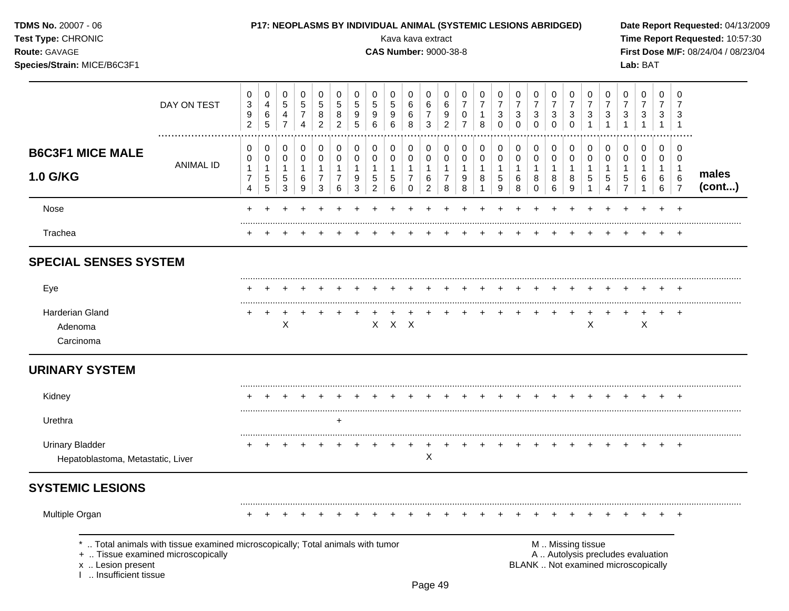| <b>TDMS No. 20007 - 06</b> |  |
|----------------------------|--|
| Test Type: CHRONIC         |  |

#### P17: NEOPLASMS BY INDIVIDUAL ANIMAL (SYSTEMIC LESIONS ABRIDGED)

**CAS Number: 9000-38-8** 

Kava kava extract

Route: GAVAGE

Species/Strain: MICE/B6C3F1

Date Report Requested: 04/13/2009 Time Report Requested: 10:57:30 First Dose M/F: 08/24/04 / 08/23/04 Lab: BAT

|                                                             | DAY ON TEST      | $\mathbf 0$<br>$\ensuremath{\mathsf{3}}$<br>$\boldsymbol{9}$<br>$\overline{2}$ | 0<br>4<br>$\,6\,$<br>$\sqrt{5}$                    | 0<br>$\sqrt{5}$<br>4<br>$\overline{7}$               | 0<br>5<br>$\overline{7}$<br>4                          | 0<br>5<br>8<br>$\overline{2}$   | 0<br>$\sqrt{5}$<br>8<br>$\overline{2}$ | 0<br>$\sqrt{5}$<br>$\boldsymbol{9}$<br>5 | 0<br>$\sqrt{5}$<br>9<br>6                                       | 0<br>$\overline{5}$<br>9<br>6                       | 0<br>$\,6$<br>6<br>$\,8\,$                              | 0<br>6<br>$\overline{7}$<br>3                                       | 0<br>6<br>9<br>$\overline{2}$                 | 0<br>$\overline{7}$<br>0<br>$\overline{7}$ | 0<br>$\overline{7}$<br>1<br>8        | 0<br>$\overline{7}$<br>$\mathbf{3}$<br>$\mathbf 0$      | 0<br>$\overline{7}$<br>$\mathbf{3}$<br>$\mathbf 0$ | 0<br>$\overline{7}$<br>3<br>$\mathbf 0$            | 0<br>$\overline{7}$<br>3<br>$\mathbf 0$    | 0<br>$\overline{7}$<br>3<br>$\Omega$ | 0<br>$\overline{7}$<br>3        | 0<br>$\overline{7}$<br>3<br>1    | 0<br>$\overline{7}$<br>3<br>$\mathbf{1}$              | 0<br>$\overline{7}$<br>$\sqrt{3}$<br>$\mathbf{1}$ | 0<br>$\overline{7}$<br>3<br>$\mathbf{1}$   | 0<br>$\overline{7}$<br>3<br>-1                                            |                 |
|-------------------------------------------------------------|------------------|--------------------------------------------------------------------------------|----------------------------------------------------|------------------------------------------------------|--------------------------------------------------------|---------------------------------|----------------------------------------|------------------------------------------|-----------------------------------------------------------------|-----------------------------------------------------|---------------------------------------------------------|---------------------------------------------------------------------|-----------------------------------------------|--------------------------------------------|--------------------------------------|---------------------------------------------------------|----------------------------------------------------|----------------------------------------------------|--------------------------------------------|--------------------------------------|---------------------------------|----------------------------------|-------------------------------------------------------|---------------------------------------------------|--------------------------------------------|---------------------------------------------------------------------------|-----------------|
| <b>B6C3F1 MICE MALE</b><br>1.0 G/KG                         | <b>ANIMAL ID</b> | 0<br>0<br>$\mathbf{1}$<br>$\boldsymbol{7}$<br>$\overline{4}$                   | 0<br>0<br>$\mathbf{1}$<br>$\sqrt{5}$<br>$\sqrt{5}$ | $\mathbf 0$<br>$\mathbf 0$<br>$\mathbf{1}$<br>5<br>3 | $\mathbf 0$<br>$\mathbf 0$<br>$\overline{1}$<br>6<br>9 | 0<br>0<br>$\mathbf 1$<br>7<br>3 | $\mathbf 0$<br>0<br>6                  | 0<br>0<br>$\mathbf{1}$<br>9<br>3         | 0<br>$\pmb{0}$<br>$\mathbf{1}$<br>$\mathbf 5$<br>$\overline{c}$ | $\mathbf 0$<br>0<br>$\mathbf{1}$<br>$\sqrt{5}$<br>6 | $\mathbf 0$<br>0<br>$\mathbf{1}$<br>$\overline{7}$<br>0 | $\mathbf 0$<br>$\mathbf 0$<br>$\overline{1}$<br>6<br>$\overline{c}$ | 0<br>0<br>$\mathbf{1}$<br>$\overline{7}$<br>8 | 0<br>$\mathbf 0$<br>9<br>8                 | 0<br>$\mathsf 0$<br>$\mathbf 1$<br>8 | $\,0\,$<br>$\pmb{0}$<br>$\mathbf{1}$<br>$\sqrt{5}$<br>9 | 0<br>$\pmb{0}$<br>$\mathbf{1}$<br>6<br>8           | $\pmb{0}$<br>$\mathbf 0$<br>$\mathbf{1}$<br>8<br>0 | $\pmb{0}$<br>0<br>$\overline{1}$<br>8<br>6 | 0<br>0<br>1<br>8<br>9                | $\mathbf 0$<br>$\mathbf 0$<br>5 | 0<br>0<br>$\mathbf{1}$<br>5<br>4 | 0<br>$\pmb{0}$<br>$\mathbf{1}$<br>5<br>$\overline{7}$ | 0<br>0<br>$\mathbf{1}$<br>6<br>1                  | $\mathbf 0$<br>0<br>$\mathbf{1}$<br>6<br>6 | $\mathbf 0$<br>$\mathbf 0$<br>$\overline{1}$<br>$\,6\,$<br>$\overline{7}$ | males<br>(cont) |
| Nose                                                        |                  |                                                                                |                                                    |                                                      |                                                        |                                 |                                        |                                          |                                                                 |                                                     |                                                         |                                                                     |                                               |                                            |                                      |                                                         |                                                    |                                                    |                                            |                                      |                                 |                                  |                                                       |                                                   |                                            |                                                                           |                 |
| Trachea                                                     |                  |                                                                                |                                                    |                                                      |                                                        |                                 |                                        |                                          |                                                                 |                                                     |                                                         |                                                                     |                                               |                                            |                                      |                                                         |                                                    |                                                    |                                            |                                      |                                 |                                  |                                                       |                                                   |                                            | ÷                                                                         |                 |
| <b>SPECIAL SENSES SYSTEM</b>                                |                  |                                                                                |                                                    |                                                      |                                                        |                                 |                                        |                                          |                                                                 |                                                     |                                                         |                                                                     |                                               |                                            |                                      |                                                         |                                                    |                                                    |                                            |                                      |                                 |                                  |                                                       |                                                   |                                            |                                                                           |                 |
| Eye                                                         |                  |                                                                                |                                                    |                                                      |                                                        |                                 |                                        |                                          |                                                                 |                                                     |                                                         |                                                                     |                                               |                                            |                                      |                                                         |                                                    |                                                    |                                            |                                      |                                 |                                  |                                                       |                                                   |                                            |                                                                           |                 |
| <b>Harderian Gland</b><br>Adenoma<br>Carcinoma              |                  |                                                                                |                                                    | $\boldsymbol{\mathsf{X}}$                            |                                                        |                                 |                                        |                                          | $\mathsf{X}$                                                    | $X$ $X$                                             |                                                         |                                                                     |                                               |                                            |                                      |                                                         |                                                    |                                                    |                                            |                                      | $\boldsymbol{\mathsf{X}}$       |                                  |                                                       | $\boldsymbol{\mathsf{X}}$                         | $+$                                        | $\overline{+}$                                                            |                 |
| <b>URINARY SYSTEM</b>                                       |                  |                                                                                |                                                    |                                                      |                                                        |                                 |                                        |                                          |                                                                 |                                                     |                                                         |                                                                     |                                               |                                            |                                      |                                                         |                                                    |                                                    |                                            |                                      |                                 |                                  |                                                       |                                                   |                                            |                                                                           |                 |
| Kidney                                                      |                  |                                                                                |                                                    |                                                      |                                                        |                                 |                                        |                                          |                                                                 |                                                     |                                                         |                                                                     |                                               |                                            |                                      |                                                         |                                                    |                                                    |                                            |                                      |                                 |                                  |                                                       |                                                   | ÷                                          |                                                                           |                 |
| Urethra                                                     |                  |                                                                                |                                                    |                                                      |                                                        |                                 | ٠                                      |                                          |                                                                 |                                                     |                                                         |                                                                     |                                               |                                            |                                      |                                                         |                                                    |                                                    |                                            |                                      |                                 |                                  |                                                       |                                                   |                                            |                                                                           |                 |
| <b>Urinary Bladder</b><br>Hepatoblastoma, Metastatic, Liver |                  |                                                                                |                                                    |                                                      |                                                        |                                 |                                        |                                          |                                                                 |                                                     |                                                         | $\pmb{\times}$                                                      |                                               |                                            |                                      |                                                         |                                                    |                                                    |                                            |                                      |                                 |                                  |                                                       |                                                   |                                            |                                                                           |                 |
| <b>SYSTEMIC LESIONS</b>                                     |                  |                                                                                |                                                    |                                                      |                                                        |                                 |                                        |                                          |                                                                 |                                                     |                                                         |                                                                     |                                               |                                            |                                      |                                                         |                                                    |                                                    |                                            |                                      |                                 |                                  |                                                       |                                                   |                                            |                                                                           |                 |
| Multiple Organ                                              |                  | ÷                                                                              |                                                    |                                                      |                                                        |                                 |                                        |                                          |                                                                 |                                                     |                                                         |                                                                     |                                               |                                            |                                      |                                                         |                                                    |                                                    |                                            |                                      |                                 |                                  |                                                       |                                                   |                                            | $\div$                                                                    |                 |
|                                                             | .                |                                                                                |                                                    |                                                      |                                                        |                                 |                                        |                                          |                                                                 |                                                     |                                                         |                                                                     |                                               |                                            |                                      |                                                         |                                                    |                                                    |                                            |                                      |                                 |                                  |                                                       |                                                   |                                            |                                                                           |                 |

\* .. Total animals with tissue examined microscopically; Total animals with tumor

+ .. Tissue examined microscopically

x .. Lesion present<br>I .. Insufficient tissue

M .. Missing tissue A .. Autolysis precludes evaluation BLANK .. Not examined microscopically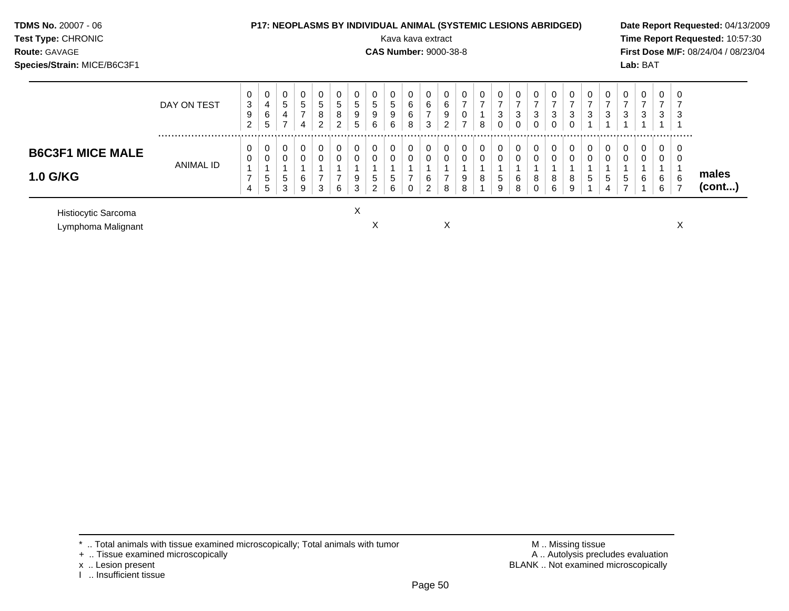| <b>TDMS No. 20007 - 06</b><br>Test Type: CHRONIC<br><b>Route: GAVAGE</b><br>Species/Strain: MICE/B6C3F1 |             |                                        |                               | <b>P17: NEOPLASMS BY INDIVIDUAL ANIMAL (SYSTEMIC LESIONS ABRIDGED)</b> |                               |                                        |                  |                  |                           | Kava kava extract<br><b>CAS Number: 9000-38-8</b> |                            |                               |                  |               |   |                               |                  |                    |                                                |                                      |                                               |                                     |             | Lab: BAT    |                  |   | Date Report Requested: 04/13/2009<br>Time Report Requested: 10:57:30<br>First Dose M/F: 08/24/04 / 08/23/04 |
|---------------------------------------------------------------------------------------------------------|-------------|----------------------------------------|-------------------------------|------------------------------------------------------------------------|-------------------------------|----------------------------------------|------------------|------------------|---------------------------|---------------------------------------------------|----------------------------|-------------------------------|------------------|---------------|---|-------------------------------|------------------|--------------------|------------------------------------------------|--------------------------------------|-----------------------------------------------|-------------------------------------|-------------|-------------|------------------|---|-------------------------------------------------------------------------------------------------------------|
|                                                                                                         | DAY ON TEST | 0<br>$\sqrt{3}$<br>9<br>$\overline{c}$ | 0<br>$\overline{4}$<br>6<br>5 | $5\phantom{.0}$<br>4<br>$\overline{ }$                                 | 0<br>5<br>$\overline{ }$<br>4 | $5\phantom{.0}$<br>8<br>$\overline{2}$ | 0<br>5<br>8<br>2 | 0<br>5<br>9<br>5 | 0<br>$\sqrt{5}$<br>9<br>6 | 0<br>$5\phantom{.0}$<br>9<br>6                    | 0<br>$\,6\,$<br>$\,6$<br>8 | 0<br>6<br>$\overline{7}$<br>3 | 0<br>6<br>9<br>2 | $\rightarrow$ | 8 | 0<br>$\overline{ }$<br>3<br>0 | 0<br>⇁<br>3<br>0 | 0<br>3<br>$\Omega$ | 0<br>$\overline{\phantom{0}}$<br>3<br>$\Omega$ | 0<br>$\overline{ }$<br>3<br>$\Omega$ | $\mathbf{0}$<br>$\overline{\phantom{a}}$<br>3 | 0<br>$\overline{7}$<br>$\mathbf{3}$ | 0<br>3      |             | ⇁<br>3           |   |                                                                                                             |
| <b>B6C3F1 MICE MALE</b><br><b>1.0 G/KG</b>                                                              | ANIMAL ID   | 0<br>0<br>7<br>4                       | $\mathbf{0}$<br>0<br>5<br>5   | 0<br>5<br>3                                                            | 0<br>0<br>6<br>9              | 0<br>0<br>3                            | 0<br>0<br>6      | 0<br>0<br>9<br>3 | 0<br>$\mathbf 0$<br>5     | 0<br>$\mathbf 0$<br>5<br>6                        | 0<br>$\pmb{0}$             | 0<br>$\pmb{0}$<br>6<br>2      | $\mathbf 0$<br>8 | 9<br>8        |   | 0<br>0<br>5<br>9              | 0<br>0<br>6<br>8 | 0<br>0<br>8<br>0   | 0<br>$\pmb{0}$<br>8<br>6                       | 0<br>$\mathbf 0$<br>8<br>9           | 0<br>$\mathbf 0$<br>$5^{\circ}$               | 0<br>$\pmb{0}$<br>5<br>4            | 0<br>0<br>5 | $\mathbf 0$ | 0<br>0<br>6<br>6 | 6 | males<br>(cont)                                                                                             |

Histiocytic Sarcoma X

Lymphoma Malignant X X X

 $*$  .. Total animals with tissue examined microscopically; Total animals with tumor  $\blacksquare$  M .. Missing tissue

x .. Lesion present<br>I .. Insufficient tissue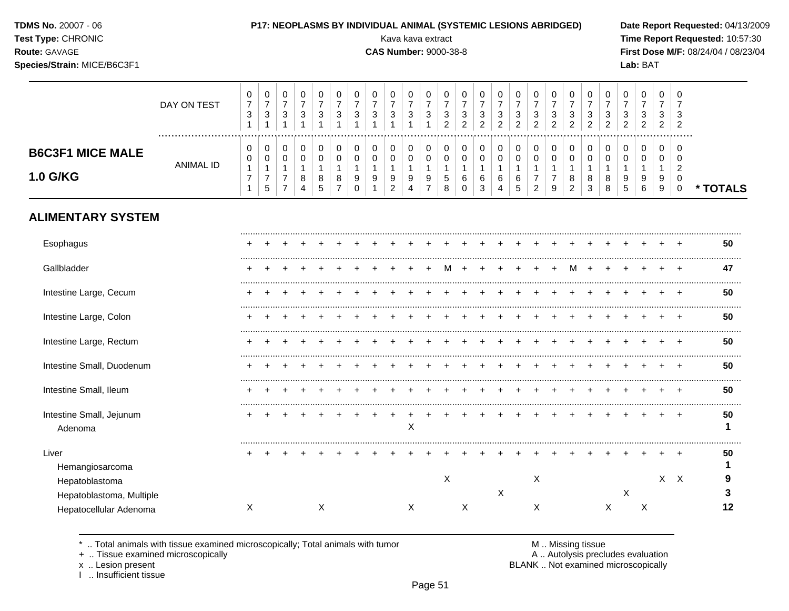| <b>TDMS No. 20007 - 06</b> |  |
|----------------------------|--|
|----------------------------|--|

#### **TDMS No.** 20007 - 06 **P17: NEOPLASMS BY INDIVIDUAL ANIMAL (SYSTEMIC LESIONS ABRIDGED) Date Report Requested:** 04/13/2009

**1.0 G/KG**

**ALIMENTARY SYSTEM**

ANIMAL ID

**Test Type:** CHRONIC Kava kava extract **Time Report Requested:** 10:57:30

#### **Route:** GAVAGE **CAS Number:** 9000-38-8 **First Dose M/F:** 08/24/04 / 08/23/04 **Species/Strain:** MICE/B6C3F1 **Lab:** BAT DAY ON TEST  $\overline{7}$   $\overline{7}$   $\overline{7}$   $\overline{7}$   $\overline{7}$   $\overline{7}$   $\overline{7}$   $\overline{7}$   $\overline{7}$   $\overline{7}$   $\overline{7}$   $\overline{7}$   $\overline{7}$   $\bar{7}$   $\overline{7}$   $\overline{7}$  ................................................................................................................................................................. **B6C3F1 MICE MALE**

 

**\* TOTALS**

| Esophagus                                  |   |  |   |  |  |   |   |   |   |   |   |   |   |   |   |                           | 50      |
|--------------------------------------------|---|--|---|--|--|---|---|---|---|---|---|---|---|---|---|---------------------------|---------|
| Gallbladder                                | ٠ |  |   |  |  |   |   |   |   |   | M |   |   |   |   |                           | 47      |
| Intestine Large, Cecum                     | ٠ |  |   |  |  |   |   |   |   |   |   |   |   |   |   |                           | 50      |
| Intestine Large, Colon                     | ٠ |  |   |  |  |   |   |   |   |   |   |   |   |   |   |                           | 50      |
| Intestine Large, Rectum                    | ÷ |  |   |  |  |   |   |   |   |   |   |   |   |   |   |                           | 50      |
| Intestine Small, Duodenum                  |   |  |   |  |  |   |   |   |   |   |   |   |   |   |   |                           | 50      |
| Intestine Small, Ileum                     |   |  |   |  |  |   |   |   |   |   |   |   |   |   |   |                           | 50      |
| Intestine Small, Jejunum<br>Adenoma        |   |  |   |  |  | Х |   |   |   |   |   |   |   |   |   |                           | 50      |
| Liver<br>Hemangiosarcoma                   |   |  |   |  |  |   |   |   |   |   |   |   |   |   |   |                           | 50      |
| Hepatoblastoma<br>Hepatoblastoma, Multiple |   |  |   |  |  |   | X |   | X | Χ |   |   | X |   | X | $\boldsymbol{\mathsf{X}}$ | 9       |
| Hepatocellular Adenoma                     | Χ |  | Χ |  |  | Χ |   | Χ |   | X |   | Χ |   | Х |   |                           | $12 \,$ |
|                                            |   |  |   |  |  |   |   |   |   |   |   |   |   |   |   |                           |         |

\* .. Total animals with tissue examined microscopically; Total animals with tumor  $\blacksquare$  . A .. Missing tissue<br>A .. Autolysis preclumed microscopically

I .. Insufficient tissue

A .. Autolysis precludes evaluation

x .. Lesion present **BLANK** .. Not examined microscopically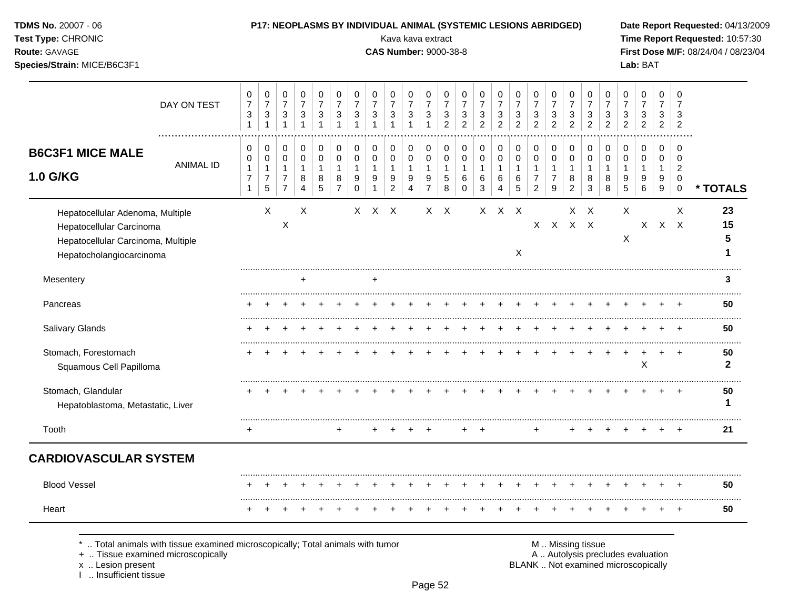| TDMS No. 20007 - 06<br>Test Type: CHRONIC<br>Route: GAVAGE<br>Species/Strain: MICE/B6C3F1                                      |                  |                                                          |                                                                  |                                                                            |                                                             |                                                               |                                                   |                                                                     |                                            | P17: NEOPLASMS BY INDIVIDUAL ANIMAL (SYSTEMIC LESIONS ABRIDGED)<br>Kava kava extract<br><b>CAS Number: 9000-38-8</b> |                                                                      |                                                                                |                                                     |                                                   |                                                               |                                                       |                                                     |                                                 |                                                       |                                                                 |                                                                         |                                                               |                                            | Lab: BAT                                             |                                         |                                                     | Date Report Requested: 04/13/2009<br>Time Report Requested: 10:57:30<br>First Dose M/F: 08/24/04 / 08/23/04 |
|--------------------------------------------------------------------------------------------------------------------------------|------------------|----------------------------------------------------------|------------------------------------------------------------------|----------------------------------------------------------------------------|-------------------------------------------------------------|---------------------------------------------------------------|---------------------------------------------------|---------------------------------------------------------------------|--------------------------------------------|----------------------------------------------------------------------------------------------------------------------|----------------------------------------------------------------------|--------------------------------------------------------------------------------|-----------------------------------------------------|---------------------------------------------------|---------------------------------------------------------------|-------------------------------------------------------|-----------------------------------------------------|-------------------------------------------------|-------------------------------------------------------|-----------------------------------------------------------------|-------------------------------------------------------------------------|---------------------------------------------------------------|--------------------------------------------|------------------------------------------------------|-----------------------------------------|-----------------------------------------------------|-------------------------------------------------------------------------------------------------------------|
|                                                                                                                                | DAY ON TEST      | 0<br>$\overline{7}$<br>$\mathbf{3}$<br>$\mathbf{1}$      | $\pmb{0}$<br>$\overline{7}$<br>$\mathbf{3}$<br>$\mathbf{1}$      | $\mathbf 0$<br>$\overline{7}$<br>$\ensuremath{\mathsf{3}}$<br>$\mathbf{1}$ | 0<br>$\overline{7}$<br>$\mathbf{3}$<br>$\mathbf{1}$         | $\mathbf 0$<br>$\overline{7}$<br>$\sqrt{3}$<br>$\overline{1}$ | 0<br>$\overline{7}$<br>$\sqrt{3}$<br>$\mathbf{1}$ | 0<br>$\overline{7}$<br>$\sqrt{3}$<br>$\mathbf{1}$                   | 0<br>$\overline{7}$<br>3<br>$\mathbf{1}$   | 0<br>$\overline{7}$<br>3                                                                                             | 0<br>$\overline{7}$<br>$\mathbf{3}$                                  | 0<br>$\overline{7}$<br>$\mathbf{3}$<br>$\mathbf{1}$                            | 0<br>$\overline{7}$<br>$\sqrt{3}$<br>$\overline{2}$ | 0<br>$\overline{7}$<br>3<br>$\overline{2}$        | $\mathbf 0$<br>$\overline{7}$<br>$\sqrt{3}$<br>$\overline{2}$ | 0<br>$\overline{7}$<br>$\mathbf{3}$<br>$\overline{2}$ | 0<br>$\overline{7}$<br>$\sqrt{3}$<br>$\overline{2}$ | 0<br>$\overline{7}$<br>3<br>$\overline{2}$      | 0<br>$\overline{7}$<br>3<br>$\overline{2}$            | $\mathbf 0$<br>$\overline{7}$<br>$\mathbf{3}$<br>$\overline{2}$ | 0<br>$\overline{7}$<br>$\ensuremath{\mathsf{3}}$<br>$\overline{2}$      | $\mathbf 0$<br>$\overline{7}$<br>$\sqrt{3}$<br>$\overline{2}$ | 0<br>$\overline{7}$<br>3<br>$\overline{2}$ | $\mathbf 0$<br>$\overline{7}$<br>3<br>$\overline{2}$ | $\mathbf 0$<br>$\overline{7}$<br>3<br>2 | $\Omega$<br>$\overline{7}$<br>3<br>$\overline{2}$   |                                                                                                             |
| <b>B6C3F1 MICE MALE</b><br>1.0 G/KG                                                                                            | <b>ANIMAL ID</b> | 0<br>0<br>$\mathbf{1}$<br>$\overline{7}$<br>$\mathbf{1}$ | 0<br>$\pmb{0}$<br>$\mathbf{1}$<br>$\boldsymbol{7}$<br>$\sqrt{5}$ | 0<br>$\pmb{0}$<br>$\mathbf{1}$<br>$\overline{7}$<br>$\overline{7}$         | 0<br>$\pmb{0}$<br>$\mathbf{1}$<br>$\bf 8$<br>$\overline{4}$ | $\pmb{0}$<br>$\mathsf 0$<br>$\mathbf{1}$<br>$\bf 8$<br>5      | 0<br>$\pmb{0}$<br>1<br>$\bf 8$<br>$\overline{7}$  | 0<br>$\mathbf 0$<br>$\mathbf{1}$<br>$\boldsymbol{9}$<br>$\mathbf 0$ | 0<br>$\mathbf 0$<br>1<br>9<br>$\mathbf{1}$ | 0<br>0<br>$\mathbf{1}$<br>9<br>$\overline{2}$                                                                        | 0<br>$\pmb{0}$<br>$\mathbf{1}$<br>$\boldsymbol{9}$<br>$\overline{4}$ | 0<br>$\mathsf{O}\xspace$<br>$\mathbf{1}$<br>$\boldsymbol{9}$<br>$\overline{7}$ | 0<br>$\pmb{0}$<br>$\overline{1}$<br>$\sqrt{5}$<br>8 | 0<br>$\pmb{0}$<br>$\overline{1}$<br>6<br>$\Omega$ | $\pmb{0}$<br>$\pmb{0}$<br>$\mathbf{1}$<br>$\,6$<br>3          | 0<br>$\pmb{0}$<br>$\mathbf{1}$<br>6<br>$\overline{4}$ | 0<br>$\pmb{0}$<br>$\mathbf{1}$<br>$\,6\,$<br>5      | 0<br>0<br>1<br>$\overline{7}$<br>$\overline{2}$ | 0<br>$\pmb{0}$<br>$\mathbf{1}$<br>$\overline{7}$<br>9 | $\pmb{0}$<br>$\pmb{0}$<br>1<br>8<br>$\overline{2}$              | $\mathbf 0$<br>$\mathsf{O}\xspace$<br>$\mathbf{1}$<br>8<br>$\mathbf{3}$ | 0<br>$\boldsymbol{0}$<br>$\overline{1}$<br>8<br>8             | 0<br>0<br>$\mathbf{1}$<br>9<br>5           | $\pmb{0}$<br>$\mathbf 0$<br>$\mathbf{1}$<br>9<br>6   | 0<br>0<br>1<br>9<br>9                   | 0<br>$\Omega$<br>$\overline{2}$<br>0<br>$\mathbf 0$ | * TOTALS                                                                                                    |
| Hepatocellular Adenoma, Multiple<br>Hepatocellular Carcinoma<br>Hepatocellular Carcinoma, Multiple<br>Hepatocholangiocarcinoma |                  |                                                          | X                                                                | $\boldsymbol{\mathsf{X}}$                                                  | $\times$                                                    |                                                               |                                                   |                                                                     | $X$ $X$ $X$                                |                                                                                                                      |                                                                      |                                                                                | $X$ $X$                                             |                                                   |                                                               | $X$ $X$ $X$                                           | X                                                   |                                                 | $X$ $X$ $X$ $X$                                       |                                                                 | $X \times$                                                              |                                                               | X<br>Χ                                     |                                                      | X X X                                   | X                                                   | 23<br>15<br>5<br>1                                                                                          |
| Mesentery                                                                                                                      |                  |                                                          |                                                                  |                                                                            | $\ddot{}$                                                   |                                                               |                                                   |                                                                     | $\ddot{}$                                  |                                                                                                                      |                                                                      |                                                                                |                                                     |                                                   |                                                               |                                                       |                                                     |                                                 |                                                       |                                                                 |                                                                         |                                                               |                                            |                                                      |                                         |                                                     | 3                                                                                                           |
| Pancreas                                                                                                                       |                  |                                                          |                                                                  |                                                                            |                                                             |                                                               |                                                   |                                                                     |                                            |                                                                                                                      |                                                                      |                                                                                |                                                     |                                                   |                                                               |                                                       |                                                     |                                                 |                                                       |                                                                 |                                                                         |                                                               |                                            |                                                      |                                         |                                                     | 50                                                                                                          |
| Salivary Glands                                                                                                                |                  |                                                          |                                                                  |                                                                            |                                                             |                                                               |                                                   |                                                                     |                                            |                                                                                                                      |                                                                      |                                                                                |                                                     |                                                   |                                                               |                                                       |                                                     |                                                 |                                                       |                                                                 |                                                                         |                                                               |                                            |                                                      |                                         |                                                     | 50                                                                                                          |
| Stomach, Forestomach<br>Squamous Cell Papilloma                                                                                |                  |                                                          |                                                                  |                                                                            |                                                             |                                                               |                                                   |                                                                     |                                            |                                                                                                                      |                                                                      |                                                                                |                                                     |                                                   |                                                               |                                                       |                                                     |                                                 |                                                       |                                                                 | $\ddot{}$                                                               | $+$                                                           | $\ddot{}$                                  | X                                                    |                                         | $+$                                                 | 50<br>$\mathbf{2}$                                                                                          |
| Stomach, Glandular<br>Hepatoblastoma, Metastatic, Liver                                                                        |                  |                                                          |                                                                  |                                                                            |                                                             |                                                               |                                                   |                                                                     |                                            |                                                                                                                      |                                                                      |                                                                                |                                                     |                                                   |                                                               |                                                       |                                                     |                                                 |                                                       |                                                                 |                                                                         |                                                               |                                            |                                                      |                                         |                                                     | 50<br>1                                                                                                     |
| Tooth                                                                                                                          |                  | $+$                                                      |                                                                  |                                                                            |                                                             |                                                               | $+$                                               |                                                                     |                                            |                                                                                                                      |                                                                      |                                                                                |                                                     |                                                   |                                                               |                                                       |                                                     | $+$                                             |                                                       |                                                                 |                                                                         |                                                               |                                            |                                                      |                                         |                                                     | 21                                                                                                          |
| <b>CARDIOVASCULAR SYSTEM</b>                                                                                                   |                  |                                                          |                                                                  |                                                                            |                                                             |                                                               |                                                   |                                                                     |                                            |                                                                                                                      |                                                                      |                                                                                |                                                     |                                                   |                                                               |                                                       |                                                     |                                                 |                                                       |                                                                 |                                                                         |                                                               |                                            |                                                      |                                         |                                                     |                                                                                                             |
| <b>Blood Vessel</b>                                                                                                            |                  |                                                          |                                                                  |                                                                            |                                                             |                                                               |                                                   |                                                                     |                                            |                                                                                                                      |                                                                      |                                                                                |                                                     | $\pm$                                             |                                                               | $\div$                                                |                                                     |                                                 |                                                       |                                                                 |                                                                         |                                                               |                                            |                                                      |                                         |                                                     | <br>50                                                                                                      |
| Heart                                                                                                                          |                  |                                                          |                                                                  |                                                                            |                                                             |                                                               |                                                   |                                                                     |                                            |                                                                                                                      |                                                                      |                                                                                |                                                     |                                                   |                                                               |                                                       |                                                     |                                                 |                                                       |                                                                 |                                                                         |                                                               |                                            |                                                      |                                         | $+$                                                 | 50                                                                                                          |

+ .. Tissue examined microscopically  $\blacksquare$  A .. Autolysis precludes evaluation

x .. Lesion present<br>I .. Insufficient tissue

M .. Missing tissue<br>A .. Autolysis precludes evaluation<br>BLANK .. Not examined microscopically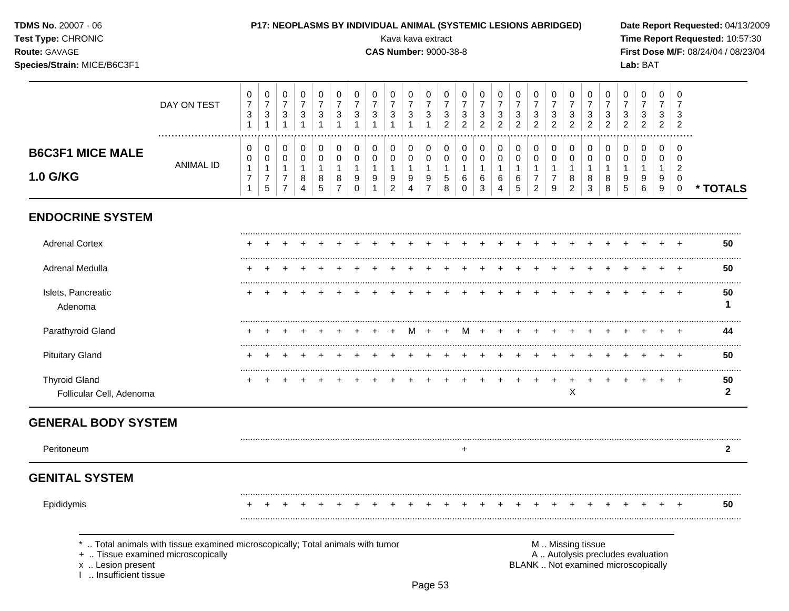| Test Type: CHRONIC<br>Route: GAVAGE<br>Species/Strain: MICE/B6C3F1               |                                                                              |                                                   |                                                   |                                                            |                                                   |                            |                                                         |                                         |                                                                    | Kava kava extract<br><b>CAS Number: 9000-38-8</b>     |                                                       |                                                   |                                                       |                                            |                                            |                                            |                                            |                                                                     |                                                                    |                                              |                                                                    |                                            |                                                                          | Lab: BAT                      |                               |                                            | Time Report Requested: 10:57:30<br>First Dose M/F: 08/24/04 / 08/23/04 |
|----------------------------------------------------------------------------------|------------------------------------------------------------------------------|---------------------------------------------------|---------------------------------------------------|------------------------------------------------------------|---------------------------------------------------|----------------------------|---------------------------------------------------------|-----------------------------------------|--------------------------------------------------------------------|-------------------------------------------------------|-------------------------------------------------------|---------------------------------------------------|-------------------------------------------------------|--------------------------------------------|--------------------------------------------|--------------------------------------------|--------------------------------------------|---------------------------------------------------------------------|--------------------------------------------------------------------|----------------------------------------------|--------------------------------------------------------------------|--------------------------------------------|--------------------------------------------------------------------------|-------------------------------|-------------------------------|--------------------------------------------|------------------------------------------------------------------------|
|                                                                                  | DAY ON TEST                                                                  | 0<br>$\overline{7}$<br>$\sqrt{3}$<br>$\mathbf{1}$ | 0<br>$\overline{7}$<br>$\mathbf{3}$<br>1          | 0<br>$\boldsymbol{7}$<br>3<br>$\mathbf{1}$                 | 0<br>$\overline{7}$<br>$\sqrt{3}$<br>$\mathbf{1}$ | 0<br>$\boldsymbol{7}$<br>3 | 0<br>$\boldsymbol{7}$<br>$\ensuremath{\mathsf{3}}$<br>1 | 0<br>$\overline{7}$<br>3                | 0<br>$\boldsymbol{7}$<br>$\ensuremath{\mathsf{3}}$<br>$\mathbf{1}$ | 0<br>$\boldsymbol{7}$<br>$\ensuremath{\mathsf{3}}$    | 0<br>$\overline{7}$<br>$\mathbf{3}$<br>$\overline{1}$ | 0<br>$\overline{7}$<br>$\sqrt{3}$<br>$\mathbf{1}$ | 0<br>$\boldsymbol{7}$<br>$\sqrt{3}$<br>$\overline{c}$ | 0<br>$\overline{7}$<br>3<br>$\overline{c}$ | 0<br>$\overline{7}$<br>3<br>$\overline{c}$ | 0<br>$\overline{7}$<br>3<br>$\overline{c}$ | 0<br>$\overline{7}$<br>3<br>$\overline{c}$ | 0<br>$\overline{7}$<br>3<br>$\overline{2}$                          | 0<br>$\overline{7}$<br>$\ensuremath{\mathsf{3}}$<br>$\overline{2}$ | 0<br>7<br>3<br>$\overline{2}$                | 0<br>$\overline{7}$<br>$\ensuremath{\mathsf{3}}$<br>$\overline{2}$ | 0<br>$\overline{7}$<br>3<br>$\overline{2}$ | 0<br>$\boldsymbol{7}$<br>3<br>$\overline{2}$                             | 0<br>7<br>3<br>$\overline{2}$ | 0<br>7<br>3<br>$\overline{2}$ | 0<br>7<br>3<br>$\overline{c}$              |                                                                        |
| <b>B6C3F1 MICE MALE</b><br>1.0 G/KG                                              | <b>ANIMAL ID</b>                                                             | 0<br>0<br>$\mathbf{1}$<br>$\overline{7}$          | 0<br>0<br>1<br>$\boldsymbol{7}$<br>$\overline{5}$ | 0<br>0<br>$\mathbf{1}$<br>$\overline{7}$<br>$\overline{7}$ | 0<br>0<br>$\mathbf{1}$<br>8<br>4                  | 0<br>0<br>1<br>8<br>5      | 0<br>0<br>1<br>8<br>$\overline{7}$                      | 0<br>0<br>$\mathbf{1}$<br>9<br>$\Omega$ | 0<br>$\pmb{0}$<br>$\mathbf{1}$<br>9<br>$\mathbf{1}$                | 0<br>$\pmb{0}$<br>$\mathbf{1}$<br>9<br>$\overline{2}$ | 0<br>0<br>$\mathbf{1}$<br>9<br>4                      | 0<br>0<br>$\mathbf{1}$<br>9<br>$\overline{7}$     | 0<br>$\pmb{0}$<br>1<br>$\mathbf 5$<br>8               | 0<br>0<br>1<br>6<br>$\mathbf 0$            | 0<br>0<br>1<br>6<br>3                      | 0<br>0<br>1<br>6<br>4                      | 0<br>0<br>6<br>5                           | 0<br>$\mathbf 0$<br>$\mathbf 1$<br>$\overline{7}$<br>$\overline{2}$ | 0<br>0<br>$\overline{1}$<br>7<br>9                                 | 0<br>0<br>$\mathbf 1$<br>8<br>$\overline{2}$ | 0<br>0<br>1<br>8<br>3                                              | 0<br>0<br>1<br>8<br>8                      | 0<br>0<br>$\mathbf{1}$<br>9<br>5                                         | 0<br>0<br>1<br>9<br>6         | 0<br>0<br>1<br>9<br>9         | 0<br>0<br>$\overline{c}$<br>0<br>$\pmb{0}$ | * TOTALS                                                               |
| <b>ENDOCRINE SYSTEM</b>                                                          |                                                                              |                                                   |                                                   |                                                            |                                                   |                            |                                                         |                                         |                                                                    |                                                       |                                                       |                                                   |                                                       |                                            |                                            |                                            |                                            |                                                                     |                                                                    |                                              |                                                                    |                                            |                                                                          |                               |                               |                                            |                                                                        |
| <b>Adrenal Cortex</b>                                                            |                                                                              |                                                   |                                                   |                                                            |                                                   |                            |                                                         |                                         |                                                                    |                                                       |                                                       |                                                   |                                                       |                                            |                                            |                                            |                                            |                                                                     |                                                                    |                                              |                                                                    |                                            |                                                                          |                               |                               |                                            | 50                                                                     |
| Adrenal Medulla                                                                  |                                                                              |                                                   |                                                   |                                                            |                                                   |                            |                                                         |                                         |                                                                    |                                                       |                                                       |                                                   |                                                       |                                            |                                            |                                            |                                            |                                                                     |                                                                    |                                              |                                                                    |                                            |                                                                          |                               |                               |                                            | 50                                                                     |
| Islets, Pancreatic<br>Adenoma                                                    |                                                                              |                                                   |                                                   |                                                            |                                                   |                            |                                                         |                                         |                                                                    |                                                       |                                                       |                                                   |                                                       |                                            |                                            |                                            |                                            |                                                                     |                                                                    |                                              |                                                                    |                                            |                                                                          |                               |                               |                                            | 50                                                                     |
| Parathyroid Gland                                                                |                                                                              |                                                   |                                                   |                                                            |                                                   |                            |                                                         |                                         |                                                                    |                                                       | м                                                     | $+$                                               | $^{+}$                                                | M                                          |                                            |                                            |                                            |                                                                     |                                                                    |                                              |                                                                    |                                            |                                                                          |                               |                               |                                            | 44                                                                     |
| <b>Pituitary Gland</b>                                                           |                                                                              |                                                   |                                                   |                                                            |                                                   |                            |                                                         |                                         |                                                                    |                                                       |                                                       |                                                   |                                                       |                                            |                                            |                                            |                                            |                                                                     |                                                                    |                                              |                                                                    |                                            |                                                                          |                               |                               |                                            | 50                                                                     |
| <b>Thyroid Gland</b><br>Follicular Cell, Adenoma                                 |                                                                              |                                                   |                                                   |                                                            |                                                   |                            |                                                         |                                         |                                                                    |                                                       |                                                       |                                                   |                                                       |                                            |                                            |                                            |                                            |                                                                     |                                                                    | X                                            |                                                                    |                                            |                                                                          |                               |                               | $\overline{1}$                             | 50<br>2                                                                |
| <b>GENERAL BODY SYSTEM</b>                                                       |                                                                              |                                                   |                                                   |                                                            |                                                   |                            |                                                         |                                         |                                                                    |                                                       |                                                       |                                                   |                                                       |                                            |                                            |                                            |                                            |                                                                     |                                                                    |                                              |                                                                    |                                            |                                                                          |                               |                               |                                            |                                                                        |
| Peritoneum                                                                       |                                                                              |                                                   |                                                   |                                                            |                                                   |                            |                                                         |                                         |                                                                    |                                                       |                                                       |                                                   |                                                       | +                                          |                                            |                                            |                                            |                                                                     |                                                                    |                                              |                                                                    |                                            |                                                                          |                               |                               |                                            | 2                                                                      |
| <b>GENITAL SYSTEM</b>                                                            |                                                                              |                                                   |                                                   |                                                            |                                                   |                            |                                                         |                                         |                                                                    |                                                       |                                                       |                                                   |                                                       |                                            |                                            |                                            |                                            |                                                                     |                                                                    |                                              |                                                                    |                                            |                                                                          |                               |                               |                                            |                                                                        |
| Epididymis                                                                       |                                                                              |                                                   |                                                   |                                                            |                                                   |                            |                                                         |                                         |                                                                    |                                                       |                                                       |                                                   |                                                       |                                            |                                            |                                            |                                            |                                                                     |                                                                    |                                              |                                                                    |                                            |                                                                          |                               |                               |                                            | 50<br>                                                                 |
| +  Tissue examined microscopically<br>x  Lesion present<br>. Insufficient tissue | Total animals with tissue examined microscopically; Total animals with tumor |                                                   |                                                   |                                                            |                                                   |                            |                                                         |                                         |                                                                    |                                                       |                                                       |                                                   |                                                       |                                            |                                            |                                            |                                            |                                                                     | M  Missing tissue                                                  |                                              |                                                                    |                                            | A  Autolysis precludes evaluation<br>BLANK  Not examined microscopically |                               |                               |                                            |                                                                        |

P17: NEOPLASMS BY INDIVIDUAL ANIMAL (SYSTEMIC LESIONS ABRIDGED)

Date Report Requested: 04/13/2009

**TDMS No. 20007 - 06**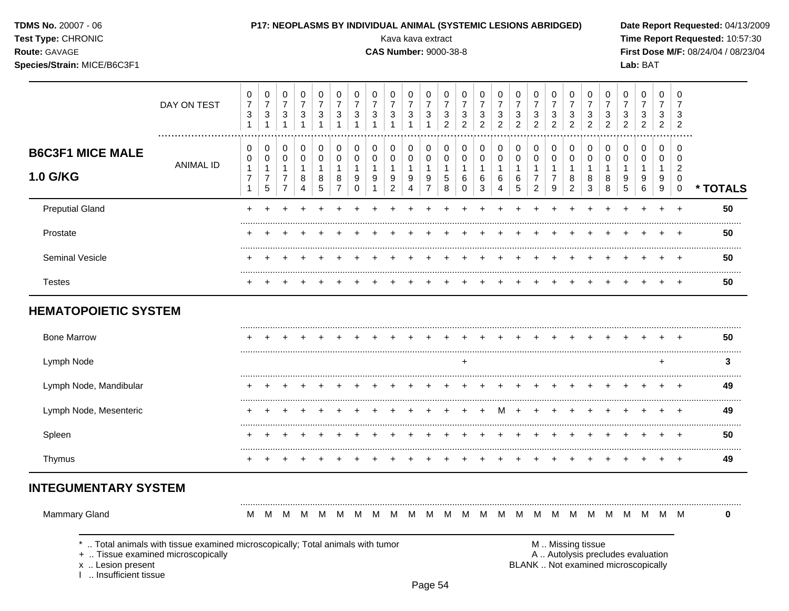TDMS No. 20007 - 06

#### Test Type: CHRONIC

Route: GAVAGE

### Species/Strain: MICE/B6C3F1

P17: NEOPLASMS BY INDIVIDUAL ANIMAL (SYSTEMIC LESIONS ABRIDGED)

Kava kava extract

**CAS Number: 9000-38-8** 

Date Report Requested: 04/13/2009 Time Report Requested: 10:57:30 First Dose M/F: 08/24/04 / 08/23/04 Lab: BAT

. . . . . . . . .

49

 $\bf{0}$ 

 $+$  $+$ 

|                             | DAY ON TEST<br>  | 0<br>$\overline{7}$<br>$\ensuremath{\mathsf{3}}$<br>$\mathbf{1}$ | 0<br>$\overline{7}$<br>$\ensuremath{\mathsf{3}}$<br>$\mathbf{1}$ | 0<br>$\boldsymbol{7}$<br>$\sqrt{3}$<br>$\overline{1}$ | 0<br>$\boldsymbol{7}$<br>$\sqrt{3}$ | 0<br>3 | 0<br>3 | 0<br>$\overline{7}$<br>3 | 0<br>$\overline{7}$<br>3 | 0<br>$\overline{7}$<br>3 | 0<br>$\overline{7}$<br>3 | 0<br>7<br>3 | 0<br>$\overline{7}$<br>3<br>$\overline{2}$ | 0<br>3<br>2 | 0<br>3<br>$\overline{2}$ | 0<br>3<br>2 | 0<br>7<br>$\mathbf{3}$<br>$\overline{c}$ | 0<br>$\boldsymbol{7}$<br>$\mathbf{3}$<br>$\overline{c}$ | 0<br>$\overline{7}$<br>3<br>2 | 0<br>$\overline{7}$<br>3<br>2 | 0<br>3<br>$\overline{2}$ | 0<br>$\overline{7}$<br>3<br>$\overline{2}$ | 0<br>$\overline{7}$<br>3<br>2 | 0<br>$\overline{7}$<br>$\mathbf{3}$<br>2 | 0<br>$\overline{7}$<br>3<br>2 | 0<br>3<br>$\overline{2}$ |          |
|-----------------------------|------------------|------------------------------------------------------------------|------------------------------------------------------------------|-------------------------------------------------------|-------------------------------------|--------|--------|--------------------------|--------------------------|--------------------------|--------------------------|-------------|--------------------------------------------|-------------|--------------------------|-------------|------------------------------------------|---------------------------------------------------------|-------------------------------|-------------------------------|--------------------------|--------------------------------------------|-------------------------------|------------------------------------------|-------------------------------|--------------------------|----------|
| <b>B6C3F1 MICE MALE</b>     | <b>ANIMAL ID</b> | 0<br>0<br>1                                                      | 0<br>$\,0\,$<br>1                                                | 0<br>$\mathbf 0$<br>1                                 | 0<br>$\mathbf 0$<br>-1              | 0<br>0 | 0<br>0 | 0                        | 0<br>0                   | 0<br>0                   | 0<br>0                   | 0<br>0<br>1 | 0<br>0<br>1                                | 0<br>0      | 0                        | 0<br>0      | 0<br>0<br>1                              | 0<br>$\mathbf 0$<br>1                                   | 0<br>0                        | 0<br>0                        | 0<br>0                   | 0<br>0                                     | 0<br>0                        | 0<br>0<br>1                              | 0<br>0<br>1                   | 0<br>0<br>$\overline{c}$ |          |
| 1.0 G/KG                    |                  | $\overline{7}$                                                   | $\overline{7}$<br>$\overline{5}$                                 | $\overline{7}$<br>$\overline{7}$                      | 8<br>4                              | 8<br>5 | 8      | 9<br>0                   | 9                        | 9<br>$\overline{2}$      | 9<br>4                   | 9<br>7      | 5<br>8                                     | 6<br>0      | 6<br>3                   | 6<br>4      | 6<br>5                                   | 7<br>$\overline{2}$                                     | 7<br>9                        | 8<br>2                        | 8<br>3                   | 8<br>8                                     | 9<br>5                        | 9<br>6                                   | 9<br>9                        | 0<br>$\boldsymbol{0}$    | * TOTALS |
| <b>Preputial Gland</b>      |                  |                                                                  |                                                                  |                                                       |                                     |        |        |                          |                          |                          |                          |             |                                            |             |                          |             |                                          |                                                         |                               |                               |                          |                                            |                               |                                          |                               |                          | 50       |
| Prostate                    |                  |                                                                  |                                                                  |                                                       |                                     |        |        |                          |                          |                          |                          |             |                                            |             |                          |             |                                          |                                                         |                               |                               |                          |                                            |                               |                                          |                               |                          | 50       |
| <b>Seminal Vesicle</b>      |                  |                                                                  |                                                                  |                                                       |                                     |        |        |                          |                          |                          |                          |             |                                            |             |                          |             |                                          |                                                         |                               |                               |                          |                                            |                               |                                          |                               |                          | .<br>50  |
| <b>Testes</b>               |                  |                                                                  |                                                                  |                                                       |                                     |        |        |                          |                          |                          |                          |             |                                            |             |                          |             |                                          |                                                         |                               |                               |                          |                                            |                               |                                          |                               |                          | 50       |
| <b>HEMATOPOIETIC SYSTEM</b> |                  |                                                                  |                                                                  |                                                       |                                     |        |        |                          |                          |                          |                          |             |                                            |             |                          |             |                                          |                                                         |                               |                               |                          |                                            |                               |                                          |                               |                          |          |
| <b>Bone Marrow</b>          |                  |                                                                  |                                                                  |                                                       |                                     |        |        |                          |                          |                          |                          |             |                                            |             |                          |             |                                          |                                                         |                               |                               |                          |                                            |                               |                                          |                               |                          | 50       |
| Lymph Node                  |                  |                                                                  |                                                                  |                                                       |                                     |        |        |                          |                          |                          |                          |             |                                            | $\ddot{}$   |                          |             |                                          |                                                         |                               |                               |                          |                                            |                               |                                          |                               |                          | 3        |
| Lymph Node, Mandibular      |                  |                                                                  |                                                                  |                                                       |                                     |        |        |                          |                          |                          |                          |             |                                            |             |                          |             |                                          |                                                         |                               |                               |                          |                                            |                               |                                          |                               |                          | 49       |
| Lymph Node, Mesenteric      |                  |                                                                  |                                                                  |                                                       |                                     |        |        |                          |                          |                          |                          |             |                                            |             |                          |             |                                          |                                                         |                               |                               |                          |                                            |                               |                                          |                               |                          | 49       |
| Spleen                      |                  |                                                                  |                                                                  |                                                       |                                     |        |        |                          |                          |                          |                          |             |                                            |             |                          |             |                                          |                                                         |                               |                               |                          |                                            |                               |                                          |                               | $\div$                   | 50       |

**INTEGUMENTARY SYSTEM** 

Thymus

Mammary Gland

\* .. Total animals with tissue examined microscopically; Total animals with tumor

 $+$ 

 $+$  $+$  $+$  $+$   $+$ 

 $+$ 

 $+$   $+$ 

+ .. Tissue examined microscopically

x .. Lesion present

I .. Insufficient tissue

M. Missing tissue A .. Autolysis precludes evaluation BLANK .. Not examined microscopically

 $+$ 

 $+$  $+$  $+$ 

 $+$ 

 $+ + + +$ 

 $+$  $+$  $+$ 

 $+$  $+$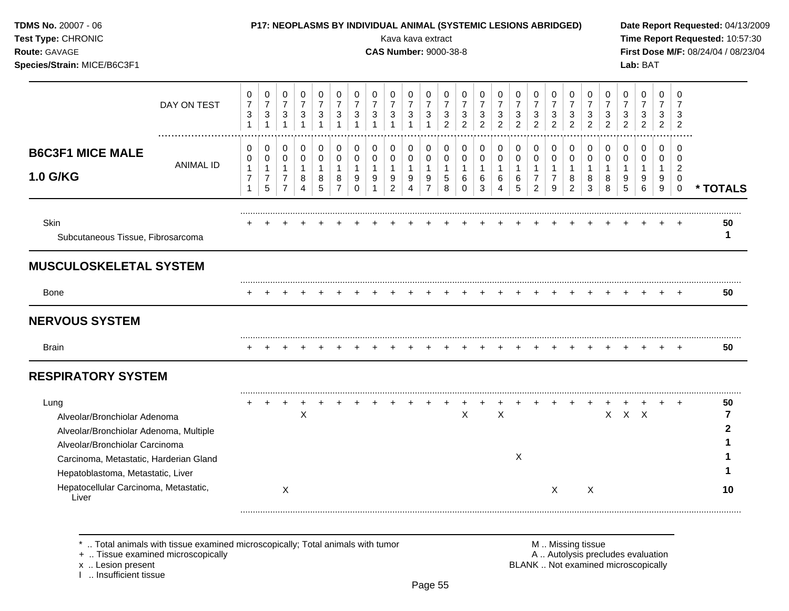| TDMS No. 20007 - 06<br>Test Type: CHRONIC<br>Route: GAVAGE<br>Species/Strain: MICE/B6C3F1                                                                                                                                                         |                                                          |                                                                                |                                                                                |                                                                     |                                                                  |                                                                  |                                                                             |                                         | Kava kava extract<br><b>CAS Number: 9000-38-8</b>    |                                                                                |                                                             |                                                                 |                                                               | P17: NEOPLASMS BY INDIVIDUAL ANIMAL (SYSTEMIC LESIONS ABRIDGED) |                                                         |                                                                     |                                                                  |                                                                        |                                                        |                                                                                      |                                                       |                                                               | Lab: BAT                                          |                                                       |                                                                       | Date Report Requested: 04/13/2009<br>Time Report Requested: 10:57:30<br>First Dose M/F: 08/24/04 / 08/23/04 |
|---------------------------------------------------------------------------------------------------------------------------------------------------------------------------------------------------------------------------------------------------|----------------------------------------------------------|--------------------------------------------------------------------------------|--------------------------------------------------------------------------------|---------------------------------------------------------------------|------------------------------------------------------------------|------------------------------------------------------------------|-----------------------------------------------------------------------------|-----------------------------------------|------------------------------------------------------|--------------------------------------------------------------------------------|-------------------------------------------------------------|-----------------------------------------------------------------|---------------------------------------------------------------|-----------------------------------------------------------------|---------------------------------------------------------|---------------------------------------------------------------------|------------------------------------------------------------------|------------------------------------------------------------------------|--------------------------------------------------------|--------------------------------------------------------------------------------------|-------------------------------------------------------|---------------------------------------------------------------|---------------------------------------------------|-------------------------------------------------------|-----------------------------------------------------------------------|-------------------------------------------------------------------------------------------------------------|
| DAY ON TEST                                                                                                                                                                                                                                       | 0<br>$\overline{7}$<br>$\mathbf{3}$<br>$\mathbf{1}$      | 0<br>$\boldsymbol{7}$<br>$\sqrt{3}$<br>$\mathbf{1}$                            | $\pmb{0}$<br>$\overline{7}$<br>$\ensuremath{\mathsf{3}}$<br>$\mathbf{1}$       | $\pmb{0}$<br>$\overline{7}$<br>$\mathbf{3}$<br>$\mathbf{1}$         | 0<br>$\overline{7}$<br>$\ensuremath{\mathsf{3}}$<br>$\mathbf{1}$ | 0<br>$\overline{7}$<br>$\sqrt{3}$<br>$\mathbf{1}$                | $\mathbf 0$<br>$\overline{7}$<br>$\ensuremath{\mathsf{3}}$<br>$\mathbf{1}$  | 0<br>$\overline{7}$<br>3                | 0<br>$\overline{7}$<br>3                             | 0<br>$\overline{7}$<br>3                                                       | 0<br>$\overline{7}$<br>$\mathbf{3}$<br>$\mathbf{1}$         | 0<br>$\overline{7}$<br>$\mathbf{3}$<br>2                        | 0<br>$\overline{7}$<br>$\mathbf{3}$<br>$\overline{2}$         | 0<br>$\overline{7}$<br>3<br>$\overline{2}$                      | 0<br>$\overline{7}$<br>$\mathbf{3}$<br>$\overline{2}$   | 0<br>$\overline{7}$<br>$\mathbf{3}$<br>$\overline{2}$               | 0<br>$\overline{7}$<br>3<br>$\overline{2}$                       | 0<br>$\overline{7}$<br>3<br>$\overline{2}$                             | 0<br>$\overline{7}$<br>$\mathbf{3}$<br>$\overline{2}$  | $\mathsf{O}\xspace$<br>$\overline{7}$<br>$\ensuremath{\mathsf{3}}$<br>$\overline{2}$ | 0<br>$\overline{7}$<br>$\mathbf{3}$<br>$\overline{2}$ | 0<br>$\overline{7}$<br>3<br>$\overline{2}$                    | 0<br>$\overline{7}$<br>3<br>$\overline{2}$        | $\mathbf 0$<br>$\overline{7}$<br>3<br>$\overline{2}$  | 0<br>$\overline{7}$<br>3<br>$\overline{2}$                            |                                                                                                             |
| <b>B6C3F1 MICE MALE</b><br><b>ANIMAL ID</b><br>1.0 G/KG                                                                                                                                                                                           | 0<br>0<br>$\mathbf{1}$<br>$\overline{7}$<br>$\mathbf{1}$ | $\mathbf 0$<br>$\mathbf 0$<br>$\mathbf{1}$<br>$\overline{7}$<br>$\overline{5}$ | $\mathbf 0$<br>$\mathbf 0$<br>$\mathbf{1}$<br>$\overline{7}$<br>$\overline{7}$ | $\mathbf 0$<br>$\mathbf 0$<br>$\overline{1}$<br>8<br>$\overline{4}$ | $\pmb{0}$<br>$\mathbf 0$<br>$\mathbf{1}$<br>8<br>5               | $\mathbf 0$<br>$\mathbf 0$<br>$\mathbf 1$<br>8<br>$\overline{7}$ | $\pmb{0}$<br>$\mathbf 0$<br>$\mathbf{1}$<br>$\boldsymbol{9}$<br>$\mathbf 0$ | 0<br>$\Omega$<br>$\mathbf{1}$<br>9<br>1 | 0<br>$\Omega$<br>$\mathbf{1}$<br>9<br>$\overline{c}$ | $\pmb{0}$<br>$\mathbf 0$<br>$\mathbf{1}$<br>$\boldsymbol{9}$<br>$\overline{4}$ | 0<br>$\mathbf 0$<br>$\mathbf{1}$<br>$9\,$<br>$\overline{7}$ | $\mathbf 0$<br>$\mathbf 0$<br>$\overline{1}$<br>$\sqrt{5}$<br>8 | $\mathbf 0$<br>$\mathbf 0$<br>$\overline{1}$<br>6<br>$\Omega$ | $\pmb{0}$<br>$\mathbf 0$<br>$\mathbf{1}$<br>6<br>$\mathbf{3}$   | 0<br>$\mathbf 0$<br>$\mathbf{1}$<br>6<br>$\overline{4}$ | $\mathbf 0$<br>$\mathbf 0$<br>$\mathbf{1}$<br>$\,6\,$<br>$\sqrt{5}$ | $\mathbf 0$<br>$\Omega$<br>1<br>$\overline{7}$<br>$\overline{2}$ | 0<br>$\mathbf 0$<br>$\mathbf{1}$<br>$\overline{7}$<br>$\boldsymbol{9}$ | $\mathbf 0$<br>$\mathbf 0$<br>1<br>8<br>$\overline{c}$ | 0<br>$\mathbf 0$<br>$\mathbf{1}$<br>8<br>3                                           | $\mathbf 0$<br>$\mathbf 0$<br>$\mathbf 1$<br>8<br>8   | $\mathbf 0$<br>$\mathbf 0$<br>$\mathbf{1}$<br>9<br>$\sqrt{5}$ | $\mathbf 0$<br>$\Omega$<br>$\mathbf{1}$<br>9<br>6 | $\mathbf 0$<br>$\Omega$<br>1<br>9<br>$\boldsymbol{9}$ | 0<br>$\Omega$<br>$\overline{2}$<br>$\mathbf 0$<br>$\mathsf{O}\xspace$ | * TOTALS                                                                                                    |
| <b>Skin</b><br>Subcutaneous Tissue, Fibrosarcoma                                                                                                                                                                                                  |                                                          |                                                                                |                                                                                |                                                                     |                                                                  |                                                                  |                                                                             |                                         |                                                      |                                                                                |                                                             |                                                                 |                                                               |                                                                 |                                                         |                                                                     |                                                                  |                                                                        |                                                        |                                                                                      |                                                       |                                                               |                                                   |                                                       |                                                                       | 50<br>$\mathbf 1$                                                                                           |
| <b>MUSCULOSKELETAL SYSTEM</b>                                                                                                                                                                                                                     |                                                          |                                                                                |                                                                                |                                                                     |                                                                  |                                                                  |                                                                             |                                         |                                                      |                                                                                |                                                             |                                                                 |                                                               |                                                                 |                                                         |                                                                     |                                                                  |                                                                        |                                                        |                                                                                      |                                                       |                                                               |                                                   |                                                       |                                                                       |                                                                                                             |
| <b>Bone</b>                                                                                                                                                                                                                                       |                                                          |                                                                                |                                                                                |                                                                     |                                                                  |                                                                  |                                                                             |                                         |                                                      |                                                                                |                                                             |                                                                 |                                                               |                                                                 |                                                         |                                                                     |                                                                  |                                                                        |                                                        |                                                                                      |                                                       |                                                               |                                                   |                                                       |                                                                       | 50                                                                                                          |
| <b>NERVOUS SYSTEM</b>                                                                                                                                                                                                                             |                                                          |                                                                                |                                                                                |                                                                     |                                                                  |                                                                  |                                                                             |                                         |                                                      |                                                                                |                                                             |                                                                 |                                                               |                                                                 |                                                         |                                                                     |                                                                  |                                                                        |                                                        |                                                                                      |                                                       |                                                               |                                                   |                                                       |                                                                       |                                                                                                             |
| <b>Brain</b>                                                                                                                                                                                                                                      |                                                          |                                                                                |                                                                                |                                                                     |                                                                  |                                                                  |                                                                             |                                         |                                                      |                                                                                |                                                             |                                                                 |                                                               |                                                                 |                                                         |                                                                     |                                                                  |                                                                        |                                                        |                                                                                      |                                                       |                                                               |                                                   |                                                       |                                                                       | 50                                                                                                          |
| <b>RESPIRATORY SYSTEM</b>                                                                                                                                                                                                                         |                                                          |                                                                                |                                                                                |                                                                     |                                                                  |                                                                  |                                                                             |                                         |                                                      |                                                                                |                                                             |                                                                 |                                                               |                                                                 |                                                         |                                                                     |                                                                  |                                                                        |                                                        |                                                                                      |                                                       |                                                               |                                                   |                                                       |                                                                       |                                                                                                             |
| Lung<br>Alveolar/Bronchiolar Adenoma<br>Alveolar/Bronchiolar Adenoma, Multiple<br>Alveolar/Bronchiolar Carcinoma<br>Carcinoma, Metastatic, Harderian Gland<br>Hepatoblastoma, Metastatic, Liver<br>Hepatocellular Carcinoma, Metastatic,<br>Liver |                                                          |                                                                                | X                                                                              | X                                                                   |                                                                  |                                                                  |                                                                             |                                         |                                                      |                                                                                |                                                             |                                                                 | X                                                             |                                                                 | $\boldsymbol{\mathsf{X}}$                               | $\boldsymbol{\mathsf{X}}$                                           |                                                                  | X                                                                      | $\ddot{}$                                              | $+$<br>X                                                                             |                                                       | X X X                                                         |                                                   | $+$                                                   | $+$                                                                   | 50<br>7<br>2<br>10                                                                                          |

+ .. Tissue examined microscopically  $\blacksquare$  A .. Autolysis precludes evaluation

x .. Lesion present<br>I .. Insufficient tissue

M .. Missing tissue<br>A .. Autolysis precludes evaluation<br>BLANK .. Not examined microscopically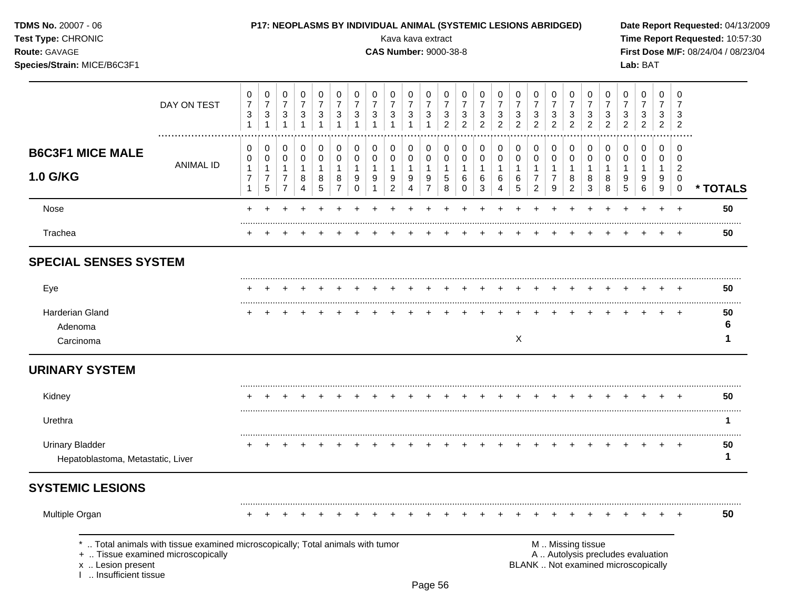| <b>TDMS No. 20007 - 06</b> |  |
|----------------------------|--|
| Test Type: CHRONIC         |  |

### P17: NEOPLASMS BY INDIVIDUAL ANIMAL (SYSTEMIC LESIONS ABRIDGED)

**CAS Number: 9000-38-8** 

Kava kava extract

Route: GAVAGE

Species/Strain: MICE/B6C3F1

Date Report Requested: 04/13/2009 Time Report Requested: 10:57:30 First Dose M/F: 08/24/04 / 08/23/04 Lab: BAT

|                                                             | DAY ON TEST                                                                                                        | 0<br>$\overline{7}$<br>$\ensuremath{\mathsf{3}}$<br>$\mathbf{1}$ | 0<br>$\boldsymbol{7}$<br>$\mathbf{3}$<br>1    | 0<br>$\overline{7}$<br>3<br>$\mathbf{1}$                   | 0<br>$\overline{7}$<br>$\mathbf{3}$<br>$\mathbf{1}$     | 0<br>$\overline{7}$<br>3<br>$\mathbf{1}$   | 0<br>$\overline{7}$<br>3<br>1                                     | 0<br>$\overline{7}$<br>3                          | 0<br>$\overline{7}$<br>3             | 0<br>$\overline{7}$<br>3                                | 0<br>$\overline{7}$<br>3<br>1            | 0<br>$\overline{7}$<br>$\mathbf{3}$<br>$\mathbf{1}$ | 0<br>$\overline{7}$<br>3<br>$\overline{c}$ | 0<br>$\overline{7}$<br>$\mathbf{3}$<br>$\overline{2}$          | 0<br>$\overline{7}$<br>3<br>2              | 0<br>$\overline{7}$<br>$\sqrt{3}$<br>$\overline{2}$ | 0<br>$\overline{7}$<br>3<br>$\overline{2}$ | 0<br>$\overline{7}$<br>$\sqrt{3}$<br>$\overline{2}$        | 0<br>$\overline{7}$<br>3<br>2                 | 0<br>$\overline{7}$<br>$\sqrt{3}$<br>$\overline{c}$   | 0<br>$\overline{7}$<br>$\mathbf{3}$<br>$\overline{c}$ | 0<br>$\overline{7}$<br>3<br>$\overline{2}$         | 0<br>$\overline{7}$<br>3<br>$\overline{2}$                               | 0<br>$\overline{7}$<br>3<br>$\overline{2}$ | 0<br>$\overline{7}$<br>3<br>$\overline{2}$ | 0<br>$\overline{7}$<br>3<br>$\overline{c}$                          |              |
|-------------------------------------------------------------|--------------------------------------------------------------------------------------------------------------------|------------------------------------------------------------------|-----------------------------------------------|------------------------------------------------------------|---------------------------------------------------------|--------------------------------------------|-------------------------------------------------------------------|---------------------------------------------------|--------------------------------------|---------------------------------------------------------|------------------------------------------|-----------------------------------------------------|--------------------------------------------|----------------------------------------------------------------|--------------------------------------------|-----------------------------------------------------|--------------------------------------------|------------------------------------------------------------|-----------------------------------------------|-------------------------------------------------------|-------------------------------------------------------|----------------------------------------------------|--------------------------------------------------------------------------|--------------------------------------------|--------------------------------------------|---------------------------------------------------------------------|--------------|
| <b>B6C3F1 MICE MALE</b><br><b>1.0 G/KG</b>                  | <b>ANIMAL ID</b>                                                                                                   | 0<br>$\mathbf 0$<br>$\mathbf{1}$<br>$\overline{7}$               | 0<br>0<br>$\mathbf{1}$<br>$\overline{7}$<br>5 | 0<br>0<br>$\mathbf{1}$<br>$\overline{7}$<br>$\overline{7}$ | 0<br>$\mathbf 0$<br>$\mathbf{1}$<br>8<br>$\overline{4}$ | 0<br>$\pmb{0}$<br>$\overline{1}$<br>8<br>5 | $\mathbf 0$<br>$\mathbf 0$<br>$\mathbf{1}$<br>8<br>$\overline{7}$ | 0<br>$\mathbf 0$<br>$\mathbf{1}$<br>9<br>$\Omega$ | 0<br>$\mathbf 0$<br>$\mathbf 1$<br>9 | 0<br>$\mathbf 0$<br>$\mathbf{1}$<br>9<br>$\overline{c}$ | $\pmb{0}$<br>0<br>$\mathbf{1}$<br>9<br>4 | 0<br>0<br>$\mathbf{1}$<br>9<br>$\overline{7}$       | 0<br>0<br>$\mathbf{1}$<br>5<br>8           | $\pmb{0}$<br>$\mathbf 0$<br>$\overline{1}$<br>6<br>$\mathbf 0$ | 0<br>$\mathbf 0$<br>$\mathbf{1}$<br>6<br>3 | 0<br>$\mathbf 0$<br>$\mathbf{1}$<br>6<br>4          | 0<br>0<br>$\mathbf 1$<br>6<br>5            | 0<br>0<br>$\mathbf{1}$<br>$\overline{7}$<br>$\overline{c}$ | 0<br>0<br>$\mathbf{1}$<br>$\overline{7}$<br>9 | 0<br>$\pmb{0}$<br>$\mathbf{1}$<br>8<br>$\overline{c}$ | 0<br>$\mathbf 0$<br>$\mathbf{1}$<br>8<br>3            | $\pmb{0}$<br>$\mathbf 0$<br>$\mathbf{1}$<br>8<br>8 | 0<br>$\mathbf 0$<br>$\mathbf{1}$<br>9<br>5                               | 0<br>$\mathbf 0$<br>$\mathbf{1}$<br>9<br>6 | 0<br>$\mathbf 0$<br>$\mathbf{1}$<br>9<br>9 | 0<br>$\overline{0}$<br>$\overline{2}$<br>$\mathbf 0$<br>$\mathbf 0$ | * TOTALS     |
| Nose                                                        |                                                                                                                    |                                                                  |                                               |                                                            |                                                         |                                            |                                                                   |                                                   |                                      |                                                         |                                          |                                                     |                                            |                                                                |                                            |                                                     |                                            |                                                            |                                               |                                                       |                                                       |                                                    |                                                                          |                                            |                                            | $\div$                                                              | 50           |
| Trachea                                                     |                                                                                                                    |                                                                  |                                               |                                                            |                                                         |                                            |                                                                   |                                                   |                                      |                                                         |                                          |                                                     |                                            |                                                                |                                            |                                                     |                                            |                                                            |                                               |                                                       |                                                       |                                                    |                                                                          |                                            |                                            |                                                                     | 50           |
| <b>SPECIAL SENSES SYSTEM</b>                                |                                                                                                                    |                                                                  |                                               |                                                            |                                                         |                                            |                                                                   |                                                   |                                      |                                                         |                                          |                                                     |                                            |                                                                |                                            |                                                     |                                            |                                                            |                                               |                                                       |                                                       |                                                    |                                                                          |                                            |                                            |                                                                     |              |
| Eye                                                         |                                                                                                                    |                                                                  |                                               |                                                            |                                                         |                                            |                                                                   |                                                   |                                      |                                                         |                                          |                                                     |                                            |                                                                |                                            |                                                     |                                            |                                                            |                                               |                                                       |                                                       |                                                    |                                                                          |                                            |                                            |                                                                     | 50           |
| Harderian Gland<br>Adenoma<br>Carcinoma                     |                                                                                                                    |                                                                  |                                               |                                                            |                                                         |                                            |                                                                   |                                                   |                                      |                                                         |                                          |                                                     |                                            |                                                                |                                            |                                                     | X                                          |                                                            |                                               |                                                       |                                                       |                                                    |                                                                          |                                            |                                            |                                                                     | 50<br>6<br>1 |
| <b>URINARY SYSTEM</b>                                       |                                                                                                                    |                                                                  |                                               |                                                            |                                                         |                                            |                                                                   |                                                   |                                      |                                                         |                                          |                                                     |                                            |                                                                |                                            |                                                     |                                            |                                                            |                                               |                                                       |                                                       |                                                    |                                                                          |                                            |                                            |                                                                     |              |
| Kidney                                                      |                                                                                                                    |                                                                  |                                               |                                                            |                                                         |                                            |                                                                   |                                                   |                                      |                                                         |                                          |                                                     |                                            |                                                                |                                            |                                                     |                                            |                                                            |                                               |                                                       |                                                       |                                                    |                                                                          |                                            |                                            |                                                                     | 50           |
| Urethra                                                     |                                                                                                                    |                                                                  |                                               |                                                            |                                                         |                                            |                                                                   |                                                   |                                      |                                                         |                                          |                                                     |                                            |                                                                |                                            |                                                     |                                            |                                                            |                                               |                                                       |                                                       |                                                    |                                                                          |                                            |                                            |                                                                     | 1.           |
| <b>Urinary Bladder</b><br>Hepatoblastoma, Metastatic, Liver |                                                                                                                    |                                                                  |                                               |                                                            |                                                         |                                            |                                                                   |                                                   |                                      |                                                         |                                          |                                                     |                                            |                                                                |                                            |                                                     |                                            |                                                            |                                               |                                                       |                                                       |                                                    |                                                                          |                                            |                                            |                                                                     | 50<br>1      |
| <b>SYSTEMIC LESIONS</b>                                     |                                                                                                                    |                                                                  |                                               |                                                            |                                                         |                                            |                                                                   |                                                   |                                      |                                                         |                                          |                                                     |                                            |                                                                |                                            |                                                     |                                            |                                                            |                                               |                                                       |                                                       |                                                    |                                                                          |                                            |                                            |                                                                     |              |
| Multiple Organ                                              |                                                                                                                    |                                                                  |                                               |                                                            |                                                         |                                            |                                                                   |                                                   |                                      |                                                         |                                          |                                                     |                                            |                                                                |                                            |                                                     |                                            |                                                            |                                               |                                                       |                                                       |                                                    |                                                                          |                                            |                                            |                                                                     | 50           |
| x  Lesion present<br>I  Insufficient tissue                 | Total animals with tissue examined microscopically; Total animals with tumor<br>+  Tissue examined microscopically |                                                                  |                                               |                                                            |                                                         |                                            |                                                                   |                                                   |                                      |                                                         |                                          |                                                     |                                            |                                                                |                                            |                                                     |                                            |                                                            |                                               |                                                       | M  Missing tissue                                     |                                                    | A  Autolysis precludes evaluation<br>BLANK  Not examined microscopically |                                            |                                            |                                                                     |              |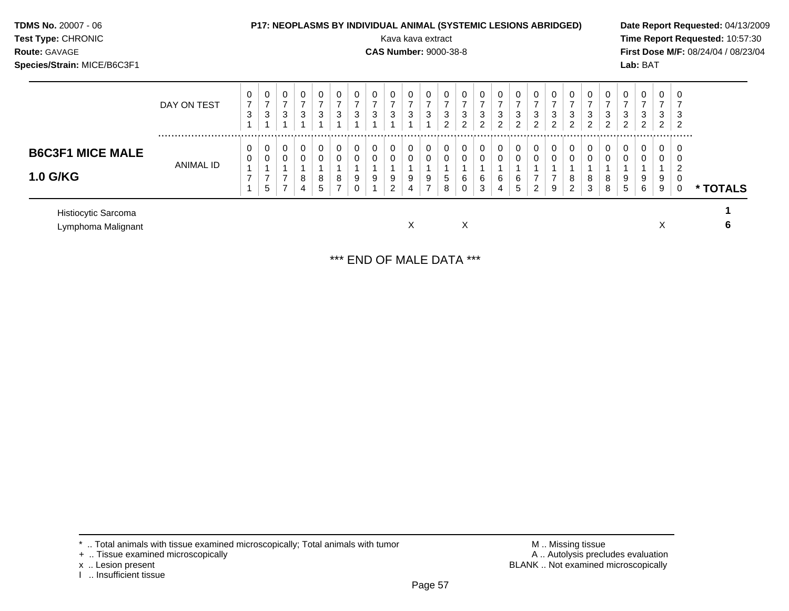| TDMS No. 20007 - 06<br>Test Type: CHRONIC<br>Route: GAVAGE<br>Species/Strain: MICE/B6C3F1 |             |                                     |                                       |                          |                                   |                                    |                               |                                       |                          | P17: NEOPLASMS BY INDIVIDUAL ANIMAL (SYSTEMIC LESIONS ABRIDGED)<br>Kava kava extract<br><b>CAS Number: 9000-38-8</b> |                          |                                         |                                                     |                                                    |                                                      |                                                         |                                                       |                                                       |                                                  |                                                       |                                                       |                                            |                     | Lab: BAT                 |                                                               |                                    | Date Report Requested: 04/13/2009<br>Time Report Requested: 10:57:30<br>First Dose M/F: 08/24/04 / 08/23/04 |  |
|-------------------------------------------------------------------------------------------|-------------|-------------------------------------|---------------------------------------|--------------------------|-----------------------------------|------------------------------------|-------------------------------|---------------------------------------|--------------------------|----------------------------------------------------------------------------------------------------------------------|--------------------------|-----------------------------------------|-----------------------------------------------------|----------------------------------------------------|------------------------------------------------------|---------------------------------------------------------|-------------------------------------------------------|-------------------------------------------------------|--------------------------------------------------|-------------------------------------------------------|-------------------------------------------------------|--------------------------------------------|---------------------|--------------------------|---------------------------------------------------------------|------------------------------------|-------------------------------------------------------------------------------------------------------------|--|
|                                                                                           | DAY ON TEST | $\mathbf{0}$<br>$\overline{7}$<br>3 | 0<br>$\overline{z}$<br>$\mathfrak{S}$ | 0<br>$\overline{ }$<br>3 | 0<br>$\overline{ }$<br>$\sqrt{3}$ | 0<br>$\overline{ }$<br>$\mathsf 3$ | 0<br>$\overline{7}$<br>3      | 0<br>$\overline{7}$<br>$\mathfrak{S}$ | 0<br>$\overline{7}$<br>3 | $\overline{7}$<br>3                                                                                                  | 0<br>$\overline{7}$<br>3 | 0<br>$\overline{7}$<br>3                | 0<br>$\overline{ }$<br>$\sqrt{3}$<br>$\overline{2}$ | $\overline{7}$<br>$\mathfrak{Z}$<br>$\overline{2}$ | 0<br>$\overline{z}$<br>$\mathsf 3$<br>$\overline{2}$ | 0<br>$\overline{7}$<br>$\mathfrak{Z}$<br>$\overline{c}$ | 0<br>$\overline{7}$<br>$\mathbf{3}$<br>$\overline{2}$ | 0<br>$\overline{z}$<br>$\mathbf{3}$<br>$\overline{c}$ | $\overline{7}$<br>$\mathbf{3}$<br>$\overline{2}$ | 0<br>$\overline{7}$<br>$\mathbf{3}$<br>$\overline{2}$ | 0<br>$\overline{7}$<br>$\mathbf{3}$<br>$\overline{c}$ | 0<br>$\overline{z}$<br>3<br>$\overline{2}$ | 3<br>$\overline{2}$ | $\overline{ }$<br>3<br>2 | $\mathbf 0$<br>$\overline{ }$<br>$\sqrt{3}$<br>$\overline{2}$ | 0<br>3<br>$\overline{2}$           |                                                                                                             |  |
| <b>B6C3F1 MICE MALE</b><br><b>1.0 G/KG</b>                                                | ANIMAL ID   | 0<br>0<br>$\overline{ }$            | 0<br>0<br>$\overline{ }$<br>5         | 0<br>0                   | $\pmb{0}$<br>0<br>8<br>4          | $\mathbf 0$<br>0<br>8<br>5         | 0<br>0<br>8<br>$\overline{ }$ | 0<br>0<br>9<br>0                      | 0<br>0<br>9              | $\mathbf 0$<br>$\overline{0}$<br>9<br>$\overline{2}$                                                                 | 0<br>0<br>9<br>4         | $\mathbf 0$<br>0<br>9<br>$\overline{ }$ | 0<br>0<br>$\sqrt{5}$<br>8                           | 0<br>6                                             | $\mathbf 0$<br>$\pmb{0}$<br>6<br>$\mathfrak{S}$      | $\boldsymbol{0}$<br>$\pmb{0}$<br>6<br>4                 | 0<br>0<br>6<br>5                                      | $\boldsymbol{0}$<br>0<br>$\overline{ }$<br>2          | 0<br>0<br>$\overline{7}$<br>9                    | $\overline{0}$<br>0<br>8<br>2                         | $\pmb{0}$<br>$\pmb{0}$<br>8<br>3                      | 0<br>0<br>8<br>8                           | 0<br>9<br>5         | 0<br>0<br>9<br>6         | 0<br>0<br>9<br>9                                              | 0<br>0<br>$\overline{2}$<br>0<br>0 | * TOTALS                                                                                                    |  |
| Histiocytic Sarcoma<br>Lymphoma Malignant                                                 |             |                                     |                                       |                          |                                   |                                    |                               |                                       |                          |                                                                                                                      | X                        |                                         |                                                     | X                                                  |                                                      |                                                         |                                                       |                                                       |                                                  |                                                       |                                                       |                                            |                     |                          | X                                                             |                                    | 6                                                                                                           |  |

\*\*\* END OF MALE DATA \*\*\*

 $*$  .. Total animals with tissue examined microscopically; Total animals with tumor  $\blacksquare$  M .. Missing tissue

+ .. Tissue examined microscopically  $\blacksquare$  A .. Autolysis precludes evaluation

x .. Lesion present<br>I .. Insufficient tissue

M .. Missing tissue<br>A .. Autolysis precludes evaluation<br>BLANK .. Not examined microscopically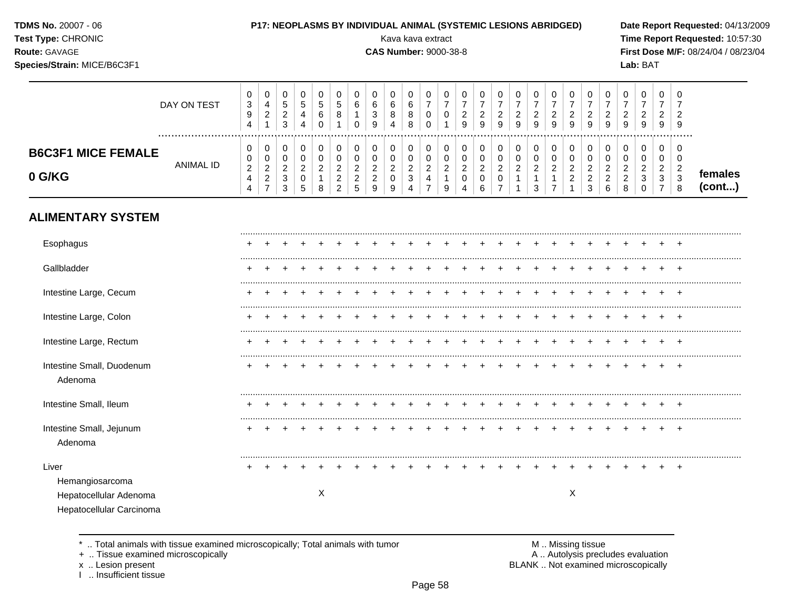| Test Type: CHRONIC<br>Route: GAVAGE<br>Species/Strain: MICE/B6C3F1             |                      |                                                                                |                                                                              |                                                                          |                                                                 |                                                      |                                                               |                                                                 |                                                                 |                                                                | Kava kava extract<br><b>CAS Number: 9000-38-8</b>                                       |                                                                 |                                                                 |                                                            |                                                             |                                                 |                                                               |                                                               |                                                                        |                                                                      |                                                               |                                                                 |                                                                 | Lab: BAT                                                     |                                                                              |                                                                     | Time Report Requested: 10:57:30<br>First Dose M/F: 08/24/04 / 08/23/04 |
|--------------------------------------------------------------------------------|----------------------|--------------------------------------------------------------------------------|------------------------------------------------------------------------------|--------------------------------------------------------------------------|-----------------------------------------------------------------|------------------------------------------------------|---------------------------------------------------------------|-----------------------------------------------------------------|-----------------------------------------------------------------|----------------------------------------------------------------|-----------------------------------------------------------------------------------------|-----------------------------------------------------------------|-----------------------------------------------------------------|------------------------------------------------------------|-------------------------------------------------------------|-------------------------------------------------|---------------------------------------------------------------|---------------------------------------------------------------|------------------------------------------------------------------------|----------------------------------------------------------------------|---------------------------------------------------------------|-----------------------------------------------------------------|-----------------------------------------------------------------|--------------------------------------------------------------|------------------------------------------------------------------------------|---------------------------------------------------------------------|------------------------------------------------------------------------|
|                                                                                | DAY ON TEST          | $\mathbf 0$<br>$\ensuremath{\mathsf{3}}$<br>$\boldsymbol{9}$<br>$\overline{4}$ | $\mathbf 0$<br>$\overline{\mathbf{4}}$<br>$\boldsymbol{2}$<br>$\overline{1}$ | $\mathbf 0$<br>$\sqrt{5}$<br>$\overline{c}$<br>3                         | $\pmb{0}$<br>$\overline{5}$<br>$\overline{4}$<br>$\overline{4}$ | 0<br>$\sqrt{5}$<br>$\,6$<br>$\mathbf 0$              | $\mathbf 0$<br>$\sqrt{5}$<br>$\, 8$<br>$\mathbf{1}$           | 0<br>6<br>$\mathbf{1}$<br>$\Omega$                              | $\mathbf 0$<br>$\,6\,$<br>$\mathsf 3$<br>9                      | 0<br>$\,6\,$<br>$\bf 8$<br>$\overline{4}$                      | $\mathbf 0$<br>$\,6\,$<br>$\bf 8$<br>8                                                  | 0<br>$\overline{7}$<br>$\pmb{0}$<br>$\mathbf 0$                 | $\pmb{0}$<br>$\boldsymbol{7}$<br>$\pmb{0}$<br>$\mathbf{1}$      | $\pmb{0}$<br>$\boldsymbol{7}$<br>$\sqrt{2}$<br>$\mathsf g$ | $\pmb{0}$<br>$\overline{7}$<br>$\overline{\mathbf{c}}$<br>9 | 0<br>$\boldsymbol{7}$<br>$\overline{c}$<br>9    | $\pmb{0}$<br>$\overline{7}$<br>$\boldsymbol{2}$<br>9          | $\mathbf 0$<br>$\boldsymbol{7}$<br>$\overline{c}$<br>9        | $\mathbf 0$<br>$\overline{7}$<br>$\frac{2}{9}$                         | 0<br>$\overline{7}$<br>$\overline{c}$<br>$\overline{9}$              | $\pmb{0}$<br>$\boldsymbol{7}$<br>$\sqrt{2}$<br>$\overline{9}$ | $\mathbf 0$<br>$\boldsymbol{7}$<br>$\sqrt{2}$<br>$\overline{9}$ | 0<br>$\boldsymbol{7}$<br>$\overline{a}$<br>9                    | 0<br>$\overline{7}$<br>$\overline{a}$<br>9                   | 0<br>$\overline{7}$<br>$\overline{c}$<br>$\boldsymbol{9}$                    | $\mathbf 0$<br>$\overline{7}$<br>$\overline{c}$<br>$\boldsymbol{9}$ |                                                                        |
| <b>B6C3F1 MICE FEMALE</b><br>0 G/KG                                            | <br><b>ANIMAL ID</b> | 0<br>$\mathbf 0$<br>$\sqrt{2}$<br>$\overline{\mathbf{4}}$<br>4                 | $\pmb{0}$<br>$\pmb{0}$<br>$\sqrt{2}$<br>$\frac{2}{7}$                        | $\pmb{0}$<br>$\pmb{0}$<br>$\overline{2}$<br>$\mathbf{3}$<br>$\mathbf{3}$ | $\pmb{0}$<br>$\pmb{0}$<br>$\overline{c}$<br>0<br>5              | $\pmb{0}$<br>$\mathbf 0$<br>$\overline{a}$<br>1<br>8 | $\,0\,$<br>$\pmb{0}$<br>$\overline{2}$<br>$\overline{c}$<br>2 | $\pmb{0}$<br>$\pmb{0}$<br>$\overline{c}$<br>$\overline{c}$<br>5 | $\pmb{0}$<br>$\pmb{0}$<br>$\overline{c}$<br>$\overline{c}$<br>9 | $\pmb{0}$<br>$\pmb{0}$<br>$\boldsymbol{2}$<br>$\mathbf 0$<br>9 | $\pmb{0}$<br>$\pmb{0}$<br>$\overline{c}$<br>$\ensuremath{\mathsf{3}}$<br>$\overline{4}$ | $\pmb{0}$<br>$\pmb{0}$<br>$\overline{2}$<br>4<br>$\overline{7}$ | $\pmb{0}$<br>$\pmb{0}$<br>$\boldsymbol{2}$<br>$\mathbf{1}$<br>9 | 0<br>$\pmb{0}$<br>$\overline{c}$<br>0<br>4                 | $\pmb{0}$<br>$\pmb{0}$<br>$\overline{c}$<br>0<br>6          | 0<br>0<br>$\overline{2}$<br>0<br>$\overline{7}$ | $\pmb{0}$<br>$\pmb{0}$<br>$\overline{c}$<br>$\mathbf{1}$<br>1 | $\pmb{0}$<br>$\pmb{0}$<br>$\overline{c}$<br>$\mathbf{1}$<br>3 | 0<br>$\mathbf 0$<br>$\boldsymbol{2}$<br>$\mathbf{1}$<br>$\overline{7}$ | 0<br>$\mathbf 0$<br>$\overline{c}$<br>$\overline{c}$<br>$\mathbf{1}$ | $\mathbf 0$<br>$\pmb{0}$<br>$\sqrt{2}$<br>$\overline{c}$<br>3 | 0<br>$\pmb{0}$<br>$\overline{2}$<br>$\overline{2}$<br>6         | $\pmb{0}$<br>$\pmb{0}$<br>$\overline{c}$<br>$\overline{2}$<br>8 | $\pmb{0}$<br>$\pmb{0}$<br>$\overline{a}$<br>3<br>$\mathbf 0$ | $\mathbf 0$<br>$\pmb{0}$<br>$\overline{2}$<br>$\mathbf{3}$<br>$\overline{7}$ | $\pmb{0}$<br>$\mathbf 0$<br>$\overline{2}$<br>$\sqrt{3}$<br>8       | females<br>(cont)                                                      |
| <b>ALIMENTARY SYSTEM</b>                                                       |                      |                                                                                |                                                                              |                                                                          |                                                                 |                                                      |                                                               |                                                                 |                                                                 |                                                                |                                                                                         |                                                                 |                                                                 |                                                            |                                                             |                                                 |                                                               |                                                               |                                                                        |                                                                      |                                                               |                                                                 |                                                                 |                                                              |                                                                              |                                                                     |                                                                        |
| Esophagus                                                                      |                      |                                                                                |                                                                              |                                                                          |                                                                 |                                                      |                                                               |                                                                 |                                                                 |                                                                |                                                                                         |                                                                 |                                                                 |                                                            |                                                             |                                                 |                                                               |                                                               |                                                                        |                                                                      |                                                               |                                                                 |                                                                 |                                                              |                                                                              |                                                                     |                                                                        |
| Gallbladder                                                                    |                      |                                                                                |                                                                              |                                                                          |                                                                 |                                                      |                                                               |                                                                 |                                                                 |                                                                |                                                                                         |                                                                 |                                                                 |                                                            |                                                             |                                                 |                                                               |                                                               |                                                                        |                                                                      |                                                               | $\ddot{}$                                                       |                                                                 |                                                              |                                                                              |                                                                     |                                                                        |
| Intestine Large, Cecum                                                         |                      |                                                                                |                                                                              |                                                                          |                                                                 |                                                      |                                                               |                                                                 |                                                                 |                                                                |                                                                                         |                                                                 |                                                                 |                                                            |                                                             |                                                 |                                                               |                                                               |                                                                        |                                                                      |                                                               | $\pm$                                                           | $\pm$                                                           | $\pm$                                                        | ÷                                                                            | -4                                                                  |                                                                        |
| Intestine Large, Colon                                                         |                      |                                                                                |                                                                              |                                                                          |                                                                 |                                                      |                                                               |                                                                 |                                                                 |                                                                |                                                                                         |                                                                 |                                                                 |                                                            |                                                             |                                                 |                                                               |                                                               |                                                                        |                                                                      |                                                               |                                                                 |                                                                 |                                                              |                                                                              |                                                                     |                                                                        |
| Intestine Large, Rectum                                                        |                      |                                                                                |                                                                              |                                                                          |                                                                 |                                                      |                                                               |                                                                 |                                                                 |                                                                |                                                                                         |                                                                 |                                                                 |                                                            |                                                             |                                                 |                                                               |                                                               |                                                                        |                                                                      |                                                               |                                                                 |                                                                 |                                                              |                                                                              |                                                                     |                                                                        |
| Intestine Small, Duodenum<br>Adenoma                                           |                      |                                                                                |                                                                              |                                                                          |                                                                 |                                                      |                                                               |                                                                 |                                                                 |                                                                |                                                                                         |                                                                 |                                                                 |                                                            |                                                             |                                                 |                                                               |                                                               |                                                                        |                                                                      |                                                               |                                                                 |                                                                 |                                                              |                                                                              | $\pm$                                                               |                                                                        |
| Intestine Small, Ileum                                                         |                      |                                                                                |                                                                              |                                                                          |                                                                 |                                                      |                                                               |                                                                 |                                                                 |                                                                |                                                                                         |                                                                 |                                                                 |                                                            |                                                             |                                                 |                                                               |                                                               |                                                                        |                                                                      |                                                               | $\pm$                                                           |                                                                 | $+$                                                          |                                                                              | $^+$                                                                |                                                                        |
| Intestine Small, Jejunum<br>Adenoma                                            |                      |                                                                                |                                                                              |                                                                          |                                                                 |                                                      |                                                               |                                                                 |                                                                 |                                                                |                                                                                         |                                                                 |                                                                 |                                                            |                                                             |                                                 |                                                               |                                                               |                                                                        |                                                                      |                                                               |                                                                 |                                                                 |                                                              |                                                                              | $\overline{+}$                                                      |                                                                        |
| Liver<br>Hemangiosarcoma<br>Hepatocellular Adenoma<br>Hepatocellular Carcinoma |                      | +                                                                              |                                                                              |                                                                          |                                                                 | X                                                    |                                                               |                                                                 |                                                                 |                                                                |                                                                                         |                                                                 |                                                                 |                                                            |                                                             |                                                 |                                                               |                                                               |                                                                        | X                                                                    |                                                               |                                                                 |                                                                 |                                                              |                                                                              | $^{+}$                                                              |                                                                        |

P17: NEOPLASMS BY INDIVIDUAL ANIMAL (SYSTEMIC LESIONS ABRIDGED)

\* .. Total animals with tissue examined microscopically; Total animals with tumor

+ .. Tissue examined microscopically

**TDMS No. 20007 - 06** 

x .. Lesion present<br>I .. Insufficient tissue

M .. Missing tissue<br>A .. Autolysis precludes evaluation BLANK .. Not examined microscopically

Date Report Requested: 04/13/2009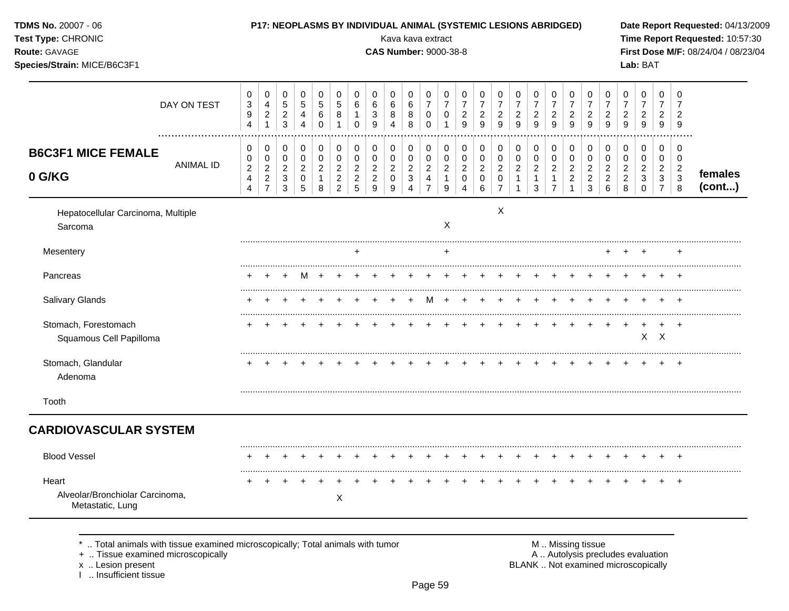| TDMS No. 20007 - 06<br>Test Type: CHRONIC<br>Route: GAVAGE<br>Species/Strain: MICE/B6C3F1                                               |             |                                                       |                                                       |                                                 | P17: NEOPLASMS BY INDIVIDUAL ANIMAL (SYSTEMIC LESIONS ABRIDGED) |                                                       |                                                                        |                                                                |                                                          |                                    |                                                                                          | Kava kava extract<br><b>CAS Number: 9000-38-8</b>         |                                                  |                                                         |                                                         |                                                                   |                                                                  |                                                     |                                                     |                                                           |                                                           |                                                                  |                                                 | Lab: BAT                                                                 |                                                 |                                                   | Date Report Requested: 04/13/2009<br>Time Report Requested: 10:57:30<br>First Dose M/F: 08/24/04 / 08/23/04 |
|-----------------------------------------------------------------------------------------------------------------------------------------|-------------|-------------------------------------------------------|-------------------------------------------------------|-------------------------------------------------|-----------------------------------------------------------------|-------------------------------------------------------|------------------------------------------------------------------------|----------------------------------------------------------------|----------------------------------------------------------|------------------------------------|------------------------------------------------------------------------------------------|-----------------------------------------------------------|--------------------------------------------------|---------------------------------------------------------|---------------------------------------------------------|-------------------------------------------------------------------|------------------------------------------------------------------|-----------------------------------------------------|-----------------------------------------------------|-----------------------------------------------------------|-----------------------------------------------------------|------------------------------------------------------------------|-------------------------------------------------|--------------------------------------------------------------------------|-------------------------------------------------|---------------------------------------------------|-------------------------------------------------------------------------------------------------------------|
|                                                                                                                                         | DAY ON TEST | 0<br>$\ensuremath{\mathsf{3}}$<br>9<br>$\overline{4}$ | 0<br>$\overline{4}$<br>$\overline{c}$<br>$\mathbf{1}$ | 0<br>$\,$ 5 $\,$<br>$\frac{2}{3}$               | 0<br>$\sqrt{5}$<br>4<br>$\overline{4}$                          | 0<br>$\,$ 5 $\,$<br>$\,6$<br>$\mathbf 0$              | 0<br>$\mathbf 5$<br>$\,8\,$<br>1                                       | 0<br>6<br>$\mathbf{1}$<br>0                                    | 0<br>6<br>3<br>9                                         | 0<br>6<br>8<br>4                   | 0<br>$\,6$<br>8<br>8                                                                     | 0<br>$\boldsymbol{7}$<br>0<br>0                           | 0<br>$\overline{7}$<br>0<br>1                    | 0<br>$\overline{7}$<br>$\overline{c}$<br>$\overline{9}$ | 0<br>$\overline{7}$<br>$\overline{c}$<br>$\overline{9}$ | 0<br>$\overline{7}$<br>$\overline{a}$<br>9                        | 0<br>$\overline{7}$<br>$\overline{c}$<br>$\boldsymbol{9}$        | 0<br>$\overline{7}$<br>$\overline{\mathbf{c}}$<br>9 | 0<br>$\boldsymbol{7}$<br>$\overline{c}$<br>9        | 0<br>$\overline{7}$<br>$\overline{a}$<br>$\boldsymbol{9}$ | 0<br>$\overline{7}$<br>$\overline{c}$<br>9                | 0<br>$\overline{7}$<br>$\overline{c}$<br>$\mathsf g$             | 0<br>$\overline{7}$<br>2<br>9                   | 0<br>$\overline{7}$<br>$\overline{c}$<br>9                               | 0<br>$\overline{7}$<br>$\overline{2}$<br>9      | 0<br>2<br>9                                       |                                                                                                             |
| <b>B6C3F1 MICE FEMALE</b><br>0 G/KG                                                                                                     | ANIMAL ID   | 0<br>0<br>$\overline{c}$<br>4<br>4                    | 0<br>$\mathbf 0$<br>$\overline{a}$<br>$\frac{2}{7}$   | 0<br>$\pmb{0}$<br>$\sqrt{2}$<br>3<br>$\sqrt{3}$ | 0<br>0<br>$\overline{c}$<br>0<br>5                              | 0<br>$\pmb{0}$<br>$\overline{c}$<br>$\mathbf{1}$<br>8 | 0<br>$\pmb{0}$<br>$\overline{c}$<br>$\boldsymbol{2}$<br>$\overline{c}$ | 0<br>$\overline{0}$<br>$\overline{c}$<br>$\boldsymbol{2}$<br>5 | 0<br>0<br>$\overline{\mathbf{c}}$<br>$\overline{c}$<br>9 | 0<br>0<br>$\overline{c}$<br>0<br>9 | 0<br>$\pmb{0}$<br>$\overline{\mathbf{c}}$<br>$\ensuremath{\mathsf{3}}$<br>$\overline{4}$ | 0<br>$\mathbf 0$<br>$\overline{c}$<br>4<br>$\overline{7}$ | 0<br>$\pmb{0}$<br>$\sqrt{2}$<br>$\mathbf 1$<br>9 | 0<br>0<br>$\overline{a}$<br>0<br>4                      | 0<br>$\pmb{0}$<br>$\overline{c}$<br>$\mathbf 0$<br>6    | 0<br>$\pmb{0}$<br>$\overline{c}$<br>$\mathbf 0$<br>$\overline{7}$ | 0<br>$\pmb{0}$<br>$\overline{c}$<br>$\mathbf{1}$<br>$\mathbf{1}$ | 0<br>0<br>$\overline{\mathbf{c}}$<br>1<br>3         | 0<br>0<br>$\overline{\mathbf{c}}$<br>$\overline{7}$ | 0<br>$\pmb{0}$<br>$\overline{c}$<br>$\boldsymbol{2}$      | 0<br>$\mathsf 0$<br>$\overline{c}$<br>$\overline{c}$<br>3 | 0<br>$\pmb{0}$<br>$\overline{\mathbf{c}}$<br>$\overline{c}$<br>6 | 0<br>0<br>$\overline{c}$<br>$\overline{c}$<br>8 | 0<br>0<br>2<br>3<br>$\Omega$                                             | 0<br>0<br>$\overline{a}$<br>3<br>$\overline{7}$ | 0<br>0<br>$\overline{c}$<br>$\sqrt{3}$<br>$\,8\,$ | females<br>(cont)                                                                                           |
| Hepatocellular Carcinoma, Multiple<br>Sarcoma                                                                                           |             |                                                       |                                                       |                                                 |                                                                 |                                                       |                                                                        |                                                                |                                                          |                                    |                                                                                          |                                                           | X                                                |                                                         |                                                         | X                                                                 |                                                                  |                                                     |                                                     |                                                           |                                                           |                                                                  |                                                 |                                                                          |                                                 |                                                   |                                                                                                             |
| Mesentery                                                                                                                               |             |                                                       |                                                       |                                                 |                                                                 |                                                       |                                                                        | $\div$                                                         |                                                          |                                    |                                                                                          |                                                           |                                                  |                                                         |                                                         |                                                                   |                                                                  |                                                     |                                                     |                                                           |                                                           |                                                                  |                                                 |                                                                          |                                                 |                                                   |                                                                                                             |
| Pancreas                                                                                                                                |             |                                                       | $\pm$                                                 |                                                 | м                                                               |                                                       |                                                                        |                                                                |                                                          |                                    |                                                                                          |                                                           |                                                  |                                                         |                                                         |                                                                   |                                                                  |                                                     |                                                     |                                                           |                                                           |                                                                  |                                                 |                                                                          |                                                 |                                                   |                                                                                                             |
| Salivary Glands                                                                                                                         |             |                                                       |                                                       |                                                 |                                                                 |                                                       |                                                                        |                                                                |                                                          |                                    |                                                                                          |                                                           |                                                  |                                                         |                                                         |                                                                   |                                                                  |                                                     |                                                     |                                                           |                                                           |                                                                  |                                                 |                                                                          |                                                 |                                                   |                                                                                                             |
| Stomach, Forestomach<br>Squamous Cell Papilloma                                                                                         |             |                                                       |                                                       |                                                 |                                                                 |                                                       |                                                                        |                                                                |                                                          |                                    |                                                                                          |                                                           |                                                  |                                                         |                                                         |                                                                   |                                                                  |                                                     |                                                     |                                                           |                                                           |                                                                  |                                                 |                                                                          | $\pm$<br>$X$ $X$                                | $+$                                               |                                                                                                             |
| Stomach, Glandular<br>Adenoma                                                                                                           |             |                                                       |                                                       |                                                 |                                                                 |                                                       |                                                                        |                                                                |                                                          |                                    |                                                                                          |                                                           |                                                  |                                                         |                                                         |                                                                   |                                                                  |                                                     |                                                     |                                                           |                                                           |                                                                  |                                                 |                                                                          |                                                 |                                                   |                                                                                                             |
| Tooth                                                                                                                                   |             |                                                       |                                                       |                                                 |                                                                 |                                                       |                                                                        |                                                                |                                                          |                                    |                                                                                          |                                                           |                                                  |                                                         |                                                         |                                                                   |                                                                  |                                                     |                                                     |                                                           |                                                           |                                                                  |                                                 |                                                                          |                                                 |                                                   |                                                                                                             |
| <b>CARDIOVASCULAR SYSTEM</b>                                                                                                            |             |                                                       |                                                       |                                                 |                                                                 |                                                       |                                                                        |                                                                |                                                          |                                    |                                                                                          |                                                           |                                                  |                                                         |                                                         |                                                                   |                                                                  |                                                     |                                                     |                                                           |                                                           |                                                                  |                                                 |                                                                          |                                                 |                                                   |                                                                                                             |
| <b>Blood Vessel</b>                                                                                                                     |             |                                                       |                                                       |                                                 |                                                                 |                                                       |                                                                        |                                                                |                                                          |                                    |                                                                                          |                                                           |                                                  |                                                         |                                                         |                                                                   |                                                                  |                                                     |                                                     |                                                           |                                                           |                                                                  |                                                 |                                                                          |                                                 | $\ddot{}$                                         |                                                                                                             |
| Heart<br>Alveolar/Bronchiolar Carcinoma,<br>Metastatic, Lung                                                                            |             |                                                       |                                                       |                                                 |                                                                 |                                                       | X                                                                      |                                                                |                                                          |                                    |                                                                                          |                                                           |                                                  |                                                         |                                                         |                                                                   |                                                                  |                                                     |                                                     |                                                           |                                                           |                                                                  |                                                 |                                                                          |                                                 |                                                   |                                                                                                             |
| Total animals with tissue examined microscopically; Total animals with tumor<br>+  Tissue examined microscopically<br>x  Lesion present |             |                                                       |                                                       |                                                 |                                                                 |                                                       |                                                                        |                                                                |                                                          |                                    |                                                                                          |                                                           |                                                  |                                                         |                                                         |                                                                   |                                                                  |                                                     |                                                     |                                                           | M  Missing tissue                                         |                                                                  |                                                 | A  Autolysis precludes evaluation<br>BLANK  Not examined microscopically |                                                 |                                                   |                                                                                                             |

x .. Lesion present<br>I .. Insufficient tissue

Page 59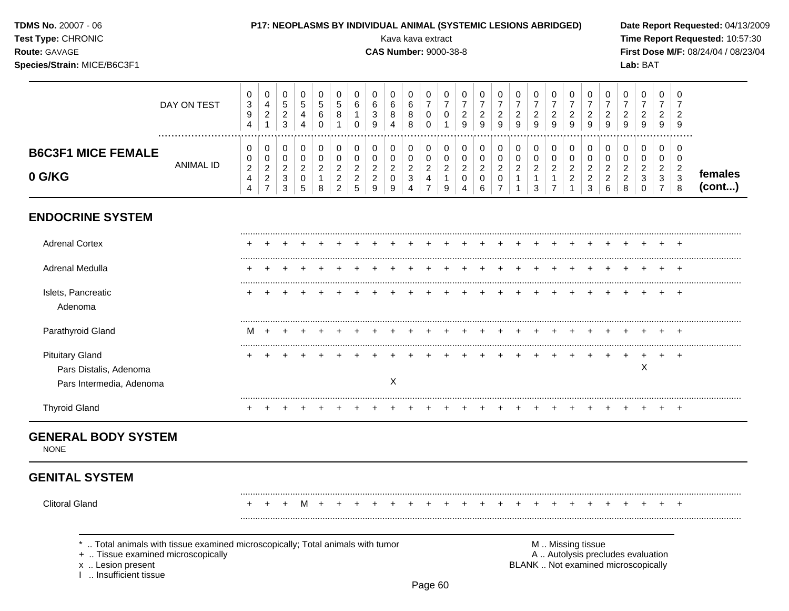**ENDOCRINE SYSTEM** ......................................................................................................................................................................................................... Adrenal Cortex + + + + + + + + + + + + + + + + + + + + + + + + + ......................................................................................................................................................................................................... Adrenal Medulla + + + + + + + + + + + + + + + + + + + + + + + + + ......................................................................................................................................................................................................... Islets, Pancreatic + + + + + + + + + + + + + + + + + + + + + + + + + Adenoma ......................................................................................................................................................................................................... Parathyroid Gland M + + + + + + + + + + + + + + + + + + + + + + + + ......................................................................................................................................................................................................... Pituitary Gland + + + + + + + + + + + + + + + + + + + + + + + + + Pars Distalis, Adenoma X Pars Intermedia, Adenoma **X** ......................................................................................................................................................................................................... Thyroid Gland + + + + + + + + + + + + + + + + + + + + + + + + + **GENERAL BODY SYSTEM NONE GENITAL SYSTEM** ......................................................................................................................................................................................................... Clitoral Gland + + + M + + + + + + + + + + + + + + + + + + + + + ......................................................................................................................................................................................................... **Test Type:** CHRONIC Kava kava extract **Time Report Requested:** 10:57:30 **Route:** GAVAGE **CAS Number:** 9000-38-8 **First Dose M/F:** 08/24/04 / 08/23/04 **Species/Strain:** MICE/B6C3F1 **Lab:** BAT DAY ON TEST  $\overline{7}$   $\overline{7}$  ................................................................................................................................................................. **B6C3F1 MICE FEMALE** ANIMAL ID **0 G/KG females (cont...)** \* .. Total animals with tissue examined microscopically; Total animals with tumor  $\blacksquare$  M .. Missing tissue<br>A .. Autolysis precling the microscopically A .. Autolysis precludes evaluation x .. Lesion present **BLANK** .. Not examined microscopically I .. Insufficient tissue

**TDMS No.** 20007 - 06 **P17: NEOPLASMS BY INDIVIDUAL ANIMAL (SYSTEMIC LESIONS ABRIDGED) Date Report Requested:** 04/13/2009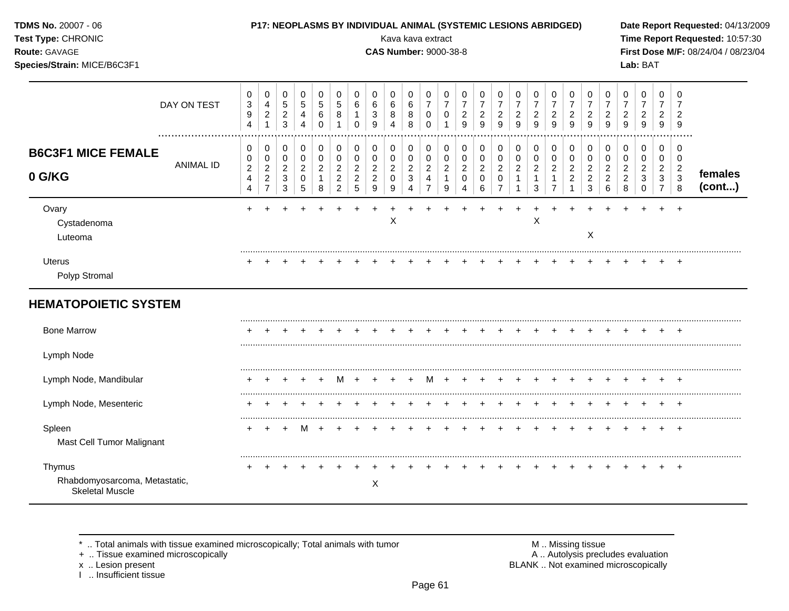| TDMS No. 20007 - 06<br>Test Type: CHRONIC<br>Route: GAVAGE<br>Species/Strain: MICE/B6C3F1 |                  |                                                                                  |                                                                          |                                                                    |                                                  |                                                |                                                                        |                                                           |                                                                            |                                           |                                                                                | Kava kava extract<br><b>CAS Number: 9000-38-8</b>                                     |                                                                                       |                                                     | P17: NEOPLASMS BY INDIVIDUAL ANIMAL (SYSTEMIC LESIONS ABRIDGED) |                                                                 |                                                |                                            |                                                                        |                                                            |                                                            |                                                           |                                                   | Lab: BAT                                                                   |                                                                      |                                                                   | Date Report Requested: 04/13/2009<br>Time Report Requested: 10:57:30<br>First Dose M/F: 08/24/04 / 08/23/04 |
|-------------------------------------------------------------------------------------------|------------------|----------------------------------------------------------------------------------|--------------------------------------------------------------------------|--------------------------------------------------------------------|--------------------------------------------------|------------------------------------------------|------------------------------------------------------------------------|-----------------------------------------------------------|----------------------------------------------------------------------------|-------------------------------------------|--------------------------------------------------------------------------------|---------------------------------------------------------------------------------------|---------------------------------------------------------------------------------------|-----------------------------------------------------|-----------------------------------------------------------------|-----------------------------------------------------------------|------------------------------------------------|--------------------------------------------|------------------------------------------------------------------------|------------------------------------------------------------|------------------------------------------------------------|-----------------------------------------------------------|---------------------------------------------------|----------------------------------------------------------------------------|----------------------------------------------------------------------|-------------------------------------------------------------------|-------------------------------------------------------------------------------------------------------------|
|                                                                                           | DAY ON TEST      | 0<br>$\ensuremath{\mathsf{3}}$<br>$\boldsymbol{9}$<br>4                          | 0<br>$\overline{4}$<br>$\overline{2}$<br>$\mathbf{1}$                    | $\pmb{0}$<br>$\sqrt{5}$<br>$\overline{c}$<br>$\mathfrak{Z}$        | $\mathbf 0$<br>$\sqrt{5}$<br>4<br>$\overline{4}$ | 0<br>5<br>$\,6$<br>$\Omega$                    | 0<br>$\sqrt{5}$<br>$\bf8$<br>$\overline{1}$                            | 0<br>$\,6$<br>$\mathbf{1}$<br>$\Omega$                    | 0<br>6<br>$\ensuremath{\mathsf{3}}$<br>9                                   | 0<br>$\,6$<br>8<br>$\overline{4}$         | $\pmb{0}$<br>$\,6\,$<br>$\,8\,$<br>8                                           | $\pmb{0}$<br>$\boldsymbol{7}$<br>$\pmb{0}$<br>$\mathbf 0$                             | $\mathbf 0$<br>$\overline{7}$<br>0<br>$\overline{1}$                                  | 0<br>$\overline{7}$<br>$\overline{c}$<br>9          | 0<br>$\overline{7}$<br>$\sqrt{2}$<br>9                          | 0<br>$\overline{7}$<br>$\overline{2}$<br>9                      | 0<br>$\overline{7}$<br>$\overline{c}$<br>9     | 0<br>$\overline{7}$<br>$\overline{c}$<br>9 | 0<br>$\overline{7}$<br>$\overline{c}$<br>9                             | 0<br>$\overline{7}$<br>$\overline{\mathbf{c}}$<br>9        | $\pmb{0}$<br>$\overline{7}$<br>$\sqrt{2}$<br>9             | $\pmb{0}$<br>$\overline{7}$<br>$\overline{c}$<br>9        | 0<br>$\overline{7}$<br>$\overline{c}$<br>9        | $\pmb{0}$<br>$\overline{7}$<br>$\boldsymbol{2}$<br>9                       | $\mathbf 0$<br>$\overline{7}$<br>$\overline{2}$<br>9                 | $\mathbf 0$<br>$\overline{7}$<br>$\overline{2}$<br>9              |                                                                                                             |
| <b>B6C3F1 MICE FEMALE</b><br>0 G/KG                                                       | <b>ANIMAL ID</b> | 0<br>0<br>$\boldsymbol{2}$<br>$\overline{\mathbf{4}}$<br>$\overline{\mathbf{4}}$ | 0<br>$\mathbf 0$<br>$\overline{c}$<br>$\boldsymbol{2}$<br>$\overline{7}$ | 0<br>$\mathbf 0$<br>$\overline{c}$<br>$\sqrt{3}$<br>$\mathfrak{3}$ | 0<br>$\mathbf 0$<br>$\boldsymbol{2}$<br>0<br>5   | 0<br>$\mathbf 0$<br>$\boldsymbol{2}$<br>1<br>8 | 0<br>$\pmb{0}$<br>$\overline{c}$<br>$\boldsymbol{2}$<br>$\overline{c}$ | 0<br>$\mathbf 0$<br>$\overline{c}$<br>$\overline{c}$<br>5 | 0<br>$\mathbf 0$<br>$\overline{c}$<br>$\boldsymbol{2}$<br>$\boldsymbol{9}$ | 0<br>0<br>$\overline{2}$<br>$\Omega$<br>9 | $\mathbf 0$<br>$\mathsf 0$<br>$\boldsymbol{2}$<br>$\sqrt{3}$<br>$\overline{4}$ | $\pmb{0}$<br>$\boldsymbol{0}$<br>$\boldsymbol{2}$<br>$\overline{4}$<br>$\overline{7}$ | $\mathbf 0$<br>$\boldsymbol{0}$<br>$\overline{c}$<br>$\mathbf{1}$<br>$\boldsymbol{9}$ | 0<br>$\mathbf 0$<br>$\overline{2}$<br>$\Omega$<br>4 | $\mathbf 0$<br>$\mathbf 0$<br>$\sqrt{2}$<br>$\Omega$<br>6       | 0<br>$\mathbf 0$<br>$\sqrt{2}$<br>$\mathbf 0$<br>$\overline{7}$ | 0<br>$\mathbf 0$<br>$\boldsymbol{2}$<br>1<br>1 | 0<br>0<br>2<br>3                           | 0<br>$\mathbf 0$<br>$\boldsymbol{2}$<br>$\mathbf{1}$<br>$\overline{7}$ | 0<br>0<br>$\overline{a}$<br>$\overline{c}$<br>$\mathbf{1}$ | 0<br>0<br>$\overline{c}$<br>$\overline{2}$<br>$\mathbf{3}$ | 0<br>$\mathbf 0$<br>$\overline{c}$<br>$\overline{2}$<br>6 | 0<br>0<br>$\overline{a}$<br>$\boldsymbol{2}$<br>8 | $\mathbf 0$<br>$\mathbf 0$<br>$\boldsymbol{2}$<br>$\mathbf{3}$<br>$\Omega$ | 0<br>$\mathbf 0$<br>$\overline{2}$<br>$\mathbf{3}$<br>$\overline{7}$ | $\mathbf 0$<br>$\mathbf 0$<br>$\sqrt{2}$<br>$\sqrt{3}$<br>$\,8\,$ | females<br>(cont)                                                                                           |
| Ovary<br>Cystadenoma<br>Luteoma                                                           |                  |                                                                                  |                                                                          |                                                                    |                                                  |                                                |                                                                        |                                                           | $\ddot{}$                                                                  | X                                         |                                                                                |                                                                                       |                                                                                       |                                                     |                                                                 |                                                                 |                                                | X                                          |                                                                        | $\ddot{}$                                                  | X                                                          |                                                           |                                                   |                                                                            |                                                                      |                                                                   |                                                                                                             |
| Uterus<br>Polyp Stromal                                                                   |                  |                                                                                  |                                                                          |                                                                    |                                                  |                                                |                                                                        |                                                           |                                                                            |                                           |                                                                                |                                                                                       |                                                                                       |                                                     |                                                                 |                                                                 |                                                |                                            |                                                                        |                                                            |                                                            |                                                           |                                                   |                                                                            |                                                                      |                                                                   |                                                                                                             |
| <b>HEMATOPOIETIC SYSTEM</b>                                                               |                  |                                                                                  |                                                                          |                                                                    |                                                  |                                                |                                                                        |                                                           |                                                                            |                                           |                                                                                |                                                                                       |                                                                                       |                                                     |                                                                 |                                                                 |                                                |                                            |                                                                        |                                                            |                                                            |                                                           |                                                   |                                                                            |                                                                      |                                                                   |                                                                                                             |
| <b>Bone Marrow</b>                                                                        |                  |                                                                                  |                                                                          |                                                                    |                                                  |                                                |                                                                        |                                                           |                                                                            |                                           |                                                                                |                                                                                       |                                                                                       |                                                     |                                                                 |                                                                 |                                                |                                            |                                                                        |                                                            |                                                            |                                                           |                                                   |                                                                            |                                                                      |                                                                   |                                                                                                             |
| Lymph Node                                                                                |                  |                                                                                  |                                                                          |                                                                    |                                                  |                                                |                                                                        |                                                           |                                                                            |                                           |                                                                                |                                                                                       |                                                                                       |                                                     |                                                                 |                                                                 |                                                |                                            |                                                                        |                                                            |                                                            |                                                           |                                                   |                                                                            |                                                                      |                                                                   |                                                                                                             |
| Lymph Node, Mandibular                                                                    |                  |                                                                                  |                                                                          |                                                                    |                                                  | $\ddot{}$                                      | M                                                                      | $+$                                                       | $\pm$                                                                      |                                           | $\ddot{}$                                                                      | M                                                                                     | $+$                                                                                   | $\ddot{}$                                           |                                                                 | $\pm$                                                           |                                                |                                            |                                                                        | $\overline{+}$                                             | $\pm$                                                      |                                                           |                                                   |                                                                            |                                                                      |                                                                   |                                                                                                             |
| Lymph Node, Mesenteric                                                                    |                  |                                                                                  |                                                                          |                                                                    |                                                  |                                                |                                                                        |                                                           |                                                                            |                                           |                                                                                |                                                                                       |                                                                                       |                                                     |                                                                 | $\overline{+}$                                                  | +                                              | $\div$                                     |                                                                        | $+$                                                        | $+$                                                        | $+$                                                       |                                                   |                                                                            |                                                                      |                                                                   |                                                                                                             |
| Spleen<br>Mast Cell Tumor Malignant                                                       |                  |                                                                                  |                                                                          |                                                                    | M                                                |                                                |                                                                        |                                                           |                                                                            |                                           |                                                                                |                                                                                       |                                                                                       |                                                     |                                                                 |                                                                 |                                                |                                            |                                                                        |                                                            |                                                            |                                                           |                                                   |                                                                            |                                                                      |                                                                   |                                                                                                             |
| Thymus<br>Rhabdomyosarcoma, Metastatic,<br><b>Skeletal Muscle</b>                         |                  |                                                                                  |                                                                          |                                                                    |                                                  |                                                |                                                                        |                                                           | X                                                                          |                                           |                                                                                |                                                                                       |                                                                                       |                                                     |                                                                 |                                                                 |                                                |                                            |                                                                        |                                                            |                                                            |                                                           |                                                   |                                                                            |                                                                      |                                                                   |                                                                                                             |

x .. Lesion present<br>I .. Insufficient tissue

+ .. Tissue examined microscopically  $\blacksquare$  A .. Autolysis precludes evaluation M .. Missing tissue<br>A .. Autolysis precludes evaluation<br>BLANK .. Not examined microscopically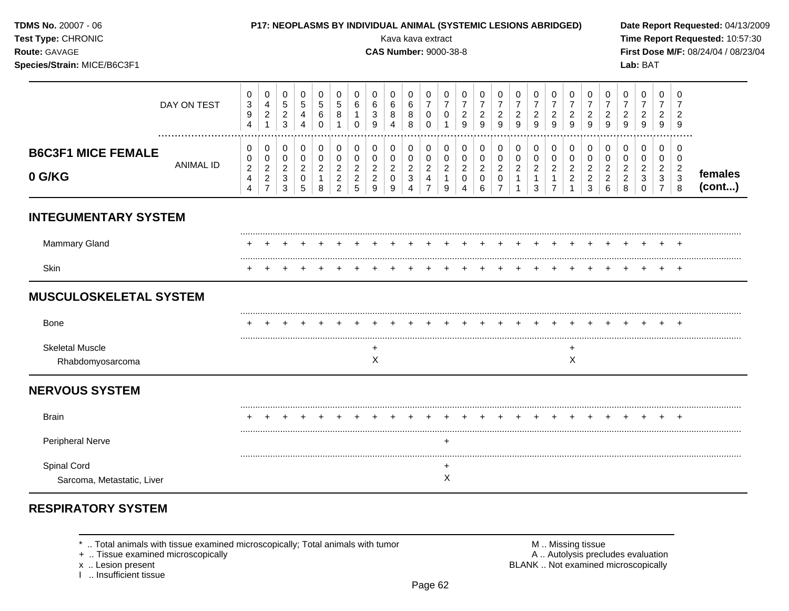| TDMS No. 20007 - 06<br>Test Type: CHRONIC<br>Route: GAVAGE<br>Species/Strain: MICE/B6C3F1 |                  |                                                       |                                                                      |                                                   |                                                               |                                                                 |                                                                        |                                                           |                                                 |                                           |                                                                  | Kava kava extract<br><b>CAS Number: 9000-38-8</b>           |                                                           |                                                        | <b>P17: NEOPLASMS BY INDIVIDUAL ANIMAL (SYSTEMIC LESIONS ABRIDGED)</b> |                                                           |                                                                    |                                                         |                                                            |                                              |                                                 |                                                           |                                                 | Lab: BAT                                               |                                                           |                                                         | Date Report Requested: 04/13/2009<br>Time Report Requested: 10:57:30<br>First Dose M/F: 08/24/04 / 08/23/04 |
|-------------------------------------------------------------------------------------------|------------------|-------------------------------------------------------|----------------------------------------------------------------------|---------------------------------------------------|---------------------------------------------------------------|-----------------------------------------------------------------|------------------------------------------------------------------------|-----------------------------------------------------------|-------------------------------------------------|-------------------------------------------|------------------------------------------------------------------|-------------------------------------------------------------|-----------------------------------------------------------|--------------------------------------------------------|------------------------------------------------------------------------|-----------------------------------------------------------|--------------------------------------------------------------------|---------------------------------------------------------|------------------------------------------------------------|----------------------------------------------|-------------------------------------------------|-----------------------------------------------------------|-------------------------------------------------|--------------------------------------------------------|-----------------------------------------------------------|---------------------------------------------------------|-------------------------------------------------------------------------------------------------------------|
|                                                                                           | DAY ON TEST<br>  | 0<br>$\ensuremath{\mathsf{3}}$<br>9<br>$\overline{4}$ | $\mathbf 0$<br>$\overline{4}$<br>$\overline{2}$<br>$\mathbf{1}$      | 0<br>$\mathbf 5$<br>$\frac{2}{3}$                 | $\mathbf 0$<br>$\sqrt{5}$<br>$\overline{4}$<br>$\overline{4}$ | $\mathbf 0$<br>$\mathbf 5$<br>6<br>$\Omega$                     | $\mathbf 0$<br>$\mathbf 5$<br>8<br>$\mathbf{1}$                        | $\mathbf 0$<br>6<br>$\mathbf{1}$<br>$\Omega$              | 0<br>6<br>$\mathbf{3}$<br>9                     | 0<br>$\,6$<br>8<br>$\boldsymbol{\Lambda}$ | 0<br>$\,6\,$<br>8<br>8                                           | $\mathbf 0$<br>$\overline{7}$<br>$\overline{0}$<br>$\Omega$ | 0<br>$\overline{7}$<br>0<br>$\mathbf{1}$                  | 0<br>$\overline{7}$<br>$\overline{c}$<br>9             | $\mathbf 0$<br>$\overline{7}$<br>$\sqrt{2}$<br>9                       | 0<br>$\boldsymbol{7}$<br>$\overline{2}$<br>9              | 0<br>$\overline{7}$<br>$\overline{a}$<br>9                         | 0<br>$\boldsymbol{7}$<br>$\overline{a}$<br>9            | 0<br>$\overline{7}$<br>$\overline{c}$<br>9                 | 0<br>$\overline{7}$<br>$\overline{c}$<br>9   | $\mathbf 0$<br>$\overline{7}$<br>$\frac{2}{9}$  | 0<br>$\overline{7}$<br>$\frac{2}{9}$                      | 0<br>$\overline{7}$<br>$\overline{c}$<br>9      | $\pmb{0}$<br>$\overline{7}$<br>$\boldsymbol{2}$<br>9   | 0<br>$\overline{7}$<br>$\overline{2}$<br>9                | 0<br>$\overline{2}$<br>$\overline{9}$                   |                                                                                                             |
| <b>B6C3F1 MICE FEMALE</b><br>0 G/KG                                                       | <b>ANIMAL ID</b> | 0<br>0<br>$\overline{2}$<br>4<br>$\overline{4}$       | $\pmb{0}$<br>0<br>$\overline{c}$<br>$\overline{2}$<br>$\overline{7}$ | 0<br>$\mathbf 0$<br>$\sqrt{2}$<br>$\sqrt{3}$<br>3 | 0<br>$\mathbf 0$<br>$\overline{2}$<br>0<br>5                  | $\pmb{0}$<br>$\mathbf 0$<br>$\overline{2}$<br>$\mathbf{1}$<br>8 | 0<br>$\pmb{0}$<br>$\overline{c}$<br>$\boldsymbol{2}$<br>$\overline{2}$ | 0<br>$\mathbf 0$<br>$\overline{c}$<br>$\overline{c}$<br>5 | 0<br>0<br>$\overline{c}$<br>$\overline{c}$<br>9 | 0<br>0<br>$\overline{a}$<br>0<br>9        | 0<br>$\pmb{0}$<br>$\overline{c}$<br>$\sqrt{3}$<br>$\overline{4}$ | $\mathbf 0$<br>0<br>$\overline{2}$<br>4<br>$\overline{7}$   | 0<br>$\mathbf 0$<br>$\overline{2}$<br>$\overline{1}$<br>9 | 0<br>$\mathbf 0$<br>$\overline{c}$<br>$\mathbf 0$<br>4 | 0<br>$\pmb{0}$<br>$\overline{2}$<br>$\mathbf 0$<br>6                   | 0<br>0<br>$\overline{2}$<br>$\mathbf 0$<br>$\overline{7}$ | 0<br>$\mathbf 0$<br>$\overline{c}$<br>$\mathbf{1}$<br>$\mathbf{1}$ | 0<br>$\mathbf 0$<br>$\overline{2}$<br>$\mathbf{1}$<br>3 | 0<br>0<br>$\overline{2}$<br>$\mathbf{1}$<br>$\overline{7}$ | 0<br>0<br>$\overline{2}$<br>$\boldsymbol{2}$ | 0<br>0<br>$\overline{2}$<br>$\overline{2}$<br>3 | 0<br>$\mathbf 0$<br>$\overline{c}$<br>$\overline{c}$<br>6 | 0<br>0<br>$\overline{c}$<br>$\overline{c}$<br>8 | 0<br>$\mathbf 0$<br>$\overline{2}$<br>3<br>$\mathbf 0$ | 0<br>$\mathbf 0$<br>$\overline{2}$<br>3<br>$\overline{7}$ | 0<br>$\mathbf 0$<br>$\overline{2}$<br>$\mathbf{3}$<br>8 | females<br>(cont)                                                                                           |
| <b>INTEGUMENTARY SYSTEM</b>                                                               |                  |                                                       |                                                                      |                                                   |                                                               |                                                                 |                                                                        |                                                           |                                                 |                                           |                                                                  |                                                             |                                                           |                                                        |                                                                        |                                                           |                                                                    |                                                         |                                                            |                                              |                                                 |                                                           |                                                 |                                                        |                                                           |                                                         |                                                                                                             |
| <b>Mammary Gland</b>                                                                      |                  |                                                       |                                                                      |                                                   |                                                               |                                                                 |                                                                        |                                                           |                                                 |                                           |                                                                  |                                                             |                                                           |                                                        |                                                                        |                                                           |                                                                    |                                                         |                                                            |                                              |                                                 |                                                           |                                                 |                                                        |                                                           |                                                         |                                                                                                             |
| Skin                                                                                      |                  |                                                       |                                                                      |                                                   |                                                               |                                                                 |                                                                        |                                                           |                                                 |                                           |                                                                  |                                                             |                                                           |                                                        |                                                                        |                                                           |                                                                    |                                                         |                                                            |                                              |                                                 |                                                           |                                                 |                                                        |                                                           |                                                         |                                                                                                             |
| <b>MUSCULOSKELETAL SYSTEM</b>                                                             |                  |                                                       |                                                                      |                                                   |                                                               |                                                                 |                                                                        |                                                           |                                                 |                                           |                                                                  |                                                             |                                                           |                                                        |                                                                        |                                                           |                                                                    |                                                         |                                                            |                                              |                                                 |                                                           |                                                 |                                                        |                                                           |                                                         |                                                                                                             |
| Bone                                                                                      |                  |                                                       |                                                                      |                                                   |                                                               |                                                                 |                                                                        |                                                           |                                                 |                                           |                                                                  |                                                             |                                                           |                                                        |                                                                        |                                                           |                                                                    |                                                         |                                                            |                                              |                                                 |                                                           |                                                 |                                                        |                                                           |                                                         |                                                                                                             |
| <b>Skeletal Muscle</b><br>Rhabdomyosarcoma                                                |                  |                                                       |                                                                      |                                                   |                                                               |                                                                 |                                                                        |                                                           | $\ddot{}$<br>$\pmb{\times}$                     |                                           |                                                                  |                                                             |                                                           |                                                        |                                                                        |                                                           |                                                                    |                                                         |                                                            | $\overline{+}$<br>X                          |                                                 |                                                           |                                                 |                                                        |                                                           |                                                         |                                                                                                             |
| <b>NERVOUS SYSTEM</b>                                                                     |                  |                                                       |                                                                      |                                                   |                                                               |                                                                 |                                                                        |                                                           |                                                 |                                           |                                                                  |                                                             |                                                           |                                                        |                                                                        |                                                           |                                                                    |                                                         |                                                            |                                              |                                                 |                                                           |                                                 |                                                        |                                                           |                                                         |                                                                                                             |
| <b>Brain</b>                                                                              |                  |                                                       |                                                                      |                                                   |                                                               |                                                                 |                                                                        |                                                           |                                                 |                                           |                                                                  |                                                             |                                                           |                                                        |                                                                        |                                                           |                                                                    |                                                         |                                                            |                                              |                                                 |                                                           |                                                 |                                                        |                                                           |                                                         |                                                                                                             |
| <b>Peripheral Nerve</b>                                                                   |                  |                                                       |                                                                      |                                                   |                                                               |                                                                 |                                                                        |                                                           |                                                 |                                           |                                                                  |                                                             |                                                           |                                                        |                                                                        |                                                           |                                                                    |                                                         |                                                            |                                              |                                                 |                                                           |                                                 |                                                        |                                                           |                                                         |                                                                                                             |
| Spinal Cord<br>Sarcoma, Metastatic, Liver                                                 |                  |                                                       |                                                                      |                                                   |                                                               |                                                                 |                                                                        |                                                           |                                                 |                                           |                                                                  |                                                             | ÷<br>$\times$                                             |                                                        |                                                                        |                                                           |                                                                    |                                                         |                                                            |                                              |                                                 |                                                           |                                                 |                                                        |                                                           |                                                         |                                                                                                             |

# **RESPIRATORY SYSTEM**

 $*$  .. Total animals with tissue examined microscopically; Total animals with tumor  $\blacksquare$  M .. Missing tissue

x .. Lesion present<br>I .. Insufficient tissue

+ .. Tissue examined microscopically  $\blacksquare$  A .. Autolysis precludes evaluation M .. Missing tissue<br>A .. Autolysis precludes evaluation<br>BLANK .. Not examined microscopically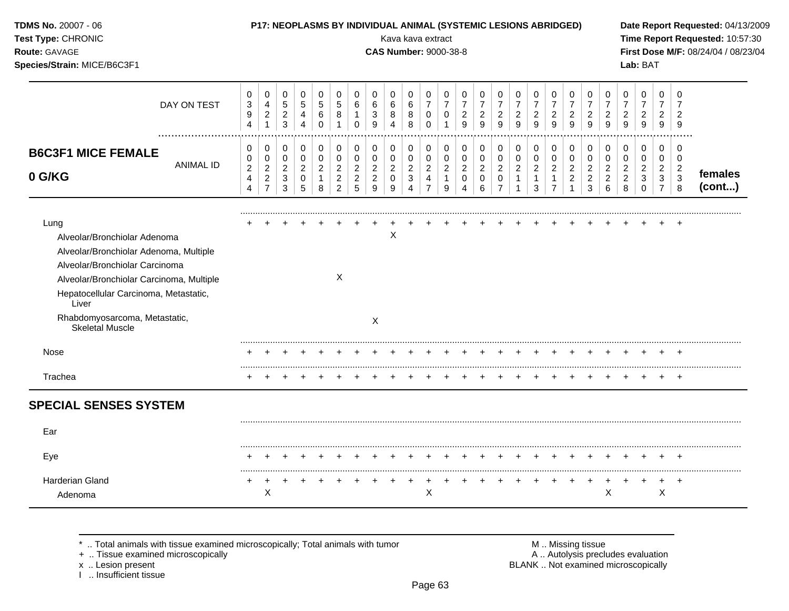| TDMS No. 20007 - 06<br>Test Type: CHRONIC<br>Route: GAVAGE<br>Species/Strain: MICE/B6C3F1                                                                                                                                                                                 |                  |                                                                      |                                                                      |                                                   |                                                                        |                                                       |                                                          |                                                           |                                                           | Kava kava extract<br><b>CAS Number: 9000-38-8</b> |                                                            |                                                              |                                                     |                                                        | P17: NEOPLASMS BY INDIVIDUAL ANIMAL (SYSTEMIC LESIONS ABRIDGED) |                                                           |                                                                    |                                               |                                                            |                                                         |                                                 |                                                         |                                                           | Lab: BAT                                                       |                                                           |                                                                   | Date Report Requested: 04/13/2009<br>Time Report Requested: 10:57:30<br>First Dose M/F: 08/24/04 / 08/23/04 |
|---------------------------------------------------------------------------------------------------------------------------------------------------------------------------------------------------------------------------------------------------------------------------|------------------|----------------------------------------------------------------------|----------------------------------------------------------------------|---------------------------------------------------|------------------------------------------------------------------------|-------------------------------------------------------|----------------------------------------------------------|-----------------------------------------------------------|-----------------------------------------------------------|---------------------------------------------------|------------------------------------------------------------|--------------------------------------------------------------|-----------------------------------------------------|--------------------------------------------------------|-----------------------------------------------------------------|-----------------------------------------------------------|--------------------------------------------------------------------|-----------------------------------------------|------------------------------------------------------------|---------------------------------------------------------|-------------------------------------------------|---------------------------------------------------------|-----------------------------------------------------------|----------------------------------------------------------------|-----------------------------------------------------------|-------------------------------------------------------------------|-------------------------------------------------------------------------------------------------------------|
|                                                                                                                                                                                                                                                                           | DAY ON TEST      | 0<br>$\ensuremath{\mathsf{3}}$<br>$\boldsymbol{9}$<br>$\overline{4}$ | 0<br>$\overline{4}$<br>$\overline{a}$<br>$\mathbf{1}$                | $\mathbf 0$<br>$\,$ 5 $\,$<br>$\frac{2}{3}$       | $\mathbf 0$<br>$\sqrt{5}$<br>$\overline{\mathbf{4}}$<br>$\overline{4}$ | $\mathbf 0$<br>$\sqrt{5}$<br>6<br>$\Omega$            | 0<br>$\sqrt{5}$<br>8<br>$\mathbf{1}$                     | $\mathbf 0$<br>6<br>$\mathbf{1}$<br>$\mathbf 0$           | $\Omega$<br>6<br>3<br>9                                   | 0<br>6<br>8<br>$\overline{4}$                     | 0<br>$\,6\,$<br>8<br>8                                     | 0<br>$\overline{7}$<br>$\pmb{0}$<br>$\mathbf 0$              | 0<br>$\overline{7}$<br>0<br>$\mathbf{1}$            | 0<br>$\overline{7}$<br>$\frac{2}{9}$                   | 0<br>$\overline{7}$<br>$\overline{2}$<br>9                      | 0<br>$\overline{7}$<br>$\overline{c}$<br>$\overline{9}$   | 0<br>$\overline{7}$<br>$\frac{2}{9}$                               | 0<br>$\overline{7}$<br>$\frac{2}{9}$          | 0<br>$\overline{7}$<br>$\frac{2}{9}$                       | 0<br>$\overline{7}$<br>$\overline{c}$<br>$\overline{9}$ | 0<br>$\overline{7}$<br>$\frac{2}{9}$            | $\mathbf 0$<br>$\overline{7}$<br>$\frac{2}{9}$          | 0<br>$\overline{7}$<br>$\overline{c}$<br>9                | 0<br>$\overline{7}$<br>$\overline{\mathbf{c}}$<br>9            | 0<br>$\overline{7}$<br>$\overline{2}$<br>9                | 0<br>$\overline{2}$<br>$\overline{9}$                             |                                                                                                             |
| <b>B6C3F1 MICE FEMALE</b><br>0 G/KG                                                                                                                                                                                                                                       | <b>ANIMAL ID</b> | 0<br>0<br>$\overline{c}$<br>$\overline{4}$<br>4                      | 0<br>$\pmb{0}$<br>$\overline{2}$<br>$\overline{2}$<br>$\overline{7}$ | 0<br>$\mathbf 0$<br>$\sqrt{2}$<br>$\sqrt{3}$<br>3 | 0<br>$\mathbf 0$<br>$\overline{2}$<br>$\mathbf 0$<br>5                 | $\pmb{0}$<br>0<br>$\overline{c}$<br>$\mathbf{1}$<br>8 | 0<br>0<br>$\overline{c}$<br>$\sqrt{2}$<br>$\overline{2}$ | 0<br>$\mathbf 0$<br>$\overline{c}$<br>$\overline{c}$<br>5 | 0<br>$\mathbf 0$<br>$\overline{c}$<br>$\overline{c}$<br>9 | 0<br>0<br>$\overline{a}$<br>$\mathbf 0$<br>9      | 0<br>0<br>$\overline{c}$<br>$\mathbf{3}$<br>$\overline{4}$ | 0<br>0<br>$\overline{a}$<br>$\overline{4}$<br>$\overline{7}$ | 0<br>$\mathbf 0$<br>$\sqrt{2}$<br>$\mathbf{1}$<br>9 | 0<br>$\mathbf 0$<br>$\overline{2}$<br>$\mathbf 0$<br>4 | 0<br>$\mathbf 0$<br>$\overline{2}$<br>$\mathbf 0$<br>6          | 0<br>0<br>$\overline{2}$<br>$\mathbf 0$<br>$\overline{7}$ | 0<br>$\mathbf 0$<br>$\overline{c}$<br>$\mathbf{1}$<br>$\mathbf{1}$ | 0<br>0<br>$\overline{2}$<br>$\mathbf{1}$<br>3 | 0<br>0<br>$\overline{2}$<br>$\mathbf{1}$<br>$\overline{7}$ | 0<br>$\mathbf 0$<br>$\overline{2}$<br>$\overline{2}$    | 0<br>0<br>$\overline{2}$<br>$\overline{2}$<br>3 | 0<br>$\pmb{0}$<br>$\overline{2}$<br>$\overline{2}$<br>6 | 0<br>$\mathbf 0$<br>$\overline{c}$<br>$\overline{2}$<br>8 | 0<br>$\mathbf 0$<br>$\overline{c}$<br>$\mathbf{3}$<br>$\Omega$ | 0<br>$\mathbf 0$<br>$\overline{2}$<br>3<br>$\overline{7}$ | $\mathbf 0$<br>$\mathbf 0$<br>$\overline{c}$<br>$\mathbf{3}$<br>8 | females<br>(cont)                                                                                           |
| Lung<br>Alveolar/Bronchiolar Adenoma<br>Alveolar/Bronchiolar Adenoma, Multiple<br>Alveolar/Bronchiolar Carcinoma<br>Alveolar/Bronchiolar Carcinoma, Multiple<br>Hepatocellular Carcinoma, Metastatic,<br>Liver<br>Rhabdomyosarcoma, Metastatic,<br><b>Skeletal Muscle</b> |                  |                                                                      |                                                                      |                                                   |                                                                        |                                                       | X                                                        |                                                           | $\boldsymbol{\mathsf{X}}$                                 | Χ                                                 |                                                            |                                                              |                                                     |                                                        |                                                                 |                                                           |                                                                    |                                               |                                                            |                                                         |                                                 |                                                         |                                                           |                                                                |                                                           |                                                                   |                                                                                                             |
| Nose                                                                                                                                                                                                                                                                      |                  |                                                                      |                                                                      |                                                   |                                                                        |                                                       |                                                          |                                                           |                                                           |                                                   |                                                            |                                                              |                                                     |                                                        |                                                                 |                                                           |                                                                    |                                               |                                                            |                                                         |                                                 |                                                         |                                                           |                                                                |                                                           |                                                                   |                                                                                                             |
| Trachea                                                                                                                                                                                                                                                                   |                  |                                                                      |                                                                      |                                                   |                                                                        |                                                       |                                                          |                                                           |                                                           |                                                   |                                                            |                                                              |                                                     |                                                        |                                                                 |                                                           |                                                                    |                                               |                                                            |                                                         |                                                 |                                                         |                                                           |                                                                |                                                           |                                                                   |                                                                                                             |
| <b>SPECIAL SENSES SYSTEM</b>                                                                                                                                                                                                                                              |                  |                                                                      |                                                                      |                                                   |                                                                        |                                                       |                                                          |                                                           |                                                           |                                                   |                                                            |                                                              |                                                     |                                                        |                                                                 |                                                           |                                                                    |                                               |                                                            |                                                         |                                                 |                                                         |                                                           |                                                                |                                                           |                                                                   |                                                                                                             |
| Ear                                                                                                                                                                                                                                                                       |                  |                                                                      |                                                                      |                                                   |                                                                        |                                                       |                                                          |                                                           |                                                           |                                                   |                                                            |                                                              |                                                     |                                                        |                                                                 |                                                           |                                                                    |                                               |                                                            |                                                         |                                                 |                                                         |                                                           |                                                                |                                                           |                                                                   |                                                                                                             |
| Eye                                                                                                                                                                                                                                                                       |                  |                                                                      |                                                                      |                                                   |                                                                        |                                                       |                                                          |                                                           |                                                           |                                                   |                                                            |                                                              |                                                     |                                                        |                                                                 |                                                           |                                                                    |                                               |                                                            |                                                         |                                                 |                                                         |                                                           |                                                                |                                                           |                                                                   |                                                                                                             |
| Harderian Gland<br>Adenoma                                                                                                                                                                                                                                                |                  | +                                                                    | X                                                                    |                                                   |                                                                        |                                                       |                                                          |                                                           |                                                           |                                                   |                                                            | $\mathsf X$                                                  |                                                     |                                                        |                                                                 |                                                           |                                                                    |                                               |                                                            |                                                         |                                                 | X                                                       |                                                           |                                                                | $\ddot{}$<br>X                                            | $+$                                                               |                                                                                                             |

+ .. Tissue examined microscopically  $\blacksquare$  A .. Autolysis precludes evaluation

x .. Lesion present<br>I .. Insufficient tissue

M .. Missing tissue<br>A .. Autolysis precludes evaluation<br>BLANK .. Not examined microscopically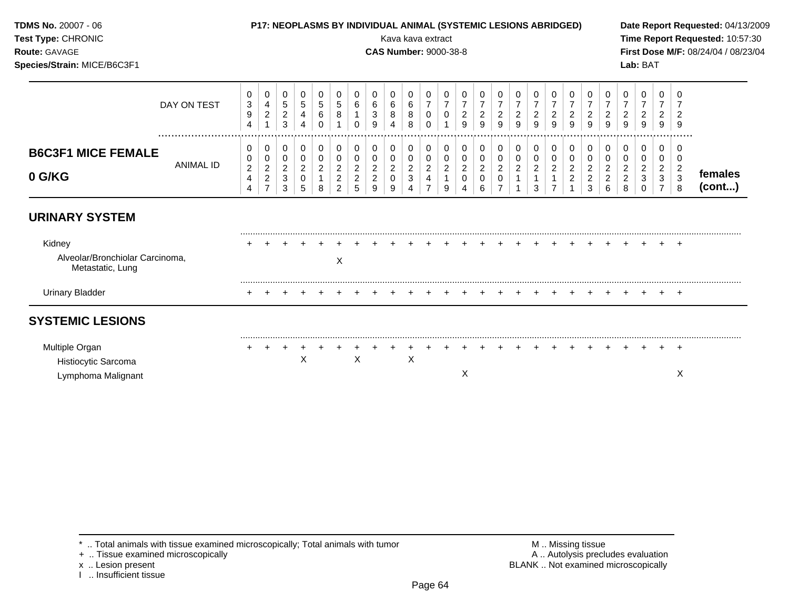| TDMS No. 20007 - 06<br>Test Type: CHRONIC<br><b>Route: GAVAGE</b><br>Species/Strain: MICE/B6C3F1 |                                                                      |                                                          |                                                                        |                                              |                                         |                                                             |                                                                      |                                                | Kava kava extract<br><b>CAS Number: 9000-38-8</b> |                                                                                                  |                                                 |                                           |                                             | <b>P17: NEOPLASMS BY INDIVIDUAL ANIMAL (SYSTEMIC LESIONS ABRIDGED)</b> |                                                           |                                       |                                                     |                                            |                                                         |                                                   |                                                           |                                                        | Lab: BAT                              |                                                                     |                                               | Date Report Requested: 04/13/2009<br>Time Report Requested: 10:57:30<br>First Dose M/F: 08/24/04 / 08/23/04 |
|--------------------------------------------------------------------------------------------------|----------------------------------------------------------------------|----------------------------------------------------------|------------------------------------------------------------------------|----------------------------------------------|-----------------------------------------|-------------------------------------------------------------|----------------------------------------------------------------------|------------------------------------------------|---------------------------------------------------|--------------------------------------------------------------------------------------------------|-------------------------------------------------|-------------------------------------------|---------------------------------------------|------------------------------------------------------------------------|-----------------------------------------------------------|---------------------------------------|-----------------------------------------------------|--------------------------------------------|---------------------------------------------------------|---------------------------------------------------|-----------------------------------------------------------|--------------------------------------------------------|---------------------------------------|---------------------------------------------------------------------|-----------------------------------------------|-------------------------------------------------------------------------------------------------------------|
| DAY ON TEST<br>                                                                                  | 0<br>$\ensuremath{\mathsf{3}}$<br>$\boldsymbol{9}$<br>$\overline{4}$ | 0<br>$\overline{\mathbf{4}}$<br>$\sqrt{2}$               | 0<br>$\,$ 5 $\,$<br>$\boldsymbol{2}$<br>$\sqrt{3}$                     | 0<br>$\sqrt{5}$<br>4<br>$\overline{4}$       | 0<br>$\sqrt{5}$<br>$\,6\,$<br>$\Omega$  | 0<br>$\sqrt{5}$<br>$\,8\,$<br>$\mathbf{1}$                  | 0<br>6<br>$\Omega$                                                   | 0<br>6<br>$\sqrt{3}$<br>9                      | 0<br>6<br>8<br>4                                  | 0<br>$\,6\,$<br>$\bf 8$<br>8                                                                     | 0<br>$\overline{7}$<br>$\mathbf 0$<br>$\Omega$  | 0<br>$\overline{7}$<br>$\mathbf 0$        | 0<br>$\overline{7}$<br>$\sqrt{2}$<br>9      | $\overline{7}$<br>$\overline{c}$<br>9                                  | 0<br>$\overline{7}$<br>$\overline{a}$<br>9                | $\overline{7}$<br>$\overline{a}$<br>9 | O<br>$\overline{7}$<br>$\overline{\mathbf{c}}$<br>9 | $\overline{7}$<br>$\overline{c}$<br>9      | 0<br>$\overline{7}$<br>$\overline{c}$<br>$\overline{9}$ | 0<br>$\overline{7}$<br>$\frac{2}{9}$              | 0<br>$\overline{7}$<br>$\frac{2}{9}$                      | $\overline{7}$<br>$\overline{c}$<br>9                  | $\overline{7}$<br>$\overline{c}$<br>9 | 0<br>$\overline{7}$<br>$\overline{a}$<br>9                          |                                               |                                                                                                             |
| <b>B6C3F1 MICE FEMALE</b><br><b>ANIMAL ID</b><br>0 G/KG                                          | 0<br>0<br>$\boldsymbol{2}$<br>4<br>4                                 | 0<br>0<br>$\overline{c}$<br>$\sqrt{2}$<br>$\overline{7}$ | 0<br>$\mathbf 0$<br>$\boldsymbol{2}$<br>$\ensuremath{\mathsf{3}}$<br>3 | 0<br>$\mathbf 0$<br>$\overline{c}$<br>0<br>5 | 0<br>$\mathbf 0$<br>$\overline{c}$<br>8 | 0<br>$\pmb{0}$<br>$\boldsymbol{2}$<br>$\boldsymbol{2}$<br>2 | 0<br>$\mathbf 0$<br>$\boldsymbol{2}$<br>$\overline{\mathbf{c}}$<br>5 | 0<br>$\mathbf 0$<br>$\boldsymbol{2}$<br>2<br>9 | 0<br>0<br>$\overline{c}$<br>0<br>9                | $\pmb{0}$<br>$\pmb{0}$<br>$\overline{c}$<br>$\ensuremath{\mathsf{3}}$<br>$\overline{\mathbf{4}}$ | 0<br>0<br>$\overline{c}$<br>4<br>$\overline{7}$ | 0<br>$\mathbf 0$<br>$\boldsymbol{2}$<br>9 | 0<br>0<br>$\boldsymbol{2}$<br>$\Omega$<br>4 | 0<br>$\pmb{0}$<br>$\overline{2}$<br>$\Omega$<br>6                      | 0<br>0<br>$\overline{a}$<br>$\mathbf 0$<br>$\overline{7}$ | 0<br>$\mathbf 0$<br>$\overline{c}$    | 0<br>$\mathbf 0$<br>$\overline{c}$<br>3             | 0<br>0<br>$\overline{c}$<br>$\overline{7}$ | 0<br>0<br>$\overline{2}$<br>$\overline{c}$              | 0<br>0<br>$\overline{2}$<br>$\boldsymbol{2}$<br>3 | 0<br>$\mathbf 0$<br>$\overline{2}$<br>$\overline{2}$<br>6 | 0<br>$\Omega$<br>$\overline{c}$<br>$\overline{c}$<br>8 | 0<br>0<br>2<br>0                      | $\mathbf 0$<br>$\mathbf 0$<br>$\overline{2}$<br>3<br>$\overline{7}$ | $\Omega$<br>$\overline{c}$<br>$\sqrt{3}$<br>8 | females<br>(cont)                                                                                           |
| <b>URINARY SYSTEM</b>                                                                            |                                                                      |                                                          |                                                                        |                                              |                                         |                                                             |                                                                      |                                                |                                                   |                                                                                                  |                                                 |                                           |                                             |                                                                        |                                                           |                                       |                                                     |                                            |                                                         |                                                   |                                                           |                                                        |                                       |                                                                     |                                               |                                                                                                             |
| Kidney<br>Alveolar/Bronchiolar Carcinoma,<br>Metastatic, Lung                                    |                                                                      |                                                          |                                                                        |                                              |                                         | X                                                           |                                                                      |                                                |                                                   |                                                                                                  |                                                 |                                           |                                             |                                                                        |                                                           |                                       |                                                     |                                            |                                                         |                                                   |                                                           |                                                        |                                       |                                                                     | $^{+}$                                        |                                                                                                             |
| <b>Urinary Bladder</b>                                                                           |                                                                      |                                                          |                                                                        |                                              |                                         |                                                             |                                                                      |                                                |                                                   |                                                                                                  |                                                 |                                           |                                             |                                                                        |                                                           |                                       |                                                     |                                            |                                                         |                                                   |                                                           |                                                        |                                       |                                                                     | $+$                                           |                                                                                                             |
| <b>SYSTEMIC LESIONS</b>                                                                          |                                                                      |                                                          |                                                                        |                                              |                                         |                                                             |                                                                      |                                                |                                                   |                                                                                                  |                                                 |                                           |                                             |                                                                        |                                                           |                                       |                                                     |                                            |                                                         |                                                   |                                                           |                                                        |                                       |                                                                     |                                               |                                                                                                             |
| Multiple Organ<br>Histiocytic Sarcoma<br>Lymphoma Malignant                                      |                                                                      |                                                          |                                                                        | X                                            |                                         |                                                             | X                                                                    |                                                |                                                   | X                                                                                                |                                                 |                                           | X                                           |                                                                        |                                                           |                                       |                                                     |                                            |                                                         |                                                   |                                                           |                                                        |                                       |                                                                     | $+$<br>X                                      |                                                                                                             |

x .. Lesion present<br>I .. Insufficient tissue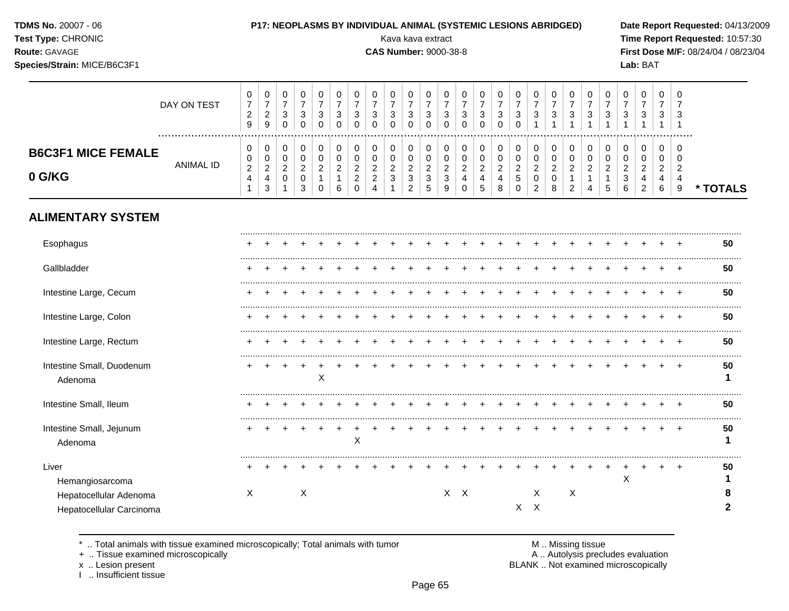|  | <b>TDMS No. 20007 - 06</b> |  |
|--|----------------------------|--|
|--|----------------------------|--|

## P17: NEOPLASMS BY INDIVIDUAL ANIMAL (SYSTEMIC LESIONS ABRIDGED) Date Report Requested: 04/13/2009

**Test Type:** CHRONIC Kava kava extract **Time Report Requested:** 10:57:30 **Route:** GAVAGE **CAS Number:** 9000-38-8 **First Dose M/F:** 08/24/04 / 08/23/04

**\* TOTALS**

#### **Species/Strain:** MICE/B6C3F1 **Lab:** BAT DAY ON TEST  $\overline{7}$   $\overline{7}$   $\overline{7}$   $\overline{7}$   $\overline{7}$   $\overline{7}$   $\overline{7}$   $\overline{7}$   $\overline{7}$   $\overline{7}$   $\overline{7}$   $\overline{7}$   $\overline{7}$   $\bar{7}$  ................................................................................................................................................................. **B6C3F1 MICE FEMALE** ANIMAL ID **0 G/KG**

# **ALIMENTARY SYSTEM**

| Esophagus                                          |   |  |   |   |   |  |  |     |  |    |    |   |  |   |  |  | 50      |
|----------------------------------------------------|---|--|---|---|---|--|--|-----|--|----|----|---|--|---|--|--|---------|
| Gallbladder                                        |   |  |   |   |   |  |  |     |  |    |    |   |  |   |  |  | 50      |
| Intestine Large, Cecum                             |   |  |   |   |   |  |  |     |  |    |    |   |  |   |  |  | 50      |
| Intestine Large, Colon                             |   |  |   |   |   |  |  |     |  |    |    |   |  |   |  |  | 50      |
| Intestine Large, Rectum                            |   |  |   |   |   |  |  |     |  |    |    |   |  |   |  |  | 50      |
| Intestine Small, Duodenum<br>Adenoma               |   |  |   | Χ |   |  |  |     |  |    |    |   |  |   |  |  | 50      |
| Intestine Small, Ileum                             |   |  |   |   |   |  |  |     |  |    |    |   |  |   |  |  | 50      |
| Intestine Small, Jejunum<br>Adenoma                |   |  |   |   | X |  |  |     |  |    |    |   |  |   |  |  | 50      |
| Liver<br>Hemangiosarcoma<br>Hepatocellular Adenoma | Χ |  | Χ |   |   |  |  | X X |  |    | X. | Χ |  | X |  |  | 50<br>ō |
| Hepatocellular Carcinoma                           |   |  |   |   |   |  |  |     |  | X. | X  |   |  |   |  |  |         |

\* .. Total animals with tissue examined microscopically; Total animals with tumor  $\blacksquare$  M .. Missing tissue<br>A .. Autolysis prection of the microscopically

I .. Insufficient tissue

A .. Autolysis precludes evaluation

x .. Lesion present **BLANK** .. Not examined microscopically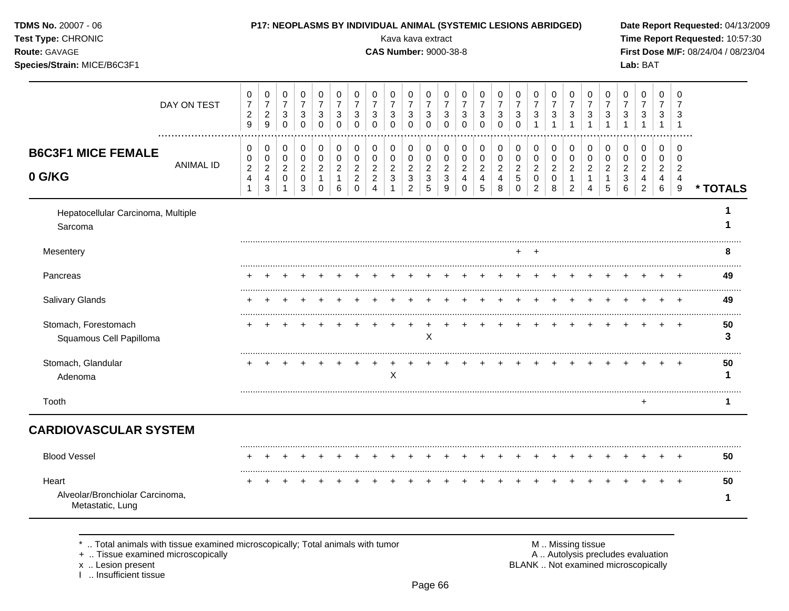| TDMS No. 20007 - 06<br>Test Type: CHRONIC<br>Route: GAVAGE<br>Species/Strain: MICE/B6C3F1 |                     |                                                                                    |                               |                                         | P17: NEOPLASMS BY INDIVIDUAL ANIMAL (SYSTEMIC LESIONS ABRIDGED) |                                            |                                                                       |                                                 |                                         | Kava kava extract<br><b>CAS Number: 9000-38-8</b>                               |                                                               |                                                    |                                           |                                                         |                                              |                                                      |                                                          |                                    |                               |                                                         |                                               |                                    | Lab: BAT                           |                                    |                                                 | Date Report Requested: 04/13/2009<br>Time Report Requested: 10:57:30<br>First Dose M/F: 08/24/04 / 08/23/04 |
|-------------------------------------------------------------------------------------------|---------------------|------------------------------------------------------------------------------------|-------------------------------|-----------------------------------------|-----------------------------------------------------------------|--------------------------------------------|-----------------------------------------------------------------------|-------------------------------------------------|-----------------------------------------|---------------------------------------------------------------------------------|---------------------------------------------------------------|----------------------------------------------------|-------------------------------------------|---------------------------------------------------------|----------------------------------------------|------------------------------------------------------|----------------------------------------------------------|------------------------------------|-------------------------------|---------------------------------------------------------|-----------------------------------------------|------------------------------------|------------------------------------|------------------------------------|-------------------------------------------------|-------------------------------------------------------------------------------------------------------------|
| DAY ON TEST                                                                               | $\overline{7}$<br>9 | 0<br>0<br>$\boldsymbol{7}$<br>$\overline{c}$<br>$\overline{a}$<br>$\boldsymbol{9}$ | 0<br>$\overline{7}$<br>3<br>0 | 0<br>$\overline{7}$<br>3<br>$\mathbf 0$ | 0<br>$\overline{7}$<br>3<br>$\mathbf 0$                         | 0<br>$\boldsymbol{7}$<br>3<br>$\mathbf 0$  | 0<br>$\overline{7}$<br>3<br>0                                         | 0<br>$\overline{7}$<br>3<br>$\mathbf 0$         | 0<br>$\overline{7}$<br>3<br>$\mathbf 0$ | 0<br>$\overline{7}$<br>3<br>$\mathbf 0$                                         | 0<br>$\overline{7}$<br>3<br>0                                 | 0<br>$\overline{7}$<br>$\mathbf{3}$<br>$\mathbf 0$ | 0<br>7<br>3<br>$\mathbf 0$                | 0<br>$\overline{7}$<br>3<br>$\mathbf 0$                 | 0<br>$\overline{7}$<br>3<br>$\mathbf 0$      | 0<br>$\boldsymbol{7}$<br>$\sqrt{3}$<br>$\mathbf 0$   | 0<br>$\overline{7}$<br>3<br>1                            | 0<br>$\overline{7}$<br>3           | 0<br>$\overline{7}$<br>3      | 0<br>$\overline{7}$<br>$\mathbf{3}$<br>$\overline{1}$   | 0<br>$\overline{7}$<br>$\mathbf{3}$<br>1      | 0<br>7<br>3                        | 0<br>7<br>3                        | 0<br>7<br>3                        | 0<br>3<br>$\mathbf 1$                           |                                                                                                             |
| <b>B6C3F1 MICE FEMALE</b><br><b>ANIMAL ID</b><br>0 G/KG                                   | 0<br>0<br>4         | 0<br>0<br>$\overline{c}$<br>$\overline{2}$<br>$\overline{4}$<br>$\mathbf{3}$<br>1  | 0<br>0<br>$\overline{c}$<br>0 | 0<br>0<br>$\overline{c}$<br>0<br>3      | 0<br>0<br>$\overline{c}$<br>$\mathbf{1}$<br>$\Omega$            | 0<br>$\pmb{0}$<br>$\overline{c}$<br>1<br>6 | 0<br>$\mathbf 0$<br>$\boldsymbol{2}$<br>$\overline{c}$<br>$\mathbf 0$ | 0<br>0<br>$\overline{c}$<br>$\overline{c}$<br>4 | 0<br>0<br>$\overline{c}$<br>3           | 0<br>$\pmb{0}$<br>$\overline{c}$<br>$\ensuremath{\mathsf{3}}$<br>$\overline{c}$ | 0<br>$\mathsf{O}\xspace$<br>$\overline{c}$<br>$\sqrt{3}$<br>5 | 0<br>$\pmb{0}$<br>$\sqrt{2}$<br>3<br>9             | 0<br>0<br>$\overline{a}$<br>4<br>$\Omega$ | 0<br>$\pmb{0}$<br>$\overline{c}$<br>$\overline{4}$<br>5 | 0<br>$\mathbf 0$<br>$\overline{c}$<br>4<br>8 | 0<br>$\pmb{0}$<br>$\overline{c}$<br>5<br>$\mathbf 0$ | 0<br>0<br>$\overline{\mathbf{c}}$<br>0<br>$\overline{2}$ | 0<br>0<br>$\overline{a}$<br>0<br>8 | 0<br>0<br>$\overline{c}$<br>2 | 0<br>$\mathbf 0$<br>$\overline{a}$<br>$\mathbf{1}$<br>4 | 0<br>$\mathbf 0$<br>$\overline{c}$<br>-1<br>5 | 0<br>0<br>$\overline{c}$<br>3<br>6 | 0<br>0<br>2<br>4<br>$\overline{2}$ | 0<br>0<br>$\overline{2}$<br>4<br>6 | 0<br>0<br>$\overline{c}$<br>$\overline{a}$<br>9 | * TOTALS                                                                                                    |
| Hepatocellular Carcinoma, Multiple<br>Sarcoma                                             |                     |                                                                                    |                               |                                         |                                                                 |                                            |                                                                       |                                                 |                                         |                                                                                 |                                                               |                                                    |                                           |                                                         |                                              |                                                      |                                                          |                                    |                               |                                                         |                                               |                                    |                                    |                                    |                                                 |                                                                                                             |
| Mesentery                                                                                 |                     |                                                                                    |                               |                                         |                                                                 |                                            |                                                                       |                                                 |                                         |                                                                                 |                                                               |                                                    |                                           |                                                         |                                              |                                                      | $\pm$                                                    |                                    |                               |                                                         |                                               |                                    |                                    |                                    |                                                 | 8                                                                                                           |
| Pancreas                                                                                  |                     |                                                                                    |                               |                                         |                                                                 |                                            |                                                                       |                                                 |                                         |                                                                                 |                                                               |                                                    |                                           |                                                         |                                              |                                                      |                                                          |                                    |                               |                                                         |                                               |                                    |                                    |                                    |                                                 | 49                                                                                                          |
| Salivary Glands                                                                           |                     |                                                                                    |                               |                                         |                                                                 |                                            |                                                                       |                                                 |                                         |                                                                                 |                                                               |                                                    |                                           |                                                         |                                              |                                                      |                                                          |                                    |                               |                                                         |                                               |                                    |                                    |                                    |                                                 | 49                                                                                                          |
| Stomach, Forestomach<br>Squamous Cell Papilloma                                           |                     |                                                                                    |                               |                                         |                                                                 |                                            |                                                                       |                                                 |                                         |                                                                                 | X                                                             |                                                    |                                           |                                                         |                                              |                                                      |                                                          |                                    |                               |                                                         |                                               |                                    |                                    |                                    |                                                 | 50<br>3                                                                                                     |
| Stomach, Glandular<br>Adenoma                                                             |                     |                                                                                    |                               |                                         |                                                                 |                                            |                                                                       |                                                 | X                                       |                                                                                 |                                                               |                                                    |                                           |                                                         |                                              |                                                      |                                                          |                                    |                               |                                                         |                                               |                                    |                                    |                                    |                                                 | 50<br>1                                                                                                     |
| Tooth                                                                                     |                     |                                                                                    |                               |                                         |                                                                 |                                            |                                                                       |                                                 |                                         |                                                                                 |                                                               |                                                    |                                           |                                                         |                                              |                                                      |                                                          |                                    |                               |                                                         |                                               |                                    | +                                  |                                    |                                                 | 1                                                                                                           |
| <b>CARDIOVASCULAR SYSTEM</b>                                                              |                     |                                                                                    |                               |                                         |                                                                 |                                            |                                                                       |                                                 |                                         |                                                                                 |                                                               |                                                    |                                           |                                                         |                                              |                                                      |                                                          |                                    |                               |                                                         |                                               |                                    |                                    |                                    |                                                 |                                                                                                             |
| <b>Blood Vessel</b>                                                                       |                     |                                                                                    |                               |                                         |                                                                 |                                            |                                                                       |                                                 |                                         |                                                                                 |                                                               |                                                    |                                           |                                                         |                                              |                                                      |                                                          |                                    |                               |                                                         |                                               |                                    |                                    |                                    |                                                 | <br>50                                                                                                      |
| Heart                                                                                     |                     |                                                                                    |                               |                                         |                                                                 |                                            |                                                                       |                                                 |                                         |                                                                                 |                                                               |                                                    |                                           |                                                         |                                              |                                                      |                                                          |                                    |                               |                                                         |                                               |                                    |                                    |                                    |                                                 | 50                                                                                                          |
| Alveolar/Bronchiolar Carcinoma,                                                           |                     |                                                                                    |                               |                                         |                                                                 |                                            |                                                                       |                                                 |                                         |                                                                                 |                                                               |                                                    |                                           |                                                         |                                              |                                                      |                                                          |                                    |                               |                                                         |                                               |                                    |                                    |                                    |                                                 | 1                                                                                                           |

+ .. Tissue examined microscopically  $\blacksquare$  A .. Autolysis precludes evaluation

I .. Insufficient tissue

x .. Lesion present BLANK .. Not examined microscopically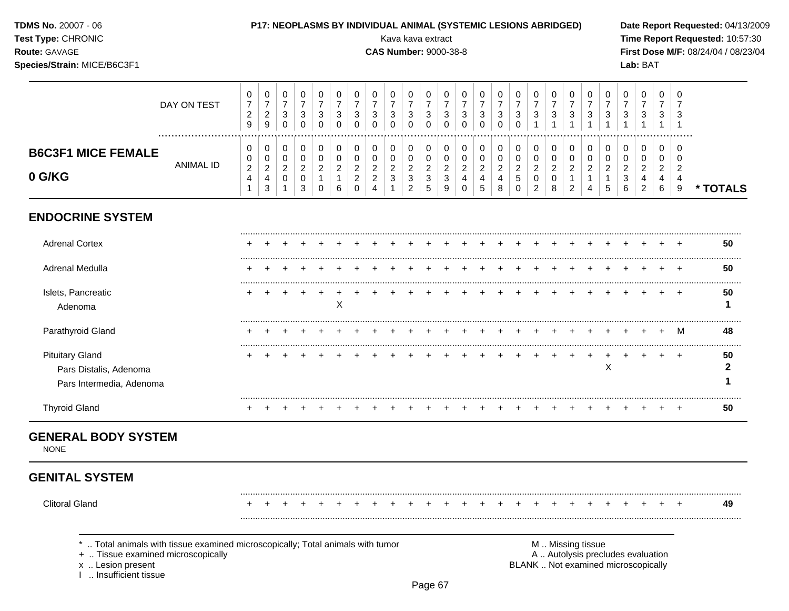| TDMS No. 20007 - 06<br>Test Type: CHRONIC<br>Route: GAVAGE<br>Species/Strain: MICE/B6C3F1 |                  |                                                |                                                             |                                                            | P17: NEOPLASMS BY INDIVIDUAL ANIMAL (SYSTEMIC LESIONS ABRIDGED) |                                                      |                                                      |                                                                    |                                    | Kava kava extract<br><b>CAS Number: 9000-38-8</b> |                                                              |                                                       |                                                 |                                                |                                      |                                    |                                                 |                                                 |                                              |                                    |                                             |                                               |                                           | Lab: BAT         |                                           |                     | Date Report Requested: 04/13/2009<br>Time Report Requested: 10:57:30<br>First Dose M/F: 08/24/04 / 08/23/04 |
|-------------------------------------------------------------------------------------------|------------------|------------------------------------------------|-------------------------------------------------------------|------------------------------------------------------------|-----------------------------------------------------------------|------------------------------------------------------|------------------------------------------------------|--------------------------------------------------------------------|------------------------------------|---------------------------------------------------|--------------------------------------------------------------|-------------------------------------------------------|-------------------------------------------------|------------------------------------------------|--------------------------------------|------------------------------------|-------------------------------------------------|-------------------------------------------------|----------------------------------------------|------------------------------------|---------------------------------------------|-----------------------------------------------|-------------------------------------------|------------------|-------------------------------------------|---------------------|-------------------------------------------------------------------------------------------------------------|
|                                                                                           | DAY ON TEST      | 0<br>$\overline{7}$<br>$\overline{c}$<br>$9\,$ | 0<br>$\boldsymbol{7}$<br>$\overline{2}$<br>$\boldsymbol{9}$ | $\mathbf 0$<br>$\overline{7}$<br>$\sqrt{3}$<br>$\mathbf 0$ | $\mathbf 0$<br>$\overline{7}$<br>3<br>$\mathbf 0$               | 0<br>$\overline{7}$<br>$\sqrt{3}$<br>$\Omega$        | 0<br>$\boldsymbol{7}$<br>$\mathbf{3}$<br>$\mathbf 0$ | $\mathbf 0$<br>$\overline{7}$<br>$\mathbf{3}$<br>$\Omega$          | 0<br>3<br>$\Omega$                 | 0<br>$\overline{7}$<br>3<br>0                     | 0<br>$\overline{7}$<br>$\mathbf{3}$<br>$\Omega$              | 0<br>$\overline{7}$<br>3<br>$\Omega$                  | 0<br>$\overline{7}$<br>$\mathbf{3}$<br>$\Omega$ | 0<br>$\overline{7}$<br>3<br>$\Omega$           | 0<br>$\overline{7}$<br>3<br>$\Omega$ | 0<br>7<br>3<br>$\Omega$            | 0<br>$\overline{7}$<br>$\mathbf{3}$<br>$\Omega$ | 0<br>$\overline{7}$<br>3                        | 0<br>$\overline{7}$<br>3                     | $\mathbf 0$<br>$\overline{7}$<br>3 | $\mathbf 0$<br>$\overline{7}$<br>$\sqrt{3}$ | $\mathbf 0$<br>$\overline{7}$<br>$\mathbf{3}$ | 0<br>7<br>3                               | 0<br>7<br>3      | $\mathbf 0$<br>$\overline{7}$<br>3        | $\Omega$            |                                                                                                             |
| <b>B6C3F1 MICE FEMALE</b><br>0 G/KG                                                       | <b>ANIMAL ID</b> | 0<br>0<br>$\boldsymbol{2}$<br>4<br>1           | 0<br>0<br>$\overline{c}$<br>$\overline{4}$<br>3             | 0<br>0<br>$\overline{c}$<br>0                              | 0<br>0<br>$\overline{2}$<br>0<br>3                              | 0<br>0<br>$\overline{c}$<br>$\mathbf{1}$<br>$\Omega$ | 0<br>0<br>$\overline{c}$<br>6                        | $\mathbf 0$<br>0<br>$\overline{c}$<br>$\boldsymbol{2}$<br>$\Omega$ | 0<br>0<br>$\overline{c}$<br>2<br>4 | 0<br>0<br>$\overline{c}$<br>3                     | 0<br>0<br>$\boldsymbol{2}$<br>$\ensuremath{\mathsf{3}}$<br>2 | 0<br>$\mathbf 0$<br>$\overline{c}$<br>$\sqrt{3}$<br>5 | 0<br>$\pmb{0}$<br>$\sqrt{2}$<br>3<br>9          | 0<br>$\mathbf 0$<br>$\overline{2}$<br>$\Omega$ | 0<br>0<br>$\overline{c}$<br>4<br>5   | 0<br>0<br>$\overline{c}$<br>4<br>8 | 0<br>0<br>$\overline{c}$<br>5<br>$\Omega$       | 0<br>0<br>$\overline{2}$<br>0<br>$\overline{2}$ | 0<br>0<br>$\overline{c}$<br>$\mathbf 0$<br>8 | 0<br>0<br>$\overline{c}$<br>2      | 0<br>$\mathbf 0$<br>$\overline{2}$<br>4     | 0<br>$\mathbf 0$<br>$\overline{c}$<br>5       | 0<br>$\Omega$<br>$\overline{2}$<br>3<br>6 | 0<br>0<br>4<br>2 | $\Omega$<br>0<br>$\overline{2}$<br>4<br>6 | $\overline{2}$<br>9 | * TOTALS                                                                                                    |
| <b>ENDOCRINE SYSTEM</b>                                                                   |                  |                                                |                                                             |                                                            |                                                                 |                                                      |                                                      |                                                                    |                                    |                                                   |                                                              |                                                       |                                                 |                                                |                                      |                                    |                                                 |                                                 |                                              |                                    |                                             |                                               |                                           |                  |                                           |                     |                                                                                                             |
| <b>Adrenal Cortex</b>                                                                     |                  |                                                |                                                             |                                                            |                                                                 |                                                      |                                                      |                                                                    |                                    |                                                   |                                                              |                                                       |                                                 |                                                |                                      |                                    |                                                 |                                                 |                                              |                                    |                                             |                                               |                                           |                  |                                           |                     | 50                                                                                                          |
| Adrenal Medulla                                                                           |                  |                                                |                                                             |                                                            |                                                                 |                                                      |                                                      |                                                                    |                                    |                                                   |                                                              |                                                       |                                                 |                                                |                                      |                                    |                                                 |                                                 |                                              |                                    |                                             |                                               |                                           |                  |                                           |                     | 50                                                                                                          |
| Islets, Pancreatic<br>Adenoma                                                             |                  | ÷                                              |                                                             |                                                            |                                                                 |                                                      | X                                                    |                                                                    |                                    |                                                   |                                                              |                                                       |                                                 |                                                |                                      |                                    |                                                 |                                                 |                                              |                                    |                                             |                                               |                                           |                  |                                           | $^+$                | 50<br>1                                                                                                     |
| Parathyroid Gland                                                                         |                  |                                                |                                                             |                                                            |                                                                 |                                                      |                                                      |                                                                    |                                    |                                                   |                                                              |                                                       |                                                 |                                                |                                      |                                    |                                                 |                                                 |                                              |                                    |                                             |                                               |                                           |                  |                                           | M                   | 48                                                                                                          |
| <b>Pituitary Gland</b><br>Pars Distalis, Adenoma<br>Pars Intermedia, Adenoma              |                  |                                                |                                                             |                                                            |                                                                 |                                                      |                                                      |                                                                    |                                    |                                                   |                                                              |                                                       |                                                 |                                                |                                      |                                    |                                                 |                                                 |                                              |                                    |                                             | $\times$                                      |                                           |                  |                                           |                     | 50<br>2                                                                                                     |
| <b>Thyroid Gland</b>                                                                      |                  | +                                              |                                                             |                                                            |                                                                 |                                                      |                                                      |                                                                    |                                    |                                                   |                                                              |                                                       |                                                 |                                                |                                      |                                    |                                                 |                                                 |                                              |                                    |                                             |                                               |                                           |                  |                                           | $^{+}$              | 50                                                                                                          |

## **GENERAL BODY SYSTEM**

NONE

# **GENITAL SYSTEM**

Clitoral Gland + + + + + + + + + + + + + + + + + + + + + + + + + **49**

.........................................................................................................................................................................................................

.........................................................................................................................................................................................................

\* .. Total animals with tissue examined microscopically; Total animals with tumor <br>
+ .. Tissue examined microscopically<br>
+ .. Tissue examined microscopically

+ .. Tissue examined microscopically

x .. Lesion present<br>I .. Insufficient tissue

BLANK .. Not examined microscopically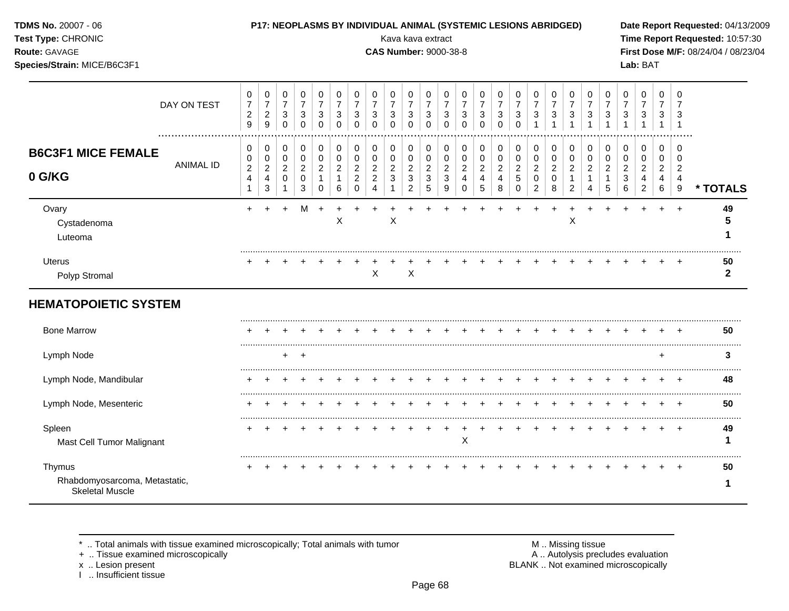|  | <b>TDMS No. 20007 - 06</b> |  |
|--|----------------------------|--|
|--|----------------------------|--|

#### **P17: NEOPLASMS BY INDIVIDUAL ANIMAL (SYSTEMIC LESIONS ABRIDGED)** Date Report Requested: 04/13/2009

⊤

 $\overline{\phantom{a}}$ 

**Test Type:** CHRONIC Kava kava extract **Time Report Requested:** 10:57:30 **Route:** GAVAGE **CAS Number:** 9000-38-8 **First Dose M/F:** 08/24/04 / 08/23/04

 $\overline{\phantom{a}}$ 

 $\overline{\phantom{a}}$  $\top$ 

**Species/Strain:** MICE/B6C3F1 **Lab:** BAT

|                                                                   | DAY ON TEST<br>  | 0<br>$\boldsymbol{7}$<br>$\overline{2}$<br>9 | 0<br>$\boldsymbol{7}$<br>$\boldsymbol{2}$<br>$\boldsymbol{9}$ | 0<br>$\overline{7}$<br>$\mathbf{3}$<br>$\Omega$         | 0<br>$\overline{7}$<br>3<br>$\mathbf 0$              | 0<br>$\overline{7}$<br>3<br>0                  | 0<br>$\overline{7}$<br>3<br>0 | 0<br>$\overline{7}$<br>3<br>$\Omega$                   | 0<br>$\overline{7}$<br>3<br>$\Omega$                                 | 0<br>$\overline{7}$<br>3<br>$\Omega$  | 0<br>$\overline{7}$<br>3<br>$\Omega$                             | 0<br>3<br>0                                         | 0<br>7<br>3<br>$\Omega$                    | 0<br>$\overline{7}$<br>3<br>0      | 0<br>$\overline{7}$<br>3                 | $\mathbf 0$<br>$\overline{7}$<br>3<br>$\Omega$          | $\pmb{0}$<br>$\overline{7}$<br>$\mathbf{3}$<br>$\Omega$    | 0<br>$\overline{7}$<br>$\mathbf{3}$                     | 0<br>$\overline{7}$<br>3                             | 0<br>7<br>3                                             | 0<br>$\overline{7}$<br>3 | 0<br>$\overline{7}$<br>3      | 0<br>$\overline{7}$<br>3                                | 0<br>$\overline{7}$<br>3                        | 0<br>$\overline{7}$<br>3                   | 0<br>7<br>3                                               |                    |
|-------------------------------------------------------------------|------------------|----------------------------------------------|---------------------------------------------------------------|---------------------------------------------------------|------------------------------------------------------|------------------------------------------------|-------------------------------|--------------------------------------------------------|----------------------------------------------------------------------|---------------------------------------|------------------------------------------------------------------|-----------------------------------------------------|--------------------------------------------|------------------------------------|------------------------------------------|---------------------------------------------------------|------------------------------------------------------------|---------------------------------------------------------|------------------------------------------------------|---------------------------------------------------------|--------------------------|-------------------------------|---------------------------------------------------------|-------------------------------------------------|--------------------------------------------|-----------------------------------------------------------|--------------------|
| <b>B6C3F1 MICE FEMALE</b><br>0 G/KG                               | <b>ANIMAL ID</b> | 0<br>0<br>$\boldsymbol{2}$<br>$\overline{4}$ | 0<br>$\pmb{0}$<br>$\overline{c}$<br>$\overline{4}$<br>3       | 0<br>$\mathbf 0$<br>$\overline{2}$<br>$\mathbf 0$<br>-1 | 0<br>$\pmb{0}$<br>$\overline{c}$<br>$\mathbf 0$<br>3 | 0<br>$\mathbf 0$<br>$\overline{2}$<br>$\Omega$ | 0<br>0<br>2<br>6              | 0<br>0<br>$\overline{2}$<br>$\overline{2}$<br>$\Omega$ | 0<br>$\pmb{0}$<br>$\overline{2}$<br>$\overline{c}$<br>$\overline{4}$ | 0<br>$\pmb{0}$<br>$\overline{2}$<br>3 | 0<br>$\,0\,$<br>$\overline{c}$<br>$\mathbf{3}$<br>$\overline{2}$ | 0<br>$\pmb{0}$<br>$\overline{c}$<br>$\sqrt{3}$<br>5 | 0<br>$\pmb{0}$<br>$\overline{c}$<br>3<br>9 | 0<br>0<br>$\overline{c}$<br>4<br>0 | 0<br>$\,0\,$<br>$\overline{c}$<br>4<br>5 | 0<br>$\pmb{0}$<br>$\overline{c}$<br>$\overline{4}$<br>8 | 0<br>$\pmb{0}$<br>$\overline{c}$<br>$\sqrt{5}$<br>$\Omega$ | 0<br>$\pmb{0}$<br>$\overline{c}$<br>0<br>$\overline{2}$ | 0<br>$\pmb{0}$<br>$\overline{2}$<br>$\mathbf 0$<br>8 | 0<br>$\pmb{0}$<br>$\overline{2}$<br>1<br>$\overline{2}$ | 0<br>0<br>2<br>4         | 0<br>0<br>$\overline{c}$<br>5 | 0<br>$\mathbf 0$<br>$\overline{c}$<br>$\mathbf{3}$<br>6 | 0<br>0<br>$\overline{2}$<br>4<br>$\overline{2}$ | 0<br>$\pmb{0}$<br>$\overline{a}$<br>4<br>6 | 0<br>$\mathbf 0$<br>$\overline{c}$<br>$\overline{4}$<br>9 | * TOTALS           |
| Ovary<br>Cystadenoma<br>Luteoma                                   |                  | $\pm$                                        |                                                               |                                                         | м                                                    | $\ddot{}$                                      | X                             |                                                        |                                                                      | X                                     |                                                                  |                                                     |                                            |                                    |                                          |                                                         |                                                            |                                                         |                                                      | X                                                       |                          |                               |                                                         |                                                 |                                            |                                                           | 49                 |
| Uterus<br>Polyp Stromal                                           |                  |                                              |                                                               |                                                         |                                                      |                                                |                               |                                                        | X                                                                    |                                       | $\boldsymbol{\mathsf{X}}$                                        |                                                     |                                            |                                    |                                          |                                                         |                                                            |                                                         |                                                      |                                                         |                          |                               |                                                         |                                                 |                                            |                                                           | 50<br>$\mathbf{2}$ |
| <b>HEMATOPOIETIC SYSTEM</b>                                       |                  |                                              |                                                               |                                                         |                                                      |                                                |                               |                                                        |                                                                      |                                       |                                                                  |                                                     |                                            |                                    |                                          |                                                         |                                                            |                                                         |                                                      |                                                         |                          |                               |                                                         |                                                 |                                            |                                                           |                    |
| <b>Bone Marrow</b>                                                |                  |                                              |                                                               |                                                         |                                                      |                                                |                               |                                                        |                                                                      |                                       |                                                                  |                                                     |                                            |                                    |                                          |                                                         |                                                            |                                                         |                                                      |                                                         |                          |                               |                                                         |                                                 |                                            |                                                           | 50                 |
| Lymph Node                                                        |                  |                                              |                                                               | $+$                                                     | $\overline{ }$                                       |                                                |                               |                                                        |                                                                      |                                       |                                                                  |                                                     |                                            |                                    |                                          |                                                         |                                                            |                                                         |                                                      |                                                         |                          |                               |                                                         |                                                 | $\div$                                     |                                                           | 3                  |
| Lymph Node, Mandibular                                            |                  |                                              |                                                               |                                                         |                                                      |                                                |                               |                                                        |                                                                      |                                       |                                                                  |                                                     |                                            |                                    |                                          |                                                         |                                                            |                                                         |                                                      |                                                         |                          |                               |                                                         |                                                 |                                            |                                                           | 48                 |
| Lymph Node, Mesenteric                                            |                  |                                              |                                                               |                                                         |                                                      |                                                |                               |                                                        |                                                                      |                                       |                                                                  |                                                     |                                            |                                    |                                          |                                                         |                                                            |                                                         |                                                      |                                                         |                          |                               |                                                         |                                                 |                                            |                                                           | 50                 |
| Spleen<br>Mast Cell Tumor Malignant                               |                  |                                              |                                                               |                                                         |                                                      |                                                |                               |                                                        |                                                                      |                                       |                                                                  |                                                     |                                            | X                                  |                                          |                                                         |                                                            |                                                         |                                                      |                                                         |                          |                               |                                                         |                                                 |                                            | $\pm$                                                     | 49                 |
| Thymus<br>Rhabdomyosarcoma, Metastatic,<br><b>Skeletal Muscle</b> |                  |                                              |                                                               |                                                         |                                                      |                                                |                               |                                                        |                                                                      |                                       |                                                                  |                                                     |                                            |                                    |                                          |                                                         |                                                            |                                                         |                                                      |                                                         |                          |                               |                                                         |                                                 |                                            |                                                           | 50<br>1            |

\* .. Total animals with tissue examined microscopically; Total animals with tumor **M** metally more than M .. Missing tissue<br>A .. Tissue examined microscopically

 $\top$  $\overline{\phantom{0}}$  $\overline{\phantom{a}}$  $\overline{\phantom{a}}$ 

+ .. Tissue examined microscopically

I .. Insufficient tissue

x .. Lesion present **BLANK** .. Not examined microscopically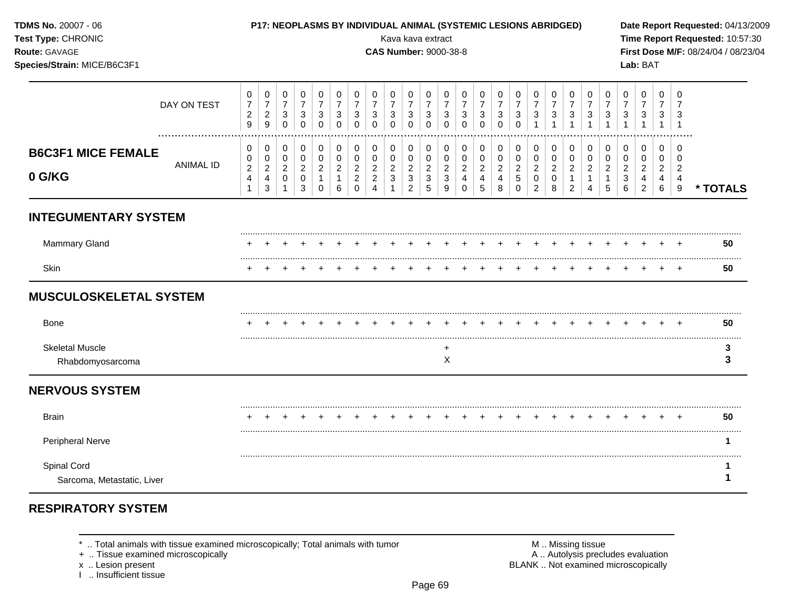| MS No. 20007 - 06 |  |
|-------------------|--|
| --------          |  |

#### **TDMS No.** 20007 - 06 **P17: NEOPLASMS BY INDIVIDUAL ANIMAL (SYSTEMIC LESIONS ABRIDGED) Date Report Requested:** 04/13/2009

**Test Type:** CHRONIC **Transfer CHRONIC Report Requested:** 10:57:30 **Route:** GAVAGE **CAS Number:** 9000-38-8 **First Dose M/F:** 08/24/04 / 08/23/04 **Species/Strain:** MICE/B6C3F1 **Lab:** BAT

|                                            | DAY ON TEST           | 0<br>$\overline{7}$<br>$\overline{c}$<br>9 | 0<br>$\overline{7}$<br>$\overline{2}$<br>9   | 0<br>$\overline{7}$<br>$\sqrt{3}$<br>$\mathbf 0$ | 0<br>$\overline{7}$<br>3<br>0      | 0<br>$\overline{7}$<br>3<br>$\Omega$ | 0<br>$\overline{7}$<br>3<br>0 | 0<br>$\overline{7}$<br>$\mathbf{3}$<br>$\Omega$                            | 0<br>$\overline{7}$<br>$\mathbf{3}$<br>$\Omega$         | 0<br>$\overline{7}$<br>$\ensuremath{\mathsf{3}}$<br>$\Omega$        | 0<br>$\overline{7}$<br>$\sqrt{3}$<br>$\Omega$                   | 0<br>$\overline{7}$<br>3<br>0                           | 0<br>$\overline{7}$<br>3<br>$\Omega$                  | 0<br>$\overline{7}$<br>3<br>0             | 0<br>$\overline{7}$<br>3<br>0                    | 0<br>$\overline{7}$<br>$\mathbf{3}$<br>$\Omega$                          | 0<br>$\overline{7}$<br>$\sqrt{3}$<br>$\Omega$       | 0<br>$\overline{7}$<br>$\mathbf{3}$                     | 0<br>$\overline{7}$<br>3                     | 0<br>$\overline{7}$<br>3            | 0<br>3                        | 0<br>7<br>3      | 0<br>3                                        | 0<br>$\overline{7}$<br>3                        | 0<br>$\overline{7}$<br>3           | $\mathbf 0$<br>$\overline{7}$<br>3                        |          |
|--------------------------------------------|-----------------------|--------------------------------------------|----------------------------------------------|--------------------------------------------------|------------------------------------|--------------------------------------|-------------------------------|----------------------------------------------------------------------------|---------------------------------------------------------|---------------------------------------------------------------------|-----------------------------------------------------------------|---------------------------------------------------------|-------------------------------------------------------|-------------------------------------------|--------------------------------------------------|--------------------------------------------------------------------------|-----------------------------------------------------|---------------------------------------------------------|----------------------------------------------|-------------------------------------|-------------------------------|------------------|-----------------------------------------------|-------------------------------------------------|------------------------------------|-----------------------------------------------------------|----------|
| <b>B6C3F1 MICE FEMALE</b><br>0 G/KG        | .<br><b>ANIMAL ID</b> | 0<br>0<br>$\sqrt{2}$<br>4                  | 0<br>$\mathbf 0$<br>$\overline{2}$<br>4<br>3 | 0<br>0<br>$\overline{a}$<br>0                    | 0<br>0<br>$\overline{2}$<br>0<br>3 | 0<br>0<br>2<br>$\Omega$              | 0<br>0<br>$\overline{2}$<br>6 | $\pmb{0}$<br>$\pmb{0}$<br>$\boldsymbol{2}$<br>$\boldsymbol{2}$<br>$\Omega$ | 0<br>$\pmb{0}$<br>$\overline{2}$<br>$\overline{2}$<br>4 | $\pmb{0}$<br>$\pmb{0}$<br>$\sqrt{2}$<br>$\mathbf{3}$<br>$\mathbf 1$ | $\pmb{0}$<br>$\pmb{0}$<br>$\overline{2}$<br>3<br>$\overline{2}$ | 0<br>$\pmb{0}$<br>$\overline{c}$<br>$\mathfrak{S}$<br>5 | 0<br>$\mathbf 0$<br>$\overline{a}$<br>$\sqrt{3}$<br>9 | 0<br>0<br>$\overline{c}$<br>4<br>$\Omega$ | $\mathbf 0$<br>$\pmb{0}$<br>$\sqrt{2}$<br>4<br>5 | $\pmb{0}$<br>$\pmb{0}$<br>$\overline{c}$<br>$\overline{\mathbf{4}}$<br>8 | $\pmb{0}$<br>$\pmb{0}$<br>$\frac{2}{5}$<br>$\Omega$ | 0<br>$\pmb{0}$<br>$\overline{2}$<br>0<br>$\overline{2}$ | 0<br>$\mathbf 0$<br>$\overline{2}$<br>0<br>8 | 0<br>0<br>$\overline{2}$<br>-1<br>2 | 0<br>0<br>$\overline{2}$<br>4 | 0<br>0<br>2<br>5 | 0<br>0<br>$\overline{2}$<br>$\mathbf{3}$<br>6 | 0<br>0<br>$\overline{2}$<br>4<br>$\overline{2}$ | 0<br>0<br>$\overline{c}$<br>4<br>6 | 0<br>$\mathbf 0$<br>$\overline{c}$<br>$\overline{4}$<br>9 | * TOTALS |
| <b>INTEGUMENTARY SYSTEM</b>                |                       |                                            |                                              |                                                  |                                    |                                      |                               |                                                                            |                                                         |                                                                     |                                                                 |                                                         |                                                       |                                           |                                                  |                                                                          |                                                     |                                                         |                                              |                                     |                               |                  |                                               |                                                 |                                    |                                                           |          |
| Mammary Gland                              |                       |                                            |                                              |                                                  |                                    |                                      |                               |                                                                            |                                                         |                                                                     |                                                                 |                                                         |                                                       |                                           |                                                  |                                                                          |                                                     |                                                         |                                              |                                     |                               |                  |                                               |                                                 |                                    |                                                           | 50       |
| Skin                                       |                       |                                            |                                              |                                                  |                                    |                                      |                               |                                                                            |                                                         |                                                                     |                                                                 |                                                         |                                                       |                                           |                                                  |                                                                          |                                                     |                                                         |                                              |                                     |                               |                  |                                               |                                                 |                                    | $\ddot{}$                                                 | 50       |
| <b>MUSCULOSKELETAL SYSTEM</b>              |                       |                                            |                                              |                                                  |                                    |                                      |                               |                                                                            |                                                         |                                                                     |                                                                 |                                                         |                                                       |                                           |                                                  |                                                                          |                                                     |                                                         |                                              |                                     |                               |                  |                                               |                                                 |                                    |                                                           |          |
| Bone                                       |                       |                                            |                                              |                                                  |                                    |                                      |                               |                                                                            |                                                         |                                                                     |                                                                 |                                                         |                                                       |                                           |                                                  |                                                                          |                                                     |                                                         |                                              |                                     |                               |                  |                                               |                                                 |                                    |                                                           | 50       |
| <b>Skeletal Muscle</b><br>Rhabdomyosarcoma |                       |                                            |                                              |                                                  |                                    |                                      |                               |                                                                            |                                                         |                                                                     |                                                                 |                                                         | +<br>X                                                |                                           |                                                  |                                                                          |                                                     |                                                         |                                              |                                     |                               |                  |                                               |                                                 |                                    |                                                           | 3<br>3   |
| <b>NERVOUS SYSTEM</b>                      |                       |                                            |                                              |                                                  |                                    |                                      |                               |                                                                            |                                                         |                                                                     |                                                                 |                                                         |                                                       |                                           |                                                  |                                                                          |                                                     |                                                         |                                              |                                     |                               |                  |                                               |                                                 |                                    |                                                           |          |
| <b>Brain</b>                               |                       |                                            |                                              |                                                  |                                    |                                      |                               |                                                                            |                                                         |                                                                     |                                                                 |                                                         |                                                       |                                           |                                                  |                                                                          |                                                     |                                                         |                                              |                                     |                               |                  |                                               |                                                 |                                    |                                                           | 50       |
| Peripheral Nerve                           |                       |                                            |                                              |                                                  |                                    |                                      |                               |                                                                            |                                                         |                                                                     |                                                                 |                                                         |                                                       |                                           |                                                  |                                                                          |                                                     |                                                         |                                              |                                     |                               |                  |                                               |                                                 |                                    |                                                           |          |
| Spinal Cord<br>Sarcoma, Metastatic, Liver  |                       |                                            |                                              |                                                  |                                    |                                      |                               |                                                                            |                                                         |                                                                     |                                                                 |                                                         |                                                       |                                           |                                                  |                                                                          |                                                     |                                                         |                                              |                                     |                               |                  |                                               |                                                 |                                    |                                                           |          |

## **RESPIRATORY SYSTEM**

\* .. Total animals with tissue examined microscopically; Total animals with tumor <br>
+ .. Tissue examined microscopically<br>
+ .. Tissue examined microscopically

+ .. Tissue examined microscopically

x .. Lesion present<br>I .. Insufficient tissue

BLANK .. Not examined microscopically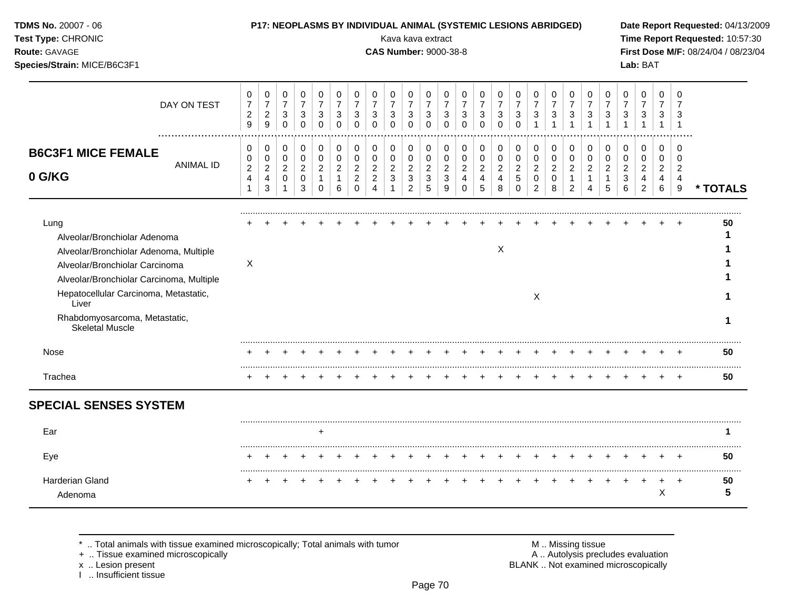| TDMS No. 20007 - 06<br>Test Type: CHRONIC<br>Route: GAVAGE<br>Species/Strain: MICE/B6C3F1                                                                                                                                                                                 |                                                            | P17: NEOPLASMS BY INDIVIDUAL ANIMAL (SYSTEMIC LESIONS ABRIDGED)    |                                                              |                                                                |                                                                            |                                                   |                                                                  |                                                           | Kava kava extract<br><b>CAS Number: 9000-38-8</b> |                                                                        |                                                                          |                                                   |                                                                  |                                                                   |                                                             |                                                     |                                                                  |                                                        |                                                        |                                                                     |                                              |                                                         | Lab: BAT                                                  |                                           |                                               | Date Report Requested: 04/13/2009<br>Time Report Requested: 10:57:30<br>First Dose M/F: 08/24/04 / 08/23/04 |
|---------------------------------------------------------------------------------------------------------------------------------------------------------------------------------------------------------------------------------------------------------------------------|------------------------------------------------------------|--------------------------------------------------------------------|--------------------------------------------------------------|----------------------------------------------------------------|----------------------------------------------------------------------------|---------------------------------------------------|------------------------------------------------------------------|-----------------------------------------------------------|---------------------------------------------------|------------------------------------------------------------------------|--------------------------------------------------------------------------|---------------------------------------------------|------------------------------------------------------------------|-------------------------------------------------------------------|-------------------------------------------------------------|-----------------------------------------------------|------------------------------------------------------------------|--------------------------------------------------------|--------------------------------------------------------|---------------------------------------------------------------------|----------------------------------------------|---------------------------------------------------------|-----------------------------------------------------------|-------------------------------------------|-----------------------------------------------|-------------------------------------------------------------------------------------------------------------|
| DAY ON TEST<br>                                                                                                                                                                                                                                                           | 0<br>$\overline{7}$<br>$\overline{2}$<br>9                 | 0<br>$\boldsymbol{7}$<br>$\sqrt{2}$<br>$\boldsymbol{9}$            | 0<br>$\overline{7}$<br>3<br>$\mathbf 0$                      | 0<br>$\overline{7}$<br>3<br>$\mathbf 0$                        | 0<br>$\overline{7}$<br>3<br>$\mathbf 0$                                    | 0<br>$\overline{7}$<br>3<br>$\mathbf 0$           | 0<br>$\overline{7}$<br>3<br>$\mathbf 0$                          | 0<br>$\overline{7}$<br>3<br>$\mathbf 0$                   | $\Omega$<br>$\overline{7}$<br>3<br>$\mathbf 0$    | 0<br>$\overline{7}$<br>3<br>$\mathbf 0$                                | 0<br>$\overline{7}$<br>3<br>$\mathbf 0$                                  | 0<br>$\overline{7}$<br>3<br>$\mathbf 0$           | 0<br>$\overline{7}$<br>3<br>$\mathbf 0$                          | 0<br>$\overline{7}$<br>3<br>$\Omega$                              | 0<br>$\overline{7}$<br>3<br>$\mathbf 0$                     | 0<br>$\overline{7}$<br>3<br>$\mathbf 0$             | $\Omega$<br>$\overline{7}$<br>3<br>$\mathbf{1}$                  | $\Omega$<br>$\overline{7}$<br>3<br>$\overline{1}$      | 0<br>$\overline{7}$<br>3                               | 0<br>$\overline{7}$<br>3<br>$\mathbf{1}$                            | 0<br>$\overline{7}$<br>3<br>$\overline{1}$   | $\Omega$<br>$\overline{7}$<br>3<br>1                    | $\Omega$<br>$\overline{7}$<br>3                           | $\Omega$<br>$\overline{7}$<br>3           | $\Omega$<br>3<br>$\overline{1}$               |                                                                                                             |
| <b>B6C3F1 MICE FEMALE</b><br><b>ANIMAL ID</b><br>0 G/KG                                                                                                                                                                                                                   | 0<br>0<br>$\overline{c}$<br>$\overline{4}$<br>$\mathbf{1}$ | 0<br>$\pmb{0}$<br>$\overline{a}$<br>$\overline{4}$<br>$\mathbf{3}$ | 0<br>$\mathbf 0$<br>$\sqrt{2}$<br>$\mathbf 0$<br>$\mathbf 1$ | $\pmb{0}$<br>$\mathbf 0$<br>$\overline{2}$<br>$\mathbf 0$<br>3 | $\mathbf 0$<br>$\mathbf 0$<br>$\boldsymbol{2}$<br>$\mathbf{1}$<br>$\Omega$ | 0<br>$\pmb{0}$<br>$\sqrt{2}$<br>$\mathbf{1}$<br>6 | 0<br>$\mathbf 0$<br>$\overline{c}$<br>$\overline{c}$<br>$\Omega$ | 0<br>$\mathbf 0$<br>$\overline{c}$<br>$\overline{c}$<br>4 | 0<br>$\mathbf 0$<br>$\overline{a}$<br>3           | 0<br>$\mathbf 0$<br>$\overline{c}$<br>$\mathfrak{S}$<br>$\overline{c}$ | 0<br>$\mathsf{O}\xspace$<br>$\overline{c}$<br>$\mathbf{3}$<br>$\sqrt{5}$ | 0<br>$\pmb{0}$<br>$\sqrt{2}$<br>$\mathbf{3}$<br>9 | 0<br>$\mathbf 0$<br>$\overline{c}$<br>$\overline{4}$<br>$\Omega$ | $\pmb{0}$<br>$\mathbf 0$<br>$\overline{c}$<br>4<br>$\overline{5}$ | 0<br>$\mathbf 0$<br>$\boldsymbol{2}$<br>$\overline{4}$<br>8 | 0<br>$\pmb{0}$<br>$\boldsymbol{2}$<br>5<br>$\Omega$ | 0<br>$\mathbf 0$<br>$\overline{2}$<br>$\Omega$<br>$\overline{2}$ | 0<br>$\mathbf 0$<br>$\overline{c}$<br>$\mathbf 0$<br>8 | 0<br>$\mathbf 0$<br>$\boldsymbol{2}$<br>$\overline{2}$ | $\mathbf 0$<br>$\mathbf 0$<br>$\overline{c}$<br>$\overline{1}$<br>4 | 0<br>$\mathbf 0$<br>$\overline{2}$<br>1<br>5 | 0<br>$\mathbf 0$<br>$\overline{2}$<br>$\mathbf{3}$<br>6 | 0<br>$\mathbf 0$<br>$\overline{2}$<br>4<br>$\overline{2}$ | 0<br>$\Omega$<br>$\overline{c}$<br>4<br>6 | 0<br>$\Omega$<br>$\overline{2}$<br>4<br>$9\,$ | * TOTALS                                                                                                    |
| Lung<br>Alveolar/Bronchiolar Adenoma<br>Alveolar/Bronchiolar Adenoma, Multiple<br>Alveolar/Bronchiolar Carcinoma<br>Alveolar/Bronchiolar Carcinoma, Multiple<br>Hepatocellular Carcinoma, Metastatic,<br>Liver<br>Rhabdomyosarcoma, Metastatic,<br><b>Skeletal Muscle</b> | $\times$                                                   |                                                                    |                                                              |                                                                |                                                                            |                                                   |                                                                  |                                                           |                                                   |                                                                        |                                                                          |                                                   |                                                                  |                                                                   | X                                                           |                                                     | X                                                                |                                                        |                                                        |                                                                     |                                              |                                                         |                                                           |                                           |                                               | 50<br>1                                                                                                     |
| Nose                                                                                                                                                                                                                                                                      |                                                            |                                                                    |                                                              |                                                                |                                                                            |                                                   |                                                                  |                                                           |                                                   |                                                                        |                                                                          |                                                   |                                                                  |                                                                   |                                                             |                                                     |                                                                  |                                                        |                                                        |                                                                     |                                              |                                                         |                                                           |                                           |                                               | 50                                                                                                          |
| Trachea                                                                                                                                                                                                                                                                   |                                                            |                                                                    |                                                              |                                                                |                                                                            |                                                   |                                                                  |                                                           |                                                   |                                                                        |                                                                          |                                                   |                                                                  |                                                                   |                                                             |                                                     |                                                                  |                                                        |                                                        |                                                                     |                                              |                                                         |                                                           |                                           |                                               | 50                                                                                                          |
| <b>SPECIAL SENSES SYSTEM</b>                                                                                                                                                                                                                                              |                                                            |                                                                    |                                                              |                                                                |                                                                            |                                                   |                                                                  |                                                           |                                                   |                                                                        |                                                                          |                                                   |                                                                  |                                                                   |                                                             |                                                     |                                                                  |                                                        |                                                        |                                                                     |                                              |                                                         |                                                           |                                           |                                               |                                                                                                             |
| Ear                                                                                                                                                                                                                                                                       |                                                            |                                                                    |                                                              |                                                                | $\ddot{}$                                                                  |                                                   |                                                                  |                                                           |                                                   |                                                                        |                                                                          |                                                   |                                                                  |                                                                   |                                                             |                                                     |                                                                  |                                                        |                                                        |                                                                     |                                              |                                                         |                                                           |                                           |                                               | $\mathbf 1$                                                                                                 |
| Eye                                                                                                                                                                                                                                                                       |                                                            |                                                                    |                                                              |                                                                |                                                                            |                                                   |                                                                  |                                                           |                                                   |                                                                        |                                                                          |                                                   |                                                                  |                                                                   |                                                             |                                                     |                                                                  |                                                        |                                                        |                                                                     |                                              |                                                         |                                                           |                                           |                                               | <br>50                                                                                                      |
| Harderian Gland<br>Adenoma                                                                                                                                                                                                                                                |                                                            |                                                                    |                                                              |                                                                |                                                                            |                                                   |                                                                  |                                                           |                                                   |                                                                        |                                                                          |                                                   |                                                                  |                                                                   |                                                             |                                                     |                                                                  |                                                        |                                                        |                                                                     |                                              |                                                         |                                                           | $\ddot{}$<br>X                            | $\ddot{}$                                     | 50<br>5                                                                                                     |

+ .. Tissue examined microscopically  $\blacksquare$  A .. Autolysis precludes evaluation

x .. Lesion present<br>I .. Insufficient tissue

M .. Missing tissue<br>A .. Autolysis precludes evaluation<br>BLANK .. Not examined microscopically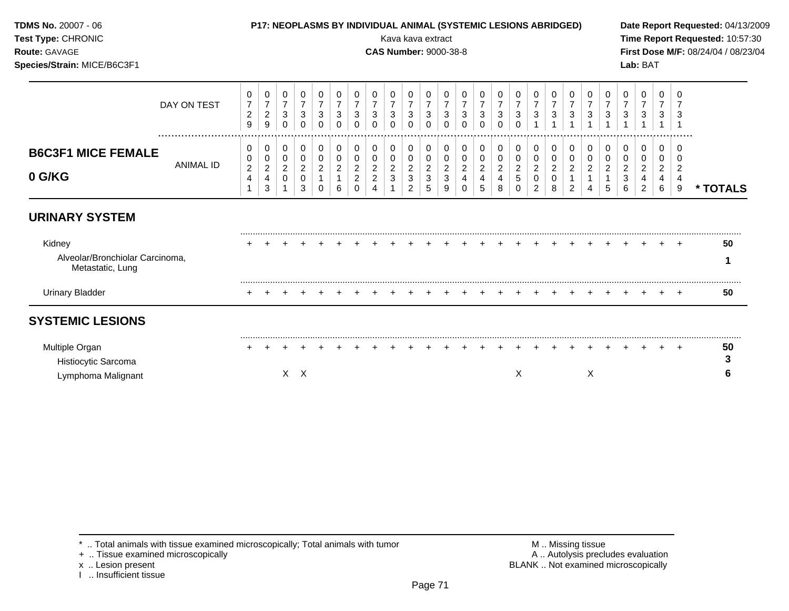| TDMS No. 20007 - 06<br>Test Type: CHRONIC<br>Route: GAVAGE<br>Species/Strain: MICE/B6C3F1 |                  |                                            |                                              |                                                                 |                                                    |                                                              |                                                    |                                                        |                                    | Kava kava extract<br><b>CAS Number: 9000-38-8</b> |                                                                      |                                                    |                                                     |                                      | P17: NEOPLASMS BY INDIVIDUAL ANIMAL (SYSTEMIC LESIONS ABRIDGED) |                               |                                            |                                                          |                               |                                   |                                            |                                   |                          | Lab: BAT         |                       |        | Date Report Requested: 04/13/2009<br>Time Report Requested: 10:57:30<br>First Dose M/F: 08/24/04 / 08/23/04 |
|-------------------------------------------------------------------------------------------|------------------|--------------------------------------------|----------------------------------------------|-----------------------------------------------------------------|----------------------------------------------------|--------------------------------------------------------------|----------------------------------------------------|--------------------------------------------------------|------------------------------------|---------------------------------------------------|----------------------------------------------------------------------|----------------------------------------------------|-----------------------------------------------------|--------------------------------------|-----------------------------------------------------------------|-------------------------------|--------------------------------------------|----------------------------------------------------------|-------------------------------|-----------------------------------|--------------------------------------------|-----------------------------------|--------------------------|------------------|-----------------------|--------|-------------------------------------------------------------------------------------------------------------|
|                                                                                           | DAY ON TEST      | 0<br>$\overline{7}$<br>$\overline{c}$<br>9 | 0<br>$\overline{7}$<br>$\boldsymbol{2}$<br>9 | 0<br>$\overline{7}$<br>$\ensuremath{\mathsf{3}}$<br>$\mathbf 0$ | 0<br>$\overline{7}$<br>$\mathbf{3}$<br>$\mathbf 0$ | 0<br>$\overline{7}$<br>$\ensuremath{\mathsf{3}}$<br>$\Omega$ | 0<br>$\overline{7}$<br>$\mathbf{3}$<br>$\mathbf 0$ | 0<br>$\overline{7}$<br>3<br>$\Omega$                   | 0<br>3<br>$\mathbf 0$              | $\overline{7}$<br>3<br>$\Omega$                   | 0<br>$\overline{7}$<br>$\ensuremath{\mathsf{3}}$<br>$\mathbf 0$      | 0<br>$\overline{7}$<br>$\mathbf{3}$<br>$\mathbf 0$ | 0<br>$\sqrt{3}$<br>$\mathbf 0$                      | 0<br>$\overline{7}$<br>3<br>$\Omega$ | 0<br>$\overline{7}$<br>$\sqrt{3}$<br>$\Omega$                   | 0<br>7<br>3<br>$\Omega$       | $\overline{7}$<br>$\mathbf{3}$<br>$\Omega$ | 0<br>$\overline{7}$<br>3                                 | 3                             | 0<br>$\overline{7}$<br>$\sqrt{3}$ | 0<br>$\overline{7}$<br>$\mathbf{3}$        | 0<br>$\overline{7}$<br>$\sqrt{3}$ | O<br>$\overline{7}$<br>3 | 3                | 0<br>3                |        |                                                                                                             |
| <b>B6C3F1 MICE FEMALE</b><br>0 G/KG                                                       | <b>ANIMAL ID</b> | 0<br>0<br>$\boldsymbol{2}$<br>4            | 0<br>0<br>$\overline{c}$<br>4<br>3           | 0<br>0<br>$\overline{c}$<br>0                                   | 0<br>0<br>$\overline{c}$<br>0<br>3                 | 0<br>0<br>$\overline{c}$<br>$\Omega$                         | 0<br>0<br>$\overline{c}$<br>6                      | 0<br>0<br>$\overline{c}$<br>$\overline{2}$<br>$\Omega$ | 0<br>0<br>$\overline{c}$<br>2<br>4 | 0<br>0<br>$\overline{\mathbf{c}}$<br>3            | 0<br>$\mathbf 0$<br>$\overline{c}$<br>$\mathbf{3}$<br>$\overline{2}$ | 0<br>0<br>$\overline{c}$<br>$\mathbf{3}$<br>5      | 0<br>$\mathbf 0$<br>$\sqrt{2}$<br>$\mathbf{3}$<br>9 | 0<br>0<br>$\overline{c}$<br>0        | 0<br>0<br>$\sqrt{2}$<br>4<br>5                                  | 0<br>0<br>$\overline{c}$<br>8 | 0<br>0<br>$\overline{c}$<br>5<br>$\Omega$  | 0<br>0<br>$\overline{\mathbf{c}}$<br>0<br>$\overline{2}$ | 0<br>$\overline{c}$<br>0<br>8 | 0<br>0<br>$\overline{c}$<br>2     | 0<br>0<br>$\overline{c}$<br>$\overline{4}$ | 0<br>0<br>$\overline{c}$<br>5     | 0<br>0<br>2<br>3<br>6    | 0<br>0<br>2<br>2 | 0<br>0<br>2<br>4<br>6 | 2<br>9 | * TOTALS                                                                                                    |
| <b>URINARY SYSTEM</b>                                                                     |                  |                                            |                                              |                                                                 |                                                    |                                                              |                                                    |                                                        |                                    |                                                   |                                                                      |                                                    |                                                     |                                      |                                                                 |                               |                                            |                                                          |                               |                                   |                                            |                                   |                          |                  |                       |        |                                                                                                             |
| Kidney<br>Alveolar/Bronchiolar Carcinoma,<br>Metastatic, Lung                             |                  |                                            |                                              |                                                                 |                                                    |                                                              |                                                    |                                                        |                                    |                                                   |                                                                      |                                                    |                                                     |                                      |                                                                 |                               |                                            |                                                          |                               |                                   |                                            |                                   |                          |                  |                       | $+$    | 50<br>1                                                                                                     |
| <b>Urinary Bladder</b>                                                                    |                  |                                            |                                              |                                                                 |                                                    |                                                              |                                                    |                                                        |                                    |                                                   |                                                                      |                                                    |                                                     |                                      |                                                                 |                               |                                            |                                                          |                               |                                   |                                            |                                   |                          |                  |                       | $+$    | 50                                                                                                          |
| <b>SYSTEMIC LESIONS</b>                                                                   |                  |                                            |                                              |                                                                 |                                                    |                                                              |                                                    |                                                        |                                    |                                                   |                                                                      |                                                    |                                                     |                                      |                                                                 |                               |                                            |                                                          |                               |                                   |                                            |                                   |                          |                  |                       |        |                                                                                                             |
| Multiple Organ<br>Histiocytic Sarcoma<br>Lymphoma Malignant                               |                  |                                            |                                              |                                                                 | $X$ $X$                                            |                                                              |                                                    |                                                        |                                    |                                                   |                                                                      |                                                    |                                                     |                                      |                                                                 |                               | Χ                                          |                                                          |                               |                                   | X                                          |                                   |                          |                  |                       |        | 50<br>3<br>6                                                                                                |

x .. Lesion present<br>I .. Insufficient tissue

+ .. Tissue examined microscopically  $\blacksquare$  A .. Autolysis precludes evaluation M .. Missing tissue<br>A .. Autolysis precludes evaluation<br>BLANK .. Not examined microscopically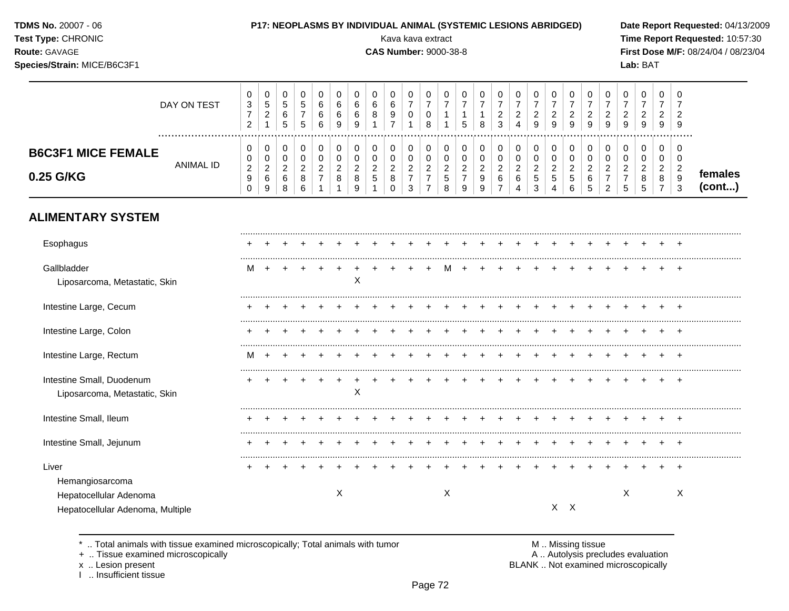### **TDMS No.** 20007 - 06 **P17: NEOPLASMS BY INDIVIDUAL ANIMAL (SYSTEMIC LESIONS ABRIDGED) Date Report Requested:** 04/13/2009

**Species/Strain:** MICE/B6C3F1 **Lab:** BAT

**Test Type:** CHRONIC **Transfer CHRONIC Report Requested:** 10:57:30 **Route:** GAVAGE **CAS Number:** 9000-38-8 **First Dose M/F:** 08/24/04 / 08/23/04

|                                        | DAY ON TEST      | U<br>3<br>$\epsilon$    | U<br>ن<br>-                                                 | 0<br>5<br>6<br>5                  | ◡<br>.5<br>$\mathbf{p}$ | 6 | U<br>6<br>6<br>9 | -6<br>-6<br>9 | v<br>6<br>8                          | υ<br>9      | 0<br>0                       | U<br>ν<br>o        | <b>U</b><br>.5 | 8           | υ<br>3             | υ<br>$\overline{a}$           | 0<br>⌒<br>9                       | U<br>9                   | 9 | U<br>9         | 9 | 0<br>9        | υ<br>9 | 0<br>ົ<br>∼<br>9             | U<br>9                       |                    |
|----------------------------------------|------------------|-------------------------|-------------------------------------------------------------|-----------------------------------|-------------------------|---|------------------|---------------|--------------------------------------|-------------|------------------------------|--------------------|----------------|-------------|--------------------|-------------------------------|-----------------------------------|--------------------------|---|----------------|---|---------------|--------|------------------------------|------------------------------|--------------------|
| <b>B6C3F1 MICE FEMALE</b><br>0.25 G/KG | <b>ANIMAL ID</b> | U<br>ີ<br><u>_</u><br>9 | υ<br>U<br>$\sim$<br>∼<br>$\overline{\phantom{0}}$<br>O<br>9 | 0<br>0<br>◠<br><u>_</u><br>6<br>8 | <u>_</u><br>8<br>6      |   | $\circ$          | _<br>8        | <u>_</u><br>$\overline{\phantom{a}}$ | ◡<br>_<br>8 | 0<br>0<br>◠<br><u>_</u><br>3 | υ<br>υ<br><u>_</u> | O              | $\mathbf o$ | ╰<br><u>_</u><br>6 | u<br>$\overline{\phantom{a}}$ | 0<br>0<br>◠<br><u>.</u><br>5<br>3 | υ<br><u>_</u><br>.5<br>4 | c | 6<br>∽<br>- 12 |   | <u>_</u><br>ς | u<br>8 | 0<br>0<br>◠<br><u>.</u><br>8 | v<br>υ<br><u>_</u><br>9<br>◠ | temales<br>(cont…) |

## **ALIMENTARY SYSTEM**

| Esophagus                        |   |  |  |   |   |  |  |   |  |  |         |  |   |  |        |
|----------------------------------|---|--|--|---|---|--|--|---|--|--|---------|--|---|--|--------|
|                                  |   |  |  |   |   |  |  |   |  |  |         |  |   |  |        |
| Gallbladder                      | M |  |  |   |   |  |  | м |  |  |         |  |   |  |        |
| Liposarcoma, Metastatic, Skin    |   |  |  |   | Χ |  |  |   |  |  |         |  |   |  |        |
| Intestine Large, Cecum           |   |  |  |   |   |  |  |   |  |  |         |  |   |  |        |
| Intestine Large, Colon           |   |  |  |   |   |  |  |   |  |  |         |  |   |  |        |
| Intestine Large, Rectum          | M |  |  |   |   |  |  |   |  |  |         |  |   |  |        |
| Intestine Small, Duodenum        |   |  |  |   |   |  |  |   |  |  |         |  |   |  |        |
| Liposarcoma, Metastatic, Skin    |   |  |  |   | X |  |  |   |  |  |         |  |   |  |        |
| Intestine Small, Ileum           |   |  |  |   |   |  |  |   |  |  |         |  |   |  |        |
| Intestine Small, Jejunum         |   |  |  |   |   |  |  |   |  |  |         |  |   |  |        |
| Liver                            |   |  |  |   |   |  |  |   |  |  |         |  |   |  | $\div$ |
| Hemangiosarcoma                  |   |  |  |   |   |  |  |   |  |  |         |  |   |  |        |
| Hepatocellular Adenoma           |   |  |  | X |   |  |  | Х |  |  |         |  | Χ |  | X      |
| Hepatocellular Adenoma, Multiple |   |  |  |   |   |  |  |   |  |  | $X$ $X$ |  |   |  |        |

\* .. Total animals with tissue examined microscopically; Total animals with tumor <br>
+ .. Tissue examined microscopically<br>
+ .. Tissue examined microscopically

+ .. Tissue examined microscopically

I .. Insufficient tissue

x .. Lesion present **EXALL EXALL EXACL** BLANK .. Not examined microscopically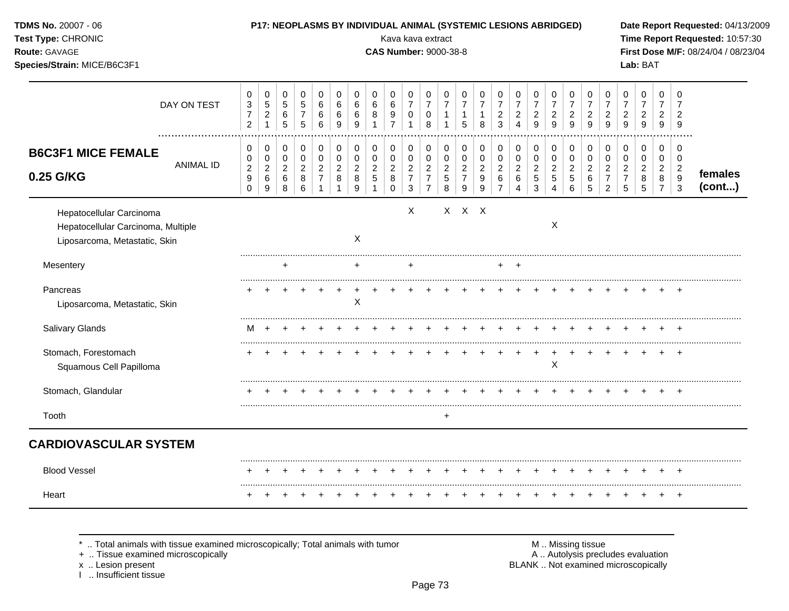| TDMS No. 20007 - 06<br>Test Type: CHRONIC<br>Route: GAVAGE<br>Species/Strain: MICE/B6C3F1       |                  |                                                                    |                                                             |                                                        |                                                                     |                                                                            |                                                         |                                        |                                    | P17: NEOPLASMS BY INDIVIDUAL ANIMAL (SYSTEMIC LESIONS ABRIDGED)<br>Kava kava extract<br><b>CAS Number: 9000-38-8</b> |                                                                              |                                                                      |                                                              |                                                                     |                                                    |                                                                     |                                                         |                                            |                                                           |                                                                   |                                                           |                                                                                |                                                           | Lab: BAT                                               |                                                           |                                                         | Date Report Requested: 04/13/2009<br>Time Report Requested: 10:57:30<br>First Dose M/F: 08/24/04 / 08/23/04 |
|-------------------------------------------------------------------------------------------------|------------------|--------------------------------------------------------------------|-------------------------------------------------------------|--------------------------------------------------------|---------------------------------------------------------------------|----------------------------------------------------------------------------|---------------------------------------------------------|----------------------------------------|------------------------------------|----------------------------------------------------------------------------------------------------------------------|------------------------------------------------------------------------------|----------------------------------------------------------------------|--------------------------------------------------------------|---------------------------------------------------------------------|----------------------------------------------------|---------------------------------------------------------------------|---------------------------------------------------------|--------------------------------------------|-----------------------------------------------------------|-------------------------------------------------------------------|-----------------------------------------------------------|--------------------------------------------------------------------------------|-----------------------------------------------------------|--------------------------------------------------------|-----------------------------------------------------------|---------------------------------------------------------|-------------------------------------------------------------------------------------------------------------|
|                                                                                                 | DAY ON TEST      | 0<br>$\ensuremath{\mathsf{3}}$<br>$\overline{7}$<br>$\overline{2}$ | $\pmb{0}$<br>$\sqrt{5}$<br>$\overline{2}$<br>$\mathbf{1}$   | $\mathbf 0$<br>$\,$ 5 $\,$<br>$\,6$<br>$\overline{5}$  | $\mathbf 0$<br>$\overline{5}$<br>$\boldsymbol{7}$<br>$\overline{5}$ | $\mathbf 0$<br>$\,6$<br>$\,6$<br>$6\phantom{a}$                            | $\mathbf 0$<br>$\,6\,$<br>$\,6\,$<br>$\boldsymbol{9}$   | 0<br>$\,6\,$<br>6<br>$\boldsymbol{9}$  | 0<br>6<br>8                        | 0<br>6<br>9<br>$\overline{7}$                                                                                        | 0<br>$\overline{7}$<br>$\pmb{0}$<br>$\mathbf{1}$                             | $\mathbf 0$<br>$\overline{7}$<br>0<br>8                              | $\mathbf 0$<br>$\overline{7}$<br>$\mathbf{1}$<br>$\mathbf 1$ | 0<br>$\overline{7}$<br>$\mathbf{1}$<br>5                            | $\mathbf 0$<br>$\overline{7}$<br>$\mathbf{1}$<br>8 | 0<br>$\overline{7}$<br>$\boldsymbol{2}$<br>3                        | 0<br>$\overline{7}$<br>$\frac{2}{4}$                    | 0<br>$\overline{7}$<br>$\overline{a}$<br>9 | 0<br>$\overline{7}$<br>$\overline{c}$<br>9                | $\pmb{0}$<br>$\overline{7}$<br>$\boldsymbol{2}$<br>$\overline{9}$ | $\mathbf 0$<br>$\overline{7}$<br>$\sqrt{2}$<br>9          | 0<br>$\overline{7}$<br>$\boldsymbol{2}$<br>$\mathsf g$                         | 0<br>$\overline{7}$<br>$\overline{c}$<br>9                | $\pmb{0}$<br>$\overline{7}$<br>$\overline{c}$<br>9     | 0<br>$\overline{7}$<br>2<br>$\boldsymbol{9}$              | 0<br>$\overline{7}$<br>$\overline{2}$<br>9              |                                                                                                             |
| <b>B6C3F1 MICE FEMALE</b><br>0.25 G/KG                                                          | <b>ANIMAL ID</b> | 0<br>0<br>$\boldsymbol{2}$<br>$\boldsymbol{9}$<br>$\mathbf 0$      | 0<br>$\mathbf 0$<br>$\overline{a}$<br>6<br>$\boldsymbol{9}$ | $\mathbf 0$<br>$\pmb{0}$<br>$\sqrt{2}$<br>$\,6\,$<br>8 | $\mathbf 0$<br>0<br>$\overline{2}$<br>8<br>$\,6\,$                  | $\mathbf 0$<br>$\pmb{0}$<br>$\sqrt{2}$<br>$\overline{7}$<br>$\overline{1}$ | 0<br>$\pmb{0}$<br>$\boldsymbol{2}$<br>8<br>$\mathbf{1}$ | 0<br>$\pmb{0}$<br>$\sqrt{2}$<br>8<br>9 | 0<br>0<br>$\overline{c}$<br>5<br>1 | 0<br>0<br>$\overline{2}$<br>8<br>0                                                                                   | $\mathbf 0$<br>$\pmb{0}$<br>$\overline{a}$<br>$\overline{7}$<br>$\mathbf{3}$ | 0<br>$\pmb{0}$<br>$\overline{2}$<br>$\overline{7}$<br>$\overline{7}$ | 0<br>$\pmb{0}$<br>$\sqrt{2}$<br>$\sqrt{5}$<br>8              | $\mathbf 0$<br>$\mathbf 0$<br>$\overline{2}$<br>$\overline{7}$<br>9 | $\mathbf 0$<br>$\pmb{0}$<br>$\sqrt{2}$<br>9<br>9   | $\mathbf 0$<br>$\mathbf 0$<br>$\overline{2}$<br>6<br>$\overline{7}$ | 0<br>$\pmb{0}$<br>$\overline{c}$<br>6<br>$\overline{4}$ | 0<br>0<br>$\overline{2}$<br>5<br>3         | $\mathbf 0$<br>0<br>$\overline{c}$<br>5<br>$\overline{4}$ | $\mathbf 0$<br>$\pmb{0}$<br>$\boldsymbol{2}$<br>$\sqrt{5}$<br>6   | 0<br>$\mathbf 0$<br>$\overline{2}$<br>6<br>$\overline{5}$ | $\mathbf 0$<br>$\pmb{0}$<br>$\overline{2}$<br>$\overline{7}$<br>$\overline{2}$ | 0<br>$\mathbf 0$<br>$\overline{2}$<br>$\overline{7}$<br>5 | $\mathbf 0$<br>$\mathbf 0$<br>$\overline{c}$<br>8<br>5 | 0<br>$\mathbf 0$<br>$\overline{2}$<br>8<br>$\overline{7}$ | 0<br>$\mathbf 0$<br>$\overline{2}$<br>9<br>$\mathbf{3}$ | females<br>(cont)                                                                                           |
| Hepatocellular Carcinoma<br>Hepatocellular Carcinoma, Multiple<br>Liposarcoma, Metastatic, Skin |                  |                                                                    |                                                             |                                                        |                                                                     |                                                                            |                                                         | X                                      |                                    |                                                                                                                      | X                                                                            |                                                                      |                                                              | X X X                                                               |                                                    |                                                                     |                                                         |                                            | $\boldsymbol{\mathsf{X}}$                                 |                                                                   |                                                           |                                                                                |                                                           |                                                        |                                                           |                                                         |                                                                                                             |
| Mesentery                                                                                       |                  |                                                                    |                                                             |                                                        |                                                                     |                                                                            |                                                         |                                        |                                    |                                                                                                                      | $\ddot{}$                                                                    |                                                                      |                                                              |                                                                     |                                                    | +                                                                   |                                                         |                                            |                                                           |                                                                   |                                                           |                                                                                |                                                           |                                                        |                                                           |                                                         |                                                                                                             |
| Pancreas<br>Liposarcoma, Metastatic, Skin                                                       |                  |                                                                    |                                                             |                                                        |                                                                     |                                                                            |                                                         | $\sf X$                                |                                    |                                                                                                                      |                                                                              |                                                                      |                                                              |                                                                     |                                                    |                                                                     |                                                         |                                            |                                                           |                                                                   |                                                           |                                                                                |                                                           |                                                        |                                                           |                                                         |                                                                                                             |
| Salivary Glands                                                                                 |                  | м                                                                  | $\ddot{}$                                                   |                                                        |                                                                     |                                                                            |                                                         |                                        |                                    |                                                                                                                      |                                                                              |                                                                      |                                                              |                                                                     |                                                    |                                                                     |                                                         |                                            |                                                           |                                                                   |                                                           |                                                                                |                                                           |                                                        |                                                           |                                                         |                                                                                                             |
| Stomach, Forestomach<br>Squamous Cell Papilloma                                                 |                  | $\ddot{}$                                                          |                                                             |                                                        |                                                                     |                                                                            |                                                         |                                        |                                    |                                                                                                                      |                                                                              |                                                                      |                                                              |                                                                     |                                                    |                                                                     |                                                         | $\div$                                     | X                                                         |                                                                   |                                                           |                                                                                |                                                           |                                                        |                                                           | $\overline{+}$                                          |                                                                                                             |
| Stomach, Glandular                                                                              |                  |                                                                    |                                                             |                                                        |                                                                     |                                                                            |                                                         |                                        |                                    |                                                                                                                      |                                                                              |                                                                      |                                                              |                                                                     |                                                    |                                                                     |                                                         |                                            |                                                           |                                                                   |                                                           |                                                                                |                                                           |                                                        |                                                           |                                                         |                                                                                                             |
| Tooth                                                                                           |                  |                                                                    |                                                             |                                                        |                                                                     |                                                                            |                                                         |                                        |                                    |                                                                                                                      |                                                                              |                                                                      | $\ddot{}$                                                    |                                                                     |                                                    |                                                                     |                                                         |                                            |                                                           |                                                                   |                                                           |                                                                                |                                                           |                                                        |                                                           |                                                         |                                                                                                             |
| <b>CARDIOVASCULAR SYSTEM</b>                                                                    |                  |                                                                    |                                                             |                                                        |                                                                     |                                                                            |                                                         |                                        |                                    |                                                                                                                      |                                                                              |                                                                      |                                                              |                                                                     |                                                    |                                                                     |                                                         |                                            |                                                           |                                                                   |                                                           |                                                                                |                                                           |                                                        |                                                           |                                                         |                                                                                                             |
| <b>Blood Vessel</b>                                                                             |                  |                                                                    |                                                             |                                                        |                                                                     |                                                                            |                                                         |                                        |                                    |                                                                                                                      |                                                                              |                                                                      |                                                              |                                                                     |                                                    |                                                                     |                                                         |                                            |                                                           |                                                                   |                                                           |                                                                                |                                                           |                                                        |                                                           |                                                         |                                                                                                             |
| Heart                                                                                           |                  |                                                                    |                                                             |                                                        |                                                                     |                                                                            |                                                         |                                        |                                    |                                                                                                                      |                                                                              |                                                                      |                                                              |                                                                     |                                                    |                                                                     |                                                         |                                            |                                                           |                                                                   |                                                           |                                                                                |                                                           |                                                        |                                                           | $\ddot{}$                                               |                                                                                                             |

+ .. Tissue examined microscopically  $\blacksquare$  A .. Autolysis precludes evaluation

x .. Lesion present<br>I .. Insufficient tissue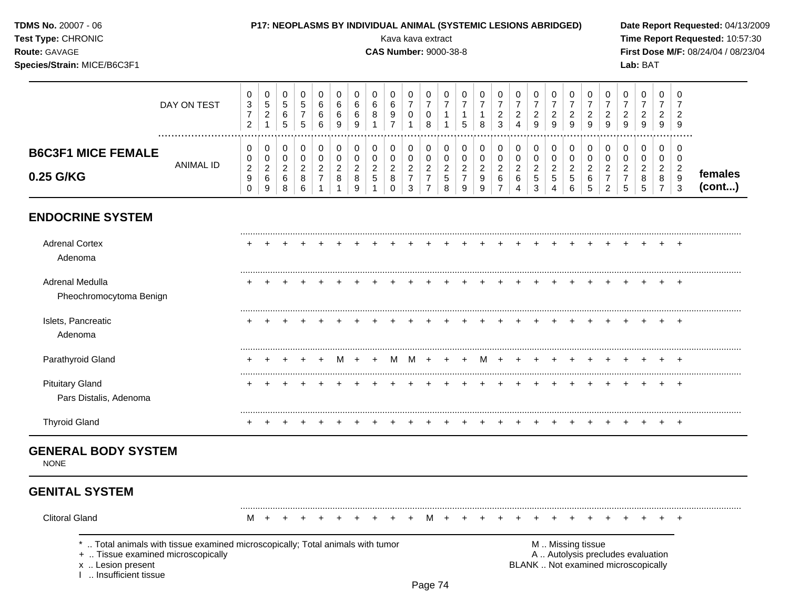| TDMS No. 20007 - 06<br>Test Type: CHRONIC<br>Route: GAVAGE<br>Species/Strain: MICE/B6C3F1                                                                      |                  |                                                      |                                                             |                                                |                                                 |                                                    |                                                 |                                              |                               | Kava kava extract<br><b>CAS Number: 9000-38-8</b> |                                                                   |                                                                        |                                                          |                                                 | <b>P17: NEOPLASMS BY INDIVIDUAL ANIMAL (SYSTEMIC LESIONS ABRIDGED)</b> |                                                     |                                                         |                                                     |                                             |                                                                  |                                                                 |                                                                        |                                            | Lab: BAT                                                                 |                                                       |                                                                | Date Report Requested: 04/13/2009<br>Time Report Requested: 10:57:30<br>First Dose M/F: 08/24/04 / 08/23/04 |
|----------------------------------------------------------------------------------------------------------------------------------------------------------------|------------------|------------------------------------------------------|-------------------------------------------------------------|------------------------------------------------|-------------------------------------------------|----------------------------------------------------|-------------------------------------------------|----------------------------------------------|-------------------------------|---------------------------------------------------|-------------------------------------------------------------------|------------------------------------------------------------------------|----------------------------------------------------------|-------------------------------------------------|------------------------------------------------------------------------|-----------------------------------------------------|---------------------------------------------------------|-----------------------------------------------------|---------------------------------------------|------------------------------------------------------------------|-----------------------------------------------------------------|------------------------------------------------------------------------|--------------------------------------------|--------------------------------------------------------------------------|-------------------------------------------------------|----------------------------------------------------------------|-------------------------------------------------------------------------------------------------------------|
|                                                                                                                                                                | DAY ON TEST<br>. | 0<br>$\mathbf 3$<br>$\overline{7}$<br>$\overline{2}$ | 0<br>$\,$ 5 $\,$<br>$\overline{\mathbf{c}}$<br>$\mathbf{1}$ | 0<br>$\mathbf 5$<br>$\,6$<br>$\sqrt{5}$        | 0<br>$\sqrt{5}$<br>$\overline{7}$<br>$\sqrt{5}$ | 0<br>$\,6$<br>6<br>6                               | 0<br>$\,6\,$<br>$\,6\,$<br>$\overline{9}$       | 0<br>6<br>6<br>9                             | 0<br>6<br>8                   | 0<br>6<br>9<br>$\overline{7}$                     | 0<br>$\overline{7}$<br>$\pmb{0}$<br>$\mathbf 1$                   | 0<br>$\boldsymbol{7}$<br>$\mathbf 0$<br>8                              | 0<br>$\boldsymbol{7}$<br>$\mathbf{1}$<br>1               | 0<br>$\overline{7}$<br>$\mathbf{1}$<br>5        | 0<br>$\overline{7}$<br>1<br>8                                          | 0<br>$\overline{7}$<br>$\overline{\mathbf{c}}$<br>3 | 0<br>$\overline{7}$<br>$\frac{2}{4}$                    | 0<br>$\overline{7}$<br>$\overline{\mathbf{c}}$<br>9 | 0<br>$\overline{7}$<br>$\overline{c}$<br>9  | 0<br>$\overline{7}$<br>$\overline{\mathbf{c}}$<br>$\overline{9}$ | 0<br>$\overline{7}$<br>$\frac{2}{9}$                            | 0<br>$\overline{7}$<br>$\frac{2}{9}$                                   | 0<br>$\overline{7}$<br>$\overline{c}$<br>9 | 0<br>$\overline{7}$<br>$\overline{\mathbf{c}}$<br>9                      | 0<br>$\overline{7}$<br>$\overline{c}$<br>9            | 0<br>$\overline{\mathbf{c}}$<br>9                              |                                                                                                             |
| <b>B6C3F1 MICE FEMALE</b><br>0.25 G/KG                                                                                                                         | ANIMAL ID        | 0<br>0<br>$\sqrt{2}$<br>$\boldsymbol{9}$<br>$\Omega$ | 0<br>0<br>$\overline{\mathbf{c}}$<br>$\,6\,$<br>9           | $\pmb{0}$<br>0<br>$\overline{c}$<br>$\,6$<br>8 | $\mathbf 0$<br>0<br>$\overline{2}$<br>8<br>6    | $\pmb{0}$<br>0<br>$\overline{c}$<br>$\overline{7}$ | 0<br>0<br>$\sqrt{2}$<br>$\,8\,$<br>$\mathbf{1}$ | 0<br>$\mathbf 0$<br>$\overline{c}$<br>8<br>9 | 0<br>0<br>$\overline{c}$<br>5 | 0<br>0<br>$\overline{2}$<br>8<br>$\Omega$         | $\pmb{0}$<br>$\pmb{0}$<br>$\overline{c}$<br>$\boldsymbol{7}$<br>3 | $\pmb{0}$<br>0<br>$\overline{c}$<br>$\boldsymbol{7}$<br>$\overline{7}$ | $\pmb{0}$<br>$\pmb{0}$<br>$\sqrt{2}$<br>$\mathbf 5$<br>8 | 0<br>0<br>$\overline{2}$<br>$\overline{7}$<br>9 | $\pmb{0}$<br>0<br>$\boldsymbol{2}$<br>9<br>9                           | 0<br>0<br>$\overline{c}$<br>6<br>$\overline{7}$     | 0<br>$\pmb{0}$<br>$\overline{c}$<br>6<br>$\overline{4}$ | 0<br>0<br>$\overline{c}$<br>5<br>3                  | 0<br>0<br>$\sqrt{2}$<br>5<br>$\overline{4}$ | $\pmb{0}$<br>$\pmb{0}$<br>$\boldsymbol{2}$<br>$\sqrt{5}$<br>6    | 0<br>$\mathbf 0$<br>$\overline{c}$<br>$\,6\,$<br>$\overline{5}$ | 0<br>$\pmb{0}$<br>$\overline{c}$<br>$\boldsymbol{7}$<br>$\overline{2}$ | 0<br>0<br>$\overline{2}$<br>7<br>5         | 0<br>0<br>$\overline{c}$<br>8<br>5                                       | 0<br>0<br>$\overline{a}$<br>$\,8\,$<br>$\overline{7}$ | 0<br>0<br>$\overline{c}$<br>$9\,$<br>$\ensuremath{\mathsf{3}}$ | females<br>(cont)                                                                                           |
| <b>ENDOCRINE SYSTEM</b>                                                                                                                                        |                  |                                                      |                                                             |                                                |                                                 |                                                    |                                                 |                                              |                               |                                                   |                                                                   |                                                                        |                                                          |                                                 |                                                                        |                                                     |                                                         |                                                     |                                             |                                                                  |                                                                 |                                                                        |                                            |                                                                          |                                                       |                                                                |                                                                                                             |
| <b>Adrenal Cortex</b><br>Adenoma                                                                                                                               |                  |                                                      |                                                             |                                                |                                                 |                                                    |                                                 |                                              |                               |                                                   |                                                                   |                                                                        |                                                          |                                                 |                                                                        |                                                     |                                                         |                                                     |                                             |                                                                  |                                                                 |                                                                        |                                            |                                                                          |                                                       |                                                                |                                                                                                             |
| Adrenal Medulla<br>Pheochromocytoma Benign                                                                                                                     |                  |                                                      |                                                             |                                                |                                                 |                                                    |                                                 |                                              |                               |                                                   |                                                                   |                                                                        |                                                          |                                                 |                                                                        |                                                     |                                                         |                                                     |                                             |                                                                  |                                                                 |                                                                        |                                            |                                                                          |                                                       | $+$                                                            |                                                                                                             |
| Islets, Pancreatic<br>Adenoma                                                                                                                                  |                  |                                                      |                                                             |                                                |                                                 |                                                    |                                                 |                                              |                               |                                                   |                                                                   |                                                                        |                                                          |                                                 |                                                                        |                                                     |                                                         |                                                     |                                             |                                                                  |                                                                 |                                                                        |                                            |                                                                          |                                                       |                                                                |                                                                                                             |
| Parathyroid Gland                                                                                                                                              |                  |                                                      |                                                             |                                                |                                                 |                                                    | M                                               |                                              |                               | м                                                 |                                                                   | M +                                                                    |                                                          | $\pm$                                           | M +                                                                    |                                                     |                                                         |                                                     |                                             |                                                                  |                                                                 |                                                                        |                                            |                                                                          |                                                       |                                                                |                                                                                                             |
| <b>Pituitary Gland</b><br>Pars Distalis, Adenoma                                                                                                               |                  |                                                      |                                                             |                                                |                                                 |                                                    |                                                 |                                              |                               |                                                   |                                                                   |                                                                        |                                                          |                                                 |                                                                        |                                                     |                                                         |                                                     |                                             |                                                                  |                                                                 |                                                                        |                                            |                                                                          |                                                       | $\overline{ }$                                                 |                                                                                                             |
| <b>Thyroid Gland</b>                                                                                                                                           |                  | $+$                                                  |                                                             |                                                |                                                 |                                                    |                                                 |                                              |                               |                                                   | $\div$                                                            | $+$                                                                    | $\pm$                                                    | $+$                                             |                                                                        | $+$                                                 |                                                         | $+$                                                 | $+$                                         | $+$                                                              | $+$                                                             | $+$                                                                    |                                            |                                                                          |                                                       | $^{+}$                                                         |                                                                                                             |
| <b>GENERAL BODY SYSTEM</b><br><b>NONE</b>                                                                                                                      |                  |                                                      |                                                             |                                                |                                                 |                                                    |                                                 |                                              |                               |                                                   |                                                                   |                                                                        |                                                          |                                                 |                                                                        |                                                     |                                                         |                                                     |                                             |                                                                  |                                                                 |                                                                        |                                            |                                                                          |                                                       |                                                                |                                                                                                             |
| <b>GENITAL SYSTEM</b>                                                                                                                                          |                  |                                                      |                                                             |                                                |                                                 |                                                    |                                                 |                                              |                               |                                                   |                                                                   |                                                                        |                                                          |                                                 |                                                                        |                                                     |                                                         |                                                     |                                             |                                                                  |                                                                 |                                                                        |                                            |                                                                          |                                                       |                                                                |                                                                                                             |
| <b>Clitoral Gland</b>                                                                                                                                          |                  | M                                                    | $+$                                                         |                                                |                                                 |                                                    |                                                 |                                              |                               |                                                   |                                                                   | м                                                                      | $\div$                                                   | $\ddot{}$                                       |                                                                        |                                                     |                                                         |                                                     |                                             |                                                                  |                                                                 |                                                                        |                                            |                                                                          |                                                       |                                                                |                                                                                                             |
| Total animals with tissue examined microscopically; Total animals with tumor<br>+  Tissue examined microscopically<br>x  Lesion present<br>Insufficient tissue |                  |                                                      |                                                             |                                                |                                                 |                                                    |                                                 |                                              |                               |                                                   |                                                                   |                                                                        |                                                          |                                                 |                                                                        |                                                     |                                                         |                                                     | M  Missing tissue                           |                                                                  |                                                                 |                                                                        |                                            | A  Autolysis precludes evaluation<br>BLANK  Not examined microscopically |                                                       |                                                                |                                                                                                             |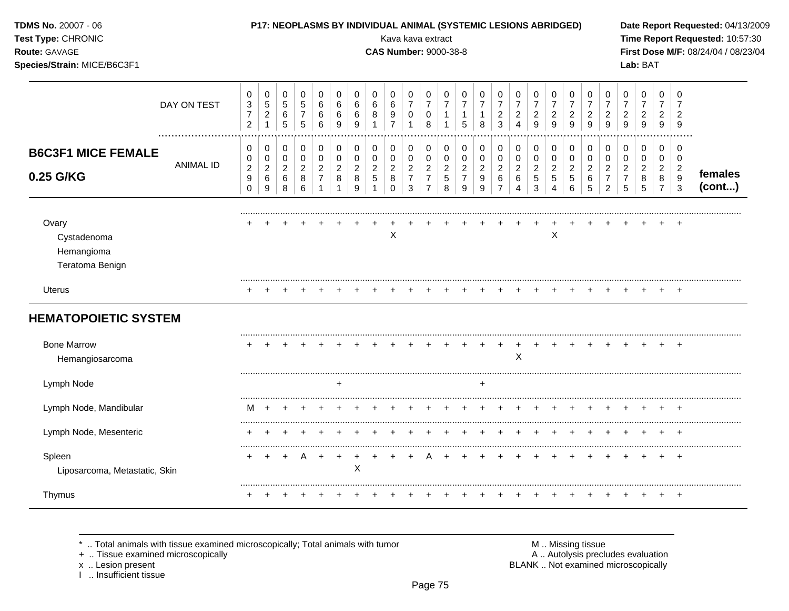| TDMS No. 20007 - 06<br>Test Type: CHRONIC<br>Route: GAVAGE<br>Species/Strain: MICE/B6C3F1 |                      |                                                                    |                                                           |                                                      |                                                                   |                                                          |                                                     |                                                      |                                              | P17: NEOPLASMS BY INDIVIDUAL ANIMAL (SYSTEMIC LESIONS ABRIDGED)<br>Kava kava extract<br><b>CAS Number: 9000-38-8</b> |                                                                   |                                                                                |                                                               |                                                                       |                                                        |                                                         |                                                           |                                              |                                                                 |                                                                   |                                                        |                                                                   |                                                           | Lab: BAT                                             |                                                |                                                                        | Date Report Requested: 04/13/2009<br>Time Report Requested: 10:57:30<br>First Dose M/F: 08/24/04 / 08/23/04 |
|-------------------------------------------------------------------------------------------|----------------------|--------------------------------------------------------------------|-----------------------------------------------------------|------------------------------------------------------|-------------------------------------------------------------------|----------------------------------------------------------|-----------------------------------------------------|------------------------------------------------------|----------------------------------------------|----------------------------------------------------------------------------------------------------------------------|-------------------------------------------------------------------|--------------------------------------------------------------------------------|---------------------------------------------------------------|-----------------------------------------------------------------------|--------------------------------------------------------|---------------------------------------------------------|-----------------------------------------------------------|----------------------------------------------|-----------------------------------------------------------------|-------------------------------------------------------------------|--------------------------------------------------------|-------------------------------------------------------------------|-----------------------------------------------------------|------------------------------------------------------|------------------------------------------------|------------------------------------------------------------------------|-------------------------------------------------------------------------------------------------------------|
|                                                                                           | DAY ON TEST          | 0<br>$\ensuremath{\mathsf{3}}$<br>$\overline{7}$<br>$\overline{2}$ | $\pmb{0}$<br>$\sqrt{5}$<br>$\overline{a}$<br>$\mathbf{1}$ | $\pmb{0}$<br>$\sqrt{5}$<br>$\,6\,$<br>$\overline{5}$ | $\mathbf 0$<br>$\overline{5}$<br>$\overline{7}$<br>$\overline{5}$ | 0<br>$\,6\,$<br>$\,6$<br>$6\phantom{a}$                  | $\mathbf 0$<br>$\,6$<br>$\,6\,$<br>$\boldsymbol{9}$ | $\mathbf 0$<br>6<br>6<br>$\boldsymbol{9}$            | 0<br>6<br>8<br>$\mathbf{1}$                  | 0<br>6<br>9<br>$\overline{7}$                                                                                        | $\pmb{0}$<br>$\overline{7}$<br>$\mathbf 0$<br>$\overline{1}$      | $\mathbf 0$<br>$\overline{7}$<br>0<br>8                                        | $\mathbf 0$<br>$\overline{7}$<br>$\mathbf{1}$<br>$\mathbf{1}$ | 0<br>$\overline{7}$<br>$\mathbf{1}$<br>5                              | $\pmb{0}$<br>$\overline{7}$<br>$\mathbf{1}$<br>8       | 0<br>$\overline{7}$<br>$\boldsymbol{2}$<br>3            | 0<br>$\overline{7}$<br>$\sqrt{2}$<br>$\overline{4}$       | 0<br>$\overline{7}$<br>$\overline{a}$<br>9   | 0<br>$\overline{7}$<br>$\overline{c}$<br>9                      | $\pmb{0}$<br>$\overline{7}$<br>$\boldsymbol{2}$<br>$\overline{9}$ | $\mathbf 0$<br>$\overline{7}$<br>$\overline{2}$<br>9   | $\mathbf 0$<br>$\overline{7}$<br>$\boldsymbol{2}$<br>$9\,$        | 0<br>$\overline{7}$<br>$\overline{c}$<br>9                | $\pmb{0}$<br>$\overline{7}$<br>$\boldsymbol{2}$<br>9 | 0<br>$\overline{7}$<br>$\overline{c}$<br>$9\,$ | 0<br>$\overline{7}$<br>$\overline{2}$<br>9                             |                                                                                                             |
| <b>B6C3F1 MICE FEMALE</b><br>0.25 G/KG                                                    | <br><b>ANIMAL ID</b> | 0<br>0<br>$\boldsymbol{2}$<br>$\boldsymbol{9}$<br>$\Omega$         | $\pmb{0}$<br>$\pmb{0}$<br>$\overline{a}$<br>$\,6\,$<br>9  | $\mathbf 0$<br>$\pmb{0}$<br>$\sqrt{2}$<br>6<br>8     | $\mathbf 0$<br>$\mathbf 0$<br>$\overline{2}$<br>8<br>6            | $\mathbf 0$<br>$\pmb{0}$<br>$\sqrt{2}$<br>$\overline{7}$ | 0<br>$\pmb{0}$<br>$\sqrt{2}$<br>8<br>$\mathbf 1$    | $\pmb{0}$<br>$\pmb{0}$<br>$\boldsymbol{2}$<br>8<br>9 | 0<br>$\boldsymbol{0}$<br>$\overline{c}$<br>5 | 0<br>0<br>$\sqrt{2}$<br>8<br>$\Omega$                                                                                | $\pmb{0}$<br>$\pmb{0}$<br>$\boldsymbol{2}$<br>$\overline{7}$<br>3 | $\pmb{0}$<br>$\mathsf 0$<br>$\overline{2}$<br>$\overline{7}$<br>$\overline{7}$ | $\pmb{0}$<br>$\pmb{0}$<br>$\sqrt{2}$<br>$\sqrt{5}$<br>8       | $\mathbf 0$<br>$\mathbf 0$<br>$\boldsymbol{2}$<br>$\overline{7}$<br>9 | $\mathbf 0$<br>$\mathbf 0$<br>$\overline{2}$<br>9<br>9 | 0<br>$\pmb{0}$<br>$\overline{c}$<br>6<br>$\overline{7}$ | 0<br>$\pmb{0}$<br>$\boldsymbol{2}$<br>6<br>$\overline{4}$ | $\mathbf 0$<br>0<br>$\overline{c}$<br>5<br>3 | $\mathbf 0$<br>$\mathbf 0$<br>$\overline{c}$<br>$\sqrt{5}$<br>4 | $\pmb{0}$<br>$\pmb{0}$<br>$\boldsymbol{2}$<br>$\overline{5}$<br>6 | $\mathbf 0$<br>$\mathbf 0$<br>$\overline{2}$<br>6<br>5 | $\mathbf 0$<br>$\pmb{0}$<br>$\overline{2}$<br>$\overline{7}$<br>2 | $\mathbf 0$<br>0<br>$\overline{c}$<br>$\overline{7}$<br>5 | 0<br>$\mathbf 0$<br>$\overline{c}$<br>8<br>5         | 0<br>$\mathbf 0$<br>2<br>8<br>$\overline{7}$   | 0<br>$\mathbf 0$<br>$\overline{2}$<br>$\boldsymbol{9}$<br>$\mathbf{3}$ | females<br>(cont)                                                                                           |
| Ovary<br>Cystadenoma<br>Hemangioma<br>Teratoma Benign                                     |                      |                                                                    |                                                           |                                                      |                                                                   |                                                          |                                                     |                                                      |                                              | X                                                                                                                    |                                                                   |                                                                                |                                                               |                                                                       |                                                        |                                                         |                                                           |                                              | X                                                               |                                                                   |                                                        |                                                                   |                                                           |                                                      |                                                |                                                                        |                                                                                                             |
| Uterus<br><b>HEMATOPOIETIC SYSTEM</b>                                                     |                      |                                                                    |                                                           |                                                      |                                                                   |                                                          |                                                     |                                                      |                                              |                                                                                                                      |                                                                   |                                                                                |                                                               |                                                                       |                                                        |                                                         |                                                           |                                              |                                                                 |                                                                   |                                                        |                                                                   |                                                           |                                                      |                                                |                                                                        |                                                                                                             |
| <b>Bone Marrow</b><br>Hemangiosarcoma                                                     |                      |                                                                    |                                                           |                                                      |                                                                   |                                                          |                                                     |                                                      |                                              |                                                                                                                      |                                                                   |                                                                                |                                                               |                                                                       |                                                        | $\overline{+}$                                          | $\mathsf X$                                               | $\pm$                                        |                                                                 |                                                                   |                                                        |                                                                   |                                                           |                                                      |                                                |                                                                        |                                                                                                             |
| Lymph Node                                                                                |                      |                                                                    |                                                           |                                                      |                                                                   |                                                          | $\ddot{}$                                           |                                                      |                                              |                                                                                                                      |                                                                   |                                                                                |                                                               |                                                                       | +                                                      |                                                         |                                                           |                                              |                                                                 |                                                                   |                                                        |                                                                   |                                                           |                                                      |                                                |                                                                        |                                                                                                             |
| Lymph Node, Mandibular                                                                    |                      | M                                                                  | $\overline{ }$                                            |                                                      |                                                                   |                                                          |                                                     |                                                      |                                              |                                                                                                                      |                                                                   |                                                                                |                                                               |                                                                       |                                                        |                                                         |                                                           |                                              |                                                                 |                                                                   |                                                        |                                                                   |                                                           |                                                      |                                                |                                                                        |                                                                                                             |
| Lymph Node, Mesenteric                                                                    |                      |                                                                    |                                                           |                                                      |                                                                   |                                                          |                                                     |                                                      |                                              |                                                                                                                      |                                                                   |                                                                                |                                                               |                                                                       |                                                        |                                                         |                                                           |                                              |                                                                 |                                                                   |                                                        |                                                                   |                                                           |                                                      |                                                |                                                                        |                                                                                                             |
| Spleen<br>Liposarcoma, Metastatic, Skin                                                   |                      |                                                                    |                                                           |                                                      | A                                                                 | $+$                                                      | $+$                                                 | $\ddot{}$<br>$\times$                                |                                              |                                                                                                                      | $\div$                                                            | A                                                                              |                                                               |                                                                       |                                                        |                                                         |                                                           |                                              |                                                                 |                                                                   |                                                        |                                                                   |                                                           |                                                      |                                                |                                                                        |                                                                                                             |
| Thymus                                                                                    |                      |                                                                    |                                                           |                                                      |                                                                   |                                                          |                                                     |                                                      |                                              |                                                                                                                      |                                                                   |                                                                                |                                                               |                                                                       |                                                        |                                                         |                                                           |                                              |                                                                 |                                                                   |                                                        |                                                                   |                                                           |                                                      |                                                | $\overline{+}$                                                         |                                                                                                             |

x .. Lesion present<br>I .. Insufficient tissue

+ .. Tissue examined microscopically  $\blacksquare$  A .. Autolysis precludes evaluation M .. Missing tissue<br>A .. Autolysis precludes evaluation<br>BLANK .. Not examined microscopically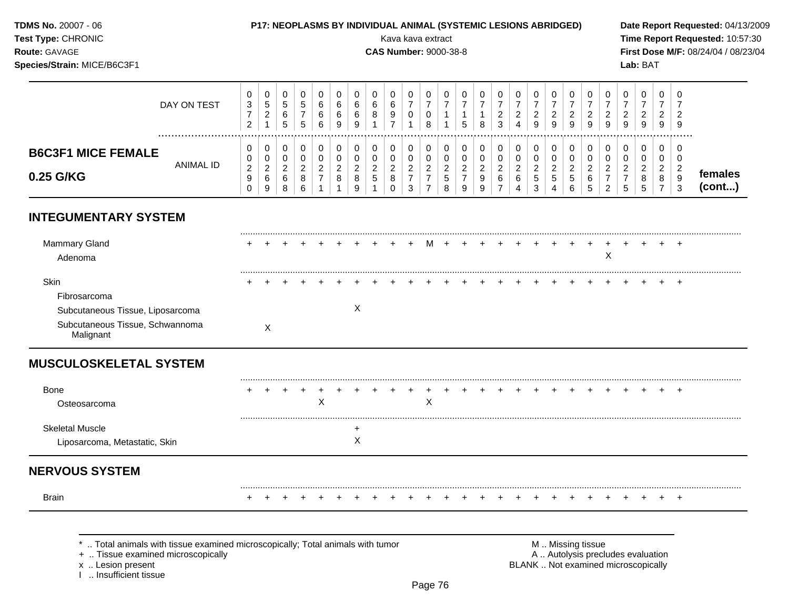#### **TDMS No.** 20007 - 06 **P17: NEOPLASMS BY INDIVIDUAL ANIMAL (SYSTEMIC LESIONS ABRIDGED) Date Report Requested:** 04/13/2009

**Species/Strain:** MICE/B6C3F1 **Lab:** BAT

**Test Type:** CHRONIC Kava kava extract **Time Report Requested:** 10:57:30 **Route:** GAVAGE **CAS Number:** 9000-38-8 **First Dose M/F:** 08/24/04 / 08/23/04

|                           | DAY ON TEST | U<br>ົ<br>J.<br>$\sim$<br>$\epsilon$ | U<br>G<br>▵      | ◡<br>N<br>.5            | 5           | v<br>6<br>6<br>6 | 6<br>9     | 0<br>6<br>6<br>9 | U<br>$\sim$<br>b<br>8       | u<br>9 |                                                  | u                       | نٽ | 0<br>8      | U<br><u>_</u><br>3 | 0<br>◠<br><u>_</u><br>9 | ⌒<br><u>_</u><br>9 | U<br><u>_</u><br>9              | v<br>_<br>9          | 0<br>◠<br><u>_</u><br>9 | <u>_</u><br>9      | y | 0<br>◠<br><u>.</u><br>9 | <b>U</b><br>$\sqrt{2}$<br>-<br>9 |                   |
|---------------------------|-------------|--------------------------------------|------------------|-------------------------|-------------|------------------|------------|------------------|-----------------------------|--------|--------------------------------------------------|-------------------------|----|-------------|--------------------|-------------------------|--------------------|---------------------------------|----------------------|-------------------------|--------------------|---|-------------------------|----------------------------------|-------------------|
| <b>B6C3F1 MICE FEMALE</b> | ANIMAL ID   | v<br>U<br>$\sim$                     | u<br>u<br>◠      | v                       | $\sim$      | υ<br>v<br>$\sim$ | $\sqrt{2}$ | 0<br>0<br>ີ      | U<br>◠<br>v<br><sup>o</sup> |        | U                                                | υ<br>u<br>ົ             |    | 0<br>U<br>◠ | υ<br><sup>o</sup>  | 0<br>0<br>◠             | $\sim$             | U<br>U<br>$\sqrt{2}$            | ν<br>U<br>$\sqrt{2}$ | υ<br>υ<br>$\sim$        | ◠                  |   | 0<br>0<br>◠             | -U<br><b>U</b><br>$\sim$         |                   |
| 0.25 G/KG                 |             | _<br>ູ<br>υ                          | _<br>⌒<br>U<br>9 | -<br>$\sim$<br>$\Omega$ | 8<br>$\sim$ | <u>.</u>         | O          | ▃<br>8<br>9      | G                           | _      | $\epsilon$<br>-<br>ົ<br>$\overline{\phantom{a}}$ | <u>.</u><br>∽<br>ິ<br>o | S  | ∼<br>9<br>9 | 6<br>-             | <sub>5</sub><br>◠<br>د  | _<br>5<br>4        | <u>.</u><br><u>_</u><br>نٽ<br>6 | 6<br>J               | _<br>⌒                  | <u>.</u><br>∽<br>J |   | <u>.</u><br>8           | 9<br>$\sim$                      | temales<br>(cont) |

### **INTEGUMENTARY SYSTEM**

| Mammary Gland<br>Adenoma         |   |  |  |   |  |  |  |  |  |  | ∧ |  | + |  |
|----------------------------------|---|--|--|---|--|--|--|--|--|--|---|--|---|--|
| Skin                             |   |  |  |   |  |  |  |  |  |  |   |  |   |  |
| Fibrosarcoma                     |   |  |  |   |  |  |  |  |  |  |   |  |   |  |
| Subcutaneous Tissue, Liposarcoma |   |  |  | ⌒ |  |  |  |  |  |  |   |  |   |  |
| Subcutaneous Tissue, Schwannoma  | X |  |  |   |  |  |  |  |  |  |   |  |   |  |

### **MUSCULOSKELETAL SYSTEM**

| Bone                                                    | ÷ |  |        |  |  |  |  |  |  |  |  |  | $+$ |  |
|---------------------------------------------------------|---|--|--------|--|--|--|--|--|--|--|--|--|-----|--|
| Osteosarcoma                                            |   |  | $\sim$ |  |  |  |  |  |  |  |  |  |     |  |
| <b>Skeletal Muscle</b><br>Liposarcoma, Metastatic, Skin |   |  |        |  |  |  |  |  |  |  |  |  |     |  |
|                                                         |   |  |        |  |  |  |  |  |  |  |  |  |     |  |

## **NERVOUS SYSTEM**

......................................................................................................................................................................................................... Brain + + + + + + + + + + + + + + + + + + + + + + + + +

\* .. Total animals with tissue examined microscopically; Total animals with tumor **M** . Missing tissue M .. Missing tissue<br>  $\blacksquare$  . Tissue examined microscopically<br>  $\blacksquare$  . Autolysis precludes evaluation

+ .. Tissue examined microscopically

I .. Insufficient tissue

x .. Lesion present **BLANK** .. Not examined microscopically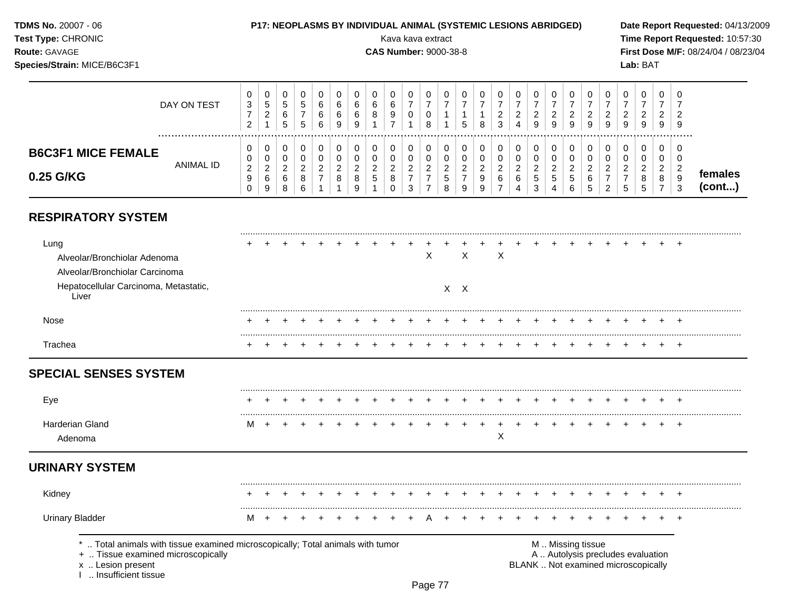#### **TDMS No.** 20007 - 06 **P17: NEOPLASMS BY INDIVIDUAL ANIMAL (SYSTEMIC LESIONS ABRIDGED) Date Report Requested:** 04/13/2009

**Species/Strain:** MICE/B6C3F1 **Lab:** BAT

**Test Type:** CHRONIC **Transfer CHRONIC** Kava Rava extract Kava extract **Time Report Requested:** 10:57:30 **Route:** GAVAGE **CAS Number:** 9000-38-8 **First Dose M/F:** 08/24/04 / 08/23/04

|                           | DAY ON TEST | U<br>3<br>$\sim$<br>$\epsilon$ | Đ<br>_ | 0<br>đ<br>6<br>b | 0<br>G<br>5 | 6<br>6<br>6 | 6<br>6<br>9 | 6<br>8            | 9 | 0<br>0             | U<br>U<br>8 |    | 0<br>5 | 8      | C<br>_<br>3 | υ<br>4      | 0<br>ົ<br><u>.</u><br>9 | U<br>∼<br>9                     | g | U<br>9      | <b>U</b><br>9 | ∼<br>9 | U<br>-<br>9          | 0<br>ົ<br><u>_</u><br>9 | -O<br>-9     |                   |
|---------------------------|-------------|--------------------------------|--------|------------------|-------------|-------------|-------------|-------------------|---|--------------------|-------------|----|--------|--------|-------------|-------------|-------------------------|---------------------------------|---|-------------|---------------|--------|----------------------|-------------------------|--------------|-------------------|
| <b>B6C3F1 MICE FEMALE</b> | ANIMAL ID   | U<br>U                         |        | 0<br>0           | 0<br>0      | u           |             | u                 |   | 0<br>0             | 0<br>υ      |    | 0      |        | ╰           | U<br>υ      | 0<br>0                  | ν                               |   |             |               |        | 0<br>v               | 0<br>0                  | - 0<br>0     |                   |
| 0.25 G/KG                 |             | ົ<br><u>_</u><br>9<br>O        | ົ<br>9 | $\sim$<br>6<br>8 | ົ<br>8<br>6 | ◠           | 8           | <sup>o</sup><br>5 | 8 | ົ<br><u>_</u><br>3 | ົ           | ÷. | -9     | 9<br>9 | 6<br>-      | ົ<br>⌒<br>Δ | ົ<br>$\sim$<br>5<br>3   | $\sim$<br>∼<br>$5^{\circ}$<br>4 | ು | ⌒<br>6<br>đ | ◠             | ∽      | $\sqrt{2}$<br>8<br>∽ | ົ<br>8                  | 9<br>っ<br>ĸ. | temales<br>(cont) |

## **RESPIRATORY SYSTEM**

| Lung<br>Alveolar/Bronchiolar Adenoma<br>Alveolar/Bronchiolar Carcinoma<br>Hepatocellular Carcinoma, Metastatic,<br>Liver                                          |   |  |  |  |  | X | $\times$<br>$X$ $X$ | $\times$ |  |                   |  |                                                                          |  |       |  |
|-------------------------------------------------------------------------------------------------------------------------------------------------------------------|---|--|--|--|--|---|---------------------|----------|--|-------------------|--|--------------------------------------------------------------------------|--|-------|--|
| Nose                                                                                                                                                              |   |  |  |  |  |   |                     |          |  |                   |  |                                                                          |  |       |  |
| Trachea                                                                                                                                                           |   |  |  |  |  |   |                     |          |  |                   |  |                                                                          |  |       |  |
| <b>SPECIAL SENSES SYSTEM</b>                                                                                                                                      |   |  |  |  |  |   |                     |          |  |                   |  |                                                                          |  |       |  |
| Eye                                                                                                                                                               |   |  |  |  |  |   |                     |          |  |                   |  |                                                                          |  |       |  |
| Harderian Gland<br>Adenoma                                                                                                                                        | M |  |  |  |  |   |                     | X        |  |                   |  |                                                                          |  | $\pm$ |  |
| <b>URINARY SYSTEM</b>                                                                                                                                             |   |  |  |  |  |   |                     |          |  |                   |  |                                                                          |  |       |  |
| Kidney                                                                                                                                                            |   |  |  |  |  |   |                     |          |  |                   |  |                                                                          |  |       |  |
| <b>Urinary Bladder</b>                                                                                                                                            | M |  |  |  |  |   |                     |          |  |                   |  |                                                                          |  |       |  |
| *  Total animals with tissue examined microscopically; Total animals with tumor<br>+  Tissue examined microscopically<br>x  Lesion present<br>Insufficient tissue |   |  |  |  |  |   |                     |          |  | M  Missing tissue |  | A  Autolysis precludes evaluation<br>BLANK  Not examined microscopically |  |       |  |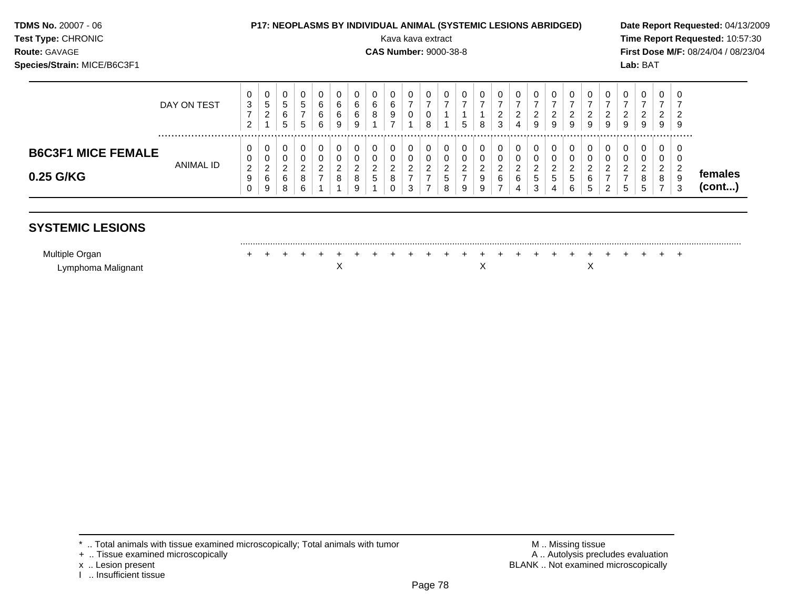| <b>TDMS No. 20007 - 06</b><br>Test Type: CHRONIC<br>Route: GAVAGE<br>Species/Strain: MICE/B6C3F1 |             |                          |                               |                  |                               |                                         |                               |                          |        | Kava kava extract<br><b>CAS Number: 9000-38-8</b> |                                    |             |                  |                | <b>P17: NEOPLASMS BY INDIVIDUAL ANIMAL (SYSTEMIC LESIONS ABRIDGED)</b> |                                         |                                    |                  |                     |                            |                     |                          |        | Lab: BAT                 |                          |         | Date Report Requested: 04/13/2009<br>Time Report Requested: 10:57:30<br>First Dose M/F: 08/24/04 / 08/23/04 |
|--------------------------------------------------------------------------------------------------|-------------|--------------------------|-------------------------------|------------------|-------------------------------|-----------------------------------------|-------------------------------|--------------------------|--------|---------------------------------------------------|------------------------------------|-------------|------------------|----------------|------------------------------------------------------------------------|-----------------------------------------|------------------------------------|------------------|---------------------|----------------------------|---------------------|--------------------------|--------|--------------------------|--------------------------|---------|-------------------------------------------------------------------------------------------------------------|
|                                                                                                  | DAY ON TEST | 0<br>3<br>$\overline{2}$ | 0<br>5<br>2                   | 0<br>5<br>6<br>5 | 0<br>5<br>$\overline{ }$<br>5 | 0<br>6<br>6<br>6                        | 0<br>6<br>6<br>9              | 0<br>6<br>6<br>9         | 6<br>8 | 6<br>9                                            | 0<br>$\overline{\phantom{a}}$<br>0 | 0<br>8      | 0                | 5              | $\mathbf{0}$<br>8                                                      | $\mathbf 0$<br>⇁<br>$\overline{2}$<br>3 | $\mathbf 0$<br>$\overline{2}$<br>4 | 0<br>2<br>9      | 0<br>2<br>9         | 0<br>$\overline{2}$<br>9   | $\overline{2}$<br>9 | 0<br>$\overline{2}$<br>9 | 2<br>9 | 0<br>$\overline{2}$<br>9 | 0<br>$\overline{2}$<br>9 | 0<br>-9 |                                                                                                             |
| <b>B6C3F1 MICE FEMALE</b><br>0.25 G/KG                                                           | ANIMAL ID   | 0<br>0<br>2<br>9         | U<br>0<br>$\overline{2}$<br>6 | 0<br>0<br>2<br>6 | 0<br>0<br>ົ<br>8              | $\mathbf 0$<br>0<br>2<br>$\overline{ }$ | 0<br>0<br>$\overline{2}$<br>8 | 0<br>$\overline{2}$<br>8 | ◠<br>5 |                                                   | 0<br>0<br>$\overline{2}$<br>⇁      | 0<br>0<br>2 | 0<br>0<br>2<br>5 | $\overline{2}$ | 0<br>0<br>ົ<br>9                                                       | $\mathbf 0$<br>0<br>$\overline{2}$<br>6 | 0<br>0<br>2<br>6                   | 0<br>0<br>2<br>5 | $\overline{2}$<br>5 | $\mathbf 0$<br>0<br>ົ<br>5 | 6                   | 0<br>0<br>$\overline{2}$ | 2      | 0<br>0<br>2<br>8         | 0<br>0<br>2<br>8         | -0<br>0 | temales                                                                                                     |

Multiple Organ + + + + + + + + + + + + + + + + + + + + + + + + +

Lymphoma Malignant X X X

.........................................................................................................................................................................................................

#### $^*$  .. Total animals with tissue examined microscopically; Total animals with tumor  $\blacksquare$  M .. Missing tissue

**(cont...)**

- 
- 

**SYSTEMIC LESIONS**

x .. Lesion present<br>I .. Insufficient tissue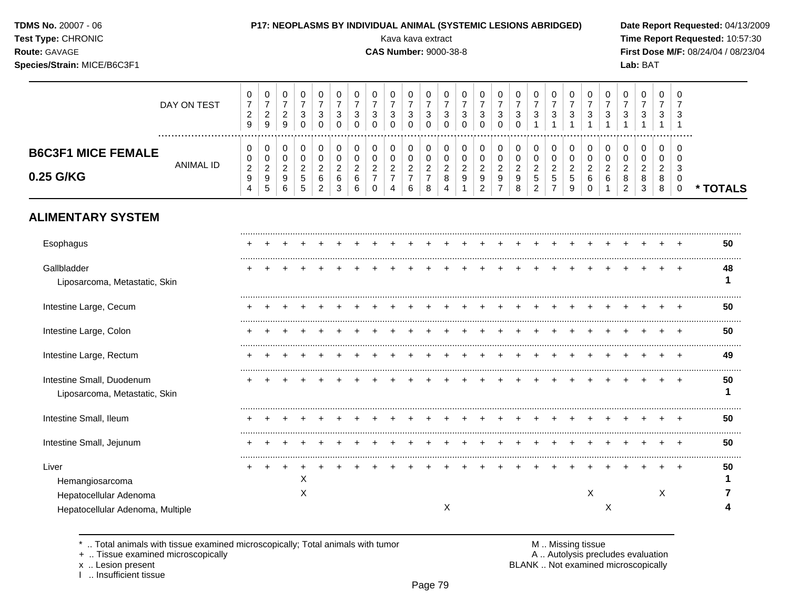#### **TDMS No.** 20007 - 06 **P17: NEOPLASMS BY INDIVIDUAL ANIMAL (SYSTEMIC LESIONS ABRIDGED) Date Report Requested:** 04/13/2009

**Test Type:** CHRONIC Kava kava extract **Time Report Requested:** 10:57:30 **Route:** GAVAGE **CAS Number:** 9000-38-8 **First Dose M/F:** 08/24/04 / 08/23/04 **Species/Strain:** MICE/B6C3F1 **Lab:** BAT

#### DAY ON TEST  $\overline{7}$   $\bar{7}$   $\overline{7}$   $\overline{7}$   $\overline{7}$   $\overline{7}$   $\overline{7}$   $\overline{7}$   $\overline{7}$   $\overline{7}$   $\bar{7}$   $\overline{7}$   $\overline{7}$   $\bar{7}$  ................................................................................................................................................................. **B6C3F1 MICE FEMALE** ANIMAL ID **0.25 G/KG \* TOTALS**

# **ALIMENTARY SYSTEM**

| Esophagus                        |  |   |  |  |  |   |  |  |  |   |   |  |   | 50 |
|----------------------------------|--|---|--|--|--|---|--|--|--|---|---|--|---|----|
| Gallbladder                      |  |   |  |  |  |   |  |  |  |   |   |  |   | 48 |
| Liposarcoma, Metastatic, Skin    |  |   |  |  |  |   |  |  |  |   |   |  |   |    |
| Intestine Large, Cecum           |  |   |  |  |  |   |  |  |  |   |   |  |   | 50 |
| Intestine Large, Colon           |  |   |  |  |  |   |  |  |  |   |   |  |   | 50 |
| Intestine Large, Rectum          |  |   |  |  |  |   |  |  |  |   |   |  |   | 49 |
| Intestine Small, Duodenum        |  |   |  |  |  |   |  |  |  |   |   |  |   | 50 |
| Liposarcoma, Metastatic, Skin    |  |   |  |  |  |   |  |  |  |   |   |  |   |    |
| Intestine Small, Ileum           |  |   |  |  |  |   |  |  |  |   |   |  |   | 50 |
| Intestine Small, Jejunum         |  |   |  |  |  |   |  |  |  |   |   |  |   | 50 |
| Liver                            |  |   |  |  |  |   |  |  |  |   |   |  |   | 50 |
| Hemangiosarcoma                  |  | х |  |  |  |   |  |  |  |   |   |  |   |    |
| Hepatocellular Adenoma           |  | х |  |  |  |   |  |  |  | Χ |   |  | X |    |
| Hepatocellular Adenoma, Multiple |  |   |  |  |  | X |  |  |  |   | ∧ |  |   |    |

\* .. Total animals with tissue examined microscopically; Total animals with tumor  $\blacksquare$  M .. Missing tissue<br>A .. Autolysis prection of the microscopically

I .. Insufficient tissue

+ .. Tissue examined microscopically <br>  $\times$  .. Autolysis precludes evaluation<br>  $\times$  .. Lesion present and microscopically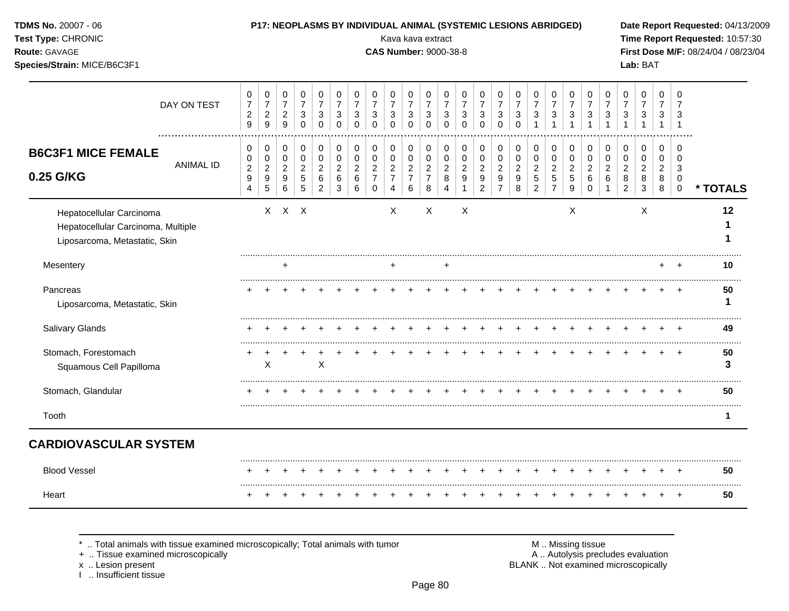| TDMS No. 20007 - 06<br>Test Type: CHRONIC<br>Route: GAVAGE<br>Species/Strain: MICE/B6C3F1       |                  |                                                                  |                                                                      |                                                                       |                                                                 |                                                                     |                                                                 |                                                     |                                                                            |                                                 | <b>P17: NEOPLASMS BY INDIVIDUAL ANIMAL (SYSTEMIC LESIONS ABRIDGED)</b><br>Kava kava extract<br><b>CAS Number: 9000-38-8</b> |                                                           |                                                                          |                                                     |                                                                     |                                                           |                                                  |                                                        |                                                 |                                                           |                                                     |                                                   |                                                           | Lab: BAT                                            |                                     |                                                      | Date Report Requested: 04/13/2009<br>Time Report Requested: 10:57:30<br>First Dose M/F: 08/24/04 / 08/23/04 |
|-------------------------------------------------------------------------------------------------|------------------|------------------------------------------------------------------|----------------------------------------------------------------------|-----------------------------------------------------------------------|-----------------------------------------------------------------|---------------------------------------------------------------------|-----------------------------------------------------------------|-----------------------------------------------------|----------------------------------------------------------------------------|-------------------------------------------------|-----------------------------------------------------------------------------------------------------------------------------|-----------------------------------------------------------|--------------------------------------------------------------------------|-----------------------------------------------------|---------------------------------------------------------------------|-----------------------------------------------------------|--------------------------------------------------|--------------------------------------------------------|-------------------------------------------------|-----------------------------------------------------------|-----------------------------------------------------|---------------------------------------------------|-----------------------------------------------------------|-----------------------------------------------------|-------------------------------------|------------------------------------------------------|-------------------------------------------------------------------------------------------------------------|
|                                                                                                 | DAY ON TEST      | 0<br>$\overline{7}$<br>$\overline{c}$<br>$\boldsymbol{9}$        | 0<br>$\overline{7}$<br>$\overline{a}$<br>$\boldsymbol{9}$            | 0<br>$\overline{7}$<br>$\sqrt{2}$<br>$\boldsymbol{9}$                 | 0<br>$\overline{7}$<br>$\mathbf{3}$<br>$\mathbf 0$              | $\mathbf 0$<br>$\overline{7}$<br>3<br>$\Omega$                      | 0<br>$\overline{7}$<br>$\ensuremath{\mathsf{3}}$<br>$\mathbf 0$ | 0<br>$\overline{7}$<br>3<br>$\Omega$                | 0<br>$\overline{7}$<br>3<br>$\Omega$                                       | 0<br>$\overline{7}$<br>3<br>$\Omega$            | 0<br>$\overline{7}$<br>3<br>$\mathbf 0$                                                                                     | 0<br>$\overline{7}$<br>$\mathbf{3}$<br>$\Omega$           | 0<br>$\overline{7}$<br>3<br>$\mathbf 0$                                  | 0<br>$\overline{7}$<br>3<br>$\Omega$                | 0<br>$\overline{7}$<br>3<br>$\Omega$                                | 0<br>$\overline{7}$<br>3<br>$\Omega$                      | 0<br>$\overline{7}$<br>$\sqrt{3}$<br>$\mathbf 0$ | 0<br>$\overline{7}$<br>3                               | 0<br>$\overline{7}$<br>3                        | $\mathbf 0$<br>$\overline{7}$<br>3                        | 0<br>$\overline{7}$<br>3                            | $\mathbf 0$<br>$\overline{7}$<br>3                | 0<br>$\overline{7}$<br>3                                  | 0<br>$\overline{7}$<br>3                            | $\mathbf 0$<br>$\overline{7}$<br>3  | $\Omega$<br>$\overline{1}$                           |                                                                                                             |
| <b>B6C3F1 MICE FEMALE</b><br>0.25 G/KG                                                          | <b>ANIMAL ID</b> | 0<br>0<br>$\boldsymbol{2}$<br>$\boldsymbol{9}$<br>$\overline{4}$ | 0<br>$\mathbf 0$<br>$\overline{c}$<br>$\boldsymbol{9}$<br>$\sqrt{5}$ | $\mathbf 0$<br>$\mathbf 0$<br>$\overline{c}$<br>$\boldsymbol{9}$<br>6 | $\mathbf 0$<br>$\mathbf 0$<br>$\overline{c}$<br>$\sqrt{5}$<br>5 | $\mathbf 0$<br>$\mathbf 0$<br>$\overline{c}$<br>6<br>$\overline{2}$ | 0<br>$\mathbf 0$<br>$\sqrt{2}$<br>$\,6\,$<br>3                  | $\Omega$<br>$\mathbf 0$<br>$\overline{2}$<br>6<br>6 | $\Omega$<br>$\mathbf 0$<br>$\overline{c}$<br>$\overline{7}$<br>$\mathbf 0$ | 0<br>0<br>$\overline{c}$<br>$\overline{7}$<br>4 | 0<br>$\mathbf 0$<br>$\overline{c}$<br>$\overline{7}$<br>6                                                                   | 0<br>$\mathbf 0$<br>$\overline{2}$<br>$\overline{7}$<br>8 | $\mathbf 0$<br>$\mathbf 0$<br>$\overline{2}$<br>$\bf8$<br>$\overline{4}$ | $\mathbf 0$<br>$\mathbf 0$<br>$\boldsymbol{2}$<br>9 | $\mathbf 0$<br>$\mathbf 0$<br>$\overline{2}$<br>9<br>$\overline{2}$ | 0<br>$\mathbf 0$<br>$\overline{c}$<br>9<br>$\overline{7}$ | 0<br>$\mathbf 0$<br>$\overline{c}$<br>9<br>8     | $\Omega$<br>0<br>$\overline{c}$<br>5<br>$\overline{a}$ | 0<br>0<br>$\overline{c}$<br>5<br>$\overline{7}$ | 0<br>$\mathbf 0$<br>$\overline{2}$<br>$\overline{5}$<br>9 | 0<br>$\mathbf 0$<br>$\overline{2}$<br>6<br>$\Omega$ | $\Omega$<br>$\pmb{0}$<br>$\overline{c}$<br>6<br>1 | 0<br>$\mathbf 0$<br>$\overline{c}$<br>8<br>$\overline{2}$ | $\Omega$<br>$\mathbf 0$<br>$\overline{2}$<br>8<br>3 | $\Omega$<br>$\Omega$<br>2<br>8<br>8 | $\Omega$<br>$\Omega$<br>3<br>$\Omega$<br>$\mathbf 0$ | * TOTALS                                                                                                    |
| Hepatocellular Carcinoma<br>Hepatocellular Carcinoma, Multiple<br>Liposarcoma, Metastatic, Skin |                  |                                                                  |                                                                      | $X$ $X$ $X$                                                           |                                                                 |                                                                     |                                                                 |                                                     |                                                                            | X                                               |                                                                                                                             | X                                                         |                                                                          | $\times$                                            |                                                                     |                                                           |                                                  |                                                        |                                                 | X                                                         |                                                     |                                                   |                                                           | X                                                   |                                     |                                                      | 12                                                                                                          |
| Mesentery                                                                                       |                  |                                                                  |                                                                      |                                                                       |                                                                 |                                                                     |                                                                 |                                                     |                                                                            | $\pm$                                           |                                                                                                                             |                                                           |                                                                          |                                                     |                                                                     |                                                           |                                                  |                                                        |                                                 |                                                           |                                                     |                                                   |                                                           |                                                     |                                     | $+$                                                  | 10                                                                                                          |
| Pancreas<br>Liposarcoma, Metastatic, Skin                                                       |                  |                                                                  |                                                                      |                                                                       |                                                                 |                                                                     |                                                                 |                                                     |                                                                            |                                                 |                                                                                                                             |                                                           |                                                                          |                                                     |                                                                     |                                                           |                                                  |                                                        |                                                 |                                                           |                                                     |                                                   |                                                           |                                                     |                                     | $+$                                                  | 50<br>$\blacktriangleleft$                                                                                  |
| Salivary Glands                                                                                 |                  |                                                                  |                                                                      |                                                                       |                                                                 |                                                                     |                                                                 |                                                     |                                                                            |                                                 |                                                                                                                             |                                                           |                                                                          |                                                     |                                                                     |                                                           |                                                  |                                                        |                                                 |                                                           |                                                     |                                                   |                                                           |                                                     |                                     |                                                      | 49                                                                                                          |
| Stomach, Forestomach<br>Squamous Cell Papilloma                                                 |                  |                                                                  | X                                                                    |                                                                       |                                                                 | X                                                                   |                                                                 |                                                     |                                                                            |                                                 |                                                                                                                             |                                                           |                                                                          |                                                     |                                                                     |                                                           |                                                  |                                                        |                                                 |                                                           |                                                     |                                                   |                                                           |                                                     |                                     |                                                      | 50<br>3                                                                                                     |
| Stomach, Glandular                                                                              |                  |                                                                  |                                                                      |                                                                       |                                                                 |                                                                     |                                                                 |                                                     |                                                                            |                                                 |                                                                                                                             |                                                           |                                                                          |                                                     |                                                                     |                                                           |                                                  |                                                        |                                                 |                                                           |                                                     |                                                   |                                                           |                                                     |                                     |                                                      | 50                                                                                                          |
| Tooth                                                                                           |                  |                                                                  |                                                                      |                                                                       |                                                                 |                                                                     |                                                                 |                                                     |                                                                            |                                                 |                                                                                                                             |                                                           |                                                                          |                                                     |                                                                     |                                                           |                                                  |                                                        |                                                 |                                                           |                                                     |                                                   |                                                           |                                                     |                                     |                                                      | 1                                                                                                           |
| <b>CARDIOVASCULAR SYSTEM</b>                                                                    |                  |                                                                  |                                                                      |                                                                       |                                                                 |                                                                     |                                                                 |                                                     |                                                                            |                                                 |                                                                                                                             |                                                           |                                                                          |                                                     |                                                                     |                                                           |                                                  |                                                        |                                                 |                                                           |                                                     |                                                   |                                                           |                                                     |                                     |                                                      |                                                                                                             |
| <b>Blood Vessel</b>                                                                             |                  |                                                                  |                                                                      |                                                                       |                                                                 |                                                                     |                                                                 |                                                     |                                                                            |                                                 |                                                                                                                             |                                                           |                                                                          |                                                     |                                                                     |                                                           |                                                  |                                                        |                                                 |                                                           |                                                     |                                                   |                                                           |                                                     |                                     |                                                      | <br>50                                                                                                      |
| Heart                                                                                           |                  |                                                                  |                                                                      |                                                                       |                                                                 |                                                                     |                                                                 |                                                     |                                                                            |                                                 |                                                                                                                             |                                                           |                                                                          |                                                     |                                                                     |                                                           |                                                  |                                                        |                                                 |                                                           |                                                     |                                                   |                                                           |                                                     |                                     | $\ddot{}$                                            | 50                                                                                                          |

+ .. Tissue examined microscopically  $\blacksquare$  A .. Autolysis precludes evaluation

x .. Lesion present<br>I .. Insufficient tissue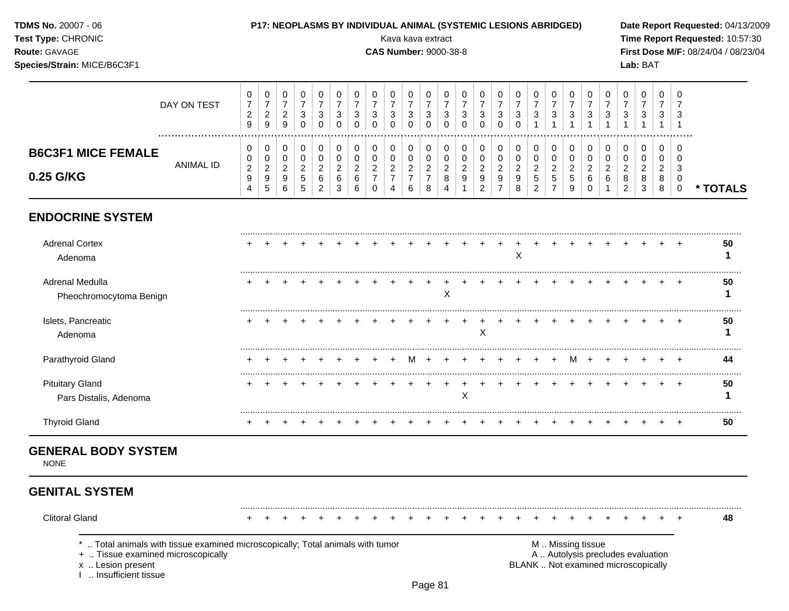| TDMS No. 20007 - 06<br>Test Type: CHRONIC<br>Route: GAVAGE<br>Species/Strain: MICE/B6C3F1 |                  |                                                   |                                               |                                                               |                                                                         |                                               |                                                              |                                                      |                                               | P17: NEOPLASMS BY INDIVIDUAL ANIMAL (SYSTEMIC LESIONS ABRIDGED)<br>Kava kava extract<br><b>CAS Number: 9000-38-8</b> |                                               |                                                       |                                              |                                      |                                                 |                                                        |                                                |                                                 |                                     |                                                 |                                                 |                                         |                                                 | Lab: BAT    |                          |                              | Date Report Requested: 04/13/2009<br>Time Report Requested: 10:57:30<br>First Dose M/F: 08/24/04 / 08/23/04 |
|-------------------------------------------------------------------------------------------|------------------|---------------------------------------------------|-----------------------------------------------|---------------------------------------------------------------|-------------------------------------------------------------------------|-----------------------------------------------|--------------------------------------------------------------|------------------------------------------------------|-----------------------------------------------|----------------------------------------------------------------------------------------------------------------------|-----------------------------------------------|-------------------------------------------------------|----------------------------------------------|--------------------------------------|-------------------------------------------------|--------------------------------------------------------|------------------------------------------------|-------------------------------------------------|-------------------------------------|-------------------------------------------------|-------------------------------------------------|-----------------------------------------|-------------------------------------------------|-------------|--------------------------|------------------------------|-------------------------------------------------------------------------------------------------------------|
|                                                                                           | DAY ON TEST<br>. | 0<br>$\overline{7}$<br>$\overline{c}$<br>9        | 0<br>$\boldsymbol{7}$<br>$\sqrt{2}$<br>9      | 0<br>$\boldsymbol{7}$<br>$\sqrt{2}$<br>$\boldsymbol{9}$       | $\pmb{0}$<br>$\overline{7}$<br>$\ensuremath{\mathsf{3}}$<br>$\mathbf 0$ | 0<br>$\overline{7}$<br>$\sqrt{3}$<br>$\Omega$ | 0<br>$\overline{7}$<br>$\ensuremath{\mathsf{3}}$<br>$\Omega$ | 0<br>$\overline{7}$<br>$\sqrt{3}$<br>$\Omega$        | 0<br>$\overline{7}$<br>$\sqrt{3}$<br>$\Omega$ | 0<br>$\overline{7}$<br>3<br>$\Omega$                                                                                 | 0<br>$\overline{7}$<br>$\sqrt{3}$<br>$\Omega$ | 0<br>$\overline{7}$<br>$\mathfrak{3}$<br>$\Omega$     | 0<br>$\overline{7}$<br>3<br>$\Omega$         | 0<br>$\overline{7}$<br>3<br>$\Omega$ | 0<br>$\overline{7}$<br>$\mathbf{3}$<br>$\Omega$ | 0<br>$\overline{7}$<br>$\sqrt{3}$<br>$\Omega$          | 0<br>$\overline{7}$<br>$\mathsf 3$<br>$\Omega$ | 0<br>$\overline{7}$<br>3                        | 0<br>$\overline{7}$<br>$\mathbf{3}$ | 0<br>$\overline{7}$<br>$\sqrt{3}$               | 0<br>$\overline{7}$<br>$\mathbf{3}$             | 0<br>$\overline{7}$<br>$\mathbf{3}$     | 0<br>$\overline{7}$<br>3                        | 0<br>7<br>3 | 0<br>$\overline{7}$<br>3 | 0                            |                                                                                                             |
| <b>B6C3F1 MICE FEMALE</b><br>0.25 G/KG                                                    | <b>ANIMAL ID</b> | 0<br>0<br>$\overline{c}$<br>$\boldsymbol{9}$<br>4 | 0<br>0<br>$\sqrt{2}$<br>$\boldsymbol{9}$<br>5 | 0<br>$\mathbf 0$<br>$\boldsymbol{2}$<br>$\boldsymbol{9}$<br>6 | 0<br>0<br>$\boldsymbol{2}$<br>$\sqrt{5}$<br>5                           | 0<br>0<br>$\sqrt{2}$<br>$\,6$<br>2            | 0<br>$\pmb{0}$<br>$\boldsymbol{2}$<br>$\,6\,$<br>3           | 0<br>$\mathbf 0$<br>$\boldsymbol{2}$<br>$\,6\,$<br>6 | 0<br>0<br>$\overline{c}$<br>$\Omega$          | 0<br>0<br>$\overline{c}$<br>$\overline{7}$                                                                           | 0<br>0<br>$\mathbf 2$<br>$\overline{7}$<br>6  | 0<br>$\mathbf 0$<br>$\sqrt{2}$<br>$\overline{7}$<br>8 | 0<br>$\pmb{0}$<br>$\boldsymbol{2}$<br>8<br>4 | 0<br>0<br>$\overline{2}$             | 0<br>0<br>$\sqrt{2}$<br>9<br>$\overline{2}$     | 0<br>$\mathbf 0$<br>$\overline{2}$<br>$\boldsymbol{9}$ | 0<br>$\mathbf 0$<br>$\boldsymbol{2}$<br>8      | 0<br>0<br>$\overline{c}$<br>5<br>$\overline{2}$ | 0<br>0<br>$\overline{c}$            | 0<br>0<br>$\overline{c}$<br>$\overline{5}$<br>9 | 0<br>$\mathbf 0$<br>$\sqrt{2}$<br>6<br>$\Omega$ | 0<br>$\mathbf 0$<br>$\overline{c}$<br>6 | 0<br>0<br>$\overline{c}$<br>8<br>$\overline{2}$ | 0<br>0<br>3 | 0<br>0<br>2<br>8<br>8    | 0<br>$\Omega$<br>$\mathbf 0$ | * TOTALS                                                                                                    |
| <b>ENDOCRINE SYSTEM</b>                                                                   |                  |                                                   |                                               |                                                               |                                                                         |                                               |                                                              |                                                      |                                               |                                                                                                                      |                                               |                                                       |                                              |                                      |                                                 |                                                        |                                                |                                                 |                                     |                                                 |                                                 |                                         |                                                 |             |                          |                              |                                                                                                             |
| <b>Adrenal Cortex</b><br>Adenoma                                                          |                  |                                                   |                                               |                                                               |                                                                         |                                               |                                                              |                                                      |                                               |                                                                                                                      |                                               |                                                       |                                              |                                      |                                                 |                                                        | X                                              |                                                 |                                     |                                                 |                                                 |                                         |                                                 |             |                          |                              | 50<br>1                                                                                                     |
| Adrenal Medulla<br>Pheochromocytoma Benign                                                |                  |                                                   |                                               |                                                               |                                                                         |                                               |                                                              |                                                      |                                               |                                                                                                                      |                                               |                                                       | X                                            |                                      |                                                 |                                                        |                                                |                                                 |                                     |                                                 |                                                 |                                         |                                                 |             |                          |                              | 50                                                                                                          |
| Islets, Pancreatic<br>Adenoma                                                             |                  |                                                   |                                               |                                                               |                                                                         |                                               |                                                              |                                                      |                                               |                                                                                                                      |                                               |                                                       |                                              |                                      | X                                               |                                                        |                                                |                                                 |                                     |                                                 |                                                 |                                         |                                                 |             |                          | $\overline{+}$               | 50<br>1                                                                                                     |
| Parathyroid Gland                                                                         |                  |                                                   |                                               |                                                               |                                                                         |                                               |                                                              |                                                      |                                               |                                                                                                                      |                                               | M +                                                   |                                              |                                      |                                                 |                                                        |                                                | $+$                                             | $+$                                 | $M +$                                           |                                                 |                                         |                                                 |             |                          |                              | 44                                                                                                          |
| <b>Pituitary Gland</b><br>Pars Distalis, Adenoma                                          |                  | $\ddot{}$                                         |                                               |                                                               |                                                                         |                                               |                                                              |                                                      |                                               |                                                                                                                      |                                               |                                                       |                                              | X                                    |                                                 |                                                        |                                                |                                                 |                                     |                                                 |                                                 |                                         |                                                 |             |                          | $\pm$                        | 50<br>1                                                                                                     |
| <b>Thyroid Gland</b>                                                                      |                  |                                                   |                                               |                                                               |                                                                         |                                               |                                                              |                                                      |                                               |                                                                                                                      |                                               |                                                       |                                              |                                      |                                                 |                                                        |                                                |                                                 |                                     |                                                 |                                                 |                                         |                                                 |             |                          | $\overline{+}$               | 50                                                                                                          |

# **GENERAL BODY SYSTEM**

NONE

## **GENITAL SYSTEM**

Clitoral Gland + + + + + + + + + + + + + + + + + + + + + + + + + **48**

\* .. Total animals with tissue examined microscopically; Total animals with tumor **M** metal metal M .. Missing tissue<br>  $\blacksquare$  . Tissue examined microscopically

+ .. Tissue examined microscopically

x .. Lesion present<br>I .. Insufficient tissue

BLANK .. Not examined microscopically

.........................................................................................................................................................................................................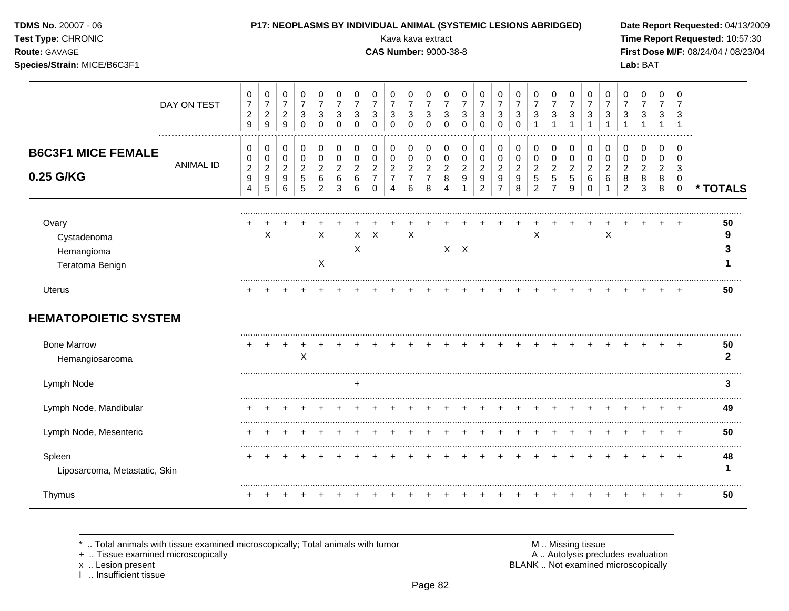| TDMS No. 20007 - 06<br>Test Type: CHRONIC<br>Route: GAVAGE<br>Species/Strain: MICE/B6C3F1 |                  |                                                                  |                                                             |                                                                  |                                            |                                                             |                                                  |                                                              |                                                                     | Kava kava extract<br><b>CAS Number: 9000-38-8</b>                      |                                                             |                                                                           |                                                           |                                         | P17: NEOPLASMS BY INDIVIDUAL ANIMAL (SYSTEMIC LESIONS ABRIDGED)          |                                                                      |                                                |                                                 |                                                             |                                                           |                                                          |                                                       |                                                           | Lab: BAT                                                      |                                              |                                         | Date Report Requested: 04/13/2009<br>Time Report Requested: 10:57:30<br>First Dose M/F: 08/24/04 / 08/23/04 |
|-------------------------------------------------------------------------------------------|------------------|------------------------------------------------------------------|-------------------------------------------------------------|------------------------------------------------------------------|--------------------------------------------|-------------------------------------------------------------|--------------------------------------------------|--------------------------------------------------------------|---------------------------------------------------------------------|------------------------------------------------------------------------|-------------------------------------------------------------|---------------------------------------------------------------------------|-----------------------------------------------------------|-----------------------------------------|--------------------------------------------------------------------------|----------------------------------------------------------------------|------------------------------------------------|-------------------------------------------------|-------------------------------------------------------------|-----------------------------------------------------------|----------------------------------------------------------|-------------------------------------------------------|-----------------------------------------------------------|---------------------------------------------------------------|----------------------------------------------|-----------------------------------------|-------------------------------------------------------------------------------------------------------------|
|                                                                                           | DAY ON TEST      | 0<br>$\boldsymbol{7}$<br>$\boldsymbol{2}$<br>9                   | 0<br>$\boldsymbol{7}$<br>$\overline{2}$<br>9                | 0<br>$\overline{7}$<br>$\overline{2}$<br>9                       | 0<br>$\overline{7}$<br>3<br>$\Omega$       | 0<br>$\overline{7}$<br>$\mathbf{3}$<br>$\Omega$             | 0<br>$\overline{7}$<br>3<br>$\Omega$             | 0<br>$\overline{7}$<br>$\ensuremath{\mathsf{3}}$<br>$\Omega$ | 0<br>$\overline{7}$<br>$\sqrt{3}$<br>$\mathbf 0$                    | 0<br>$\overline{7}$<br>$\mathbf{3}$<br>$\Omega$                        | $\pmb{0}$<br>$\overline{7}$<br>$\sqrt{3}$<br>$\Omega$       | $\mathbf 0$<br>$\overline{7}$<br>$\ensuremath{\mathsf{3}}$<br>$\mathbf 0$ | 0<br>$\overline{7}$<br>$\sqrt{3}$<br>$\Omega$             | 0<br>$\overline{7}$<br>3<br>$\Omega$    | 0<br>$\overline{7}$<br>3<br>$\Omega$                                     | 0<br>$\boldsymbol{7}$<br>3<br>$\Omega$                               | 0<br>$\overline{7}$<br>3<br>$\Omega$           | 0<br>$\overline{7}$<br>3                        | 0<br>$\overline{7}$<br>3<br>$\overline{1}$                  | 0<br>$\overline{7}$<br>3<br>$\mathbf{1}$                  | 0<br>$\overline{7}$<br>3<br>$\overline{1}$               | 0<br>$\overline{7}$<br>3<br>$\mathbf{1}$              | 0<br>$\overline{7}$<br>3                                  | 0<br>$\overline{7}$<br>3                                      | 0<br>$\overline{7}$<br>3<br>$\overline{1}$   | 0<br>$\overline{7}$<br>3<br>$\mathbf 1$ |                                                                                                             |
| <b>B6C3F1 MICE FEMALE</b><br>0.25 G/KG                                                    | <b>ANIMAL ID</b> | 0<br>0<br>$\boldsymbol{2}$<br>$\boldsymbol{9}$<br>$\overline{4}$ | 0<br>$\pmb{0}$<br>$\boldsymbol{2}$<br>$\boldsymbol{9}$<br>5 | 0<br>$\overline{0}$<br>$\sqrt{2}$<br>$\boldsymbol{9}$<br>$\,6\,$ | 0<br>$\pmb{0}$<br>$\overline{c}$<br>5<br>5 | 0<br>$\mathbf 0$<br>$\boldsymbol{2}$<br>6<br>$\overline{2}$ | 0<br>$\mathbf 0$<br>$\overline{c}$<br>$\,6$<br>3 | 0<br>$\pmb{0}$<br>$\overline{c}$<br>$\,6$<br>6               | 0<br>$\pmb{0}$<br>$\boldsymbol{2}$<br>$\overline{7}$<br>$\mathbf 0$ | 0<br>$\mathbf 0$<br>$\overline{c}$<br>$\overline{7}$<br>$\overline{4}$ | 0<br>$\mathbf 0$<br>$\boldsymbol{2}$<br>$\overline{7}$<br>6 | $\pmb{0}$<br>$\pmb{0}$<br>$\sqrt{2}$<br>$\overline{7}$<br>8               | 0<br>$\mathbf 0$<br>$\overline{c}$<br>8<br>$\overline{4}$ | 0<br>$\mathbf 0$<br>$\overline{2}$<br>9 | 0<br>$\mathbf 0$<br>$\overline{c}$<br>$\boldsymbol{9}$<br>$\overline{2}$ | 0<br>$\mathbf 0$<br>$\sqrt{2}$<br>$\boldsymbol{9}$<br>$\overline{7}$ | 0<br>$\mathbf 0$<br>$\boldsymbol{2}$<br>9<br>8 | 0<br>0<br>$\overline{c}$<br>5<br>$\overline{2}$ | 0<br>$\mathbf 0$<br>$\boldsymbol{2}$<br>5<br>$\overline{7}$ | 0<br>$\mathbf 0$<br>$\overline{c}$<br>5<br>$\overline{9}$ | 0<br>$\pmb{0}$<br>$\overline{c}$<br>$\,6$<br>$\mathbf 0$ | 0<br>$\pmb{0}$<br>$\overline{c}$<br>6<br>$\mathbf{1}$ | 0<br>$\mathbf 0$<br>$\overline{c}$<br>8<br>$\overline{2}$ | 0<br>$\pmb{0}$<br>$\boldsymbol{2}$<br>$\bf 8$<br>$\mathbf{3}$ | 0<br>$\mathbf 0$<br>$\overline{2}$<br>8<br>8 | 0<br>$\Omega$<br>3<br>0<br>$\pmb{0}$    | * TOTALS                                                                                                    |
| Ovary<br>Cystadenoma<br>Hemangioma<br>Teratoma Benign                                     |                  |                                                                  | X                                                           |                                                                  |                                            | X<br>X                                                      |                                                  | X                                                            | $X$ $X$                                                             |                                                                        | $\boldsymbol{\mathsf{X}}$                                   |                                                                           |                                                           | $X$ $X$                                 |                                                                          |                                                                      |                                                | X                                               |                                                             |                                                           |                                                          | $\times$                                              |                                                           |                                                               |                                              |                                         | 50<br>9<br>3                                                                                                |
| <b>Uterus</b>                                                                             |                  |                                                                  | $\div$                                                      |                                                                  |                                            |                                                             |                                                  |                                                              |                                                                     |                                                                        |                                                             |                                                                           |                                                           |                                         |                                                                          |                                                                      |                                                |                                                 |                                                             |                                                           |                                                          |                                                       |                                                           |                                                               | $\pm$                                        | $\pm$                                   | 50                                                                                                          |
| <b>HEMATOPOIETIC SYSTEM</b><br><b>Bone Marrow</b><br>Hemangiosarcoma                      |                  |                                                                  |                                                             |                                                                  | $\pmb{\times}$                             |                                                             |                                                  |                                                              |                                                                     |                                                                        |                                                             |                                                                           |                                                           |                                         |                                                                          |                                                                      |                                                |                                                 |                                                             |                                                           |                                                          |                                                       |                                                           |                                                               |                                              |                                         | 50<br>$\mathbf{2}$                                                                                          |
| Lymph Node                                                                                |                  |                                                                  |                                                             |                                                                  |                                            |                                                             |                                                  | $\ddot{}$                                                    |                                                                     |                                                                        |                                                             |                                                                           |                                                           |                                         |                                                                          |                                                                      |                                                |                                                 |                                                             |                                                           |                                                          |                                                       |                                                           |                                                               |                                              |                                         | 3                                                                                                           |
| Lymph Node, Mandibular                                                                    |                  |                                                                  |                                                             |                                                                  |                                            |                                                             |                                                  |                                                              |                                                                     |                                                                        |                                                             |                                                                           |                                                           |                                         |                                                                          |                                                                      |                                                |                                                 |                                                             |                                                           |                                                          |                                                       |                                                           |                                                               |                                              |                                         | 49                                                                                                          |
| Lymph Node, Mesenteric                                                                    |                  |                                                                  | $\div$                                                      |                                                                  |                                            |                                                             |                                                  |                                                              |                                                                     |                                                                        |                                                             | $\div$                                                                    |                                                           |                                         |                                                                          | $\overline{ }$                                                       | $\div$                                         | $\div$                                          |                                                             | $\div$                                                    | $\ddot{}$                                                | $\div$                                                |                                                           |                                                               | $\pm$                                        | $+$                                     | 50                                                                                                          |
| Spleen<br>Liposarcoma, Metastatic, Skin                                                   |                  | $\pm$                                                            | $^{+}$                                                      | $^{+}$                                                           | $\pm$                                      |                                                             | $\overline{+}$                                   | $\overline{+}$                                               | $\div$                                                              |                                                                        |                                                             |                                                                           |                                                           |                                         |                                                                          | $\ddot{}$                                                            |                                                |                                                 |                                                             | $\overline{+}$                                            | $+$                                                      | $+$                                                   | $\pm$                                                     | $\pm$                                                         | $+$                                          | $+$                                     | .<br>48<br>1                                                                                                |
| Thymus                                                                                    |                  |                                                                  |                                                             |                                                                  |                                            |                                                             | $^{+}$                                           | $\pm$                                                        |                                                                     |                                                                        |                                                             |                                                                           |                                                           |                                         |                                                                          |                                                                      |                                                |                                                 |                                                             | $\mathbf +$                                               | $+$                                                      | $+$                                                   | $\pm$                                                     | $^{+}$                                                        | $+$                                          | $+$                                     | 50                                                                                                          |

\* .. Total animals with tissue examined microscopically; Total animals with tumor M .. Missing tissue M .. Missing tissue<br>
+ .. Tissue examined microscopically<br>
- .. Tissue examined microscopically

+ .. Tissue examined microscopically

x .. Lesion present<br>I .. Insufficient tissue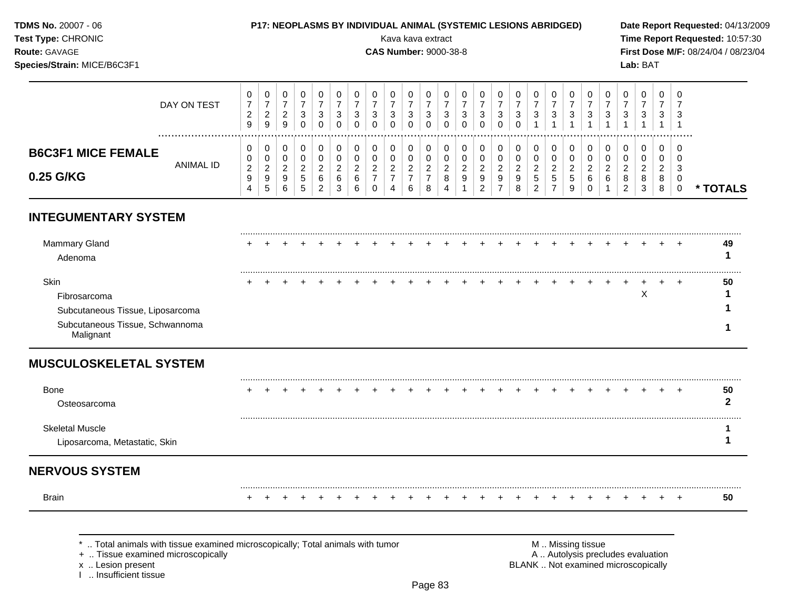**TDMS No.** 20007 - 06 **P17: NEOPLASMS BY INDIVIDUAL ANIMAL (SYSTEMIC LESIONS ABRIDGED) Date Report Requested:** 04/13/2009

**Species/Strain:** MICE/B6C3F1 **Lab:** BAT

**Test Type:** CHRONIC Kava kava extract **Time Report Requested:** 10:57:30 **Route:** GAVAGE **CAS Number:** 9000-38-8 **First Dose M/F:** 08/24/04 / 08/23/04

#### DAY ON TEST  $\overline{7}$   $\overline{7}$   $\overline{7}$   $\overline{7}$   $\overline{7}$   $\overline{7}$   $\overline{7}$   $\overline{7}$   $\bar{7}$   $\overline{7}$   $\bar{7}$  ................................................................................................................................................................. **B6C3F1 MICE FEMALE** ANIMAL ID **0.25 G/KG \* TOTALS**

## **INTEGUMENTARY SYSTEM**

| Mammary Gland<br>Adenoma         |  |  |  |  |  |  |  |  |  |  |  |   |  | <br>49 |
|----------------------------------|--|--|--|--|--|--|--|--|--|--|--|---|--|--------|
| Skin                             |  |  |  |  |  |  |  |  |  |  |  |   |  | 50     |
| Fibrosarcoma                     |  |  |  |  |  |  |  |  |  |  |  | х |  |        |
| Subcutaneous Tissue, Liposarcoma |  |  |  |  |  |  |  |  |  |  |  |   |  |        |
| Subcutaneous Tissue, Schwannoma  |  |  |  |  |  |  |  |  |  |  |  |   |  |        |

### **MUSCULOSKELETAL SYSTEM**

| <b>Bone</b><br>Osteosarcoma                             |  |  |  |  |  |  |  |  |  |  |  |  | ╺ | 50 |
|---------------------------------------------------------|--|--|--|--|--|--|--|--|--|--|--|--|---|----|
| <b>Skeletal Muscle</b><br>Liposarcoma, Metastatic, Skin |  |  |  |  |  |  |  |  |  |  |  |  |   |    |

## **NERVOUS SYSTEM**

......................................................................................................................................................................................................... Brain + + + + + + + + + + + + + + + + + + + + + + + + + **50**

\* .. Total animals with tissue examined microscopically; Total animals with tumor  $\blacksquare$  M .. Missing tissue<br>A .. Autolysis precting the microscopically

I .. Insufficient tissue

A .. Autolysis precludes evaluation x .. Lesion present **BLANK** .. Not examined microscopically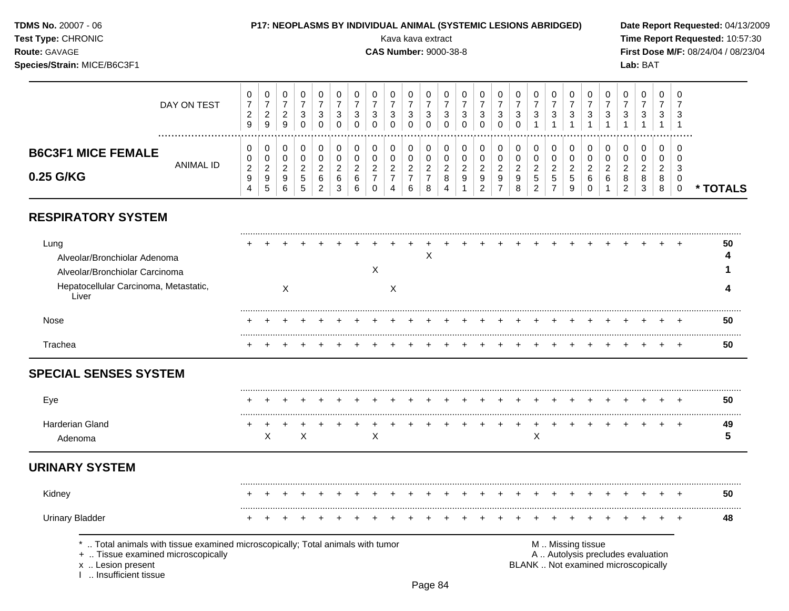**Species/Strain:** MICE/B6C3F1 **Lab:** BAT

**TDMS No.** 20007 - 06 **P17: NEOPLASMS BY INDIVIDUAL ANIMAL (SYSTEMIC LESIONS ABRIDGED) Date Report Requested:** 04/13/2009 **Test Type:** CHRONIC Kava kava extract **Time Report Requested:** 10:57:30 **Route:** GAVAGE **CAS Number:** 9000-38-8 **First Dose M/F:** 08/24/04 / 08/23/04

|                           | DAY ON TEST      | ◡<br>◠<br>$\sim$<br>9   | $\mathbf{0}$<br><u>_</u><br>9                   | 9      | υ<br>3<br>0        | υ<br>ີ<br>ت | υ<br>ົ<br>ۍ<br>0 | U<br>ົ<br>Ĵ<br>0        | υ<br>đ | U<br>చ<br>0 | υ<br>ົ<br>ت<br>0 | ັບ<br>دت      | ు |   | v<br>າ<br>J<br>0             | U<br>3<br>n<br>U | 0<br>ົ<br>دت | υ<br>◠<br>J.                                   | 3   | υ<br>3 | U<br>3                 | U<br>3 | 0<br>3      | ◡<br>◠<br>ت      | U<br>ົ<br>ت                              | 0<br>-3            |          |
|---------------------------|------------------|-------------------------|-------------------------------------------------|--------|--------------------|-------------|------------------|-------------------------|--------|-------------|------------------|---------------|---|---|------------------------------|------------------|--------------|------------------------------------------------|-----|--------|------------------------|--------|-------------|------------------|------------------------------------------|--------------------|----------|
| <b>B6C3F1 MICE FEMALE</b> |                  | ν<br>v                  | U<br>$\mathbf 0$                                |        | U                  | υ           | 0<br>U           | 0                       |        | 0<br>0      | 0<br>0           | υ             |   |   | U                            | U<br>ν           | 0<br>0       |                                                |     | U<br>0 | 0<br>U                 |        | 0<br>0      | υ                | U<br>J                                   | U<br>υ             |          |
| 0.25 G/KG                 | <b>ANIMAL ID</b> | ◠<br><u>.</u><br>g<br>4 | $\overline{\phantom{a}}$<br><u>.</u><br>9<br>.5 | Q<br>6 | <u>.</u><br>5<br>5 | 6<br>ົ      | ົ<br>6<br>3      | ◠<br><u>_</u><br>6<br>6 |        | 4           | ◠<br>6           | <u>.</u><br>8 | 4 | റ | ີ<br>_<br>9<br>ີ<br><u>_</u> | ◠<br>9<br>-      | ົ<br>9<br>8  | ◠<br><u>.</u><br>$\mathbf{p}$<br>⌒<br><u>_</u> | ৾৾৾ | ა<br>9 | <sup>o</sup><br>6<br>υ | ⌒      | ◠<br>8<br>ົ | ⌒<br>8<br>ີ<br>ັ | ີ<br><u>.</u><br>8<br>$\circ$<br>$\circ$ | 3<br><b>U</b><br>◡ | * TOTALS |

## **RESPIRATORY SYSTEM**

| Lung<br>Alveolar/Bronchiolar Adenoma<br>Alveolar/Bronchiolar Carcinoma<br>Hepatocellular Carcinoma, Metastatic, |  |  |  |  |  | ⌒ |  |  |  |  |  |  |  | 50 |
|-----------------------------------------------------------------------------------------------------------------|--|--|--|--|--|---|--|--|--|--|--|--|--|----|
| ∟iver<br>Nose                                                                                                   |  |  |  |  |  |   |  |  |  |  |  |  |  | 50 |
| Trachea                                                                                                         |  |  |  |  |  |   |  |  |  |  |  |  |  | 50 |

## **SPECIAL SENSES SYSTEM**

| Eve             | $+$ $+$ |  |  |  |  |  |  | + + + + + + + + + + + + + + + + + + |  |  |  |  | $+$ $+$ | 50  |
|-----------------|---------|--|--|--|--|--|--|-------------------------------------|--|--|--|--|---------|-----|
| Gland<br>denoma |         |  |  |  |  |  |  | + + + + + + + + + + + + + + +       |  |  |  |  | . .     | -49 |

## **URINARY SYSTEM**

| Kidney          |  |  |  |  |  |  |  |  |  |  |  |  |  | 50 |
|-----------------|--|--|--|--|--|--|--|--|--|--|--|--|--|----|
| Urinary Bladder |  |  |  |  |  |  |  |  |  |  |  |  |  |    |

\* .. Total animals with tissue examined microscopically; Total animals with tumor <br>
+ .. Tissue examined microscopically<br>
+ .. Tissue examined microscopically

+ .. Tissue examined microscopically

I .. Insufficient tissue

x .. Lesion present **BLANK** .. Not examined microscopically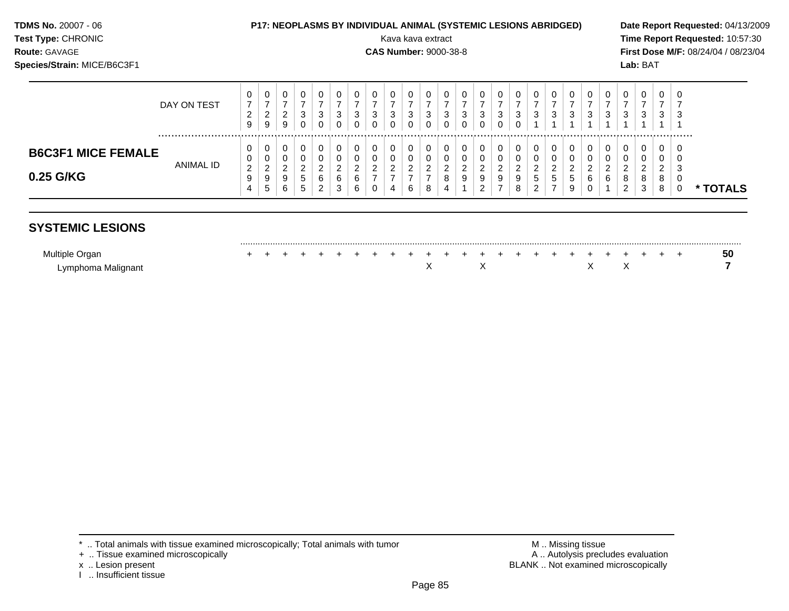| <b>TDMS No. 20007 - 06</b> |  |
|----------------------------|--|
| Toot Tuno: CUDONIIC        |  |

#### **TDMS No.** 20007 - 06 **P17: NEOPLASMS BY INDIVIDUAL ANIMAL (SYSTEMIC LESIONS ABRIDGED) Date Report Requested:** 04/13/2009

**Test Type:** CHRONIC Kava kava extract **Time Report Requested:** 10:57:30 **Route:** GAVAGE **CAS Number:** 9000-38-8 **First Dose M/F:** 08/24/04 / 08/23/04 **Species/Strain:** MICE/B6C3F1 **Lab:** BAT

|                                        | DAY ON TEST | U<br>◠<br>9                  | 0<br>_<br>9           | ◡<br>_<br>U | 0<br>3<br>0                   | <sup>o</sup><br>ັ            | 3                | 3                  | v<br>-2<br>J | υ<br>3<br>U                 | دت | ◡<br>3<br>◡                  | v<br>ت      | U<br>د | - 3           | $\epsilon$<br>J | 0<br>3                                       | 0<br>3                                          | 3 | U<br>3 | 0<br>3            | చ | U<br>3      | 0<br>◠<br>ັ                                 |            |
|----------------------------------------|-------------|------------------------------|-----------------------|-------------|-------------------------------|------------------------------|------------------|--------------------|--------------|-----------------------------|----|------------------------------|-------------|--------|---------------|-----------------|----------------------------------------------|-------------------------------------------------|---|--------|-------------------|---|-------------|---------------------------------------------|------------|
| <b>B6C3F1 MICE FEMALE</b><br>0.25 G/KG | ANIMAL ID   | U<br>0<br>ົ<br><u>_</u><br>9 | υ<br>0<br>n<br>-<br>9 | _<br>v      | U<br>⌒<br><u>.</u><br>.5<br>∽ | ◠<br><u>_</u><br>$\sim$<br>6 | ◠<br>$\sim$<br>6 | c<br><u>.</u><br>6 | <u>.</u>     | υ<br>ັບ<br>ົ<br>-<br>$\sim$ |    | v<br>ν<br>◠<br><u>_</u><br>8 | v<br>-<br>9 | 9      | <u>_</u><br>9 | ົ<br>9          | 0<br>0<br>ົ<br><u>.</u><br><sub>5</sub><br>ົ | ົ<br>$\epsilon$<br>$\mathbf b$<br>$\rightarrow$ | ಾ | ⌒<br>6 | <sup>o</sup><br>6 |   | c<br>ິ<br>ŏ | 0<br>υ<br><sup>o</sup><br>_<br>8<br>$\circ$ |            |
|                                        |             | 4                            | ັ                     |             | - 14                          |                              |                  |                    |              |                             |    | 4                            |             |        |               |                 |                                              |                                                 |   |        |                   |   | u           | o                                           | <b>ALS</b> |

#### **SYSTEMIC LESIONS**

| Multinle |  |  |  |  |  |  |  |  |  |  |  |  | 50 |
|----------|--|--|--|--|--|--|--|--|--|--|--|--|----|
|          |  |  |  |  |  |  |  |  |  |  |  |  |    |

- + .. Tissue examined microscopically
- 
- I .. Insufficient tissue

\* .. Total animals with tissue examined microscopically; Total animals with tumor <br>
+ .. Tissue examined microscopically<br>
+ .. Tissue examined microscopically x .. Lesion present **BLANK** .. Not examined microscopically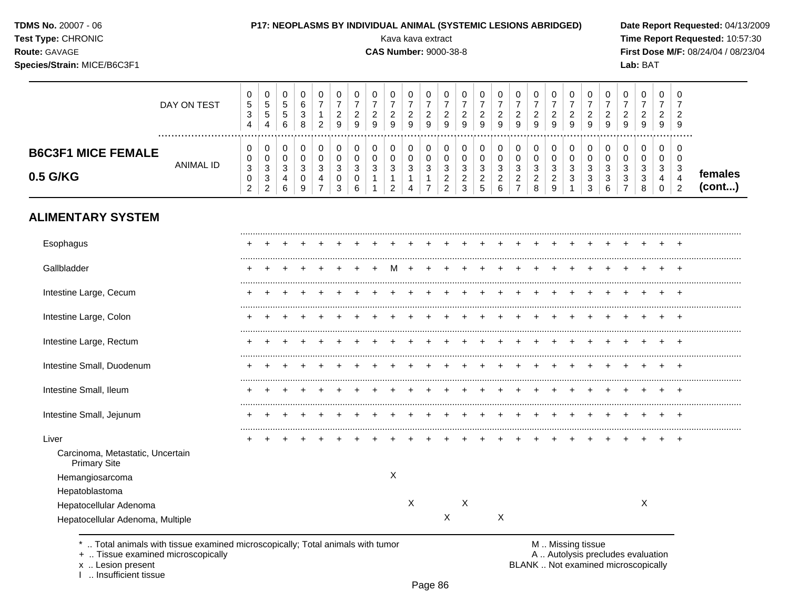|  |  | <b>TDMS No. 20007 - 06</b> |  |  |
|--|--|----------------------------|--|--|
|--|--|----------------------------|--|--|

#### **P17: NEOPLASMS BY INDIVIDUAL ANIMAL (SYSTEMIC LESIONS ABRIDGED)** Date Report Requested: 04/13/2009

**Species/Strain:** MICE/B6C3F1 **Lab:** BAT

**Test Type:** CHRONIC **Transfer CHRONIC Report Requested:** 10:57:30 **Route:** GAVAGE **CAS Number:** 9000-38-8 **First Dose M/F:** 08/24/04 / 08/23/04

|                           | DAY ON TEST | υ<br>5<br>د<br>4   | U<br>৾৾<br>.5<br>4                 | b<br>6      | v<br>6<br>3<br>8      | 2                    | υ<br><u>_</u><br>9 | 0<br>◠<br>9            | $\epsilon$<br>9 | 9           | 9      | v<br><u>_</u><br>9 | g               | U<br>9 | 0<br>9           | U<br>9 | 9                    | 9                                | υ<br><u>_</u><br>9           | g                                   | 9                | 0<br>9           | _<br>9 | υ<br>9 | 9           | U<br>-<br>9       |                   |
|---------------------------|-------------|--------------------|------------------------------------|-------------|-----------------------|----------------------|--------------------|------------------------|-----------------|-------------|--------|--------------------|-----------------|--------|------------------|--------|----------------------|----------------------------------|------------------------------|-------------------------------------|------------------|------------------|--------|--------|-------------|-------------------|-------------------|
| <b>B6C3F1 MICE FEMALE</b> | ANIMAL ID   | υ<br>υ             | υ<br>U                             |             | v<br>v                |                      | U                  | 0<br>υ                 | u               |             |        | v<br>v             |                 |        | 0<br>υ           | u      |                      |                                  | υ                            |                                     |                  | υ                | u      | u      |             | 0<br>v            |                   |
| 0.5 G/KG                  |             | 3<br>U<br><u>.</u> | ົ<br>ັບ<br>ົ<br>ა<br>ົ<br><u>_</u> | $\sim$<br>R | $\sim$<br>ັ<br>◡<br>9 | $\sqrt{2}$<br>N<br>4 | 3<br>U<br>?        | <sup>o</sup><br>ັ<br>υ | J               | $\sim$<br>ు | $\sim$ | ว<br>ັ             | $\epsilon$<br>N | J      | ◠<br>ບ<br>$\sim$ | J<br>∼ | $\sqrt{2}$<br>N<br>- | $\sim$<br>J<br>$\sim$<br>$\circ$ | 2<br>ັ<br>ີ<br><u>.</u><br>9 | $\sqrt{2}$<br>J<br>$\sqrt{2}$<br>J. | ົ<br>చ<br>J<br>◠ | ◠<br>ບ<br>⌒<br>ັ | ັ      | N<br>J | $\sim$<br>J | c<br>-3<br>4<br>ີ | remales<br>(cont) |

# **ALIMENTARY SYSTEM**

| Esophagus                                               |   |  |  |  |   |   |   |   |   |  |  |  |   |  |
|---------------------------------------------------------|---|--|--|--|---|---|---|---|---|--|--|--|---|--|
| Gallbladder                                             |   |  |  |  |   |   |   |   |   |  |  |  |   |  |
| Intestine Large, Cecum                                  |   |  |  |  |   |   |   |   |   |  |  |  |   |  |
| Intestine Large, Colon                                  |   |  |  |  |   |   |   |   |   |  |  |  |   |  |
| Intestine Large, Rectum                                 |   |  |  |  |   |   |   |   |   |  |  |  |   |  |
| Intestine Small, Duodenum                               |   |  |  |  |   |   |   |   |   |  |  |  |   |  |
| Intestine Small, Ileum                                  | ÷ |  |  |  |   |   |   |   |   |  |  |  |   |  |
| Intestine Small, Jejunum                                |   |  |  |  |   |   |   |   |   |  |  |  |   |  |
| Liver                                                   |   |  |  |  |   |   |   |   |   |  |  |  |   |  |
| Carcinoma, Metastatic, Uncertain<br><b>Primary Site</b> |   |  |  |  |   |   |   |   |   |  |  |  |   |  |
| Hemangiosarcoma                                         |   |  |  |  | X |   |   |   |   |  |  |  |   |  |
| Hepatoblastoma                                          |   |  |  |  |   |   |   |   |   |  |  |  |   |  |
| Hepatocellular Adenoma                                  |   |  |  |  |   | X |   | X |   |  |  |  | Χ |  |
| Hepatocellular Adenoma, Multiple                        |   |  |  |  |   |   | Χ |   | X |  |  |  |   |  |
|                                                         |   |  |  |  |   |   |   |   |   |  |  |  |   |  |

\* .. Total animals with tissue examined microscopically; Total animals with tumor <br>
+ .. Tissue examined microscopically<br>
+ .. Tissue examined microscopically

+ .. Tissue examined microscopically

x .. Lesion present<br>I .. Insufficient tissue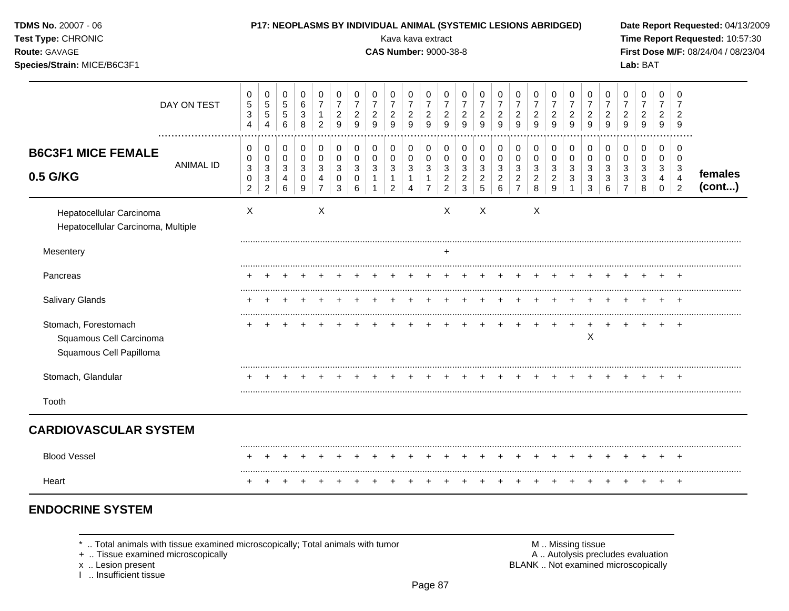| TDMS No. 20007 - 06<br>Test Type: CHRONIC<br>Route: GAVAGE<br>Species/Strain: MICE/B6C3F1 |                  |                                                                      |                                                                                                    |                                                  | P17: NEOPLASMS BY INDIVIDUAL ANIMAL (SYSTEMIC LESIONS ABRIDGED) |                                                               |                                                               |                                            |                                            | Kava kava extract<br><b>CAS Number: 9000-38-8</b>   |                                                                              |                                                                  |                                                                    |                                                           |                                                         |                                                              |                                                                                     |                                              |                                            |                                            |                                                                                         |                                                         |                                              | Lab: BAT                                   |                                                                   |                                                       | Date Report Requested: 04/13/2009<br>Time Report Requested: 10:57:30<br>First Dose M/F: 08/24/04 / 08/23/04 |
|-------------------------------------------------------------------------------------------|------------------|----------------------------------------------------------------------|----------------------------------------------------------------------------------------------------|--------------------------------------------------|-----------------------------------------------------------------|---------------------------------------------------------------|---------------------------------------------------------------|--------------------------------------------|--------------------------------------------|-----------------------------------------------------|------------------------------------------------------------------------------|------------------------------------------------------------------|--------------------------------------------------------------------|-----------------------------------------------------------|---------------------------------------------------------|--------------------------------------------------------------|-------------------------------------------------------------------------------------|----------------------------------------------|--------------------------------------------|--------------------------------------------|-----------------------------------------------------------------------------------------|---------------------------------------------------------|----------------------------------------------|--------------------------------------------|-------------------------------------------------------------------|-------------------------------------------------------|-------------------------------------------------------------------------------------------------------------|
|                                                                                           | DAY ON TEST      | 0<br>5<br>$\ensuremath{\mathsf{3}}$<br>$\overline{4}$                | 0<br>$\sqrt{5}$<br>$\sqrt{5}$<br>$\overline{4}$                                                    | 0<br>$\,$ 5 $\,$<br>$\sqrt{5}$<br>$6\phantom{1}$ | $\mathbf 0$<br>6<br>$\sqrt{3}$<br>8                             | 0<br>$\overline{7}$<br>$\mathbf{1}$<br>$\overline{2}$         | 0<br>$\boldsymbol{7}$<br>$\overline{c}$<br>$\overline{9}$     | 0<br>$\overline{7}$<br>$\overline{c}$<br>9 | 0<br>$\overline{7}$<br>$\overline{c}$<br>9 | 0<br>$\overline{7}$<br>$\overline{\mathbf{c}}$<br>9 | 0<br>$\overline{7}$<br>$\overline{c}$<br>9                                   | 0<br>$\overline{7}$<br>$\overline{c}$<br>9                       | 0<br>$\overline{7}$<br>$\frac{2}{9}$                               | 0<br>$\overline{7}$<br>$\overline{2}$<br>9                | 0<br>$\overline{7}$<br>$\overline{c}$<br>9              | 0<br>$\overline{7}$<br>$\overline{c}$<br>9                   | 0<br>$\overline{7}$<br>$\overline{c}$<br>9                                          | 0<br>$\overline{7}$<br>$\overline{a}$<br>9   | 0<br>$\overline{7}$<br>$\overline{c}$<br>9 | 0<br>$\overline{7}$<br>$\overline{c}$<br>9 | 0<br>$\overline{7}$<br>$\overline{c}$<br>9                                              | 0<br>$\overline{7}$<br>$\overline{c}$<br>$\overline{9}$ | 0<br>7<br>$\overline{c}$<br>9                | 0<br>$\overline{7}$<br>$\overline{c}$<br>9 | 0<br>$\overline{7}$<br>2<br>9                                     | 0<br>9                                                |                                                                                                             |
| <b>B6C3F1 MICE FEMALE</b><br>0.5 G/KG                                                     | <b>ANIMAL ID</b> | 0<br>0<br>$\ensuremath{\mathsf{3}}$<br>$\mathbf 0$<br>$\overline{2}$ | $\pmb{0}$<br>$\pmb{0}$<br>$\ensuremath{\mathsf{3}}$<br>$\ensuremath{\mathsf{3}}$<br>$\overline{2}$ | 0<br>$\pmb{0}$<br>$\sqrt{3}$<br>4<br>6           | $\boldsymbol{0}$<br>$\pmb{0}$<br>3<br>0<br>9                    | $\pmb{0}$<br>$\mathbf 0$<br>$\sqrt{3}$<br>4<br>$\overline{7}$ | 0<br>$\pmb{0}$<br>$\ensuremath{\mathsf{3}}$<br>$\pmb{0}$<br>3 | 0<br>$\mathbf 0$<br>$\sqrt{3}$<br>0<br>6   | 0<br>$\mathbf 0$<br>3<br>1                 | 0<br>0<br>3<br>1<br>$\overline{c}$                  | $\pmb{0}$<br>$\mathbf 0$<br>$\ensuremath{\mathsf{3}}$<br>1<br>$\overline{4}$ | 0<br>$\pmb{0}$<br>$\mathbf{3}$<br>$\mathbf{1}$<br>$\overline{7}$ | 0<br>$\mathbf 0$<br>$\sqrt{3}$<br>$\overline{c}$<br>$\overline{2}$ | 0<br>$\mathbf 0$<br>3<br>$\overline{c}$<br>$\overline{3}$ | $\pmb{0}$<br>$\pmb{0}$<br>$\sqrt{3}$<br>$\sqrt{2}$<br>5 | 0<br>$\mathbf 0$<br>3<br>$\boldsymbol{2}$<br>$6\phantom{1}6$ | 0<br>$\mathbf 0$<br>$\ensuremath{\mathsf{3}}$<br>$\boldsymbol{2}$<br>$\overline{7}$ | 0<br>$\mathbf 0$<br>3<br>$\overline{c}$<br>8 | 0<br>0<br>3<br>$\overline{c}$<br>9         | 0<br>$\mathbf 0$<br>$\sqrt{3}$<br>3        | $\mathbf 0$<br>$\mathbf 0$<br>$\mathbf{3}$<br>$\ensuremath{\mathsf{3}}$<br>$\mathbf{3}$ | 0<br>$\pmb{0}$<br>$\sqrt{3}$<br>3<br>6                  | 0<br>$\mathbf 0$<br>3<br>3<br>$\overline{7}$ | 0<br>$\mathbf 0$<br>3<br>3<br>8            | 0<br>$\mathbf 0$<br>$\mathbf{3}$<br>$\overline{4}$<br>$\mathbf 0$ | 0<br>$\mathbf 0$<br>3<br>$\overline{4}$<br>$\sqrt{2}$ | females<br>(cont)                                                                                           |
| Hepatocellular Carcinoma<br>Hepatocellular Carcinoma, Multiple                            |                  | $\times$                                                             |                                                                                                    |                                                  |                                                                 | $\boldsymbol{X}$                                              |                                                               |                                            |                                            |                                                     |                                                                              |                                                                  | X                                                                  |                                                           | $\sf X$                                                 |                                                              |                                                                                     | Χ                                            |                                            |                                            |                                                                                         |                                                         |                                              |                                            |                                                                   |                                                       |                                                                                                             |
| Mesentery                                                                                 |                  |                                                                      |                                                                                                    |                                                  |                                                                 |                                                               |                                                               |                                            |                                            |                                                     |                                                                              |                                                                  | $\ddot{}$                                                          |                                                           |                                                         |                                                              |                                                                                     |                                              |                                            |                                            |                                                                                         |                                                         |                                              |                                            |                                                                   |                                                       |                                                                                                             |
| Pancreas                                                                                  |                  |                                                                      |                                                                                                    |                                                  |                                                                 |                                                               |                                                               |                                            |                                            |                                                     |                                                                              |                                                                  |                                                                    |                                                           |                                                         |                                                              |                                                                                     |                                              |                                            |                                            |                                                                                         |                                                         |                                              |                                            |                                                                   |                                                       |                                                                                                             |
| Salivary Glands                                                                           |                  |                                                                      |                                                                                                    |                                                  |                                                                 |                                                               |                                                               |                                            |                                            |                                                     |                                                                              |                                                                  |                                                                    |                                                           |                                                         |                                                              |                                                                                     |                                              |                                            |                                            |                                                                                         |                                                         |                                              |                                            |                                                                   |                                                       |                                                                                                             |
| Stomach, Forestomach<br>Squamous Cell Carcinoma<br>Squamous Cell Papilloma                |                  |                                                                      |                                                                                                    |                                                  |                                                                 |                                                               |                                                               |                                            |                                            |                                                     |                                                                              |                                                                  |                                                                    |                                                           |                                                         |                                                              |                                                                                     |                                              |                                            | $\ddot{}$                                  | $\ddot{}$<br>$\mathsf X$                                                                | $\ddot{}$                                               | $\pm$                                        |                                            |                                                                   | $\overline{+}$                                        |                                                                                                             |
| Stomach, Glandular                                                                        |                  |                                                                      |                                                                                                    |                                                  |                                                                 |                                                               |                                                               |                                            |                                            |                                                     |                                                                              |                                                                  |                                                                    |                                                           |                                                         |                                                              |                                                                                     |                                              |                                            |                                            |                                                                                         |                                                         |                                              |                                            |                                                                   |                                                       |                                                                                                             |
| Tooth                                                                                     |                  |                                                                      |                                                                                                    |                                                  |                                                                 |                                                               |                                                               |                                            |                                            |                                                     |                                                                              |                                                                  |                                                                    |                                                           |                                                         |                                                              |                                                                                     |                                              |                                            |                                            |                                                                                         |                                                         |                                              |                                            |                                                                   |                                                       |                                                                                                             |
| <b>CARDIOVASCULAR SYSTEM</b>                                                              |                  |                                                                      |                                                                                                    |                                                  |                                                                 |                                                               |                                                               |                                            |                                            |                                                     |                                                                              |                                                                  |                                                                    |                                                           |                                                         |                                                              |                                                                                     |                                              |                                            |                                            |                                                                                         |                                                         |                                              |                                            |                                                                   |                                                       |                                                                                                             |
| <b>Blood Vessel</b>                                                                       |                  | +                                                                    | $\div$                                                                                             |                                                  | $\ddot{}$                                                       |                                                               | $\overline{ }$                                                |                                            | $\pm$                                      |                                                     | $\mathbf +$                                                                  | $\div$                                                           | $\ddot{}$                                                          | $\ddot{}$                                                 |                                                         | $^+$                                                         | $\ddot{}$                                                                           | $+$                                          | $^+$                                       | $\overline{+}$                             | $+$                                                                                     | $+$                                                     | $+$                                          |                                            | $\overline{+}$                                                    | $+$                                                   |                                                                                                             |
| Heart                                                                                     |                  | $^{+}$                                                               | $\div$                                                                                             | $+$                                              | $\pm$                                                           | $\div$                                                        | $^{+}$                                                        | $\div$                                     | $\ddot{}$                                  | ÷                                                   | $\div$                                                                       | $\ddot{}$                                                        | ÷                                                                  |                                                           |                                                         | $\div$                                                       | $\ddot{}$                                                                           | $+$                                          | $^+$                                       | $^{+}$                                     | $^{+}$                                                                                  | $^{+}$                                                  | $\ddot{}$                                    | $\div$                                     | $+$                                                               | $+$                                                   |                                                                                                             |

# **ENDOCRINE SYSTEM**

 $^*$  .. Total animals with tissue examined microscopically; Total animals with tumor  $\blacksquare$  M .. Missing tissue

x .. Lesion present<br>I .. Insufficient tissue

+ .. Tissue examined microscopically  $\blacksquare$  A .. Autolysis precludes evaluation M .. Missing tissue<br>A .. Autolysis precludes evaluation<br>BLANK .. Not examined microscopically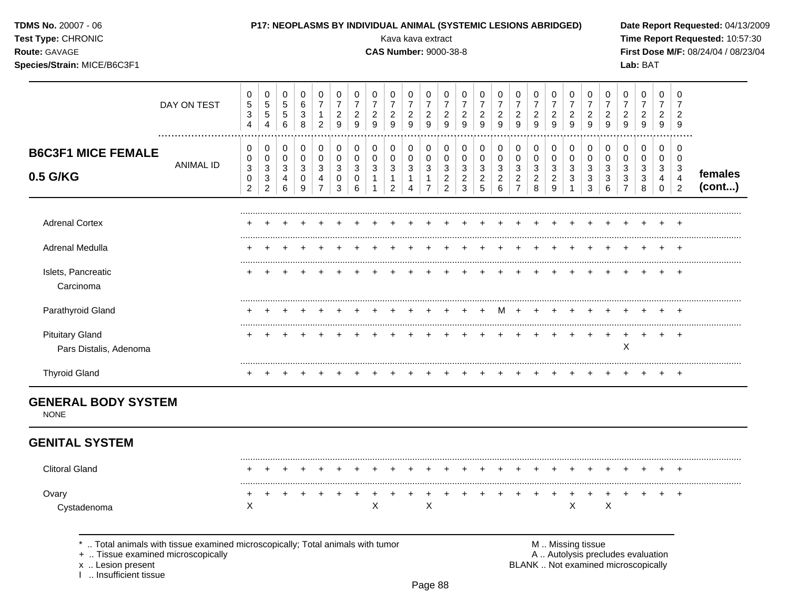| TDMS No. 20007 - 06<br>Test Type: CHRONIC<br>Route: GAVAGE<br>Species/Strain: MICE/B6C3F1 |                                                                              |                                          |                                     |                                       |                                 |                                                       |                                                           |                                               |                                                | Kava kava extract<br><b>CAS Number: 9000-38-8</b> |                                                           |                                              |                                                  |                                            | P17: NEOPLASMS BY INDIVIDUAL ANIMAL (SYSTEMIC LESIONS ABRIDGED) |                                            |                                                                 |                                                     |                                                           |                                                           |                                        |                                                  |                                              | Lab: BAT                                                                |                                            |                                            | Date Report Requested: 04/13/2009<br>Time Report Requested: 10:57:30<br>First Dose M/F: 08/24/04 / 08/23/04 |
|-------------------------------------------------------------------------------------------|------------------------------------------------------------------------------|------------------------------------------|-------------------------------------|---------------------------------------|---------------------------------|-------------------------------------------------------|-----------------------------------------------------------|-----------------------------------------------|------------------------------------------------|---------------------------------------------------|-----------------------------------------------------------|----------------------------------------------|--------------------------------------------------|--------------------------------------------|-----------------------------------------------------------------|--------------------------------------------|-----------------------------------------------------------------|-----------------------------------------------------|-----------------------------------------------------------|-----------------------------------------------------------|----------------------------------------|--------------------------------------------------|----------------------------------------------|-------------------------------------------------------------------------|--------------------------------------------|--------------------------------------------|-------------------------------------------------------------------------------------------------------------|
|                                                                                           | DAY ON TEST                                                                  | 0<br>$\mathbf 5$<br>3<br>4               | 0<br>$\,$ 5 $\,$<br>$\sqrt{5}$<br>4 | 0<br>$\sqrt{5}$<br>$\sqrt{5}$<br>6    | 0<br>$\,6$<br>$\sqrt{3}$<br>8   | 0<br>$\overline{7}$<br>$\mathbf{1}$<br>$\overline{2}$ | 0<br>$\overline{7}$<br>$\overline{c}$<br>$\boldsymbol{9}$ | 0<br>$\boldsymbol{7}$<br>$\overline{c}$<br>9  | 0<br>$\overline{7}$<br>$\overline{c}$<br>9     | 0<br>$\overline{7}$<br>$\overline{a}$<br>9        | 0<br>$\overline{7}$<br>$\overline{c}$<br>$\boldsymbol{9}$ | 0<br>$\boldsymbol{7}$<br>$\overline{2}$<br>9 | 0<br>$\overline{7}$<br>$\overline{c}$<br>9       | 0<br>$\overline{7}$<br>$\overline{c}$<br>9 | 0<br>$\overline{7}$<br>$\overline{c}$<br>9                      | 0<br>$\overline{7}$<br>$\overline{2}$<br>9 | 0<br>$\boldsymbol{7}$<br>$\overline{c}$<br>9                    | 0<br>$\overline{7}$<br>$\overline{\mathbf{c}}$<br>9 | 0<br>$\boldsymbol{7}$<br>$\overline{a}$<br>$\overline{9}$ | 0<br>$\overline{7}$<br>$\overline{c}$<br>$\boldsymbol{9}$ | 0<br>$\boldsymbol{7}$<br>$\frac{2}{9}$ | 0<br>$\overline{7}$<br>$\frac{2}{9}$             | 0<br>7<br>$\overline{c}$<br>$\boldsymbol{9}$ | 0<br>$\overline{7}$<br>$\overline{c}$<br>$\boldsymbol{9}$               | 0<br>$\overline{7}$<br>$\overline{2}$<br>9 | 0<br>$\overline{7}$<br>$\overline{2}$<br>9 |                                                                                                             |
| <b>B6C3F1 MICE FEMALE</b><br>0.5 G/KG                                                     | <br><b>ANIMAL ID</b>                                                         | 0<br>0<br>$\ensuremath{\mathsf{3}}$<br>0 | 0<br>0<br>3<br>3                    | 0<br>$\mathbf 0$<br>$\mathbf{3}$<br>4 | 0<br>$\boldsymbol{0}$<br>3<br>0 | 0<br>0<br>3<br>4                                      | $\pmb{0}$<br>$\pmb{0}$<br>$\sqrt{3}$<br>0                 | 0<br>$\mathsf{O}\xspace$<br>$\mathbf{3}$<br>0 | 0<br>$\pmb{0}$<br>$\mathbf{3}$<br>$\mathbf{1}$ | 0<br>0<br>3<br>$\mathbf{1}$                       | 0<br>$\mathbf 0$<br>$\sqrt{3}$<br>$\mathbf 1$             | 0<br>$\mathbf 0$<br>3<br>1                   | 0<br>$\pmb{0}$<br>$\mathbf{3}$<br>$\overline{c}$ | 0<br>0<br>3<br>$\overline{c}$              | 0<br>$\mathbf 0$<br>3<br>$\overline{c}$                         | 0<br>0<br>3<br>$\overline{c}$              | 0<br>$\mathbf 0$<br>$\ensuremath{\mathsf{3}}$<br>$\overline{c}$ | 0<br>0<br>3<br>2                                    | 0<br>0<br>3<br>$\overline{\mathbf{c}}$                    | 0<br>$\boldsymbol{0}$<br>3<br>3                           | 0<br>$\pmb{0}$<br>3<br>$\mathbf 3$     | 0<br>$\pmb{0}$<br>$\ensuremath{\mathsf{3}}$<br>3 | 0<br>0<br>3<br>3                             | 0<br>0<br>3<br>3                                                        | 0<br>$\mathbf 0$<br>3<br>4                 | 0<br>0<br>$\mathbf{3}$<br>$\overline{4}$   | females                                                                                                     |
|                                                                                           |                                                                              | $\overline{2}$                           | $\overline{2}$                      | 6                                     | 9                               | $\overline{7}$                                        | 3                                                         | 6                                             |                                                | 2                                                 | 4                                                         | $\overline{7}$                               | $\overline{2}$                                   | 3                                          | 5                                                               | 6                                          | $\overline{7}$                                                  | 8                                                   | 9                                                         |                                                           | 3                                      | 6                                                |                                              | 8                                                                       | $\mathbf 0$                                | $\overline{2}$                             | (cont)                                                                                                      |
| <b>Adrenal Cortex</b>                                                                     |                                                                              |                                          |                                     |                                       |                                 |                                                       |                                                           |                                               |                                                |                                                   |                                                           |                                              |                                                  |                                            |                                                                 |                                            |                                                                 |                                                     |                                                           |                                                           |                                        |                                                  |                                              |                                                                         |                                            |                                            |                                                                                                             |
| Adrenal Medulla                                                                           |                                                                              |                                          |                                     |                                       |                                 |                                                       |                                                           |                                               |                                                |                                                   |                                                           |                                              |                                                  |                                            |                                                                 |                                            |                                                                 |                                                     |                                                           |                                                           |                                        |                                                  |                                              |                                                                         |                                            |                                            |                                                                                                             |
| Islets, Pancreatic<br>Carcinoma                                                           |                                                                              |                                          |                                     |                                       |                                 |                                                       |                                                           |                                               |                                                |                                                   |                                                           |                                              |                                                  |                                            |                                                                 |                                            |                                                                 |                                                     |                                                           |                                                           |                                        |                                                  |                                              |                                                                         |                                            | $\overline{+}$                             |                                                                                                             |
| Parathyroid Gland                                                                         |                                                                              |                                          |                                     |                                       |                                 |                                                       |                                                           |                                               |                                                |                                                   |                                                           |                                              |                                                  |                                            |                                                                 | м                                          |                                                                 |                                                     |                                                           |                                                           |                                        |                                                  |                                              |                                                                         |                                            |                                            |                                                                                                             |
| <b>Pituitary Gland</b><br>Pars Distalis, Adenoma                                          |                                                                              |                                          |                                     |                                       |                                 |                                                       |                                                           |                                               |                                                |                                                   |                                                           |                                              |                                                  |                                            |                                                                 |                                            |                                                                 |                                                     |                                                           | $\pm$                                                     | $\ddot{}$                              | $\pm$                                            | $\ddot{}$<br>X                               |                                                                         | $\ddot{}$                                  | $^{+}$                                     |                                                                                                             |
| <b>Thyroid Gland</b>                                                                      |                                                                              |                                          |                                     |                                       |                                 |                                                       |                                                           |                                               |                                                |                                                   |                                                           |                                              |                                                  |                                            |                                                                 |                                            |                                                                 |                                                     |                                                           |                                                           |                                        |                                                  |                                              |                                                                         |                                            |                                            |                                                                                                             |
| <b>GENERAL BODY SYSTEM</b><br><b>NONE</b>                                                 |                                                                              |                                          |                                     |                                       |                                 |                                                       |                                                           |                                               |                                                |                                                   |                                                           |                                              |                                                  |                                            |                                                                 |                                            |                                                                 |                                                     |                                                           |                                                           |                                        |                                                  |                                              |                                                                         |                                            |                                            |                                                                                                             |
| <b>GENITAL SYSTEM</b>                                                                     |                                                                              |                                          |                                     |                                       |                                 |                                                       |                                                           |                                               |                                                |                                                   |                                                           |                                              |                                                  |                                            |                                                                 |                                            |                                                                 |                                                     |                                                           |                                                           |                                        |                                                  |                                              |                                                                         |                                            |                                            |                                                                                                             |
| <b>Clitoral Gland</b>                                                                     |                                                                              |                                          |                                     |                                       |                                 |                                                       |                                                           |                                               |                                                |                                                   |                                                           | $\ddot{}$                                    | $+$                                              | $+$                                        |                                                                 | $+$                                        |                                                                 | $+$                                                 |                                                           |                                                           |                                        |                                                  |                                              |                                                                         |                                            |                                            |                                                                                                             |
| Ovary                                                                                     |                                                                              |                                          |                                     |                                       |                                 |                                                       |                                                           |                                               |                                                |                                                   |                                                           |                                              |                                                  |                                            |                                                                 |                                            |                                                                 |                                                     |                                                           |                                                           |                                        |                                                  |                                              |                                                                         |                                            |                                            |                                                                                                             |
| Cystadenoma                                                                               |                                                                              | X                                        |                                     |                                       |                                 |                                                       |                                                           |                                               | Χ                                              |                                                   |                                                           | X                                            |                                                  |                                            |                                                                 |                                            |                                                                 |                                                     |                                                           | Χ                                                         |                                        | Χ                                                |                                              |                                                                         |                                            |                                            |                                                                                                             |
| +  Tissue examined microscopically<br><b>x</b> Lesion present                             | Total animals with tissue examined microscopically; Total animals with tumor |                                          |                                     |                                       |                                 |                                                       |                                                           |                                               |                                                |                                                   |                                                           |                                              |                                                  |                                            |                                                                 |                                            |                                                                 |                                                     | M  Missing tissue                                         |                                                           |                                        |                                                  |                                              | A  Autolysis precludes evaluation<br>BLANK Not examined microscopically |                                            |                                            |                                                                                                             |

x .. Lesion present<br>I .. Insufficient tissue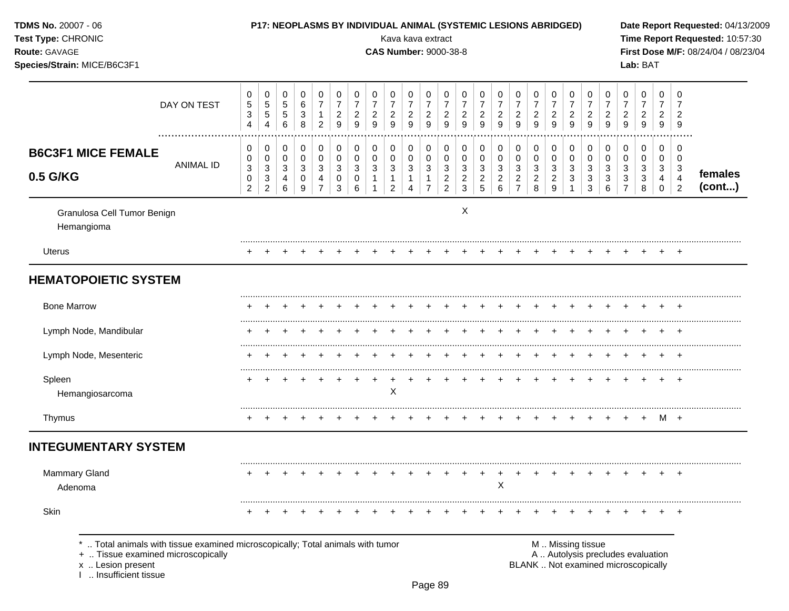| TDMS No. 20007 - 06<br>Test Type: CHRONIC<br>Route: GAVAGE<br>Species/Strain: MICE/B6C3F1                                                                         |             |                                                                 |                                                                             |                                            |                       |                                                       |                                                             |                                                                      |                                                                    | Kava kava extract<br><b>CAS Number: 9000-38-8</b>           |                                                           |                                                             |                                               |                                                         | P17: NEOPLASMS BY INDIVIDUAL ANIMAL (SYSTEMIC LESIONS ABRIDGED) |                                            |                                                             |                                              |                                            |                                            |                                                        |                                          |                                    | Lab: BAT                                                                 |                                              |                                                 | Date Report Requested: 04/13/2009<br>Time Report Requested: 10:57:30<br>First Dose M/F: 08/24/04 / 08/23/04 |
|-------------------------------------------------------------------------------------------------------------------------------------------------------------------|-------------|-----------------------------------------------------------------|-----------------------------------------------------------------------------|--------------------------------------------|-----------------------|-------------------------------------------------------|-------------------------------------------------------------|----------------------------------------------------------------------|--------------------------------------------------------------------|-------------------------------------------------------------|-----------------------------------------------------------|-------------------------------------------------------------|-----------------------------------------------|---------------------------------------------------------|-----------------------------------------------------------------|--------------------------------------------|-------------------------------------------------------------|----------------------------------------------|--------------------------------------------|--------------------------------------------|--------------------------------------------------------|------------------------------------------|------------------------------------|--------------------------------------------------------------------------|----------------------------------------------|-------------------------------------------------|-------------------------------------------------------------------------------------------------------------|
|                                                                                                                                                                   | DAY ON TEST | 0<br>$\mathbf 5$<br>$\ensuremath{\mathsf{3}}$<br>$\overline{4}$ | 0<br>$\,$ 5 $\,$<br>$\,$ 5 $\,$<br>$\overline{4}$                           | 0<br>$\,$ 5 $\,$<br>$\mathbf 5$<br>$\,6\,$ | 0<br>6<br>3<br>8      | 0<br>$\overline{7}$<br>$\mathbf{1}$<br>$\overline{c}$ | 0<br>$\boldsymbol{7}$<br>$\overline{c}$<br>$\boldsymbol{9}$ | 0<br>$\boldsymbol{7}$<br>$\overline{\mathbf{c}}$<br>$\boldsymbol{9}$ | 0<br>$\overline{7}$<br>$\overline{\mathbf{c}}$<br>$\boldsymbol{9}$ | 0<br>$\boldsymbol{7}$<br>$\overline{a}$<br>$\boldsymbol{9}$ | 0<br>$\overline{7}$<br>$\overline{c}$<br>$\boldsymbol{9}$ | 0<br>$\boldsymbol{7}$<br>$\overline{c}$<br>$\boldsymbol{9}$ | 0<br>$\overline{7}$<br>$\frac{2}{9}$          | 0<br>$\overline{7}$<br>$\overline{2}$<br>$\overline{9}$ | 0<br>$\overline{7}$<br>$\overline{c}$<br>$\overline{9}$         | 0<br>$\overline{7}$<br>$\overline{c}$<br>9 | 0<br>$\boldsymbol{7}$<br>$\overline{c}$<br>$\boldsymbol{9}$ | 0<br>$\boldsymbol{7}$<br>$\overline{a}$<br>9 | 0<br>$\overline{7}$<br>$\overline{c}$<br>9 | 0<br>$\overline{7}$<br>$\overline{c}$<br>9 | 0<br>$\boldsymbol{7}$<br>$\overline{c}$<br>$\mathsf g$ | 0<br>$\overline{7}$<br>$\frac{2}{9}$     | 0<br>7<br>$\overline{c}$<br>9      | 0<br>$\overline{7}$<br>$\overline{c}$<br>$9\,$                           | 0<br>$\overline{7}$<br>$\overline{2}$<br>9   | 0<br>2<br>9                                     |                                                                                                             |
| <b>B6C3F1 MICE FEMALE</b><br>0.5 G/KG                                                                                                                             | ANIMAL ID   | 0<br>0<br>3<br>0<br>$\overline{2}$                              | 0<br>$\mathbf 0$<br>$\mathbf{3}$<br>$\ensuremath{\mathsf{3}}$<br>$\sqrt{2}$ | 0<br>$\pmb{0}$<br>$\sqrt{3}$<br>4<br>6     | 0<br>0<br>3<br>0<br>9 | 0<br>$\pmb{0}$<br>3<br>4<br>$\overline{7}$            | 0<br>$\pmb{0}$<br>3<br>0<br>3                               | 0<br>0<br>$\sqrt{3}$<br>0<br>6                                       | 0<br>0<br>3<br>1<br>1                                              | 0<br>0<br>3<br>1<br>2                                       | 0<br>$\pmb{0}$<br>3<br>$\mathbf{1}$<br>$\overline{4}$     | 0<br>$\mathbf 0$<br>3<br>$\mathbf{1}$<br>$\overline{7}$     | 0<br>$\pmb{0}$<br>$\sqrt{3}$<br>$\frac{2}{2}$ | 0<br>0<br>3<br>$\overline{2}$<br>3                      | 0<br>0<br>3<br>$\overline{c}$<br>5                              | 0<br>$\pmb{0}$<br>3<br>$\overline{c}$<br>6 | 0<br>$\pmb{0}$<br>3<br>$\overline{c}$<br>$\overline{7}$     | 0<br>0<br>3<br>2<br>8                        | 0<br>0<br>3<br>$\overline{c}$<br>9         | 0<br>0<br>$\sqrt{3}$<br>$\sqrt{3}$         | 0<br>$\mathbf 0$<br>$\mathbf{3}$<br>$\sqrt{3}$<br>3    | 0<br>$\pmb{0}$<br>$\mathbf{3}$<br>3<br>6 | 0<br>0<br>3<br>3<br>$\overline{7}$ | 0<br>0<br>3<br>3<br>8                                                    | 0<br>0<br>3<br>$\overline{4}$<br>$\mathbf 0$ | 0<br>0<br>3<br>$\overline{4}$<br>$\overline{2}$ | females<br>(cont)                                                                                           |
| Granulosa Cell Tumor Benign<br>Hemangioma                                                                                                                         |             |                                                                 |                                                                             |                                            |                       |                                                       |                                                             |                                                                      |                                                                    |                                                             |                                                           |                                                             |                                               | X                                                       |                                                                 |                                            |                                                             |                                              |                                            |                                            |                                                        |                                          |                                    |                                                                          |                                              |                                                 |                                                                                                             |
| Uterus                                                                                                                                                            |             |                                                                 |                                                                             |                                            |                       |                                                       |                                                             |                                                                      |                                                                    |                                                             |                                                           |                                                             |                                               |                                                         |                                                                 |                                            |                                                             |                                              |                                            |                                            |                                                        |                                          |                                    |                                                                          |                                              | $\pm$                                           |                                                                                                             |
| <b>HEMATOPOIETIC SYSTEM</b>                                                                                                                                       |             |                                                                 |                                                                             |                                            |                       |                                                       |                                                             |                                                                      |                                                                    |                                                             |                                                           |                                                             |                                               |                                                         |                                                                 |                                            |                                                             |                                              |                                            |                                            |                                                        |                                          |                                    |                                                                          |                                              |                                                 |                                                                                                             |
| <b>Bone Marrow</b>                                                                                                                                                |             |                                                                 |                                                                             |                                            |                       |                                                       |                                                             |                                                                      |                                                                    |                                                             |                                                           |                                                             |                                               |                                                         |                                                                 |                                            |                                                             |                                              |                                            |                                            |                                                        |                                          |                                    |                                                                          |                                              |                                                 |                                                                                                             |
| Lymph Node, Mandibular                                                                                                                                            |             |                                                                 |                                                                             |                                            |                       |                                                       |                                                             |                                                                      |                                                                    |                                                             |                                                           |                                                             |                                               |                                                         |                                                                 |                                            |                                                             |                                              |                                            |                                            |                                                        |                                          |                                    |                                                                          |                                              | $\div$                                          |                                                                                                             |
| Lymph Node, Mesenteric                                                                                                                                            |             |                                                                 |                                                                             |                                            |                       |                                                       |                                                             |                                                                      |                                                                    |                                                             |                                                           |                                                             |                                               |                                                         |                                                                 |                                            |                                                             |                                              |                                            |                                            |                                                        |                                          |                                    |                                                                          |                                              |                                                 |                                                                                                             |
| Spleen<br>Hemangiosarcoma                                                                                                                                         |             |                                                                 |                                                                             |                                            |                       |                                                       |                                                             |                                                                      |                                                                    | Χ                                                           |                                                           |                                                             |                                               |                                                         |                                                                 |                                            |                                                             |                                              |                                            |                                            |                                                        |                                          |                                    |                                                                          |                                              | $\pm$                                           |                                                                                                             |
| Thymus                                                                                                                                                            |             |                                                                 |                                                                             |                                            |                       |                                                       |                                                             |                                                                      |                                                                    |                                                             |                                                           |                                                             |                                               |                                                         |                                                                 |                                            |                                                             |                                              |                                            |                                            |                                                        |                                          |                                    |                                                                          | M +                                          |                                                 |                                                                                                             |
| <b>INTEGUMENTARY SYSTEM</b>                                                                                                                                       |             |                                                                 |                                                                             |                                            |                       |                                                       |                                                             |                                                                      |                                                                    |                                                             |                                                           |                                                             |                                               |                                                         |                                                                 |                                            |                                                             |                                              |                                            |                                            |                                                        |                                          |                                    |                                                                          |                                              |                                                 |                                                                                                             |
| Mammary Gland<br>Adenoma                                                                                                                                          |             |                                                                 |                                                                             |                                            |                       |                                                       |                                                             |                                                                      |                                                                    |                                                             |                                                           |                                                             |                                               |                                                         |                                                                 | Χ                                          |                                                             |                                              |                                            |                                            |                                                        |                                          |                                    |                                                                          |                                              | $+$                                             |                                                                                                             |
| Skin                                                                                                                                                              |             |                                                                 |                                                                             |                                            |                       |                                                       |                                                             |                                                                      |                                                                    |                                                             |                                                           |                                                             |                                               |                                                         |                                                                 |                                            |                                                             |                                              |                                            |                                            |                                                        |                                          |                                    |                                                                          |                                              |                                                 |                                                                                                             |
| *  Total animals with tissue examined microscopically; Total animals with tumor<br>+  Tissue examined microscopically<br>x  Lesion present<br>Insufficient tissue |             |                                                                 |                                                                             |                                            |                       |                                                       |                                                             |                                                                      |                                                                    |                                                             |                                                           |                                                             |                                               |                                                         |                                                                 |                                            |                                                             |                                              | M  Missing tissue                          |                                            |                                                        |                                          |                                    | A  Autolysis precludes evaluation<br>BLANK  Not examined microscopically |                                              |                                                 |                                                                                                             |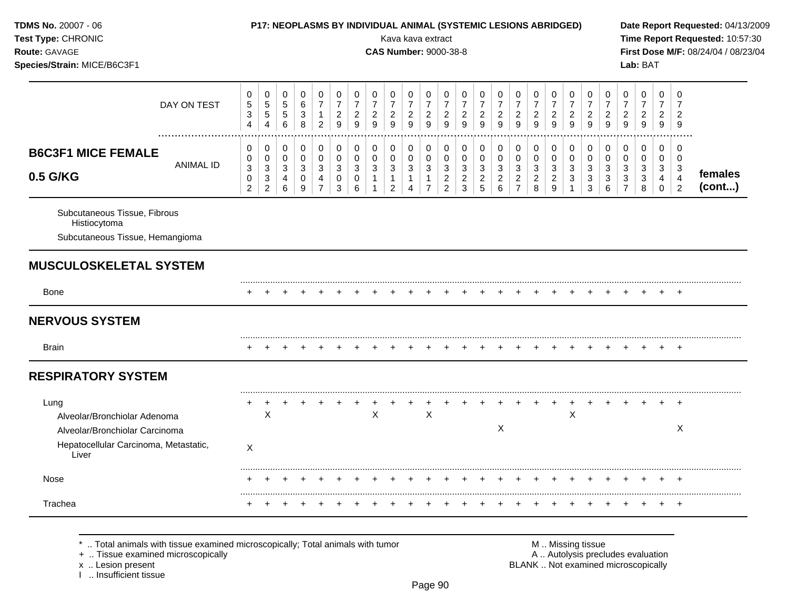| TDMS No. 20007 - 06<br>Test Type: CHRONIC<br>Route: GAVAGE<br>Species/Strain: MICE/B6C3F1                                |                                                    |                                                        |                                           |                                                |                                                                 |                                                       |                                                           |                                            |                                               | Kava kava extract<br><b>CAS Number: 9000-38-8</b>       |                                               |                                                                |                                              | P17: NEOPLASMS BY INDIVIDUAL ANIMAL (SYSTEMIC LESIONS ABRIDGED) |                                                               |                                                                      |                                            |                                                         |                                                         |                                                          |                                                         |                                                           | Lab: BAT                                         |                                                        |                                                           | Date Report Requested: 04/13/2009<br>Time Report Requested: 10:57:30<br>First Dose M/F: 08/24/04 / 08/23/04 |
|--------------------------------------------------------------------------------------------------------------------------|----------------------------------------------------|--------------------------------------------------------|-------------------------------------------|------------------------------------------------|-----------------------------------------------------------------|-------------------------------------------------------|-----------------------------------------------------------|--------------------------------------------|-----------------------------------------------|---------------------------------------------------------|-----------------------------------------------|----------------------------------------------------------------|----------------------------------------------|-----------------------------------------------------------------|---------------------------------------------------------------|----------------------------------------------------------------------|--------------------------------------------|---------------------------------------------------------|---------------------------------------------------------|----------------------------------------------------------|---------------------------------------------------------|-----------------------------------------------------------|--------------------------------------------------|--------------------------------------------------------|-----------------------------------------------------------|-------------------------------------------------------------------------------------------------------------|
| DAY ON TEST                                                                                                              | 0<br>$\mathbf 5$<br>$\mathbf{3}$<br>$\overline{4}$ | 0<br>$\sqrt{5}$<br>$\sqrt{5}$<br>$\overline{4}$        | 0<br>$\,$ 5 $\,$<br>$\sqrt{5}$<br>$\,6\,$ | 0<br>6<br>$\mathbf{3}$<br>8                    | $\mathbf 0$<br>$\overline{7}$<br>$\mathbf{1}$<br>$\overline{c}$ | 0<br>$\boldsymbol{7}$<br>$\sqrt{2}$<br>$\overline{9}$ | 0<br>$\overline{7}$<br>$\overline{a}$<br>$\boldsymbol{9}$ | 0<br>$\overline{7}$<br>$\overline{2}$<br>9 | 0<br>$\boldsymbol{7}$<br>$\overline{a}$<br>9  | 0<br>$\overline{7}$<br>$\overline{c}$<br>$\mathsf g$    | 0<br>$\boldsymbol{7}$<br>$\sqrt{2}$<br>9      | 0<br>$\overline{7}$<br>$\overline{c}$<br>$\overline{9}$        | 0<br>$\overline{7}$<br>$\overline{c}$<br>9   | 0<br>$\boldsymbol{7}$<br>$\overline{2}$<br>$\overline{9}$       | 0<br>$\overline{7}$<br>$\boldsymbol{2}$<br>$\overline{9}$     | 0<br>$\overline{7}$<br>$\overline{2}$<br>$\overline{9}$              | 0<br>$\overline{7}$<br>$\overline{2}$<br>9 | 0<br>$\overline{7}$<br>$\overline{2}$<br>$\overline{9}$ | 0<br>$\overline{7}$<br>$\overline{c}$<br>$\overline{9}$ | 0<br>$\boldsymbol{7}$<br>$\frac{2}{9}$                   | 0<br>$\overline{7}$<br>$\overline{c}$<br>$\overline{9}$ | 0<br>$\overline{7}$<br>$\overline{c}$<br>$\boldsymbol{9}$ | 0<br>$\overline{7}$<br>$\boldsymbol{2}$<br>$9\,$ | 0<br>$\overline{7}$<br>$\overline{2}$<br>9             | $\Omega$<br>7<br>$\overline{2}$<br>9                      |                                                                                                             |
| <b>B6C3F1 MICE FEMALE</b><br><b>ANIMAL ID</b><br>0.5 G/KG                                                                | 0<br>0<br>3<br>0<br>$\overline{2}$                 | 0<br>0<br>$\mathbf{3}$<br>$\sqrt{3}$<br>$\overline{2}$ | 0<br>$\mathbf 0$<br>3<br>4<br>6           | 0<br>$\mathbf 0$<br>3<br>0<br>$\boldsymbol{9}$ | 0<br>$\mathbf 0$<br>3<br>4<br>$\overline{7}$                    | 0<br>$\mathbf 0$<br>3<br>0<br>3                       | 0<br>$\mathbf 0$<br>3<br>$\mathbf 0$<br>6                 | 0<br>0<br>3<br>$\mathbf{1}$<br>$\mathbf 1$ | 0<br>0<br>3<br>$\mathbf{1}$<br>$\overline{a}$ | 0<br>$\mathbf 0$<br>3<br>$\mathbf{1}$<br>$\overline{4}$ | 0<br>0<br>3<br>$\mathbf{1}$<br>$\overline{7}$ | 0<br>$\mathbf 0$<br>$\sqrt{3}$<br>$\sqrt{2}$<br>$\overline{2}$ | 0<br>$\mathbf 0$<br>3<br>$\overline{c}$<br>3 | 0<br>$\mathbf 0$<br>$\sqrt{3}$<br>$\overline{c}$<br>5           | 0<br>$\mathbf 0$<br>$\mathbf{3}$<br>$\overline{c}$<br>$\,6\,$ | 0<br>$\mathbf 0$<br>$\mathbf{3}$<br>$\overline{2}$<br>$\overline{7}$ | 0<br>0<br>3<br>$\overline{a}$<br>8         | 0<br>$\mathbf 0$<br>3<br>$\overline{c}$<br>9            | 0<br>$\mathbf 0$<br>$\mathbf{3}$<br>$\mathbf{3}$        | 0<br>0<br>$\mathbf{3}$<br>$\mathbf{3}$<br>$\mathfrak{S}$ | 0<br>$\mathbf 0$<br>3<br>$\mathbf{3}$<br>$\,6$          | 0<br>0<br>3<br>3<br>$\overline{7}$                        | 0<br>0<br>3<br>3<br>8                            | 0<br>$\mathbf 0$<br>3<br>$\overline{4}$<br>$\mathbf 0$ | 0<br>$\mathbf 0$<br>3<br>$\overline{4}$<br>$\overline{2}$ | females<br>(cont)                                                                                           |
| Subcutaneous Tissue, Fibrous<br>Histiocytoma<br>Subcutaneous Tissue, Hemangioma                                          |                                                    |                                                        |                                           |                                                |                                                                 |                                                       |                                                           |                                            |                                               |                                                         |                                               |                                                                |                                              |                                                                 |                                                               |                                                                      |                                            |                                                         |                                                         |                                                          |                                                         |                                                           |                                                  |                                                        |                                                           |                                                                                                             |
| <b>MUSCULOSKELETAL SYSTEM</b>                                                                                            |                                                    |                                                        |                                           |                                                |                                                                 |                                                       |                                                           |                                            |                                               |                                                         |                                               |                                                                |                                              |                                                                 |                                                               |                                                                      |                                            |                                                         |                                                         |                                                          |                                                         |                                                           |                                                  |                                                        |                                                           |                                                                                                             |
| <b>Bone</b>                                                                                                              |                                                    |                                                        |                                           |                                                |                                                                 |                                                       |                                                           |                                            |                                               |                                                         |                                               |                                                                |                                              |                                                                 |                                                               |                                                                      |                                            |                                                         |                                                         |                                                          |                                                         |                                                           |                                                  |                                                        | $^{+}$                                                    |                                                                                                             |
| <b>NERVOUS SYSTEM</b>                                                                                                    |                                                    |                                                        |                                           |                                                |                                                                 |                                                       |                                                           |                                            |                                               |                                                         |                                               |                                                                |                                              |                                                                 |                                                               |                                                                      |                                            |                                                         |                                                         |                                                          |                                                         |                                                           |                                                  |                                                        |                                                           |                                                                                                             |
| <b>Brain</b>                                                                                                             |                                                    |                                                        |                                           |                                                |                                                                 |                                                       |                                                           |                                            |                                               |                                                         |                                               |                                                                |                                              |                                                                 |                                                               |                                                                      |                                            |                                                         |                                                         |                                                          |                                                         |                                                           |                                                  |                                                        |                                                           |                                                                                                             |
| <b>RESPIRATORY SYSTEM</b>                                                                                                |                                                    |                                                        |                                           |                                                |                                                                 |                                                       |                                                           |                                            |                                               |                                                         |                                               |                                                                |                                              |                                                                 |                                                               |                                                                      |                                            |                                                         |                                                         |                                                          |                                                         |                                                           |                                                  |                                                        |                                                           |                                                                                                             |
| Lung<br>Alveolar/Bronchiolar Adenoma<br>Alveolar/Bronchiolar Carcinoma<br>Hepatocellular Carcinoma, Metastatic,<br>Liver | $\pm$<br>X                                         | $\overline{+}$<br>X                                    | ÷                                         |                                                |                                                                 |                                                       |                                                           | X                                          |                                               |                                                         | +<br>$\mathsf X$                              |                                                                |                                              |                                                                 | X                                                             |                                                                      |                                            |                                                         | $\ddot{}$<br>X                                          | $\pm$                                                    |                                                         |                                                           |                                                  |                                                        | $\ddot{}$<br>Χ                                            |                                                                                                             |
| Nose                                                                                                                     |                                                    |                                                        |                                           |                                                |                                                                 |                                                       |                                                           |                                            |                                               |                                                         |                                               |                                                                |                                              |                                                                 |                                                               |                                                                      |                                            |                                                         |                                                         | ÷                                                        |                                                         |                                                           |                                                  |                                                        | $\pm$                                                     |                                                                                                             |
| Trachea                                                                                                                  |                                                    |                                                        |                                           |                                                |                                                                 |                                                       |                                                           |                                            |                                               |                                                         |                                               |                                                                |                                              |                                                                 |                                                               |                                                                      |                                            |                                                         |                                                         |                                                          |                                                         |                                                           |                                                  |                                                        | $\overline{+}$                                            |                                                                                                             |

x .. Lesion present<br>I .. Insufficient tissue

+ .. Tissue examined microscopically  $\blacksquare$  A .. Autolysis precludes evaluation M .. Missing tissue<br>A .. Autolysis precludes evaluation<br>BLANK .. Not examined microscopically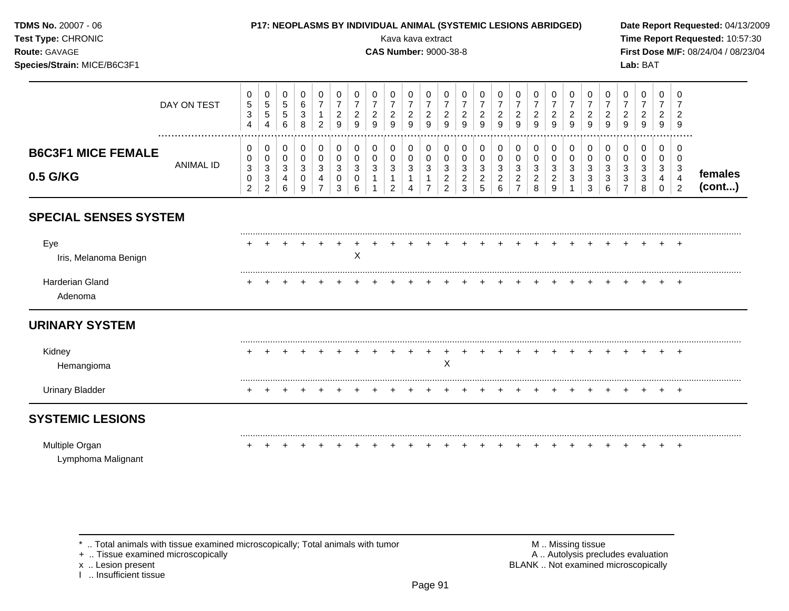| TDMS No. 20007 - 06<br>Test Type: CHRONIC<br>Route: GAVAGE<br>Species/Strain: MICE/B6C3F1 |                  |                                                                    |                                                                             |                                          |                               |                                               |                                            |                                                         |                                              | Kava kava extract                                                  |                                                                                                 |                                                                | <b>CAS Number: 9000-38-8</b>                                                      |                                            | P17: NEOPLASMS BY INDIVIDUAL ANIMAL (SYSTEMIC LESIONS ABRIDGED)    |                                                              |                                                                              |                               |                                                       |                                            |                                                                  |                                                                  |                                                         | Lab: BAT                                                      |                                                     |                                                                      | Date Report Requested: 04/13/2009<br>Time Report Requested: 10:57:30<br>First Dose M/F: 08/24/04 / 08/23/04 |
|-------------------------------------------------------------------------------------------|------------------|--------------------------------------------------------------------|-----------------------------------------------------------------------------|------------------------------------------|-------------------------------|-----------------------------------------------|--------------------------------------------|---------------------------------------------------------|----------------------------------------------|--------------------------------------------------------------------|-------------------------------------------------------------------------------------------------|----------------------------------------------------------------|-----------------------------------------------------------------------------------|--------------------------------------------|--------------------------------------------------------------------|--------------------------------------------------------------|------------------------------------------------------------------------------|-------------------------------|-------------------------------------------------------|--------------------------------------------|------------------------------------------------------------------|------------------------------------------------------------------|---------------------------------------------------------|---------------------------------------------------------------|-----------------------------------------------------|----------------------------------------------------------------------|-------------------------------------------------------------------------------------------------------------|
|                                                                                           | DAY ON TEST      | 0<br>$\mathbf 5$<br>$\ensuremath{\mathsf{3}}$<br>$\overline{4}$    | 0<br>$\mathbf 5$<br>$\sqrt{5}$<br>4                                         | 0<br>$\sqrt{5}$<br>$\sqrt{5}$<br>6       | 0<br>$\,6$<br>3<br>8          | 0<br>$\overline{7}$<br>1<br>$\overline{2}$    | 0<br>$\overline{7}$<br>$\overline{c}$<br>9 | 0<br>$\overline{7}$<br>$\overline{c}$<br>9              | 0<br>$\overline{7}$<br>$\overline{c}$<br>9   | 0<br>$\overline{7}$<br>$\overline{2}$<br>9                         | $\pmb{0}$<br>$\overline{7}$<br>$\sqrt{2}$<br>9                                                  | 0<br>$\overline{7}$<br>$\boldsymbol{2}$<br>9                   | $\mathbf 0$<br>$\overline{7}$<br>$\boldsymbol{2}$<br>9                            | 0<br>$\overline{7}$<br>$\overline{c}$<br>9 | 0<br>$\overline{7}$<br>$\overline{c}$<br>9                         | 0<br>$\overline{7}$<br>$\sqrt{2}$<br>$\overline{9}$          | 0<br>$\overline{7}$<br>$\overline{c}$<br>9                                   | 0<br>$\overline{7}$<br>2<br>9 | 0<br>$\overline{7}$<br>$\overline{c}$<br>9            | 0<br>$\overline{7}$<br>$\overline{c}$<br>9 | 0<br>$\overline{7}$<br>$\overline{c}$<br>9                       | 0<br>$\overline{7}$<br>$\boldsymbol{2}$<br>9                     | 0<br>$\overline{7}$<br>$\overline{2}$<br>$\overline{9}$ | 0<br>$\overline{7}$<br>$\overline{2}$<br>9                    | 0<br>$\overline{7}$<br>$\overline{2}$<br>9          | 0<br>$\overline{7}$<br>$\overline{2}$<br>9                           |                                                                                                             |
| <b>B6C3F1 MICE FEMALE</b><br>0.5 G/KG                                                     | <b>ANIMAL ID</b> | 0<br>0<br>$\ensuremath{\mathsf{3}}$<br>$\pmb{0}$<br>$\overline{2}$ | 0<br>$\pmb{0}$<br>$\ensuremath{\mathsf{3}}$<br>$\sqrt{3}$<br>$\overline{2}$ | 0<br>$\pmb{0}$<br>$\mathbf{3}$<br>4<br>6 | 0<br>$\pmb{0}$<br>3<br>0<br>9 | 0<br>0<br>$\mathbf{3}$<br>4<br>$\overline{7}$ | 0<br>$\pmb{0}$<br>$\mathbf{3}$<br>0<br>3   | 0<br>$\pmb{0}$<br>$\mathbf{3}$<br>$\boldsymbol{0}$<br>6 | 0<br>$\pmb{0}$<br>$\sqrt{3}$<br>$\mathbf{1}$ | 0<br>$\pmb{0}$<br>$\mathbf{3}$<br>$\overline{1}$<br>$\overline{2}$ | $\pmb{0}$<br>$\mathbf 0$<br>$\ensuremath{\mathsf{3}}$<br>$\mathbf{1}$<br>$\boldsymbol{\Lambda}$ | 0<br>$\pmb{0}$<br>$\sqrt{3}$<br>$\mathbf{1}$<br>$\overline{7}$ | 0<br>$\pmb{0}$<br>$\ensuremath{\mathsf{3}}$<br>$\boldsymbol{2}$<br>$\overline{2}$ | 0<br>$\pmb{0}$<br>3<br>$\overline{c}$<br>3 | 0<br>$\pmb{0}$<br>$\mathbf{3}$<br>$\overline{2}$<br>$\overline{5}$ | 0<br>$\pmb{0}$<br>$\sqrt{3}$<br>$\sqrt{2}$<br>$6\phantom{1}$ | $\mathbf 0$<br>$\mathbf 0$<br>$\sqrt{3}$<br>$\overline{2}$<br>$\overline{7}$ | 0<br>$\pmb{0}$<br>3<br>2<br>8 | 0<br>$\mathbf 0$<br>$\sqrt{3}$<br>$\overline{c}$<br>9 | 0<br>$\mathsf{O}\xspace$<br>3<br>3         | 0<br>$\pmb{0}$<br>$\mathbf{3}$<br>$\ensuremath{\mathsf{3}}$<br>3 | 0<br>$\pmb{0}$<br>$\mathbf{3}$<br>$\mathbf{3}$<br>$6\phantom{a}$ | 0<br>0<br>3<br>3                                        | $\mathbf 0$<br>$\pmb{0}$<br>$\mathbf{3}$<br>$\mathbf{3}$<br>8 | 0<br>$\mathbf 0$<br>3<br>$\overline{4}$<br>$\Omega$ | $\mathbf 0$<br>0<br>$\mathbf{3}$<br>$\overline{4}$<br>$\overline{2}$ | females<br>(cont)                                                                                           |
| <b>SPECIAL SENSES SYSTEM</b>                                                              |                  |                                                                    |                                                                             |                                          |                               |                                               |                                            |                                                         |                                              |                                                                    |                                                                                                 |                                                                |                                                                                   |                                            |                                                                    |                                                              |                                                                              |                               |                                                       |                                            |                                                                  |                                                                  |                                                         |                                                               |                                                     |                                                                      |                                                                                                             |
| Eye<br>Iris, Melanoma Benign                                                              |                  |                                                                    |                                                                             |                                          |                               |                                               | $\ddot{}$                                  | X                                                       |                                              |                                                                    |                                                                                                 |                                                                |                                                                                   |                                            |                                                                    |                                                              |                                                                              |                               |                                                       |                                            |                                                                  |                                                                  |                                                         |                                                               |                                                     |                                                                      |                                                                                                             |
| <b>Harderian Gland</b><br>Adenoma                                                         |                  |                                                                    |                                                                             |                                          |                               |                                               |                                            |                                                         |                                              |                                                                    |                                                                                                 |                                                                |                                                                                   |                                            |                                                                    |                                                              |                                                                              |                               |                                                       |                                            |                                                                  |                                                                  |                                                         |                                                               |                                                     |                                                                      |                                                                                                             |
| <b>URINARY SYSTEM</b>                                                                     |                  |                                                                    |                                                                             |                                          |                               |                                               |                                            |                                                         |                                              |                                                                    |                                                                                                 |                                                                |                                                                                   |                                            |                                                                    |                                                              |                                                                              |                               |                                                       |                                            |                                                                  |                                                                  |                                                         |                                                               |                                                     |                                                                      |                                                                                                             |
| Kidney<br>Hemangioma                                                                      |                  |                                                                    |                                                                             |                                          |                               |                                               |                                            |                                                         |                                              |                                                                    |                                                                                                 | $\pm$                                                          | $\overline{+}$<br>$\boldsymbol{\mathsf{X}}$                                       | +                                          |                                                                    |                                                              |                                                                              |                               |                                                       |                                            |                                                                  |                                                                  |                                                         |                                                               |                                                     |                                                                      |                                                                                                             |
| <b>Urinary Bladder</b>                                                                    |                  |                                                                    |                                                                             |                                          |                               |                                               |                                            |                                                         |                                              |                                                                    |                                                                                                 |                                                                |                                                                                   |                                            |                                                                    |                                                              |                                                                              |                               |                                                       |                                            |                                                                  |                                                                  |                                                         |                                                               |                                                     |                                                                      |                                                                                                             |
| <b>SYSTEMIC LESIONS</b>                                                                   |                  |                                                                    |                                                                             |                                          |                               |                                               |                                            |                                                         |                                              |                                                                    |                                                                                                 |                                                                |                                                                                   |                                            |                                                                    |                                                              |                                                                              |                               |                                                       |                                            |                                                                  |                                                                  |                                                         |                                                               |                                                     |                                                                      |                                                                                                             |
| Multiple Organ<br>Lymphoma Malignant                                                      |                  |                                                                    |                                                                             |                                          |                               |                                               |                                            |                                                         |                                              |                                                                    |                                                                                                 |                                                                |                                                                                   |                                            |                                                                    |                                                              |                                                                              |                               |                                                       |                                            | $\pm$                                                            |                                                                  |                                                         |                                                               |                                                     | $^{+}$                                                               |                                                                                                             |

\* .. Total animals with tissue examined microscopically; Total animals with tumor + .. Tissue examined microscopically

x .. Lesion present<br>I .. Insufficient tissue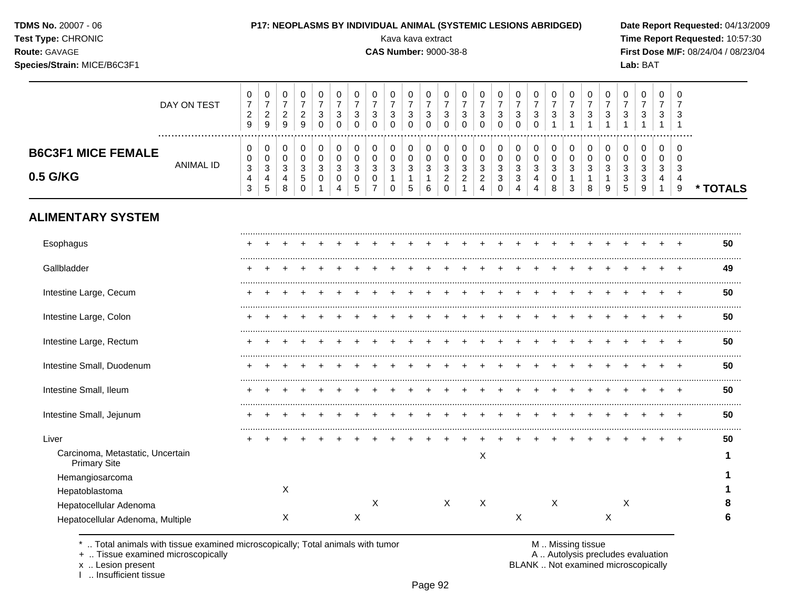|  |  | <b>TDMS No. 20007 - 06</b> |  |  |
|--|--|----------------------------|--|--|
|--|--|----------------------------|--|--|

#### **P17: NEOPLASMS BY INDIVIDUAL ANIMAL (SYSTEMIC LESIONS ABRIDGED)** Date Report Requested: 04/13/2009

**Species/Strain:** MICE/B6C3F1 **Lab:** BAT

**Test Type:** CHRONIC **Transfer CHRONIC** Kava Rava extract Kava extract **Time Report Requested:** 10:57:30 **Route:** GAVAGE **CAS Number:** 9000-38-8 **First Dose M/F:** 08/24/04 / 08/23/04

|                                       | DAY ON TEST | 0<br>$\sim$<br>9      | U<br>–<br>◠<br>_<br>9            | υ<br>◠<br>∼<br>9 | ν<br>9      | υ  | U<br>3        | U                        | U<br>3                | v<br>◠<br>ັ<br>v      | υ<br>3<br>u                 | v<br>3                 | υ<br>دت | U<br>3                             | U | 0<br>3<br>0                               | v<br><sup>o</sup><br>ت                          | υ<br>3 | v<br>3                | U<br>3       | 0<br>3 | 0<br>З                              | v<br>◠<br>ັ                                     | U<br>J           | U<br>3                         |        |
|---------------------------------------|-------------|-----------------------|----------------------------------|------------------|-------------|----|---------------|--------------------------|-----------------------|-----------------------|-----------------------------|------------------------|---------|------------------------------------|---|-------------------------------------------|-------------------------------------------------|--------|-----------------------|--------------|--------|-------------------------------------|-------------------------------------------------|------------------|--------------------------------|--------|
| <b>B6C3F1 MICE FEMALE</b><br>0.5 G/KG | ANIMAL ID   | 0<br>3<br>4<br>◠<br>ۍ | v<br>v<br>$\sim$<br>ັ<br>4<br>C. | ົ<br>8           | c<br>∽<br>◡ | دت | ◠<br>- 0<br>4 | $\overline{\phantom{a}}$ | 0<br>U<br>c<br>J<br>U | v<br>v<br>◠<br>ັ<br>U | 0<br>2<br>J<br><sub>5</sub> | υ<br>c<br>J.<br>⌒<br>ь | P       | ົ<br>- 0<br>$\sqrt{2}$<br><u>_</u> | 4 | 0<br>0<br>◠<br>J<br>$\sqrt{2}$<br>ັບ<br>0 | v<br>v<br><sup>o</sup><br>ັ<br>$\sim$<br>ັ<br>4 | ◠<br>4 | υ<br>v<br>3<br>ν<br>8 | ◠<br>دت<br>3 | 3<br>8 | 0<br>c<br>J<br>$\sqrt{2}$<br>N<br>5 | υ<br>v<br><sup>o</sup><br>ັ<br>$\sim$<br>ັ<br>9 | C<br>ີ<br>J<br>4 | U<br>v<br>3<br>$\epsilon$<br>9 | TOTALS |

## **ALIMENTARY SYSTEM**

| Esophagus                                               |  |   |  |   |   |  |   |   |   |   |  |   |   |  |  | 50 |
|---------------------------------------------------------|--|---|--|---|---|--|---|---|---|---|--|---|---|--|--|----|
| Gallbladder                                             |  |   |  |   |   |  |   |   |   |   |  |   |   |  |  | 49 |
| Intestine Large, Cecum                                  |  |   |  |   |   |  |   |   |   |   |  |   |   |  |  | 50 |
| Intestine Large, Colon                                  |  |   |  |   |   |  |   |   |   |   |  |   |   |  |  | 50 |
| Intestine Large, Rectum                                 |  |   |  |   |   |  |   |   |   |   |  |   |   |  |  | 50 |
| Intestine Small, Duodenum                               |  |   |  |   |   |  |   |   |   |   |  |   |   |  |  | 50 |
| Intestine Small, Ileum                                  |  |   |  |   |   |  |   |   |   |   |  |   |   |  |  | 50 |
| Intestine Small, Jejunum                                |  |   |  |   |   |  |   |   |   |   |  |   |   |  |  | 50 |
| Liver                                                   |  |   |  |   |   |  |   |   |   |   |  |   |   |  |  | 50 |
| Carcinoma, Metastatic, Uncertain<br><b>Primary Site</b> |  |   |  |   |   |  |   | X |   |   |  |   |   |  |  |    |
| Hemangiosarcoma                                         |  |   |  |   |   |  |   |   |   |   |  |   |   |  |  |    |
| Hepatoblastoma                                          |  | X |  |   |   |  |   |   |   |   |  |   |   |  |  |    |
| Hepatocellular Adenoma                                  |  |   |  |   | Χ |  | X | X |   | Χ |  |   | X |  |  | 8  |
| Hepatocellular Adenoma, Multiple                        |  | X |  | Х |   |  |   |   | Х |   |  | Х |   |  |  | 6  |

\* .. Total animals with tissue examined microscopically; Total animals with tumor <br>
+ .. Tissue examined microscopically<br>
+ .. Tissue examined microscopically

+ .. Tissue examined microscopically

x .. Lesion present<br>I .. Insufficient tissue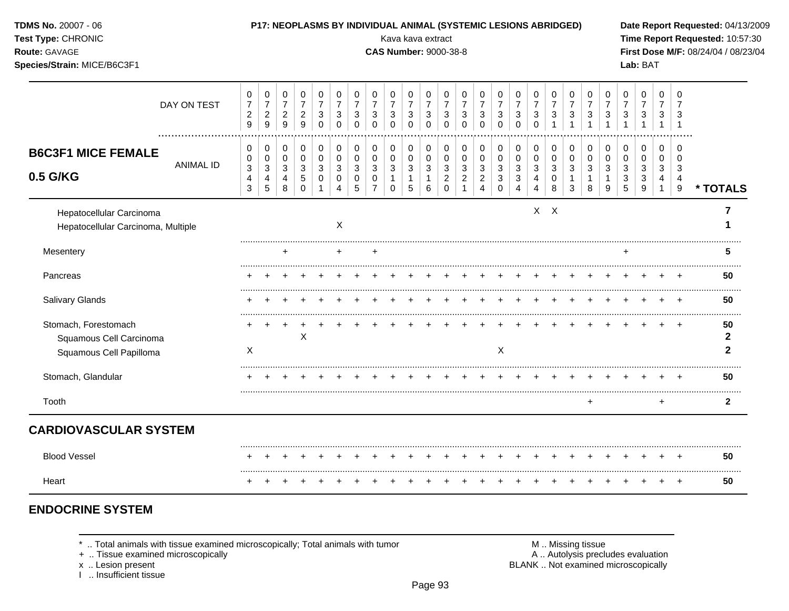| TDMS No. 20007 - 06<br>Test Type: CHRONIC<br>Route: GAVAGE<br>Species/Strain: MICE/B6C3F1 |                  |                                                                      | P17: NEOPLASMS BY INDIVIDUAL ANIMAL (SYSTEMIC LESIONS ABRIDGED) |                                          |                                                             |                                                                         |                                                                   |                                                              |                                      | Kava kava extract<br><b>CAS Number: 9000-38-8</b> |                                                    |                                                    |                                                                |                                                                        |                                                                          |                                                 |                                                                  |                                      |                                                                  |                                               |                                                       |                                                                              |                                          | Lab: BAT                                 |                                          |                                                  | Date Report Requested: 04/13/2009<br>Time Report Requested: 10:57:30<br>First Dose M/F: 08/24/04 / 08/23/04 |
|-------------------------------------------------------------------------------------------|------------------|----------------------------------------------------------------------|-----------------------------------------------------------------|------------------------------------------|-------------------------------------------------------------|-------------------------------------------------------------------------|-------------------------------------------------------------------|--------------------------------------------------------------|--------------------------------------|---------------------------------------------------|----------------------------------------------------|----------------------------------------------------|----------------------------------------------------------------|------------------------------------------------------------------------|--------------------------------------------------------------------------|-------------------------------------------------|------------------------------------------------------------------|--------------------------------------|------------------------------------------------------------------|-----------------------------------------------|-------------------------------------------------------|------------------------------------------------------------------------------|------------------------------------------|------------------------------------------|------------------------------------------|--------------------------------------------------|-------------------------------------------------------------------------------------------------------------|
|                                                                                           | DAY ON TEST<br>  | 0<br>$\overline{7}$<br>$\overline{c}$<br>9                           | 0<br>$\boldsymbol{7}$<br>$\overline{2}$<br>9                    | 0<br>$\overline{7}$<br>$\sqrt{2}$<br>9   | 0<br>$\overline{7}$<br>$\sqrt{2}$<br>9                      | 0<br>$\overline{7}$<br>$\ensuremath{\mathsf{3}}$<br>$\Omega$            | 0<br>$\overline{7}$<br>$\sqrt{3}$<br>$\mathbf 0$                  | 0<br>$\overline{7}$<br>$\ensuremath{\mathsf{3}}$<br>$\Omega$ | 0<br>$\overline{7}$<br>3<br>$\Omega$ | 0<br>$\overline{7}$<br>3<br>$\Omega$              | 0<br>$\overline{7}$<br>$\sqrt{3}$<br>$\Omega$      | 0<br>$\overline{7}$<br>$\mathbf{3}$<br>$\mathbf 0$ | 0<br>$\overline{7}$<br>$\sqrt{3}$<br>$\mathbf 0$               | $\mathbf 0$<br>$\overline{7}$<br>$\ensuremath{\mathsf{3}}$<br>$\Omega$ | 0<br>$\overline{7}$<br>$\sqrt{3}$<br>$\Omega$                            | 0<br>$\overline{7}$<br>$\sqrt{3}$<br>$\Omega$   | 0<br>$\overline{7}$<br>$\sqrt{3}$<br>$\mathbf 0$                 | 0<br>$\overline{7}$<br>3<br>$\Omega$ | 0<br>$\overline{7}$<br>$\ensuremath{\mathsf{3}}$<br>$\mathbf{1}$ | 0<br>$\overline{7}$<br>$\sqrt{3}$             | 0<br>$\overline{7}$<br>$\mathbf{3}$<br>$\overline{1}$ | $\mathbf 0$<br>$\overline{7}$<br>$\ensuremath{\mathsf{3}}$<br>$\overline{1}$ | 0<br>$\overline{7}$<br>3<br>$\mathbf{1}$ | 0<br>$\overline{7}$<br>3<br>$\mathbf{1}$ | 0<br>$\overline{7}$<br>3<br>$\mathbf{1}$ | $\Omega$<br>$\overline{7}$<br>$\overline{1}$     |                                                                                                             |
| <b>B6C3F1 MICE FEMALE</b><br>0.5 G/KG                                                     | <b>ANIMAL ID</b> | $\mathbf 0$<br>0<br>$\ensuremath{\mathsf{3}}$<br>$\overline{4}$<br>3 | 0<br>0<br>$\sqrt{3}$<br>4<br>5                                  | 0<br>$\mathbf 0$<br>$\sqrt{3}$<br>4<br>8 | $\mathbf 0$<br>$\mathbf 0$<br>$\mathbf{3}$<br>5<br>$\Omega$ | $\pmb{0}$<br>$\mathbf 0$<br>$\sqrt{3}$<br>$\mathbf 0$<br>$\overline{1}$ | $\mathbf 0$<br>$\mathbf 0$<br>$\ensuremath{\mathsf{3}}$<br>0<br>4 | 0<br>$\mathbf 0$<br>$\sqrt{3}$<br>$\mathbf 0$<br>5           | 0<br>0<br>3<br>0<br>$\overline{7}$   | 0<br>0<br>3<br>$\Omega$                           | $\mathbf 0$<br>$\mathbf 0$<br>$\sqrt{3}$<br>1<br>5 | 0<br>$\mathbf 0$<br>$\mathbf{3}$<br>1<br>6         | 0<br>$\mathbf 0$<br>$\sqrt{3}$<br>$\boldsymbol{2}$<br>$\Omega$ | 0<br>$\mathbf 0$<br>3<br>$\overline{2}$<br>$\overline{1}$              | $\mathbf 0$<br>$\mathbf 0$<br>$\sqrt{3}$<br>$\sqrt{2}$<br>$\overline{4}$ | 0<br>$\mathbf 0$<br>$\sqrt{3}$<br>3<br>$\Omega$ | 0<br>$\mathbf 0$<br>$\sqrt{3}$<br>$\mathbf{3}$<br>$\overline{4}$ | 0<br>0<br>3<br>4<br>4                | 0<br>0<br>3<br>$\mathbf 0$<br>8                                  | $\mathbf 0$<br>$\mathbf 0$<br>$\sqrt{3}$<br>3 | 0<br>$\mathbf 0$<br>$\mathbf{3}$<br>$\mathbf{1}$<br>8 | 0<br>$\mathbf 0$<br>$\mathbf{3}$<br>-1<br>9                                  | 0<br>$\Omega$<br>3<br>3<br>5             | 0<br>$\Omega$<br>3<br>3<br>9             | 0<br>$\Omega$<br>3<br>4<br>$\mathbf{1}$  | $\Omega$<br>$\Omega$<br>3<br>$\overline{4}$<br>9 | * TOTALS                                                                                                    |
| Hepatocellular Carcinoma<br>Hepatocellular Carcinoma, Multiple                            |                  |                                                                      |                                                                 |                                          |                                                             |                                                                         | X                                                                 |                                                              |                                      |                                                   |                                                    |                                                    |                                                                |                                                                        |                                                                          |                                                 |                                                                  |                                      | $X$ $X$                                                          |                                               |                                                       |                                                                              |                                          |                                          |                                          |                                                  |                                                                                                             |
| Mesentery                                                                                 |                  |                                                                      |                                                                 |                                          |                                                             |                                                                         | $\ddot{}$                                                         |                                                              | $\ddot{}$                            |                                                   |                                                    |                                                    |                                                                |                                                                        |                                                                          |                                                 |                                                                  |                                      |                                                                  |                                               |                                                       |                                                                              |                                          |                                          |                                          |                                                  | 5                                                                                                           |
| Pancreas                                                                                  |                  |                                                                      |                                                                 |                                          |                                                             |                                                                         |                                                                   |                                                              |                                      |                                                   |                                                    |                                                    |                                                                |                                                                        |                                                                          |                                                 |                                                                  |                                      |                                                                  |                                               |                                                       |                                                                              |                                          |                                          |                                          |                                                  | 50                                                                                                          |
| Salivary Glands                                                                           |                  | +                                                                    |                                                                 |                                          |                                                             |                                                                         |                                                                   |                                                              |                                      |                                                   |                                                    |                                                    |                                                                |                                                                        |                                                                          | $\div$                                          |                                                                  | $\ddot{}$                            |                                                                  | +                                             | $\ddot{}$                                             | $\overline{+}$                                                               |                                          |                                          |                                          |                                                  | <br>50                                                                                                      |
| Stomach, Forestomach<br>Squamous Cell Carcinoma<br>Squamous Cell Papilloma                |                  | +<br>X                                                               | $\overline{+}$                                                  | $\overline{+}$                           | X                                                           |                                                                         |                                                                   |                                                              |                                      |                                                   |                                                    |                                                    |                                                                |                                                                        |                                                                          | X                                               |                                                                  |                                      |                                                                  |                                               |                                                       |                                                                              |                                          |                                          |                                          | $+$                                              | .<br>50<br>$\mathbf{2}$<br>$\mathbf{2}$                                                                     |
| Stomach, Glandular                                                                        |                  |                                                                      | +                                                               |                                          |                                                             |                                                                         |                                                                   |                                                              | +                                    |                                                   | +                                                  | $+$                                                | $\pm$                                                          | $\pm$                                                                  |                                                                          | $\pm$                                           | $+$                                                              | $+$                                  | $+$                                                              | $\pm$                                         | $+$                                                   | $\pm$                                                                        | $+$                                      |                                          |                                          | $\pm$                                            | 50                                                                                                          |
| Tooth                                                                                     |                  |                                                                      |                                                                 |                                          |                                                             |                                                                         |                                                                   |                                                              |                                      |                                                   |                                                    |                                                    |                                                                |                                                                        |                                                                          |                                                 |                                                                  |                                      |                                                                  |                                               | $\ddot{}$                                             |                                                                              |                                          |                                          | +                                        |                                                  | $\mathbf{2}$                                                                                                |
| <b>CARDIOVASCULAR SYSTEM</b>                                                              |                  |                                                                      |                                                                 |                                          |                                                             |                                                                         |                                                                   |                                                              |                                      |                                                   |                                                    |                                                    |                                                                |                                                                        |                                                                          |                                                 |                                                                  |                                      |                                                                  |                                               |                                                       |                                                                              |                                          |                                          |                                          |                                                  |                                                                                                             |
| <b>Blood Vessel</b>                                                                       |                  |                                                                      |                                                                 |                                          |                                                             |                                                                         |                                                                   |                                                              |                                      |                                                   |                                                    |                                                    |                                                                |                                                                        |                                                                          |                                                 |                                                                  |                                      |                                                                  |                                               |                                                       |                                                                              |                                          |                                          |                                          |                                                  | 50                                                                                                          |
| Heart                                                                                     |                  |                                                                      |                                                                 |                                          |                                                             |                                                                         |                                                                   |                                                              |                                      |                                                   |                                                    |                                                    |                                                                |                                                                        |                                                                          |                                                 |                                                                  |                                      |                                                                  |                                               |                                                       |                                                                              |                                          |                                          |                                          | $\pm$                                            | 50                                                                                                          |

# **ENDOCRINE SYSTEM**

 $^*$  .. Total animals with tissue examined microscopically; Total animals with tumor  $\blacksquare$  M .. Missing tissue

+ .. Tissue examined microscopically  $\blacksquare$  A .. Autolysis precludes evaluation

x .. Lesion present<br>I .. Insufficient tissue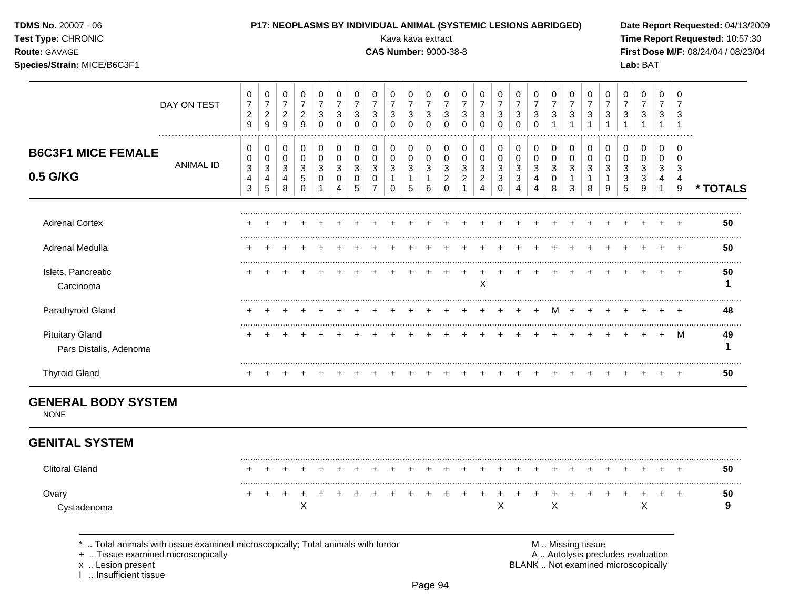| TDMS No. 20007 - 06<br>Test Type: CHRONIC<br>Route: GAVAGE<br>Species/Strain: MICE/B6C3F1 |                  |                                                                               |                                                                 |                                                    |                                         |                                                       |                                                               |                                                                    |                                                                           | P17: NEOPLASMS BY INDIVIDUAL ANIMAL (SYSTEMIC LESIONS ABRIDGED)<br>Kava kava extract<br><b>CAS Number: 9000-38-8</b> |                                                              |                                                                 |                                                                |                                                                                         |                                                                        |                                                            |                                                                  |                                                 |                                                     |                                                                      |                                                                 |                                                               |                                                     | Lab: BAT                                              |                                          |                                                         | Date Report Requested: 04/13/2009<br>Time Report Requested: 10:57:30<br>First Dose M/F: 08/24/04 / 08/23/04 |
|-------------------------------------------------------------------------------------------|------------------|-------------------------------------------------------------------------------|-----------------------------------------------------------------|----------------------------------------------------|-----------------------------------------|-------------------------------------------------------|---------------------------------------------------------------|--------------------------------------------------------------------|---------------------------------------------------------------------------|----------------------------------------------------------------------------------------------------------------------|--------------------------------------------------------------|-----------------------------------------------------------------|----------------------------------------------------------------|-----------------------------------------------------------------------------------------|------------------------------------------------------------------------|------------------------------------------------------------|------------------------------------------------------------------|-------------------------------------------------|-----------------------------------------------------|----------------------------------------------------------------------|-----------------------------------------------------------------|---------------------------------------------------------------|-----------------------------------------------------|-------------------------------------------------------|------------------------------------------|---------------------------------------------------------|-------------------------------------------------------------------------------------------------------------|
|                                                                                           | DAY ON TEST      | 0<br>$\boldsymbol{7}$<br>$\overline{c}$<br>$9\,$                              | 0<br>$\overline{\mathbf{7}}$<br>$\frac{2}{9}$                   | 0<br>$\overline{7}$<br>$\frac{2}{9}$               | 0<br>$\overline{7}$<br>$\frac{2}{9}$    | 0<br>$\overline{7}$<br>$\mathbf{3}$<br>$\mathsf 0$    | 0<br>$\overline{7}$<br>$\ensuremath{\mathsf{3}}$<br>$\pmb{0}$ | 0<br>$\overline{7}$<br>$\ensuremath{\mathsf{3}}$<br>$\pmb{0}$      | 0<br>$\overline{7}$<br>$\ensuremath{\mathsf{3}}$<br>$\mathsf{O}\xspace$   | 0<br>$\overline{7}$<br>$\ensuremath{\mathsf{3}}$<br>$\mathsf{O}\xspace$                                              | $\mathbf 0$<br>$\overline{7}$<br>$\sqrt{3}$<br>$\mathbf 0$   | 0<br>$\overline{7}$<br>$\sqrt{3}$<br>$\pmb{0}$                  | 0<br>$\overline{7}$<br>$\mathbf{3}$<br>$\mathsf{O}\xspace$     | 0<br>$\overline{7}$<br>3<br>$\pmb{0}$                                                   | 0<br>$\overline{7}$<br>$\sqrt{3}$<br>$\mathbf 0$                       | 0<br>$\overline{7}$<br>$\mathbf{3}$<br>$\pmb{0}$           | 0<br>$\overline{7}$<br>$\mathbf{3}$<br>$\mathbf{0}$              | 0<br>$\overline{7}$<br>$\mathbf{3}$<br>$\Omega$ | 0<br>$\overline{7}$<br>$\mathbf{3}$<br>$\mathbf{1}$ | 0<br>$\overline{7}$<br>$\sqrt{3}$<br>$\overline{1}$                  | 0<br>$\overline{7}$<br>$\sqrt{3}$<br>$\mathbf{1}$               | 0<br>$\overline{7}$<br>$\mathsf 3$<br>$\mathbf{1}$            | 0<br>$\overline{7}$<br>$\mathbf{3}$<br>$\mathbf{1}$ | 0<br>$\overline{7}$<br>3<br>1                         | 0<br>$\overline{7}$<br>3<br>$\mathbf{1}$ | $\Omega$<br>$\overline{7}$<br>3<br>$\overline{1}$       |                                                                                                             |
| <b>B6C3F1 MICE FEMALE</b><br>0.5 G/KG                                                     | <b>ANIMAL ID</b> | $\mathbf 0$<br>0<br>$\ensuremath{\mathsf{3}}$<br>$\overline{\mathbf{4}}$<br>3 | $\mathbf 0$<br>$\pmb{0}$<br>$\mathbf{3}$<br>$\overline{4}$<br>5 | $\mathbf 0$<br>$\pmb{0}$<br>$\mathbf{3}$<br>4<br>8 | 0<br>$\pmb{0}$<br>3<br>5<br>$\mathbf 0$ | $\pmb{0}$<br>$\pmb{0}$<br>$\mathbf{3}$<br>$\mathbf 0$ | $\pmb{0}$<br>$\pmb{0}$<br>$\mathfrak{S}$<br>0<br>4            | $\pmb{0}$<br>$\mathsf{O}\xspace$<br>3<br>$\mathbf 0$<br>$\sqrt{5}$ | $\mathbf 0$<br>$\pmb{0}$<br>$\mathbf{3}$<br>$\mathbf 0$<br>$\overline{7}$ | $\mathsf{O}\xspace$<br>$\mathbf 0$<br>$\mathbf{3}$<br>$\mathbf{1}$<br>$\mathbf 0$                                    | $\pmb{0}$<br>$\mathbf 0$<br>$\mathbf 3$<br>$\mathbf{1}$<br>5 | $\mathbf 0$<br>$\mathsf 0$<br>$\mathbf{3}$<br>$\mathbf{1}$<br>6 | 0<br>$\pmb{0}$<br>$\mathsf 3$<br>$\overline{c}$<br>$\mathbf 0$ | $\mathbf 0$<br>$\pmb{0}$<br>$\ensuremath{\mathsf{3}}$<br>$\overline{2}$<br>$\mathbf{1}$ | $\pmb{0}$<br>$\pmb{0}$<br>$\mathbf{3}$<br>$\sqrt{2}$<br>$\overline{4}$ | 0<br>$\pmb{0}$<br>$\mathbf{3}$<br>$\mathbf{3}$<br>$\Omega$ | 0<br>$\pmb{0}$<br>$\mathbf{3}$<br>$\mathbf{3}$<br>$\overline{4}$ | 0<br>0<br>$\mathbf{3}$<br>4<br>4                | $\mathbf 0$<br>$\pmb{0}$<br>$\mathbf{3}$<br>0<br>8  | $\pmb{0}$<br>$\pmb{0}$<br>$\sqrt{3}$<br>$\mathbf{1}$<br>$\mathbf{3}$ | $\pmb{0}$<br>$\mathsf 0$<br>$\mathfrak{S}$<br>$\mathbf{1}$<br>8 | $\mathbf 0$<br>$\pmb{0}$<br>$\mathbf{3}$<br>$\mathbf{1}$<br>9 | $\mathbf 0$<br>0<br>$\sqrt{3}$<br>$\mathbf{3}$<br>5 | 0<br>$\mathbf 0$<br>$\mathfrak{Z}$<br>$\sqrt{3}$<br>9 | 0<br>$\Omega$<br>3<br>4<br>$\mathbf{1}$  | $\mathbf 0$<br>$\Omega$<br>3<br>$\overline{4}$<br>$9\,$ | * TOTALS                                                                                                    |
| <b>Adrenal Cortex</b>                                                                     |                  |                                                                               |                                                                 |                                                    |                                         |                                                       |                                                               |                                                                    |                                                                           |                                                                                                                      |                                                              |                                                                 |                                                                |                                                                                         |                                                                        |                                                            |                                                                  |                                                 |                                                     |                                                                      |                                                                 |                                                               |                                                     |                                                       |                                          |                                                         | 50                                                                                                          |
| Adrenal Medulla                                                                           |                  |                                                                               |                                                                 |                                                    |                                         |                                                       |                                                               |                                                                    |                                                                           |                                                                                                                      |                                                              |                                                                 |                                                                |                                                                                         |                                                                        |                                                            |                                                                  | $\div$                                          |                                                     |                                                                      | $\div$                                                          |                                                               |                                                     |                                                       |                                          |                                                         | 50                                                                                                          |
| Islets, Pancreatic<br>Carcinoma                                                           |                  |                                                                               |                                                                 |                                                    |                                         |                                                       |                                                               |                                                                    |                                                                           |                                                                                                                      |                                                              |                                                                 |                                                                |                                                                                         | X                                                                      |                                                            |                                                                  |                                                 |                                                     |                                                                      |                                                                 |                                                               |                                                     |                                                       |                                          |                                                         | 50<br>1                                                                                                     |
| Parathyroid Gland                                                                         |                  |                                                                               |                                                                 |                                                    |                                         |                                                       |                                                               |                                                                    |                                                                           |                                                                                                                      |                                                              |                                                                 |                                                                |                                                                                         |                                                                        |                                                            |                                                                  | $\div$                                          | M                                                   | $\pm$                                                                |                                                                 |                                                               |                                                     |                                                       |                                          |                                                         | 48                                                                                                          |
| <b>Pituitary Gland</b><br>Pars Distalis, Adenoma                                          |                  |                                                                               |                                                                 |                                                    |                                         |                                                       |                                                               |                                                                    |                                                                           |                                                                                                                      |                                                              |                                                                 |                                                                |                                                                                         |                                                                        |                                                            |                                                                  |                                                 |                                                     |                                                                      |                                                                 |                                                               |                                                     |                                                       | $+$                                      | M                                                       | 49<br>1                                                                                                     |
| <b>Thyroid Gland</b>                                                                      |                  |                                                                               |                                                                 |                                                    |                                         |                                                       |                                                               |                                                                    |                                                                           |                                                                                                                      |                                                              |                                                                 |                                                                |                                                                                         |                                                                        |                                                            |                                                                  |                                                 |                                                     |                                                                      |                                                                 |                                                               |                                                     |                                                       |                                          |                                                         | 50                                                                                                          |
| <b>GENERAL BODY SYSTEM</b><br><b>NONE</b>                                                 |                  |                                                                               |                                                                 |                                                    |                                         |                                                       |                                                               |                                                                    |                                                                           |                                                                                                                      |                                                              |                                                                 |                                                                |                                                                                         |                                                                        |                                                            |                                                                  |                                                 |                                                     |                                                                      |                                                                 |                                                               |                                                     |                                                       |                                          |                                                         |                                                                                                             |
| <b>GENITAL SYSTEM</b>                                                                     |                  |                                                                               |                                                                 |                                                    |                                         |                                                       |                                                               |                                                                    |                                                                           |                                                                                                                      |                                                              |                                                                 |                                                                |                                                                                         |                                                                        |                                                            |                                                                  |                                                 |                                                     |                                                                      |                                                                 |                                                               |                                                     |                                                       |                                          |                                                         |                                                                                                             |
| <b>Clitoral Gland</b>                                                                     |                  |                                                                               |                                                                 |                                                    |                                         |                                                       |                                                               |                                                                    |                                                                           |                                                                                                                      |                                                              |                                                                 |                                                                |                                                                                         |                                                                        |                                                            | $\div$                                                           |                                                 |                                                     | $\div$                                                               | $\pm$                                                           |                                                               |                                                     |                                                       |                                          |                                                         | 50                                                                                                          |
| Ovary<br>Cystadenoma                                                                      |                  |                                                                               |                                                                 |                                                    | X                                       |                                                       |                                                               |                                                                    |                                                                           |                                                                                                                      |                                                              |                                                                 |                                                                |                                                                                         |                                                                        | X                                                          |                                                                  |                                                 | X                                                   |                                                                      |                                                                 |                                                               |                                                     | $\mathsf{X}$                                          | $\ddot{}$                                | $\pm$                                                   | 50<br>9                                                                                                     |

+ .. Tissue examined microscopically  $\blacksquare$  A .. Autolysis precludes evaluation

x .. Lesion present<br>I .. Insufficient tissue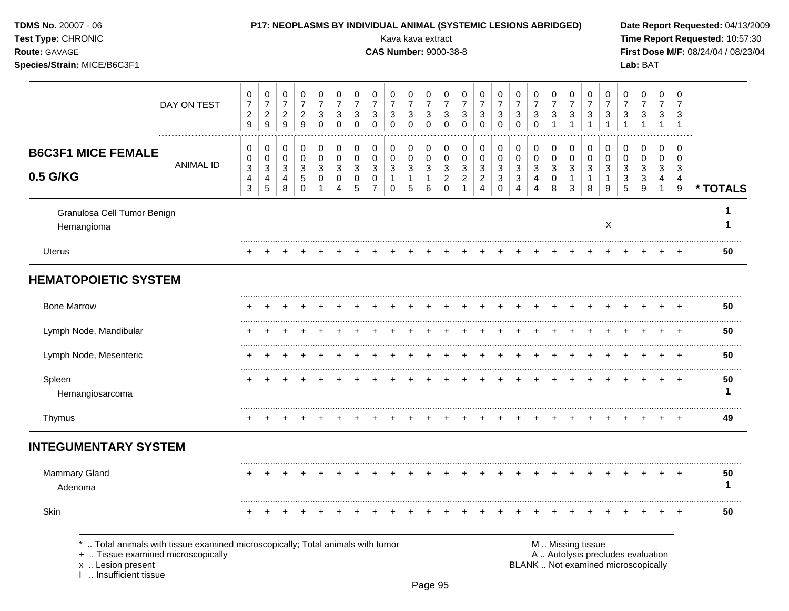| TDMS No. 20007 - 06<br>Test Type: CHRONIC<br>Route: GAVAGE<br>Species/Strain: MICE/B6C3F1                                                                      |             |                                                          |                                             |                                                            | P17: NEOPLASMS BY INDIVIDUAL ANIMAL (SYSTEMIC LESIONS ABRIDGED) |                                                              |                                                 |                                                                |                                      |                                                              | Kava kava extract<br><b>CAS Number: 9000-38-8</b> |                                                                |                                                        |                                      |                                                         |                                               |                                                 |                                        |                                          |                                   |                                                                    |                                                                      |                             | Lab: BAT                                                                 |                                  |                                 | Date Report Requested: 04/13/2009<br>Time Report Requested: 10:57:30<br>First Dose M/F: 08/24/04 / 08/23/04 |
|----------------------------------------------------------------------------------------------------------------------------------------------------------------|-------------|----------------------------------------------------------|---------------------------------------------|------------------------------------------------------------|-----------------------------------------------------------------|--------------------------------------------------------------|-------------------------------------------------|----------------------------------------------------------------|--------------------------------------|--------------------------------------------------------------|---------------------------------------------------|----------------------------------------------------------------|--------------------------------------------------------|--------------------------------------|---------------------------------------------------------|-----------------------------------------------|-------------------------------------------------|----------------------------------------|------------------------------------------|-----------------------------------|--------------------------------------------------------------------|----------------------------------------------------------------------|-----------------------------|--------------------------------------------------------------------------|----------------------------------|---------------------------------|-------------------------------------------------------------------------------------------------------------|
|                                                                                                                                                                | DAY ON TEST | 0<br>$\overline{7}$<br>$\overline{c}$<br>9               | 0<br>$\boldsymbol{7}$<br>$\frac{2}{9}$      | 0<br>$\overline{7}$<br>$\overline{c}$<br>$\mathsf g$       | 0<br>$\overline{7}$<br>$\overline{c}$<br>9                      | 0<br>$\overline{7}$<br>$\ensuremath{\mathsf{3}}$<br>$\Omega$ | 0<br>$\boldsymbol{7}$<br>$\sqrt{3}$<br>$\Omega$ | 0<br>$\boldsymbol{7}$<br>$\ensuremath{\mathsf{3}}$<br>$\Omega$ | 0<br>$\overline{7}$<br>3<br>$\Omega$ | 0<br>$\overline{7}$<br>$\ensuremath{\mathsf{3}}$<br>$\Omega$ | 0<br>$\overline{7}$<br>3<br>$\Omega$              | 0<br>$\boldsymbol{7}$<br>$\ensuremath{\mathsf{3}}$<br>$\Omega$ | 0<br>$\boldsymbol{7}$<br>$\sqrt{3}$<br>$\mathbf 0$     | 0<br>$\overline{7}$<br>3<br>$\Omega$ | 0<br>$\overline{7}$<br>3<br>$\Omega$                    | 0<br>$\overline{7}$<br>$\sqrt{3}$<br>$\Omega$ | 0<br>$\overline{7}$<br>$\mathbf{3}$<br>$\Omega$ | 0<br>$\boldsymbol{7}$<br>3<br>$\Omega$ | 0<br>$\overline{7}$<br>3<br>$\mathbf{1}$ | 0<br>$\overline{7}$<br>$\sqrt{3}$ | 0<br>$\overline{7}$<br>$\ensuremath{\mathsf{3}}$<br>$\overline{1}$ | 0<br>$\boldsymbol{7}$<br>$\ensuremath{\mathsf{3}}$<br>$\overline{1}$ | 0<br>7<br>3<br>$\mathbf{1}$ | 0<br>$\overline{7}$<br>3<br>$\mathbf{1}$                                 | 0<br>$\overline{7}$<br>3         | $\Omega$<br>3<br>$\overline{1}$ |                                                                                                             |
| <b>B6C3F1 MICE FEMALE</b><br>0.5 G/KG                                                                                                                          | ANIMAL ID   | 0<br>0<br>$\ensuremath{\mathsf{3}}$<br>4<br>$\mathbf{3}$ | 0<br>0<br>3<br>$\overline{4}$<br>$\sqrt{5}$ | 0<br>0<br>$\ensuremath{\mathsf{3}}$<br>$\overline{4}$<br>8 | 0<br>0<br>3<br>$\sqrt{5}$<br>$\Omega$                           | 0<br>0<br>3<br>0<br>$\mathbf 1$                              | 0<br>0<br>3<br>$\pmb{0}$<br>$\overline{4}$      | 0<br>0<br>3<br>0<br>5                                          | 0<br>0<br>3<br>0<br>$\overline{7}$   | 0<br>0<br>3<br>$\mathbf{1}$<br>$\Omega$                      | 0<br>$\pmb{0}$<br>3<br>$\mathbf{1}$<br>5          | 0<br>0<br>3<br>$\mathbf{1}$<br>6                               | 0<br>$\pmb{0}$<br>$\sqrt{3}$<br>$\sqrt{2}$<br>$\Omega$ | 0<br>0<br>3<br>$\overline{2}$        | 0<br>0<br>3<br>$\overline{2}$<br>$\boldsymbol{\Lambda}$ | 0<br>0<br>3<br>3<br>$\Omega$                  | 0<br>0<br>3<br>$\mathbf{3}$<br>$\overline{4}$   | 0<br>0<br>3<br>4<br>4                  | 0<br>0<br>3<br>0<br>8                    | 0<br>0<br>$\mathbf{3}$<br>1<br>3  | 0<br>0<br>3<br>$\mathbf{1}$<br>8                                   | 0<br>0<br>$\mathbf{3}$<br>$\mathbf{1}$<br>9                          | 0<br>0<br>3<br>3<br>5       | 0<br>0<br>3<br>3<br>9                                                    | 0<br>0<br>3<br>4<br>$\mathbf{1}$ | 0<br>3<br>$\overline{4}$<br>9   | * TOTALS                                                                                                    |
| Granulosa Cell Tumor Benign<br>Hemangioma                                                                                                                      |             |                                                          |                                             |                                                            |                                                                 |                                                              |                                                 |                                                                |                                      |                                                              |                                                   |                                                                |                                                        |                                      |                                                         |                                               |                                                 |                                        |                                          |                                   |                                                                    | Χ                                                                    |                             |                                                                          |                                  |                                 |                                                                                                             |
| Uterus                                                                                                                                                         |             |                                                          |                                             |                                                            |                                                                 |                                                              |                                                 |                                                                |                                      |                                                              |                                                   |                                                                |                                                        |                                      |                                                         |                                               |                                                 |                                        |                                          |                                   |                                                                    |                                                                      |                             |                                                                          |                                  | $\div$                          | 50                                                                                                          |
| <b>HEMATOPOIETIC SYSTEM</b>                                                                                                                                    |             |                                                          |                                             |                                                            |                                                                 |                                                              |                                                 |                                                                |                                      |                                                              |                                                   |                                                                |                                                        |                                      |                                                         |                                               |                                                 |                                        |                                          |                                   |                                                                    |                                                                      |                             |                                                                          |                                  |                                 |                                                                                                             |
| <b>Bone Marrow</b>                                                                                                                                             |             |                                                          |                                             |                                                            |                                                                 |                                                              |                                                 |                                                                |                                      |                                                              |                                                   |                                                                |                                                        |                                      |                                                         |                                               |                                                 |                                        |                                          |                                   |                                                                    |                                                                      |                             |                                                                          |                                  |                                 | 50                                                                                                          |
| Lymph Node, Mandibular                                                                                                                                         |             | +                                                        |                                             |                                                            |                                                                 |                                                              |                                                 |                                                                |                                      |                                                              |                                                   |                                                                |                                                        |                                      |                                                         |                                               |                                                 |                                        |                                          |                                   |                                                                    |                                                                      |                             |                                                                          |                                  | $\div$                          | 50                                                                                                          |
| Lymph Node, Mesenteric                                                                                                                                         |             |                                                          |                                             |                                                            |                                                                 |                                                              |                                                 |                                                                |                                      |                                                              |                                                   |                                                                |                                                        |                                      |                                                         |                                               |                                                 |                                        |                                          |                                   |                                                                    |                                                                      |                             |                                                                          |                                  | $^+$                            | 50                                                                                                          |
| Spleen<br>Hemangiosarcoma                                                                                                                                      |             |                                                          |                                             |                                                            |                                                                 |                                                              |                                                 |                                                                |                                      |                                                              |                                                   |                                                                |                                                        |                                      |                                                         |                                               |                                                 |                                        |                                          |                                   |                                                                    |                                                                      |                             |                                                                          |                                  | $\div$                          | 50<br>1                                                                                                     |
| Thymus                                                                                                                                                         |             | $\pm$                                                    |                                             |                                                            |                                                                 |                                                              |                                                 |                                                                |                                      |                                                              |                                                   |                                                                |                                                        |                                      |                                                         |                                               |                                                 |                                        |                                          |                                   |                                                                    |                                                                      |                             |                                                                          |                                  | $+$                             | 49                                                                                                          |
| <b>INTEGUMENTARY SYSTEM</b>                                                                                                                                    |             |                                                          |                                             |                                                            |                                                                 |                                                              |                                                 |                                                                |                                      |                                                              |                                                   |                                                                |                                                        |                                      |                                                         |                                               |                                                 |                                        |                                          |                                   |                                                                    |                                                                      |                             |                                                                          |                                  |                                 |                                                                                                             |
| Mammary Gland<br>Adenoma                                                                                                                                       |             |                                                          | $+$                                         |                                                            |                                                                 |                                                              |                                                 |                                                                | $+$                                  |                                                              |                                                   | $+$                                                            | $+$                                                    | $+$ $+$                              |                                                         | $+$                                           | $+$                                             | $+$ $+$                                |                                          | $+$                               | $+$                                                                | $+$                                                                  | $+$                         |                                                                          |                                  | $+$                             | 50<br>1                                                                                                     |
| Skin                                                                                                                                                           |             |                                                          |                                             |                                                            |                                                                 |                                                              |                                                 |                                                                |                                      |                                                              |                                                   |                                                                |                                                        |                                      |                                                         |                                               |                                                 |                                        |                                          |                                   |                                                                    |                                                                      |                             |                                                                          |                                  |                                 | <br>50                                                                                                      |
| Total animals with tissue examined microscopically; Total animals with tumor<br>+  Tissue examined microscopically<br>x  Lesion present<br>Insufficient tissue |             |                                                          |                                             |                                                            |                                                                 |                                                              |                                                 |                                                                |                                      |                                                              |                                                   |                                                                |                                                        |                                      |                                                         |                                               |                                                 |                                        |                                          |                                   | M  Missing tissue                                                  |                                                                      |                             | A  Autolysis precludes evaluation<br>BLANK  Not examined microscopically |                                  |                                 |                                                                                                             |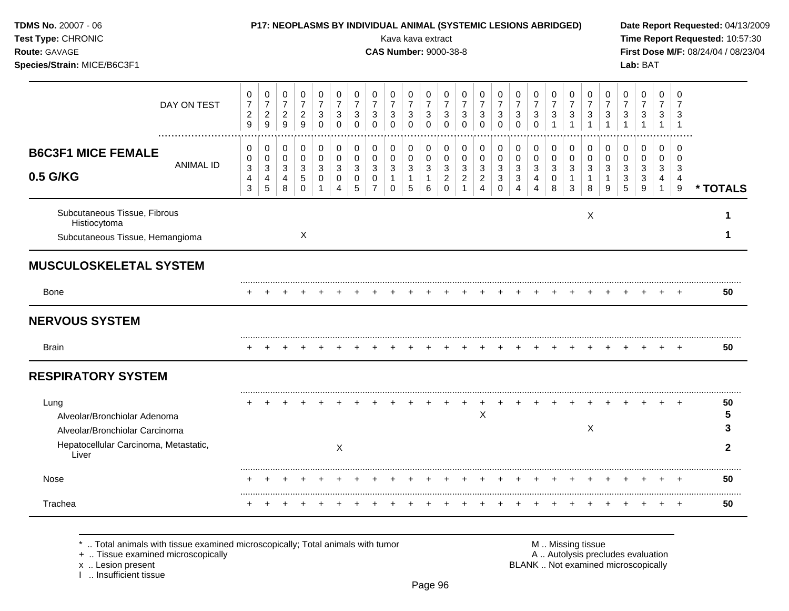| TDMS No. 20007 - 06<br>Test Type: CHRONIC<br>Route: GAVAGE<br>Species/Strain: MICE/B6C3F1                                |                                                      | P17: NEOPLASMS BY INDIVIDUAL ANIMAL (SYSTEMIC LESIONS ABRIDGED)     |                                                |                                                     |                                                                           |                                                                             |                                                                |                                              |                                                   |                                                                 | Kava kava extract<br><b>CAS Number: 9000-38-8</b>              |                                                                              |                                                            |                                                                     |                                                            |                                                                    |                                                   |                                                                  |                                                      |                                                                              |                                                                            |                                                    | Lab: BAT                                                        |                                                             |                                                   | Date Report Requested: 04/13/2009<br>Time Report Requested: 10:57:30<br>First Dose M/F: 08/24/04 / 08/23/04 |
|--------------------------------------------------------------------------------------------------------------------------|------------------------------------------------------|---------------------------------------------------------------------|------------------------------------------------|-----------------------------------------------------|---------------------------------------------------------------------------|-----------------------------------------------------------------------------|----------------------------------------------------------------|----------------------------------------------|---------------------------------------------------|-----------------------------------------------------------------|----------------------------------------------------------------|------------------------------------------------------------------------------|------------------------------------------------------------|---------------------------------------------------------------------|------------------------------------------------------------|--------------------------------------------------------------------|---------------------------------------------------|------------------------------------------------------------------|------------------------------------------------------|------------------------------------------------------------------------------|----------------------------------------------------------------------------|----------------------------------------------------|-----------------------------------------------------------------|-------------------------------------------------------------|---------------------------------------------------|-------------------------------------------------------------------------------------------------------------|
| DAY ON TEST                                                                                                              | $\pmb{0}$<br>$\overline{7}$<br>$\boldsymbol{2}$<br>9 | $\pmb{0}$<br>$\boldsymbol{7}$<br>$\overline{a}$<br>$\boldsymbol{9}$ | $\pmb{0}$<br>$\boldsymbol{7}$<br>$\frac{2}{9}$ | $\pmb{0}$<br>$\overline{7}$<br>$\sqrt{2}$<br>9      | $\pmb{0}$<br>$\overline{7}$<br>$\ensuremath{\mathsf{3}}$<br>$\mathbf 0$   | $\pmb{0}$<br>$\overline{7}$<br>$\sqrt{3}$<br>$\mathbf 0$                    | $\mathbf 0$<br>$\overline{7}$<br>$\sqrt{3}$<br>$\mathbf 0$     | 0<br>$\overline{7}$<br>3<br>$\mathbf 0$      | 0<br>$\overline{7}$<br>3<br>$\mathbf 0$           | $\pmb{0}$<br>$\overline{7}$<br>$\sqrt{3}$<br>$\pmb{0}$          | $\mathbf 0$<br>$\boldsymbol{7}$<br>$\mathbf{3}$<br>$\mathbf 0$ | $\pmb{0}$<br>$\overline{7}$<br>$\sqrt{3}$<br>$\mathbf 0$                     | $\mathbf 0$<br>$\overline{7}$<br>$\sqrt{3}$<br>$\mathbf 0$ | $\pmb{0}$<br>$\overline{7}$<br>$\mathbf{3}$<br>$\mathbf 0$          | $\mathbf 0$<br>$\overline{7}$<br>$\sqrt{3}$<br>$\mathbf 0$ | 0<br>$\overline{7}$<br>$\ensuremath{\mathsf{3}}$<br>$\mathbf 0$    | $\mathbf 0$<br>$\overline{7}$<br>3<br>$\mathbf 0$ | 0<br>$\overline{7}$<br>$\ensuremath{\mathsf{3}}$<br>$\mathbf{1}$ | $\pmb{0}$<br>$\overline{7}$<br>$\sqrt{3}$            | $\mathbf 0$<br>$\overline{7}$<br>$\ensuremath{\mathsf{3}}$<br>$\overline{1}$ | $\mathbf 0$<br>$\overline{7}$<br>$\ensuremath{\mathsf{3}}$<br>$\mathbf{1}$ | $\mathbf 0$<br>$\overline{7}$<br>3<br>$\mathbf{1}$ | $\mathbf 0$<br>$\overline{7}$<br>$\ensuremath{\mathsf{3}}$<br>1 | $\mathbf 0$<br>$\overline{7}$<br>3<br>$\mathbf{1}$          | $\Omega$<br>$\overline{7}$<br>3<br>$\overline{1}$ |                                                                                                             |
| <b>B6C3F1 MICE FEMALE</b><br><b>ANIMAL ID</b><br>0.5 G/KG                                                                | 0<br>0<br>$\mathbf{3}$<br>$\overline{4}$<br>3        | 0<br>0<br>$\mathbf{3}$<br>4<br>$\sqrt{5}$                           | $\mathbf 0$<br>$\mathbf 0$<br>3<br>4<br>8      | $\mathbf 0$<br>$\mathbf 0$<br>3<br>5<br>$\mathbf 0$ | $\mathbf 0$<br>$\mathbf 0$<br>$\mathbf{3}$<br>$\mathbf 0$<br>$\mathbf{1}$ | $\mathbf 0$<br>$\mathbf 0$<br>$\mathbf{3}$<br>$\mathbf 0$<br>$\overline{4}$ | $\mathbf 0$<br>$\mathbf 0$<br>$\mathbf{3}$<br>$\mathbf 0$<br>5 | $\mathbf 0$<br>0<br>3<br>0<br>$\overline{7}$ | $\mathbf 0$<br>0<br>3<br>$\mathbf{1}$<br>$\Omega$ | $\mathbf 0$<br>$\mathbf 0$<br>$\mathbf{3}$<br>$\mathbf{1}$<br>5 | 0<br>$\mathbf 0$<br>3<br>$\mathbf{1}$<br>6                     | 0<br>$\pmb{0}$<br>$\ensuremath{\mathsf{3}}$<br>$\overline{2}$<br>$\mathbf 0$ | 0<br>$\mathbf 0$<br>3<br>$\overline{2}$<br>$\mathbf{1}$    | $\mathbf 0$<br>$\mathbf 0$<br>3<br>$\overline{2}$<br>$\overline{4}$ | 0<br>$\mathbf 0$<br>3<br>3<br>$\Omega$                     | 0<br>$\mathbf 0$<br>$\mathbf{3}$<br>$\mathbf{3}$<br>$\overline{4}$ | $\Omega$<br>0<br>3<br>4<br>4                      | $\mathbf 0$<br>0<br>3<br>0<br>8                                  | $\mathbf 0$<br>$\mathbf 0$<br>$\mathbf{3}$<br>1<br>3 | $\mathbf 0$<br>$\mathbf 0$<br>3<br>$\mathbf{1}$<br>8                         | $\Omega$<br>$\pmb{0}$<br>3<br>$\overline{1}$<br>9                          | 0<br>$\mathbf 0$<br>3<br>3<br>5                    | $\Omega$<br>$\mathbf 0$<br>3<br>3<br>9                          | $\Omega$<br>$\Omega$<br>3<br>$\overline{4}$<br>$\mathbf{1}$ | $\Omega$<br>$\Omega$<br>3<br>$\overline{4}$<br>9  | * TOTALS                                                                                                    |
| Subcutaneous Tissue, Fibrous<br>Histiocytoma<br>Subcutaneous Tissue, Hemangioma                                          |                                                      |                                                                     |                                                | X                                                   |                                                                           |                                                                             |                                                                |                                              |                                                   |                                                                 |                                                                |                                                                              |                                                            |                                                                     |                                                            |                                                                    |                                                   |                                                                  |                                                      | X                                                                            |                                                                            |                                                    |                                                                 |                                                             |                                                   | 1<br>1                                                                                                      |
| <b>MUSCULOSKELETAL SYSTEM</b>                                                                                            |                                                      |                                                                     |                                                |                                                     |                                                                           |                                                                             |                                                                |                                              |                                                   |                                                                 |                                                                |                                                                              |                                                            |                                                                     |                                                            |                                                                    |                                                   |                                                                  |                                                      |                                                                              |                                                                            |                                                    |                                                                 |                                                             |                                                   |                                                                                                             |
| <b>Bone</b>                                                                                                              |                                                      |                                                                     |                                                |                                                     |                                                                           |                                                                             |                                                                |                                              |                                                   | $+$                                                             | $+$                                                            | $+$                                                                          | $+$                                                        |                                                                     | $+$                                                        |                                                                    |                                                   |                                                                  |                                                      |                                                                              |                                                                            |                                                    |                                                                 |                                                             |                                                   | 50                                                                                                          |
| <b>NERVOUS SYSTEM</b>                                                                                                    |                                                      |                                                                     |                                                |                                                     |                                                                           |                                                                             |                                                                |                                              |                                                   |                                                                 |                                                                |                                                                              |                                                            |                                                                     |                                                            |                                                                    |                                                   |                                                                  |                                                      |                                                                              |                                                                            |                                                    |                                                                 |                                                             |                                                   |                                                                                                             |
| <b>Brain</b>                                                                                                             |                                                      |                                                                     |                                                |                                                     |                                                                           |                                                                             |                                                                |                                              |                                                   |                                                                 |                                                                |                                                                              |                                                            |                                                                     |                                                            |                                                                    |                                                   |                                                                  |                                                      |                                                                              |                                                                            |                                                    |                                                                 |                                                             |                                                   | 50                                                                                                          |
| <b>RESPIRATORY SYSTEM</b>                                                                                                |                                                      |                                                                     |                                                |                                                     |                                                                           |                                                                             |                                                                |                                              |                                                   |                                                                 |                                                                |                                                                              |                                                            |                                                                     |                                                            |                                                                    |                                                   |                                                                  |                                                      |                                                                              |                                                                            |                                                    |                                                                 |                                                             |                                                   |                                                                                                             |
| Lung<br>Alveolar/Bronchiolar Adenoma<br>Alveolar/Bronchiolar Carcinoma<br>Hepatocellular Carcinoma, Metastatic,<br>Liver |                                                      |                                                                     |                                                |                                                     |                                                                           | X                                                                           |                                                                |                                              |                                                   |                                                                 |                                                                |                                                                              | $\ddot{}$                                                  | $\boldsymbol{\mathsf{X}}$                                           |                                                            |                                                                    |                                                   |                                                                  |                                                      | X                                                                            |                                                                            |                                                    |                                                                 |                                                             |                                                   | 50<br>5<br>3<br>$\mathbf{2}$                                                                                |
| Nose                                                                                                                     |                                                      |                                                                     |                                                |                                                     |                                                                           |                                                                             |                                                                |                                              |                                                   |                                                                 |                                                                |                                                                              |                                                            |                                                                     |                                                            |                                                                    |                                                   |                                                                  |                                                      |                                                                              |                                                                            |                                                    |                                                                 |                                                             |                                                   | 50                                                                                                          |
| Trachea                                                                                                                  | $\div$                                               |                                                                     |                                                |                                                     |                                                                           |                                                                             |                                                                |                                              |                                                   |                                                                 |                                                                |                                                                              |                                                            |                                                                     |                                                            |                                                                    |                                                   |                                                                  |                                                      |                                                                              |                                                                            |                                                    |                                                                 |                                                             | $\pm$                                             | 50                                                                                                          |

+ .. Tissue examined microscopically  $\blacksquare$  A .. Autolysis precludes evaluation

x .. Lesion present<br>I .. Insufficient tissue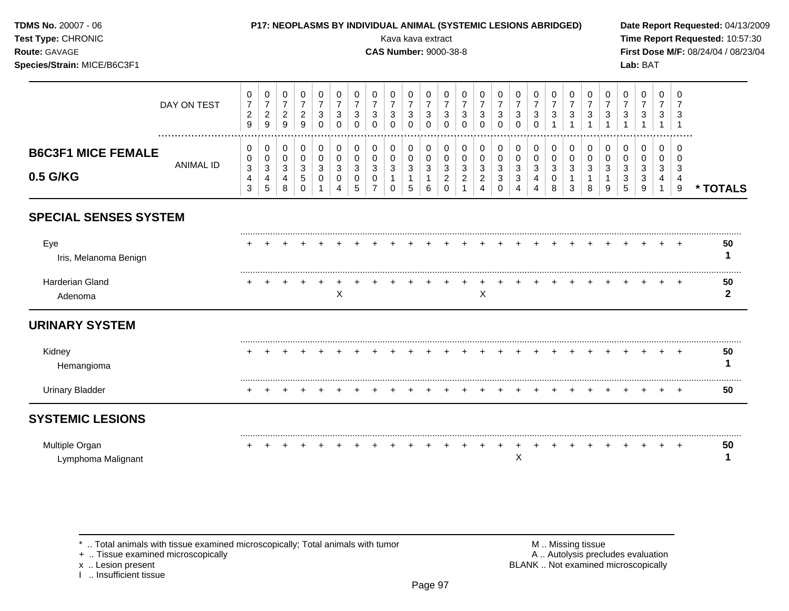| TDMS No. 20007 - 06<br>Test Type: CHRONIC<br>Route: GAVAGE<br>Species/Strain: MICE/B6C3F1 |                       |                                            |                                                        |                                            |                                                      | P17: NEOPLASMS BY INDIVIDUAL ANIMAL (SYSTEMIC LESIONS ABRIDGED) |                                                              |                                               |                                      | Kava kava extract<br><b>CAS Number: 9000-38-8</b> |                                                   |                                                       |                                                          |                                      |                                                                   |                                                 |                                                                                 |                                      |                                 |                                     |                                                         |                                                     |                                 | Lab: BAT                                |                                         |                                     | Date Report Requested: 04/13/2009<br>Time Report Requested: 10:57:30<br>First Dose M/F: 08/24/04 / 08/23/04 |
|-------------------------------------------------------------------------------------------|-----------------------|--------------------------------------------|--------------------------------------------------------|--------------------------------------------|------------------------------------------------------|-----------------------------------------------------------------|--------------------------------------------------------------|-----------------------------------------------|--------------------------------------|---------------------------------------------------|---------------------------------------------------|-------------------------------------------------------|----------------------------------------------------------|--------------------------------------|-------------------------------------------------------------------|-------------------------------------------------|---------------------------------------------------------------------------------|--------------------------------------|---------------------------------|-------------------------------------|---------------------------------------------------------|-----------------------------------------------------|---------------------------------|-----------------------------------------|-----------------------------------------|-------------------------------------|-------------------------------------------------------------------------------------------------------------|
|                                                                                           | DAY ON TEST           | 0<br>$\overline{7}$<br>$\overline{c}$<br>9 | $\mathbf 0$<br>$\boldsymbol{7}$<br>$\overline{2}$<br>9 | 0<br>$\overline{7}$<br>$\overline{2}$<br>9 | $\mathbf 0$<br>$\overline{7}$<br>$\overline{2}$<br>9 | $\mathbf 0$<br>$\overline{7}$<br>3<br>$\Omega$                  | 0<br>$\overline{7}$<br>$\ensuremath{\mathsf{3}}$<br>$\Omega$ | 0<br>$\overline{7}$<br>$\sqrt{3}$<br>$\Omega$ | 0<br>$\overline{7}$<br>3<br>$\Omega$ | 0<br>$\overline{7}$<br>3<br>$\Omega$              | 0<br>$\overline{7}$<br>3<br>$\Omega$              | 0<br>$\overline{7}$<br>$\mathbf{3}$<br>$\Omega$       | $\mathbf 0$<br>$\overline{7}$<br>3<br>$\Omega$           | 0<br>$\overline{7}$<br>3<br>$\Omega$ | 0<br>$\overline{7}$<br>3<br>$\Omega$                              | 0<br>$\overline{7}$<br>3<br>$\Omega$            | 0<br>$\overline{7}$<br>$\mathbf{3}$<br>$\Omega$                                 | 0<br>$\overline{7}$<br>3<br>$\Omega$ | 0<br>$\overline{7}$<br>3        | 0<br>$\overline{7}$<br>3            | 0<br>$\overline{7}$<br>$\mathbf{3}$                     | $\mathbf 0$<br>$\overline{7}$<br>$\mathbf{3}$       | 0<br>$\overline{7}$<br>3        | $\Omega$<br>$\overline{7}$<br>3         | $\mathbf 0$<br>$\overline{7}$<br>3      | 0<br>7<br>3<br>$\overline{1}$       |                                                                                                             |
| <b>B6C3F1 MICE FEMALE</b><br>0.5 G/KG                                                     | .<br><b>ANIMAL ID</b> | 0<br>0<br>$\mathbf{3}$<br>4<br>3           | 0<br>$\mathbf 0$<br>$\mathbf{3}$<br>4<br>$\sqrt{5}$    | 0<br>$\mathbf 0$<br>$\sqrt{3}$<br>4<br>8   | 0<br>$\mathbf 0$<br>$\mathbf{3}$<br>5<br>$\Omega$    | 0<br>$\mathbf 0$<br>$\sqrt{3}$<br>0<br>$\mathbf 1$              | 0<br>$\mathbf 0$<br>$\ensuremath{\mathsf{3}}$<br>0<br>4      | 0<br>$\mathbf 0$<br>$\mathbf{3}$<br>0<br>5    | 0<br>0<br>3<br>0<br>$\overline{7}$   | 0<br>0<br>3<br>$\Omega$                           | 0<br>$\pmb{0}$<br>$\sqrt{3}$<br>$\mathbf{1}$<br>5 | 0<br>$\mathbf 0$<br>$\mathbf{3}$<br>$\mathbf{1}$<br>6 | 0<br>$\mathbf 0$<br>$\sqrt{3}$<br>$\sqrt{2}$<br>$\Omega$ | 0<br>$\mathbf 0$<br>3<br>2           | 0<br>$\pmb{0}$<br>$\mathsf 3$<br>$\overline{2}$<br>$\overline{4}$ | 0<br>$\mathbf 0$<br>$\sqrt{3}$<br>3<br>$\Omega$ | 0<br>$\mathbf 0$<br>$\ensuremath{\mathsf{3}}$<br>$\mathbf{3}$<br>$\overline{4}$ | 0<br>$\Omega$<br>3<br>4              | 0<br>0<br>$\mathsf 3$<br>0<br>8 | 0<br>$\mathbf 0$<br>$\sqrt{3}$<br>3 | 0<br>$\mathbf 0$<br>$\mathfrak{S}$<br>$\mathbf{1}$<br>8 | 0<br>$\mathbf 0$<br>$\sqrt{3}$<br>$\mathbf{1}$<br>9 | 0<br>$\mathbf 0$<br>3<br>3<br>5 | 0<br>$\Omega$<br>$\mathbf{3}$<br>3<br>9 | 0<br>$\Omega$<br>3<br>4<br>$\mathbf{1}$ | $\Omega$<br>$\Omega$<br>3<br>4<br>9 | * TOTALS                                                                                                    |
| <b>SPECIAL SENSES SYSTEM</b>                                                              |                       |                                            |                                                        |                                            |                                                      |                                                                 |                                                              |                                               |                                      |                                                   |                                                   |                                                       |                                                          |                                      |                                                                   |                                                 |                                                                                 |                                      |                                 |                                     |                                                         |                                                     |                                 |                                         |                                         |                                     |                                                                                                             |
| Eye<br>Iris, Melanoma Benign                                                              |                       |                                            |                                                        |                                            |                                                      |                                                                 |                                                              |                                               |                                      |                                                   |                                                   |                                                       |                                                          |                                      |                                                                   |                                                 |                                                                                 |                                      |                                 |                                     |                                                         |                                                     |                                 |                                         |                                         |                                     | 50<br>1                                                                                                     |
| Harderian Gland<br>Adenoma                                                                |                       |                                            |                                                        |                                            |                                                      |                                                                 | X                                                            |                                               |                                      |                                                   |                                                   |                                                       |                                                          |                                      | X                                                                 |                                                 |                                                                                 |                                      |                                 |                                     |                                                         |                                                     |                                 |                                         |                                         |                                     | 50<br>$\mathbf{2}$                                                                                          |
| <b>URINARY SYSTEM</b>                                                                     |                       |                                            |                                                        |                                            |                                                      |                                                                 |                                                              |                                               |                                      |                                                   |                                                   |                                                       |                                                          |                                      |                                                                   |                                                 |                                                                                 |                                      |                                 |                                     |                                                         |                                                     |                                 |                                         |                                         |                                     |                                                                                                             |
| Kidney<br>Hemangioma                                                                      |                       |                                            |                                                        |                                            |                                                      |                                                                 |                                                              |                                               |                                      |                                                   |                                                   |                                                       |                                                          |                                      |                                                                   |                                                 |                                                                                 |                                      |                                 |                                     |                                                         |                                                     |                                 |                                         |                                         |                                     | 50<br>1                                                                                                     |
| <b>Urinary Bladder</b>                                                                    |                       | $+$                                        | $\div$                                                 |                                            |                                                      |                                                                 |                                                              |                                               |                                      |                                                   |                                                   |                                                       |                                                          |                                      |                                                                   |                                                 |                                                                                 |                                      |                                 |                                     |                                                         |                                                     |                                 |                                         |                                         | $^{+}$                              | 50                                                                                                          |
| <b>SYSTEMIC LESIONS</b>                                                                   |                       |                                            |                                                        |                                            |                                                      |                                                                 |                                                              |                                               |                                      |                                                   |                                                   |                                                       |                                                          |                                      |                                                                   |                                                 |                                                                                 |                                      |                                 |                                     |                                                         |                                                     |                                 |                                         |                                         |                                     |                                                                                                             |
| Multiple Organ<br>Lymphoma Malignant                                                      |                       |                                            |                                                        |                                            |                                                      |                                                                 |                                                              |                                               |                                      |                                                   |                                                   |                                                       |                                                          |                                      |                                                                   |                                                 | X                                                                               |                                      |                                 |                                     |                                                         |                                                     |                                 |                                         |                                         |                                     | 50<br>1                                                                                                     |

x .. Lesion present<br>I .. Insufficient tissue

+ .. Tissue examined microscopically  $\blacksquare$  A .. Autolysis precludes evaluation M .. Missing tissue<br>A .. Autolysis precludes evaluation<br>BLANK .. Not examined microscopically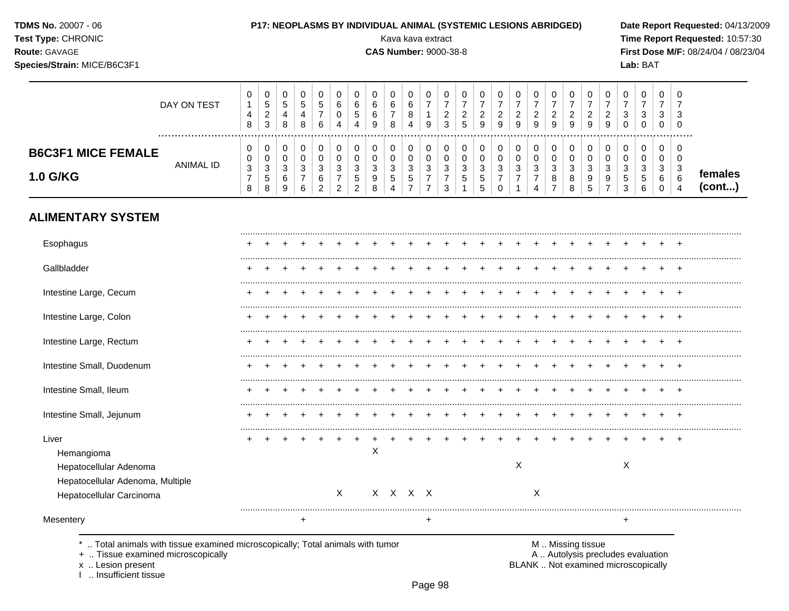| <b>TDMS No. 20007 - 06</b> |  |
|----------------------------|--|
|----------------------------|--|

**Test Type: CHRONIC** 

#### P17: NEOPLASMS BY INDIVIDUAL ANIMAL (SYSTEMIC LESIONS ABRIDGED)

**CAS Number: 9000-38-8** 

Kava kava extract

Route: GAVAGE

Species/Strain: MICE/B6C3F1

Date Report Requested: 04/13/2009 Time Report Requested: 10:57:30 First Dose M/F: 08/24/04 / 08/23/04 Lab: BAT

#### $\mathbf 0$  $\mathbf 0$  $\mathbf 0$  $\mathbf 0$  $\mathbf 0$  $\mathbf 0$  $\mathbf 0$  $\mathbf 0$  $\mathbf 0$  $\mathbf 0$  $\mathbf 0$  $\mathbf 0$  $\mathbf 0$  $\mathbf 0$  $\mathsf{O}\xspace$  $\mathbf 0$  $\mathbf 0$  $\mathbf 0$  $\mathbf 0$  $\mathbf 0$  $\mathbf 0$  $\mathbf 0$  $\begin{array}{c} 0 \\ 5 \\ 2 \end{array}$  $\mathbf 0$  $\mathbf 0$  $rac{6}{7}$  $\overline{6}$  $\overline{7}$  $\overline{7}$  $\overline{7}$  $\overline{7}$  $\overline{7}$  $\overline{7}$  $\overline{7}$  $\overline{7}$  $\overline{7}$  $\overline{7}$  $\sqrt{5}$ 5  $\overline{5}$  $\,6$  $\overline{7}$  $\overline{7}$  $\overline{7}$  $\mathbf{1}$  $\,6\,$  $\,6\,$  $\overline{7}$  $\overline{7}$ DAY ON TEST  $\frac{8}{4}$  $\frac{2}{5}$  $\frac{2}{9}$  $\frac{2}{9}$  $\frac{2}{9}$  $\frac{2}{9}$  $\overline{7}$  $\overline{0}$  $\overline{5}$  $\overline{2}$  $\overline{2}$  $\overline{2}$  $\begin{array}{c} 2 \\ 9 \end{array}$  $\overline{2}$  $\mathbf{3}$  $\frac{3}{0}$  $\overline{\mathbf{4}}$  $\overline{4}$  $\,6\,$  $\mathbf{3}$  $\overline{4}$  $\mathbf{1}$  $\mathbf{3}$  $\overline{3}$  $\boldsymbol{8}$  $\bf8$  $6\phantom{a}$  $\overline{4}$  $\boldsymbol{9}$ 8  $\overline{3}$  $\mathsf g$  $\mathsf g$  $\mathsf g$  $\mathsf{O}\xspace$  $\mathbf 0$  $\,8\,$  $\overline{4}$  $\boldsymbol{9}$  $\mathsf 0$  $\pmb{0}$  $\pmb{0}$  $\pmb{0}$  $\mathbf 0$  $\mathbf 0$  $\mathbf 0$  $\mathbf 0$  $\pmb{0}$  $\pmb{0}$  $\pmb{0}$  $\mathbf 0$  $\mathbf 0$  $\mathsf 0$  $\mathbf 0$  $\mathbf 0$  $\pmb{0}$  $\mathbf 0$  $\pmb{0}$  $\pmb{0}$  $\mathbf 0$  $\mathbf 0$  $\mathsf 0$  $\boldsymbol{0}$  $\mathbf 0$  $\mathsf 0$ **B6C3F1 MICE FEMALE**  $\mathbf 0$  $\mathbf 0$  $\mathbf 0$  $\mathsf{O}\xspace$  $\mathbf 0$  $\mathsf{O}\xspace$  $\pmb{0}$  $\pmb{0}$  $\pmb{0}$  $\pmb{0}$  $\pmb{0}$  $\mathsf{O}\xspace$  $\pmb{0}$  $\pmb{0}$  $\pmb{0}$  $\mathsf{O}\xspace$  $\mathsf{O}\xspace$  $\pmb{0}$  $\pmb{0}$  $\pmb{0}$  $\boldsymbol{0}$  $\pmb{0}$  $\pmb{0}$  $\mathbf 0$  $\mathbf 0$ **ANIMAL ID**  $\mathbf{3}$  $\sqrt{3}$  $\sqrt{3}$ 3  $\mathbf{3}$  $\sqrt{3}$  $\mathbf{3}$  $\sqrt{3}$  $\mathbf{3}$  $\mathbf{3}$  $\ensuremath{\mathsf{3}}$  $\mathbf{3}$  $\sqrt{3}$  $\sqrt{3}$  $\mathbf{3}$  $\mathbf{3}$  $\mathbf{3}$  $\mathbf{3}$  $\sqrt{3}$  $\mathbf{3}$  $\sqrt{3}$  $\ensuremath{\mathsf{3}}$  $\mathbf{3}$  $\mathbf{3}$  $\mathbf{3}$ females 1.0 G/KG  $\begin{array}{c} 5 \\ 8 \end{array}$  $\frac{7}{2}$  $\frac{5}{2}$  $_{8}^{\rm 9}$  $\frac{5}{4}$  $\frac{5}{7}$  $\frac{7}{7}$  $\begin{array}{c} 7 \\ 3 \end{array}$  $\frac{5}{5}$  $\rm ^7_{0}$  $_{8}^8$  $\begin{array}{c} 9 \\ 5 \end{array}$  $\frac{9}{7}$  $\frac{5}{3}$  $\begin{array}{c} 5 \\ 6 \end{array}$  $\boldsymbol{7}$  $\,6\,$  $\,6$  $\,$  5  $\,$  $\overline{7}$  $\boldsymbol{7}$  $\overline{7}$  $\boldsymbol{8}$ 6 6  $(cont...)$ 8  $6\phantom{.}$  $\overline{2}$  $\mathbf{1}$  $\overline{1}$  $\overline{7}$ 9  $\overline{4}$  $\mathbf 0$  $\overline{4}$

# **ALIMENTARY SYSTEM**

| Esophagus                                                                                                     |   |  |   |          |   |         |   |  |  |   |   |  |  |   |  |  |
|---------------------------------------------------------------------------------------------------------------|---|--|---|----------|---|---------|---|--|--|---|---|--|--|---|--|--|
| Gallbladder                                                                                                   |   |  |   |          |   |         |   |  |  |   |   |  |  |   |  |  |
| Intestine Large, Cecum                                                                                        |   |  |   |          |   |         |   |  |  |   |   |  |  |   |  |  |
| Intestine Large, Colon                                                                                        |   |  |   |          |   |         |   |  |  |   |   |  |  |   |  |  |
| Intestine Large, Rectum                                                                                       | ٠ |  |   |          |   |         |   |  |  |   |   |  |  |   |  |  |
| Intestine Small, Duodenum                                                                                     | ٠ |  |   |          |   |         |   |  |  |   |   |  |  |   |  |  |
| Intestine Small, Ileum                                                                                        | ٠ |  |   |          |   |         |   |  |  |   |   |  |  |   |  |  |
| Intestine Small, Jejunum                                                                                      |   |  |   |          |   |         |   |  |  |   |   |  |  |   |  |  |
| Liver<br>Hemangioma<br>Hepatocellular Adenoma<br>Hepatocellular Adenoma, Multiple<br>Hepatocellular Carcinoma |   |  |   | $\times$ | X | X X X X |   |  |  | X | Χ |  |  | X |  |  |
| Mesentery                                                                                                     |   |  | + |          |   |         | + |  |  |   |   |  |  | + |  |  |

.. Total animals with tissue examined microscopically; Total animals with tumor

+ .. Tissue examined microscopically

x .. Lesion present

I .. Insufficient tissue

M .. Missing tissue

A .. Autolysis precludes evaluation BLANK .. Not examined microscopically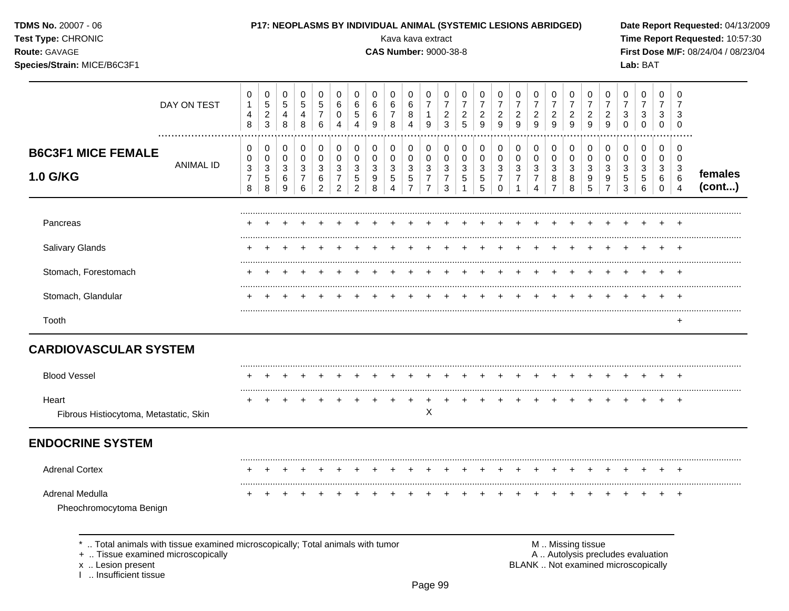| <b>TDMS No. 20007 - 06</b><br>Test Type: CHRONIC<br><b>Route: GAVAGE</b><br>Species/Strain: MICE/B6C3F1 |                                                                                 |                                    |                                          |                                 |                               |                       |                                             |                                              |                                  |                                            | P17: NEOPLASMS BY INDIVIDUAL ANIMAL (SYSTEMIC LESIONS ABRIDGED)<br>Kava kava extract<br><b>CAS Number: 9000-38-8</b> |                                                            |                                                       |                                            |                                                     |                                                           |                                                   |                                                     |                                            |                                                           |                                        |                                                         |                                                                          | Lab: BAT                                         |                                         |                                                   | Date Report Requested: 04/13/2009<br>Time Report Requested: 10:57:30<br>First Dose M/F: 08/24/04 / 08/23/04 |
|---------------------------------------------------------------------------------------------------------|---------------------------------------------------------------------------------|------------------------------------|------------------------------------------|---------------------------------|-------------------------------|-----------------------|---------------------------------------------|----------------------------------------------|----------------------------------|--------------------------------------------|----------------------------------------------------------------------------------------------------------------------|------------------------------------------------------------|-------------------------------------------------------|--------------------------------------------|-----------------------------------------------------|-----------------------------------------------------------|---------------------------------------------------|-----------------------------------------------------|--------------------------------------------|-----------------------------------------------------------|----------------------------------------|---------------------------------------------------------|--------------------------------------------------------------------------|--------------------------------------------------|-----------------------------------------|---------------------------------------------------|-------------------------------------------------------------------------------------------------------------|
|                                                                                                         | DAY ON TEST<br>.                                                                | 0<br>$\mathbf{1}$<br>4<br>8        | 0<br>5<br>$\overline{c}$<br>$\mathbf{3}$ | 0<br>$\sqrt{5}$<br>4<br>8       | 0<br>$\sqrt{5}$<br>4<br>8     | 0<br>5<br>7<br>6      | 0<br>$\,6$<br>0<br>$\boldsymbol{\Lambda}$   | 0<br>$\,6\,$<br>$\sqrt{5}$<br>$\overline{4}$ | 0<br>6<br>6<br>9                 | 0<br>6<br>7<br>8                           | 0<br>$\,6$<br>8<br>4                                                                                                 | 0<br>$\overline{7}$<br>1<br>$\boldsymbol{9}$               | 0<br>$\overline{7}$<br>$\overline{c}$<br>$\mathbf{3}$ | 0<br>$\overline{7}$<br>$\overline{c}$<br>5 | 0<br>$\overline{7}$<br>$\overline{\mathbf{c}}$<br>9 | 0<br>$\overline{7}$<br>$\overline{2}$<br>$\boldsymbol{9}$ | 0<br>$\boldsymbol{7}$<br>$\overline{c}$<br>9      | 0<br>$\overline{7}$<br>$\overline{\mathbf{c}}$<br>9 | 0<br>$\overline{7}$<br>$\overline{a}$<br>9 | 0<br>$\overline{7}$<br>$\overline{c}$<br>$\boldsymbol{9}$ | 0<br>$\boldsymbol{7}$<br>$\frac{2}{9}$ | 0<br>$\overline{7}$<br>$\overline{c}$<br>$\overline{9}$ | 0<br>7<br>3<br>$\mathbf 0$                                               | 0<br>$\overline{7}$<br>$\sqrt{3}$<br>$\mathbf 0$ | 0<br>$\overline{7}$<br>3<br>$\mathbf 0$ | 0<br>7<br>3<br>0                                  |                                                                                                             |
| <b>B6C3F1 MICE FEMALE</b><br>1.0 G/KG                                                                   | <b>ANIMAL ID</b>                                                                | 0<br>0<br>3<br>$\overline{7}$<br>8 | 0<br>0<br>3<br>5<br>8                    | 0<br>$\mathbf 0$<br>3<br>6<br>9 | 0<br>$\pmb{0}$<br>3<br>7<br>6 | 0<br>0<br>3<br>6<br>2 | 0<br>0<br>$\sqrt{3}$<br>$\overline{7}$<br>2 | 0<br>$\mathbf 0$<br>$\mathbf{3}$<br>5<br>2   | 0<br>0<br>$\mathbf{3}$<br>9<br>8 | 0<br>0<br>3<br>5<br>$\boldsymbol{\Lambda}$ | 0<br>$\mathbf 0$<br>$\sqrt{3}$<br>$\,$ 5 $\,$<br>$\overline{7}$                                                      | 0<br>0<br>$\mathbf{3}$<br>$\overline{7}$<br>$\overline{7}$ | 0<br>$\mathbf 0$<br>3<br>7<br>3                       | 0<br>0<br>3<br>5                           | 0<br>0<br>3<br>5<br>5                               | 0<br>0<br>3<br>$\overline{7}$<br>$\Omega$                 | 0<br>$\boldsymbol{0}$<br>3<br>$\overline{7}$<br>1 | 0<br>0<br>3<br>7<br>4                               | 0<br>0<br>3<br>8<br>$\overline{7}$         | 0<br>$\boldsymbol{0}$<br>3<br>8<br>8                      | 0<br>$\pmb{0}$<br>3<br>9<br>5          | 0<br>$\pmb{0}$<br>3<br>9<br>$\overline{7}$              | 0<br>0<br>3<br>5<br>3                                                    | 0<br>0<br>3<br>$\sqrt{5}$<br>6                   | 0<br>0<br>3<br>6<br>$\mathbf 0$         | 0<br>0<br>$\mathbf{3}$<br>$\,6$<br>$\overline{4}$ | females<br>(cont)                                                                                           |
| Pancreas                                                                                                |                                                                                 |                                    |                                          |                                 |                               |                       |                                             |                                              |                                  |                                            |                                                                                                                      |                                                            |                                                       |                                            |                                                     |                                                           |                                                   |                                                     |                                            |                                                           |                                        |                                                         |                                                                          |                                                  |                                         |                                                   |                                                                                                             |
| Salivary Glands                                                                                         |                                                                                 |                                    |                                          |                                 |                               |                       |                                             |                                              |                                  |                                            |                                                                                                                      |                                                            |                                                       |                                            |                                                     |                                                           |                                                   |                                                     |                                            |                                                           |                                        |                                                         |                                                                          |                                                  |                                         |                                                   |                                                                                                             |
| Stomach, Forestomach                                                                                    |                                                                                 |                                    |                                          |                                 |                               |                       |                                             |                                              |                                  |                                            |                                                                                                                      |                                                            |                                                       |                                            |                                                     |                                                           |                                                   |                                                     |                                            |                                                           |                                        |                                                         |                                                                          |                                                  |                                         | $\pm$                                             |                                                                                                             |
| Stomach, Glandular                                                                                      |                                                                                 |                                    |                                          |                                 |                               |                       |                                             |                                              |                                  |                                            |                                                                                                                      |                                                            |                                                       |                                            |                                                     |                                                           |                                                   |                                                     |                                            |                                                           |                                        |                                                         |                                                                          |                                                  |                                         | $\pm$                                             |                                                                                                             |
| Tooth                                                                                                   |                                                                                 |                                    |                                          |                                 |                               |                       |                                             |                                              |                                  |                                            |                                                                                                                      |                                                            |                                                       |                                            |                                                     |                                                           |                                                   |                                                     |                                            |                                                           |                                        |                                                         |                                                                          |                                                  |                                         | $\overline{+}$                                    |                                                                                                             |
| <b>CARDIOVASCULAR SYSTEM</b>                                                                            |                                                                                 |                                    |                                          |                                 |                               |                       |                                             |                                              |                                  |                                            |                                                                                                                      |                                                            |                                                       |                                            |                                                     |                                                           |                                                   |                                                     |                                            |                                                           |                                        |                                                         |                                                                          |                                                  |                                         |                                                   |                                                                                                             |
| <b>Blood Vessel</b>                                                                                     |                                                                                 |                                    |                                          |                                 |                               |                       |                                             |                                              |                                  |                                            |                                                                                                                      |                                                            |                                                       |                                            |                                                     |                                                           |                                                   |                                                     |                                            |                                                           |                                        |                                                         |                                                                          |                                                  |                                         | $^{+}$                                            |                                                                                                             |
| Heart<br>Fibrous Histiocytoma, Metastatic, Skin                                                         |                                                                                 |                                    |                                          | $\ddot{}$                       | $\ddot{}$                     |                       |                                             |                                              |                                  |                                            |                                                                                                                      | $+$<br>Χ                                                   | $\ddot{}$                                             |                                            |                                                     |                                                           | $\ddot{}$                                         | $\ddot{}$                                           | $+$                                        | $+$                                                       | $+$                                    | $\ddot{}$                                               | $\pm$                                                                    |                                                  | $+$                                     | $+$                                               |                                                                                                             |
| <b>ENDOCRINE SYSTEM</b>                                                                                 |                                                                                 |                                    |                                          |                                 |                               |                       |                                             |                                              |                                  |                                            |                                                                                                                      |                                                            |                                                       |                                            |                                                     |                                                           |                                                   |                                                     |                                            |                                                           |                                        |                                                         |                                                                          |                                                  |                                         |                                                   |                                                                                                             |
| <b>Adrenal Cortex</b>                                                                                   |                                                                                 |                                    |                                          |                                 |                               |                       |                                             |                                              |                                  |                                            |                                                                                                                      | $+$                                                        | $+$                                                   | $+$                                        |                                                     | $+$                                                       |                                                   |                                                     |                                            | $+$                                                       |                                        |                                                         |                                                                          |                                                  |                                         |                                                   |                                                                                                             |
| Adrenal Medulla<br>Pheochromocytoma Benign                                                              |                                                                                 |                                    |                                          |                                 |                               |                       |                                             |                                              |                                  |                                            |                                                                                                                      | $\pm$                                                      |                                                       |                                            |                                                     |                                                           |                                                   |                                                     |                                            |                                                           |                                        |                                                         |                                                                          |                                                  |                                         | $+$                                               |                                                                                                             |
| +  Tissue examined microscopically<br>x  Lesion present                                                 | *  Total animals with tissue examined microscopically; Total animals with tumor |                                    |                                          |                                 |                               |                       |                                             |                                              |                                  |                                            |                                                                                                                      |                                                            |                                                       |                                            |                                                     |                                                           |                                                   |                                                     | M  Missing tissue                          |                                                           |                                        |                                                         | A  Autolysis precludes evaluation<br>BLANK  Not examined microscopically |                                                  |                                         |                                                   |                                                                                                             |

x .. Lesion present<br>I .. Insufficient tissue

Page 99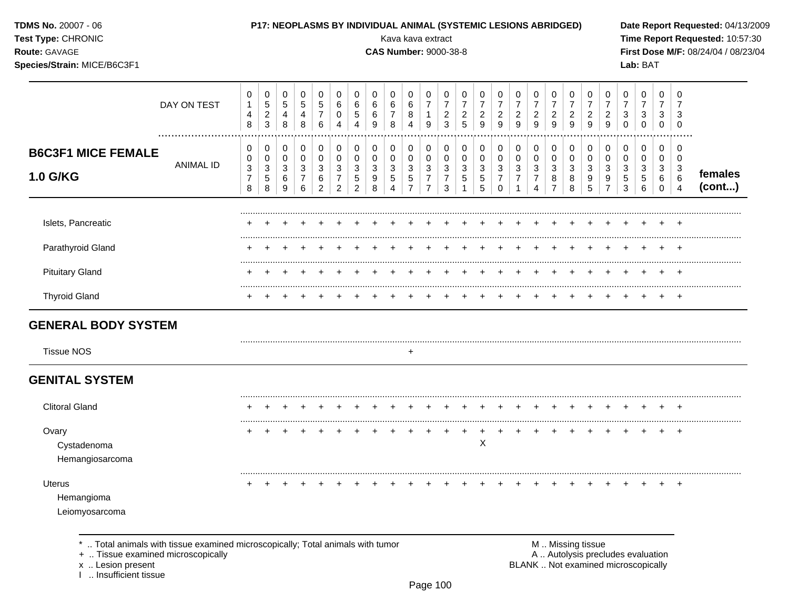| TDMS No. 20007 - 06<br>Test Type: CHRONIC<br>Route: GAVAGE<br>Species/Strain: MICE/B6C3F1 |                  |                                              |                                                 |                                                                     |                                                     |                                                             |                                                                   |                                                                         |                                       | Kava kava extract<br><b>CAS Number: 9000-38-8</b> |                                                                                      |                                                                            |                                                                          |                                            | P17: NEOPLASMS BY INDIVIDUAL ANIMAL (SYSTEMIC LESIONS ABRIDGED)                   |                                                               |                                                         |                                                 |                                              |                                                         |                                            |                                                      |                                                   | Lab: BAT                                                                |                                                   |                                                                       | Date Report Requested: 04/13/2009<br>Time Report Requested: 10:57:30<br>First Dose M/F: 08/24/04 / 08/23/04 |
|-------------------------------------------------------------------------------------------|------------------|----------------------------------------------|-------------------------------------------------|---------------------------------------------------------------------|-----------------------------------------------------|-------------------------------------------------------------|-------------------------------------------------------------------|-------------------------------------------------------------------------|---------------------------------------|---------------------------------------------------|--------------------------------------------------------------------------------------|----------------------------------------------------------------------------|--------------------------------------------------------------------------|--------------------------------------------|-----------------------------------------------------------------------------------|---------------------------------------------------------------|---------------------------------------------------------|-------------------------------------------------|----------------------------------------------|---------------------------------------------------------|--------------------------------------------|------------------------------------------------------|---------------------------------------------------|-------------------------------------------------------------------------|---------------------------------------------------|-----------------------------------------------------------------------|-------------------------------------------------------------------------------------------------------------|
|                                                                                           | DAY ON TEST      | 0<br>$\mathbf{1}$<br>4<br>8                  | 0<br>5<br>$\boldsymbol{2}$<br>3                 | $\pmb{0}$<br>$\sqrt{5}$<br>$\overline{4}$<br>8                      | $\pmb{0}$<br>5<br>4<br>8                            | $\pmb{0}$<br>$\sqrt{5}$<br>$\overline{7}$<br>$6\phantom{1}$ | 0<br>$\,6\,$<br>0<br>4                                            | 0<br>$\,6$<br>$\sqrt{5}$<br>$\overline{4}$                              | 0<br>$\,6$<br>6<br>9                  | 0<br>6<br>$\overline{7}$<br>8                     | $\pmb{0}$<br>$\,6\,$<br>8<br>$\overline{4}$                                          | $\pmb{0}$<br>$\overline{7}$<br>$\mathbf{1}$<br>$9\,$                       | $\pmb{0}$<br>$\overline{7}$<br>$\sqrt{2}$<br>$\mathbf{3}$                | 0<br>$\overline{7}$<br>$\overline{c}$<br>5 | 0<br>$\boldsymbol{7}$<br>$\sqrt{2}$<br>$\overline{9}$                             | 0<br>$\overline{7}$<br>$\sqrt{2}$<br>$\overline{9}$           | 0<br>$\overline{7}$<br>$\overline{c}$<br>$\overline{9}$ | 0<br>$\overline{7}$<br>$\overline{c}$<br>9      | 0<br>$\overline{7}$<br>$\boldsymbol{2}$<br>9 | 0<br>$\overline{7}$<br>$\overline{a}$<br>$\overline{9}$ | 0<br>$\overline{7}$<br>$\overline{a}$<br>9 | 0<br>$\overline{7}$<br>$\overline{c}$<br>9           | 0<br>$\overline{7}$<br>$\sqrt{3}$<br>$\mathbf 0$  | $\pmb{0}$<br>$\overline{7}$<br>$\ensuremath{\mathsf{3}}$<br>$\mathbf 0$ | $\mathbf 0$<br>$\overline{7}$<br>3<br>$\mathbf 0$ | 0<br>7<br>3<br>$\mathbf 0$                                            |                                                                                                             |
| <b>B6C3F1 MICE FEMALE</b><br>1.0 G/KG                                                     | <b>ANIMAL ID</b> | $\mathbf 0$<br>0<br>3<br>$\overline{7}$<br>8 | 0<br>$\pmb{0}$<br>$\sqrt{3}$<br>$\sqrt{5}$<br>8 | $\pmb{0}$<br>$\mathbf 0$<br>$\sqrt{3}$<br>$\,6$<br>$\boldsymbol{9}$ | $\pmb{0}$<br>0<br>$\sqrt{3}$<br>$\overline{7}$<br>6 | 0<br>0<br>$\sqrt{3}$<br>$\,6\,$<br>$\overline{c}$           | $\pmb{0}$<br>$\mathsf 0$<br>3<br>$\overline{7}$<br>$\overline{c}$ | $\pmb{0}$<br>$\mathsf 0$<br>$\sqrt{3}$<br>$\,$ 5 $\,$<br>$\overline{2}$ | $\pmb{0}$<br>$\pmb{0}$<br>3<br>9<br>8 | $\pmb{0}$<br>0<br>$\sqrt{3}$<br>$\,$ 5 $\,$<br>4  | $\pmb{0}$<br>$\pmb{0}$<br>$\ensuremath{\mathsf{3}}$<br>$\,$ 5 $\,$<br>$\overline{7}$ | $\pmb{0}$<br>$\pmb{0}$<br>$\mathbf{3}$<br>$\overline{7}$<br>$\overline{7}$ | $\pmb{0}$<br>$\mathbf 0$<br>$\sqrt{3}$<br>$\overline{7}$<br>$\mathbf{3}$ | 0<br>$\mathbf 0$<br>3<br>$\sqrt{5}$<br>1   | $\pmb{0}$<br>$\mathbf 0$<br>$\ensuremath{\mathsf{3}}$<br>$\sqrt{5}$<br>$\sqrt{5}$ | 0<br>$\pmb{0}$<br>$\sqrt{3}$<br>$\overline{7}$<br>$\mathbf 0$ | 0<br>$\mathbf 0$<br>$\sqrt{3}$<br>$\overline{7}$<br>1   | 0<br>0<br>3<br>$\overline{7}$<br>$\overline{4}$ | $\pmb{0}$<br>0<br>3<br>8<br>$\overline{7}$   | 0<br>$\mathbf 0$<br>3<br>8<br>8                         | $\pmb{0}$<br>$\mathsf 0$<br>3<br>9<br>5    | $\pmb{0}$<br>$\mathsf 0$<br>3<br>9<br>$\overline{7}$ | $\pmb{0}$<br>0<br>$\mathbf{3}$<br>$\sqrt{5}$<br>3 | $\pmb{0}$<br>$\pmb{0}$<br>$\mathbf{3}$<br>$\sqrt{5}$<br>$\,6\,$         | $\mathbf 0$<br>0<br>3<br>6<br>$\mathbf 0$         | $\mathbf 0$<br>$\mathbf 0$<br>$\sqrt{3}$<br>$\,6\,$<br>$\overline{4}$ | females<br>(cont)                                                                                           |
| Islets, Pancreatic                                                                        |                  |                                              |                                                 |                                                                     |                                                     |                                                             |                                                                   |                                                                         |                                       |                                                   |                                                                                      |                                                                            |                                                                          |                                            |                                                                                   |                                                               |                                                         |                                                 |                                              |                                                         |                                            |                                                      |                                                   |                                                                         |                                                   |                                                                       |                                                                                                             |
| Parathyroid Gland                                                                         |                  |                                              |                                                 |                                                                     |                                                     |                                                             |                                                                   |                                                                         |                                       |                                                   |                                                                                      |                                                                            |                                                                          |                                            |                                                                                   |                                                               |                                                         |                                                 |                                              |                                                         |                                            |                                                      |                                                   |                                                                         |                                                   |                                                                       |                                                                                                             |
| <b>Pituitary Gland</b>                                                                    |                  |                                              |                                                 |                                                                     |                                                     |                                                             |                                                                   |                                                                         |                                       |                                                   |                                                                                      |                                                                            |                                                                          |                                            |                                                                                   |                                                               |                                                         |                                                 |                                              | $\div$                                                  | $\ddot{}$                                  | $\div$                                               | ÷                                                 | $\div$                                                                  | $\pm$                                             | $\overline{ }$                                                        |                                                                                                             |
| <b>Thyroid Gland</b>                                                                      |                  |                                              |                                                 |                                                                     |                                                     |                                                             |                                                                   |                                                                         |                                       |                                                   |                                                                                      |                                                                            |                                                                          |                                            |                                                                                   |                                                               |                                                         |                                                 |                                              |                                                         |                                            |                                                      |                                                   |                                                                         | $\div$                                            | $\overline{ }$                                                        |                                                                                                             |
| <b>GENERAL BODY SYSTEM</b>                                                                |                  |                                              |                                                 |                                                                     |                                                     |                                                             |                                                                   |                                                                         |                                       |                                                   |                                                                                      |                                                                            |                                                                          |                                            |                                                                                   |                                                               |                                                         |                                                 |                                              |                                                         |                                            |                                                      |                                                   |                                                                         |                                                   |                                                                       |                                                                                                             |
| <b>Tissue NOS</b>                                                                         |                  |                                              |                                                 |                                                                     |                                                     |                                                             |                                                                   |                                                                         |                                       |                                                   | $\ddot{}$                                                                            |                                                                            |                                                                          |                                            |                                                                                   |                                                               |                                                         |                                                 |                                              |                                                         |                                            |                                                      |                                                   |                                                                         |                                                   |                                                                       |                                                                                                             |
| <b>GENITAL SYSTEM</b>                                                                     |                  |                                              |                                                 |                                                                     |                                                     |                                                             |                                                                   |                                                                         |                                       |                                                   |                                                                                      |                                                                            |                                                                          |                                            |                                                                                   |                                                               |                                                         |                                                 |                                              |                                                         |                                            |                                                      |                                                   |                                                                         |                                                   |                                                                       |                                                                                                             |
| <b>Clitoral Gland</b>                                                                     |                  |                                              |                                                 |                                                                     |                                                     |                                                             |                                                                   |                                                                         |                                       |                                                   |                                                                                      |                                                                            |                                                                          |                                            |                                                                                   |                                                               |                                                         |                                                 |                                              |                                                         |                                            |                                                      |                                                   |                                                                         |                                                   | $\div$                                                                |                                                                                                             |
| Ovary<br>Cystadenoma<br>Hemangiosarcoma                                                   |                  |                                              | $\ddot{}$                                       |                                                                     |                                                     |                                                             |                                                                   |                                                                         |                                       |                                                   |                                                                                      |                                                                            | ÷                                                                        | +                                          | $\div$<br>$\mathsf X$                                                             | ÷                                                             |                                                         |                                                 |                                              |                                                         |                                            |                                                      |                                                   |                                                                         | $\ddot{}$                                         | $+$                                                                   |                                                                                                             |
| Uterus<br>Hemangioma<br>Leiomyosarcoma                                                    |                  |                                              |                                                 |                                                                     |                                                     |                                                             |                                                                   |                                                                         |                                       |                                                   |                                                                                      |                                                                            |                                                                          |                                            |                                                                                   |                                                               |                                                         |                                                 |                                              |                                                         |                                            |                                                      |                                                   |                                                                         |                                                   | $\div$                                                                |                                                                                                             |

\* .. Total animals with tissue examined microscopically; Total animals with tumor **M** metal metal M .. Missing tissue<br>  $\blacksquare$  . Tissue examined microscopically

+ .. Tissue examined microscopically

x .. Lesion present<br>I .. Insufficient tissue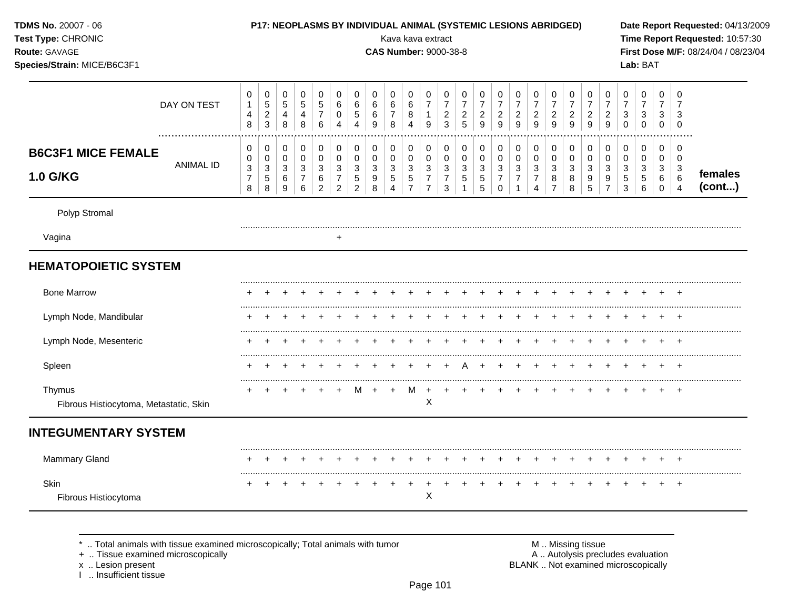| TDMS No. 20007 - 06<br>Test Type: CHRONIC<br>Route: GAVAGE<br>Species/Strain: MICE/B6C3F1 |                       |                                                         |                                                             |                                         |                                                    |                                                    |                                                                          |                                                                                          |                                                                   | Kava kava extract<br><b>CAS Number: 9000-38-8</b>           |                                                                          |                                                                              |                                                                            |                                                      | P17: NEOPLASMS BY INDIVIDUAL ANIMAL (SYSTEMIC LESIONS ABRIDGED) |                                                                        |                                                                            |                                                     |                                                               |                                                           |                                                  |                                                                            |                                                           | Lab: BAT                                                            |                                                   |                                                            | Date Report Requested: 04/13/2009<br>Time Report Requested: 10:57:30<br>First Dose M/F: 08/24/04 / 08/23/04 |
|-------------------------------------------------------------------------------------------|-----------------------|---------------------------------------------------------|-------------------------------------------------------------|-----------------------------------------|----------------------------------------------------|----------------------------------------------------|--------------------------------------------------------------------------|------------------------------------------------------------------------------------------|-------------------------------------------------------------------|-------------------------------------------------------------|--------------------------------------------------------------------------|------------------------------------------------------------------------------|----------------------------------------------------------------------------|------------------------------------------------------|-----------------------------------------------------------------|------------------------------------------------------------------------|----------------------------------------------------------------------------|-----------------------------------------------------|---------------------------------------------------------------|-----------------------------------------------------------|--------------------------------------------------|----------------------------------------------------------------------------|-----------------------------------------------------------|---------------------------------------------------------------------|---------------------------------------------------|------------------------------------------------------------|-------------------------------------------------------------------------------------------------------------|
|                                                                                           | DAY ON TEST           | 0<br>$\mathbf{1}$<br>4<br>8                             | 0<br>$\sqrt{5}$<br>$\boldsymbol{2}$<br>$\mathbf{3}$         | $\mathbf 0$<br>$5\,$<br>4<br>8          | $\mathbf 0$<br>$\sqrt{5}$<br>4<br>8                | $\mathbf 0$<br>5<br>$\overline{7}$<br>6            | $\pmb{0}$<br>$\,6\,$<br>$\mathbf 0$<br>$\overline{4}$                    | $\mathbf 0$<br>$\,6\,$<br>$\sqrt{5}$<br>4                                                | $\mathbf 0$<br>$\,6\,$<br>6<br>9                                  | $\mathbf 0$<br>6<br>$\overline{7}$<br>8                     | $\mathbf 0$<br>$\,6\,$<br>8<br>$\overline{4}$                            | 0<br>$\overline{7}$<br>$\mathbf{1}$<br>9                                     | $\mathbf 0$<br>$\overline{7}$<br>$\boldsymbol{2}$<br>$\overline{3}$        | 0<br>$\overline{7}$<br>$\boldsymbol{2}$<br>5         | 0<br>$\overline{7}$<br>$\overline{c}$<br>9                      | 0<br>$\overline{7}$<br>$\overline{c}$<br>9                             | 0<br>$\overline{\mathbf{7}}$<br>$\overline{c}$<br>$\overline{9}$           | 0<br>$\overline{\mathbf{7}}$<br>$\overline{c}$<br>9 | 0<br>$\boldsymbol{7}$<br>$\overline{a}$<br>$\overline{9}$     | 0<br>$\overline{7}$<br>$\overline{c}$<br>$\boldsymbol{9}$ | 0<br>$\overline{7}$<br>$\overline{a}$<br>9       | 0<br>$\overline{7}$<br>$\boldsymbol{2}$<br>$\overline{9}$                  | 0<br>$\overline{7}$<br>$\mathbf{3}$<br>$\mathbf 0$        | $\pmb{0}$<br>$\overline{7}$<br>$\sqrt{3}$<br>$\mathbf 0$            | $\pmb{0}$<br>$\overline{7}$<br>3<br>$\mathbf 0$   | $\mathbf 0$<br>$\overline{7}$<br>3<br>$\overline{0}$       |                                                                                                             |
| <b>B6C3F1 MICE FEMALE</b><br>1.0 G/KG                                                     | .<br><b>ANIMAL ID</b> | 0<br>$\pmb{0}$<br>$\mathbf{3}$<br>$\boldsymbol{7}$<br>8 | $\mathbf 0$<br>$\pmb{0}$<br>$\mathbf{3}$<br>$\sqrt{5}$<br>8 | 0<br>$\mathsf{O}\xspace$<br>3<br>6<br>9 | $\pmb{0}$<br>$\pmb{0}$<br>3<br>$\overline{7}$<br>6 | $\pmb{0}$<br>$\pmb{0}$<br>3<br>6<br>$\overline{2}$ | $\pmb{0}$<br>$\pmb{0}$<br>$\sqrt{3}$<br>$\overline{7}$<br>$\overline{2}$ | $\mathsf{O}\xspace$<br>$\mathsf{O}\xspace$<br>$\sqrt{3}$<br>$\sqrt{5}$<br>$\overline{2}$ | $\mathbf 0$<br>$\mathbf 0$<br>$\sqrt{3}$<br>$\boldsymbol{9}$<br>8 | $\pmb{0}$<br>$\pmb{0}$<br>3<br>$\sqrt{5}$<br>$\overline{4}$ | $\pmb{0}$<br>$\pmb{0}$<br>$\sqrt{3}$<br>$\overline{5}$<br>$\overline{7}$ | 0<br>$\mathsf{O}\xspace$<br>$\mathbf{3}$<br>$\overline{7}$<br>$\overline{7}$ | $\mathbf 0$<br>$\mathbf 0$<br>$\mathbf{3}$<br>$\overline{7}$<br>$\sqrt{3}$ | $\mathbf 0$<br>$\mathbf 0$<br>3<br>5<br>$\mathbf{1}$ | $\pmb{0}$<br>$\pmb{0}$<br>$\mathbf{3}$<br>$\overline{5}$<br>5   | $\pmb{0}$<br>$\mathbf 0$<br>$\mathbf{3}$<br>$\overline{7}$<br>$\Omega$ | $\pmb{0}$<br>$\mathbf 0$<br>$\mathbf{3}$<br>$\overline{7}$<br>$\mathbf{1}$ | $\pmb{0}$<br>$\pmb{0}$<br>3<br>$\overline{7}$<br>4  | $\pmb{0}$<br>$\pmb{0}$<br>$\mathbf{3}$<br>8<br>$\overline{7}$ | $\pmb{0}$<br>$\mathsf 0$<br>$\mathbf{3}$<br>$\bf 8$<br>8  | $\pmb{0}$<br>$\pmb{0}$<br>$\mathbf{3}$<br>9<br>5 | $\pmb{0}$<br>$\pmb{0}$<br>$\sqrt{3}$<br>$\boldsymbol{9}$<br>$\overline{7}$ | $\pmb{0}$<br>$\pmb{0}$<br>$\mathbf{3}$<br>$\sqrt{5}$<br>3 | $\pmb{0}$<br>$\mathsf{O}\xspace$<br>$\mathbf{3}$<br>$\sqrt{5}$<br>6 | $\pmb{0}$<br>$\mathbf 0$<br>3<br>6<br>$\mathbf 0$ | $\mathbf 0$<br>$\pmb{0}$<br>3<br>$\,6\,$<br>$\overline{4}$ | females<br>(cont)                                                                                           |
| Polyp Stromal                                                                             |                       |                                                         |                                                             |                                         |                                                    |                                                    |                                                                          |                                                                                          |                                                                   |                                                             |                                                                          |                                                                              |                                                                            |                                                      |                                                                 |                                                                        |                                                                            |                                                     |                                                               |                                                           |                                                  |                                                                            |                                                           |                                                                     |                                                   |                                                            |                                                                                                             |
| Vagina                                                                                    |                       |                                                         |                                                             |                                         |                                                    |                                                    | $\ddot{}$                                                                |                                                                                          |                                                                   |                                                             |                                                                          |                                                                              |                                                                            |                                                      |                                                                 |                                                                        |                                                                            |                                                     |                                                               |                                                           |                                                  |                                                                            |                                                           |                                                                     |                                                   |                                                            |                                                                                                             |
| <b>HEMATOPOIETIC SYSTEM</b><br><b>Bone Marrow</b>                                         |                       |                                                         |                                                             |                                         |                                                    |                                                    |                                                                          |                                                                                          |                                                                   |                                                             |                                                                          |                                                                              |                                                                            |                                                      |                                                                 |                                                                        |                                                                            |                                                     |                                                               |                                                           |                                                  |                                                                            |                                                           |                                                                     |                                                   |                                                            |                                                                                                             |
| Lymph Node, Mandibular                                                                    |                       |                                                         |                                                             |                                         |                                                    |                                                    |                                                                          |                                                                                          |                                                                   |                                                             |                                                                          |                                                                              |                                                                            |                                                      |                                                                 |                                                                        |                                                                            |                                                     |                                                               |                                                           |                                                  |                                                                            |                                                           |                                                                     |                                                   |                                                            |                                                                                                             |
| Lymph Node, Mesenteric                                                                    |                       |                                                         |                                                             |                                         |                                                    |                                                    |                                                                          |                                                                                          |                                                                   |                                                             |                                                                          |                                                                              |                                                                            |                                                      |                                                                 |                                                                        |                                                                            |                                                     |                                                               |                                                           |                                                  |                                                                            |                                                           |                                                                     |                                                   |                                                            |                                                                                                             |
| Spleen                                                                                    |                       |                                                         |                                                             |                                         |                                                    |                                                    |                                                                          |                                                                                          |                                                                   |                                                             |                                                                          |                                                                              |                                                                            |                                                      |                                                                 |                                                                        |                                                                            |                                                     |                                                               |                                                           |                                                  |                                                                            |                                                           |                                                                     |                                                   |                                                            |                                                                                                             |
| Thymus<br>Fibrous Histiocytoma, Metastatic, Skin                                          |                       |                                                         |                                                             |                                         |                                                    |                                                    | $\overline{1}$                                                           | м                                                                                        | $\overline{+}$                                                    | $\ddot{}$                                                   | M                                                                        | $+$<br>X                                                                     | $+$                                                                        | $\ddot{}$                                            |                                                                 |                                                                        |                                                                            |                                                     |                                                               |                                                           |                                                  |                                                                            |                                                           |                                                                     |                                                   |                                                            |                                                                                                             |
| <b>INTEGUMENTARY SYSTEM</b>                                                               |                       |                                                         |                                                             |                                         |                                                    |                                                    |                                                                          |                                                                                          |                                                                   |                                                             |                                                                          |                                                                              |                                                                            |                                                      |                                                                 |                                                                        |                                                                            |                                                     |                                                               |                                                           |                                                  |                                                                            |                                                           |                                                                     |                                                   |                                                            |                                                                                                             |
| <b>Mammary Gland</b>                                                                      |                       |                                                         |                                                             |                                         |                                                    |                                                    |                                                                          |                                                                                          |                                                                   |                                                             |                                                                          |                                                                              |                                                                            |                                                      |                                                                 |                                                                        |                                                                            |                                                     |                                                               |                                                           |                                                  |                                                                            |                                                           |                                                                     |                                                   |                                                            |                                                                                                             |
| Skin                                                                                      |                       |                                                         |                                                             |                                         |                                                    |                                                    |                                                                          |                                                                                          |                                                                   |                                                             |                                                                          | $\ddot{}$<br>X                                                               |                                                                            |                                                      |                                                                 |                                                                        |                                                                            |                                                     |                                                               |                                                           |                                                  |                                                                            |                                                           |                                                                     |                                                   | <b>+</b>                                                   |                                                                                                             |

\* .. Total animals with tissue examined microscopically; Total animals with tumor + .. Tissue examined microscopically

x .. Lesion present<br>I .. Insufficient tissue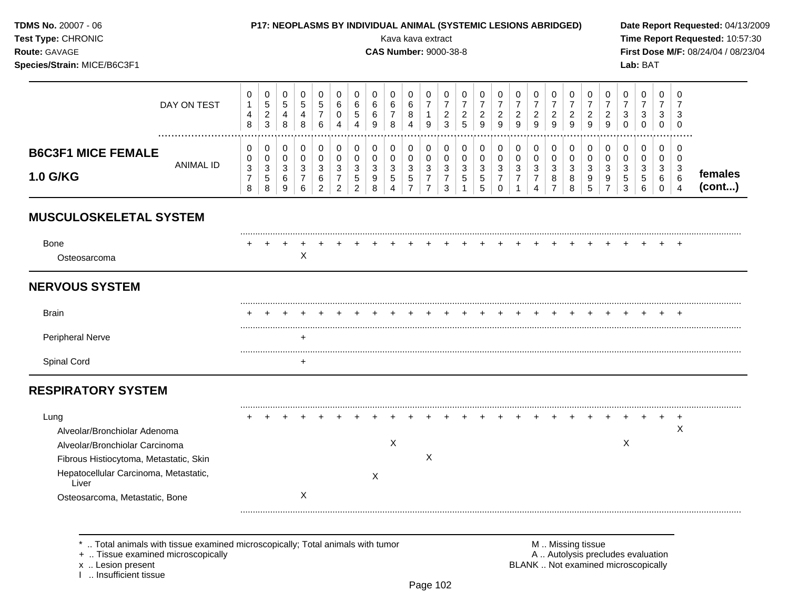**TDMS No. 20007 - 06** 

**Test Type: CHRONIC** 

#### P17: NEOPLASMS BY INDIVIDUAL ANIMAL (SYSTEMIC LESIONS ABRIDGED)

**CAS Number: 9000-38-8** 

Kava kava extract

Route: GAVAGE

Species/Strain: MICE/B6C3F1

Date Report Requested: 04/13/2009 Time Report Requested: 10:57:30 First Dose M/F: 08/24/04 / 08/23/04 Lab: BAT

#### $\mathbf 0$  $\mathbf 0$  $\mathbf 0$  $\mathbf 0$  $\mathbf 0$  $\mathbf 0$  $\mathbf 0$  $\mathbf 0$  $\mathbf 0$  $\mathbf 0$  $\mathbf 0$  $\mathbf 0$  $\mathbf 0$  $\mathbf 0$  $\mathbf 0$  $\mathbf 0$  $\mathbf 0$  $\Omega$  $\mathbf 0$  $\mathbf 0$  $\mathbf 0$  $\mathbf 0$  $\mathbf 0$  $\mathbf 0$  $\mathbf 0$  $\frac{5}{2}$  $\overline{7}$  $\overline{7}$  $\overline{7}$  $\overline{7}$  $\overline{5}$  $\overline{5}$  $\,6\,$  $\overline{7}$  $\overline{7}$  $\overline{7}$  $\overline{7}$  $\overline{7}$  $\overline{7}$  $\overline{7}$  $\overline{7}$  $\mathbf{1}$  $\overline{5}$  $\,6\,$  $\,6\,$  $\,6\,$  $\,6\,$  $\overline{7}$  $\overline{7}$  $\overline{7}$ DAY ON TEST  $\overline{7}$  $\overline{7}$  $\frac{2}{5}$  $\overline{2}$  $\overline{2}$  $\overline{2}$  $\overline{4}$  $\mathbf 0$  $\overline{5}$  $\,6\,$  $\boldsymbol{8}$  $\overline{2}$  $\overline{2}$  $\overline{2}$  $\overline{2}$  $\overline{2}$  $\overline{2}$  $\mathbf{3}$  $\mathbf{3}$  $\mathbf{3}$  $\overline{4}$  $\overline{4}$  $\mathbf{1}$  $\mathbf{3}$  $\overline{3}$  $\boldsymbol{8}$  $\bf8$  $\,6$  $\overline{4}$  $\overline{3}$  $\mathsf g$  $\mathsf g$  $\overline{9}$  $\mathsf g$  $\overline{9}$  $\overline{9}$  $\overline{9}$  $\mathsf g$  $\overline{0}$  $\mathbf 0$  $\pmb{0}$  $\overline{4}$  $\boldsymbol{9}$ 8  $\boldsymbol{9}$  $\bf8$  $\overline{4}$  $\mathsf 0$  $\overline{0}$  $\mathbf 0$  $\mathbf 0$  $\pmb{0}$  $\mathbf 0$  $\mathbf{0}$  $\mathbf 0$  $\mathbf 0$  $\mathbf 0$  $\mathbf 0$  $\mathsf 0$  $\mathbf 0$  $\mathbf 0$  $\mathbf 0$  $\mathbf 0$  $\mathbf 0$  $\mathsf 0$  $\overline{0}$  $\mathbf 0$  $\mathbf 0$  $\mathbf 0$  $\mathbf 0$  $\mathbf 0$  $\mathbf 0$  $\mathbf 0$ **B6C3F1 MICE FEMALE**  $\mathbf 0$  $\mathbf 0$  $\mathbf 0$  $\mathbf 0$  $\mathbf 0$  $\mathbf 0$  $\pmb{0}$  $\mathbf 0$  $\mathbf 0$  $\mathbf 0$  $\mathbf 0$  $\mathbf 0$  $\mathbf 0$  $\mathbf 0$  $\mathbf 0$  $\mathbf 0$  $\mathbf 0$  $\mathbf 0$  $\mathbf 0$  $\mathbf 0$  $\pmb{0}$  $\mathbf 0$  $\mathbf 0$  $\mathbf 0$  $\mathbf 0$ **ANIMAL ID**  $\mathbf{3}$  $\sqrt{3}$  $\mathbf{3}$ 3 3  $\mathbf{3}$  $\mathbf{3}$  $\mathbf{3}$ 3  $\mathbf{3}$  $\mathbf{3}$  $\mathbf{3}$  $\mathbf{3}$  $\mathbf{3}$  $\mathbf{3}$  $\mathbf{3}$  $\mathbf{3}$  $\mathbf{3}$  $\mathbf{3}$  $\mathbf{3}$  $\sqrt{3}$  $\mathbf{3}$  $\mathbf{3}$  $\mathbf{3}$  $\mathbf{3}$ females 1.0 G/KG  $\frac{5}{7}$  $\boldsymbol{7}$  $\,$  5  $\,$  $\,6\,$  $\boldsymbol{7}$  $\,$  5  $\,$  $\boldsymbol{7}$  $\sqrt{5}$  $\begin{array}{c} 5 \\ 5 \end{array}$  $\boldsymbol{7}$  $\overline{7}$  $\bf 8$  $\boldsymbol{9}$  $\frac{9}{7}$  $\overline{7}$  $\,6$  $\sqrt{5}$  $9$  $\overline{7}$  $\overline{7}$ 8  $\sqrt{5}$  $\sqrt{5}$ 6 6  $(cont...)$  $\,8\,$ 8  $6\phantom{1}$ 2  $\overline{2}$  $\overline{2}$ 8  $\overline{7}$  $\mathbf{3}$  $\mathsf 0$ 8  $5\phantom{.0}$  $\overline{3}$ 9  $\overline{4}$  $\mathbf{1}$  $\mathbf{1}$  $\overline{4}$  $\overline{7}$  $6\phantom{1}6$  $\mathbf 0$  $\overline{4}$ **MUSCULOSKELETAL SYSTEM** Bone  $\ddot{}$  $+$  $\overline{+}$  $\boldsymbol{\mathsf{X}}$ Osteosarcoma **NERVOUS SYSTEM**

| <b>Brain</b>     |  |  |  |  |  |  |  |  |  |  |  |  |  |
|------------------|--|--|--|--|--|--|--|--|--|--|--|--|--|
| Peripheral Nerve |  |  |  |  |  |  |  |  |  |  |  |  |  |
| Spinal Cord      |  |  |  |  |  |  |  |  |  |  |  |  |  |

# **RESPIRATORY SYSTEM**

| Lung                                           |  |  |  |  |   |  |  |  |  |  |  |  |   |  |
|------------------------------------------------|--|--|--|--|---|--|--|--|--|--|--|--|---|--|
| Alveolar/Bronchiolar Adenoma                   |  |  |  |  |   |  |  |  |  |  |  |  | X |  |
| Alveolar/Bronchiolar Carcinoma                 |  |  |  |  | х |  |  |  |  |  |  |  |   |  |
| Fibrous Histiocytoma, Metastatic, Skin         |  |  |  |  |   |  |  |  |  |  |  |  |   |  |
| Hepatocellular Carcinoma, Metastatic,<br>Liver |  |  |  |  |   |  |  |  |  |  |  |  |   |  |
| Osteosarcoma, Metastatic, Bone                 |  |  |  |  |   |  |  |  |  |  |  |  |   |  |

.. Total animals with tissue examined microscopically; Total animals with tumor

+ .. Tissue examined microscopically

x .. Lesion present

I .. Insufficient tissue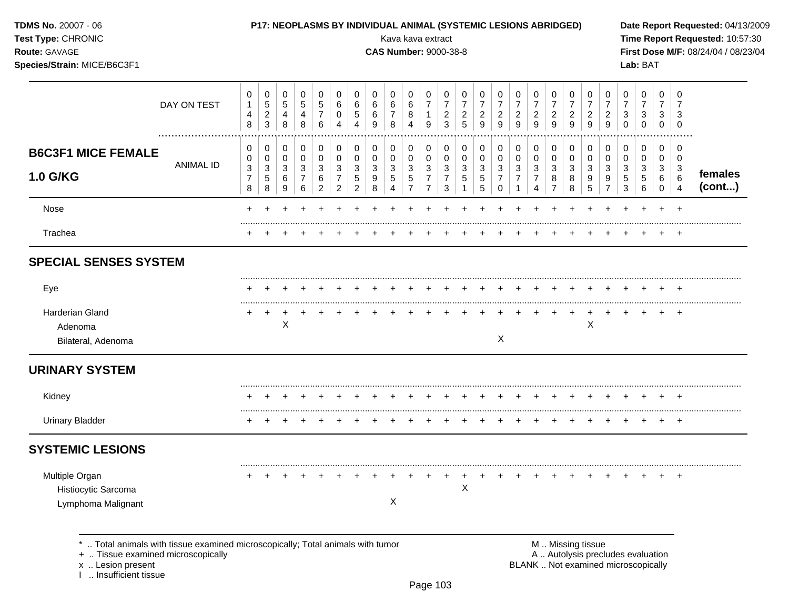| <b>TDMS No. 20007 - 06</b> |  |
|----------------------------|--|
| <b>Test Type: CHRONIC</b>  |  |

#### P17: NEOPLASMS BY INDIVIDUAL ANIMAL (SYSTEMIC LESIONS ABRIDGED)

Kava kava extract

**CAS Number: 9000-38-8** 

Route: GAVAGE

Species/Strain: MICE/B6C3F1

Date Report Requested: 04/13/2009 Time Report Requested: 10:57:30 First Dose M/F: 08/24/04 / 08/23/04 Lab: BAT

| DAY ON TEST                                                                                                        | 0<br>$\mathbf{1}$<br>$\overline{\mathbf{4}}$<br>8 | 0<br>$\,$ 5 $\,$<br>$\sqrt{2}$<br>$\mathbf{3}$       | 0<br>$\sqrt{5}$<br>$\overline{4}$<br>8         | 0<br>$\sqrt{5}$<br>$\overline{4}$<br>8                    | 0<br>$\sqrt{5}$<br>$\overline{7}$<br>6     | 0<br>6<br>0<br>4                                        | 0<br>$\,6$<br>$\overline{5}$<br>4                   | 0<br>6<br>$\,6\,$<br>9 | 0<br>$\,6\,$<br>$\boldsymbol{7}$<br>8                          | 0<br>6<br>8<br>$\overline{4}$                                | 0<br>$\overline{7}$<br>$\mathbf{1}$<br>9                                          | 0<br>$\boldsymbol{7}$<br>$\overline{c}$<br>3          | 0<br>$\boldsymbol{7}$<br>$\overline{c}$<br>5 | 0<br>$\overline{7}$<br>$\overline{\mathbf{c}}$<br>9            | 0<br>$\overline{7}$<br>$\overline{\mathbf{c}}$<br>9 | $\boldsymbol{0}$<br>$\overline{7}$<br>$\frac{2}{9}$            | 0<br>$\boldsymbol{7}$<br>$\overline{c}$<br>9                         | 0<br>$\overline{7}$<br>$\overline{\mathbf{c}}$<br>9       | 0<br>$\boldsymbol{7}$<br>$\overline{c}$<br>9 | 0<br>$\boldsymbol{7}$<br>$\overline{c}$<br>9 | 0<br>$\overline{7}$<br>$\overline{c}$<br>9            | 0<br>$\overline{7}$<br>3<br>$\Omega$ | 0<br>$\boldsymbol{7}$<br>$\sqrt{3}$<br>$\mathbf 0$ | 0<br>$\boldsymbol{7}$<br>3<br>$\Omega$ | 0<br>$\overline{7}$<br>3<br>$\Omega$ |                   |
|--------------------------------------------------------------------------------------------------------------------|---------------------------------------------------|------------------------------------------------------|------------------------------------------------|-----------------------------------------------------------|--------------------------------------------|---------------------------------------------------------|-----------------------------------------------------|------------------------|----------------------------------------------------------------|--------------------------------------------------------------|-----------------------------------------------------------------------------------|-------------------------------------------------------|----------------------------------------------|----------------------------------------------------------------|-----------------------------------------------------|----------------------------------------------------------------|----------------------------------------------------------------------|-----------------------------------------------------------|----------------------------------------------|----------------------------------------------|-------------------------------------------------------|--------------------------------------|----------------------------------------------------|----------------------------------------|--------------------------------------|-------------------|
| <b>B6C3F1 MICE FEMALE</b><br><b>ANIMAL ID</b><br><b>1.0 G/KG</b>                                                   | 0<br>0<br>3<br>$\overline{7}$<br>8                | 0<br>$\pmb{0}$<br>$\sqrt{3}$<br>$\sqrt{5}$<br>$\bf8$ | 0<br>$\mathbf 0$<br>$\mathbf{3}$<br>$\,6$<br>9 | 0<br>$\pmb{0}$<br>$\sqrt{3}$<br>$\overline{7}$<br>$\,6\,$ | 0<br>$\pmb{0}$<br>3<br>6<br>$\overline{2}$ | 0<br>$\pmb{0}$<br>3<br>$\overline{7}$<br>$\overline{2}$ | 0<br>$\pmb{0}$<br>$\sqrt{3}$<br>5<br>$\overline{2}$ | 0<br>0<br>3<br>9<br>8  | 0<br>$\mathbf 0$<br>$\sqrt{3}$<br>$\sqrt{5}$<br>$\overline{4}$ | 0<br>$\pmb{0}$<br>$\sqrt{3}$<br>$\sqrt{5}$<br>$\overline{7}$ | 0<br>$\pmb{0}$<br>$\ensuremath{\mathsf{3}}$<br>$\boldsymbol{7}$<br>$\overline{7}$ | 0<br>$\mathbf 0$<br>$\sqrt{3}$<br>$\overline{7}$<br>3 | 0<br>$\pmb{0}$<br>$\sqrt{3}$<br>$\sqrt{5}$   | 0<br>$\pmb{0}$<br>$\ensuremath{\mathsf{3}}$<br>$\sqrt{5}$<br>5 | 0<br>$\mathsf 0$<br>3<br>$\overline{7}$<br>$\Omega$ | 0<br>$\pmb{0}$<br>$\sqrt{3}$<br>$\overline{7}$<br>$\mathbf{1}$ | 0<br>$\pmb{0}$<br>$\ensuremath{\mathsf{3}}$<br>$\boldsymbol{7}$<br>4 | 0<br>$\pmb{0}$<br>$\sqrt{3}$<br>$\bf 8$<br>$\overline{7}$ | 0<br>$\mathbf 0$<br>$\mathbf{3}$<br>8<br>8   | 0<br>$\pmb{0}$<br>3<br>$\boldsymbol{9}$<br>5 | 0<br>$\mathbf 0$<br>$\sqrt{3}$<br>9<br>$\overline{7}$ | 0<br>0<br>3<br>5<br>3                | 0<br>$\mathbf 0$<br>$\sqrt{3}$<br>$\sqrt{5}$<br>6  | 0<br>0<br>3<br>6<br>$\mathbf 0$        | 0<br>0<br>3<br>6<br>$\overline{4}$   | females<br>(cont) |
| Nose                                                                                                               | $\pm$                                             |                                                      |                                                |                                                           |                                            |                                                         |                                                     |                        |                                                                |                                                              |                                                                                   |                                                       |                                              |                                                                |                                                     |                                                                |                                                                      |                                                           |                                              |                                              |                                                       |                                      |                                                    |                                        | $\overline{ }$                       |                   |
| Trachea                                                                                                            |                                                   |                                                      |                                                |                                                           |                                            |                                                         |                                                     |                        |                                                                |                                                              |                                                                                   |                                                       |                                              |                                                                |                                                     |                                                                |                                                                      |                                                           |                                              |                                              |                                                       |                                      |                                                    |                                        | $\pm$                                |                   |
| <b>SPECIAL SENSES SYSTEM</b>                                                                                       |                                                   |                                                      |                                                |                                                           |                                            |                                                         |                                                     |                        |                                                                |                                                              |                                                                                   |                                                       |                                              |                                                                |                                                     |                                                                |                                                                      |                                                           |                                              |                                              |                                                       |                                      |                                                    |                                        |                                      |                   |
| Eye                                                                                                                |                                                   |                                                      |                                                |                                                           |                                            |                                                         |                                                     |                        |                                                                |                                                              |                                                                                   |                                                       |                                              |                                                                |                                                     |                                                                |                                                                      |                                                           |                                              |                                              |                                                       |                                      |                                                    |                                        | $\ddot{}$                            |                   |
| <b>Harderian Gland</b><br>Adenoma<br>Bilateral, Adenoma                                                            |                                                   |                                                      | $\mathsf X$                                    |                                                           |                                            |                                                         |                                                     |                        |                                                                |                                                              |                                                                                   |                                                       |                                              |                                                                | X                                                   |                                                                |                                                                      |                                                           |                                              | $\times$                                     |                                                       |                                      |                                                    |                                        | $\overline{ }$                       |                   |
| <b>URINARY SYSTEM</b>                                                                                              |                                                   |                                                      |                                                |                                                           |                                            |                                                         |                                                     |                        |                                                                |                                                              |                                                                                   |                                                       |                                              |                                                                |                                                     |                                                                |                                                                      |                                                           |                                              |                                              |                                                       |                                      |                                                    |                                        |                                      |                   |
| Kidney                                                                                                             |                                                   |                                                      |                                                |                                                           |                                            |                                                         |                                                     |                        |                                                                |                                                              |                                                                                   |                                                       |                                              |                                                                |                                                     |                                                                |                                                                      |                                                           |                                              |                                              |                                                       |                                      |                                                    |                                        |                                      |                   |
| <b>Urinary Bladder</b>                                                                                             |                                                   |                                                      |                                                |                                                           |                                            |                                                         |                                                     |                        |                                                                |                                                              |                                                                                   |                                                       |                                              |                                                                |                                                     |                                                                |                                                                      |                                                           |                                              |                                              |                                                       |                                      |                                                    |                                        |                                      |                   |
| <b>SYSTEMIC LESIONS</b>                                                                                            |                                                   |                                                      |                                                |                                                           |                                            |                                                         |                                                     |                        |                                                                |                                                              |                                                                                   |                                                       |                                              |                                                                |                                                     |                                                                |                                                                      |                                                           |                                              |                                              |                                                       |                                      |                                                    |                                        |                                      |                   |
| Multiple Organ<br>Histiocytic Sarcoma<br>Lymphoma Malignant                                                        |                                                   |                                                      |                                                |                                                           |                                            |                                                         |                                                     |                        | X                                                              |                                                              |                                                                                   |                                                       | $\mathsf X$                                  |                                                                |                                                     |                                                                |                                                                      |                                                           |                                              |                                              |                                                       |                                      |                                                    |                                        | $\overline{ }$                       |                   |
| Total animals with tissue examined microscopically; Total animals with tumor<br>+  Tissue examined microscopically |                                                   |                                                      |                                                |                                                           |                                            |                                                         |                                                     |                        |                                                                |                                                              |                                                                                   |                                                       |                                              |                                                                |                                                     |                                                                |                                                                      |                                                           | M  Missing tissue                            |                                              |                                                       | A  Autolysis precludes evaluation    |                                                    |                                        |                                      |                   |

x .. Lesion present<br>I .. Insufficient tissue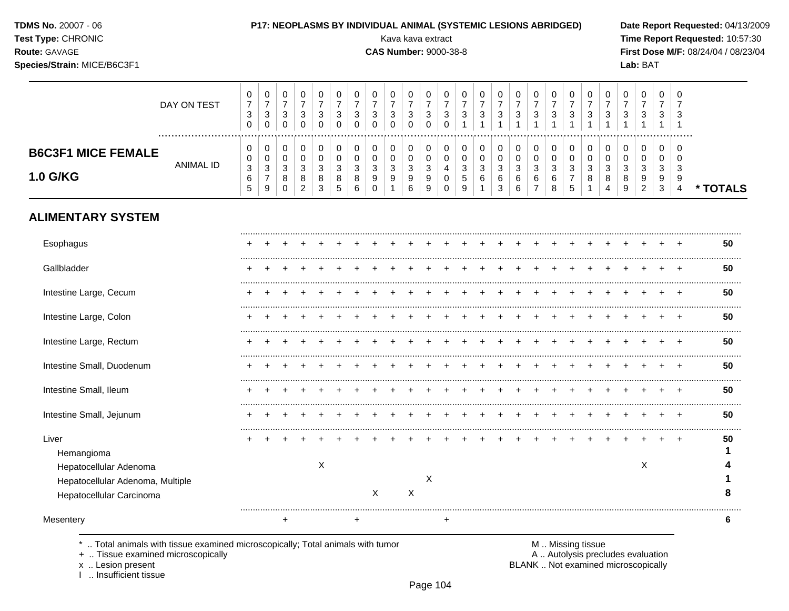| <b>TDMS No. 20007 - 06</b> |  |
|----------------------------|--|
| Test Type: CHRONIC         |  |

#### P17: NEOPLASMS BY INDIVIDUAL ANIMAL (SYSTEMIC LESIONS ABRIDGED)

**CAS Number: 9000-38-8** 

Kava kava extract

Route: GAVAGE

Species/Strain: MICE/B6C3F1

Date Report Requested: 04/13/2009 Time Report Requested: 10:57:30 First Dose M/F: 08/24/04 / 08/23/04 Lab: BAT

|                           | DAY ON TEST | U<br>ົ<br>ა<br>υ  | U<br>-<br>3<br>0   | $\sim$ | 0<br>3<br>0 | υ<br>3      | U<br>ົ<br>J | 0<br>3 | વ<br>J | 0<br>3<br>0 | 0<br>3<br>$\mathbf{0}$ | చ            | U<br>3      | υ<br>◠<br>ັ      | υ<br>3      | U<br>-<br>3 | $\sim$       | 0<br>3      | υ<br>3           | υ<br>3 | 0<br>3 | 3            | 0<br>3      | 0<br>3                 | - 0<br>3      | -0<br>3           |          |
|---------------------------|-------------|-------------------|--------------------|--------|-------------|-------------|-------------|--------|--------|-------------|------------------------|--------------|-------------|------------------|-------------|-------------|--------------|-------------|------------------|--------|--------|--------------|-------------|------------------------|---------------|-------------------|----------|
| <b>B6C3F1 MICE FEMALE</b> | ANIMAL ID   | v<br>U<br>3       | 0<br>0<br>3        | $\sim$ | 0<br>0<br>3 | υ<br>v<br>3 | 0<br>ົ      | 3      | ົ<br>đ | 0<br>0<br>3 | 0<br>U<br>3            |              | O<br>0<br>4 | 0<br>υ<br>$\sim$ | U<br>u<br>3 | 0<br>3      | $\sim$       | 0<br>0<br>3 | υ<br>v<br>3      | ົ      | 3      | $\sim$<br>c  | 0<br>0<br>3 | $\mathbf{0}$<br>Ü<br>3 |               | 0<br><sup>C</sup> |          |
| <b>1.0 G/KG</b>           |             | $\sim$<br>ь<br>.5 | $\rightarrow$<br>9 | o<br>υ | 8<br>2      | 8<br>3      | ۍ<br>8<br>G | 8<br>6 | 0      | 9           | 9<br>6                 | د.<br>S<br>S | U<br>O      | ັ<br>G<br>9      | 6           | 6<br>3      | ۰J<br>6<br>6 | 6<br>-      | $\sim$<br>6<br>8 | ۍ<br>G | o      | $\circ$<br>4 | 8<br>9      | 9<br>2                 | - 3<br>S<br>3 | ు<br>9<br>4       | * TOTALS |

# **ALIMENTARY SYSTEM**

| Esophagus                                                                         |  |       |   |  |   |   |   |  |  |  |  |  |   |  | 50 |
|-----------------------------------------------------------------------------------|--|-------|---|--|---|---|---|--|--|--|--|--|---|--|----|
| Gallbladder                                                                       |  |       |   |  |   |   |   |  |  |  |  |  |   |  | 50 |
| Intestine Large, Cecum                                                            |  |       |   |  |   |   |   |  |  |  |  |  |   |  | 50 |
| Intestine Large, Colon                                                            |  |       |   |  |   |   |   |  |  |  |  |  |   |  | 50 |
| Intestine Large, Rectum                                                           |  |       |   |  |   |   |   |  |  |  |  |  |   |  | 50 |
| Intestine Small, Duodenum                                                         |  |       |   |  |   |   |   |  |  |  |  |  |   |  | 50 |
| Intestine Small, Ileum                                                            |  |       |   |  |   |   |   |  |  |  |  |  |   |  | 50 |
| Intestine Small, Jejunum                                                          |  |       |   |  |   |   |   |  |  |  |  |  |   |  | 50 |
| Liver<br>Hemangioma<br>Hepatocellular Adenoma<br>Hepatocellular Adenoma, Multiple |  |       | X |  |   |   | X |  |  |  |  |  | X |  | 50 |
| Hepatocellular Carcinoma                                                          |  |       |   |  | X | X |   |  |  |  |  |  |   |  |    |
| Mesentery                                                                         |  | $\pm$ |   |  |   |   |   |  |  |  |  |  |   |  | 6  |

\* .. Total animals with tissue examined microscopically; Total animals with tumor

+ .. Tissue examined microscopically

x .. Lesion present

1 .. Insufficient tissue

M .. Missing tissue<br>A .. Autolysis precludes evaluation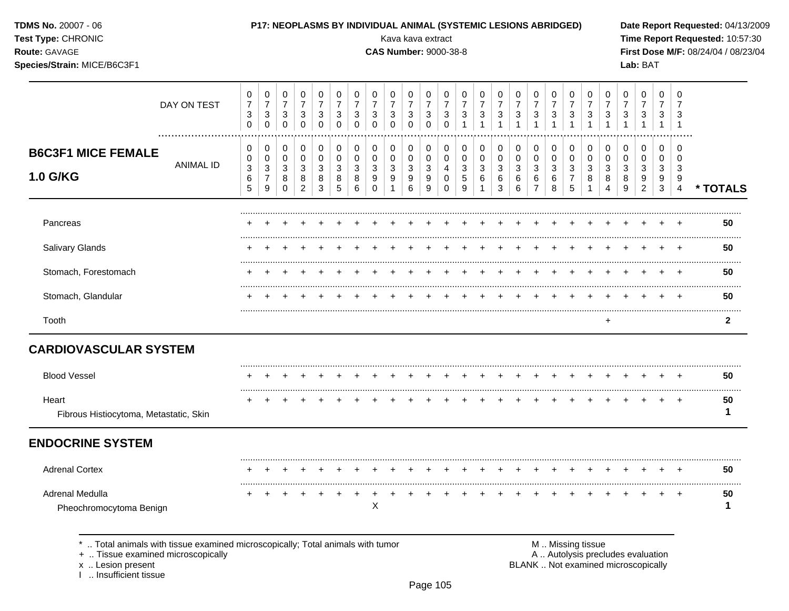| <b>TDMS No. 20007 - 06</b><br>Test Type: CHRONIC<br>Route: GAVAGE<br>Species/Strain: MICE/B6C3F1                      |                  |                                         |                                    |                                                      |                                                         |                                         |                                                       |                                                                   |                                                      | P17: NEOPLASMS BY INDIVIDUAL ANIMAL (SYSTEMIC LESIONS ABRIDGED)<br>Kava kava extract<br><b>CAS Number: 9000-38-8</b> |                                                 |                                                                   |                                                     |                                          |                                     |                          |                                                         |                                    |                                |                                                                           |                                                                         |                                                                    |                       | Lab: BAT                                                   |                                          |                                                  | Date Report Requested: 04/13/2009<br>Time Report Requested: 10:57:30<br>First Dose M/F: 08/24/04 / 08/23/04 |
|-----------------------------------------------------------------------------------------------------------------------|------------------|-----------------------------------------|------------------------------------|------------------------------------------------------|---------------------------------------------------------|-----------------------------------------|-------------------------------------------------------|-------------------------------------------------------------------|------------------------------------------------------|----------------------------------------------------------------------------------------------------------------------|-------------------------------------------------|-------------------------------------------------------------------|-----------------------------------------------------|------------------------------------------|-------------------------------------|--------------------------|---------------------------------------------------------|------------------------------------|--------------------------------|---------------------------------------------------------------------------|-------------------------------------------------------------------------|--------------------------------------------------------------------|-----------------------|------------------------------------------------------------|------------------------------------------|--------------------------------------------------|-------------------------------------------------------------------------------------------------------------|
|                                                                                                                       | DAY ON TEST      | 0<br>$\overline{7}$<br>3<br>$\mathbf 0$ | 0<br>$\overline{7}$<br>3<br>0      | 0<br>$\boldsymbol{7}$<br>$\mathbf{3}$<br>$\mathbf 0$ | 0<br>$\overline{7}$<br>3<br>0                           | 0<br>$\overline{7}$<br>3<br>$\mathbf 0$ | 0<br>$\overline{7}$<br>$\sqrt{3}$<br>$\mathbf 0$      | 0<br>$\boldsymbol{7}$<br>$\ensuremath{\mathsf{3}}$<br>$\mathbf 0$ | 0<br>$\boldsymbol{7}$<br>$\mathbf{3}$<br>$\mathbf 0$ | 0<br>$\overline{7}$<br>3<br>$\mathbf 0$                                                                              | 0<br>$\overline{7}$<br>$\mathbf{3}$<br>$\Omega$ | 0<br>$\boldsymbol{7}$<br>$\ensuremath{\mathsf{3}}$<br>$\mathbf 0$ | 0<br>$\overline{7}$<br>$\mathbf{3}$<br>$\Omega$     | 0<br>$\overline{7}$<br>3<br>$\mathbf{1}$ | 0<br>$\overline{7}$<br>3            | 0<br>$\overline{7}$<br>3 | 0<br>$\boldsymbol{7}$<br>3<br>$\mathbf{1}$              | 0<br>$\overline{7}$<br>3           | 0<br>$\overline{7}$<br>3       | 0<br>$\overline{7}$<br>3                                                  | 0<br>$\boldsymbol{7}$<br>$\ensuremath{\mathsf{3}}$                      | 0<br>$\overline{7}$<br>$\ensuremath{\mathsf{3}}$                   | 0<br>7<br>3           | 0<br>$\overline{7}$<br>$\ensuremath{\mathsf{3}}$           | 0<br>$\overline{7}$<br>3<br>$\mathbf{1}$ | 0<br>7<br>3<br>-1                                |                                                                                                             |
| <b>B6C3F1 MICE FEMALE</b><br>1.0 G/KG                                                                                 | <b>ANIMAL ID</b> | 0<br>0<br>$\sqrt{3}$<br>6<br>5          | 0<br>0<br>3<br>$\overline{7}$<br>9 | 0<br>0<br>$\mathbf{3}$<br>8<br>$\Omega$              | 0<br>$\mathbf 0$<br>$\ensuremath{\mathsf{3}}$<br>8<br>2 | 0<br>0<br>$\sqrt{3}$<br>8<br>3          | 0<br>$\pmb{0}$<br>$\ensuremath{\mathsf{3}}$<br>8<br>5 | 0<br>0<br>$\sqrt{3}$<br>8<br>6                                    | 0<br>$\mathbf 0$<br>$\sqrt{3}$<br>9<br>$\mathbf 0$   | 0<br>0<br>$\mathbf{3}$<br>9                                                                                          | 0<br>$\mathbf 0$<br>$\mathbf{3}$<br>9<br>6      | 0<br>0<br>$\sqrt{3}$<br>9<br>9                                    | 0<br>$\mathbf 0$<br>$\overline{4}$<br>0<br>$\Omega$ | 0<br>0<br>3<br>5<br>9                    | 0<br>$\mathbf 0$<br>$\sqrt{3}$<br>6 | 0<br>0<br>3<br>6<br>3    | 0<br>$\mathbf 0$<br>$\ensuremath{\mathsf{3}}$<br>6<br>6 | 0<br>0<br>3<br>6<br>$\overline{7}$ | 0<br>0<br>$\sqrt{3}$<br>6<br>8 | 0<br>$\boldsymbol{0}$<br>$\ensuremath{\mathsf{3}}$<br>$\overline{7}$<br>5 | 0<br>$\boldsymbol{0}$<br>$\ensuremath{\mathsf{3}}$<br>8<br>$\mathbf{1}$ | 0<br>$\pmb{0}$<br>$\ensuremath{\mathsf{3}}$<br>8<br>$\overline{4}$ | 0<br>0<br>3<br>8<br>9 | 0<br>0<br>$\ensuremath{\mathsf{3}}$<br>9<br>$\overline{2}$ | 0<br>0<br>3<br>9<br>$\mathbf{3}$         | $\Omega$<br>$\Omega$<br>3<br>9<br>$\overline{4}$ | * TOTALS                                                                                                    |
| Pancreas                                                                                                              |                  |                                         |                                    |                                                      |                                                         |                                         |                                                       |                                                                   |                                                      |                                                                                                                      |                                                 |                                                                   |                                                     |                                          |                                     |                          |                                                         |                                    |                                |                                                                           |                                                                         |                                                                    |                       |                                                            |                                          |                                                  | 50                                                                                                          |
| Salivary Glands                                                                                                       |                  |                                         |                                    |                                                      |                                                         |                                         |                                                       |                                                                   |                                                      |                                                                                                                      |                                                 |                                                                   |                                                     |                                          |                                     |                          |                                                         |                                    |                                |                                                                           |                                                                         |                                                                    |                       |                                                            |                                          |                                                  | 50                                                                                                          |
| Stomach, Forestomach                                                                                                  |                  |                                         |                                    |                                                      |                                                         |                                         |                                                       |                                                                   |                                                      |                                                                                                                      |                                                 |                                                                   |                                                     |                                          |                                     |                          |                                                         |                                    |                                |                                                                           |                                                                         |                                                                    |                       |                                                            |                                          | $\pm$                                            | 50                                                                                                          |
| Stomach, Glandular                                                                                                    |                  |                                         |                                    |                                                      |                                                         |                                         |                                                       |                                                                   |                                                      |                                                                                                                      |                                                 |                                                                   |                                                     |                                          |                                     |                          |                                                         |                                    |                                |                                                                           |                                                                         |                                                                    |                       |                                                            |                                          |                                                  | 50                                                                                                          |
| Tooth                                                                                                                 |                  |                                         |                                    |                                                      |                                                         |                                         |                                                       |                                                                   |                                                      |                                                                                                                      |                                                 |                                                                   |                                                     |                                          |                                     |                          |                                                         |                                    |                                |                                                                           |                                                                         | $\ddot{}$                                                          |                       |                                                            |                                          |                                                  | $\mathbf{2}$                                                                                                |
| <b>CARDIOVASCULAR SYSTEM</b>                                                                                          |                  |                                         |                                    |                                                      |                                                         |                                         |                                                       |                                                                   |                                                      |                                                                                                                      |                                                 |                                                                   |                                                     |                                          |                                     |                          |                                                         |                                    |                                |                                                                           |                                                                         |                                                                    |                       |                                                            |                                          |                                                  |                                                                                                             |
| <b>Blood Vessel</b>                                                                                                   |                  |                                         | $\overline{ }$                     | $+$                                                  | $\ddot{}$                                               |                                         |                                                       |                                                                   |                                                      |                                                                                                                      |                                                 |                                                                   |                                                     | $\pm$                                    |                                     | $^{+}$                   | $+$                                                     | $+$                                | $+$                            | $+$                                                                       | $+$                                                                     | $+$                                                                |                       | $+$ $+$                                                    |                                          | $+$                                              | 50                                                                                                          |
| Heart<br>Fibrous Histiocytoma, Metastatic, Skin                                                                       |                  |                                         |                                    | $\pm$                                                |                                                         |                                         |                                                       |                                                                   |                                                      |                                                                                                                      |                                                 |                                                                   |                                                     |                                          |                                     |                          |                                                         |                                    |                                | $\div$                                                                    | $\ddot{}$                                                               | $\ddot{}$                                                          | $\pm$                 |                                                            | $\ddot{}$                                | $^{+}$                                           | 50<br>-1                                                                                                    |
| <b>ENDOCRINE SYSTEM</b>                                                                                               |                  |                                         |                                    |                                                      |                                                         |                                         |                                                       |                                                                   |                                                      |                                                                                                                      |                                                 |                                                                   |                                                     |                                          |                                     |                          |                                                         |                                    |                                |                                                                           |                                                                         |                                                                    |                       |                                                            |                                          |                                                  |                                                                                                             |
| <b>Adrenal Cortex</b>                                                                                                 |                  |                                         |                                    |                                                      |                                                         |                                         |                                                       |                                                                   |                                                      |                                                                                                                      |                                                 |                                                                   |                                                     |                                          |                                     |                          |                                                         |                                    |                                |                                                                           |                                                                         |                                                                    |                       |                                                            |                                          |                                                  | 50                                                                                                          |
| Adrenal Medulla<br>Pheochromocytoma Benign                                                                            |                  |                                         |                                    |                                                      |                                                         |                                         |                                                       |                                                                   | Χ                                                    |                                                                                                                      |                                                 |                                                                   |                                                     |                                          |                                     |                          |                                                         |                                    |                                |                                                                           |                                                                         |                                                                    |                       |                                                            |                                          |                                                  | 50<br>1                                                                                                     |
| *  Total animals with tissue examined microscopically; Total animals with tumor<br>+  Tissue examined microscopically |                  |                                         |                                    |                                                      |                                                         |                                         |                                                       |                                                                   |                                                      |                                                                                                                      |                                                 |                                                                   |                                                     |                                          |                                     |                          |                                                         |                                    | M  Missing tissue              |                                                                           |                                                                         |                                                                    |                       | A  Autolysis precludes evaluation                          |                                          |                                                  |                                                                                                             |

x .. Lesion present<br>I .. Insufficient tissue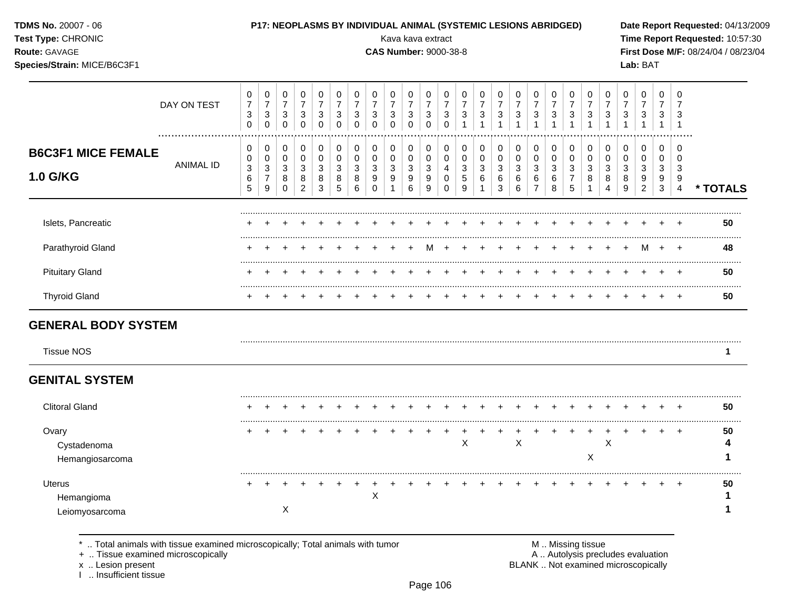| Test Type: CHRONIC<br>Route: GAVAGE<br>Species/Strain: MICE/B6C3F1 |                  |                                                    |                                                            |                                         |                                                    |                                                                           |                                         |                                                                           |                                                                 |                                                                        | Kava kava extract<br><b>CAS Number: 9000-38-8</b>  |                                                                |                                               |                                                                          |                                                                            |                                                      |                                                     |                                                         |                                                     |                                            |                                            |                                            |                                                                | Lab: BAT                                                    |                                       |                                                        | Time Report Requested: 10:57:30<br>First Dose M/F: 08/24/04 / 08/23/04 |
|--------------------------------------------------------------------|------------------|----------------------------------------------------|------------------------------------------------------------|-----------------------------------------|----------------------------------------------------|---------------------------------------------------------------------------|-----------------------------------------|---------------------------------------------------------------------------|-----------------------------------------------------------------|------------------------------------------------------------------------|----------------------------------------------------|----------------------------------------------------------------|-----------------------------------------------|--------------------------------------------------------------------------|----------------------------------------------------------------------------|------------------------------------------------------|-----------------------------------------------------|---------------------------------------------------------|-----------------------------------------------------|--------------------------------------------|--------------------------------------------|--------------------------------------------|----------------------------------------------------------------|-------------------------------------------------------------|---------------------------------------|--------------------------------------------------------|------------------------------------------------------------------------|
|                                                                    | DAY ON TEST      | 0<br>$\overline{7}$<br>$\mathbf{3}$<br>$\mathbf 0$ | 0<br>$\boldsymbol{7}$<br>$\sqrt{3}$<br>$\mathbf 0$         | 0<br>$\overline{7}$<br>3<br>$\mathbf 0$ | 0<br>$\overline{7}$<br>$\mathbf{3}$<br>$\mathbf 0$ | $\pmb{0}$<br>$\boldsymbol{7}$<br>$\ensuremath{\mathsf{3}}$<br>$\mathbf 0$ | 0<br>$\overline{7}$<br>3<br>$\mathbf 0$ | $\mathbf 0$<br>$\overline{7}$<br>$\ensuremath{\mathsf{3}}$<br>$\mathbf 0$ | 0<br>$\boldsymbol{7}$<br>$\sqrt{3}$<br>$\mathbf 0$              | $\mathbf 0$<br>$\overline{7}$<br>$\ensuremath{\mathsf{3}}$<br>$\Omega$ | 0<br>$\overline{7}$<br>$\mathbf{3}$<br>$\mathbf 0$ | 0<br>$\boldsymbol{7}$<br>$\ensuremath{\mathsf{3}}$<br>$\Omega$ | 0<br>$\overline{7}$<br>3<br>$\Omega$          | $\pmb{0}$<br>$\overline{7}$<br>$\ensuremath{\mathsf{3}}$<br>$\mathbf{1}$ | $\pmb{0}$<br>$\overline{7}$<br>$\ensuremath{\mathsf{3}}$<br>$\overline{1}$ | $\mathbf 0$<br>$\overline{7}$<br>3<br>$\overline{1}$ | 0<br>$\overline{7}$<br>$\sqrt{3}$<br>$\overline{1}$ | 0<br>$\boldsymbol{7}$<br>$\mathbf{3}$<br>$\mathbf{1}$   | 0<br>$\overline{7}$<br>$\mathbf{3}$<br>$\mathbf{1}$ | 0<br>$\boldsymbol{7}$<br>3<br>$\mathbf{1}$ | 0<br>$\overline{7}$<br>3<br>$\overline{1}$ | 0<br>$\overline{7}$<br>$\sqrt{3}$          | $\mathbf 0$<br>$\overline{7}$<br>$\mathsf 3$<br>$\overline{1}$ | $\mathbf 0$<br>$\overline{7}$<br>$\sqrt{3}$<br>$\mathbf{1}$ | $\mathbf 0$<br>7<br>3<br>$\mathbf{1}$ | $\mathbf 0$<br>$\overline{7}$<br>3<br>$\overline{1}$   |                                                                        |
| <b>B6C3F1 MICE FEMALE</b><br>1.0 G/KG                              | <b>ANIMAL ID</b> | 0<br>$\mathbf 0$<br>$\sqrt{3}$<br>6<br>5           | 0<br>0<br>$\ensuremath{\mathsf{3}}$<br>$\overline{7}$<br>9 | 0<br>$\mathbf 0$<br>3<br>8<br>$\Omega$  | 0<br>0<br>$\mathbf{3}$<br>8<br>$\overline{2}$      | 0<br>$\mathbf 0$<br>3<br>8<br>3                                           | 0<br>$\mathbf 0$<br>3<br>8<br>5         | $\pmb{0}$<br>$\pmb{0}$<br>3<br>8<br>6                                     | $\mathbf 0$<br>$\mathbf 0$<br>$\mathbf{3}$<br>9<br>$\mathbf{0}$ | 0<br>$\Omega$<br>3<br>9<br>$\mathbf{1}$                                | 0<br>$\Omega$<br>3<br>9<br>6                       | 0<br>$\mathbf 0$<br>$\mathbf{3}$<br>9<br>9                     | 0<br>$\mathbf 0$<br>4<br>$\Omega$<br>$\Omega$ | 0<br>0<br>$\ensuremath{\mathsf{3}}$<br>$\mathbf 5$<br>9                  | $\mathbf 0$<br>$\pmb{0}$<br>$\ensuremath{\mathsf{3}}$<br>6                 | $\mathbf 0$<br>$\mathbf 0$<br>3<br>6<br>3            | 0<br>$\mathbf 0$<br>3<br>6<br>6                     | 0<br>$\mathbf 0$<br>$\mathbf{3}$<br>6<br>$\overline{7}$ | 0<br>$\mathbf 0$<br>$\mathbf{3}$<br>6<br>8          | 0<br>$\Omega$<br>3<br>$\overline{7}$<br>5  | 0<br>0<br>3<br>8<br>$\mathbf 1$            | 0<br>$\mathbf 0$<br>$\mathbf{3}$<br>8<br>4 | $\mathbf 0$<br>$\mathbf 0$<br>3<br>8<br>9                      | 0<br>$\mathbf 0$<br>3<br>9<br>$\boldsymbol{2}$              | 0<br>$\mathbf 0$<br>3<br>9<br>3       | $\mathbf 0$<br>$\mathbf 0$<br>3<br>9<br>$\overline{4}$ | * TOTALS                                                               |
| Islets, Pancreatic                                                 |                  |                                                    |                                                            |                                         |                                                    |                                                                           |                                         |                                                                           |                                                                 |                                                                        |                                                    |                                                                |                                               |                                                                          |                                                                            |                                                      |                                                     |                                                         |                                                     |                                            |                                            |                                            |                                                                |                                                             |                                       |                                                        | 50                                                                     |
| Parathyroid Gland                                                  |                  |                                                    |                                                            |                                         |                                                    |                                                                           |                                         |                                                                           |                                                                 |                                                                        |                                                    |                                                                |                                               |                                                                          |                                                                            |                                                      |                                                     |                                                         |                                                     |                                            |                                            |                                            |                                                                | м                                                           |                                       |                                                        | 48                                                                     |
| <b>Pituitary Gland</b>                                             |                  |                                                    |                                                            |                                         |                                                    |                                                                           |                                         |                                                                           |                                                                 |                                                                        |                                                    |                                                                |                                               |                                                                          |                                                                            |                                                      |                                                     |                                                         |                                                     |                                            |                                            |                                            |                                                                |                                                             |                                       |                                                        | 50                                                                     |
| <b>Thyroid Gland</b>                                               |                  |                                                    |                                                            |                                         |                                                    |                                                                           |                                         |                                                                           |                                                                 |                                                                        |                                                    |                                                                |                                               |                                                                          |                                                                            |                                                      |                                                     |                                                         |                                                     |                                            |                                            |                                            |                                                                |                                                             |                                       |                                                        | <br>50                                                                 |
| <b>GENERAL BODY SYSTEM</b><br><b>Tissue NOS</b>                    |                  |                                                    |                                                            |                                         |                                                    |                                                                           |                                         |                                                                           |                                                                 |                                                                        |                                                    |                                                                |                                               |                                                                          |                                                                            |                                                      |                                                     |                                                         |                                                     |                                            |                                            |                                            |                                                                |                                                             |                                       |                                                        | 1                                                                      |
| <b>GENITAL SYSTEM</b>                                              |                  |                                                    |                                                            |                                         |                                                    |                                                                           |                                         |                                                                           |                                                                 |                                                                        |                                                    |                                                                |                                               |                                                                          |                                                                            |                                                      |                                                     |                                                         |                                                     |                                            |                                            |                                            |                                                                |                                                             |                                       |                                                        |                                                                        |
| <b>Clitoral Gland</b>                                              |                  |                                                    |                                                            |                                         |                                                    | $\pm$                                                                     |                                         |                                                                           |                                                                 |                                                                        |                                                    |                                                                |                                               |                                                                          |                                                                            |                                                      |                                                     |                                                         |                                                     |                                            |                                            |                                            |                                                                |                                                             |                                       |                                                        | 50                                                                     |
| Ovary<br>Cystadenoma<br>Hemangiosarcoma                            |                  | +                                                  |                                                            |                                         |                                                    |                                                                           |                                         |                                                                           |                                                                 |                                                                        |                                                    |                                                                | $\overline{ }$                                | +<br>X                                                                   |                                                                            |                                                      | X                                                   |                                                         |                                                     | $\ddot{}$                                  | X                                          | $\overline{1}$<br>X                        | $\ddot{}$                                                      | $\overline{+}$                                              | $\ddot{}$                             | $\ddot{}$                                              | 50<br>4<br>1                                                           |
| Uterus<br>Hemangioma<br>Leiomyosarcoma                             |                  | +                                                  |                                                            | X                                       |                                                    |                                                                           |                                         |                                                                           | X                                                               |                                                                        |                                                    |                                                                |                                               |                                                                          |                                                                            |                                                      |                                                     |                                                         |                                                     |                                            |                                            |                                            |                                                                |                                                             |                                       |                                                        | 50<br>1<br>1                                                           |

**TDMS No.** 20007 - 06 **P17: NEOPLASMS BY INDIVIDUAL ANIMAL (SYSTEMIC LESIONS ABRIDGED) Date Report Requested:** 04/13/2009

\* .. Total animals with tissue examined microscopically; Total animals with tumor **M** . M . Missing tissue M .. Missing tissue<br>
+ .. Tissue examined microscopically

+ .. Tissue examined microscopically<br>x .. Lesion present

I .. Insufficient tissue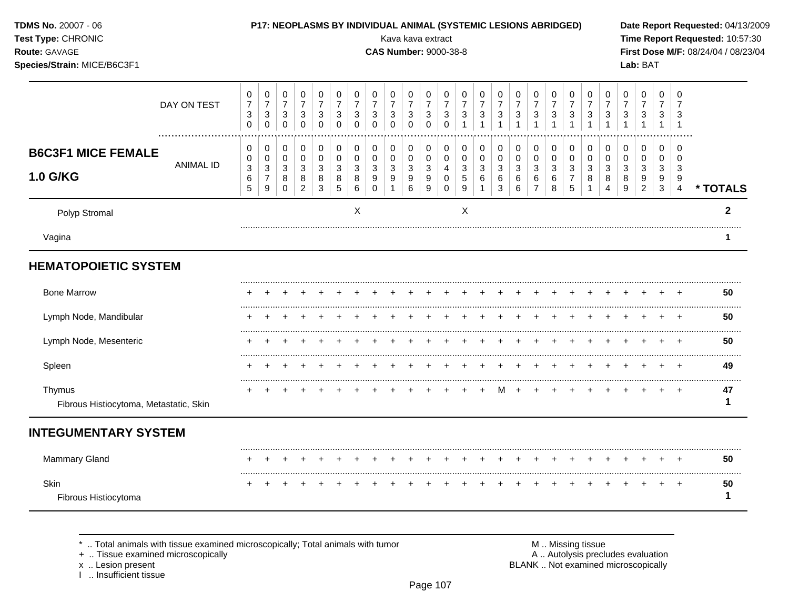| TDMS No. 20007 - 06<br>Test Type: CHRONIC<br>Route: GAVAGE<br>Species/Strain: MICE/B6C3F1 |                  |                                                                           |                                                                       |                                                              |                                                    |                                                    |                                                               |                                                                           |                                                                         | Kava kava extract<br><b>CAS Number: 9000-38-8</b>             |                                                                       |                                                                                |                                                                          |                                                                   |                                                                 |                                                                            | P17: NEOPLASMS BY INDIVIDUAL ANIMAL (SYSTEMIC LESIONS ABRIDGED) |                                               |                                                                  |                                                       |                                                                   |                                                                              |                                                         | Lab: BAT                                                                       |                                                                 |                                                      | Date Report Requested: 04/13/2009<br>Time Report Requested: 10:57:30<br>First Dose M/F: 08/24/04 / 08/23/04 |
|-------------------------------------------------------------------------------------------|------------------|---------------------------------------------------------------------------|-----------------------------------------------------------------------|--------------------------------------------------------------|----------------------------------------------------|----------------------------------------------------|---------------------------------------------------------------|---------------------------------------------------------------------------|-------------------------------------------------------------------------|---------------------------------------------------------------|-----------------------------------------------------------------------|--------------------------------------------------------------------------------|--------------------------------------------------------------------------|-------------------------------------------------------------------|-----------------------------------------------------------------|----------------------------------------------------------------------------|-----------------------------------------------------------------|-----------------------------------------------|------------------------------------------------------------------|-------------------------------------------------------|-------------------------------------------------------------------|------------------------------------------------------------------------------|---------------------------------------------------------|--------------------------------------------------------------------------------|-----------------------------------------------------------------|------------------------------------------------------|-------------------------------------------------------------------------------------------------------------|
|                                                                                           | DAY ON TEST      | $\pmb{0}$<br>$\boldsymbol{7}$<br>$\ensuremath{\mathsf{3}}$<br>$\mathbf 0$ | $\pmb{0}$<br>$\overline{7}$<br>$\ensuremath{\mathsf{3}}$<br>$\pmb{0}$ | $\mathbf 0$<br>$\boldsymbol{7}$<br>$\sqrt{3}$<br>$\mathbf 0$ | 0<br>$\overline{7}$<br>$\mathbf{3}$<br>$\mathbf 0$ | 0<br>$\overline{7}$<br>3<br>$\pmb{0}$              | 0<br>$\overline{7}$<br>$\ensuremath{\mathsf{3}}$<br>$\pmb{0}$ | $\mathbf 0$<br>$\overline{7}$<br>$\ensuremath{\mathsf{3}}$<br>$\mathbf 0$ | 0<br>$\overline{7}$<br>$\ensuremath{\mathsf{3}}$<br>$\mathsf 0$         | 0<br>$\overline{7}$<br>$\mathbf{3}$<br>$\mathbf 0$            | $\pmb{0}$<br>$\overline{7}$<br>$\ensuremath{\mathsf{3}}$<br>$\pmb{0}$ | $\pmb{0}$<br>$\overline{7}$<br>$\sqrt{3}$<br>$\pmb{0}$                         | $\mathbf 0$<br>$\overline{7}$<br>$\ensuremath{\mathsf{3}}$<br>$\pmb{0}$  | $\mathbf 0$<br>$\overline{7}$<br>3<br>$\mathbf{1}$                | $\mathbf 0$<br>$\overline{7}$<br>$\sqrt{3}$<br>$\mathbf{1}$     | $\mathbf 0$<br>$\overline{7}$<br>$\ensuremath{\mathsf{3}}$<br>$\mathbf{1}$ | $\mathbf 0$<br>$\overline{7}$<br>$\sqrt{3}$<br>$\mathbf{1}$     | 0<br>$\overline{7}$<br>3                      | 0<br>$\overline{7}$<br>$\ensuremath{\mathsf{3}}$<br>$\mathbf{1}$ | 0<br>$\overline{7}$<br>3<br>$\mathbf{1}$              | 0<br>$\overline{7}$<br>$\ensuremath{\mathsf{3}}$<br>$\mathbf{1}$  | 0<br>$\overline{7}$<br>$\mathbf{3}$<br>$\mathbf{1}$                          | 0<br>$\overline{7}$<br>$\mathbf{3}$                     | 0<br>$\overline{7}$<br>$\sqrt{3}$                                              | $\mathbf 0$<br>$\overline{7}$<br>3<br>$\mathbf{1}$              | $\mathbf 0$<br>$\overline{7}$<br>3<br>$\overline{1}$ |                                                                                                             |
| <b>B6C3F1 MICE FEMALE</b><br><b>1.0 G/KG</b>                                              | <b>ANIMAL ID</b> | 0<br>0<br>$\ensuremath{\mathsf{3}}$<br>$\,6$<br>5                         | 0<br>$\pmb{0}$<br>$\ensuremath{\mathsf{3}}$<br>$\overline{7}$<br>9    | 0<br>$\mathbf 0$<br>$\sqrt{3}$<br>8<br>$\mathbf 0$           | 0<br>0<br>$\mathbf{3}$<br>8<br>$\overline{2}$      | $\mathbf 0$<br>$\mathbf 0$<br>$\sqrt{3}$<br>8<br>3 | 0<br>$\mathbf 0$<br>$\mathbf{3}$<br>8<br>$\sqrt{5}$           | $\mathbf 0$<br>0<br>$\mathbf{3}$<br>8<br>6                                | $\mathbf 0$<br>$\pmb{0}$<br>$\sqrt{3}$<br>$\boldsymbol{9}$<br>$\pmb{0}$ | $\mathbf 0$<br>$\mathbf 0$<br>$\sqrt{3}$<br>9<br>$\mathbf{1}$ | $\pmb{0}$<br>$\mathsf{O}\xspace$<br>$\sqrt{3}$<br>$9\,$<br>$\,6\,$    | $\mathbf 0$<br>$\pmb{0}$<br>$\ensuremath{\mathsf{3}}$<br>$\boldsymbol{9}$<br>9 | $\mathbf 0$<br>$\pmb{0}$<br>$\overline{4}$<br>$\mathbf 0$<br>$\mathbf 0$ | $\mathbf 0$<br>$\mathbf 0$<br>$\sqrt{3}$<br>5<br>$\boldsymbol{9}$ | $\mathbf 0$<br>$\mathbf 0$<br>$\mathbf{3}$<br>6<br>$\mathbf{1}$ | 0<br>$\mathbf 0$<br>$\sqrt{3}$<br>$\,6\,$<br>$\mathbf{3}$                  | $\mathbf 0$<br>$\mathbf 0$<br>$\sqrt{3}$<br>6<br>6              | 0<br>0<br>$\mathbf{3}$<br>6<br>$\overline{7}$ | 0<br>0<br>$\sqrt{3}$<br>6<br>8                                   | $\mathbf 0$<br>0<br>3<br>$\overline{7}$<br>$\sqrt{5}$ | $\mathbf 0$<br>$\mathsf 0$<br>$\mathfrak{S}$<br>8<br>$\mathbf{1}$ | $\mathbf 0$<br>$\pmb{0}$<br>$\ensuremath{\mathsf{3}}$<br>8<br>$\overline{4}$ | $\mathbf 0$<br>0<br>$\sqrt{3}$<br>8<br>$\boldsymbol{9}$ | $\mathbf 0$<br>$\mathbf 0$<br>$\sqrt{3}$<br>$\boldsymbol{9}$<br>$\overline{2}$ | $\mathbf 0$<br>$\mathbf 0$<br>$\mathbf{3}$<br>9<br>$\mathbf{3}$ | $\Omega$<br>$\mathbf 0$<br>3<br>9<br>$\overline{4}$  | * TOTALS                                                                                                    |
| Polyp Stromal                                                                             |                  |                                                                           |                                                                       |                                                              |                                                    |                                                    |                                                               | X                                                                         |                                                                         |                                                               |                                                                       |                                                                                |                                                                          | X                                                                 |                                                                 |                                                                            |                                                                 |                                               |                                                                  |                                                       |                                                                   |                                                                              |                                                         |                                                                                |                                                                 |                                                      | $\mathbf{2}$                                                                                                |
| Vagina                                                                                    |                  |                                                                           |                                                                       |                                                              |                                                    |                                                    |                                                               |                                                                           |                                                                         |                                                               |                                                                       |                                                                                |                                                                          |                                                                   |                                                                 |                                                                            |                                                                 |                                               |                                                                  |                                                       |                                                                   |                                                                              |                                                         |                                                                                |                                                                 |                                                      | 1                                                                                                           |
| <b>HEMATOPOIETIC SYSTEM</b>                                                               |                  |                                                                           |                                                                       |                                                              |                                                    |                                                    |                                                               |                                                                           |                                                                         |                                                               |                                                                       |                                                                                |                                                                          |                                                                   |                                                                 |                                                                            |                                                                 |                                               |                                                                  |                                                       |                                                                   |                                                                              |                                                         |                                                                                |                                                                 |                                                      |                                                                                                             |
| <b>Bone Marrow</b>                                                                        |                  |                                                                           |                                                                       |                                                              |                                                    |                                                    |                                                               |                                                                           |                                                                         |                                                               |                                                                       |                                                                                |                                                                          |                                                                   |                                                                 |                                                                            |                                                                 |                                               |                                                                  |                                                       |                                                                   |                                                                              |                                                         |                                                                                |                                                                 |                                                      | 50                                                                                                          |
| Lymph Node, Mandibular                                                                    |                  |                                                                           |                                                                       |                                                              |                                                    |                                                    |                                                               |                                                                           |                                                                         |                                                               |                                                                       |                                                                                |                                                                          |                                                                   |                                                                 |                                                                            |                                                                 |                                               |                                                                  |                                                       |                                                                   |                                                                              |                                                         |                                                                                |                                                                 |                                                      | 50                                                                                                          |
| Lymph Node, Mesenteric                                                                    |                  |                                                                           |                                                                       |                                                              |                                                    |                                                    |                                                               |                                                                           |                                                                         |                                                               |                                                                       |                                                                                |                                                                          |                                                                   |                                                                 |                                                                            |                                                                 |                                               |                                                                  |                                                       | $\ddot{}$                                                         | $\pm$                                                                        |                                                         |                                                                                |                                                                 | $\overline{+}$                                       | 50                                                                                                          |
| Spleen                                                                                    |                  |                                                                           |                                                                       |                                                              |                                                    |                                                    |                                                               |                                                                           |                                                                         |                                                               |                                                                       |                                                                                |                                                                          |                                                                   |                                                                 |                                                                            |                                                                 |                                               |                                                                  |                                                       |                                                                   |                                                                              |                                                         |                                                                                |                                                                 |                                                      | 49                                                                                                          |
| Thymus<br>Fibrous Histiocytoma, Metastatic, Skin                                          |                  |                                                                           |                                                                       |                                                              |                                                    |                                                    |                                                               |                                                                           |                                                                         |                                                               |                                                                       |                                                                                |                                                                          |                                                                   |                                                                 | M                                                                          |                                                                 |                                               |                                                                  |                                                       |                                                                   |                                                                              |                                                         |                                                                                |                                                                 | $\overline{+}$                                       | 47<br>1                                                                                                     |
| <b>INTEGUMENTARY SYSTEM</b>                                                               |                  |                                                                           |                                                                       |                                                              |                                                    |                                                    |                                                               |                                                                           |                                                                         |                                                               |                                                                       |                                                                                |                                                                          |                                                                   |                                                                 |                                                                            |                                                                 |                                               |                                                                  |                                                       |                                                                   |                                                                              |                                                         |                                                                                |                                                                 |                                                      |                                                                                                             |
| Mammary Gland                                                                             |                  |                                                                           |                                                                       |                                                              |                                                    |                                                    |                                                               |                                                                           |                                                                         |                                                               |                                                                       |                                                                                |                                                                          |                                                                   |                                                                 |                                                                            |                                                                 |                                               |                                                                  |                                                       |                                                                   |                                                                              |                                                         |                                                                                |                                                                 |                                                      | 50                                                                                                          |
| Skin<br>Fibrous Histiocytoma                                                              |                  |                                                                           |                                                                       |                                                              |                                                    |                                                    |                                                               |                                                                           |                                                                         |                                                               |                                                                       |                                                                                |                                                                          |                                                                   |                                                                 |                                                                            |                                                                 |                                               |                                                                  |                                                       |                                                                   |                                                                              |                                                         |                                                                                |                                                                 | $\overline{+}$                                       | 50<br>$\mathbf 1$                                                                                           |

\* .. Total animals with tissue examined microscopically; Total animals with tumor + .. Tissue examined microscopically

x .. Lesion present<br>I .. Insufficient tissue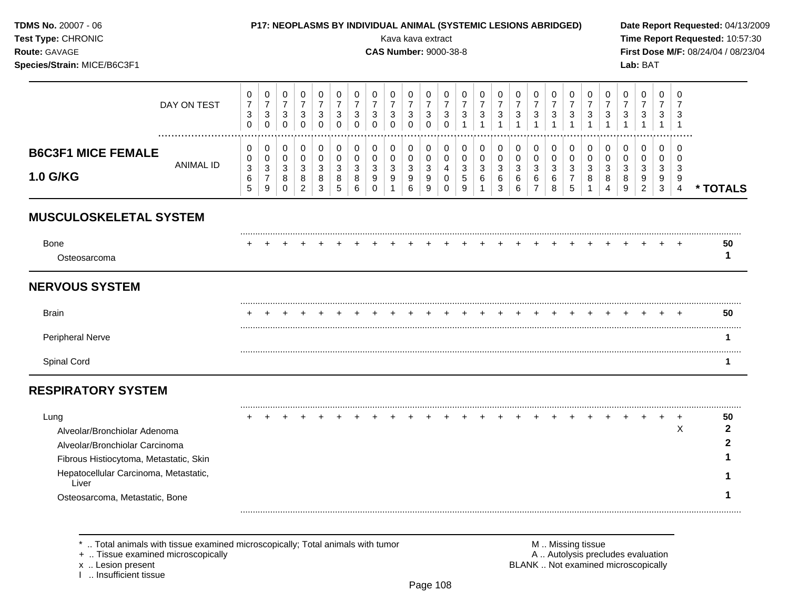| TDMS No. 20007 - 06<br>Test Type: CHRONIC<br>Route: GAVAGE<br>Species/Strain: MICE/B6C3F1                                                                          |                  |                                                               |                                                            |                                                               |                                                    |                                                                 |                                                    |                                                    |                                 | Kava kava extract<br><b>CAS Number: 9000-38-8</b> |                                                               |                                                            |                                                      |                                                     | P17: NEOPLASMS BY INDIVIDUAL ANIMAL (SYSTEMIC LESIONS ABRIDGED) |                                                   |                                                     |                                           |                                                   |                                                                  |                                                       |                                                         |                                          | Lab: BAT                                            |                                          |                                                  | Date Report Requested: 04/13/2009<br>Time Report Requested: 10:57:30<br>First Dose M/F: 08/24/04 / 08/23/04 |
|--------------------------------------------------------------------------------------------------------------------------------------------------------------------|------------------|---------------------------------------------------------------|------------------------------------------------------------|---------------------------------------------------------------|----------------------------------------------------|-----------------------------------------------------------------|----------------------------------------------------|----------------------------------------------------|---------------------------------|---------------------------------------------------|---------------------------------------------------------------|------------------------------------------------------------|------------------------------------------------------|-----------------------------------------------------|-----------------------------------------------------------------|---------------------------------------------------|-----------------------------------------------------|-------------------------------------------|---------------------------------------------------|------------------------------------------------------------------|-------------------------------------------------------|---------------------------------------------------------|------------------------------------------|-----------------------------------------------------|------------------------------------------|--------------------------------------------------|-------------------------------------------------------------------------------------------------------------|
|                                                                                                                                                                    | DAY ON TEST      | 0<br>$\overline{7}$<br>$\ensuremath{\mathsf{3}}$<br>$\pmb{0}$ | 0<br>$\boldsymbol{7}$<br>$\sqrt{3}$<br>$\mathsf{O}\xspace$ | 0<br>$\overline{7}$<br>$\ensuremath{\mathsf{3}}$<br>$\pmb{0}$ | 0<br>$\overline{7}$<br>$\mathbf{3}$<br>$\mathbf 0$ | 0<br>$\overline{7}$<br>$\ensuremath{\mathsf{3}}$<br>$\mathbf 0$ | 0<br>$\boldsymbol{7}$<br>$\mathbf{3}$<br>$\pmb{0}$ | 0<br>$\overline{7}$<br>$\mathbf{3}$<br>$\mathbf 0$ | 0<br>$\overline{7}$<br>3<br>0   | 0<br>$\overline{7}$<br>3<br>$\Omega$              | 0<br>$\overline{7}$<br>$\ensuremath{\mathsf{3}}$<br>$\pmb{0}$ | 0<br>$\overline{7}$<br>$\mathbf{3}$<br>$\mathsf{O}\xspace$ | 0<br>$\overline{7}$<br>$\mathbf{3}$<br>$\pmb{0}$     | 0<br>$\overline{7}$<br>$\mathbf{3}$<br>$\mathbf{1}$ | 0<br>$\overline{7}$<br>$\sqrt{3}$<br>$\overline{1}$             | 0<br>$\overline{7}$<br>$\sqrt{3}$<br>$\mathbf{1}$ | 0<br>$\overline{7}$<br>$\mathbf{3}$<br>$\mathbf{1}$ | 0<br>$\overline{7}$<br>3<br>$\mathbf{1}$  | 0<br>$\overline{7}$<br>$\sqrt{3}$<br>$\mathbf{1}$ | 0<br>$\overline{7}$<br>$\mathbf{3}$                              | 0<br>$\overline{7}$<br>$\mathbf{3}$<br>$\overline{1}$ | 0<br>$\overline{7}$<br>$\mathbf{3}$<br>$\overline{1}$   | 0<br>$\overline{7}$<br>3<br>$\mathbf{1}$ | 0<br>$\overline{7}$<br>3<br>$\mathbf{1}$            | 0<br>$\overline{7}$<br>3<br>$\mathbf{1}$ | 0<br>$\overline{7}$<br>3<br>$\overline{1}$       |                                                                                                             |
| <b>B6C3F1 MICE FEMALE</b><br><b>1.0 G/KG</b>                                                                                                                       | <b>ANIMAL ID</b> | 0<br>0<br>$\mathbf{3}$<br>$\,6\,$<br>5                        | 0<br>0<br>3<br>$\overline{7}$<br>$\boldsymbol{9}$          | 0<br>$\mathbf 0$<br>$\sqrt{3}$<br>8<br>$\mathbf 0$            | 0<br>$\mathbf 0$<br>3<br>8<br>$\overline{2}$       | $\mathbf 0$<br>$\mathbf 0$<br>$\mathbf{3}$<br>8<br>3            | 0<br>0<br>3<br>8<br>$\sqrt{5}$                     | 0<br>0<br>3<br>8<br>6                              | 0<br>0<br>3<br>9<br>$\mathbf 0$ | 0<br>0<br>3<br>9                                  | 0<br>$\pmb{0}$<br>$\sqrt{3}$<br>9<br>6                        | 0<br>$\mathbf 0$<br>$\mathbf{3}$<br>9<br>9                 | 0<br>$\pmb{0}$<br>$\overline{4}$<br>0<br>$\mathbf 0$ | 0<br>$\mathbf 0$<br>$\mathbf{3}$<br>$\sqrt{5}$<br>9 | 0<br>$\mathbf 0$<br>3<br>6                                      | 0<br>$\mathbf 0$<br>3<br>6<br>3                   | 0<br>0<br>$\mathbf{3}$<br>6<br>6                    | $\Omega$<br>0<br>3<br>6<br>$\overline{7}$ | 0<br>0<br>3<br>6<br>8                             | 0<br>$\pmb{0}$<br>$\sqrt{3}$<br>$\overline{7}$<br>$\overline{5}$ | 0<br>$\mathbf 0$<br>$\mathbf{3}$<br>8<br>$\mathbf{1}$ | 0<br>$\mathbf 0$<br>$\ensuremath{\mathsf{3}}$<br>8<br>4 | 0<br>$\mathbf 0$<br>3<br>8<br>9          | $\Omega$<br>$\mathbf 0$<br>3<br>9<br>$\overline{2}$ | 0<br>$\mathbf 0$<br>3<br>9<br>3          | $\Omega$<br>$\Omega$<br>3<br>9<br>$\overline{4}$ | * TOTALS                                                                                                    |
| <b>MUSCULOSKELETAL SYSTEM</b>                                                                                                                                      |                  |                                                               |                                                            |                                                               |                                                    |                                                                 |                                                    |                                                    |                                 |                                                   |                                                               |                                                            |                                                      |                                                     |                                                                 |                                                   |                                                     |                                           |                                                   |                                                                  |                                                       |                                                         |                                          |                                                     |                                          |                                                  |                                                                                                             |
| <b>Bone</b><br>Osteosarcoma                                                                                                                                        |                  |                                                               |                                                            |                                                               |                                                    |                                                                 |                                                    |                                                    |                                 |                                                   |                                                               |                                                            |                                                      |                                                     |                                                                 |                                                   |                                                     |                                           |                                                   |                                                                  |                                                       |                                                         |                                          |                                                     |                                          |                                                  | 50<br>1                                                                                                     |
| <b>NERVOUS SYSTEM</b>                                                                                                                                              |                  |                                                               |                                                            |                                                               |                                                    |                                                                 |                                                    |                                                    |                                 |                                                   |                                                               |                                                            |                                                      |                                                     |                                                                 |                                                   |                                                     |                                           |                                                   |                                                                  |                                                       |                                                         |                                          |                                                     |                                          |                                                  |                                                                                                             |
| <b>Brain</b>                                                                                                                                                       |                  |                                                               |                                                            |                                                               |                                                    |                                                                 |                                                    |                                                    |                                 |                                                   |                                                               |                                                            |                                                      |                                                     |                                                                 |                                                   |                                                     |                                           |                                                   |                                                                  |                                                       |                                                         |                                          |                                                     |                                          |                                                  | 50                                                                                                          |
| <b>Peripheral Nerve</b>                                                                                                                                            |                  |                                                               |                                                            |                                                               |                                                    |                                                                 |                                                    |                                                    |                                 |                                                   |                                                               |                                                            |                                                      |                                                     |                                                                 |                                                   |                                                     |                                           |                                                   |                                                                  |                                                       |                                                         |                                          |                                                     |                                          |                                                  | 1                                                                                                           |
| Spinal Cord                                                                                                                                                        |                  |                                                               |                                                            |                                                               |                                                    |                                                                 |                                                    |                                                    |                                 |                                                   |                                                               |                                                            |                                                      |                                                     |                                                                 |                                                   |                                                     |                                           |                                                   |                                                                  |                                                       |                                                         |                                          |                                                     |                                          |                                                  | $\mathbf{1}$                                                                                                |
| <b>RESPIRATORY SYSTEM</b>                                                                                                                                          |                  |                                                               |                                                            |                                                               |                                                    |                                                                 |                                                    |                                                    |                                 |                                                   |                                                               |                                                            |                                                      |                                                     |                                                                 |                                                   |                                                     |                                           |                                                   |                                                                  |                                                       |                                                         |                                          |                                                     |                                          |                                                  |                                                                                                             |
| Lung<br>Alveolar/Bronchiolar Adenoma<br>Alveolar/Bronchiolar Carcinoma<br>Fibrous Histiocytoma, Metastatic, Skin<br>Hepatocellular Carcinoma, Metastatic,<br>Liver |                  |                                                               |                                                            |                                                               |                                                    |                                                                 |                                                    |                                                    |                                 |                                                   |                                                               |                                                            |                                                      |                                                     |                                                                 |                                                   |                                                     |                                           |                                                   |                                                                  |                                                       |                                                         |                                          |                                                     |                                          | $\ddot{}$<br>X                                   | 50<br>$\mathbf{2}$<br>2                                                                                     |
| Osteosarcoma, Metastatic, Bone                                                                                                                                     |                  |                                                               |                                                            |                                                               |                                                    |                                                                 |                                                    |                                                    |                                 |                                                   |                                                               |                                                            |                                                      |                                                     |                                                                 |                                                   |                                                     |                                           |                                                   |                                                                  |                                                       |                                                         |                                          |                                                     |                                          |                                                  |                                                                                                             |

x .. Lesion present<br>I .. Insufficient tissue

+ .. Tissue examined microscopically  $\blacksquare$  A .. Autolysis precludes evaluation M .. Missing tissue<br>A .. Autolysis precludes evaluation<br>BLANK .. Not examined microscopically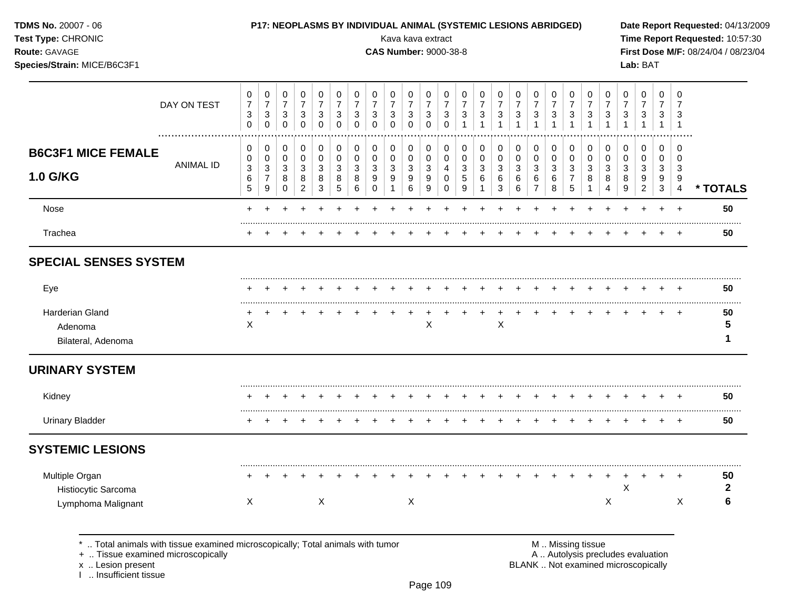| <b>TDMS No. 20007 - 06</b> |  |  |
|----------------------------|--|--|
|----------------------------|--|--|

## Test Type: CHRONIC

## P17: NEOPLASMS BY INDIVIDUAL ANIMAL (SYSTEMIC LESIONS ABRIDGED)

Kava kava extract

**CAS Number: 9000-38-8** 

Date Report Requested: 04/13/2009 Time Report Requested: 10:57:30 First Dose M/F: 08/24/04 / 08/23/04 Lab: BAT

Route: GAVAGE Species/Strain: MICE/B6C3F1

|                                                  | DAY ON TEST                                                                                                        | 0<br>$\overline{7}$<br>3<br>$\mathbf 0$       | $\pmb{0}$<br>$\overline{7}$<br>$\mathbf{3}$<br>$\mathbf 0$   | 0<br>$\overline{7}$<br>$\mathbf{3}$<br>$\mathbf 0$           | $\pmb{0}$<br>$\boldsymbol{7}$<br>$\mathbf{3}$<br>$\mathbf 0$                 | 0<br>$\overline{7}$<br>$\mathbf{3}$<br>$\mathbf 0$ | 0<br>$\overline{7}$<br>$\mathbf{3}$<br>$\Omega$ | 0<br>$\overline{7}$<br>3<br>$\mathbf 0$ | 0<br>$\overline{7}$<br>3<br>$\Omega$                  | 0<br>$\overline{7}$<br>$\mathbf{3}$<br>$\Omega$              | 0<br>$\overline{7}$<br>$\sqrt{3}$<br>$\Omega$        | 0<br>$\overline{7}$<br>3<br>$\Omega$                    | 0<br>$\overline{7}$<br>$\mathbf{3}$<br>$\Omega$ | 0<br>$\overline{7}$<br>3        | 0<br>$\overline{7}$<br>3        | 0<br>$\overline{7}$<br>3                                | 0<br>$\overline{7}$<br>3                                      | 0<br>$\overline{7}$<br>$\mathbf{3}$                 | 0<br>$\overline{7}$<br>3<br>$\mathbf{1}$ | 0<br>$\overline{7}$<br>3<br>$\mathbf{1}$                                   | 0<br>$\overline{7}$<br>3<br>$\mathbf 1$    | 0<br>$\overline{7}$<br>3                   | $\Omega$<br>$\overline{7}$<br>3   | 0<br>$\overline{7}$<br>3                  | 0<br>$\overline{7}$<br>3<br>$\mathbf{1}$   | 0<br>7<br>3<br>$\overline{1}$      |                    |
|--------------------------------------------------|--------------------------------------------------------------------------------------------------------------------|-----------------------------------------------|--------------------------------------------------------------|--------------------------------------------------------------|------------------------------------------------------------------------------|----------------------------------------------------|-------------------------------------------------|-----------------------------------------|-------------------------------------------------------|--------------------------------------------------------------|------------------------------------------------------|---------------------------------------------------------|-------------------------------------------------|---------------------------------|---------------------------------|---------------------------------------------------------|---------------------------------------------------------------|-----------------------------------------------------|------------------------------------------|----------------------------------------------------------------------------|--------------------------------------------|--------------------------------------------|-----------------------------------|-------------------------------------------|--------------------------------------------|------------------------------------|--------------------|
| <b>B6C3F1 MICE FEMALE</b><br><b>1.0 G/KG</b>     | <b>ANIMAL ID</b>                                                                                                   | 0<br>0<br>$\ensuremath{\mathsf{3}}$<br>6<br>5 | $\pmb{0}$<br>$\pmb{0}$<br>$\mathbf 3$<br>$\overline{7}$<br>9 | $\pmb{0}$<br>$\mathbf 0$<br>$\mathbf{3}$<br>8<br>$\mathbf 0$ | $\pmb{0}$<br>$\mathbf 0$<br>$\ensuremath{\mathsf{3}}$<br>8<br>$\overline{2}$ | $\,0\,$<br>$\pmb{0}$<br>$\sqrt{3}$<br>8<br>3       | 0<br>$\mathbf 0$<br>3<br>8<br>5                 | $\pmb{0}$<br>$\pmb{0}$<br>3<br>8<br>6   | $\,0\,$<br>$\pmb{0}$<br>$\mathbf{3}$<br>9<br>$\Omega$ | 0<br>0<br>$\ensuremath{\mathsf{3}}$<br>$\boldsymbol{9}$<br>1 | $\pmb{0}$<br>$\mathbf 0$<br>$\sqrt{3}$<br>$9\,$<br>6 | 0<br>$\mathbf 0$<br>$\sqrt{3}$<br>$\boldsymbol{9}$<br>9 | 0<br>0<br>4<br>0<br>$\mathbf 0$                 | 0<br>$\mathbf 0$<br>3<br>5<br>9 | 0<br>0<br>3<br>6<br>$\mathbf 1$ | 0<br>$\mathbf 0$<br>$\ensuremath{\mathsf{3}}$<br>6<br>3 | $\pmb{0}$<br>$\pmb{0}$<br>$\ensuremath{\mathsf{3}}$<br>6<br>6 | 0<br>$\pmb{0}$<br>$\sqrt{3}$<br>6<br>$\overline{7}$ | 0<br>$\pmb{0}$<br>$\mathbf{3}$<br>6<br>8 | $\pmb{0}$<br>$\pmb{0}$<br>$\ensuremath{\mathsf{3}}$<br>$\overline{7}$<br>5 | 0<br>$\mathbf 0$<br>3<br>8<br>$\mathbf{1}$ | $\mathbf 0$<br>0<br>$\mathbf{3}$<br>8<br>4 | 0<br>$\Omega$<br>3<br>8<br>9      | 0<br>$\Omega$<br>3<br>9<br>$\overline{2}$ | $\mathbf 0$<br>0<br>$\mathbf{3}$<br>9<br>3 | 0<br>0<br>3<br>9<br>$\overline{4}$ | * TOTALS           |
| Nose                                             |                                                                                                                    | $\ddot{}$                                     |                                                              |                                                              |                                                                              |                                                    |                                                 |                                         |                                                       |                                                              |                                                      |                                                         |                                                 |                                 |                                 |                                                         |                                                               |                                                     |                                          |                                                                            |                                            |                                            |                                   |                                           | $+$                                        | $+$                                | 50                 |
| Trachea                                          |                                                                                                                    |                                               |                                                              |                                                              |                                                                              |                                                    |                                                 |                                         |                                                       |                                                              |                                                      |                                                         |                                                 |                                 |                                 |                                                         |                                                               |                                                     |                                          |                                                                            |                                            |                                            |                                   |                                           |                                            | +                                  | 50                 |
| <b>SPECIAL SENSES SYSTEM</b>                     |                                                                                                                    |                                               |                                                              |                                                              |                                                                              |                                                    |                                                 |                                         |                                                       |                                                              |                                                      |                                                         |                                                 |                                 |                                 |                                                         |                                                               |                                                     |                                          |                                                                            |                                            |                                            |                                   |                                           |                                            |                                    |                    |
| Eye                                              |                                                                                                                    |                                               |                                                              |                                                              |                                                                              |                                                    |                                                 |                                         |                                                       |                                                              |                                                      |                                                         |                                                 |                                 |                                 |                                                         |                                                               |                                                     |                                          |                                                                            |                                            |                                            |                                   |                                           |                                            |                                    | 50                 |
| Harderian Gland<br>Adenoma<br>Bilateral, Adenoma |                                                                                                                    | X                                             |                                                              |                                                              |                                                                              |                                                    |                                                 |                                         |                                                       |                                                              |                                                      | $\mathsf X$                                             |                                                 |                                 |                                 | X                                                       |                                                               |                                                     |                                          |                                                                            |                                            |                                            |                                   |                                           | ÷.                                         | $\div$                             | 50<br>5<br>1       |
| <b>URINARY SYSTEM</b>                            |                                                                                                                    |                                               |                                                              |                                                              |                                                                              |                                                    |                                                 |                                         |                                                       |                                                              |                                                      |                                                         |                                                 |                                 |                                 |                                                         |                                                               |                                                     |                                          |                                                                            |                                            |                                            |                                   |                                           |                                            |                                    |                    |
| Kidney                                           |                                                                                                                    |                                               |                                                              |                                                              |                                                                              |                                                    |                                                 |                                         |                                                       |                                                              |                                                      |                                                         |                                                 |                                 |                                 |                                                         |                                                               |                                                     |                                          |                                                                            |                                            |                                            |                                   |                                           |                                            |                                    | 50                 |
| <b>Urinary Bladder</b>                           |                                                                                                                    |                                               |                                                              |                                                              |                                                                              |                                                    |                                                 |                                         |                                                       |                                                              |                                                      |                                                         |                                                 |                                 |                                 |                                                         |                                                               |                                                     |                                          |                                                                            |                                            |                                            |                                   |                                           | $\div$                                     | $^+$                               | 50                 |
| <b>SYSTEMIC LESIONS</b>                          |                                                                                                                    |                                               |                                                              |                                                              |                                                                              |                                                    |                                                 |                                         |                                                       |                                                              |                                                      |                                                         |                                                 |                                 |                                 |                                                         |                                                               |                                                     |                                          |                                                                            |                                            |                                            |                                   |                                           |                                            |                                    |                    |
| Multiple Organ<br>Histiocytic Sarcoma            |                                                                                                                    |                                               |                                                              |                                                              |                                                                              |                                                    |                                                 |                                         |                                                       |                                                              |                                                      |                                                         |                                                 |                                 |                                 |                                                         |                                                               |                                                     |                                          |                                                                            |                                            |                                            | X                                 |                                           |                                            | $\div$                             | 50<br>$\mathbf{2}$ |
| Lymphoma Malignant                               |                                                                                                                    | X                                             |                                                              |                                                              |                                                                              | X                                                  |                                                 |                                         |                                                       |                                                              | X                                                    |                                                         |                                                 |                                 |                                 |                                                         |                                                               |                                                     |                                          |                                                                            |                                            | X                                          |                                   |                                           |                                            | X                                  | 6                  |
|                                                  | Total animals with tissue examined microscopically; Total animals with tumor<br>+  Tissue examined microscopically |                                               |                                                              |                                                              |                                                                              |                                                    |                                                 |                                         |                                                       |                                                              |                                                      |                                                         |                                                 |                                 |                                 |                                                         |                                                               |                                                     |                                          | M  Missing tissue                                                          |                                            |                                            | A  Autolysis precludes evaluation |                                           |                                            |                                    |                    |

+ .. Tissue examined microscopically

x .. Lesion present<br>I .. Insufficient tissue

BLANK .. Not examined microscopically